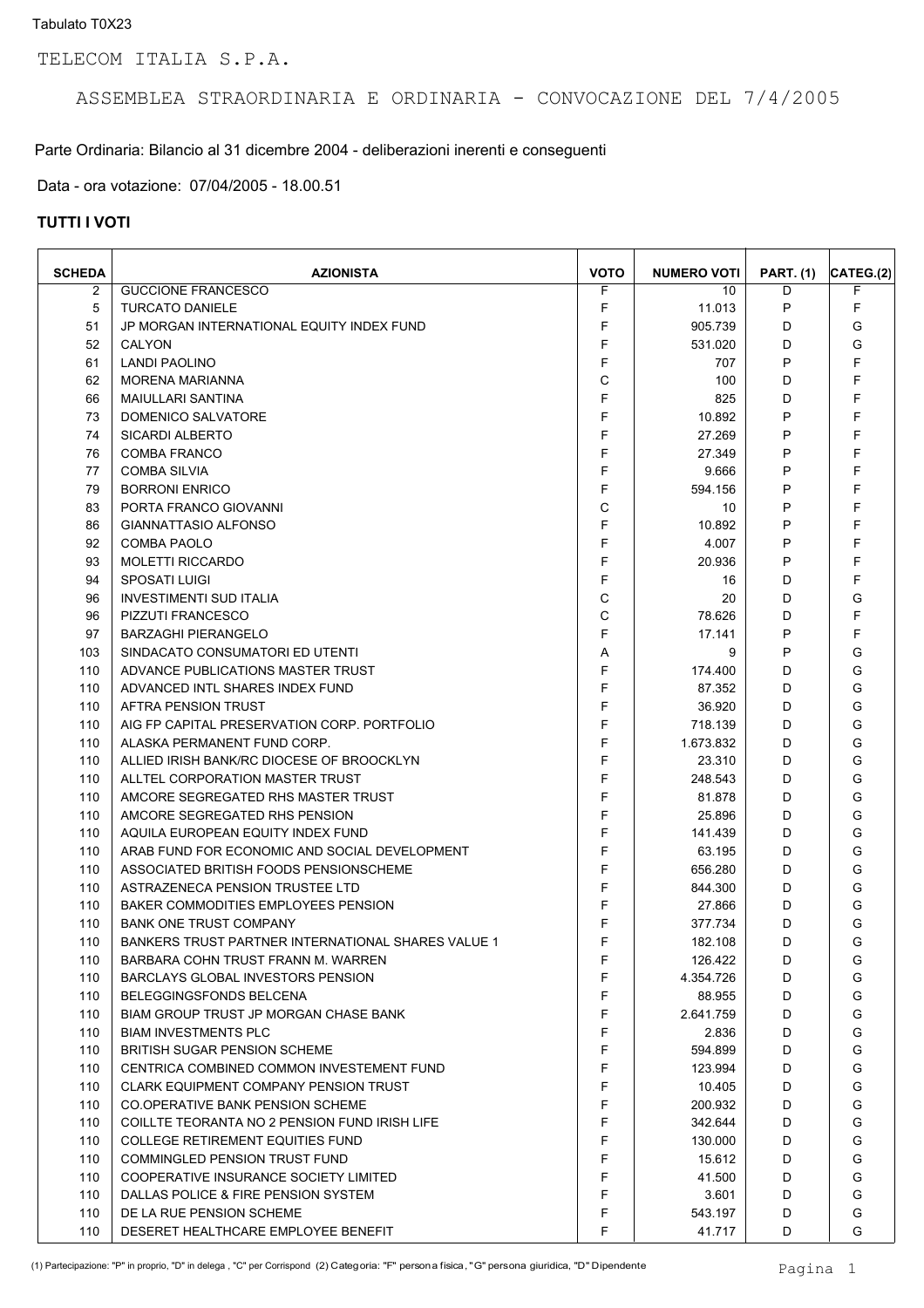Parte Ordinaria: Bilancio al 31 dicembre 2004 - deliberazioni inerenti e conseguenti

Data - ora votazione: 07/04/2005 - 18.00.51

| <b>SCHEDA</b> | <b>AZIONISTA</b>                                   | <b>VOTO</b> | <b>NUMERO VOTI</b> | <b>PART. (1)</b> | CATEG.(2) |
|---------------|----------------------------------------------------|-------------|--------------------|------------------|-----------|
| 2             | <b>GUCCIONE FRANCESCO</b>                          | F           | 10                 | D                | F         |
| 5             | <b>TURCATO DANIELE</b>                             | F           | 11.013             | P                | F         |
| 51            | JP MORGAN INTERNATIONAL EQUITY INDEX FUND          | F           | 905.739            | D                | G         |
| 52            | CALYON                                             | F           | 531.020            | D                | G         |
| 61            | <b>LANDI PAOLINO</b>                               | F           | 707                | P                | F         |
| 62            | <b>MORENA MARIANNA</b>                             | C           | 100                | D                | F         |
| 66            | <b>MAIULLARI SANTINA</b>                           | F           | 825                | D                | F         |
| 73            | <b>DOMENICO SALVATORE</b>                          | F           | 10.892             | P                | F         |
| 74            | SICARDI ALBERTO                                    | F           | 27.269             | P                | F         |
| 76            | <b>COMBA FRANCO</b>                                | F           | 27.349             | P                | F         |
| 77            | <b>COMBA SILVIA</b>                                | F           | 9.666              | P                | F         |
| 79            | <b>BORRONI ENRICO</b>                              | F           | 594.156            | P                | F         |
| 83            | PORTA FRANCO GIOVANNI                              | C           | 10                 | P                | F         |
| 86            | GIANNATTASIO ALFONSO                               | F           | 10.892             | P                | F         |
| 92            | <b>COMBA PAOLO</b>                                 | F           | 4.007              | P                | F         |
| 93            | <b>MOLETTI RICCARDO</b>                            | F           | 20.936             | P                | F         |
| 94            | <b>SPOSATI LUIGI</b>                               | F           | 16                 | D                | F         |
| 96            | <b>INVESTIMENTI SUD ITALIA</b>                     | C           | 20                 | D                | G         |
| 96            | PIZZUTI FRANCESCO                                  | C           | 78.626             | D                | F         |
| 97            | <b>BARZAGHI PIERANGELO</b>                         | F           | 17.141             | P                | F         |
| 103           | SINDACATO CONSUMATORI ED UTENTI                    | Α           | 9                  | P                | G         |
| 110           | ADVANCE PUBLICATIONS MASTER TRUST                  | F           | 174.400            | D                | G         |
| 110           | ADVANCED INTL SHARES INDEX FUND                    | F           | 87.352             | D                | G         |
| 110           | AFTRA PENSION TRUST                                | F           | 36.920             | D                | G         |
| 110           | AIG FP CAPITAL PRESERVATION CORP. PORTFOLIO        | F           | 718.139            | D                | G         |
| 110           | ALASKA PERMANENT FUND CORP.                        | F           | 1.673.832          | D                | G         |
| 110           | ALLIED IRISH BANK/RC DIOCESE OF BROOCKLYN          | F           | 23.310             | D                | G         |
| 110           | ALLTEL CORPORATION MASTER TRUST                    | F           | 248.543            | D                | G         |
| 110           | AMCORE SEGREGATED RHS MASTER TRUST                 | F           | 81.878             | D                | G         |
| 110           | AMCORE SEGREGATED RHS PENSION                      | F           | 25.896             | D                | G         |
| 110           | AQUILA EUROPEAN EQUITY INDEX FUND                  | F           | 141.439            | D                | G         |
| 110           | ARAB FUND FOR ECONOMIC AND SOCIAL DEVELOPMENT      | F           | 63.195             | D                | G         |
| 110           | ASSOCIATED BRITISH FOODS PENSIONSCHEME             | F           | 656.280            | D                | G         |
| 110           | ASTRAZENECA PENSION TRUSTEE LTD                    | F           | 844.300            | D                | G         |
| 110           | BAKER COMMODITIES EMPLOYEES PENSION                | F           | 27.866             | D                | G         |
| 110           | <b>BANK ONE TRUST COMPANY</b>                      | F           | 377.734            | D                | G         |
| 110           | BANKERS TRUST PARTNER INTERNATIONAL SHARES VALUE 1 | F           | 182.108            | D                | G         |
| 110           | BARBARA COHN TRUST FRANN M. WARREN                 | F           | 126.422            | D                | G         |
| 110           | BARCLAYS GLOBAL INVESTORS PENSION                  | F           | 4.354.726          | D                | G         |
| 110           | BELEGGINGSFONDS BELCENA                            | F           | 88.955             | D                | G         |
| 110           | BIAM GROUP TRUST JP MORGAN CHASE BANK              | F           | 2.641.759          | D                | G         |
| 110           | <b>BIAM INVESTMENTS PLC</b>                        | F           | 2.836              | D                | G         |
| 110           | <b>BRITISH SUGAR PENSION SCHEME</b>                | F           | 594.899            | D                | G         |
| 110           | CENTRICA COMBINED COMMON INVESTEMENT FUND          | F           | 123.994            | D                | G         |
| 110           | <b>CLARK EQUIPMENT COMPANY PENSION TRUST</b>       | F           | 10.405             | D                | G         |
| 110           | CO.OPERATIVE BANK PENSION SCHEME                   | F           | 200.932            | D                | G         |
| 110           | COILLTE TEORANTA NO 2 PENSION FUND IRISH LIFE      | F           | 342.644            | D                | G         |
| 110           | <b>COLLEGE RETIREMENT EQUITIES FUND</b>            | F           | 130.000            | D                | G         |
| 110           | <b>COMMINGLED PENSION TRUST FUND</b>               | F           | 15.612             | D                | G         |
| 110           | COOPERATIVE INSURANCE SOCIETY LIMITED              | F           | 41.500             | D                | G         |
| 110           | DALLAS POLICE & FIRE PENSION SYSTEM                | F           | 3.601              | D                | G         |
| 110           | DE LA RUE PENSION SCHEME                           | F           | 543.197            | D                | G         |
| 110           | DESERET HEALTHCARE EMPLOYEE BENEFIT                | F           | 41.717             | D                | G         |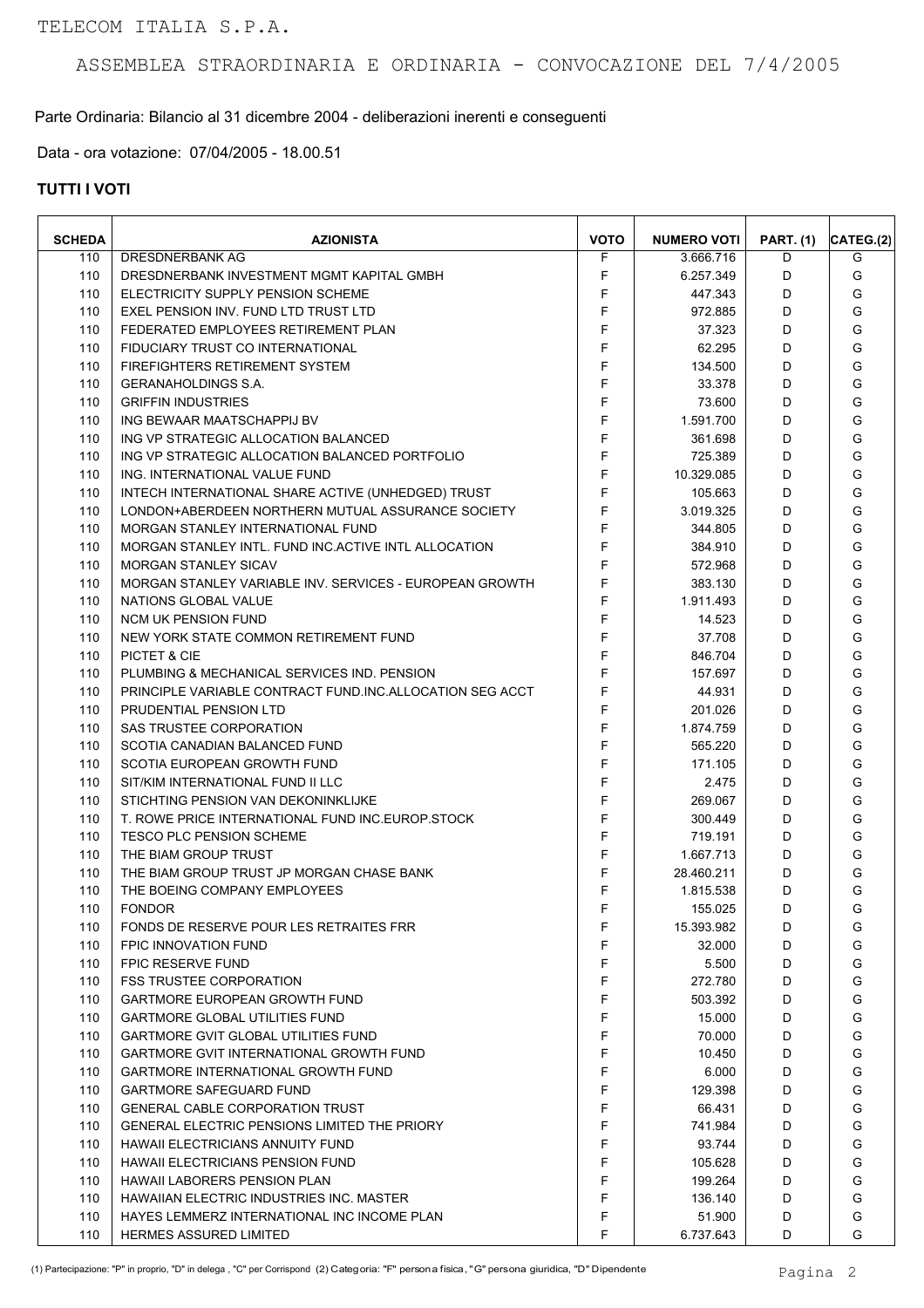Parte Ordinaria: Bilancio al 31 dicembre 2004 - deliberazioni inerenti e conseguenti

Data - ora votazione: 07/04/2005 - 18.00.51

| <b>SCHEDA</b> | <b>AZIONISTA</b>                                         | <b>VOTO</b> | <b>NUMERO VOTI</b> | <b>PART. (1)</b> | CATEG.(2) |
|---------------|----------------------------------------------------------|-------------|--------------------|------------------|-----------|
| 110           | DRESDNERBANK AG                                          | F           | 3.666.716          | D                | G         |
| 110           | DRESDNERBANK INVESTMENT MGMT KAPITAL GMBH                | F           | 6.257.349          | D                | G         |
| 110           | ELECTRICITY SUPPLY PENSION SCHEME                        | F           | 447.343            | D                | G         |
| 110           | EXEL PENSION INV. FUND LTD TRUST LTD                     | F           | 972.885            | D                | G         |
| 110           | FEDERATED EMPLOYEES RETIREMENT PLAN                      | F           | 37.323             | D                | G         |
| 110           | FIDUCIARY TRUST CO INTERNATIONAL                         | F           | 62.295             | D                | G         |
| 110           | FIREFIGHTERS RETIREMENT SYSTEM                           | F           | 134.500            | D                | G         |
| 110           | <b>GERANAHOLDINGS S.A.</b>                               | F           | 33.378             | D                | G         |
| 110           | <b>GRIFFIN INDUSTRIES</b>                                | F           | 73.600             | D                | G         |
| 110           | ING BEWAAR MAATSCHAPPIJ BV                               | F           | 1.591.700          | D                | G         |
| 110           | ING VP STRATEGIC ALLOCATION BALANCED                     | F           | 361.698            | D                | G         |
| 110           | ING VP STRATEGIC ALLOCATION BALANCED PORTFOLIO           | F           | 725.389            | D                | G         |
| 110           | ING. INTERNATIONAL VALUE FUND                            | F           | 10.329.085         | D                | G         |
| 110           | INTECH INTERNATIONAL SHARE ACTIVE (UNHEDGED) TRUST       | F           | 105.663            | D                | G         |
| 110           | LONDON+ABERDEEN NORTHERN MUTUAL ASSURANCE SOCIETY        | F           | 3.019.325          | D                | G         |
| 110           | MORGAN STANLEY INTERNATIONAL FUND                        | F           | 344.805            | D                | G         |
| 110           | MORGAN STANLEY INTL. FUND INC. ACTIVE INTL ALLOCATION    | F           | 384.910            | D                | G         |
| 110           | <b>MORGAN STANLEY SICAV</b>                              | F           | 572.968            | D                | G         |
| 110           | MORGAN STANLEY VARIABLE INV. SERVICES - EUROPEAN GROWTH  | F           | 383.130            | D                | G         |
|               |                                                          | F           |                    |                  | G         |
| 110           | NATIONS GLOBAL VALUE                                     | F           | 1.911.493          | D                | G         |
| 110           | <b>NCM UK PENSION FUND</b>                               |             | 14.523             | D                |           |
| 110           | NEW YORK STATE COMMON RETIREMENT FUND                    | F           | 37.708             | D                | G         |
| 110           | PICTET & CIE                                             | F           | 846.704            | D                | G         |
| 110           | PLUMBING & MECHANICAL SERVICES IND. PENSION              | F           | 157.697            | D                | G         |
| 110           | PRINCIPLE VARIABLE CONTRACT FUND INC.ALLOCATION SEG ACCT | F           | 44.931             | D                | G         |
| 110           | PRUDENTIAL PENSION LTD                                   | F           | 201.026            | D                | G         |
| 110           | SAS TRUSTEE CORPORATION                                  | F           | 1.874.759          | D                | G         |
| 110           | SCOTIA CANADIAN BALANCED FUND                            | F           | 565.220            | D                | G         |
| 110           | SCOTIA EUROPEAN GROWTH FUND                              | F           | 171.105            | D                | G         |
| 110           | SIT/KIM INTERNATIONAL FUND II LLC                        | F           | 2.475              | D                | G         |
| 110           | STICHTING PENSION VAN DEKONINKLIJKE                      | F           | 269.067            | D                | G         |
| 110           | T. ROWE PRICE INTERNATIONAL FUND INC. EUROP. STOCK       | F           | 300.449            | D                | G         |
| 110           | <b>TESCO PLC PENSION SCHEME</b>                          | F           | 719.191            | D                | G         |
| 110           | THE BIAM GROUP TRUST                                     | $\mathsf F$ | 1.667.713          | D                | G         |
| 110           | THE BIAM GROUP TRUST JP MORGAN CHASE BANK                | F           | 28.460.211         | D                | G         |
| 110           | THE BOEING COMPANY EMPLOYEES                             | F           | 1.815.538          | D                | G         |
| 110           | <b>FONDOR</b>                                            | F           | 155.025            | D                | G         |
| 110           | FONDS DE RESERVE POUR LES RETRAITES FRR                  | F           | 15.393.982         | D                | G         |
| 110           | FPIC INNOVATION FUND                                     | F           | 32.000             | D                | G         |
| 110           | <b>FPIC RESERVE FUND</b>                                 | F           | 5.500              | D                | G         |
| 110           | <b>FSS TRUSTEE CORPORATION</b>                           | F           | 272.780            | D                | G         |
| 110           | <b>GARTMORE EUROPEAN GROWTH FUND</b>                     | F           | 503.392            | D                | G         |
| 110           | <b>GARTMORE GLOBAL UTILITIES FUND</b>                    | F           | 15.000             | D                | G         |
| 110           | <b>GARTMORE GVIT GLOBAL UTILITIES FUND</b>               | F           | 70.000             | D                | G         |
| 110           | <b>GARTMORE GVIT INTERNATIONAL GROWTH FUND</b>           | F           | 10.450             | D                | G         |
| 110           | <b>GARTMORE INTERNATIONAL GROWTH FUND</b>                | F           | 6.000              | D                | G         |
| 110           | <b>GARTMORE SAFEGUARD FUND</b>                           | F           | 129.398            | D                | G         |
| 110           | <b>GENERAL CABLE CORPORATION TRUST</b>                   | F           | 66.431             | D                | G         |
| 110           | <b>GENERAL ELECTRIC PENSIONS LIMITED THE PRIORY</b>      | F           | 741.984            | D                | G         |
| 110           | HAWAII ELECTRICIANS ANNUITY FUND                         | F           | 93.744             | D                | G         |
| 110           | HAWAII ELECTRICIANS PENSION FUND                         | F           | 105.628            | D                | G         |
| 110           | <b>HAWAII LABORERS PENSION PLAN</b>                      | F           | 199.264            | D                | G         |
| 110           | HAWAIIAN ELECTRIC INDUSTRIES INC. MASTER                 | F           | 136.140            | D                | G         |
| 110           | HAYES LEMMERZ INTERNATIONAL INC INCOME PLAN              | F           | 51.900             | D                | G         |
| 110           | <b>HERMES ASSURED LIMITED</b>                            | F           | 6.737.643          | D                | G         |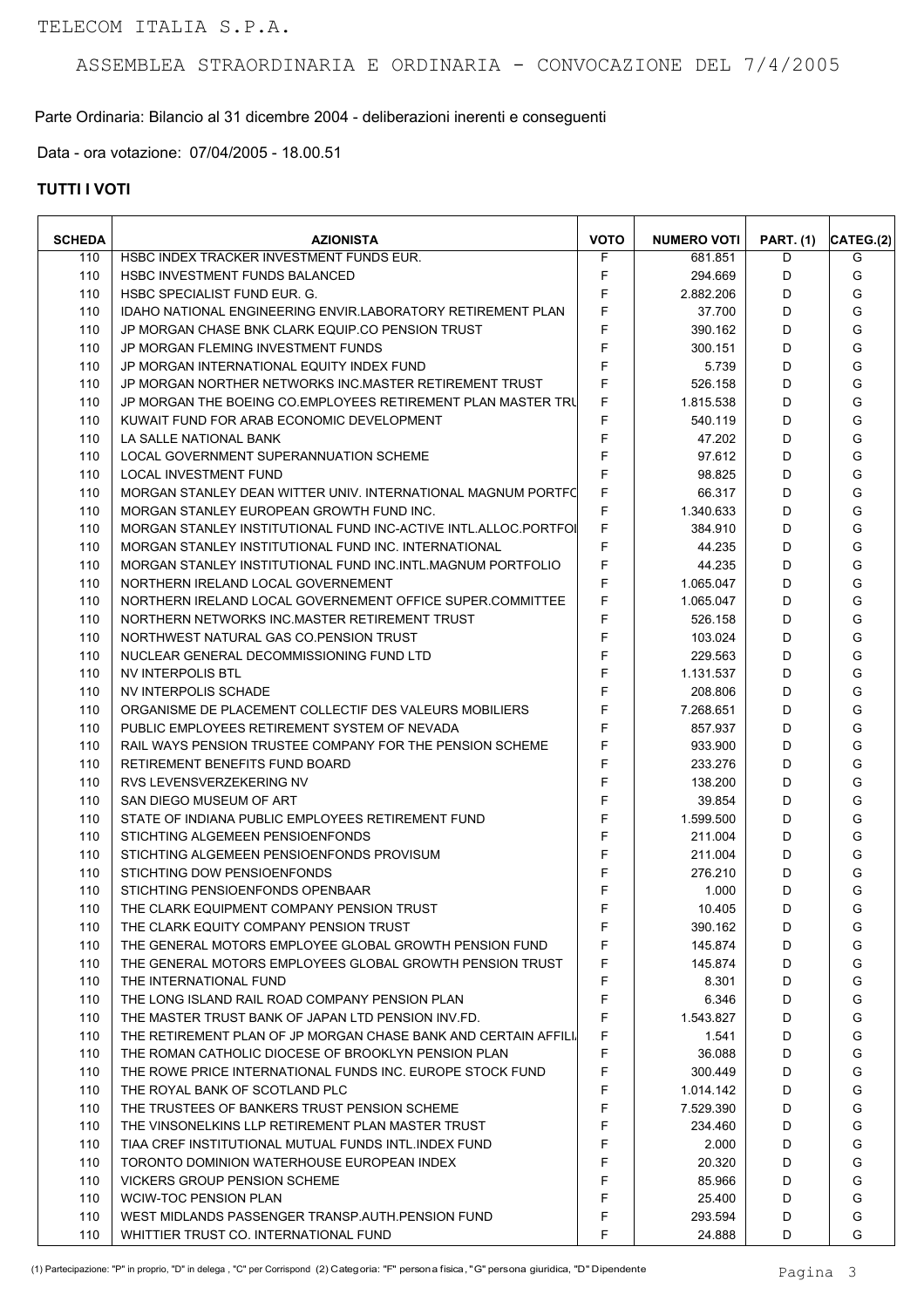Parte Ordinaria: Bilancio al 31 dicembre 2004 - deliberazioni inerenti e conseguenti

Data - ora votazione: 07/04/2005 - 18.00.51

| <b>SCHEDA</b> | <b>AZIONISTA</b>                                                                                          | <b>VOTO</b>      | <b>NUMERO VOTI</b> | <b>PART. (1)</b> | CATEG.(2) |
|---------------|-----------------------------------------------------------------------------------------------------------|------------------|--------------------|------------------|-----------|
| 110           | HSBC INDEX TRACKER INVESTMENT FUNDS EUR.                                                                  | F                | 681.851            | D                | G         |
| 110           | <b>HSBC INVESTMENT FUNDS BALANCED</b>                                                                     | F                | 294.669            | D                | G         |
| 110           | <b>HSBC SPECIALIST FUND EUR. G.</b>                                                                       | F<br>F           | 2.882.206          | D<br>D           | G<br>G    |
| 110           | <b>IDAHO NATIONAL ENGINEERING ENVIR.LABORATORY RETIREMENT PLAN</b>                                        | F                | 37.700             |                  | G         |
| 110           | JP MORGAN CHASE BNK CLARK EQUIP.CO PENSION TRUST                                                          | $\mathsf F$      | 390.162            | D                | G         |
| 110           | JP MORGAN FLEMING INVESTMENT FUNDS                                                                        |                  | 300.151            | D                |           |
| 110           | JP MORGAN INTERNATIONAL EQUITY INDEX FUND                                                                 | $\mathsf F$<br>F | 5.739              | D<br>D           | G<br>G    |
| 110           | JP MORGAN NORTHER NETWORKS INC.MASTER RETIREMENT TRUST                                                    | F                | 526.158            | D                | G         |
| 110<br>110    | JP MORGAN THE BOEING CO.EMPLOYEES RETIREMENT PLAN MASTER TRU<br>KUWAIT FUND FOR ARAB ECONOMIC DEVELOPMENT | F                | 1.815.538          | D                | G         |
| 110           | LA SALLE NATIONAL BANK                                                                                    | $\mathsf F$      | 540.119<br>47.202  | D                | G         |
| 110           | LOCAL GOVERNMENT SUPERANNUATION SCHEME                                                                    | F                | 97.612             | D                | G         |
| 110           | <b>LOCAL INVESTMENT FUND</b>                                                                              | F                | 98.825             | D                | G         |
| 110           | MORGAN STANLEY DEAN WITTER UNIV. INTERNATIONAL MAGNUM PORTFO                                              | F                | 66.317             | D                | G         |
| 110           | MORGAN STANLEY EUROPEAN GROWTH FUND INC.                                                                  | F                | 1.340.633          | D                | G         |
| 110           | MORGAN STANLEY INSTITUTIONAL FUND INC-ACTIVE INTL.ALLOC.PORTFOI                                           | F                | 384.910            | D                | G         |
| 110           | MORGAN STANLEY INSTITUTIONAL FUND INC. INTERNATIONAL                                                      | F                | 44.235             | D                | G         |
| 110           | MORGAN STANLEY INSTITUTIONAL FUND INC. INTL. MAGNUM PORTFOLIO                                             | F                | 44.235             | D                | G         |
| 110           | NORTHERN IRELAND LOCAL GOVERNEMENT                                                                        | F                | 1.065.047          | D                | G         |
| 110           | NORTHERN IRELAND LOCAL GOVERNEMENT OFFICE SUPER.COMMITTEE                                                 | F                | 1.065.047          | D                | G         |
| 110           | NORTHERN NETWORKS INC.MASTER RETIREMENT TRUST                                                             | F                | 526.158            | D                | G         |
| 110           | NORTHWEST NATURAL GAS CO. PENSION TRUST                                                                   | F                | 103.024            | D                | G         |
| 110           | NUCLEAR GENERAL DECOMMISSIONING FUND LTD                                                                  | F                | 229.563            | D                | G         |
| 110           | NV INTERPOLIS BTL                                                                                         | F                | 1.131.537          | D                | G         |
| 110           | NV INTERPOLIS SCHADE                                                                                      | F                | 208.806            | D                | G         |
| 110           | ORGANISME DE PLACEMENT COLLECTIF DES VALEURS MOBILIERS                                                    | F                | 7.268.651          | D                | G         |
| 110           | PUBLIC EMPLOYEES RETIREMENT SYSTEM OF NEVADA                                                              | F                | 857.937            | D                | G         |
| 110           | RAIL WAYS PENSION TRUSTEE COMPANY FOR THE PENSION SCHEME                                                  | F                | 933.900            | D                | G         |
| 110           | RETIREMENT BENEFITS FUND BOARD                                                                            | F                | 233.276            | D                | G         |
| 110           | RVS LEVENSVERZEKERING NV                                                                                  | F                | 138.200            | D                | G         |
| 110           | SAN DIEGO MUSEUM OF ART                                                                                   | F                | 39.854             | D                | G         |
| 110           | STATE OF INDIANA PUBLIC EMPLOYEES RETIREMENT FUND                                                         | F                | 1.599.500          | D                | G         |
| 110           | STICHTING ALGEMEEN PENSIOENFONDS                                                                          | F                | 211.004            | D                | G         |
| 110           | STICHTING ALGEMEEN PENSIOENFONDS PROVISUM                                                                 | F                | 211.004            | D                | G         |
| 110           | STICHTING DOW PENSIOENFONDS                                                                               | F                | 276.210            | D                | G         |
| 110           | STICHTING PENSIOENFONDS OPENBAAR                                                                          | F                | 1.000              | D                | G         |
| 110           | THE CLARK EQUIPMENT COMPANY PENSION TRUST                                                                 | F                | 10.405             | D                | G         |
| 110           | THE CLARK EQUITY COMPANY PENSION TRUST                                                                    | F                | 390.162            | D                | G         |
| 110           | THE GENERAL MOTORS EMPLOYEE GLOBAL GROWTH PENSION FUND                                                    | F                | 145.874            | D                | G         |
| 110           | THE GENERAL MOTORS EMPLOYEES GLOBAL GROWTH PENSION TRUST                                                  | F                | 145.874            | D                | G         |
| 110           | THE INTERNATIONAL FUND                                                                                    | F                | 8.301              | D                | G         |
| 110           | THE LONG ISLAND RAIL ROAD COMPANY PENSION PLAN                                                            | F                | 6.346              | D                | G         |
| 110           | THE MASTER TRUST BANK OF JAPAN LTD PENSION INV.FD.                                                        | F                | 1.543.827          | D                | G         |
| 110           | THE RETIREMENT PLAN OF JP MORGAN CHASE BANK AND CERTAIN AFFILI                                            | F                | 1.541              | D                | G         |
| 110           | THE ROMAN CATHOLIC DIOCESE OF BROOKLYN PENSION PLAN                                                       | F                | 36.088             | D                | G         |
| 110           | THE ROWE PRICE INTERNATIONAL FUNDS INC. EUROPE STOCK FUND                                                 | F                | 300.449            | D                | G         |
| 110           | THE ROYAL BANK OF SCOTLAND PLC                                                                            | F                | 1.014.142          | D                | G         |
| 110           | THE TRUSTEES OF BANKERS TRUST PENSION SCHEME                                                              | F                | 7.529.390          | D                | G         |
| 110           | THE VINSONELKINS LLP RETIREMENT PLAN MASTER TRUST                                                         | F                | 234.460            | D                | G         |
| 110           | TIAA CREF INSTITUTIONAL MUTUAL FUNDS INTL.INDEX FUND                                                      | F                | 2.000              | D                | G         |
| 110           | TORONTO DOMINION WATERHOUSE EUROPEAN INDEX                                                                | F                | 20.320             | D                | G         |
| 110           | <b>VICKERS GROUP PENSION SCHEME</b>                                                                       | F                | 85.966             | D                | G         |
| 110           | <b>WCIW-TOC PENSION PLAN</b>                                                                              | F                | 25.400             | D                | G         |
| 110           | WEST MIDLANDS PASSENGER TRANSP AUTH PENSION FUND                                                          | F                | 293.594            | D                | G         |
| 110           | WHITTIER TRUST CO. INTERNATIONAL FUND                                                                     | F                | 24.888             | D                | G         |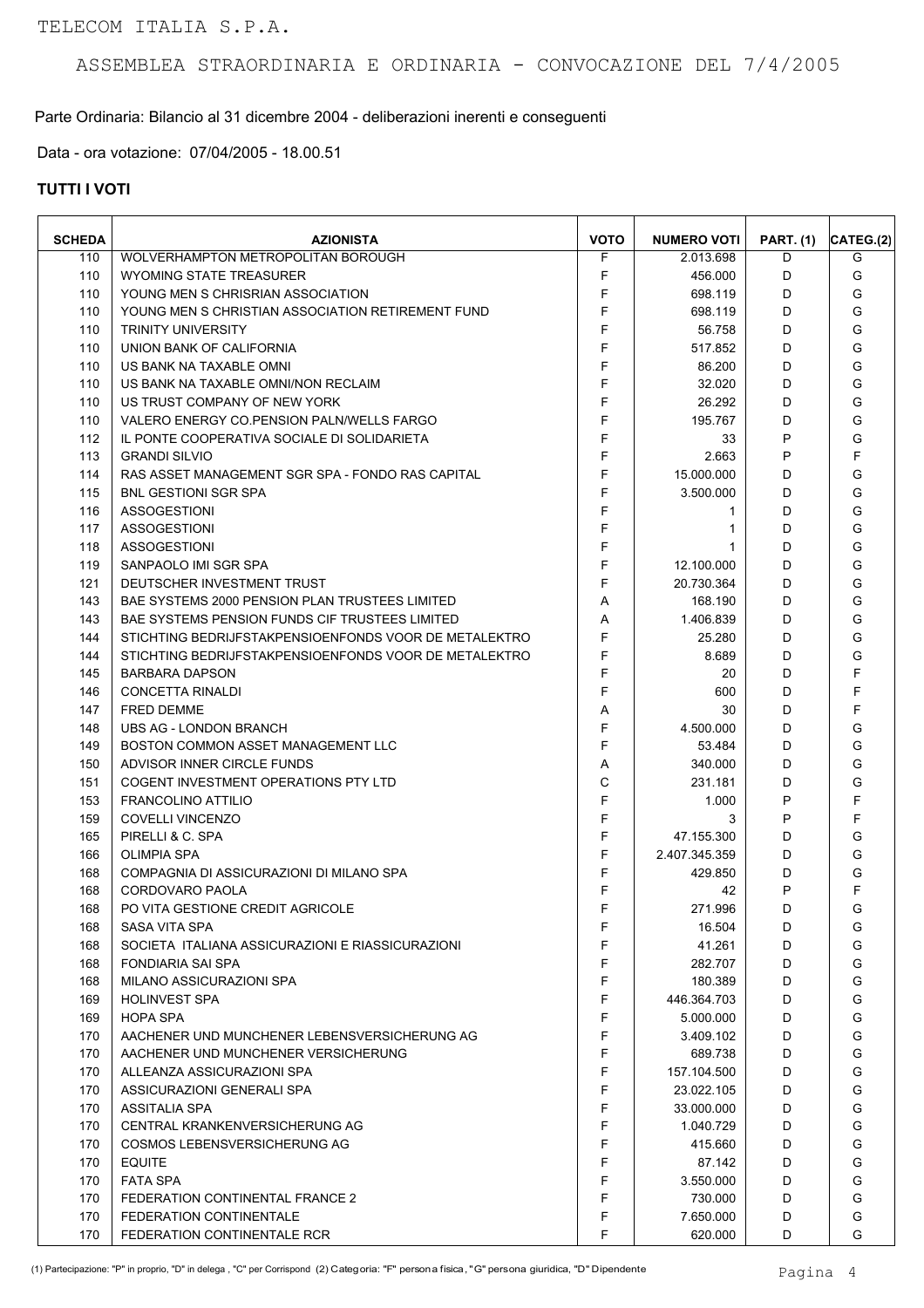Parte Ordinaria: Bilancio al 31 dicembre 2004 - deliberazioni inerenti e conseguenti

Data - ora votazione: 07/04/2005 - 18.00.51

| <b>SCHEDA</b> | <b>AZIONISTA</b>                                      | <b>VOTO</b> | <b>NUMERO VOTI</b> | <b>PART. (1)</b> | CATEG.(2) |
|---------------|-------------------------------------------------------|-------------|--------------------|------------------|-----------|
| 110           | WOLVERHAMPTON METROPOLITAN BOROUGH                    | F           | 2.013.698          | D                | G         |
| 110           | <b>WYOMING STATE TREASURER</b>                        | F           | 456.000            | D                | G         |
| 110           | YOUNG MEN S CHRISRIAN ASSOCIATION                     | F           | 698.119            | D                | G         |
| 110           | YOUNG MEN S CHRISTIAN ASSOCIATION RETIREMENT FUND     | F           | 698.119            | D                | G         |
| 110           | <b>TRINITY UNIVERSITY</b>                             | F           | 56.758             | D                | G         |
| 110           | UNION BANK OF CALIFORNIA                              | F           | 517.852            | D                | G         |
| 110           | US BANK NA TAXABLE OMNI                               | F           | 86.200             | D                | G         |
| 110           | US BANK NA TAXABLE OMNI/NON RECLAIM                   | F           | 32.020             | D                | G         |
| 110           | US TRUST COMPANY OF NEW YORK                          | F           | 26.292             | D                | G         |
| 110           | VALERO ENERGY CO.PENSION PALN/WELLS FARGO             | F           | 195.767            | D                | G         |
| 112           | IL PONTE COOPERATIVA SOCIALE DI SOLIDARIETA           | F           | 33                 | P                | G         |
| 113           | <b>GRANDI SILVIO</b>                                  | F           | 2.663              | P                | F         |
| 114           | RAS ASSET MANAGEMENT SGR SPA - FONDO RAS CAPITAL      | F           | 15.000.000         | D                | G         |
| 115           | <b>BNL GESTIONI SGR SPA</b>                           | F           | 3.500.000          | D                | G         |
| 116           | <b>ASSOGESTIONI</b>                                   | F           | 1                  | D                | G         |
| 117           | <b>ASSOGESTIONI</b>                                   | F           | 1                  | D                | G         |
| 118           | <b>ASSOGESTIONI</b>                                   | F           | 1                  | D                | G         |
| 119           | SANPAOLO IMI SGR SPA                                  | F           | 12.100.000         | D                | G         |
| 121           | DEUTSCHER INVESTMENT TRUST                            | F           | 20.730.364         | D                | G         |
| 143           | BAE SYSTEMS 2000 PENSION PLAN TRUSTEES LIMITED        | A           | 168.190            | D                | G         |
| 143           | BAE SYSTEMS PENSION FUNDS CIF TRUSTEES LIMITED        | A           | 1.406.839          | D                | G         |
| 144           | STICHTING BEDRIJFSTAKPENSIOENFONDS VOOR DE METALEKTRO | F           | 25.280             | D                | G         |
| 144           | STICHTING BEDRIJFSTAKPENSIOENFONDS VOOR DE METALEKTRO | F           | 8.689              | D                | G         |
| 145           | <b>BARBARA DAPSON</b>                                 | F           | 20                 | D                | F         |
|               |                                                       | F           |                    | D                | F         |
| 146           | <b>CONCETTA RINALDI</b>                               |             | 600                |                  |           |
| 147           | <b>FRED DEMME</b>                                     | Α           | 30                 | D                | F         |
| 148           | UBS AG - LONDON BRANCH                                | F           | 4.500.000          | D                | G         |
| 149           | <b>BOSTON COMMON ASSET MANAGEMENT LLC</b>             | F           | 53.484             | D                | G         |
| 150           | ADVISOR INNER CIRCLE FUNDS                            | A           | 340.000            | D                | G         |
| 151           | COGENT INVESTMENT OPERATIONS PTY LTD                  | C           | 231.181            | D                | G         |
| 153           | <b>FRANCOLINO ATTILIO</b>                             | F           | 1.000              | P                | F         |
| 159           | <b>COVELLI VINCENZO</b>                               | F           | 3                  | P                | F         |
| 165           | PIRELLI & C. SPA                                      | F           | 47.155.300         | D                | G         |
| 166           | <b>OLIMPIA SPA</b>                                    | F           | 2.407.345.359      | D                | G         |
| 168           | COMPAGNIA DI ASSICURAZIONI DI MILANO SPA              | F           | 429.850            | D                | G         |
| 168           | CORDOVARO PAOLA                                       | F           | 42                 | P                | F         |
| 168           | PO VITA GESTIONE CREDIT AGRICOLE                      | F           | 271.996            | D                | G         |
| 168           | SASA VITA SPA                                         | F           | 16.504             | D                | G         |
| 168           | SOCIETA ITALIANA ASSICURAZIONI E RIASSICURAZIONI      | F           | 41.261             | D                | G         |
| 168           | FONDIARIA SAI SPA                                     | F           | 282.707            | D                | G         |
| 168           | MILANO ASSICURAZIONI SPA                              | F           | 180.389            | D                | G         |
| 169           | <b>HOLINVEST SPA</b>                                  | F           | 446.364.703        | D                | G         |
| 169           | <b>HOPA SPA</b>                                       | F           | 5.000.000          | D                | G         |
| 170           | AACHENER UND MUNCHENER LEBENSVERSICHERUNG AG          | F           | 3.409.102          | D                | G         |
| 170           | AACHENER UND MUNCHENER VERSICHERUNG                   | F           | 689.738            | D                | G         |
| 170           | ALLEANZA ASSICURAZIONI SPA                            | F           | 157.104.500        | D                | G         |
| 170           | ASSICURAZIONI GENERALI SPA                            | F           | 23.022.105         | D                | G         |
| 170           | ASSITALIA SPA                                         | F           | 33.000.000         | D                | G         |
| 170           | CENTRAL KRANKENVERSICHERUNG AG                        | F           | 1.040.729          | D                | G         |
| 170           | COSMOS LEBENSVERSICHERUNG AG                          | F           | 415.660            | D                | G         |
| 170           | <b>EQUITE</b>                                         | F           | 87.142             | D                | G         |
| 170           | <b>FATA SPA</b>                                       | F           | 3.550.000          | D                | G         |
| 170           | FEDERATION CONTINENTAL FRANCE 2                       | F           | 730.000            | D                | G         |
| 170           | FEDERATION CONTINENTALE                               | F           | 7.650.000          | D                | G         |
| 170           | FEDERATION CONTINENTALE RCR                           | F           | 620.000            | D                | G         |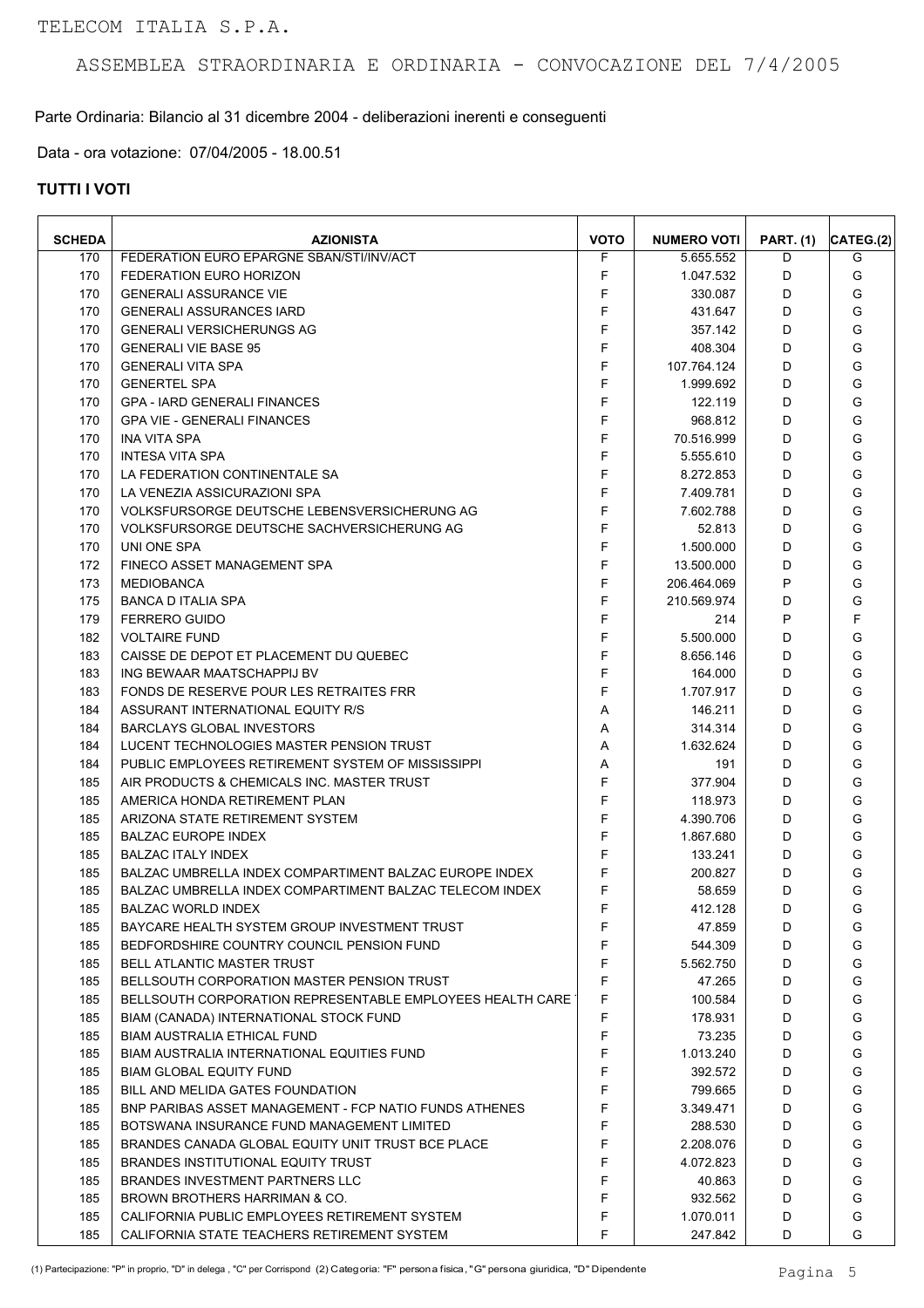Parte Ordinaria: Bilancio al 31 dicembre 2004 - deliberazioni inerenti e conseguenti

Data - ora votazione: 07/04/2005 - 18.00.51

| <b>SCHEDA</b> | <b>AZIONISTA</b>                                          | <b>VOTO</b> | <b>NUMERO VOTI</b> | <b>PART. (1)</b> | CATEG.(2) |
|---------------|-----------------------------------------------------------|-------------|--------------------|------------------|-----------|
| 170           | FEDERATION EURO EPARGNE SBAN/STI/INV/ACT                  | F           | 5.655.552          | D                | G         |
| 170           | FEDERATION EURO HORIZON                                   | F           | 1.047.532          | D                | G         |
| 170           | <b>GENERALI ASSURANCE VIE</b>                             | F           | 330.087            | D                | G         |
| 170           | <b>GENERALI ASSURANCES IARD</b>                           | F           | 431.647            | D                | G         |
| 170           | <b>GENERALI VERSICHERUNGS AG</b>                          | F           | 357.142            | D                | G         |
| 170           | <b>GENERALI VIE BASE 95</b>                               | F           | 408.304            | D                | G         |
| 170           | <b>GENERALI VITA SPA</b>                                  | F           | 107.764.124        | D                | G         |
| 170           | <b>GENERTEL SPA</b>                                       | F           | 1.999.692          | D                | G         |
| 170           | <b>GPA - IARD GENERALI FINANCES</b>                       | F           | 122.119            | D                | G         |
| 170           | <b>GPA VIE - GENERALI FINANCES</b>                        | F           | 968.812            | D                | G         |
| 170           | <b>INA VITA SPA</b>                                       | F           | 70.516.999         | D                | G         |
| 170           | <b>INTESA VITA SPA</b>                                    | F           | 5.555.610          | D                | G         |
| 170           | LA FEDERATION CONTINENTALE SA                             | $\mathsf F$ | 8.272.853          | D                | G         |
| 170           | LA VENEZIA ASSICURAZIONI SPA                              | F           | 7.409.781          | D                | G         |
| 170           | VOLKSFURSORGE DEUTSCHE LEBENSVERSICHERUNG AG              | F           | 7.602.788          | D                | G         |
| 170           | VOLKSFURSORGE DEUTSCHE SACHVERSICHERUNG AG                | F           | 52.813             | D                | G         |
| 170           | UNI ONE SPA                                               | F           | 1.500.000          | D                | G         |
| 172           | FINECO ASSET MANAGEMENT SPA                               | F           | 13.500.000         | D                | G         |
| 173           | <b>MEDIOBANCA</b>                                         | F           | 206.464.069        | P                | G         |
| 175           | <b>BANCA D ITALIA SPA</b>                                 | F           | 210.569.974        | D                | G         |
| 179           | <b>FERRERO GUIDO</b>                                      | F           | 214                | P                | F         |
| 182           | <b>VOLTAIRE FUND</b>                                      | F           | 5.500.000          | D                | G         |
| 183           | CAISSE DE DEPOT ET PLACEMENT DU QUEBEC                    | F           | 8.656.146          | D                | G         |
| 183           | ING BEWAAR MAATSCHAPPIJ BV                                | F           | 164.000            | D                | G         |
| 183           | FONDS DE RESERVE POUR LES RETRAITES FRR                   | F           | 1.707.917          | D                | G         |
| 184           | ASSURANT INTERNATIONAL EQUITY R/S                         | A           | 146.211            | D                | G         |
| 184           | <b>BARCLAYS GLOBAL INVESTORS</b>                          | Α           | 314.314            | D                | G         |
|               | LUCENT TECHNOLOGIES MASTER PENSION TRUST                  |             |                    | D                | G         |
| 184           |                                                           | A           | 1.632.624          |                  |           |
| 184           | PUBLIC EMPLOYEES RETIREMENT SYSTEM OF MISSISSIPPI         | Α           | 191                | D                | G         |
| 185           | AIR PRODUCTS & CHEMICALS INC. MASTER TRUST                | F           | 377.904            | D                | G         |
| 185           | AMERICA HONDA RETIREMENT PLAN                             | F           | 118.973            | D                | G         |
| 185           | ARIZONA STATE RETIREMENT SYSTEM                           | F           | 4.390.706          | D                | G         |
| 185           | <b>BALZAC EUROPE INDEX</b>                                | F           | 1.867.680          | D                | G         |
| 185           | <b>BALZAC ITALY INDEX</b>                                 | F           | 133.241            | D                | G         |
| 185           | BALZAC UMBRELLA INDEX COMPARTIMENT BALZAC EUROPE INDEX    | F           | 200.827            | D                | G         |
| 185           | BALZAC UMBRELLA INDEX COMPARTIMENT BALZAC TELECOM INDEX   | F           | 58.659             | D                | G         |
| 185           | <b>BALZAC WORLD INDEX</b>                                 | F           | 412.128            | D                | G         |
| 185           | BAYCARE HEALTH SYSTEM GROUP INVESTMENT TRUST              | F           | 47.859             | D                | G         |
| 185           | BEDFORDSHIRE COUNTRY COUNCIL PENSION FUND                 | F           | 544.309            | D                | G         |
| 185           | <b>BELL ATLANTIC MASTER TRUST</b>                         | F           | 5.562.750          | D                | G         |
| 185           | BELLSOUTH CORPORATION MASTER PENSION TRUST                | F           | 47.265             | D                | G         |
| 185           | BELLSOUTH CORPORATION REPRESENTABLE EMPLOYEES HEALTH CARE | F           | 100.584            | D                | G         |
| 185           | BIAM (CANADA) INTERNATIONAL STOCK FUND                    | F           | 178.931            | D                | G         |
| 185           | <b>BIAM AUSTRALIA ETHICAL FUND</b>                        | F           | 73.235             | D                | G         |
| 185           | BIAM AUSTRALIA INTERNATIONAL EQUITIES FUND                | F           | 1.013.240          | D                | G         |
| 185           | <b>BIAM GLOBAL EQUITY FUND</b>                            | F           | 392.572            | D                | G         |
| 185           | BILL AND MELIDA GATES FOUNDATION                          | F           | 799.665            | D                | G         |
| 185           | BNP PARIBAS ASSET MANAGEMENT - FCP NATIO FUNDS ATHENES    | F           | 3.349.471          | D                | G         |
| 185           | BOTSWANA INSURANCE FUND MANAGEMENT LIMITED                | F           | 288.530            | D                | G         |
| 185           | BRANDES CANADA GLOBAL EQUITY UNIT TRUST BCE PLACE         | F           | 2.208.076          | D                | G         |
| 185           | BRANDES INSTITUTIONAL EQUITY TRUST                        | F           | 4.072.823          | D                | G         |
| 185           | BRANDES INVESTMENT PARTNERS LLC                           | F           | 40.863             | D                | G         |
| 185           | BROWN BROTHERS HARRIMAN & CO.                             | F           | 932.562            | D                | G         |
| 185           | CALIFORNIA PUBLIC EMPLOYEES RETIREMENT SYSTEM             | F           | 1.070.011          | D                | G         |
| 185           | CALIFORNIA STATE TEACHERS RETIREMENT SYSTEM               | F           | 247.842            | D                | G         |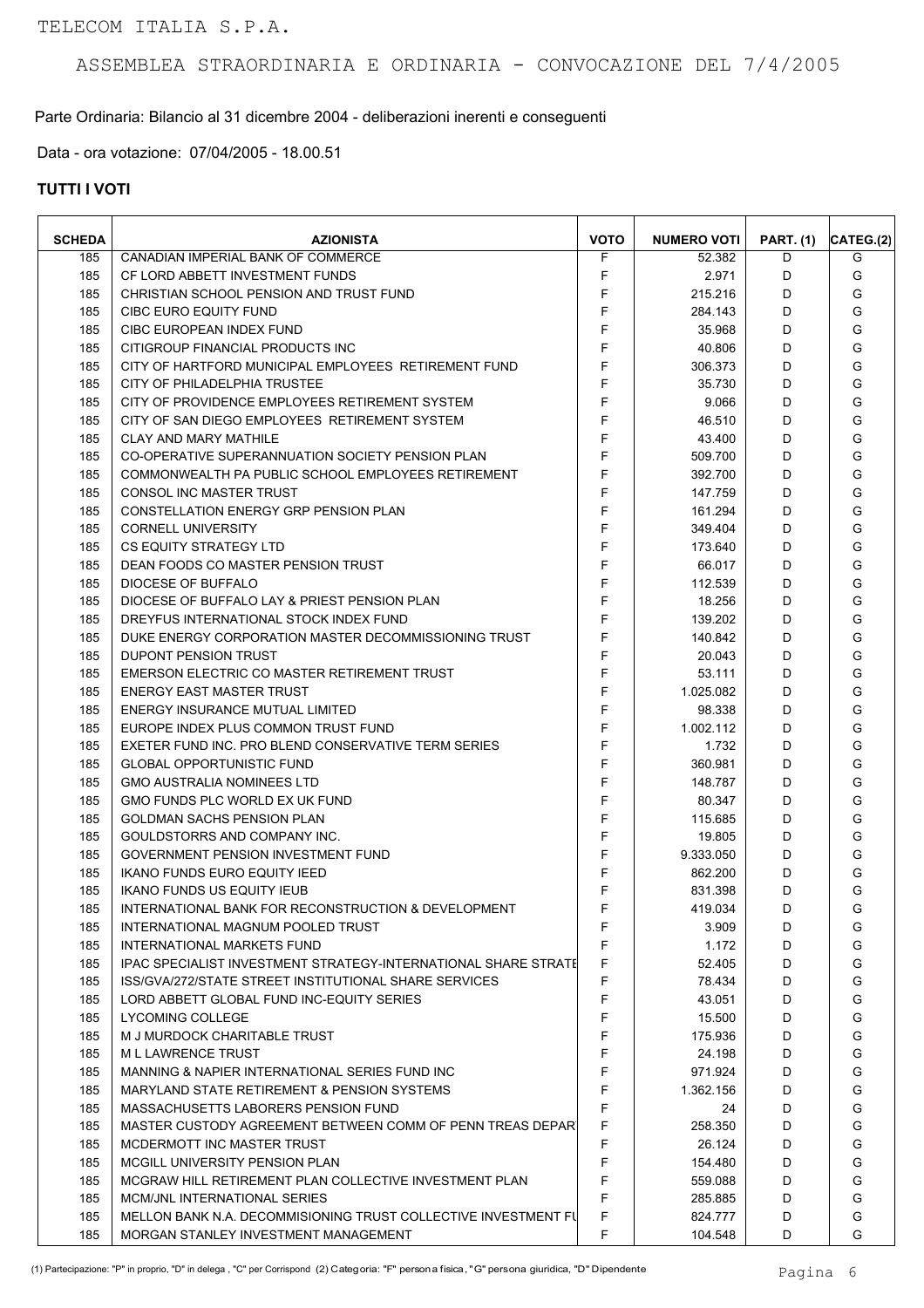Parte Ordinaria: Bilancio al 31 dicembre 2004 - deliberazioni inerenti e conseguenti

Data - ora votazione: 07/04/2005 - 18.00.51

| <b>SCHEDA</b> | <b>AZIONISTA</b>                                               | <b>VOTO</b> | <b>NUMERO VOTI</b> | <b>PART. (1)</b> | CATEG.(2) |
|---------------|----------------------------------------------------------------|-------------|--------------------|------------------|-----------|
| 185           | CANADIAN IMPERIAL BANK OF COMMERCE                             | F           | 52.382             | D                | G         |
| 185           | CF LORD ABBETT INVESTMENT FUNDS                                | F           | 2.971              | D                | G         |
| 185           | CHRISTIAN SCHOOL PENSION AND TRUST FUND                        | F           | 215.216            | D                | G         |
| 185           | CIBC EURO EQUITY FUND                                          | F           | 284.143            | D                | G         |
| 185           | CIBC EUROPEAN INDEX FUND                                       | F           | 35.968             | D                | G         |
| 185           | CITIGROUP FINANCIAL PRODUCTS INC                               | F           | 40.806             | D                | G         |
| 185           | CITY OF HARTFORD MUNICIPAL EMPLOYEES RETIREMENT FUND           | F           | 306.373            | D                | G         |
| 185           | CITY OF PHILADELPHIA TRUSTEE                                   | F           | 35.730             | D                | G         |
| 185           | CITY OF PROVIDENCE EMPLOYEES RETIREMENT SYSTEM                 | F           | 9.066              | D                | G         |
| 185           | CITY OF SAN DIEGO EMPLOYEES RETIREMENT SYSTEM                  | F           | 46.510             | D                | G         |
| 185           | <b>CLAY AND MARY MATHILE</b>                                   | F           | 43.400             | D                | G         |
| 185           | CO-OPERATIVE SUPERANNUATION SOCIETY PENSION PLAN               | F           | 509.700            | D                | G         |
| 185           | COMMONWEALTH PA PUBLIC SCHOOL EMPLOYEES RETIREMENT             | F           | 392.700            | D                | G         |
| 185           | CONSOL INC MASTER TRUST                                        | F           | 147.759            | D                | G         |
| 185           | <b>CONSTELLATION ENERGY GRP PENSION PLAN</b>                   | F           | 161.294            | D                | G         |
| 185           | <b>CORNELL UNIVERSITY</b>                                      | F           | 349.404            | D                | G         |
| 185           | CS EQUITY STRATEGY LTD                                         | F           |                    | D                | G         |
|               |                                                                | F           | 173.640            | D                | G         |
| 185           | DEAN FOODS CO MASTER PENSION TRUST                             | F           | 66.017             |                  |           |
| 185           | DIOCESE OF BUFFALO                                             |             | 112.539            | D                | G         |
| 185           | DIOCESE OF BUFFALO LAY & PRIEST PENSION PLAN                   | F           | 18.256             | D                | G         |
| 185           | DREYFUS INTERNATIONAL STOCK INDEX FUND                         | F           | 139.202            | D                | G         |
| 185           | DUKE ENERGY CORPORATION MASTER DECOMMISSIONING TRUST           | F           | 140.842            | D                | G         |
| 185           | <b>DUPONT PENSION TRUST</b>                                    | F           | 20.043             | D                | G         |
| 185           | EMERSON ELECTRIC CO MASTER RETIREMENT TRUST                    | F           | 53.111             | D                | G         |
| 185           | <b>ENERGY EAST MASTER TRUST</b>                                | F           | 1.025.082          | D                | G         |
| 185           | <b>ENERGY INSURANCE MUTUAL LIMITED</b>                         | F           | 98.338             | D                | G         |
| 185           | EUROPE INDEX PLUS COMMON TRUST FUND                            | F           | 1.002.112          | D                | G         |
| 185           | EXETER FUND INC. PRO BLEND CONSERVATIVE TERM SERIES            | F           | 1.732              | D                | G         |
| 185           | <b>GLOBAL OPPORTUNISTIC FUND</b>                               | F           | 360.981            | D                | G         |
| 185           | <b>GMO AUSTRALIA NOMINEES LTD</b>                              | F           | 148.787            | D                | G         |
| 185           | GMO FUNDS PLC WORLD EX UK FUND                                 | F           | 80.347             | D                | G         |
| 185           | <b>GOLDMAN SACHS PENSION PLAN</b>                              | F           | 115.685            | D                | G         |
| 185           | GOULDSTORRS AND COMPANY INC.                                   | F           | 19.805             | D                | G         |
| 185           | GOVERNMENT PENSION INVESTMENT FUND                             | F           | 9.333.050          | D                | G         |
| 185           | <b>IKANO FUNDS EURO EQUITY IEED</b>                            | F           | 862.200            | D                | G         |
| 185           | <b>IKANO FUNDS US EQUITY IEUB</b>                              | F           | 831.398            | D                | G         |
| 185           | INTERNATIONAL BANK FOR RECONSTRUCTION & DEVELOPMENT            | F           | 419.034            | D                | G         |
| 185           | INTERNATIONAL MAGNUM POOLED TRUST                              | F           | 3.909              | D                | G         |
| 185           | <b>INTERNATIONAL MARKETS FUND</b>                              | F           | 1.172              | D                | G         |
| 185           | IPAC SPECIALIST INVESTMENT STRATEGY-INTERNATIONAL SHARE STRATE | F           | 52.405             | D                | G         |
| 185           | ISS/GVA/272/STATE STREET INSTITUTIONAL SHARE SERVICES          | F           | 78.434             | D                | G         |
| 185           | LORD ABBETT GLOBAL FUND INC-EQUITY SERIES                      | F           | 43.051             | D                | G         |
| 185           | LYCOMING COLLEGE                                               | F           | 15.500             | D                | G         |
| 185           | M J MURDOCK CHARITABLE TRUST                                   | F           | 175.936            | D                | G         |
| 185           | M L LAWRENCE TRUST                                             | F           | 24.198             | D                | G         |
| 185           | MANNING & NAPIER INTERNATIONAL SERIES FUND INC                 | F           | 971.924            | D                | G         |
| 185           | MARYLAND STATE RETIREMENT & PENSION SYSTEMS                    | F           | 1.362.156          | D                | G         |
| 185           | MASSACHUSETTS LABORERS PENSION FUND                            | F           | 24                 | D                | G         |
| 185           | MASTER CUSTODY AGREEMENT BETWEEN COMM OF PENN TREAS DEPAR      | F           | 258.350            | D                | G         |
| 185           | MCDERMOTT INC MASTER TRUST                                     | F           | 26.124             | D                | G         |
| 185           | MCGILL UNIVERSITY PENSION PLAN                                 | F           | 154.480            | D                | G         |
| 185           | MCGRAW HILL RETIREMENT PLAN COLLECTIVE INVESTMENT PLAN         | F           |                    |                  | G         |
|               |                                                                | F           | 559.088            | D<br>D           | G         |
| 185           | MCM/JNL INTERNATIONAL SERIES                                   | F           | 285.885            |                  |           |
| 185           | MELLON BANK N.A. DECOMMISIONING TRUST COLLECTIVE INVESTMENT FU |             | 824.777            | D                | G         |
| 185           | MORGAN STANLEY INVESTMENT MANAGEMENT                           | F           | 104.548            | D                | G         |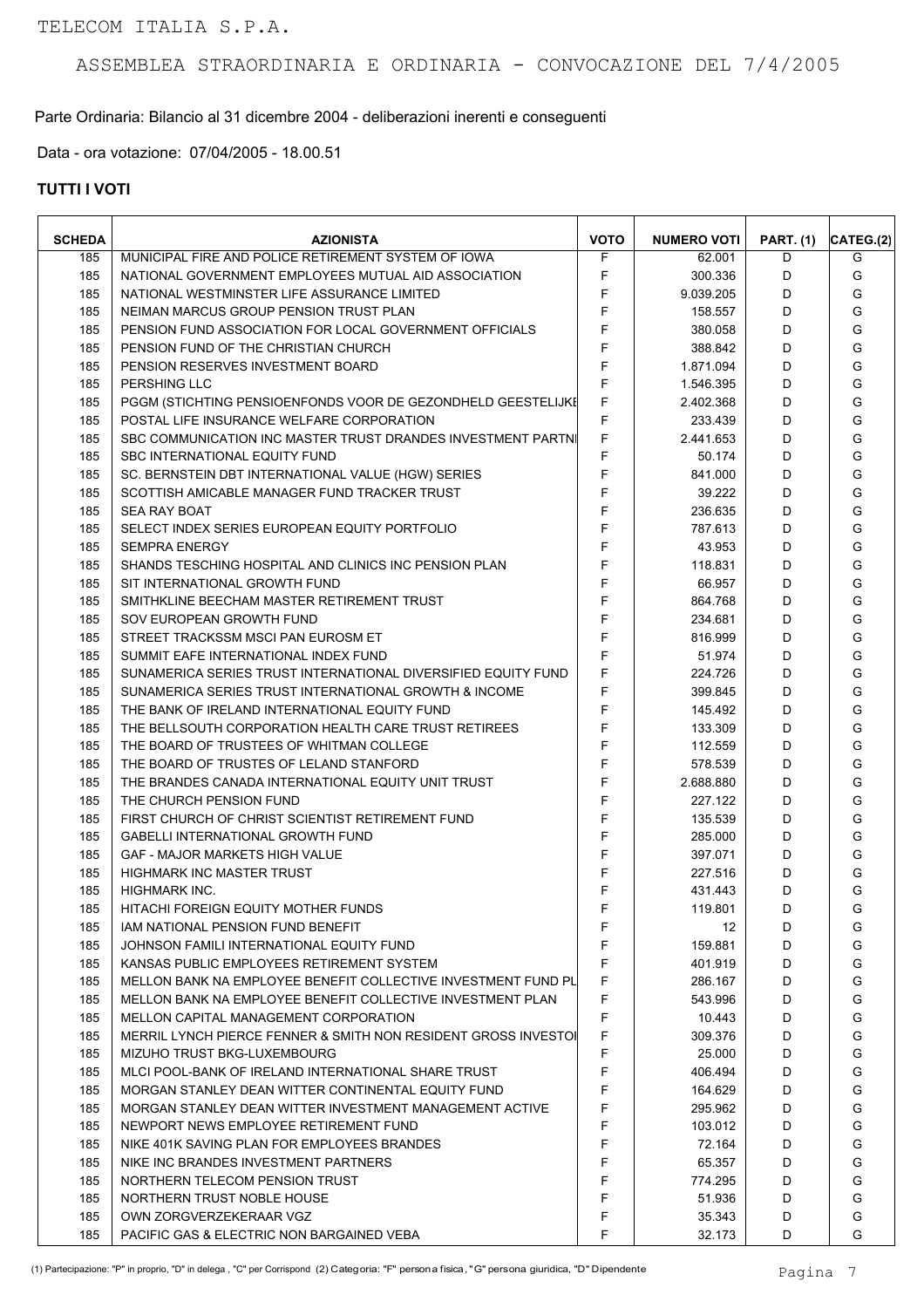Parte Ordinaria: Bilancio al 31 dicembre 2004 - deliberazioni inerenti e conseguenti

Data - ora votazione: 07/04/2005 - 18.00.51

| <b>SCHEDA</b> | <b>AZIONISTA</b>                                               | <b>VOTO</b> | <b>NUMERO VOTI</b> | <b>PART.</b> (1) | CATEG.(2) |
|---------------|----------------------------------------------------------------|-------------|--------------------|------------------|-----------|
| 185           | MUNICIPAL FIRE AND POLICE RETIREMENT SYSTEM OF IOWA            | F           | 62.001             | D                | G         |
| 185           | NATIONAL GOVERNMENT EMPLOYEES MUTUAL AID ASSOCIATION           | F           | 300.336            | D                | G         |
| 185           | NATIONAL WESTMINSTER LIFE ASSURANCE LIMITED                    | F           | 9.039.205          | D                | G         |
| 185           | NEIMAN MARCUS GROUP PENSION TRUST PLAN                         | F           | 158.557            | D                | G         |
| 185           | PENSION FUND ASSOCIATION FOR LOCAL GOVERNMENT OFFICIALS        | F           | 380.058            | D                | G         |
| 185           | PENSION FUND OF THE CHRISTIAN CHURCH                           | F           | 388.842            | D                | G         |
| 185           | PENSION RESERVES INVESTMENT BOARD                              | F           | 1.871.094          | D                | G         |
| 185           | <b>PERSHING LLC</b>                                            | F           | 1.546.395          | D                | G         |
| 185           | PGGM (STICHTING PENSIOENFONDS VOOR DE GEZONDHELD GEESTELIJKE   | F           | 2.402.368          | D                | G         |
| 185           | POSTAL LIFE INSURANCE WELFARE CORPORATION                      | F           | 233.439            | D                | G         |
| 185           | SBC COMMUNICATION INC MASTER TRUST DRANDES INVESTMENT PARTNI   | F           | 2.441.653          | D                | G         |
| 185           | SBC INTERNATIONAL EQUITY FUND                                  | F           | 50.174             | D                | G         |
| 185           | SC. BERNSTEIN DBT INTERNATIONAL VALUE (HGW) SERIES             | F           | 841.000            | D                | G         |
| 185           | SCOTTISH AMICABLE MANAGER FUND TRACKER TRUST                   | F           | 39.222             | D                | G         |
| 185           | <b>SEA RAY BOAT</b>                                            | F           | 236.635            | D                | G         |
| 185           | SELECT INDEX SERIES EUROPEAN EQUITY PORTFOLIO                  | F           | 787.613            | D                | G         |
| 185           | <b>SEMPRA ENERGY</b>                                           | F           | 43.953             | D                | G         |
| 185           | SHANDS TESCHING HOSPITAL AND CLINICS INC PENSION PLAN          | F           | 118.831            | D                | G         |
| 185           | SIT INTERNATIONAL GROWTH FUND                                  | F           | 66.957             | D                | G         |
| 185           | SMITHKLINE BEECHAM MASTER RETIREMENT TRUST                     | F           | 864.768            | D                | G         |
| 185           | SOV EUROPEAN GROWTH FUND                                       | F           | 234.681            | D                | G         |
| 185           | STREET TRACKSSM MSCI PAN EUROSM ET                             | F           | 816.999            | D                | G         |
| 185           | SUMMIT EAFE INTERNATIONAL INDEX FUND                           | F           | 51.974             | D                | G         |
| 185           | SUNAMERICA SERIES TRUST INTERNATIONAL DIVERSIFIED EQUITY FUND  | F           | 224.726            | D                | G         |
| 185           | SUNAMERICA SERIES TRUST INTERNATIONAL GROWTH & INCOME          | F           | 399.845            | D                | G         |
| 185           | THE BANK OF IRELAND INTERNATIONAL EQUITY FUND                  | F           | 145.492            | D                | G         |
| 185           | THE BELLSOUTH CORPORATION HEALTH CARE TRUST RETIREES           | F           | 133.309            | D                | G         |
| 185           | THE BOARD OF TRUSTEES OF WHITMAN COLLEGE                       | F           | 112.559            | D                | G         |
| 185           | THE BOARD OF TRUSTES OF LELAND STANFORD                        | F           | 578.539            | D                | G         |
| 185           | THE BRANDES CANADA INTERNATIONAL EQUITY UNIT TRUST             | F           | 2.688.880          | D                | G         |
| 185           | THE CHURCH PENSION FUND                                        | F           | 227.122            | D                | G         |
| 185           | FIRST CHURCH OF CHRIST SCIENTIST RETIREMENT FUND               | F           | 135.539            | D                | G         |
| 185           | <b>GABELLI INTERNATIONAL GROWTH FUND</b>                       | F           | 285.000            | D                | G         |
| 185           | <b>GAF - MAJOR MARKETS HIGH VALUE</b>                          | F           | 397.071            | D                | G         |
| 185           | <b>HIGHMARK INC MASTER TRUST</b>                               | F           | 227.516            | D                | G         |
| 185           | <b>HIGHMARK INC.</b>                                           | F           | 431.443            | D                | G         |
| 185           | HITACHI FOREIGN EQUITY MOTHER FUNDS                            | F           | 119.801            | D                | G         |
| 185           | IAM NATIONAL PENSION FUND BENEFIT                              | F           | 12                 | D                | G         |
| 185           | JOHNSON FAMILI INTERNATIONAL EQUITY FUND                       | F           | 159.881            | D                | G         |
| 185           | KANSAS PUBLIC EMPLOYEES RETIREMENT SYSTEM                      | F           | 401.919            | D                | G         |
| 185           | MELLON BANK NA EMPLOYEE BENEFIT COLLECTIVE INVESTMENT FUND PL  | F           | 286.167            | D                | G         |
| 185           | MELLON BANK NA EMPLOYEE BENEFIT COLLECTIVE INVESTMENT PLAN     | F           | 543.996            | D                | G         |
| 185           | MELLON CAPITAL MANAGEMENT CORPORATION                          | F           | 10.443             | D                | G         |
| 185           | MERRIL LYNCH PIERCE FENNER & SMITH NON RESIDENT GROSS INVESTOI | F           | 309.376            | D                | G         |
| 185           | MIZUHO TRUST BKG-LUXEMBOURG                                    | F           | 25.000             | D                | G         |
| 185           | MLCI POOL-BANK OF IRELAND INTERNATIONAL SHARE TRUST            | F           | 406.494            | D                | G         |
| 185           | MORGAN STANLEY DEAN WITTER CONTINENTAL EQUITY FUND             | F           | 164.629            | D                | G         |
| 185           | MORGAN STANLEY DEAN WITTER INVESTMENT MANAGEMENT ACTIVE        | F           | 295.962            | D                | G         |
| 185           | NEWPORT NEWS EMPLOYEE RETIREMENT FUND                          | F           | 103.012            | D                | G         |
| 185           | NIKE 401K SAVING PLAN FOR EMPLOYEES BRANDES                    | F           | 72.164             | D                | G         |
| 185           | NIKE INC BRANDES INVESTMENT PARTNERS                           | F           | 65.357             | D                | G         |
| 185           | NORTHERN TELECOM PENSION TRUST                                 | F           | 774.295            | D                | G         |
| 185           | NORTHERN TRUST NOBLE HOUSE                                     | F           | 51.936             | D                | G         |
| 185           | OWN ZORGVERZEKERAAR VGZ                                        | F           | 35.343             | D                | G         |
| 185           | PACIFIC GAS & ELECTRIC NON BARGAINED VEBA                      | F           | 32.173             | D                | G         |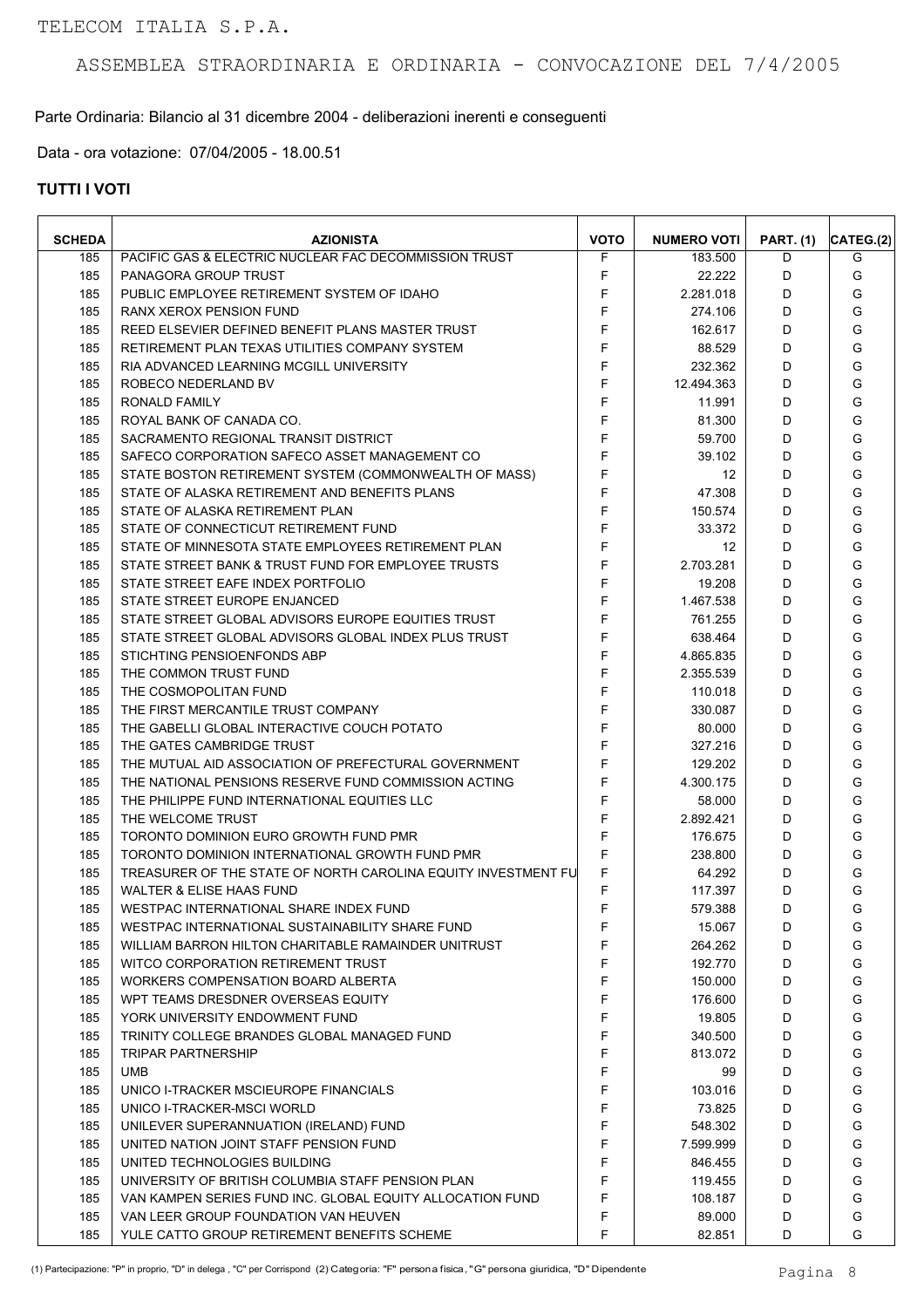Parte Ordinaria: Bilancio al 31 dicembre 2004 - deliberazioni inerenti e conseguenti

Data - ora votazione: 07/04/2005 - 18.00.51

| <b>SCHEDA</b> | <b>AZIONISTA</b>                                              | <b>VOTO</b> | <b>NUMERO VOTI</b> | <b>PART.</b> (1) | CATEG.(2) |
|---------------|---------------------------------------------------------------|-------------|--------------------|------------------|-----------|
| 185           | PACIFIC GAS & ELECTRIC NUCLEAR FAC DECOMMISSION TRUST         | F           | 183.500            | D                | G         |
| 185           | PANAGORA GROUP TRUST                                          | F           | 22.222             | D                | G         |
| 185           | PUBLIC EMPLOYEE RETIREMENT SYSTEM OF IDAHO                    | F           | 2.281.018          | D                | G         |
| 185           | <b>RANX XEROX PENSION FUND</b>                                | F           | 274.106            | D                | G         |
| 185           | REED ELSEVIER DEFINED BENEFIT PLANS MASTER TRUST              | F           | 162.617            | D                | G         |
| 185           | RETIREMENT PLAN TEXAS UTILITIES COMPANY SYSTEM                | F           | 88.529             | D                | G         |
| 185           | RIA ADVANCED LEARNING MCGILL UNIVERSITY                       | F           | 232.362            | D                | G         |
| 185           | ROBECO NEDERLAND BV                                           | F           | 12.494.363         | D                | G         |
| 185           | RONALD FAMILY                                                 | F           | 11.991             | D                | G         |
| 185           | ROYAL BANK OF CANADA CO.                                      | F           | 81.300             | D                | G         |
| 185           | SACRAMENTO REGIONAL TRANSIT DISTRICT                          | F           | 59.700             | D                | G         |
| 185           | SAFECO CORPORATION SAFECO ASSET MANAGEMENT CO                 | F           | 39.102             | D                | G         |
| 185           | STATE BOSTON RETIREMENT SYSTEM (COMMONWEALTH OF MASS)         | F           | 12                 | D                | G         |
| 185           | STATE OF ALASKA RETIREMENT AND BENEFITS PLANS                 | F           | 47.308             | D                | G         |
| 185           | STATE OF ALASKA RETIREMENT PLAN                               | F           | 150.574            | D                | G         |
| 185           | STATE OF CONNECTICUT RETIREMENT FUND                          | F           | 33.372             | D                | G         |
| 185           | STATE OF MINNESOTA STATE EMPLOYEES RETIREMENT PLAN            | F           | $12 \,$            | D                | G         |
| 185           | STATE STREET BANK & TRUST FUND FOR EMPLOYEE TRUSTS            | F           | 2.703.281          | D                | G         |
| 185           | STATE STREET EAFE INDEX PORTFOLIO                             | F           | 19.208             | D                | G         |
| 185           | STATE STREET EUROPE ENJANCED                                  | F           | 1.467.538          | D                | G         |
| 185           | STATE STREET GLOBAL ADVISORS EUROPE EQUITIES TRUST            | F           | 761.255            | D                | G         |
| 185           | STATE STREET GLOBAL ADVISORS GLOBAL INDEX PLUS TRUST          | F           | 638.464            | D                | G         |
| 185           | STICHTING PENSIOENFONDS ABP                                   | F           | 4.865.835          | D                | G         |
| 185           | THE COMMON TRUST FUND                                         | F           | 2.355.539          | D                | G         |
| 185           | THE COSMOPOLITAN FUND                                         | F           |                    | D                | G         |
| 185           | THE FIRST MERCANTILE TRUST COMPANY                            | F           | 110.018            | D                | G         |
|               | THE GABELLI GLOBAL INTERACTIVE COUCH POTATO                   | F           | 330.087            | D                | G         |
| 185           |                                                               | F           | 80.000             | D                |           |
| 185           | THE GATES CAMBRIDGE TRUST                                     | F           | 327.216            |                  | G         |
| 185           | THE MUTUAL AID ASSOCIATION OF PREFECTURAL GOVERNMENT          | F           | 129.202            | D                | G         |
| 185           | THE NATIONAL PENSIONS RESERVE FUND COMMISSION ACTING          | F           | 4.300.175          | D                | G         |
| 185           | THE PHILIPPE FUND INTERNATIONAL EQUITIES LLC                  |             | 58.000             | D                | G         |
| 185           | THE WELCOME TRUST                                             | F           | 2.892.421          | D                | G         |
| 185           | TORONTO DOMINION EURO GROWTH FUND PMR                         | F           | 176.675            | D                | G         |
| 185           | TORONTO DOMINION INTERNATIONAL GROWTH FUND PMR                | F           | 238.800            | D                | G         |
| 185           | TREASURER OF THE STATE OF NORTH CAROLINA EQUITY INVESTMENT FU | F           | 64.292             | D                | G         |
| 185           | WALTER & ELISE HAAS FUND                                      | F           | 117.397            | D                | G         |
| 185           | WESTPAC INTERNATIONAL SHARE INDEX FUND                        | F           | 579.388            | D                | G         |
| 185           | WESTPAC INTERNATIONAL SUSTAINABILITY SHARE FUND               | F           | 15.067             | D                | G         |
| 185           | WILLIAM BARRON HILTON CHARITABLE RAMAINDER UNITRUST           | F           | 264.262            | D                | G         |
| 185           | WITCO CORPORATION RETIREMENT TRUST                            | F           | 192.770            | D                | G         |
| 185           | WORKERS COMPENSATION BOARD ALBERTA                            | F           | 150.000            | D                | G         |
| 185           | WPT TEAMS DRESDNER OVERSEAS EQUITY                            | F           | 176.600            | D                | G         |
| 185           | YORK UNIVERSITY ENDOWMENT FUND                                | F           | 19.805             | D                | G         |
| 185           | TRINITY COLLEGE BRANDES GLOBAL MANAGED FUND                   | F           | 340.500            | D                | G         |
| 185           | <b>TRIPAR PARTNERSHIP</b>                                     | F           | 813.072            | D                | G         |
| 185           | UMB                                                           | F           | 99                 | D                | G         |
| 185           | UNICO I-TRACKER MSCIEUROPE FINANCIALS                         | F           | 103.016            | D                | G         |
| 185           | UNICO I-TRACKER-MSCI WORLD                                    | F           | 73.825             | D                | G         |
| 185           | UNILEVER SUPERANNUATION (IRELAND) FUND                        | F           | 548.302            | D                | G         |
| 185           | UNITED NATION JOINT STAFF PENSION FUND                        | F           | 7.599.999          | D                | G         |
| 185           | UNITED TECHNOLOGIES BUILDING                                  | F           | 846.455            | D                | G         |
| 185           | UNIVERSITY OF BRITISH COLUMBIA STAFF PENSION PLAN             | F           | 119.455            | D                | G         |
| 185           | VAN KAMPEN SERIES FUND INC. GLOBAL EQUITY ALLOCATION FUND     | F           | 108.187            | D                | G         |
| 185           | VAN LEER GROUP FOUNDATION VAN HEUVEN                          | F           | 89.000             | D                | G         |
| 185           | YULE CATTO GROUP RETIREMENT BENEFITS SCHEME                   | F           | 82.851             | D                | G         |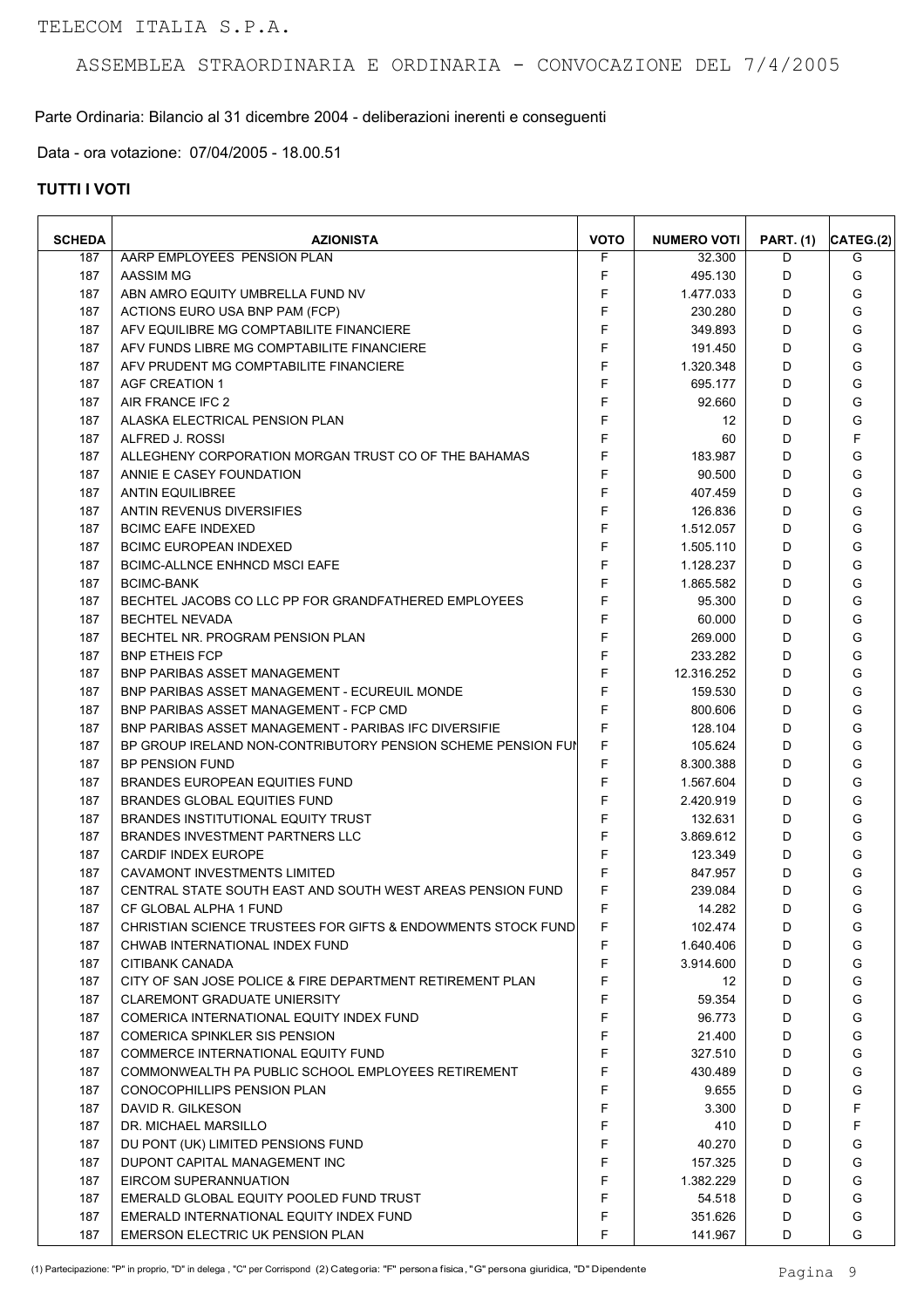Parte Ordinaria: Bilancio al 31 dicembre 2004 - deliberazioni inerenti e conseguenti

Data - ora votazione: 07/04/2005 - 18.00.51

| <b>SCHEDA</b> | <b>AZIONISTA</b>                                             | <b>VOTO</b> | <b>NUMERO VOTI</b> | <b>PART. (1)</b> | CATEG.(2) |
|---------------|--------------------------------------------------------------|-------------|--------------------|------------------|-----------|
| 187           | AARP EMPLOYEES PENSION PLAN                                  | F           | 32.300             | D                | G         |
| 187           | AASSIM MG                                                    | F           | 495.130            | D                | G         |
| 187           | ABN AMRO EQUITY UMBRELLA FUND NV                             | F           | 1.477.033          | D                | G         |
| 187           | ACTIONS EURO USA BNP PAM (FCP)                               | F           | 230.280            | D                | G         |
| 187           | AFV EQUILIBRE MG COMPTABILITE FINANCIERE                     | F           | 349.893            | D                | G         |
| 187           | AFV FUNDS LIBRE MG COMPTABILITE FINANCIERE                   | F           | 191.450            | D                | G         |
| 187           | AFV PRUDENT MG COMPTABILITE FINANCIERE                       | F           | 1.320.348          | D                | G         |
| 187           | <b>AGF CREATION 1</b>                                        | F           | 695.177            | D                | G         |
| 187           | AIR FRANCE IFC 2                                             | F           | 92.660             | D                | G         |
| 187           | ALASKA ELECTRICAL PENSION PLAN                               | F           | 12                 | D                | G         |
| 187           | ALFRED J. ROSSI                                              | F           | 60                 | D                | F         |
| 187           | ALLEGHENY CORPORATION MORGAN TRUST CO OF THE BAHAMAS         | F           | 183.987            | D                | G         |
| 187           | ANNIE E CASEY FOUNDATION                                     | F           | 90.500             | D                | G         |
| 187           | <b>ANTIN EQUILIBREE</b>                                      | F           | 407.459            | D                | G         |
| 187           | ANTIN REVENUS DIVERSIFIES                                    | F           | 126.836            | D                | G         |
| 187           | <b>BCIMC EAFE INDEXED</b>                                    | F           | 1.512.057          | D                | G         |
| 187           | <b>BCIMC EUROPEAN INDEXED</b>                                | F           | 1.505.110          | D                | G         |
| 187           | <b>BCIMC-ALLNCE ENHNCD MSCI EAFE</b>                         | F           | 1.128.237          | D                | G         |
| 187           | <b>BCIMC-BANK</b>                                            | F           | 1.865.582          | D                | G         |
| 187           | BECHTEL JACOBS CO LLC PP FOR GRANDFATHERED EMPLOYEES         | F           | 95.300             | D                | G         |
| 187           | <b>BECHTEL NEVADA</b>                                        | F           | 60.000             | D                | G         |
| 187           | BECHTEL NR. PROGRAM PENSION PLAN                             | F           | 269.000            | D                | G         |
|               | <b>BNP ETHEIS FCP</b>                                        | F           |                    | D                |           |
| 187           |                                                              | F           | 233.282            |                  | G<br>G    |
| 187           | <b>BNP PARIBAS ASSET MANAGEMENT</b>                          |             | 12.316.252         | D                |           |
| 187           | <b>BNP PARIBAS ASSET MANAGEMENT - ECUREUIL MONDE</b>         | F           | 159.530            | D                | G         |
| 187           | <b>BNP PARIBAS ASSET MANAGEMENT - FCP CMD</b>                | F           | 800.606            | D                | G         |
| 187           | BNP PARIBAS ASSET MANAGEMENT - PARIBAS IFC DIVERSIFIE        | F           | 128.104            | D                | G         |
| 187           | BP GROUP IRELAND NON-CONTRIBUTORY PENSION SCHEME PENSION FUN | F           | 105.624            | D                | G         |
| 187           | <b>BP PENSION FUND</b>                                       | F           | 8.300.388          | D                | G         |
| 187           | <b>BRANDES EUROPEAN EQUITIES FUND</b>                        | F           | 1.567.604          | D                | G         |
| 187           | <b>BRANDES GLOBAL EQUITIES FUND</b>                          | $\mathsf F$ | 2.420.919          | D                | G         |
| 187           | BRANDES INSTITUTIONAL EQUITY TRUST                           | F           | 132.631            | D                | G         |
| 187           | BRANDES INVESTMENT PARTNERS LLC                              | F           | 3.869.612          | D                | G         |
| 187           | <b>CARDIF INDEX EUROPE</b>                                   | F           | 123.349            | D                | G         |
| 187           | CAVAMONT INVESTMENTS LIMITED                                 | F           | 847.957            | D                | G         |
| 187           | CENTRAL STATE SOUTH EAST AND SOUTH WEST AREAS PENSION FUND   | F           | 239.084            | D                | G         |
| 187           | CF GLOBAL ALPHA 1 FUND                                       | F           | 14.282             | D                | G         |
| 187           | CHRISTIAN SCIENCE TRUSTEES FOR GIFTS & ENDOWMENTS STOCK FUND | F           | 102.474            | D                | G         |
| 187           | CHWAB INTERNATIONAL INDEX FUND                               | F           | 1.640.406          | D                | G         |
| 187           | CITIBANK CANADA                                              | F           | 3.914.600          | D                | G         |
| 187           | CITY OF SAN JOSE POLICE & FIRE DEPARTMENT RETIREMENT PLAN    | F           | 12                 | D                | G         |
| 187           | <b>CLAREMONT GRADUATE UNIERSITY</b>                          | F           | 59.354             | D                | G         |
| 187           | COMERICA INTERNATIONAL EQUITY INDEX FUND                     | F           | 96.773             | D                | G         |
| 187           | <b>COMERICA SPINKLER SIS PENSION</b>                         | F           | 21.400             | D                | G         |
| 187           | COMMERCE INTERNATIONAL EQUITY FUND                           | F           | 327.510            | D                | G         |
| 187           | COMMONWEALTH PA PUBLIC SCHOOL EMPLOYEES RETIREMENT           | F           | 430.489            | D                | G         |
| 187           | CONOCOPHILLIPS PENSION PLAN                                  | F           | 9.655              | D                | G         |
| 187           | DAVID R. GILKESON                                            | F           | 3.300              | D                | F         |
| 187           | DR. MICHAEL MARSILLO                                         | F           | 410                | D                | F         |
| 187           | DU PONT (UK) LIMITED PENSIONS FUND                           | F           | 40.270             | D                | G         |
| 187           | DUPONT CAPITAL MANAGEMENT INC                                | F           | 157.325            | D                | G         |
| 187           | EIRCOM SUPERANNUATION                                        | F           | 1.382.229          | D                | G         |
| 187           | EMERALD GLOBAL EQUITY POOLED FUND TRUST                      | F           | 54.518             | D                | G         |
| 187           | EMERALD INTERNATIONAL EQUITY INDEX FUND                      | F           | 351.626            | D                | G         |
| 187           | EMERSON ELECTRIC UK PENSION PLAN                             | F           | 141.967            | D                | G         |
|               |                                                              |             |                    |                  |           |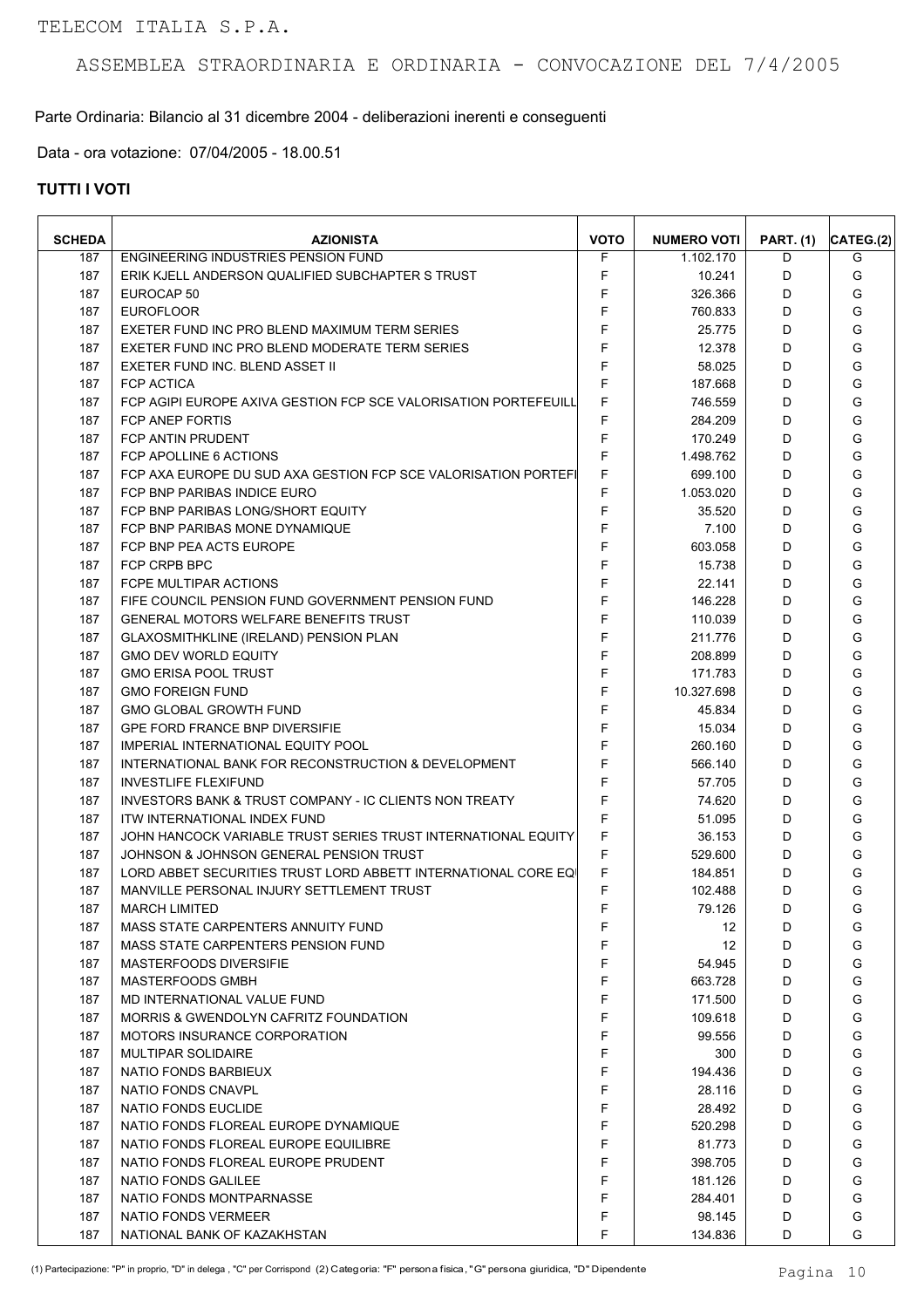Parte Ordinaria: Bilancio al 31 dicembre 2004 - deliberazioni inerenti e conseguenti

Data - ora votazione: 07/04/2005 - 18.00.51

| <b>SCHEDA</b> | <b>AZIONISTA</b>                                                | <b>VOTO</b> | <b>NUMERO VOTI</b> | <b>PART. (1)</b> | CATEG.(2) |
|---------------|-----------------------------------------------------------------|-------------|--------------------|------------------|-----------|
| 187           | ENGINEERING INDUSTRIES PENSION FUND                             | F           | 1.102.170          | D                | G         |
| 187           | ERIK KJELL ANDERSON QUALIFIED SUBCHAPTER S TRUST                | F           | 10.241             | D                | G         |
| 187           | EUROCAP <sub>50</sub>                                           | F           | 326.366            | D                | G         |
| 187           | <b>EUROFLOOR</b>                                                | F           | 760.833            | D                | G         |
| 187           | EXETER FUND INC PRO BLEND MAXIMUM TERM SERIES                   | F           | 25.775             | D                | G         |
| 187           | EXETER FUND INC PRO BLEND MODERATE TERM SERIES                  | F           | 12.378             | D                | G         |
| 187           | EXETER FUND INC. BLEND ASSET II                                 | F           | 58.025             | D                | G         |
| 187           | <b>FCP ACTICA</b>                                               | F           | 187.668            | D                | G         |
| 187           | FCP AGIPI EUROPE AXIVA GESTION FCP SCE VALORISATION PORTEFEUILL | F           | 746.559            | D                | G         |
| 187           | <b>FCP ANEP FORTIS</b>                                          | F           | 284.209            | D                | G         |
| 187           | FCP ANTIN PRUDENT                                               | F           | 170.249            | D                | G         |
| 187           | FCP APOLLINE 6 ACTIONS                                          | F           | 1.498.762          | D                | G         |
| 187           | FCP AXA EUROPE DU SUD AXA GESTION FCP SCE VALORISATION PORTEFI  | F           | 699.100            | D                | G         |
| 187           | FCP BNP PARIBAS INDICE EURO                                     | F           | 1.053.020          | D                | G         |
| 187           | FCP BNP PARIBAS LONG/SHORT EQUITY                               | F           | 35.520             | D                | G         |
| 187           | FCP BNP PARIBAS MONE DYNAMIQUE                                  | F           | 7.100              | D                | G         |
| 187           | FCP BNP PEA ACTS EUROPE                                         | F           | 603.058            | D                | G         |
| 187           | FCP CRPB BPC                                                    | F           | 15.738             | D                | G         |
| 187           | FCPE MULTIPAR ACTIONS                                           | F           | 22.141             | D                | G         |
| 187           | FIFE COUNCIL PENSION FUND GOVERNMENT PENSION FUND               | F           | 146.228            | D                | G         |
| 187           | <b>GENERAL MOTORS WELFARE BENEFITS TRUST</b>                    | F           | 110.039            | D                | G         |
| 187           | GLAXOSMITHKLINE (IRELAND) PENSION PLAN                          | F           | 211.776            | D                | G         |
| 187           | <b>GMO DEV WORLD EQUITY</b>                                     | F           | 208.899            | D                | G         |
| 187           | <b>GMO ERISA POOL TRUST</b>                                     | F           | 171.783            | D                | G         |
| 187           | <b>GMO FOREIGN FUND</b>                                         | F           |                    | D                | G         |
|               | <b>GMO GLOBAL GROWTH FUND</b>                                   | F           | 10.327.698         | D                | G         |
| 187           |                                                                 | F           | 45.834             |                  | G         |
| 187           | <b>GPE FORD FRANCE BNP DIVERSIFIE</b>                           |             | 15.034             | D                | G         |
| 187           | <b>IMPERIAL INTERNATIONAL EQUITY POOL</b>                       | F           | 260.160            | D                |           |
| 187           | INTERNATIONAL BANK FOR RECONSTRUCTION & DEVELOPMENT             | F           | 566.140            | D                | G         |
| 187           | <b>INVESTLIFE FLEXIFUND</b>                                     | F           | 57.705             | D                | G         |
| 187           | INVESTORS BANK & TRUST COMPANY - IC CLIENTS NON TREATY          | F           | 74.620             | D                | G         |
| 187           | <b>ITW INTERNATIONAL INDEX FUND</b>                             | F           | 51.095             | D                | G         |
| 187           | JOHN HANCOCK VARIABLE TRUST SERIES TRUST INTERNATIONAL EQUITY   | F           | 36.153             | D                | G         |
| 187           | JOHNSON & JOHNSON GENERAL PENSION TRUST                         | F           | 529.600            | D                | G         |
| 187           | LORD ABBET SECURITIES TRUST LORD ABBETT INTERNATIONAL CORE EQ   | F           | 184.851            | D                | G         |
| 187           | MANVILLE PERSONAL INJURY SETTLEMENT TRUST                       | F           | 102.488            | D                | G         |
| 187           | <b>MARCH LIMITED</b>                                            | F           | 79.126             | D                | G         |
| 187           | MASS STATE CARPENTERS ANNUITY FUND                              | F           | 12                 | D                | G         |
| 187           | MASS STATE CARPENTERS PENSION FUND                              | F           | 12                 | D                | G         |
| 187           | MASTERFOODS DIVERSIFIE                                          | F           | 54.945             | D                | G         |
| 187           | MASTERFOODS GMBH                                                | F           | 663.728            | D                | G         |
| 187           | MD INTERNATIONAL VALUE FUND                                     | F           | 171.500            | D                | G         |
| 187           | <b>MORRIS &amp; GWENDOLYN CAFRITZ FOUNDATION</b>                | F           | 109.618            | D                | G         |
| 187           | MOTORS INSURANCE CORPORATION                                    | F           | 99.556             | D                | G         |
| 187           | <b>MULTIPAR SOLIDAIRE</b>                                       | F           | 300                | D                | G         |
| 187           | NATIO FONDS BARBIEUX                                            | F           | 194.436            | D                | G         |
| 187           | NATIO FONDS CNAVPL                                              | F           | 28.116             | D                | G         |
| 187           | NATIO FONDS EUCLIDE                                             | F           | 28.492             | D                | G         |
| 187           | NATIO FONDS FLOREAL EUROPE DYNAMIQUE                            | F           | 520.298            | D                | G         |
| 187           | NATIO FONDS FLOREAL EUROPE EQUILIBRE                            | F           | 81.773             | D                | G         |
| 187           | NATIO FONDS FLOREAL EUROPE PRUDENT                              | F           | 398.705            | D                | G         |
| 187           | NATIO FONDS GALILEE                                             | F           | 181.126            | D                | G         |
| 187           | NATIO FONDS MONTPARNASSE                                        | F           | 284.401            | D                | G         |
| 187           | NATIO FONDS VERMEER                                             | F           | 98.145             | D                | G         |
| 187           | NATIONAL BANK OF KAZAKHSTAN                                     | F           | 134.836            | D                | G         |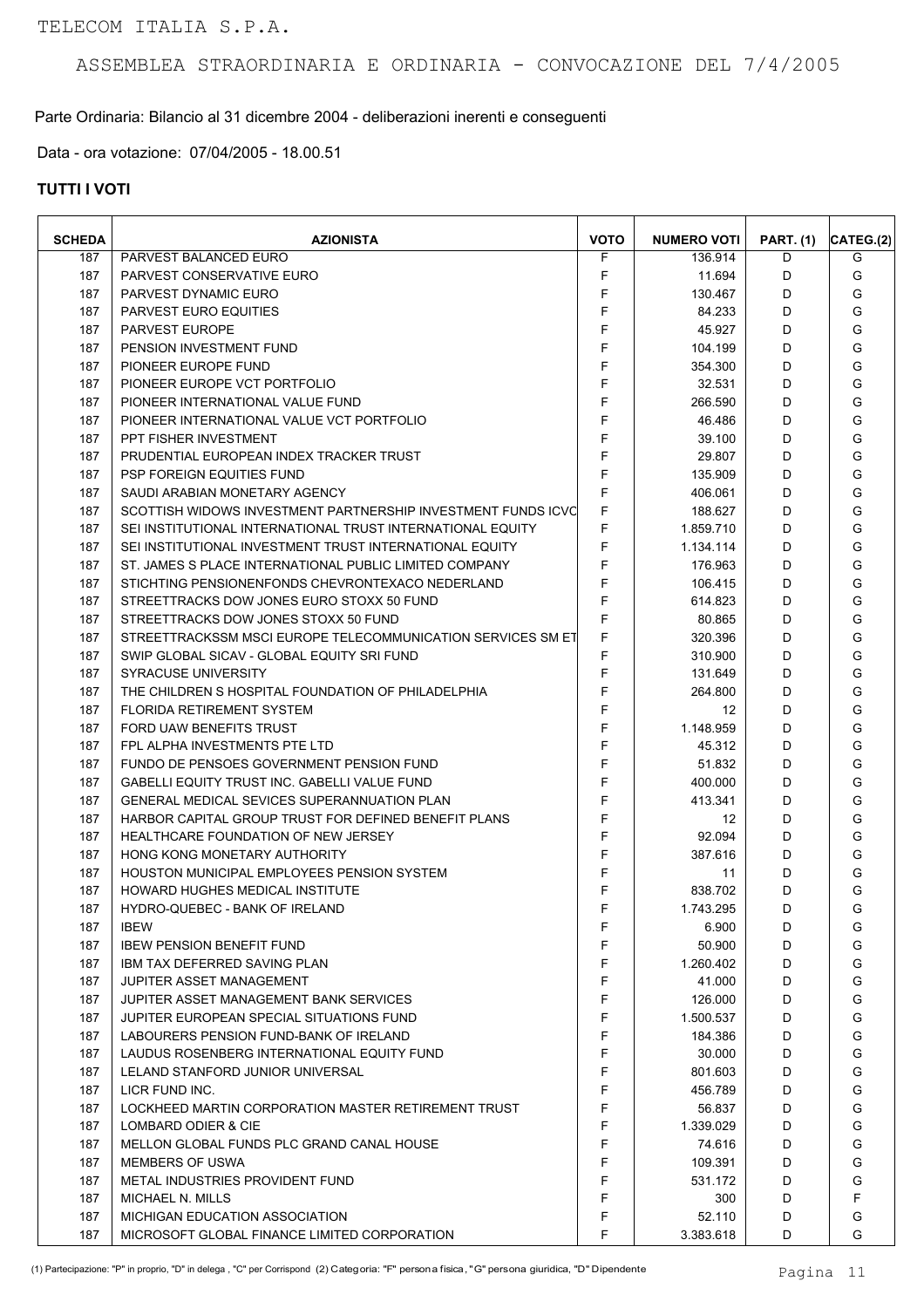#### Parte Ordinaria: Bilancio al 31 dicembre 2004 - deliberazioni inerenti e conseguenti

Data - ora votazione: 07/04/2005 - 18.00.51

| <b>SCHEDA</b> | <b>AZIONISTA</b>                                             | <b>VOTO</b> | <b>NUMERO VOTI</b>   | <b>PART. (1)</b> | CATEG.(2) |
|---------------|--------------------------------------------------------------|-------------|----------------------|------------------|-----------|
| 187           | PARVEST BALANCED EURO                                        | F           | 136.914              | D                | G         |
| 187           | PARVEST CONSERVATIVE EURO                                    | F           | 11.694               | D                | G         |
| 187           | PARVEST DYNAMIC EURO                                         | F           | 130.467              | D                | G         |
| 187           | <b>PARVEST EURO EQUITIES</b>                                 | F           | 84.233               | D                | G         |
| 187           | <b>PARVEST EUROPE</b>                                        | F           | 45.927               | D                | G         |
| 187           | PENSION INVESTMENT FUND                                      | F           | 104.199              | D                | G         |
| 187           | PIONEER EUROPE FUND                                          | F           | 354.300              | D                | G         |
| 187           | PIONEER EUROPE VCT PORTFOLIO                                 | F           | 32.531               | D                | G         |
| 187           | PIONEER INTERNATIONAL VALUE FUND                             | F           | 266.590              | D                | G         |
| 187           | PIONEER INTERNATIONAL VALUE VCT PORTFOLIO                    | F           | 46.486               | D                | G         |
| 187           | PPT FISHER INVESTMENT                                        | F           | 39.100               | D                | G         |
| 187           | PRUDENTIAL EUROPEAN INDEX TRACKER TRUST                      | F           | 29.807               | D                | G         |
| 187           | PSP FOREIGN EQUITIES FUND                                    | F           | 135.909              | D                | G         |
| 187           | SAUDI ARABIAN MONETARY AGENCY                                | F           | 406.061              | D                | G         |
| 187           | SCOTTISH WIDOWS INVESTMENT PARTNERSHIP INVESTMENT FUNDS ICVC | F           | 188.627              | D                | G         |
| 187           | SEI INSTITUTIONAL INTERNATIONAL TRUST INTERNATIONAL EQUITY   | F           | 1.859.710            | D                | G         |
| 187           | SEI INSTITUTIONAL INVESTMENT TRUST INTERNATIONAL EQUITY      | F           | 1.134.114            | D                | G         |
| 187           | ST. JAMES S PLACE INTERNATIONAL PUBLIC LIMITED COMPANY       | F           | 176.963              | D                | G         |
| 187           | STICHTING PENSIONENFONDS CHEVRONTEXACO NEDERLAND             | F           | 106.415              | D                | G         |
| 187           | STREETTRACKS DOW JONES EURO STOXX 50 FUND                    | F           | 614.823              | D                | G         |
| 187           | STREETTRACKS DOW JONES STOXX 50 FUND                         | F           | 80.865               | D                | G         |
| 187           | STREETTRACKSSM MSCI EUROPE TELECOMMUNICATION SERVICES SM ET  | F           | 320.396              | D                | G         |
| 187           | SWIP GLOBAL SICAV - GLOBAL EQUITY SRI FUND                   | F           | 310.900              | D                | G         |
| 187           | <b>SYRACUSE UNIVERSITY</b>                                   | F           | 131.649              | D                | G         |
| 187           | THE CHILDREN S HOSPITAL FOUNDATION OF PHILADELPHIA           | F           | 264.800              | D                | G         |
| 187           | <b>FLORIDA RETIREMENT SYSTEM</b>                             | F           | 12                   | D                | G         |
| 187           | FORD UAW BENEFITS TRUST                                      | F           | 1.148.959            | D                | G         |
| 187           | FPL ALPHA INVESTMENTS PTE LTD                                | F           | 45.312               | D                | G         |
| 187           | FUNDO DE PENSOES GOVERNMENT PENSION FUND                     | F           | 51.832               | D                | G         |
| 187           | GABELLI EQUITY TRUST INC. GABELLI VALUE FUND                 | F           | 400.000              | D                | G         |
| 187           | GENERAL MEDICAL SEVICES SUPERANNUATION PLAN                  | F           | 413.341              | D                | G         |
| 187           | HARBOR CAPITAL GROUP TRUST FOR DEFINED BENEFIT PLANS         | F           | 12                   | D                | G         |
| 187           | HEALTHCARE FOUNDATION OF NEW JERSEY                          | F           | 92.094               | D                | G         |
| 187           | HONG KONG MONETARY AUTHORITY                                 | F           | 387.616              | D                | G         |
| 187           | <b>HOUSTON MUNICIPAL EMPLOYEES PENSION SYSTEM</b>            | F           | 11                   | D                | G         |
| 187           | HOWARD HUGHES MEDICAL INSTITUTE                              | F           | 838.702              | D                | G         |
| 187           | HYDRO-QUEBEC - BANK OF IRELAND                               | F           | 1.743.295            | D                | G         |
|               |                                                              | F           |                      | D                |           |
| 187<br>187    | <b>IBEW</b><br><b>IBEW PENSION BENEFIT FUND</b>              | F           | 6.900<br>50.900      | D                | G<br>G    |
| 187           | <b>IBM TAX DEFERRED SAVING PLAN</b>                          | F           | 1.260.402            | D                | G         |
| 187           | <b>JUPITER ASSET MANAGEMENT</b>                              | F           | 41.000               | D                | G         |
|               | JUPITER ASSET MANAGEMENT BANK SERVICES                       | F           |                      | D                |           |
| 187<br>187    | JUPITER EUROPEAN SPECIAL SITUATIONS FUND                     | F           | 126.000<br>1.500.537 | D                | G<br>G    |
| 187           | LABOURERS PENSION FUND-BANK OF IRELAND                       | F           | 184.386              | D                | G         |
|               |                                                              | F           |                      | D                | G         |
| 187           | LAUDUS ROSENBERG INTERNATIONAL EQUITY FUND                   |             | 30.000               |                  |           |
| 187           | LELAND STANFORD JUNIOR UNIVERSAL                             | F<br>F      | 801.603              | D                | G         |
| 187           | LICR FUND INC.                                               | F           | 456.789              | D                | G<br>G    |
| 187           | LOCKHEED MARTIN CORPORATION MASTER RETIREMENT TRUST          | F           | 56.837               | D                | G         |
| 187           | LOMBARD ODIER & CIE                                          |             | 1.339.029            | D                |           |
| 187           | MELLON GLOBAL FUNDS PLC GRAND CANAL HOUSE                    | F           | 74.616               | D                | G         |
| 187           | <b>MEMBERS OF USWA</b>                                       | F           | 109.391              | D                | G         |
| 187           | METAL INDUSTRIES PROVIDENT FUND                              | F           | 531.172              | D                | G         |
| 187           | MICHAEL N. MILLS                                             | F           | 300                  | D                | F         |
| 187           | MICHIGAN EDUCATION ASSOCIATION                               | F           | 52.110               | D                | G         |
| 187           | MICROSOFT GLOBAL FINANCE LIMITED CORPORATION                 | F           | 3.383.618            | D                | G         |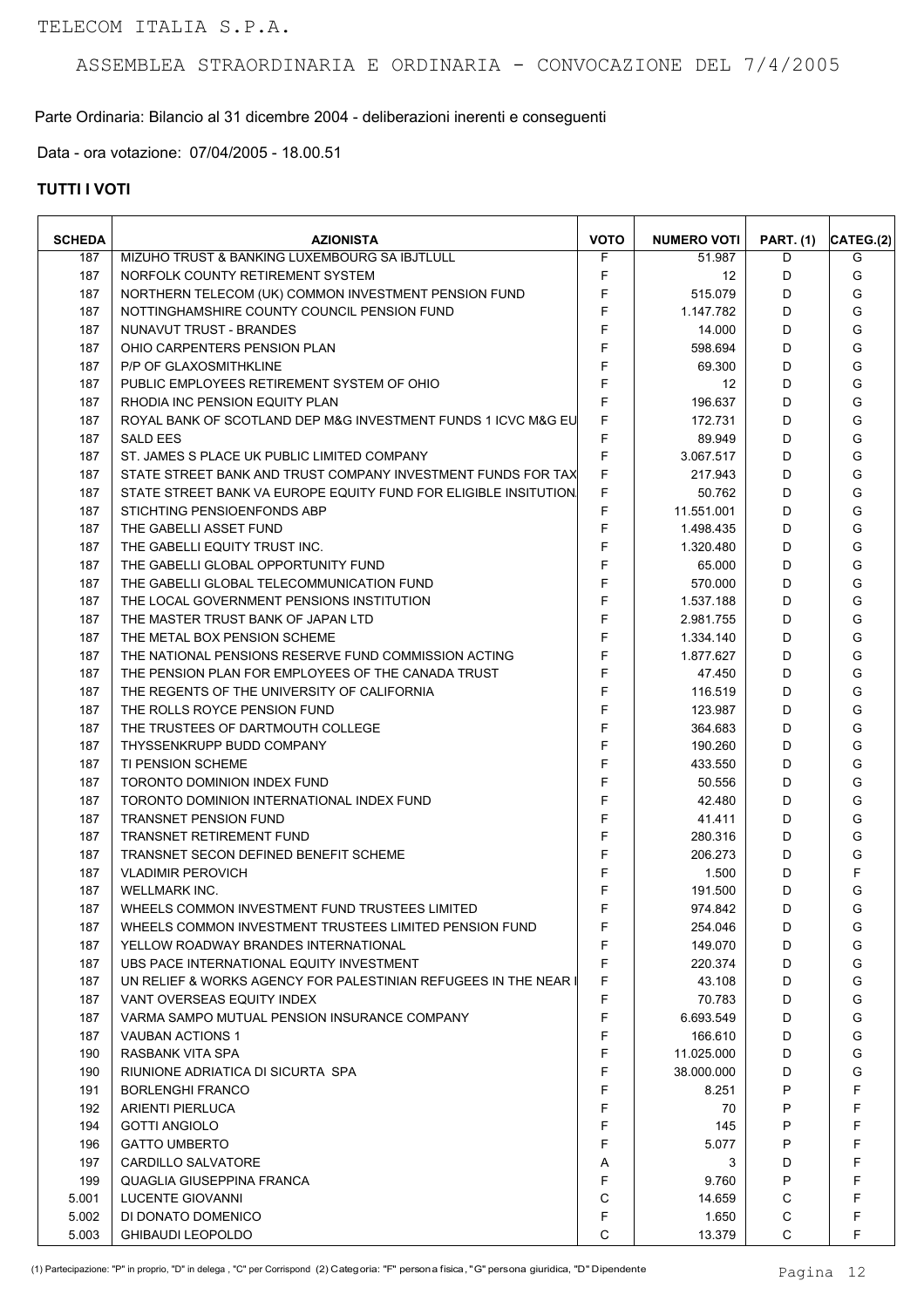Parte Ordinaria: Bilancio al 31 dicembre 2004 - deliberazioni inerenti e conseguenti

Data - ora votazione: 07/04/2005 - 18.00.51

| <b>SCHEDA</b> | <b>AZIONISTA</b>                                                 | <b>VOTO</b> | <b>NUMERO VOTI</b> | <b>PART. (1)</b> | CATEG.(2) |
|---------------|------------------------------------------------------------------|-------------|--------------------|------------------|-----------|
| 187           | MIZUHO TRUST & BANKING LUXEMBOURG SA IBJTLULL                    | F           | 51.987             | D                | G         |
| 187           | NORFOLK COUNTY RETIREMENT SYSTEM                                 | F           | 12                 | D                | G         |
| 187           | NORTHERN TELECOM (UK) COMMON INVESTMENT PENSION FUND             | F           | 515.079            | D                | G         |
| 187           | NOTTINGHAMSHIRE COUNTY COUNCIL PENSION FUND                      | F           | 1.147.782          | D                | G         |
| 187           | NUNAVUT TRUST - BRANDES                                          | F           | 14.000             | D                | G         |
| 187           | OHIO CARPENTERS PENSION PLAN                                     | F           | 598.694            | D                | G         |
| 187           | P/P OF GLAXOSMITHKLINE                                           | F           | 69.300             | D                | G         |
| 187           | PUBLIC EMPLOYEES RETIREMENT SYSTEM OF OHIO                       | F           | 12                 | D                | G         |
| 187           | RHODIA INC PENSION EQUITY PLAN                                   | F           | 196.637            | D                | G         |
| 187           | ROYAL BANK OF SCOTLAND DEP M&G INVESTMENT FUNDS 1 ICVC M&G EU    | F           | 172.731            | D                | G         |
| 187           | <b>SALD EES</b>                                                  | F           | 89.949             | D                | G         |
| 187           | ST. JAMES S PLACE UK PUBLIC LIMITED COMPANY                      | F           | 3.067.517          | D                | G         |
| 187           | STATE STREET BANK AND TRUST COMPANY INVESTMENT FUNDS FOR TAX     | F           | 217.943            | D                | G         |
| 187           | STATE STREET BANK VA EUROPE EQUITY FUND FOR ELIGIBLE INSITUTION. | F           | 50.762             | D                | G         |
| 187           | STICHTING PENSIOENFONDS ABP                                      | F           | 11.551.001         | D                | G         |
| 187           | THE GABELLI ASSET FUND                                           | F           | 1.498.435          | D                | G         |
| 187           | THE GABELLI EQUITY TRUST INC.                                    | F           | 1.320.480          | D                | G         |
| 187           | THE GABELLI GLOBAL OPPORTUNITY FUND                              | F           | 65.000             | D                | G         |
| 187           | THE GABELLI GLOBAL TELECOMMUNICATION FUND                        | F           | 570.000            | D                | G         |
| 187           | THE LOCAL GOVERNMENT PENSIONS INSTITUTION                        | F           | 1.537.188          | D                | G         |
| 187           | THE MASTER TRUST BANK OF JAPAN LTD                               | F           | 2.981.755          | D                | G         |
| 187           | THE METAL BOX PENSION SCHEME                                     | F           | 1.334.140          | D                | G         |
| 187           | THE NATIONAL PENSIONS RESERVE FUND COMMISSION ACTING             | F           | 1.877.627          | D                | G         |
| 187           | THE PENSION PLAN FOR EMPLOYEES OF THE CANADA TRUST               | F           | 47.450             | D                | G         |
| 187           | THE REGENTS OF THE UNIVERSITY OF CALIFORNIA                      | F           | 116.519            | D                | G         |
| 187           | THE ROLLS ROYCE PENSION FUND                                     | F           | 123.987            | D                | G         |
| 187           | THE TRUSTEES OF DARTMOUTH COLLEGE                                | F           | 364.683            | D                | G         |
| 187           | THYSSENKRUPP BUDD COMPANY                                        | F           | 190.260            | D                | G         |
| 187           | <b>TI PENSION SCHEME</b>                                         | F           | 433.550            | D                | G         |
| 187           | TORONTO DOMINION INDEX FUND                                      | F           | 50.556             | D                | G         |
| 187           | TORONTO DOMINION INTERNATIONAL INDEX FUND                        | F           | 42.480             | D                | G         |
| 187           | <b>TRANSNET PENSION FUND</b>                                     | F           | 41.411             | D                | G         |
| 187           | TRANSNET RETIREMENT FUND                                         | F           | 280.316            | D                | G         |
| 187           | TRANSNET SECON DEFINED BENEFIT SCHEME                            | $\mathsf F$ | 206.273            | D                | G         |
| 187           | <b>VLADIMIR PEROVICH</b>                                         | F           | 1.500              | D                | F         |
| 187           | <b>WELLMARK INC.</b>                                             | F           | 191.500            | D                | G         |
| 187           | WHEELS COMMON INVESTMENT FUND TRUSTEES LIMITED                   | F           | 974.842            | D                | G         |
| 187           | WHEELS COMMON INVESTMENT TRUSTEES LIMITED PENSION FUND           | F           | 254.046            | D                | G         |
| 187           | YELLOW ROADWAY BRANDES INTERNATIONAL                             | F           | 149.070            | D                | G         |
| 187           | UBS PACE INTERNATIONAL EQUITY INVESTMENT                         | F           | 220.374            | D                | G         |
| 187           | UN RELIEF & WORKS AGENCY FOR PALESTINIAN REFUGEES IN THE NEAR I  | F           | 43.108             | D                | G         |
| 187           | VANT OVERSEAS EQUITY INDEX                                       | F           | 70.783             | D                | G         |
| 187           | VARMA SAMPO MUTUAL PENSION INSURANCE COMPANY                     | F           | 6.693.549          | D                | G         |
| 187           | <b>VAUBAN ACTIONS 1</b>                                          | F           | 166.610            | D                | G         |
| 190           | RASBANK VITA SPA                                                 | F           | 11.025.000         | D                | G         |
| 190           | RIUNIONE ADRIATICA DI SICURTA SPA                                | F           | 38.000.000         | D                | G         |
| 191           | <b>BORLENGHI FRANCO</b>                                          | F           | 8.251              | P                | F         |
| 192           | <b>ARIENTI PIERLUCA</b>                                          | F           | 70                 | P                | F         |
| 194           | <b>GOTTI ANGIOLO</b>                                             | F           | 145                | P                | F         |
| 196           | <b>GATTO UMBERTO</b>                                             | F           | 5.077              | P                | F         |
| 197           | CARDILLO SALVATORE                                               | Α           | 3                  | D                | F         |
| 199           | QUAGLIA GIUSEPPINA FRANCA                                        | F           | 9.760              | P                | F         |
| 5.001         | LUCENTE GIOVANNI                                                 | C           | 14.659             | C                | F         |
| 5.002         | DI DONATO DOMENICO                                               | F           | 1.650              | С                | F         |
| 5.003         | <b>GHIBAUDI LEOPOLDO</b>                                         | $\mathsf C$ | 13.379             | C                | F         |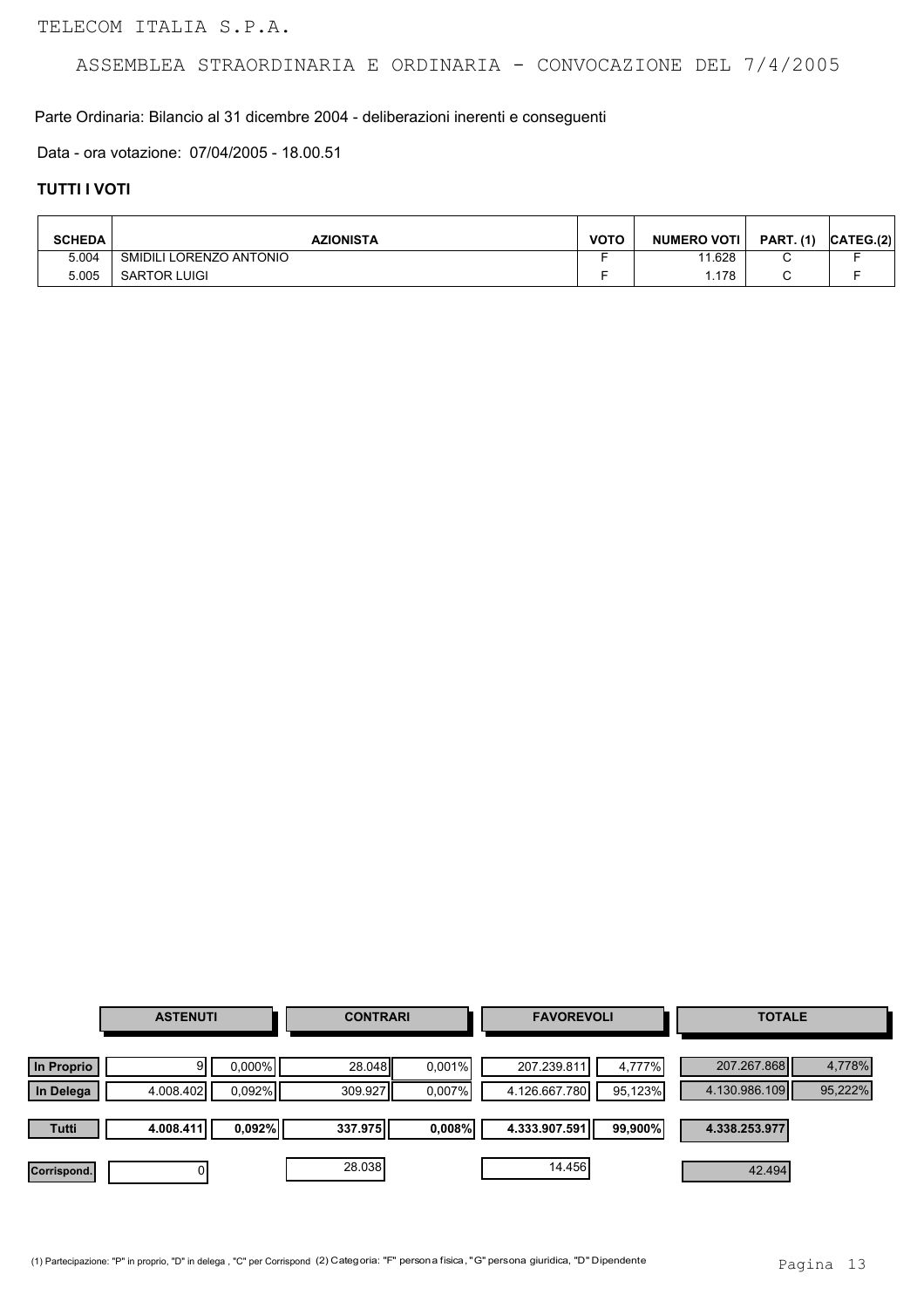Parte Ordinaria: Bilancio al 31 dicembre 2004 - deliberazioni inerenti e conseguenti

Data - ora votazione: 07/04/2005 - 18.00.51

| <b>SCHEDA</b> | <b>AZIONISTA</b>        | <b>VOTO</b> | <b>NUMERO VOTI</b> | <b>PART.</b> (1) | CATEG.(2) |
|---------------|-------------------------|-------------|--------------------|------------------|-----------|
| 5.004         | SMIDILI LORENZO ANTONIO |             | .628               |                  |           |
| 5.005         | <b>SARTOR LUIGI</b>     |             | .178               |                  |           |

|                         | <b>ASTENUTI</b>   |                        | <b>CONTRARI</b>   |                     | <b>FAVOREVOLI</b>            |                   | <b>TOTALE</b>                |                   |
|-------------------------|-------------------|------------------------|-------------------|---------------------|------------------------------|-------------------|------------------------------|-------------------|
| In Proprio<br>In Delega | 9I I<br>4.008.402 | $0,000\%$<br>$0,092\%$ | 28.048<br>309.927 | 0,001%<br>$0.007\%$ | 207.239.811<br>4.126.667.780 | 4,777%<br>95,123% | 207.267.868<br>4.130.986.109 | 4,778%<br>95,222% |
| Tutti                   | 4.008.411         | 0.092%                 | 337.975           | 0,008%              | 4.333.907.591                | 99,900%           | 4.338.253.977                |                   |
| Corrispond.             |                   |                        | 28.038            |                     | 14.456                       |                   | 42.494                       |                   |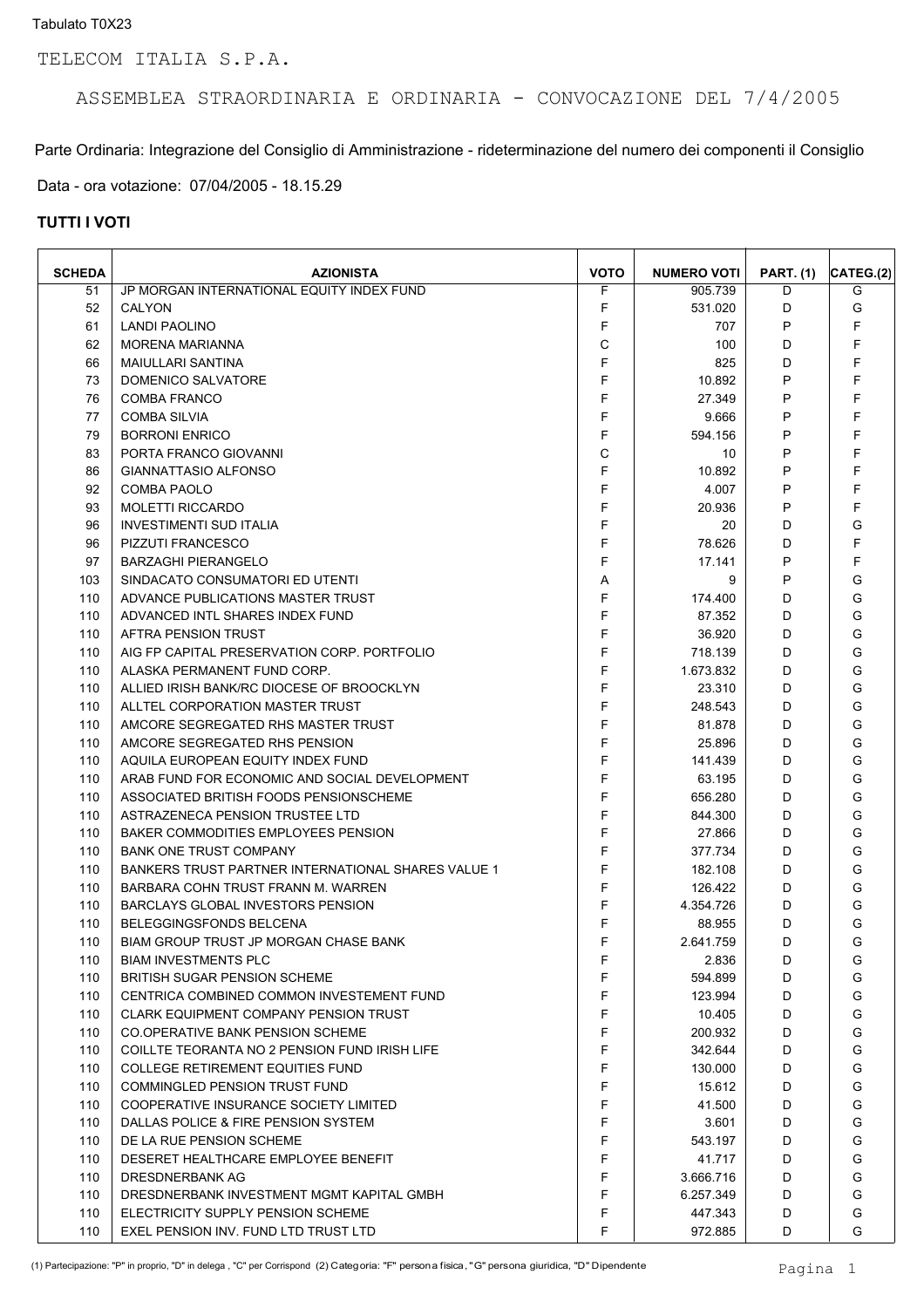Parte Ordinaria: Integrazione del Consiglio di Amministrazione - rideterminazione del numero dei componenti il Consiglio

Data - ora votazione: 07/04/2005 - 18.15.29

| <b>SCHEDA</b> | <b>AZIONISTA</b>                                          | <b>VOTO</b> | <b>NUMERO VOTI</b> | <b>PART. (1)</b> | CATEG.(2) |
|---------------|-----------------------------------------------------------|-------------|--------------------|------------------|-----------|
| 51            | JP MORGAN INTERNATIONAL EQUITY INDEX FUND                 | F           | 905.739            | D                | G         |
| 52            | CALYON                                                    | F           | 531.020            | D                | G         |
| 61            | <b>LANDI PAOLINO</b>                                      | F           | 707                | P                | F         |
| 62            | <b>MORENA MARIANNA</b>                                    | C           | 100                | D                | F         |
| 66            | <b>MAIULLARI SANTINA</b>                                  | F           | 825                | D                | F         |
| 73            | DOMENICO SALVATORE                                        | F           | 10.892             | P                | F         |
| 76            | <b>COMBA FRANCO</b>                                       | F           | 27.349             | P                | F         |
| 77            | <b>COMBA SILVIA</b>                                       | F           | 9.666              | P                | F         |
| 79            | <b>BORRONI ENRICO</b>                                     | F           | 594.156            | P                | F         |
| 83            | PORTA FRANCO GIOVANNI                                     | С           | 10                 | P                | F         |
| 86            | GIANNATTASIO ALFONSO                                      | F           | 10.892             | P                | F         |
| 92            | <b>COMBA PAOLO</b>                                        | F           | 4.007              | P                | F         |
| 93            | <b>MOLETTI RICCARDO</b>                                   | F           | 20.936             | P                | F         |
| 96            | <b>INVESTIMENTI SUD ITALIA</b>                            | F           | 20                 | D                | G         |
| 96            | <b>PIZZUTI FRANCESCO</b>                                  | F           | 78.626             | D                | F         |
| 97            | <b>BARZAGHI PIERANGELO</b>                                | F           | 17.141             | P                | F         |
| 103           | SINDACATO CONSUMATORI ED UTENTI                           | Α           | 9                  | P                | G         |
| 110           | ADVANCE PUBLICATIONS MASTER TRUST                         | F           | 174.400            | D                | G         |
| 110           | ADVANCED INTL SHARES INDEX FUND                           | F           | 87.352             | D                | G         |
| 110           | AFTRA PENSION TRUST                                       | F           | 36.920             | D                | G         |
| 110           | AIG FP CAPITAL PRESERVATION CORP. PORTFOLIO               | F           | 718.139            | D                | G         |
| 110           | ALASKA PERMANENT FUND CORP.                               | F           | 1.673.832          | D                | G         |
| 110           | ALLIED IRISH BANK/RC DIOCESE OF BROOCKLYN                 | F           | 23.310             | D                | G         |
| 110           | ALLTEL CORPORATION MASTER TRUST                           | F           | 248.543            | D                | G         |
| 110           | AMCORE SEGREGATED RHS MASTER TRUST                        | F           | 81.878             | D                | G         |
| 110           | AMCORE SEGREGATED RHS PENSION                             | F           | 25.896             | D                | G         |
| 110           | AQUILA EUROPEAN EQUITY INDEX FUND                         | F           | 141.439            | D                | G         |
| 110           | ARAB FUND FOR ECONOMIC AND SOCIAL DEVELOPMENT             | F           | 63.195             | D                | G         |
| 110           | ASSOCIATED BRITISH FOODS PENSIONSCHEME                    | F           | 656.280            | D                | G         |
| 110           | ASTRAZENECA PENSION TRUSTEE LTD                           | F           | 844.300            | D                | G         |
| 110           | BAKER COMMODITIES EMPLOYEES PENSION                       | F           | 27.866             | D                | G         |
| 110           | <b>BANK ONE TRUST COMPANY</b>                             | F           | 377.734            | D                | G         |
| 110           | <b>BANKERS TRUST PARTNER INTERNATIONAL SHARES VALUE 1</b> | F           | 182.108            | D                | G         |
| 110           | BARBARA COHN TRUST FRANN M. WARREN                        | F           | 126.422            | D                | G         |
| 110           | <b>BARCLAYS GLOBAL INVESTORS PENSION</b>                  | F           | 4.354.726          | D                | G         |
| 110           | BELEGGINGSFONDS BELCENA                                   | F           | 88.955             | D                | G         |
| 110           | <b>BIAM GROUP TRUST JP MORGAN CHASE BANK</b>              | F           | 2.641.759          | D                | G         |
| 110           | <b>BIAM INVESTMENTS PLC</b>                               | F           | 2.836              | D                | G         |
| 110           | BRITISH SUGAR PENSION SCHEME                              | F           | 594.899            | D                | G         |
| 110           | CENTRICA COMBINED COMMON INVESTEMENT FUND                 | F           | 123.994            | D                | G         |
| 110           | <b>CLARK EQUIPMENT COMPANY PENSION TRUST</b>              | F           | 10.405             | D                | G         |
| 110           | CO.OPERATIVE BANK PENSION SCHEME                          | F           | 200.932            | D                | G         |
| 110           | COILLTE TEORANTA NO 2 PENSION FUND IRISH LIFE             | F           | 342.644            | D                | G         |
| 110           | <b>COLLEGE RETIREMENT EQUITIES FUND</b>                   | F           | 130.000            | D                | G         |
| 110           | <b>COMMINGLED PENSION TRUST FUND</b>                      | F           | 15.612             | D                | G         |
| 110           | COOPERATIVE INSURANCE SOCIETY LIMITED                     | F           | 41.500             | D                | G         |
| 110           | DALLAS POLICE & FIRE PENSION SYSTEM                       | F           | 3.601              | D                | G         |
| 110           | DE LA RUE PENSION SCHEME                                  | F           | 543.197            | D                | G         |
| 110           | DESERET HEALTHCARE EMPLOYEE BENEFIT                       | F           | 41.717             | D                | G         |
| 110           | DRESDNERBANK AG                                           | F           | 3.666.716          | D                | G         |
| 110           | DRESDNERBANK INVESTMENT MGMT KAPITAL GMBH                 | F           | 6.257.349          | D                | G         |
| 110           | ELECTRICITY SUPPLY PENSION SCHEME                         | F           | 447.343            | D                | G         |
| 110           | EXEL PENSION INV. FUND LTD TRUST LTD                      | F           | 972.885            | D                | G         |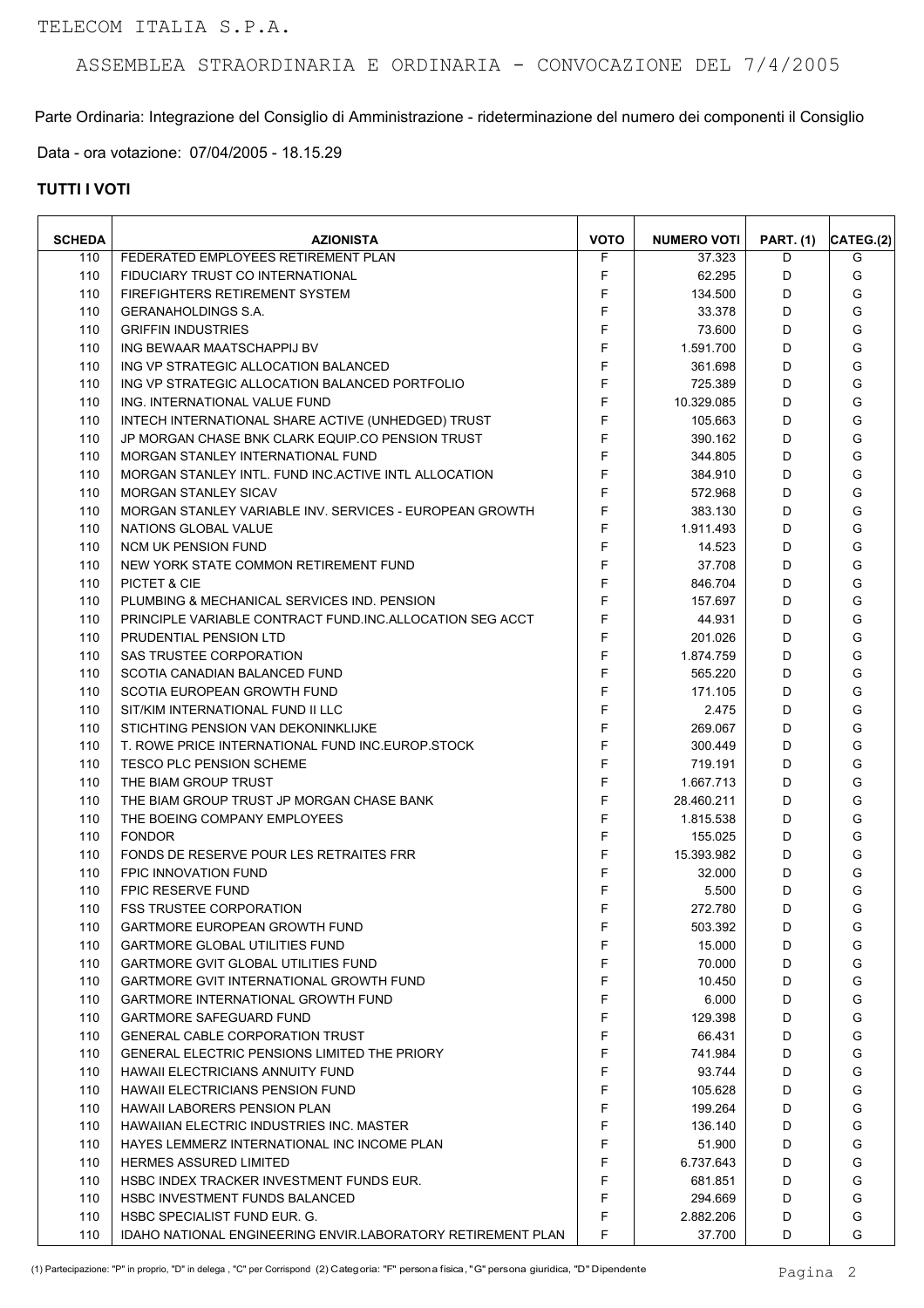Parte Ordinaria: Integrazione del Consiglio di Amministrazione - rideterminazione del numero dei componenti il Consiglio

Data - ora votazione: 07/04/2005 - 18.15.29

| <b>SCHEDA</b> | <b>AZIONISTA</b>                                                   | <b>VOTO</b> | <b>NUMERO VOTI</b> | <b>PART.</b> (1) | CATEG.(2) |
|---------------|--------------------------------------------------------------------|-------------|--------------------|------------------|-----------|
| 110           | FEDERATED EMPLOYEES RETIREMENT PLAN                                | F           | 37.323             | D                | G         |
| 110           | FIDUCIARY TRUST CO INTERNATIONAL                                   | F           | 62.295             | D                | G         |
| 110           | FIREFIGHTERS RETIREMENT SYSTEM                                     | F           | 134.500            | D                | G         |
| 110           | <b>GERANAHOLDINGS S.A.</b>                                         | F           | 33.378             | D                | G         |
| 110           | <b>GRIFFIN INDUSTRIES</b>                                          | F           | 73.600             | D                | G         |
| 110           | ING BEWAAR MAATSCHAPPIJ BV                                         | F           | 1.591.700          | D                | G         |
| 110           | ING VP STRATEGIC ALLOCATION BALANCED                               | F           | 361.698            | D                | G         |
| 110           | ING VP STRATEGIC ALLOCATION BALANCED PORTFOLIO                     | F           | 725.389            | D                | G         |
| 110           | ING. INTERNATIONAL VALUE FUND                                      | F           | 10.329.085         | D                | G         |
| 110           | INTECH INTERNATIONAL SHARE ACTIVE (UNHEDGED) TRUST                 | F           | 105.663            | D                | G         |
| 110           | JP MORGAN CHASE BNK CLARK EQUIP.CO PENSION TRUST                   | F           | 390.162            | D                | G         |
| 110           | MORGAN STANLEY INTERNATIONAL FUND                                  | F           | 344.805            | D                | G         |
| 110           | MORGAN STANLEY INTL. FUND INC. ACTIVE INTL ALLOCATION              | F           | 384.910            | D                | G         |
| 110           | <b>MORGAN STANLEY SICAV</b>                                        | F           | 572.968            | D                | G         |
| 110           | MORGAN STANLEY VARIABLE INV. SERVICES - EUROPEAN GROWTH            | F           | 383.130            | D                | G         |
| 110           | NATIONS GLOBAL VALUE                                               | F           | 1.911.493          | D                | G         |
| 110           | <b>NCM UK PENSION FUND</b>                                         | F           | 14.523             | D                | G         |
| 110           | NEW YORK STATE COMMON RETIREMENT FUND                              | F           | 37.708             | D                | G         |
| 110           | PICTET & CIE                                                       | F           | 846.704            | D                | G         |
| 110           | PLUMBING & MECHANICAL SERVICES IND. PENSION                        | F           | 157.697            | D                | G         |
|               | PRINCIPLE VARIABLE CONTRACT FUND INC ALLOCATION SEG ACCT           | F           |                    | D                | G         |
| 110           |                                                                    | F           | 44.931             |                  |           |
| 110           | PRUDENTIAL PENSION LTD                                             | F           | 201.026            | D                | G         |
| 110           | SAS TRUSTEE CORPORATION                                            |             | 1.874.759          | D                | G         |
| 110           | SCOTIA CANADIAN BALANCED FUND                                      | F           | 565.220            | D                | G         |
| 110           | SCOTIA EUROPEAN GROWTH FUND                                        | F           | 171.105            | D                | G         |
| 110           | SIT/KIM INTERNATIONAL FUND II LLC                                  | F           | 2.475              | D                | G         |
| 110           | STICHTING PENSION VAN DEKONINKLIJKE                                | F           | 269.067            | D                | G         |
| 110           | T. ROWE PRICE INTERNATIONAL FUND INC. EUROP. STOCK                 | F           | 300.449            | D                | G         |
| 110           | TESCO PLC PENSION SCHEME                                           | F           | 719.191            | D                | G         |
| 110           | THE BIAM GROUP TRUST                                               | F           | 1.667.713          | D                | G         |
| 110           | THE BIAM GROUP TRUST JP MORGAN CHASE BANK                          | F           | 28.460.211         | D                | G         |
| 110           | THE BOEING COMPANY EMPLOYEES                                       | F           | 1.815.538          | D                | G         |
| 110           | <b>FONDOR</b>                                                      | F           | 155.025            | D                | G         |
| 110           | FONDS DE RESERVE POUR LES RETRAITES FRR                            | F           | 15.393.982         | D                | G         |
| 110           | FPIC INNOVATION FUND                                               | F           | 32.000             | D                | G         |
| 110           | <b>FPIC RESERVE FUND</b>                                           | F           | 5.500              | D                | G         |
| 110           | <b>FSS TRUSTEE CORPORATION</b>                                     | F           | 272.780            | D                | G         |
| 110           | <b>GARTMORE EUROPEAN GROWTH FUND</b>                               | F           | 503.392            | D                | G         |
| 110           | <b>GARTMORE GLOBAL UTILITIES FUND</b>                              | F           | 15.000             | D                | G         |
| 110           | <b>GARTMORE GVIT GLOBAL UTILITIES FUND</b>                         | F           | 70.000             | D                | G         |
| 110           | <b>GARTMORE GVIT INTERNATIONAL GROWTH FUND</b>                     | F           | 10.450             | D                | G         |
| 110           | GARTMORE INTERNATIONAL GROWTH FUND                                 | F           | 6.000              | D                | G         |
| 110           | <b>GARTMORE SAFEGUARD FUND</b>                                     | F           | 129.398            | D                | G         |
| 110           | <b>GENERAL CABLE CORPORATION TRUST</b>                             | F           | 66.431             | D                | G         |
| 110           | <b>GENERAL ELECTRIC PENSIONS LIMITED THE PRIORY</b>                | F           | 741.984            | D                | G         |
| 110           | <b>HAWAII ELECTRICIANS ANNUITY FUND</b>                            | F           | 93.744             | D                | G         |
| 110           | HAWAII ELECTRICIANS PENSION FUND                                   | F           | 105.628            | D                | G         |
| 110           | <b>HAWAII LABORERS PENSION PLAN</b>                                | F           | 199.264            | D                | G         |
| 110           | HAWAIIAN ELECTRIC INDUSTRIES INC. MASTER                           | F           | 136.140            | D                | G         |
| 110           | HAYES LEMMERZ INTERNATIONAL INC INCOME PLAN                        | F           | 51.900             | D                | G         |
| 110           | <b>HERMES ASSURED LIMITED</b>                                      | F           | 6.737.643          | D                | G         |
| 110           | HSBC INDEX TRACKER INVESTMENT FUNDS EUR.                           | F           | 681.851            | D                | G         |
| 110           | <b>HSBC INVESTMENT FUNDS BALANCED</b>                              | F           | 294.669            | D                | G         |
| 110           | HSBC SPECIALIST FUND EUR. G.                                       | F           | 2.882.206          | D                | G         |
| 110           | <b>IDAHO NATIONAL ENGINEERING ENVIR.LABORATORY RETIREMENT PLAN</b> | F           | 37.700             | D                | G         |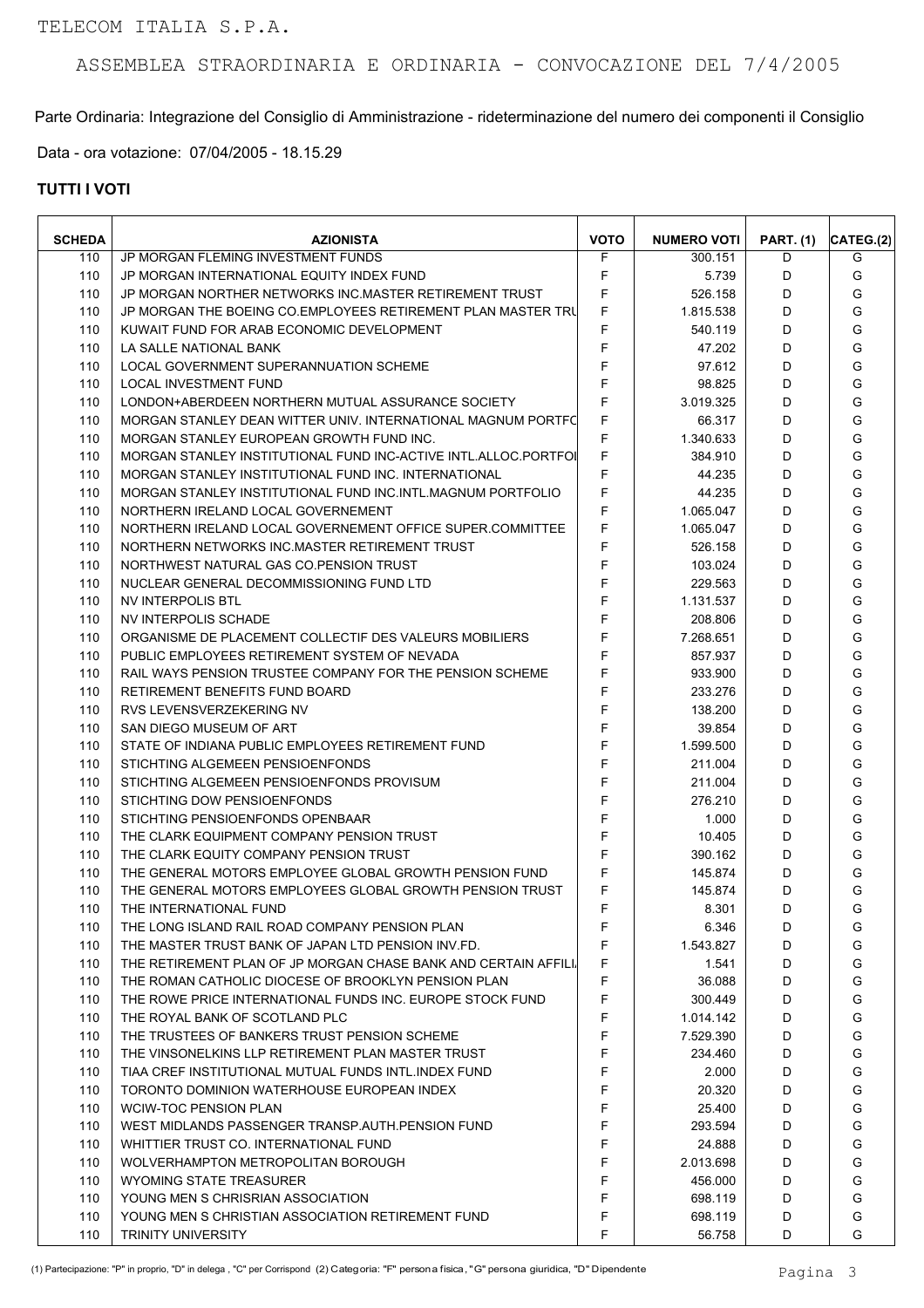Parte Ordinaria: Integrazione del Consiglio di Amministrazione - rideterminazione del numero dei componenti il Consiglio

Data - ora votazione: 07/04/2005 - 18.15.29

| <b>SCHEDA</b> | <b>AZIONISTA</b>                                                | <b>VOTO</b> | <b>NUMERO VOTI</b> | <b>PART. (1)</b> | CATEG.(2) |
|---------------|-----------------------------------------------------------------|-------------|--------------------|------------------|-----------|
| 110           | JP MORGAN FLEMING INVESTMENT FUNDS                              | F           | 300.151            | D                | G         |
| 110           | JP MORGAN INTERNATIONAL EQUITY INDEX FUND                       | F           | 5.739              | D                | G         |
| 110           | JP MORGAN NORTHER NETWORKS INC. MASTER RETIREMENT TRUST         | F           | 526.158            | D                | G         |
| 110           | JP MORGAN THE BOEING CO.EMPLOYEES RETIREMENT PLAN MASTER TRU    | F           | 1.815.538          | D                | G         |
| 110           | KUWAIT FUND FOR ARAB ECONOMIC DEVELOPMENT                       | F           | 540.119            | D                | G         |
| 110           | LA SALLE NATIONAL BANK                                          | F           | 47.202             | D                | G         |
| 110           | LOCAL GOVERNMENT SUPERANNUATION SCHEME                          | F           | 97.612             | D                | G         |
| 110           | <b>LOCAL INVESTMENT FUND</b>                                    | F           | 98.825             | D                | G         |
| 110           | LONDON+ABERDEEN NORTHERN MUTUAL ASSURANCE SOCIETY               | F           | 3.019.325          | D                | G         |
| 110           | MORGAN STANLEY DEAN WITTER UNIV. INTERNATIONAL MAGNUM PORTFO    | F           | 66.317             | D                | G         |
| 110           | MORGAN STANLEY EUROPEAN GROWTH FUND INC.                        | F           | 1.340.633          | D                | G         |
| 110           | MORGAN STANLEY INSTITUTIONAL FUND INC-ACTIVE INTL.ALLOC.PORTFOI | F           | 384.910            | D                | G         |
| 110           | MORGAN STANLEY INSTITUTIONAL FUND INC. INTERNATIONAL            | F           | 44.235             | D                | G         |
| 110           | MORGAN STANLEY INSTITUTIONAL FUND INC.INTL.MAGNUM PORTFOLIO     | F           | 44.235             | D                | G         |
| 110           | NORTHERN IRELAND LOCAL GOVERNEMENT                              | F           | 1.065.047          | D                | G         |
| 110           | NORTHERN IRELAND LOCAL GOVERNEMENT OFFICE SUPER.COMMITTEE       | F           | 1.065.047          | D                | G         |
| 110           | NORTHERN NETWORKS INC.MASTER RETIREMENT TRUST                   | F           | 526.158            | D                | G         |
| 110           | NORTHWEST NATURAL GAS CO. PENSION TRUST                         | F           | 103.024            | D                | G         |
| 110           | NUCLEAR GENERAL DECOMMISSIONING FUND LTD                        | F           | 229.563            | D                | G         |
| 110           | NV INTERPOLIS BTL                                               | F           | 1.131.537          | D                | G         |
| 110           | NV INTERPOLIS SCHADE                                            | F           | 208.806            | D                | G         |
|               | ORGANISME DE PLACEMENT COLLECTIF DES VALEURS MOBILIERS          | F           |                    |                  | G         |
| 110           |                                                                 | F           | 7.268.651          | D                | G         |
| 110           | PUBLIC EMPLOYEES RETIREMENT SYSTEM OF NEVADA                    |             | 857.937            | D                |           |
| 110           | RAIL WAYS PENSION TRUSTEE COMPANY FOR THE PENSION SCHEME        | F           | 933.900            | D                | G         |
| 110           | RETIREMENT BENEFITS FUND BOARD                                  | F           | 233.276            | D                | G         |
| 110           | RVS LEVENSVERZEKERING NV                                        | F           | 138.200            | D                | G         |
| 110           | SAN DIEGO MUSEUM OF ART                                         | F           | 39.854             | D                | G         |
| 110           | STATE OF INDIANA PUBLIC EMPLOYEES RETIREMENT FUND               | F           | 1.599.500          | D                | G         |
| 110           | STICHTING ALGEMEEN PENSIOENFONDS                                | F           | 211.004            | D                | G         |
| 110           | STICHTING ALGEMEEN PENSIOENFONDS PROVISUM                       | F           | 211.004            | D                | G         |
| 110           | STICHTING DOW PENSIOENFONDS                                     | F           | 276.210            | D                | G         |
| 110           | STICHTING PENSIOENFONDS OPENBAAR                                | F           | 1.000              | D                | G         |
| 110           | THE CLARK EQUIPMENT COMPANY PENSION TRUST                       | F           | 10.405             | D                | G         |
| 110           | THE CLARK EQUITY COMPANY PENSION TRUST                          | F           | 390.162            | D                | G         |
| 110           | THE GENERAL MOTORS EMPLOYEE GLOBAL GROWTH PENSION FUND          | F           | 145.874            | D                | G         |
| 110           | THE GENERAL MOTORS EMPLOYEES GLOBAL GROWTH PENSION TRUST        | F           | 145.874            | D                | G         |
| 110           | THE INTERNATIONAL FUND                                          | F           | 8.301              | D                | G         |
| 110           | THE LONG ISLAND RAIL ROAD COMPANY PENSION PLAN                  | F           | 6.346              | D                | G         |
| 110           | THE MASTER TRUST BANK OF JAPAN LTD PENSION INV FD.              | F           | 1.543.827          | D                | G         |
| 110           | THE RETIREMENT PLAN OF JP MORGAN CHASE BANK AND CERTAIN AFFILI  | F           | 1.541              | D                | G         |
| 110           | THE ROMAN CATHOLIC DIOCESE OF BROOKLYN PENSION PLAN             | F           | 36.088             | D                | G         |
| 110           | THE ROWE PRICE INTERNATIONAL FUNDS INC. EUROPE STOCK FUND       | F           | 300.449            | D                | G         |
| 110           | THE ROYAL BANK OF SCOTLAND PLC                                  | F           | 1.014.142          | D                | G         |
| 110           | THE TRUSTEES OF BANKERS TRUST PENSION SCHEME                    | F           | 7.529.390          | D                | G         |
| 110           | THE VINSONELKINS LLP RETIREMENT PLAN MASTER TRUST               | F           | 234.460            | D                | G         |
| 110           | TIAA CREF INSTITUTIONAL MUTUAL FUNDS INTL.INDEX FUND            | F           | 2.000              | D                | G         |
| 110           | TORONTO DOMINION WATERHOUSE EUROPEAN INDEX                      | F           | 20.320             | D                | G         |
| 110           | <b>WCIW-TOC PENSION PLAN</b>                                    | F           | 25.400             | D                | G         |
| 110           | WEST MIDLANDS PASSENGER TRANSP AUTH PENSION FUND                | F           | 293.594            | D                | G         |
| 110           | WHITTIER TRUST CO. INTERNATIONAL FUND                           | F           | 24.888             | D                | G         |
| 110           | WOLVERHAMPTON METROPOLITAN BOROUGH                              | F           | 2.013.698          | D                | G         |
| 110           | WYOMING STATE TREASURER                                         | F           | 456.000            | D                | G         |
| 110           | YOUNG MEN S CHRISRIAN ASSOCIATION                               | F           | 698.119            | D                | G         |
| 110           | YOUNG MEN S CHRISTIAN ASSOCIATION RETIREMENT FUND               | F           | 698.119            | D                | G         |
| 110           | <b>TRINITY UNIVERSITY</b>                                       | F           | 56.758             | D                | G         |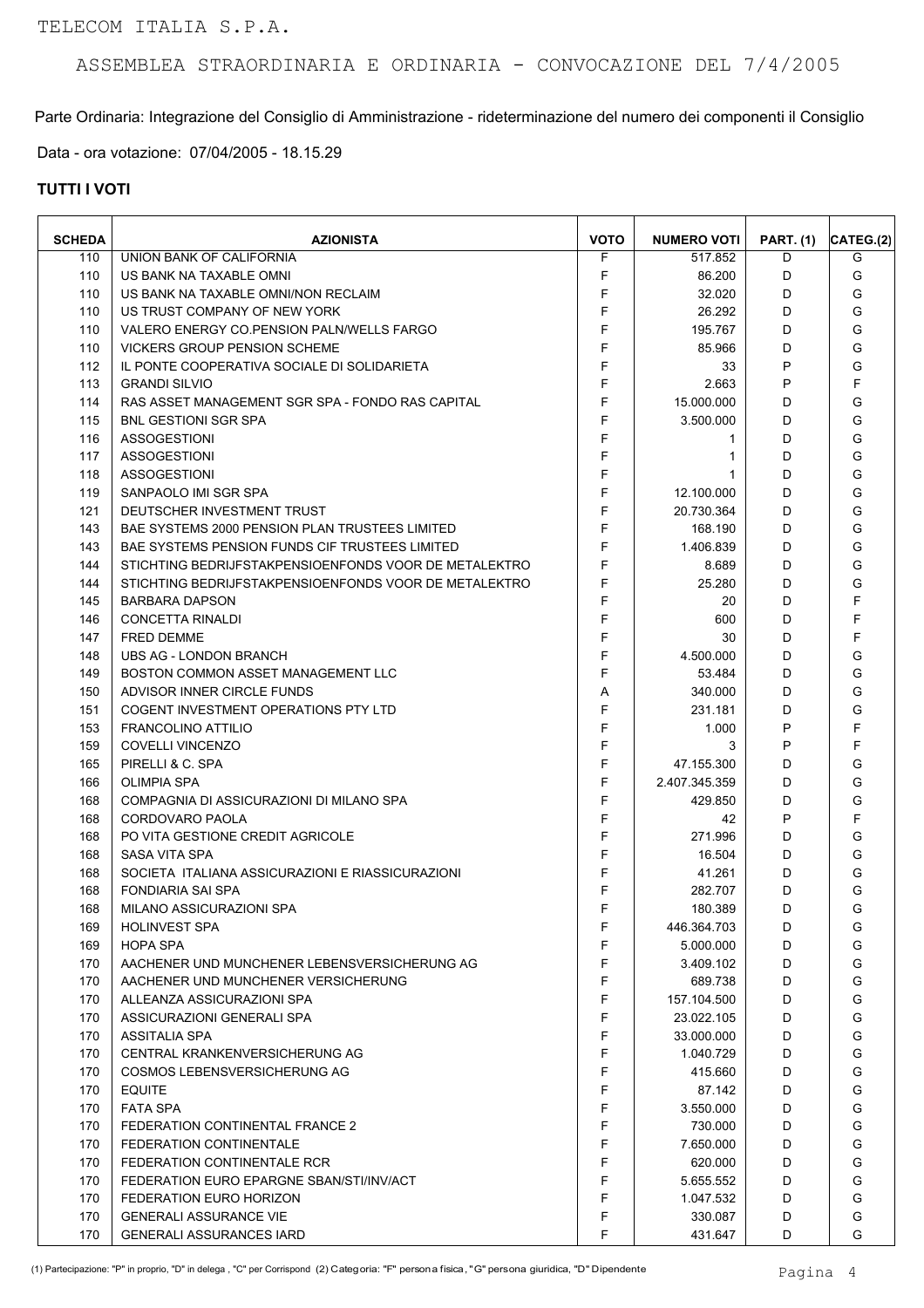Parte Ordinaria: Integrazione del Consiglio di Amministrazione - rideterminazione del numero dei componenti il Consiglio

Data - ora votazione: 07/04/2005 - 18.15.29

| <b>SCHEDA</b> | <b>AZIONISTA</b>                                      | <b>VOTO</b> | <b>NUMERO VOTI</b> | <b>PART. (1)</b> | CATEG.(2) |
|---------------|-------------------------------------------------------|-------------|--------------------|------------------|-----------|
| 110           | UNION BANK OF CALIFORNIA                              | F           | 517.852            | D                | G         |
| 110           | US BANK NA TAXABLE OMNI                               | F           | 86.200             | D                | G         |
| 110           | US BANK NA TAXABLE OMNI/NON RECLAIM                   | F           | 32.020             | D                | G         |
| 110           | US TRUST COMPANY OF NEW YORK                          | F           | 26.292             | D                | G         |
| 110           | VALERO ENERGY CO.PENSION PALN/WELLS FARGO             | F           | 195.767            | D                | G         |
| 110           | VICKERS GROUP PENSION SCHEME                          | F           | 85.966             | D                | G         |
| 112           | IL PONTE COOPERATIVA SOCIALE DI SOLIDARIETA           | F           | 33                 | P                | G         |
| 113           | <b>GRANDI SILVIO</b>                                  | F           | 2.663              | P                | F         |
| 114           | RAS ASSET MANAGEMENT SGR SPA - FONDO RAS CAPITAL      | F           | 15.000.000         | D                | G         |
| 115           | <b>BNL GESTIONI SGR SPA</b>                           | F           | 3.500.000          | D                | G         |
| 116           | <b>ASSOGESTIONI</b>                                   | F           | 1                  | D                | G         |
| 117           | <b>ASSOGESTIONI</b>                                   | F           | 1                  | D                | G         |
| 118           | <b>ASSOGESTIONI</b>                                   | F           | 1                  | D                | G         |
| 119           | SANPAOLO IMI SGR SPA                                  | F           | 12.100.000         | D                | G         |
| 121           | DEUTSCHER INVESTMENT TRUST                            | F           | 20.730.364         | D                | G         |
| 143           | BAE SYSTEMS 2000 PENSION PLAN TRUSTEES LIMITED        | F           | 168.190            | D                | G         |
| 143           | BAE SYSTEMS PENSION FUNDS CIF TRUSTEES LIMITED        | F           | 1.406.839          | D                | G         |
| 144           | STICHTING BEDRIJFSTAKPENSIOENFONDS VOOR DE METALEKTRO | F           | 8.689              | D                | G         |
| 144           | STICHTING BEDRIJFSTAKPENSIOENFONDS VOOR DE METALEKTRO | F           | 25.280             | D                | G         |
| 145           | <b>BARBARA DAPSON</b>                                 | F           | 20                 | D                | F         |
| 146           | <b>CONCETTA RINALDI</b>                               | F           | 600                | D                | F         |
| 147           | <b>FRED DEMME</b>                                     | F           | 30                 | D                | F         |
| 148           | UBS AG - LONDON BRANCH                                | F           | 4.500.000          | D                | G         |
| 149           | <b>BOSTON COMMON ASSET MANAGEMENT LLC</b>             | F           | 53.484             | D                | G         |
| 150           | ADVISOR INNER CIRCLE FUNDS                            | A           | 340.000            | D                | G         |
| 151           | COGENT INVESTMENT OPERATIONS PTY LTD                  | F           | 231.181            | D                | G         |
| 153           | <b>FRANCOLINO ATTILIO</b>                             | F           | 1.000              | P                | F         |
| 159           | <b>COVELLI VINCENZO</b>                               | F           | 3                  | P                | F         |
| 165           | PIRELLI & C. SPA                                      | F           | 47.155.300         | D                | G         |
| 166           | <b>OLIMPIA SPA</b>                                    | F           | 2.407.345.359      | D                | G         |
|               |                                                       | F           |                    | D                | G         |
| 168           | COMPAGNIA DI ASSICURAZIONI DI MILANO SPA              | F           | 429.850            | P                | F         |
| 168           | CORDOVARO PAOLA<br>PO VITA GESTIONE CREDIT AGRICOLE   | F           | 42                 | D                |           |
| 168           | SASA VITA SPA                                         | F           | 271.996            | D                | G<br>G    |
| 168           |                                                       | F           | 16.504             |                  |           |
| 168           | SOCIETA ITALIANA ASSICURAZIONI E RIASSICURAZIONI      |             | 41.261             | D                | G         |
| 168           | FONDIARIA SAI SPA                                     | F           | 282.707            | D                | G         |
| 168           | MILANO ASSICURAZIONI SPA                              | F           | 180.389            | D                | G         |
| 169           | <b>HOLINVEST SPA</b>                                  | F           | 446.364.703        | D                | G         |
| 169           | <b>HOPA SPA</b>                                       | F           | 5.000.000          | D                | G         |
| 170           | AACHENER UND MUNCHENER LEBENSVERSICHERUNG AG          | F           | 3.409.102          | D                | G         |
| 170           | AACHENER UND MUNCHENER VERSICHERUNG                   | F           | 689.738            | D                | G         |
| 170           | ALLEANZA ASSICURAZIONI SPA                            | F           | 157.104.500        | D                | G         |
| 170           | ASSICURAZIONI GENERALI SPA                            | F           | 23.022.105         | D                | G         |
| 170           | <b>ASSITALIA SPA</b>                                  | F           | 33.000.000         | D                | G         |
| 170           | CENTRAL KRANKENVERSICHERUNG AG                        | F           | 1.040.729          | D                | G         |
| 170           | COSMOS LEBENSVERSICHERUNG AG                          | F           | 415.660            | D                | G         |
| 170           | <b>EQUITE</b>                                         | F           | 87.142             | D                | G         |
| 170           | <b>FATA SPA</b>                                       | F           | 3.550.000          | D                | G         |
| 170           | FEDERATION CONTINENTAL FRANCE 2                       | F           | 730.000            | D                | G         |
| 170           | FEDERATION CONTINENTALE                               | F           | 7.650.000          | D                | G         |
| 170           | FEDERATION CONTINENTALE RCR                           | F           | 620.000            | D                | G         |
| 170           | FEDERATION EURO EPARGNE SBAN/STI/INV/ACT              | F           | 5.655.552          | D                | G         |
| 170           | FEDERATION EURO HORIZON                               | F           | 1.047.532          | D                | G         |
| 170           | <b>GENERALI ASSURANCE VIE</b>                         | F           | 330.087            | D                | G         |
| 170           | <b>GENERALI ASSURANCES IARD</b>                       | F           | 431.647            | D                | G         |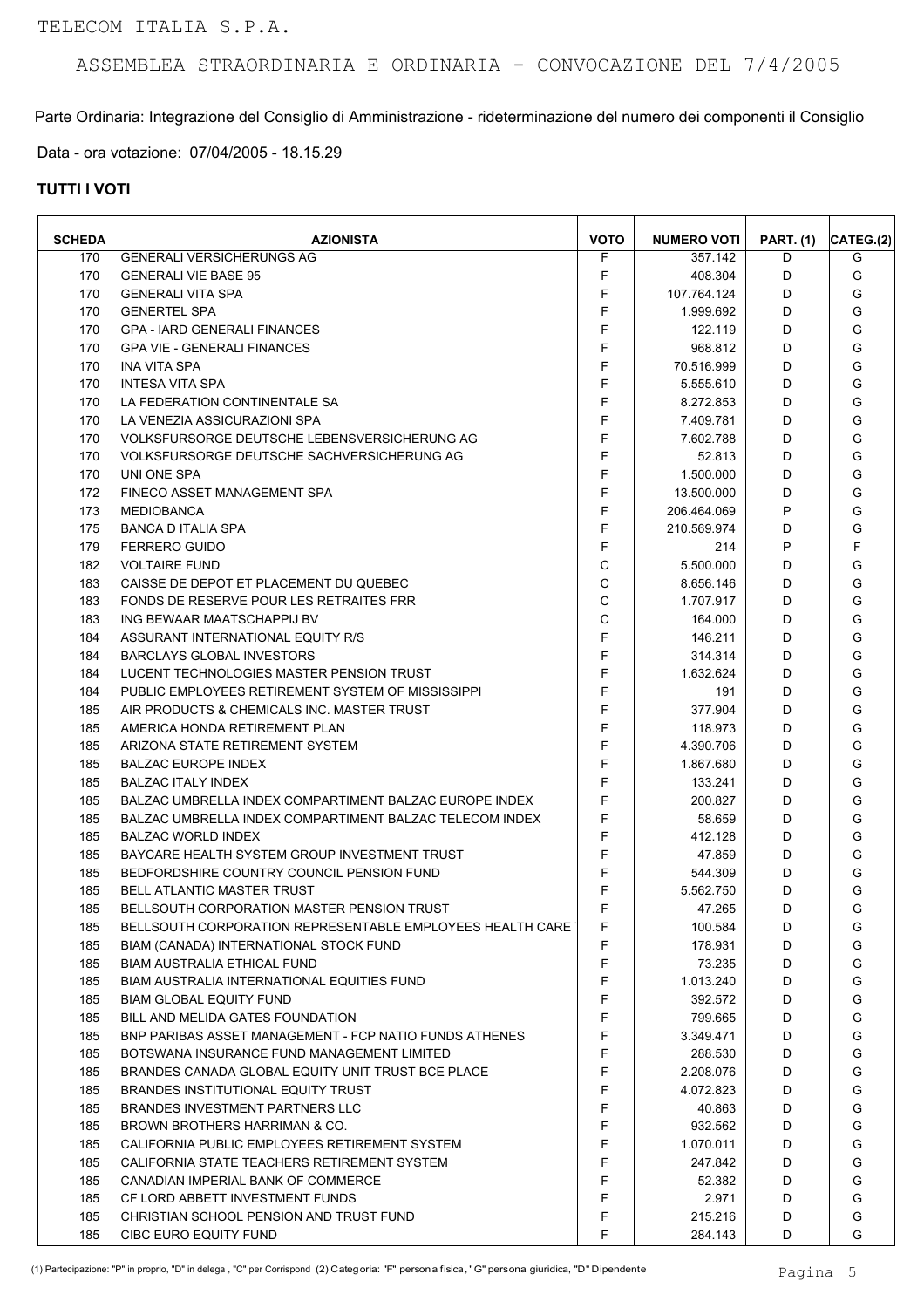Parte Ordinaria: Integrazione del Consiglio di Amministrazione - rideterminazione del numero dei componenti il Consiglio

Data - ora votazione: 07/04/2005 - 18.15.29

| <b>SCHEDA</b> | <b>AZIONISTA</b>                                              | <b>VOTO</b> | <b>NUMERO VOTI</b> | <b>PART. (1)</b> | CATEG.(2) |
|---------------|---------------------------------------------------------------|-------------|--------------------|------------------|-----------|
| 170           | <b>GENERALI VERSICHERUNGS AG</b>                              | F           | 357.142            | D                | G         |
| 170           | <b>GENERALI VIE BASE 95</b>                                   | F           | 408.304            | D                | G         |
| 170           | <b>GENERALI VITA SPA</b>                                      | F           | 107.764.124        | D                | G         |
| 170           | <b>GENERTEL SPA</b>                                           | F           | 1.999.692          | D                | G         |
| 170           | <b>GPA - IARD GENERALI FINANCES</b>                           | F           | 122.119            | D                | G         |
| 170           | <b>GPA VIE - GENERALI FINANCES</b>                            | F           | 968.812            | D                | G         |
| 170           | <b>INA VITA SPA</b>                                           | F           | 70.516.999         | D                | G         |
| 170           | <b>INTESA VITA SPA</b>                                        | F           | 5.555.610          | D                | G         |
| 170           | LA FEDERATION CONTINENTALE SA                                 | F           | 8.272.853          | D                | G         |
| 170           | LA VENEZIA ASSICURAZIONI SPA                                  | F           | 7.409.781          | D                | G         |
| 170           | VOLKSFURSORGE DEUTSCHE LEBENSVERSICHERUNG AG                  | F           | 7.602.788          | D                | G         |
| 170           | VOLKSFURSORGE DEUTSCHE SACHVERSICHERUNG AG                    | F           | 52.813             | D                | G         |
| 170           | UNI ONE SPA                                                   | F           | 1.500.000          | D                | G         |
| 172           | FINECO ASSET MANAGEMENT SPA                                   | F           | 13.500.000         | D                | G         |
| 173           | <b>MEDIOBANCA</b>                                             | F           | 206.464.069        | P                | G         |
| 175           | <b>BANCA D ITALIA SPA</b>                                     | F           | 210.569.974        | D                | G         |
| 179           | <b>FERRERO GUIDO</b>                                          | F           | 214                | P                | F         |
| 182           | <b>VOLTAIRE FUND</b>                                          | $\mathsf C$ | 5.500.000          | D                | G         |
| 183           | CAISSE DE DEPOT ET PLACEMENT DU QUEBEC                        | C           | 8.656.146          | D                | G         |
| 183           | FONDS DE RESERVE POUR LES RETRAITES FRR                       | C           | 1.707.917          | D                | G         |
|               | ING BEWAAR MAATSCHAPPIJ BV                                    | C           |                    | D                | G         |
| 183<br>184    |                                                               | F           | 164.000            | D                | G         |
|               | ASSURANT INTERNATIONAL EQUITY R/S                             | F           | 146.211            |                  |           |
| 184           | <b>BARCLAYS GLOBAL INVESTORS</b>                              |             | 314.314            | D                | G         |
| 184           | LUCENT TECHNOLOGIES MASTER PENSION TRUST                      | F           | 1.632.624          | D                | G         |
| 184           | PUBLIC EMPLOYEES RETIREMENT SYSTEM OF MISSISSIPPI             | F           | 191                | D                | G         |
| 185           | AIR PRODUCTS & CHEMICALS INC. MASTER TRUST                    | F           | 377.904            | D                | G         |
| 185           | AMERICA HONDA RETIREMENT PLAN                                 | F           | 118.973            | D                | G         |
| 185           | ARIZONA STATE RETIREMENT SYSTEM                               | F           | 4.390.706          | D                | G         |
| 185           | <b>BALZAC EUROPE INDEX</b>                                    | $\mathsf F$ | 1.867.680          | D                | G         |
| 185           | <b>BALZAC ITALY INDEX</b>                                     | F           | 133.241            | D                | G         |
| 185           | BALZAC UMBRELLA INDEX COMPARTIMENT BALZAC EUROPE INDEX        | F           | 200.827            | D                | G         |
| 185           | BALZAC UMBRELLA INDEX COMPARTIMENT BALZAC TELECOM INDEX       | F           | 58.659             | D                | G         |
| 185           | <b>BALZAC WORLD INDEX</b>                                     | F           | 412.128            | D                | G         |
| 185           | BAYCARE HEALTH SYSTEM GROUP INVESTMENT TRUST                  | F           | 47.859             | D                | G         |
| 185           | BEDFORDSHIRE COUNTRY COUNCIL PENSION FUND                     | F           | 544.309            | D                | G         |
| 185           | <b>BELL ATLANTIC MASTER TRUST</b>                             | F           | 5.562.750          | D                | G         |
| 185           | BELLSOUTH CORPORATION MASTER PENSION TRUST                    | F           | 47.265             | D                | G         |
| 185           | BELLSOUTH CORPORATION REPRESENTABLE EMPLOYEES HEALTH CARE     | F           | 100.584            | D                | G         |
| 185           | BIAM (CANADA) INTERNATIONAL STOCK FUND                        | F           | 178.931            | D                | G         |
| 185           | <b>BIAM AUSTRALIA ETHICAL FUND</b>                            | F           | 73.235             | D                | G         |
| 185           | <b>BIAM AUSTRALIA INTERNATIONAL EQUITIES FUND</b>             | F           | 1.013.240          | D                | G         |
| 185           | <b>BIAM GLOBAL EQUITY FUND</b>                                | F           | 392.572            | D                | G         |
| 185           | BILL AND MELIDA GATES FOUNDATION                              | F           | 799.665            | D                | G         |
| 185           | <b>BNP PARIBAS ASSET MANAGEMENT - FCP NATIO FUNDS ATHENES</b> | F           | 3.349.471          | D                | G         |
| 185           | BOTSWANA INSURANCE FUND MANAGEMENT LIMITED                    | F           | 288.530            | D                | G         |
| 185           | BRANDES CANADA GLOBAL EQUITY UNIT TRUST BCE PLACE             | F           | 2.208.076          | D                | G         |
| 185           | BRANDES INSTITUTIONAL EQUITY TRUST                            | F           | 4.072.823          | D                | G         |
| 185           | BRANDES INVESTMENT PARTNERS LLC                               | F           | 40.863             | D                | G         |
| 185           | BROWN BROTHERS HARRIMAN & CO.                                 | F           | 932.562            | D                | G         |
| 185           | CALIFORNIA PUBLIC EMPLOYEES RETIREMENT SYSTEM                 | F           | 1.070.011          | D                | G         |
| 185           | CALIFORNIA STATE TEACHERS RETIREMENT SYSTEM                   | F           | 247.842            | D                | G         |
| 185           | CANADIAN IMPERIAL BANK OF COMMERCE                            | F           | 52.382             | D                | G         |
| 185           | CF LORD ABBETT INVESTMENT FUNDS                               | F           | 2.971              | D                | G         |
| 185           | CHRISTIAN SCHOOL PENSION AND TRUST FUND                       | F           | 215.216            | D                | G         |
| 185           | CIBC EURO EQUITY FUND                                         | F           | 284.143            | D                | G         |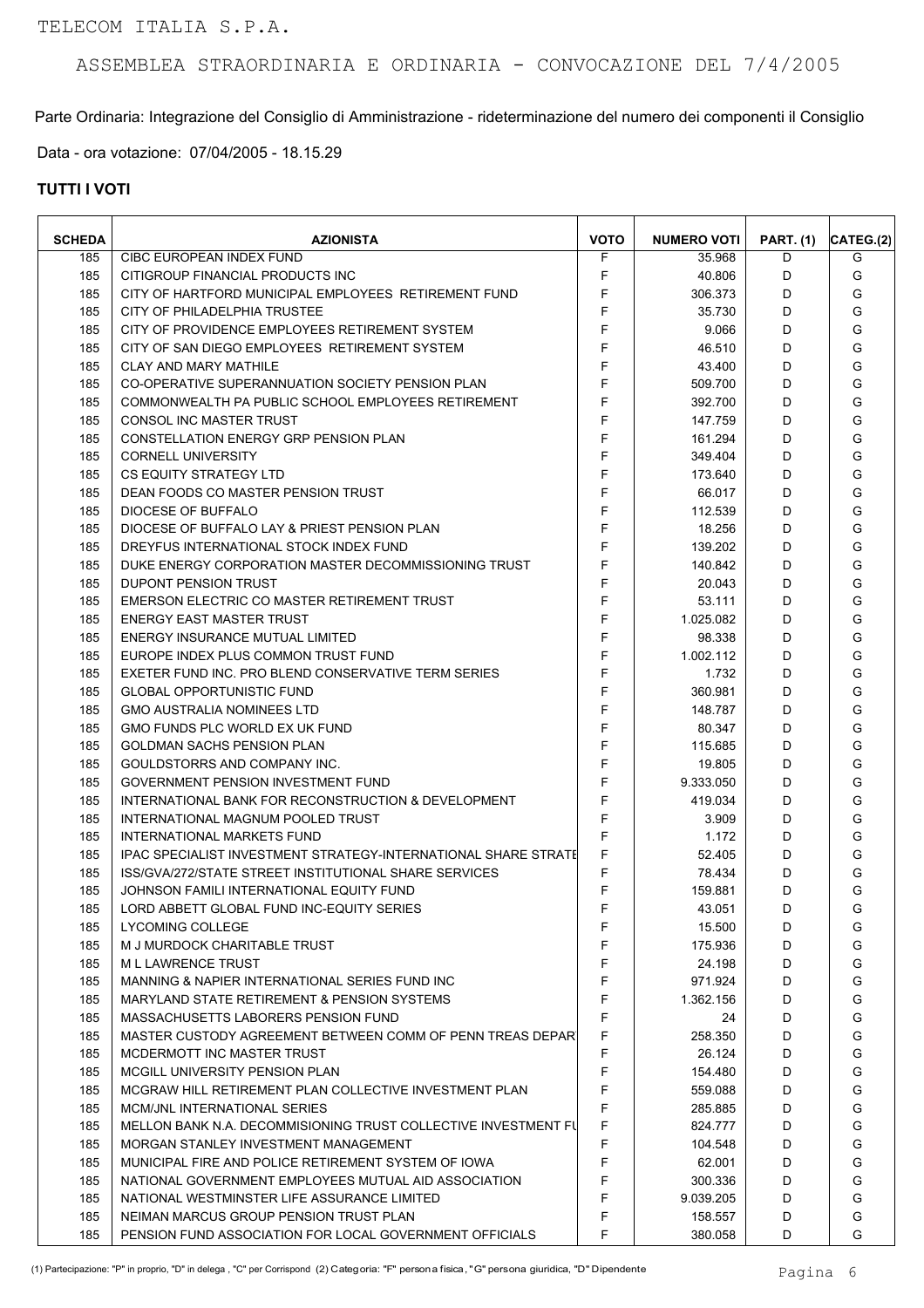Parte Ordinaria: Integrazione del Consiglio di Amministrazione - rideterminazione del numero dei componenti il Consiglio

Data - ora votazione: 07/04/2005 - 18.15.29

| <b>SCHEDA</b> | <b>AZIONISTA</b>                                                      | <b>VOTO</b> | <b>NUMERO VOTI</b> | <b>PART. (1)</b> | CATEG.(2) |
|---------------|-----------------------------------------------------------------------|-------------|--------------------|------------------|-----------|
| 185           | CIBC EUROPEAN INDEX FUND                                              | F           | 35.968             | D                | G         |
| 185           | CITIGROUP FINANCIAL PRODUCTS INC                                      | F           | 40.806             | D                | G         |
| 185           | CITY OF HARTFORD MUNICIPAL EMPLOYEES RETIREMENT FUND                  | F           | 306.373            | D                | G         |
| 185           | CITY OF PHILADELPHIA TRUSTEE                                          | F           | 35.730             | D                | G         |
| 185           | CITY OF PROVIDENCE EMPLOYEES RETIREMENT SYSTEM                        | F           | 9.066              | D                | G         |
| 185           | CITY OF SAN DIEGO EMPLOYEES RETIREMENT SYSTEM                         | F           | 46.510             | D                | G         |
| 185           | <b>CLAY AND MARY MATHILE</b>                                          | F           | 43.400             | D                | G         |
| 185           | CO-OPERATIVE SUPERANNUATION SOCIETY PENSION PLAN                      | F           | 509.700            | D                | G         |
| 185           | COMMONWEALTH PA PUBLIC SCHOOL EMPLOYEES RETIREMENT                    | F           | 392.700            | D                | G         |
| 185           | CONSOL INC MASTER TRUST                                               | F           | 147.759            | D                | G         |
| 185           | <b>CONSTELLATION ENERGY GRP PENSION PLAN</b>                          | F           | 161.294            | D                | G         |
| 185           | <b>CORNELL UNIVERSITY</b>                                             | F           | 349.404            | D                | G         |
| 185           | <b>CS EQUITY STRATEGY LTD</b>                                         | F           | 173.640            | D                | G         |
| 185           | DEAN FOODS CO MASTER PENSION TRUST                                    | F           | 66.017             | D                | G         |
| 185           | DIOCESE OF BUFFALO                                                    | F           | 112.539            | D                | G         |
| 185           | DIOCESE OF BUFFALO LAY & PRIEST PENSION PLAN                          | F           | 18.256             | D                | G         |
| 185           | DREYFUS INTERNATIONAL STOCK INDEX FUND                                | F           | 139.202            | D                | G         |
| 185           | DUKE ENERGY CORPORATION MASTER DECOMMISSIONING TRUST                  | F           | 140.842            | D                | G         |
| 185           | DUPONT PENSION TRUST                                                  | F           | 20.043             | D                | G         |
| 185           | EMERSON ELECTRIC CO MASTER RETIREMENT TRUST                           | F           | 53.111             | D                | G         |
| 185           | <b>ENERGY EAST MASTER TRUST</b>                                       | F           | 1.025.082          | D                | G         |
| 185           | ENERGY INSURANCE MUTUAL LIMITED                                       | F           | 98.338             | D                | G         |
| 185           | EUROPE INDEX PLUS COMMON TRUST FUND                                   | F           | 1.002.112          | D                | G         |
| 185           | EXETER FUND INC. PRO BLEND CONSERVATIVE TERM SERIES                   | F           | 1.732              | D                | G         |
| 185           | <b>GLOBAL OPPORTUNISTIC FUND</b>                                      | F           | 360.981            | D                | G         |
| 185           | <b>GMO AUSTRALIA NOMINEES LTD</b>                                     | F           | 148.787            | D                | G         |
|               |                                                                       | F           |                    | D                | G         |
| 185           | GMO FUNDS PLC WORLD EX UK FUND                                        | F           | 80.347             |                  | G         |
| 185           | <b>GOLDMAN SACHS PENSION PLAN</b>                                     | F           | 115.685            | D                | G         |
| 185           | GOULDSTORRS AND COMPANY INC.                                          | F           | 19.805             | D                |           |
| 185           | GOVERNMENT PENSION INVESTMENT FUND                                    | F           | 9.333.050          | D                | G         |
| 185           | INTERNATIONAL BANK FOR RECONSTRUCTION & DEVELOPMENT                   |             | 419.034            | D                | G         |
| 185           | INTERNATIONAL MAGNUM POOLED TRUST                                     | F           | 3.909              | D                | G         |
| 185           | <b>INTERNATIONAL MARKETS FUND</b>                                     | F           | 1.172              | D                | G         |
| 185           | <b>IPAC SPECIALIST INVESTMENT STRATEGY-INTERNATIONAL SHARE STRATE</b> | F           | 52.405             | D                | G         |
| 185           | ISS/GVA/272/STATE STREET INSTITUTIONAL SHARE SERVICES                 | F           | 78.434             | D                | G         |
| 185           | JOHNSON FAMILI INTERNATIONAL EQUITY FUND                              | F           | 159.881            | D                | G         |
| 185           | LORD ABBETT GLOBAL FUND INC-EQUITY SERIES                             | F           | 43.051             | D                | G         |
| 185           | LYCOMING COLLEGE                                                      | F           | 15.500             | D                | G         |
| 185           | M J MURDOCK CHARITABLE TRUST                                          | F           | 175.936            | D                | G         |
| 185           | <b>ML LAWRENCE TRUST</b>                                              | F           | 24.198             | D                | G         |
| 185           | MANNING & NAPIER INTERNATIONAL SERIES FUND INC                        | F           | 971.924            | D                | G         |
| 185           | MARYLAND STATE RETIREMENT & PENSION SYSTEMS                           | F           | 1.362.156          | D                | G         |
| 185           | MASSACHUSETTS LABORERS PENSION FUND                                   | F           | 24                 | D                | G         |
| 185           | MASTER CUSTODY AGREEMENT BETWEEN COMM OF PENN TREAS DEPAR             | F           | 258.350            | D                | G         |
| 185           | MCDERMOTT INC MASTER TRUST                                            | F           | 26.124             | D                | G         |
| 185           | MCGILL UNIVERSITY PENSION PLAN                                        | F           | 154.480            | D                | G         |
| 185           | MCGRAW HILL RETIREMENT PLAN COLLECTIVE INVESTMENT PLAN                | F           | 559.088            | D                | G         |
| 185           | MCM/JNL INTERNATIONAL SERIES                                          | F           | 285.885            | D                | G         |
| 185           | MELLON BANK N.A. DECOMMISIONING TRUST COLLECTIVE INVESTMENT FU        | F           | 824.777            | D                | G         |
| 185           | MORGAN STANLEY INVESTMENT MANAGEMENT                                  | F           | 104.548            | D                | G         |
| 185           | MUNICIPAL FIRE AND POLICE RETIREMENT SYSTEM OF IOWA                   | F           | 62.001             | D                | G         |
| 185           | NATIONAL GOVERNMENT EMPLOYEES MUTUAL AID ASSOCIATION                  | F           | 300.336            | D                | G         |
| 185           | NATIONAL WESTMINSTER LIFE ASSURANCE LIMITED                           | F           | 9.039.205          | D                | G         |
| 185           | NEIMAN MARCUS GROUP PENSION TRUST PLAN                                | F           | 158.557            | D                | G         |
| 185           | PENSION FUND ASSOCIATION FOR LOCAL GOVERNMENT OFFICIALS               | F           | 380.058            | D                | G         |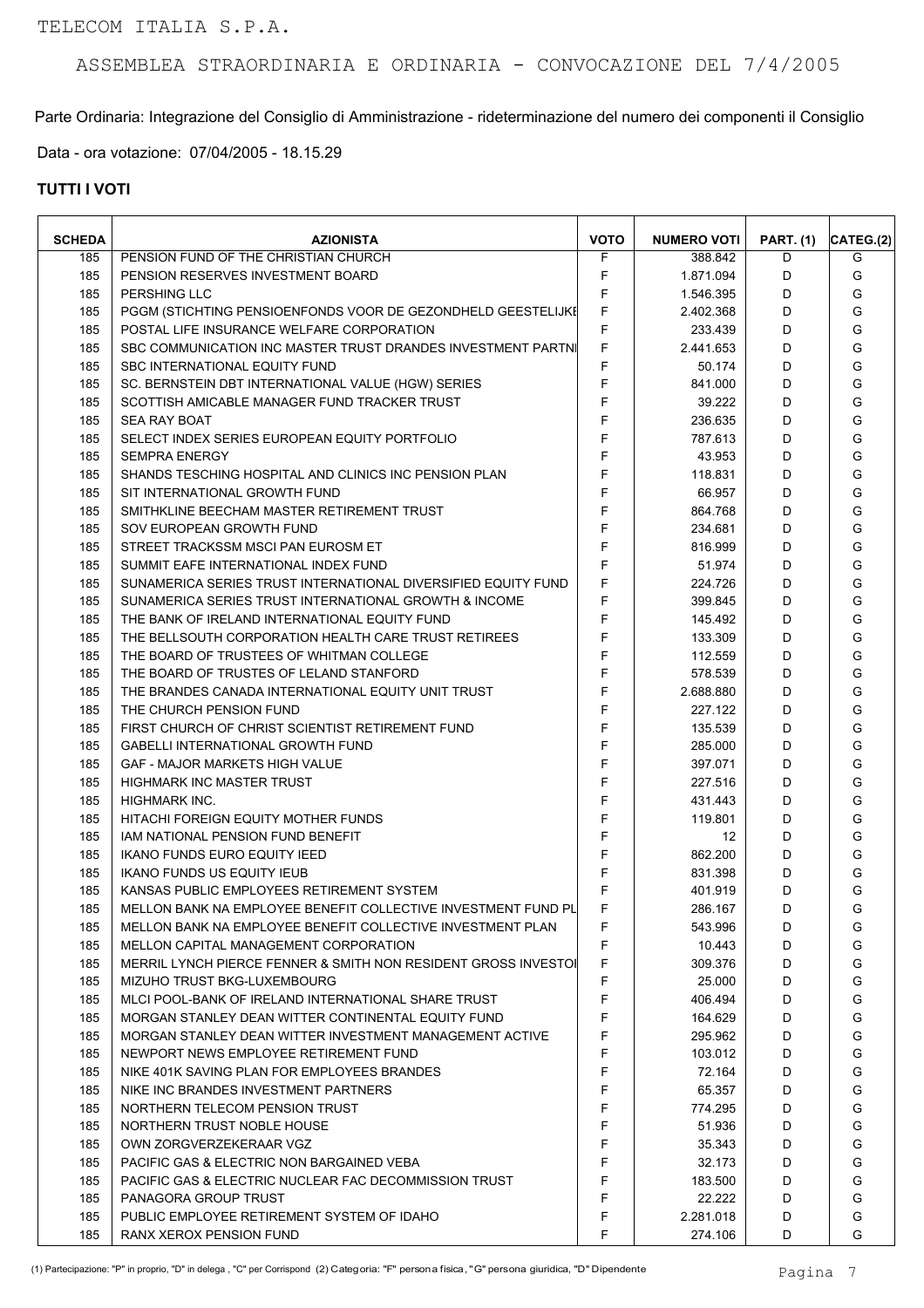Parte Ordinaria: Integrazione del Consiglio di Amministrazione - rideterminazione del numero dei componenti il Consiglio

Data - ora votazione: 07/04/2005 - 18.15.29

| <b>SCHEDA</b> | <b>AZIONISTA</b>                                               | <b>VOTO</b> | <b>NUMERO VOTI</b> | <b>PART.</b> (1) | CATEG.(2) |
|---------------|----------------------------------------------------------------|-------------|--------------------|------------------|-----------|
| 185           | PENSION FUND OF THE CHRISTIAN CHURCH                           | F           | 388.842            | D                | G         |
| 185           | PENSION RESERVES INVESTMENT BOARD                              | F           | 1.871.094          | D                | G         |
| 185           | <b>PERSHING LLC</b>                                            | F           | 1.546.395          | D                | G         |
| 185           | PGGM (STICHTING PENSIOENFONDS VOOR DE GEZONDHELD GEESTELIJKE   | F           | 2.402.368          | D                | G         |
| 185           | POSTAL LIFE INSURANCE WELFARE CORPORATION                      | F           | 233.439            | D                | G         |
| 185           | SBC COMMUNICATION INC MASTER TRUST DRANDES INVESTMENT PARTNI   | F           | 2.441.653          | D                | G         |
| 185           | SBC INTERNATIONAL EQUITY FUND                                  | F           | 50.174             | D                | G         |
| 185           | SC. BERNSTEIN DBT INTERNATIONAL VALUE (HGW) SERIES             | F           | 841.000            | D                | G         |
| 185           | SCOTTISH AMICABLE MANAGER FUND TRACKER TRUST                   | F           | 39.222             | D                | G         |
| 185           | <b>SEA RAY BOAT</b>                                            | F           | 236.635            | D                | G         |
| 185           | SELECT INDEX SERIES EUROPEAN EQUITY PORTFOLIO                  | F           | 787.613            | D                | G         |
| 185           | <b>SEMPRA ENERGY</b>                                           | F           | 43.953             | D                | G         |
| 185           | SHANDS TESCHING HOSPITAL AND CLINICS INC PENSION PLAN          | F           | 118.831            | D                | G         |
| 185           | SIT INTERNATIONAL GROWTH FUND                                  | F           | 66.957             | D                | G         |
| 185           | SMITHKLINE BEECHAM MASTER RETIREMENT TRUST                     | F           | 864.768            | D                | G         |
| 185           | SOV EUROPEAN GROWTH FUND                                       | F           | 234.681            | D                | G         |
| 185           | STREET TRACKSSM MSCI PAN EUROSM ET                             | F           | 816.999            | D                | G         |
| 185           | SUMMIT EAFE INTERNATIONAL INDEX FUND                           | F           | 51.974             | D                | G         |
| 185           | SUNAMERICA SERIES TRUST INTERNATIONAL DIVERSIFIED EQUITY FUND  | F           | 224.726            | D                | G         |
| 185           | SUNAMERICA SERIES TRUST INTERNATIONAL GROWTH & INCOME          | F           | 399.845            | D                | G         |
| 185           | THE BANK OF IRELAND INTERNATIONAL EQUITY FUND                  | F           | 145.492            | D                | G         |
| 185           | THE BELLSOUTH CORPORATION HEALTH CARE TRUST RETIREES           | F           | 133.309            | D                | G         |
| 185           | THE BOARD OF TRUSTEES OF WHITMAN COLLEGE                       | F           |                    | D                | G         |
|               |                                                                | F           | 112.559            | D                |           |
| 185           | THE BOARD OF TRUSTES OF LELAND STANFORD                        | F           | 578.539            |                  | G         |
| 185           | THE BRANDES CANADA INTERNATIONAL EQUITY UNIT TRUST             | F           | 2.688.880          | D                | G         |
| 185           | THE CHURCH PENSION FUND                                        |             | 227.122            | D                | G         |
| 185           | FIRST CHURCH OF CHRIST SCIENTIST RETIREMENT FUND               | F           | 135.539            | D                | G         |
| 185           | <b>GABELLI INTERNATIONAL GROWTH FUND</b>                       | F           | 285.000            | D                | G         |
| 185           | <b>GAF - MAJOR MARKETS HIGH VALUE</b>                          | F           | 397.071            | D                | G         |
| 185           | HIGHMARK INC MASTER TRUST                                      | F           | 227.516            | D                | G         |
| 185           | <b>HIGHMARK INC.</b>                                           | F           | 431.443            | D                | G         |
| 185           | HITACHI FOREIGN EQUITY MOTHER FUNDS                            | F           | 119.801            | D                | G         |
| 185           | IAM NATIONAL PENSION FUND BENEFIT                              | F           | 12                 | D                | G         |
| 185           | <b>IKANO FUNDS EURO EQUITY IEED</b>                            | F           | 862.200            | D                | G         |
| 185           | <b>IKANO FUNDS US EQUITY IEUB</b>                              | F           | 831.398            | D                | G         |
| 185           | KANSAS PUBLIC EMPLOYEES RETIREMENT SYSTEM                      | F           | 401.919            | D                | G         |
| 185           | MELLON BANK NA EMPLOYEE BENEFIT COLLECTIVE INVESTMENT FUND PL  | F           | 286.167            | D                | G         |
| 185           | MELLON BANK NA EMPLOYEE BENEFIT COLLECTIVE INVESTMENT PLAN     | F           | 543.996            | D                | G         |
| 185           | MELLON CAPITAL MANAGEMENT CORPORATION                          | F           | 10.443             | D                | G         |
| 185           | MERRIL LYNCH PIERCE FENNER & SMITH NON RESIDENT GROSS INVESTOI | F           | 309.376            | D                | G         |
| 185           | MIZUHO TRUST BKG-LUXEMBOURG                                    | F           | 25.000             | D                | G         |
| 185           | MLCI POOL-BANK OF IRELAND INTERNATIONAL SHARE TRUST            | F           | 406.494            | D                | G         |
| 185           | MORGAN STANLEY DEAN WITTER CONTINENTAL EQUITY FUND             | F           | 164.629            | D                | G         |
| 185           | MORGAN STANLEY DEAN WITTER INVESTMENT MANAGEMENT ACTIVE        | F           | 295.962            | D                | G         |
| 185           | NEWPORT NEWS EMPLOYEE RETIREMENT FUND                          | F           | 103.012            | D                | G         |
| 185           | NIKE 401K SAVING PLAN FOR EMPLOYEES BRANDES                    | F           | 72.164             | D                | G         |
| 185           | NIKE INC BRANDES INVESTMENT PARTNERS                           | F           | 65.357             | D                | G         |
| 185           | NORTHERN TELECOM PENSION TRUST                                 | F           | 774.295            | D                | G         |
| 185           | NORTHERN TRUST NOBLE HOUSE                                     | F           | 51.936             | D                | G         |
| 185           | OWN ZORGVERZEKERAAR VGZ                                        | F           | 35.343             | D                | G         |
| 185           | PACIFIC GAS & ELECTRIC NON BARGAINED VEBA                      | F           | 32.173             | D                | G         |
| 185           | PACIFIC GAS & ELECTRIC NUCLEAR FAC DECOMMISSION TRUST          | F           | 183.500            | D                | G         |
| 185           | PANAGORA GROUP TRUST                                           | F           | 22.222             | D                | G         |
| 185           | PUBLIC EMPLOYEE RETIREMENT SYSTEM OF IDAHO                     | F           | 2.281.018          | D                | G         |
| 185           | RANX XEROX PENSION FUND                                        | F           | 274.106            | D                | G         |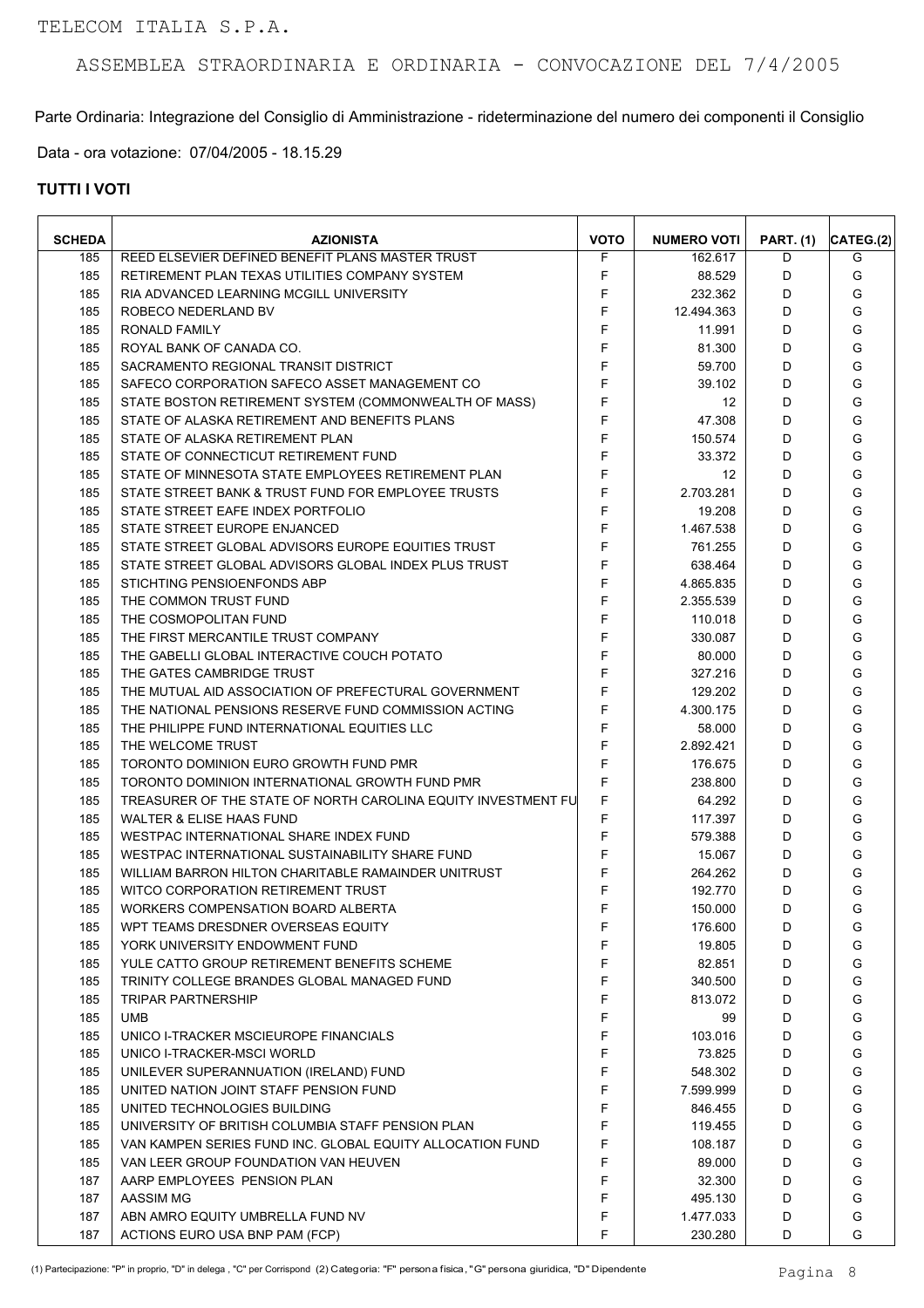Parte Ordinaria: Integrazione del Consiglio di Amministrazione - rideterminazione del numero dei componenti il Consiglio

Data - ora votazione: 07/04/2005 - 18.15.29

| <b>SCHEDA</b> | <b>AZIONISTA</b>                                              | <b>VOTO</b> | <b>NUMERO VOTI</b> | <b>PART. (1)</b> | CATEG.(2) |
|---------------|---------------------------------------------------------------|-------------|--------------------|------------------|-----------|
| 185           | REED ELSEVIER DEFINED BENEFIT PLANS MASTER TRUST              | F           | 162.617            | D                | G         |
| 185           | RETIREMENT PLAN TEXAS UTILITIES COMPANY SYSTEM                | F           | 88.529             | D                | G         |
| 185           | RIA ADVANCED LEARNING MCGILL UNIVERSITY                       | F           | 232.362            | D                | G         |
| 185           | ROBECO NEDERLAND BV                                           | F           | 12.494.363         | D                | G         |
| 185           | RONALD FAMILY                                                 | F           | 11.991             | D                | G         |
| 185           | ROYAL BANK OF CANADA CO.                                      | F           | 81.300             | D                | G         |
| 185           | SACRAMENTO REGIONAL TRANSIT DISTRICT                          | F           | 59.700             | D                | G         |
| 185           | SAFECO CORPORATION SAFECO ASSET MANAGEMENT CO                 | F           | 39.102             | D                | G         |
| 185           | STATE BOSTON RETIREMENT SYSTEM (COMMONWEALTH OF MASS)         | F           | 12                 | D                | G         |
| 185           | STATE OF ALASKA RETIREMENT AND BENEFITS PLANS                 | F           | 47.308             | D                | G         |
| 185           | STATE OF ALASKA RETIREMENT PLAN                               | F           | 150.574            | D                | G         |
| 185           | STATE OF CONNECTICUT RETIREMENT FUND                          | F           | 33.372             | D                | G         |
| 185           | STATE OF MINNESOTA STATE EMPLOYEES RETIREMENT PLAN            | F           | 12                 | D                | G         |
| 185           | STATE STREET BANK & TRUST FUND FOR EMPLOYEE TRUSTS            | F           | 2.703.281          | D                | G         |
| 185           | STATE STREET EAFE INDEX PORTFOLIO                             | F           | 19.208             | D                | G         |
| 185           | STATE STREET EUROPE ENJANCED                                  | F           | 1.467.538          | D                | G         |
| 185           | STATE STREET GLOBAL ADVISORS EUROPE EQUITIES TRUST            | F           | 761.255            | D                | G         |
| 185           | STATE STREET GLOBAL ADVISORS GLOBAL INDEX PLUS TRUST          | F           | 638.464            | D                | G         |
| 185           | STICHTING PENSIOENFONDS ABP                                   | F           | 4.865.835          | D                | G         |
| 185           | THE COMMON TRUST FUND                                         | F           | 2.355.539          | D                | G         |
| 185           | THE COSMOPOLITAN FUND                                         | F           | 110.018            | D                | G         |
| 185           |                                                               | F           |                    | D                | G         |
|               | THE FIRST MERCANTILE TRUST COMPANY                            | F           | 330.087            | D                |           |
| 185           | THE GABELLI GLOBAL INTERACTIVE COUCH POTATO                   |             | 80.000             |                  | G         |
| 185           | THE GATES CAMBRIDGE TRUST                                     | F<br>F      | 327.216            | D                | G         |
| 185           | THE MUTUAL AID ASSOCIATION OF PREFECTURAL GOVERNMENT          |             | 129.202            | D                | G         |
| 185           | THE NATIONAL PENSIONS RESERVE FUND COMMISSION ACTING          | F           | 4.300.175          | D                | G         |
| 185           | THE PHILIPPE FUND INTERNATIONAL EQUITIES LLC                  | F           | 58.000             | D                | G         |
| 185           | THE WELCOME TRUST                                             | F           | 2.892.421          | D                | G         |
| 185           | TORONTO DOMINION EURO GROWTH FUND PMR                         | F           | 176.675            | D                | G         |
| 185           | TORONTO DOMINION INTERNATIONAL GROWTH FUND PMR                | F           | 238.800            | D                | G         |
| 185           | TREASURER OF THE STATE OF NORTH CAROLINA EQUITY INVESTMENT FU | F           | 64.292             | D                | G         |
| 185           | WALTER & ELISE HAAS FUND                                      | F           | 117.397            | D                | G         |
| 185           | WESTPAC INTERNATIONAL SHARE INDEX FUND                        | F           | 579.388            | D                | G         |
| 185           | WESTPAC INTERNATIONAL SUSTAINABILITY SHARE FUND               | F           | 15.067             | D                | G         |
| 185           | WILLIAM BARRON HILTON CHARITABLE RAMAINDER UNITRUST           | F           | 264.262            | D                | G         |
| 185           | WITCO CORPORATION RETIREMENT TRUST                            | F           | 192.770            | D                | G         |
| 185           | WORKERS COMPENSATION BOARD ALBERTA                            | F           | 150.000            | D                | G         |
| 185           | WPT TEAMS DRESDNER OVERSEAS EQUITY                            | F           | 176.600            | D                | G         |
| 185           | YORK UNIVERSITY ENDOWMENT FUND                                | F           | 19.805             | D                | G         |
| 185           | YULE CATTO GROUP RETIREMENT BENEFITS SCHEME                   | F           | 82.851             | D                | G         |
| 185           | TRINITY COLLEGE BRANDES GLOBAL MANAGED FUND                   | F           | 340.500            | D                | G         |
| 185           | <b>TRIPAR PARTNERSHIP</b>                                     | F           | 813.072            | D                | G         |
| 185           | <b>UMB</b>                                                    | F           | 99                 | D                | G         |
| 185           | UNICO I-TRACKER MSCIEUROPE FINANCIALS                         | F           | 103.016            | D                | G         |
| 185           | UNICO I-TRACKER-MSCI WORLD                                    | F           | 73.825             | D                | G         |
| 185           | UNILEVER SUPERANNUATION (IRELAND) FUND                        | F           | 548.302            | D                | G         |
| 185           | UNITED NATION JOINT STAFF PENSION FUND                        | F           | 7.599.999          | D                | G         |
| 185           | UNITED TECHNOLOGIES BUILDING                                  | F           | 846.455            | D                | G         |
| 185           | UNIVERSITY OF BRITISH COLUMBIA STAFF PENSION PLAN             | F           | 119.455            | D                | G         |
| 185           | VAN KAMPEN SERIES FUND INC. GLOBAL EQUITY ALLOCATION FUND     | F           | 108.187            | D                | G         |
| 185           | VAN LEER GROUP FOUNDATION VAN HEUVEN                          | F           | 89.000             | D                | G         |
| 187           | AARP EMPLOYEES PENSION PLAN                                   | F           | 32.300             | D                | G         |
| 187           | AASSIM MG                                                     | F           | 495.130            | D                | G         |
| 187           | ABN AMRO EQUITY UMBRELLA FUND NV                              | F           | 1.477.033          | D                | G         |
| 187           | ACTIONS EURO USA BNP PAM (FCP)                                | F           | 230.280            | D                | G         |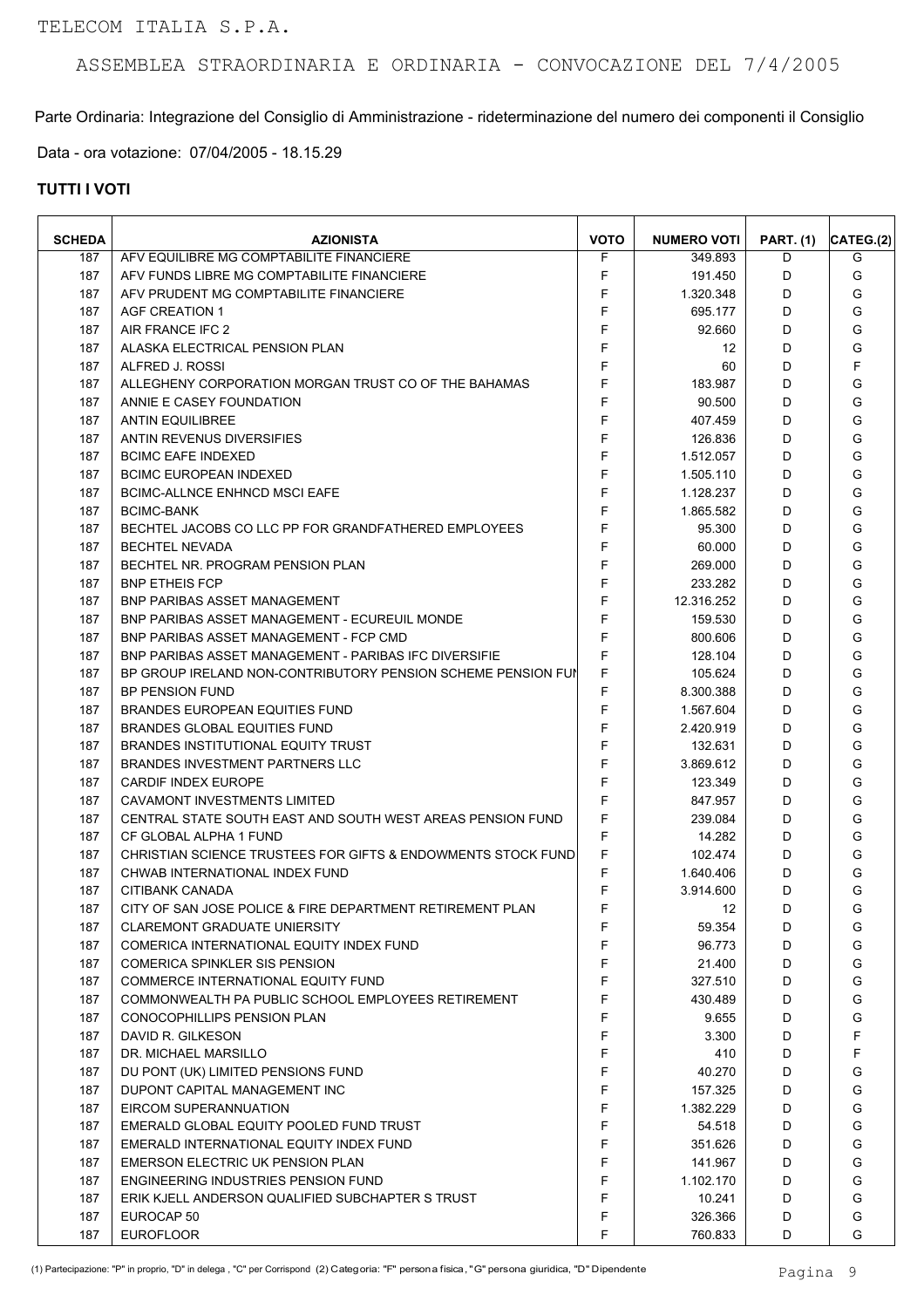Parte Ordinaria: Integrazione del Consiglio di Amministrazione - rideterminazione del numero dei componenti il Consiglio

Data - ora votazione: 07/04/2005 - 18.15.29

| <b>SCHEDA</b> | <b>AZIONISTA</b>                                             | <b>VOTO</b> | <b>NUMERO VOTI</b> | <b>PART. (1)</b> | CATEG.(2) |
|---------------|--------------------------------------------------------------|-------------|--------------------|------------------|-----------|
| 187           | AFV EQUILIBRE MG COMPTABILITE FINANCIERE                     | F           | 349.893            | D                | G         |
| 187           | AFV FUNDS LIBRE MG COMPTABILITE FINANCIERE                   | F           | 191.450            | D                | G         |
| 187           | AFV PRUDENT MG COMPTABILITE FINANCIERE                       | F           | 1.320.348          | D                | G         |
| 187           | <b>AGF CREATION 1</b>                                        | F           | 695.177            | D                | G         |
| 187           | AIR FRANCE IFC 2                                             | F           | 92.660             | D                | G         |
| 187           | ALASKA ELECTRICAL PENSION PLAN                               | F           | 12                 | D                | G         |
| 187           | ALFRED J. ROSSI                                              | F           | 60                 | D                | F         |
| 187           | ALLEGHENY CORPORATION MORGAN TRUST CO OF THE BAHAMAS         | F           | 183.987            | D                | G         |
| 187           | ANNIE E CASEY FOUNDATION                                     | F           | 90.500             | D                | G         |
| 187           | <b>ANTIN EQUILIBREE</b>                                      | F           | 407.459            | D                | G         |
| 187           | ANTIN REVENUS DIVERSIFIES                                    | F           | 126.836            | D                | G         |
| 187           | <b>BCIMC EAFE INDEXED</b>                                    | F           | 1.512.057          | D                | G         |
| 187           | <b>BCIMC EUROPEAN INDEXED</b>                                | $\mathsf F$ | 1.505.110          | D                | G         |
| 187           | <b>BCIMC-ALLNCE ENHNCD MSCI EAFE</b>                         | F           | 1.128.237          | D                | G         |
| 187           | <b>BCIMC-BANK</b>                                            | F           | 1.865.582          | D                | G         |
| 187           | BECHTEL JACOBS CO LLC PP FOR GRANDFATHERED EMPLOYEES         | F           | 95.300             | D                | G         |
| 187           | <b>BECHTEL NEVADA</b>                                        | F           | 60.000             | D                | G         |
| 187           | BECHTEL NR. PROGRAM PENSION PLAN                             | $\mathsf F$ | 269.000            | D                | G         |
| 187           | <b>BNP ETHEIS FCP</b>                                        | F           | 233.282            | D                | G         |
| 187           | <b>BNP PARIBAS ASSET MANAGEMENT</b>                          | F           | 12.316.252         | D                | G         |
| 187           | <b>BNP PARIBAS ASSET MANAGEMENT - ECUREUIL MONDE</b>         | F           | 159.530            | D                | G         |
| 187           | BNP PARIBAS ASSET MANAGEMENT - FCP CMD                       | F           | 800.606            | D                | G         |
| 187           | BNP PARIBAS ASSET MANAGEMENT - PARIBAS IFC DIVERSIFIE        | F           | 128.104            | D                | G         |
|               |                                                              | F           |                    | D                | G         |
| 187           | BP GROUP IRELAND NON-CONTRIBUTORY PENSION SCHEME PENSION FUN | F           | 105.624            |                  |           |
| 187           | <b>BP PENSION FUND</b>                                       |             | 8.300.388          | D                | G         |
| 187           | <b>BRANDES EUROPEAN EQUITIES FUND</b>                        | F           | 1.567.604          | D                | G         |
| 187           | <b>BRANDES GLOBAL EQUITIES FUND</b>                          | F           | 2.420.919          | D                | G         |
| 187           | <b>BRANDES INSTITUTIONAL EQUITY TRUST</b>                    | F           | 132.631            | D                | G         |
| 187           | <b>BRANDES INVESTMENT PARTNERS LLC</b>                       | F           | 3.869.612          | D                | G         |
| 187           | <b>CARDIF INDEX EUROPE</b>                                   | $\mathsf F$ | 123.349            | D                | G         |
| 187           | CAVAMONT INVESTMENTS LIMITED                                 | F           | 847.957            | D                | G         |
| 187           | CENTRAL STATE SOUTH EAST AND SOUTH WEST AREAS PENSION FUND   | F           | 239.084            | D                | G         |
| 187           | CF GLOBAL ALPHA 1 FUND                                       | F           | 14.282             | D                | G         |
| 187           | CHRISTIAN SCIENCE TRUSTEES FOR GIFTS & ENDOWMENTS STOCK FUND | F           | 102.474            | D                | G         |
| 187           | CHWAB INTERNATIONAL INDEX FUND                               | F           | 1.640.406          | D                | G         |
| 187           | CITIBANK CANADA                                              | F           | 3.914.600          | D                | G         |
| 187           | CITY OF SAN JOSE POLICE & FIRE DEPARTMENT RETIREMENT PLAN    | F           | $12 \overline{ }$  | D                | G         |
| 187           | <b>CLAREMONT GRADUATE UNIERSITY</b>                          | F           | 59.354             | D                | G         |
| 187           | COMERICA INTERNATIONAL EQUITY INDEX FUND                     | F           | 96.773             | D                | G         |
| 187           | <b>COMERICA SPINKLER SIS PENSION</b>                         | F           | 21.400             | D                | G         |
| 187           | COMMERCE INTERNATIONAL EQUITY FUND                           | F           | 327.510            | D                | G         |
| 187           | COMMONWEALTH PA PUBLIC SCHOOL EMPLOYEES RETIREMENT           | F           | 430.489            | D                | G         |
| 187           | <b>CONOCOPHILLIPS PENSION PLAN</b>                           | F           | 9.655              | D                | G         |
| 187           | DAVID R. GILKESON                                            | F           | 3.300              | D                | F         |
| 187           | DR. MICHAEL MARSILLO                                         | F           | 410                | D                | F         |
| 187           | DU PONT (UK) LIMITED PENSIONS FUND                           | F           | 40.270             | D                | G         |
| 187           | DUPONT CAPITAL MANAGEMENT INC                                | F           | 157.325            | D                | G         |
| 187           | EIRCOM SUPERANNUATION                                        | F           | 1.382.229          | D                | G         |
| 187           | EMERALD GLOBAL EQUITY POOLED FUND TRUST                      | F           | 54.518             | D                | G         |
| 187           | EMERALD INTERNATIONAL EQUITY INDEX FUND                      | F           | 351.626            | D                | G         |
| 187           | EMERSON ELECTRIC UK PENSION PLAN                             | F           | 141.967            | D                | G         |
| 187           | ENGINEERING INDUSTRIES PENSION FUND                          | F           | 1.102.170          | D                | G         |
| 187           | ERIK KJELL ANDERSON QUALIFIED SUBCHAPTER S TRUST             | F           | 10.241             | D                | G         |
| 187           | EUROCAP 50                                                   | F           | 326.366            | D                | G         |
| 187           | <b>EUROFLOOR</b>                                             | F           | 760.833            | D                | G         |
|               |                                                              |             |                    |                  |           |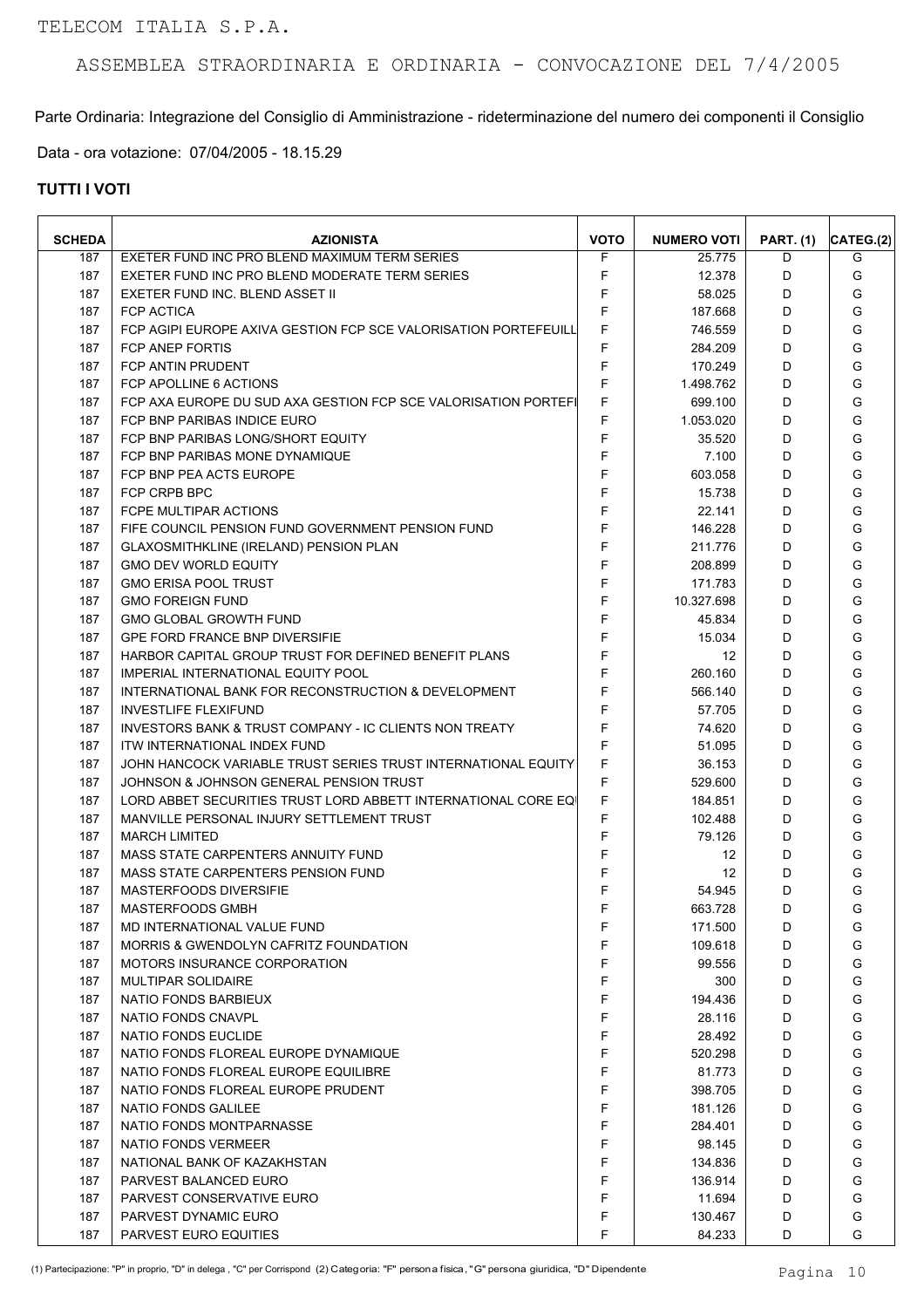Parte Ordinaria: Integrazione del Consiglio di Amministrazione - rideterminazione del numero dei componenti il Consiglio

Data - ora votazione: 07/04/2005 - 18.15.29

| <b>SCHEDA</b> | <b>AZIONISTA</b>                                                | <b>VOTO</b> | <b>NUMERO VOTI</b> | <b>PART. (1)</b> | CATEG.(2) |
|---------------|-----------------------------------------------------------------|-------------|--------------------|------------------|-----------|
| 187           | EXETER FUND INC PRO BLEND MAXIMUM TERM SERIES                   | F           | 25.775             | D                | G         |
| 187           | EXETER FUND INC PRO BLEND MODERATE TERM SERIES                  | F           | 12.378             | D                | G         |
| 187           | EXETER FUND INC. BLEND ASSET II                                 | F           | 58.025             | D                | G         |
| 187           | <b>FCP ACTICA</b>                                               | F           | 187.668            | D                | G         |
| 187           | FCP AGIPI EUROPE AXIVA GESTION FCP SCE VALORISATION PORTEFEUILL | F           | 746.559            | D                | G         |
| 187           | <b>FCP ANEP FORTIS</b>                                          | F           | 284.209            | D                | G         |
| 187           | FCP ANTIN PRUDENT                                               | F           | 170.249            | D                | G         |
| 187           | FCP APOLLINE 6 ACTIONS                                          | F           | 1.498.762          | D                | G         |
| 187           | FCP AXA EUROPE DU SUD AXA GESTION FCP SCE VALORISATION PORTEFI  | F           | 699.100            | D                | G         |
| 187           | FCP BNP PARIBAS INDICE EURO                                     | F           | 1.053.020          | D                | G         |
| 187           | FCP BNP PARIBAS LONG/SHORT EQUITY                               | F           | 35.520             | D                | G         |
| 187           | FCP BNP PARIBAS MONE DYNAMIQUE                                  | F           | 7.100              | D                | G         |
| 187           | FCP BNP PEA ACTS EUROPE                                         | F           | 603.058            | D                | G         |
| 187           | FCP CRPB BPC                                                    | F           | 15.738             | D                | G         |
| 187           | FCPE MULTIPAR ACTIONS                                           | F           | 22.141             | D                | G         |
| 187           | FIFE COUNCIL PENSION FUND GOVERNMENT PENSION FUND               | F           | 146.228            | D                | G         |
| 187           | GLAXOSMITHKLINE (IRELAND) PENSION PLAN                          | F           | 211.776            | D                | G         |
| 187           | <b>GMO DEV WORLD EQUITY</b>                                     | F           | 208.899            | D                | G         |
| 187           | <b>GMO ERISA POOL TRUST</b>                                     | F           | 171.783            | D                | G         |
| 187           | <b>GMO FOREIGN FUND</b>                                         | F           |                    | D                | G         |
| 187           | <b>GMO GLOBAL GROWTH FUND</b>                                   | F           | 10.327.698         | D                | G         |
|               |                                                                 | F           | 45.834             |                  |           |
| 187           | <b>GPE FORD FRANCE BNP DIVERSIFIE</b>                           |             | 15.034             | D                | G         |
| 187           | HARBOR CAPITAL GROUP TRUST FOR DEFINED BENEFIT PLANS            | F           | $12 \overline{ }$  | D                | G         |
| 187           | IMPERIAL INTERNATIONAL EQUITY POOL                              | F           | 260.160            | D                | G         |
| 187           | INTERNATIONAL BANK FOR RECONSTRUCTION & DEVELOPMENT             | F           | 566.140            | D                | G         |
| 187           | <b>INVESTLIFE FLEXIFUND</b>                                     | F           | 57.705             | D                | G         |
| 187           | INVESTORS BANK & TRUST COMPANY - IC CLIENTS NON TREATY          | F           | 74.620             | D                | G         |
| 187           | <b>ITW INTERNATIONAL INDEX FUND</b>                             | F           | 51.095             | D                | G         |
| 187           | JOHN HANCOCK VARIABLE TRUST SERIES TRUST INTERNATIONAL EQUITY   | F           | 36.153             | D                | G         |
| 187           | JOHNSON & JOHNSON GENERAL PENSION TRUST                         | F           | 529.600            | D                | G         |
| 187           | LORD ABBET SECURITIES TRUST LORD ABBETT INTERNATIONAL CORE EQ   | F           | 184.851            | D                | G         |
| 187           | MANVILLE PERSONAL INJURY SETTLEMENT TRUST                       | F           | 102.488            | D                | G         |
| 187           | <b>MARCH LIMITED</b>                                            | F           | 79.126             | D                | G         |
| 187           | MASS STATE CARPENTERS ANNUITY FUND                              | F           | $12 \,$            | D                | G         |
| 187           | MASS STATE CARPENTERS PENSION FUND                              | F           | $12 \overline{ }$  | D                | G         |
| 187           | MASTERFOODS DIVERSIFIE                                          | F           | 54.945             | D                | G         |
| 187           | MASTERFOODS GMBH                                                | F           | 663.728            | D                | G         |
| 187           | MD INTERNATIONAL VALUE FUND                                     | F           | 171.500            | D                | G         |
| 187           | MORRIS & GWENDOLYN CAFRITZ FOUNDATION                           | F           | 109.618            | D                | G         |
| 187           | MOTORS INSURANCE CORPORATION                                    | F           | 99.556             | D                | G         |
| 187           | MULTIPAR SOLIDAIRE                                              | F           | 300                | D                | G         |
| 187           | NATIO FONDS BARBIEUX                                            | F           | 194.436            | D                | G         |
| 187           | NATIO FONDS CNAVPL                                              | F           | 28.116             | D                | G         |
| 187           | NATIO FONDS EUCLIDE                                             | F           | 28.492             | D                | G         |
| 187           | NATIO FONDS FLOREAL EUROPE DYNAMIQUE                            | F           | 520.298            | D                | G         |
| 187           | NATIO FONDS FLOREAL EUROPE EQUILIBRE                            | F           | 81.773             | D                | G         |
| 187           | NATIO FONDS FLOREAL EUROPE PRUDENT                              | F           | 398.705            | D                | G         |
| 187           | NATIO FONDS GALILEE                                             | F           | 181.126            | D                | G         |
| 187           | NATIO FONDS MONTPARNASSE                                        | F           | 284.401            | D                | G         |
| 187           | NATIO FONDS VERMEER                                             | F           | 98.145             | D                | G         |
| 187           | NATIONAL BANK OF KAZAKHSTAN                                     | F           | 134.836            | D                | G         |
| 187           | PARVEST BALANCED EURO                                           | F           | 136.914            | D                | G         |
| 187           | PARVEST CONSERVATIVE EURO                                       | F           | 11.694             | D                | G         |
| 187           | PARVEST DYNAMIC EURO                                            | F           | 130.467            | D                | G         |
| 187           | PARVEST EURO EQUITIES                                           | F           | 84.233             | D                | G         |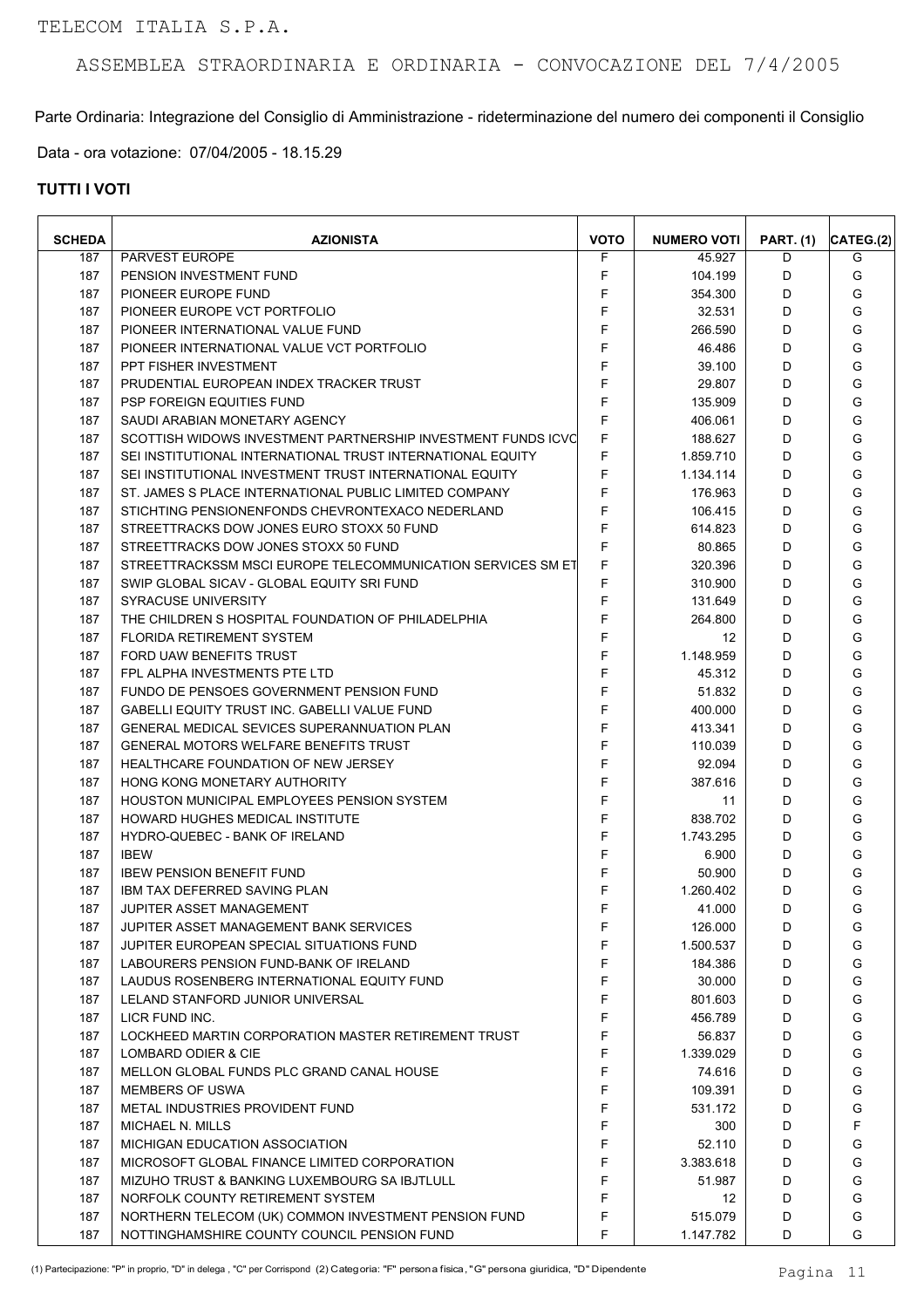Parte Ordinaria: Integrazione del Consiglio di Amministrazione - rideterminazione del numero dei componenti il Consiglio

Data - ora votazione: 07/04/2005 - 18.15.29

| <b>SCHEDA</b> | <b>AZIONISTA</b>                                             | <b>VOTO</b> | <b>NUMERO VOTI</b> | <b>PART. (1)</b> | CATEG.(2) |
|---------------|--------------------------------------------------------------|-------------|--------------------|------------------|-----------|
| 187           | <b>PARVEST EUROPE</b>                                        | F           | 45.927             | D                | G         |
| 187           | PENSION INVESTMENT FUND                                      | F           | 104.199            | D                | G         |
| 187           | PIONEER EUROPE FUND                                          | F           | 354.300            | D                | G         |
| 187           | PIONEER EUROPE VCT PORTFOLIO                                 | F           | 32.531             | D                | G         |
| 187           | PIONEER INTERNATIONAL VALUE FUND                             | F           | 266.590            | D                | G         |
| 187           | PIONEER INTERNATIONAL VALUE VCT PORTFOLIO                    | F           | 46.486             | D                | G         |
| 187           | PPT FISHER INVESTMENT                                        | F           | 39.100             | D                | G         |
| 187           | PRUDENTIAL EUROPEAN INDEX TRACKER TRUST                      | F           | 29.807             | D                | G         |
| 187           | <b>PSP FOREIGN EQUITIES FUND</b>                             | F           | 135.909            | D                | G         |
| 187           | SAUDI ARABIAN MONETARY AGENCY                                | F           | 406.061            | D                | G         |
| 187           | SCOTTISH WIDOWS INVESTMENT PARTNERSHIP INVESTMENT FUNDS ICVC | F           | 188.627            | D                | G         |
| 187           | SEI INSTITUTIONAL INTERNATIONAL TRUST INTERNATIONAL EQUITY   | F           | 1.859.710          | D                | G         |
| 187           | SEI INSTITUTIONAL INVESTMENT TRUST INTERNATIONAL EQUITY      | F           | 1.134.114          | D                | G         |
| 187           | ST. JAMES S PLACE INTERNATIONAL PUBLIC LIMITED COMPANY       | F           | 176.963            | D                | G         |
| 187           | STICHTING PENSIONENFONDS CHEVRONTEXACO NEDERLAND             | F           | 106.415            | D                | G         |
| 187           | STREETTRACKS DOW JONES EURO STOXX 50 FUND                    | F           | 614.823            | D                | G         |
| 187           | STREETTRACKS DOW JONES STOXX 50 FUND                         | F           | 80.865             | D                | G         |
| 187           | STREETTRACKSSM MSCI EUROPE TELECOMMUNICATION SERVICES SM ET  | F           | 320.396            | D                | G         |
| 187           | SWIP GLOBAL SICAV - GLOBAL EQUITY SRI FUND                   | F           | 310.900            | D                | G         |
| 187           | <b>SYRACUSE UNIVERSITY</b>                                   | F           | 131.649            | D                | G         |
| 187           | THE CHILDREN S HOSPITAL FOUNDATION OF PHILADELPHIA           | F           | 264.800            | D                | G         |
| 187           | <b>FLORIDA RETIREMENT SYSTEM</b>                             | F           | $12 \overline{ }$  | D                | G         |
| 187           | FORD UAW BENEFITS TRUST                                      | F           | 1.148.959          | D                | G         |
| 187           | FPL ALPHA INVESTMENTS PTE LTD                                | F           | 45.312             | D                | G         |
| 187           | FUNDO DE PENSOES GOVERNMENT PENSION FUND                     | F           | 51.832             | D                | G         |
| 187           | <b>GABELLI EQUITY TRUST INC. GABELLI VALUE FUND</b>          | F           | 400.000            | D                | G         |
| 187           | <b>GENERAL MEDICAL SEVICES SUPERANNUATION PLAN</b>           | F           | 413.341            | D                | G         |
| 187           | <b>GENERAL MOTORS WELFARE BENEFITS TRUST</b>                 | F           | 110.039            | D                | G         |
| 187           | <b>HEALTHCARE FOUNDATION OF NEW JERSEY</b>                   | F           | 92.094             | D                | G         |
| 187           | HONG KONG MONETARY AUTHORITY                                 | F           | 387.616            | D                | G         |
| 187           | HOUSTON MUNICIPAL EMPLOYEES PENSION SYSTEM                   | F           | 11                 | D                | G         |
| 187           | HOWARD HUGHES MEDICAL INSTITUTE                              | F           | 838.702            | D                | G         |
| 187           | HYDRO-QUEBEC - BANK OF IRELAND                               | F           | 1.743.295          | D                | G         |
| 187           | <b>IBEW</b>                                                  | F           | 6.900              | D                | G         |
| 187           | <b>IBEW PENSION BENEFIT FUND</b>                             | F           | 50.900             | D                | G         |
| 187           | <b>IBM TAX DEFERRED SAVING PLAN</b>                          | F           | 1.260.402          | D                | G         |
| 187           | JUPITER ASSET MANAGEMENT                                     | F           | 41.000             | D                | G         |
| 187           | JUPITER ASSET MANAGEMENT BANK SERVICES                       | F           | 126.000            | D                | G         |
| 187           | JUPITER EUROPEAN SPECIAL SITUATIONS FUND                     | F           | 1.500.537          | D                | G         |
| 187           | LABOURERS PENSION FUND-BANK OF IRELAND                       | F           | 184.386            | D                | G         |
| 187           | LAUDUS ROSENBERG INTERNATIONAL EQUITY FUND                   | F           | 30.000             | D                | G         |
| 187           | LELAND STANFORD JUNIOR UNIVERSAL                             | F           | 801.603            | D                | G         |
| 187           | LICR FUND INC.                                               | F           | 456.789            | D                | G         |
| 187           | LOCKHEED MARTIN CORPORATION MASTER RETIREMENT TRUST          | F           | 56.837             | D                | G         |
| 187           | LOMBARD ODIER & CIE                                          | F           | 1.339.029          | D                | G         |
| 187           | MELLON GLOBAL FUNDS PLC GRAND CANAL HOUSE                    | F           | 74.616             | D                | G         |
| 187           | <b>MEMBERS OF USWA</b>                                       | F           | 109.391            | D                | G         |
| 187           | METAL INDUSTRIES PROVIDENT FUND                              | F           | 531.172            | D                | G         |
| 187           | MICHAEL N. MILLS                                             | F           | 300                | D                | F         |
| 187           | MICHIGAN EDUCATION ASSOCIATION                               | F           | 52.110             | D                | G         |
| 187           | MICROSOFT GLOBAL FINANCE LIMITED CORPORATION                 | F           | 3.383.618          | D                | G         |
| 187           | MIZUHO TRUST & BANKING LUXEMBOURG SA IBJTLULL                | F           | 51.987             | D                | G         |
| 187           | NORFOLK COUNTY RETIREMENT SYSTEM                             | F           | 12                 | D                | G         |
| 187           | NORTHERN TELECOM (UK) COMMON INVESTMENT PENSION FUND         | F           | 515.079            | D                | G         |
| 187           | NOTTINGHAMSHIRE COUNTY COUNCIL PENSION FUND                  | F           | 1.147.782          | D                | G         |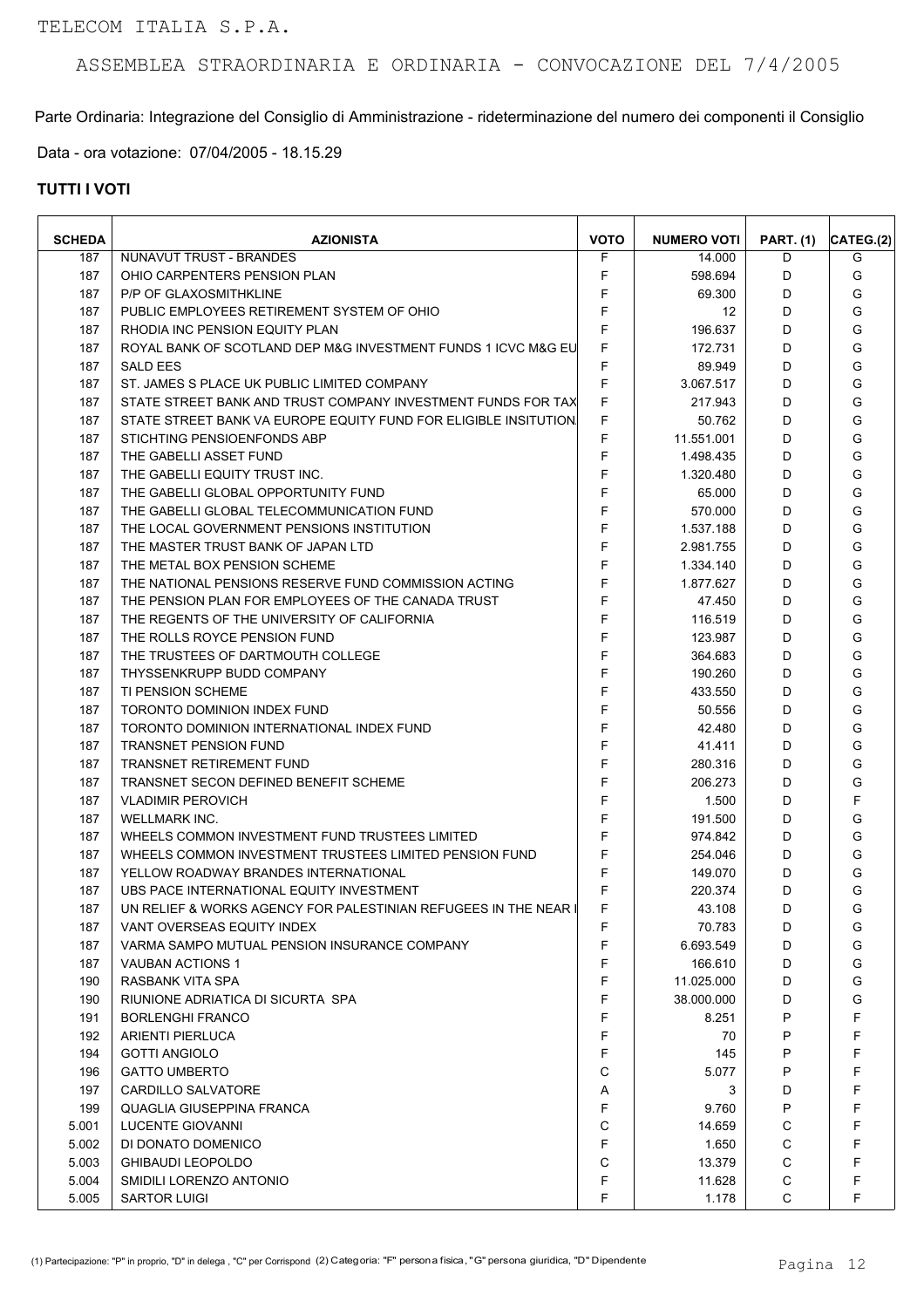Parte Ordinaria: Integrazione del Consiglio di Amministrazione - rideterminazione del numero dei componenti il Consiglio

Data - ora votazione: 07/04/2005 - 18.15.29

| <b>SCHEDA</b> | <b>AZIONISTA</b>                                                 | <b>VOTO</b> | <b>NUMERO VOTI</b> | <b>PART.</b> (1) | CATEG.(2) |
|---------------|------------------------------------------------------------------|-------------|--------------------|------------------|-----------|
| 187           | NUNAVUT TRUST - BRANDES                                          | F           | 14.000             | D                | G         |
| 187           | OHIO CARPENTERS PENSION PLAN                                     | F           | 598.694            | D                | G         |
| 187           | <b>P/P OF GLAXOSMITHKLINE</b>                                    | F           | 69.300             | D                | G         |
| 187           | PUBLIC EMPLOYEES RETIREMENT SYSTEM OF OHIO                       | F           | $12 \overline{ }$  | D                | G         |
| 187           | RHODIA INC PENSION EQUITY PLAN                                   | F           | 196.637            | D                | G         |
| 187           | ROYAL BANK OF SCOTLAND DEP M&G INVESTMENT FUNDS 1 ICVC M&G EU    | F           | 172.731            | D                | G         |
| 187           | <b>SALD EES</b>                                                  | F           | 89.949             | D                | G         |
| 187           | ST. JAMES S PLACE UK PUBLIC LIMITED COMPANY                      | F           | 3.067.517          | D                | G         |
| 187           | STATE STREET BANK AND TRUST COMPANY INVESTMENT FUNDS FOR TAX     | F           | 217.943            | D                | G         |
| 187           | STATE STREET BANK VA EUROPE EQUITY FUND FOR ELIGIBLE INSITUTION. | F           | 50.762             | D                | G         |
| 187           | STICHTING PENSIOENFONDS ABP                                      | F           | 11.551.001         | D                | G         |
| 187           | THE GABELLI ASSET FUND                                           | F           | 1.498.435          | D                | G         |
| 187           | THE GABELLI EQUITY TRUST INC.                                    | F           | 1.320.480          | D                | G         |
| 187           | THE GABELLI GLOBAL OPPORTUNITY FUND                              | F           | 65.000             | D                | G         |
| 187           | THE GABELLI GLOBAL TELECOMMUNICATION FUND                        | F           | 570.000            | D                | G         |
| 187           | THE LOCAL GOVERNMENT PENSIONS INSTITUTION                        | F           | 1.537.188          | D                | G         |
| 187           | THE MASTER TRUST BANK OF JAPAN LTD                               | F           | 2.981.755          | D                | G         |
| 187           | THE METAL BOX PENSION SCHEME                                     | F           | 1.334.140          | D                | G         |
| 187           | THE NATIONAL PENSIONS RESERVE FUND COMMISSION ACTING             | F           | 1.877.627          | D                | G         |
| 187           | THE PENSION PLAN FOR EMPLOYEES OF THE CANADA TRUST               | F           | 47.450             | D                | G         |
| 187           | THE REGENTS OF THE UNIVERSITY OF CALIFORNIA                      | F           | 116.519            | D                | G         |
| 187           | THE ROLLS ROYCE PENSION FUND                                     | F           | 123.987            | D                | G         |
| 187           | THE TRUSTEES OF DARTMOUTH COLLEGE                                | F           | 364.683            | D                | G         |
| 187           | THYSSENKRUPP BUDD COMPANY                                        | F           | 190.260            | D                | G         |
| 187           | TI PENSION SCHEME                                                | F           | 433.550            | D                | G         |
| 187           | TORONTO DOMINION INDEX FUND                                      | F           | 50.556             | D                | G         |
| 187           | TORONTO DOMINION INTERNATIONAL INDEX FUND                        | F           | 42.480             | D                | G         |
| 187           | <b>TRANSNET PENSION FUND</b>                                     | F           | 41.411             | D                | G         |
| 187           | <b>TRANSNET RETIREMENT FUND</b>                                  | F           | 280.316            | D                | G         |
| 187           | TRANSNET SECON DEFINED BENEFIT SCHEME                            | F           | 206.273            | D                | G         |
| 187           | <b>VLADIMIR PEROVICH</b>                                         | F           | 1.500              | D                | F         |
| 187           | <b>WELLMARK INC.</b>                                             | F           | 191.500            | D                | G         |
| 187           | WHEELS COMMON INVESTMENT FUND TRUSTEES LIMITED                   | F           | 974.842            | D                | G         |
| 187           | WHEELS COMMON INVESTMENT TRUSTEES LIMITED PENSION FUND           | F           | 254.046            | D                | G         |
| 187           | YELLOW ROADWAY BRANDES INTERNATIONAL                             | F           | 149.070            | D                | G         |
| 187           | UBS PACE INTERNATIONAL EQUITY INVESTMENT                         | F           | 220.374            | D                | G         |
| 187           | UN RELIEF & WORKS AGENCY FOR PALESTINIAN REFUGEES IN THE NEAR I  | F           | 43.108             | D                | G         |
| 187           | VANT OVERSEAS EQUITY INDEX                                       | F           | 70.783             | D                | G         |
| 187           | VARMA SAMPO MUTUAL PENSION INSURANCE COMPANY                     | F           | 6.693.549          | D                | G         |
| 187           | <b>VAUBAN ACTIONS 1</b>                                          | F           | 166.610            | D                | G         |
| 190           | RASBANK VITA SPA                                                 | F           | 11.025.000         | D                | G         |
| 190           | RIUNIONE ADRIATICA DI SICURTA SPA                                | F           | 38.000.000         | D                | G         |
| 191           | <b>BORLENGHI FRANCO</b>                                          | F           | 8.251              | P                | F         |
| 192           | <b>ARIENTI PIERLUCA</b>                                          | F           | 70                 | P                | F         |
| 194           | <b>GOTTI ANGIOLO</b>                                             | F           | 145                | P                | F         |
| 196           | <b>GATTO UMBERTO</b>                                             | С           | 5.077              | P                | F         |
| 197           | CARDILLO SALVATORE                                               | A           | 3                  | D                | F         |
| 199           | QUAGLIA GIUSEPPINA FRANCA                                        | F           | 9.760              | P                | F         |
| 5.001         | LUCENTE GIOVANNI                                                 | С           | 14.659             | С                | F         |
| 5.002         | DI DONATO DOMENICO                                               | F           | 1.650              | C                | F         |
| 5.003         | <b>GHIBAUDI LEOPOLDO</b>                                         | C           | 13.379             | C                | F         |
| 5.004         | SMIDILI LORENZO ANTONIO                                          | F           | 11.628             | C                | F         |
| 5.005         | <b>SARTOR LUIGI</b>                                              | F           | 1.178              | $\mathsf C$      | F         |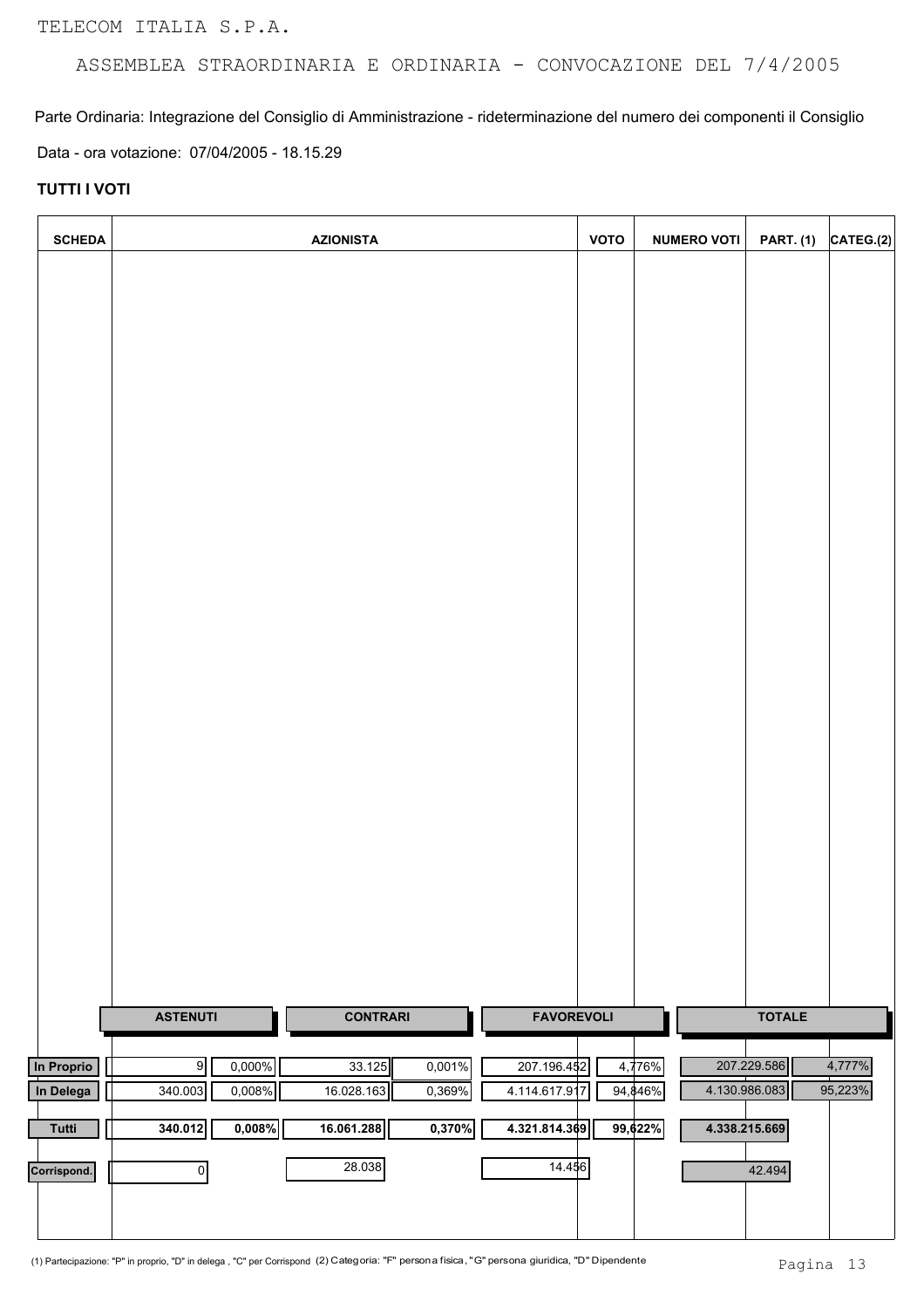TELECOM ITALIA S.P.A.

## ASSEMBLEA STRAORDINARIA E ORDINARIA - CONVOCAZIONE DEL 7/4/2005

Parte Ordinaria: Integrazione del Consiglio di Amministrazione - rideterminazione del numero dei componenti il Consiglio Data - ora votazione: 07/04/2005 - 18.15.29

### **TUTTI I VOTI**

| <b>SCHEDA</b>           |                                  | <b>AZIONISTA</b>                         |                              | <b>VOTO</b>       | <b>NUMERO VOTI</b> | <b>PART. (1)</b> | CATEG.(2)         |
|-------------------------|----------------------------------|------------------------------------------|------------------------------|-------------------|--------------------|------------------|-------------------|
|                         |                                  |                                          |                              |                   |                    |                  |                   |
|                         |                                  |                                          |                              |                   |                    |                  |                   |
|                         |                                  |                                          |                              |                   |                    |                  |                   |
|                         |                                  |                                          |                              |                   |                    |                  |                   |
|                         |                                  |                                          |                              |                   |                    |                  |                   |
|                         |                                  |                                          |                              |                   |                    |                  |                   |
|                         |                                  |                                          |                              |                   |                    |                  |                   |
|                         |                                  |                                          |                              |                   |                    |                  |                   |
|                         |                                  |                                          |                              |                   |                    |                  |                   |
|                         |                                  |                                          |                              |                   |                    |                  |                   |
|                         |                                  |                                          |                              |                   |                    |                  |                   |
|                         |                                  |                                          |                              |                   |                    |                  |                   |
|                         |                                  |                                          |                              |                   |                    |                  |                   |
|                         |                                  |                                          |                              |                   |                    |                  |                   |
|                         |                                  |                                          |                              |                   |                    |                  |                   |
|                         |                                  |                                          |                              |                   |                    |                  |                   |
|                         |                                  |                                          |                              |                   |                    |                  |                   |
|                         |                                  |                                          |                              |                   |                    |                  |                   |
|                         |                                  |                                          |                              |                   |                    |                  |                   |
|                         | <b>ASTENUTI</b>                  | <b>CONTRARI</b>                          | <b>FAVOREVOLI</b>            |                   |                    | <b>TOTALE</b>    |                   |
| In Proprio<br>In Delega | 9<br>0,000%<br>340.003<br>0,008% | 33.125<br>0,001%<br>16.028.163<br>0,369% | 207.196.452<br>4.114.617.917 | 4,776%<br>94,846% | 4.130.986.083      | 207.229.586      | 4,777%<br>95,223% |
| Tutti                   | 340.012<br>0,008%                | 16.061.288<br>0,370%                     | 4.321.814.369                | 99,622%           | 4.338.215.669      |                  |                   |
| Corrispond.             | $\overline{0}$                   | 28.038                                   | 14.456                       |                   |                    | 42.494           |                   |
|                         |                                  |                                          |                              |                   |                    |                  |                   |
|                         |                                  |                                          |                              |                   |                    |                  |                   |

(1) Partecipazione: "P" in proprio, "D" in delega , "C" per Corrispond (2) Categoria: "F" persona fisica, "G" persona giuridica, "D" Dipendente<br>Pagina 13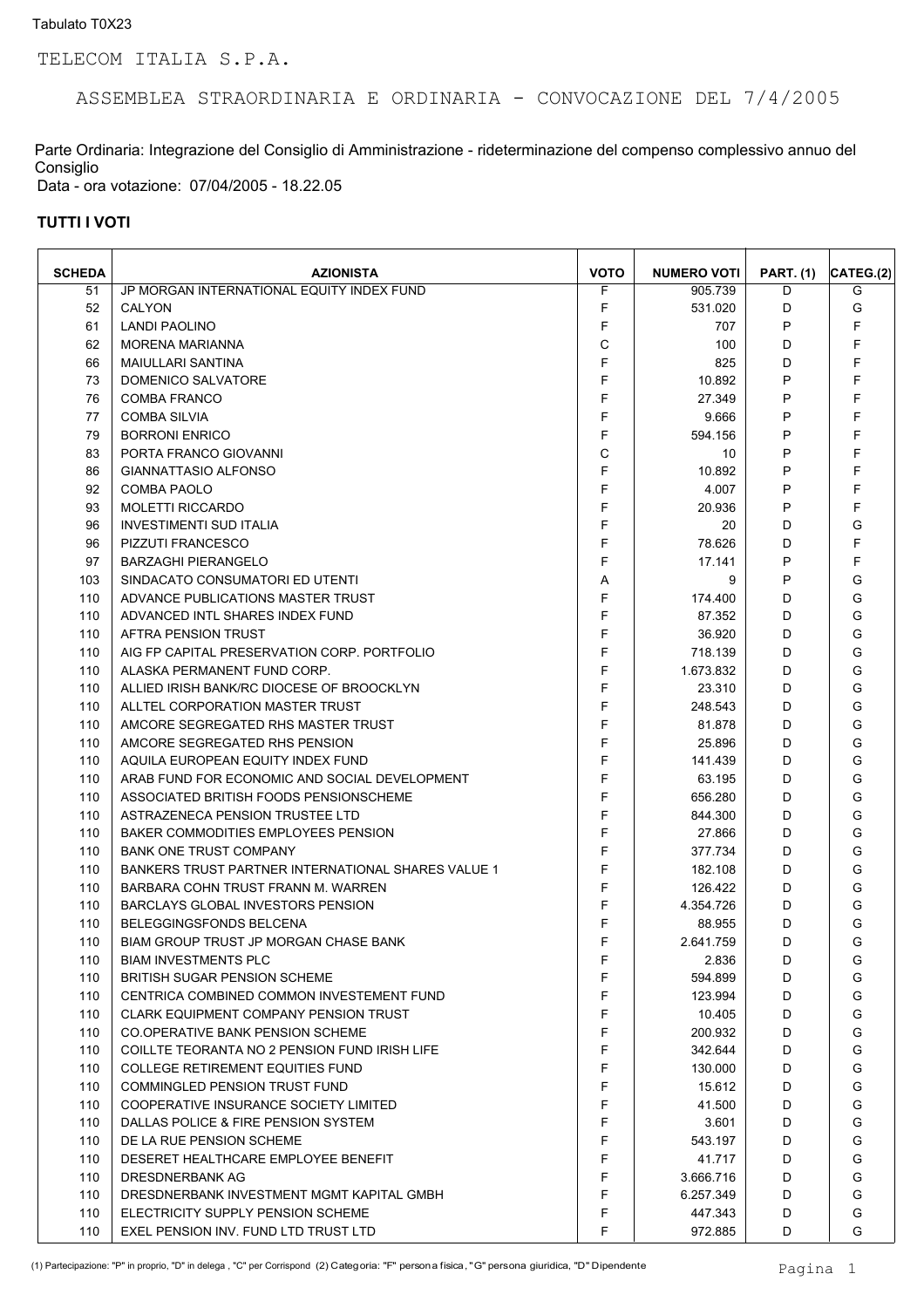Parte Ordinaria: Integrazione del Consiglio di Amministrazione - rideterminazione del compenso complessivo annuo del Consiglio Data - ora votazione: 07/04/2005 - 18.22.05

| JP MORGAN INTERNATIONAL EQUITY INDEX FUND<br>F<br>51<br>905.739<br>F<br>52<br>CALYON<br>531.020 | D          |   |
|-------------------------------------------------------------------------------------------------|------------|---|
|                                                                                                 |            | G |
|                                                                                                 | D          | G |
| F<br>61<br><b>LANDI PAOLINO</b>                                                                 | P<br>707   | F |
| C<br>62<br><b>MORENA MARIANNA</b>                                                               | D<br>100   | F |
| F<br>66<br><b>MAIULLARI SANTINA</b>                                                             | 825<br>D   | F |
| F<br>73<br>DOMENICO SALVATORE<br>10.892                                                         | P          | F |
| F<br>76<br>COMBA FRANCO<br>27.349                                                               | P          | F |
| F<br>77<br><b>COMBA SILVIA</b>                                                                  | P<br>9.666 | F |
| F<br>79<br><b>BORRONI ENRICO</b><br>594.156                                                     | P          | F |
| C<br>83<br>PORTA FRANCO GIOVANNI                                                                | P<br>10    | F |
| F<br><b>GIANNATTASIO ALFONSO</b><br>10.892<br>86                                                | P          | F |
| F<br>92<br><b>COMBA PAOLO</b>                                                                   | P<br>4.007 | F |
| F<br>93<br><b>MOLETTI RICCARDO</b><br>20.936                                                    | P          | F |
| F<br>96<br><b>INVESTIMENTI SUD ITALIA</b>                                                       | D<br>20    | G |
| F<br>PIZZUTI FRANCESCO<br>78.626<br>96                                                          | D          | F |
| F<br>97<br><b>BARZAGHI PIERANGELO</b><br>17.141                                                 | P          | F |
| 103<br>SINDACATO CONSUMATORI ED UTENTI<br>Α                                                     | P<br>9     | G |
| F<br>110<br>ADVANCE PUBLICATIONS MASTER TRUST<br>174.400                                        | D          | G |
| F<br>110<br>ADVANCED INTL SHARES INDEX FUND<br>87.352                                           | D          | G |
| F<br>AFTRA PENSION TRUST<br>36.920<br>110                                                       | D          | G |
| F<br>110<br>AIG FP CAPITAL PRESERVATION CORP. PORTFOLIO<br>718.139                              | D          | G |
| F<br>110<br>ALASKA PERMANENT FUND CORP.<br>1.673.832                                            | D          | G |
| F<br>110<br>ALLIED IRISH BANK/RC DIOCESE OF BROOCKLYN<br>23.310                                 | D          | G |
| F<br>110<br>ALLTEL CORPORATION MASTER TRUST<br>248.543                                          | D          | G |
| F<br>110<br>AMCORE SEGREGATED RHS MASTER TRUST<br>81.878                                        | D          | G |
| F<br>110<br>AMCORE SEGREGATED RHS PENSION<br>25.896                                             | D          | G |
| F<br>110<br>AQUILA EUROPEAN EQUITY INDEX FUND<br>141.439                                        | D          | G |
| F<br>110<br>ARAB FUND FOR ECONOMIC AND SOCIAL DEVELOPMENT<br>63.195                             | D          | G |
| F<br>110<br>ASSOCIATED BRITISH FOODS PENSIONSCHEME<br>656.280                                   | D          | G |
| F<br>110<br>ASTRAZENECA PENSION TRUSTEE LTD<br>844.300                                          | D          | G |
| F<br>110<br><b>BAKER COMMODITIES EMPLOYEES PENSION</b><br>27.866                                | D          | G |
| F<br>110<br><b>BANK ONE TRUST COMPANY</b><br>377.734                                            | D          | G |
| F<br>110<br><b>BANKERS TRUST PARTNER INTERNATIONAL SHARES VALUE 1</b><br>182.108                | D          | G |
| F<br>110<br>BARBARA COHN TRUST FRANN M. WARREN<br>126.422                                       | D          | G |
| F<br>110<br>BARCLAYS GLOBAL INVESTORS PENSION<br>4.354.726                                      | D          | G |
| F<br>110<br>BELEGGINGSFONDS BELCENA<br>88.955                                                   | D          | G |
| F<br>110<br>BIAM GROUP TRUST JP MORGAN CHASE BANK<br>2.641.759                                  | D          | G |
| F<br><b>BIAM INVESTMENTS PLC</b><br>110                                                         | 2.836<br>D | G |
| F<br>110<br><b>BRITISH SUGAR PENSION SCHEME</b><br>594.899                                      | D          | G |
| F<br>110<br>CENTRICA COMBINED COMMON INVESTEMENT FUND<br>123.994                                | D          | G |
| F<br>110<br><b>CLARK EQUIPMENT COMPANY PENSION TRUST</b><br>10.405                              | D          | G |
| F<br>110<br><b>CO.OPERATIVE BANK PENSION SCHEME</b><br>200.932                                  | D          | G |
| F<br>110<br>COILLTE TEORANTA NO 2 PENSION FUND IRISH LIFE<br>342.644                            | D          | G |
| F<br>110<br><b>COLLEGE RETIREMENT EQUITIES FUND</b><br>130.000                                  | D          | G |
| F<br>110<br><b>COMMINGLED PENSION TRUST FUND</b><br>15.612                                      | D          | G |
| F<br>COOPERATIVE INSURANCE SOCIETY LIMITED<br>110<br>41.500                                     | D          | G |
| F<br>DALLAS POLICE & FIRE PENSION SYSTEM<br>110                                                 | 3.601<br>D | G |
| F<br>DE LA RUE PENSION SCHEME<br>543.197<br>110                                                 | D          | G |
| F<br>110<br>DESERET HEALTHCARE EMPLOYEE BENEFIT<br>41.717                                       | D          | G |
| F<br>110<br>DRESDNERBANK AG<br>3.666.716                                                        | D          | G |
| F<br>110<br>DRESDNERBANK INVESTMENT MGMT KAPITAL GMBH<br>6.257.349                              | D          | G |
| 110<br>ELECTRICITY SUPPLY PENSION SCHEME<br>F<br>447.343                                        | D          | G |
| F<br>110<br>EXEL PENSION INV. FUND LTD TRUST LTD<br>972.885                                     | D          | G |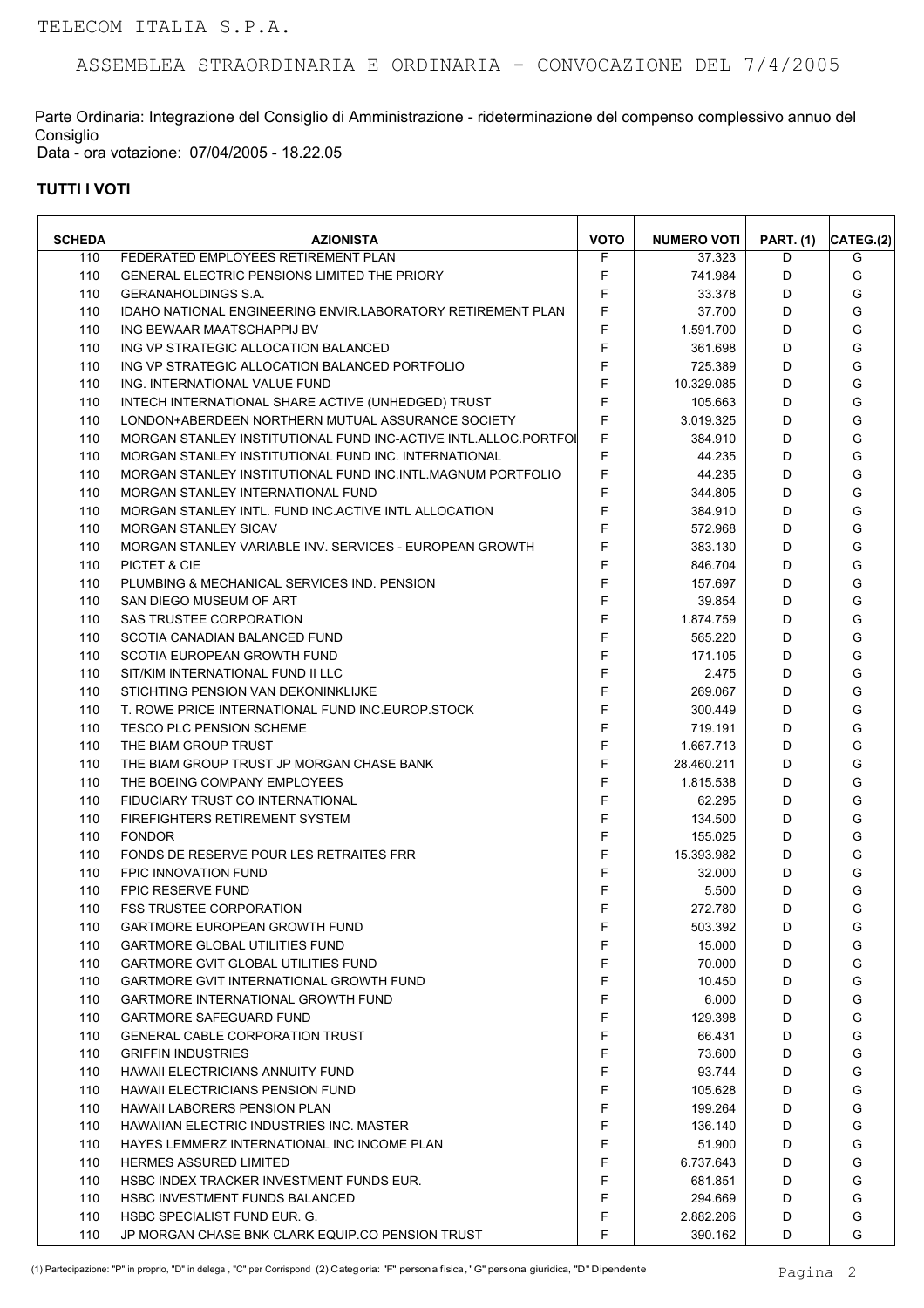Parte Ordinaria: Integrazione del Consiglio di Amministrazione - rideterminazione del compenso complessivo annuo del Consiglio Data - ora votazione: 07/04/2005 - 18.22.05

| <b>SCHEDA</b> | <b>AZIONISTA</b>                                                   | <b>VOTO</b> | <b>NUMERO VOTI</b> | <b>PART.</b> (1) | CATEG.(2) |
|---------------|--------------------------------------------------------------------|-------------|--------------------|------------------|-----------|
| 110           | FEDERATED EMPLOYEES RETIREMENT PLAN                                | F           | 37.323             | D                | G         |
| 110           | <b>GENERAL ELECTRIC PENSIONS LIMITED THE PRIORY</b>                | F           | 741.984            | D                | G         |
| 110           | <b>GERANAHOLDINGS S.A.</b>                                         | F           | 33.378             | D                | G         |
| 110           | <b>IDAHO NATIONAL ENGINEERING ENVIR LABORATORY RETIREMENT PLAN</b> | F           | 37.700             | D                | G         |
| 110           | ING BEWAAR MAATSCHAPPIJ BV                                         | F           | 1.591.700          | D                | G         |
| 110           | ING VP STRATEGIC ALLOCATION BALANCED                               | F           | 361.698            | D                | G         |
| 110           | ING VP STRATEGIC ALLOCATION BALANCED PORTFOLIO                     | F           | 725.389            | D                | G         |
| 110           | ING. INTERNATIONAL VALUE FUND                                      | F           | 10.329.085         | D                | G         |
| 110           | INTECH INTERNATIONAL SHARE ACTIVE (UNHEDGED) TRUST                 | F           | 105.663            | D                | G         |
| 110           | LONDON+ABERDEEN NORTHERN MUTUAL ASSURANCE SOCIETY                  | F           | 3.019.325          | D                | G         |
| 110           | MORGAN STANLEY INSTITUTIONAL FUND INC-ACTIVE INTL.ALLOC.PORTFOI    | F           | 384.910            | D                | G         |
| 110           | MORGAN STANLEY INSTITUTIONAL FUND INC. INTERNATIONAL               | F           | 44.235             | D                | G         |
| 110           | MORGAN STANLEY INSTITUTIONAL FUND INC.INTL.MAGNUM PORTFOLIO        | F           | 44.235             | D                | G         |
| 110           | MORGAN STANLEY INTERNATIONAL FUND                                  | F           | 344.805            | D                | G         |
| 110           | MORGAN STANLEY INTL. FUND INC. ACTIVE INTL ALLOCATION              | F           | 384.910            | D                | G         |
| 110           | <b>MORGAN STANLEY SICAV</b>                                        | F           | 572.968            | D                | G         |
| 110           | MORGAN STANLEY VARIABLE INV. SERVICES - EUROPEAN GROWTH            | F           | 383.130            | D                | G         |
| 110           | PICTET & CIE                                                       | F           | 846.704            | D                | G         |
| 110           | PLUMBING & MECHANICAL SERVICES IND. PENSION                        | F           | 157.697            | D                | G         |
| 110           | SAN DIEGO MUSEUM OF ART                                            | F           | 39.854             | D                | G         |
| 110           | SAS TRUSTEE CORPORATION                                            | F           | 1.874.759          | D                | G         |
| 110           | SCOTIA CANADIAN BALANCED FUND                                      | F           | 565.220            | D                | G         |
| 110           | SCOTIA EUROPEAN GROWTH FUND                                        | F           | 171.105            | D                | G         |
| 110           | SIT/KIM INTERNATIONAL FUND II LLC                                  | F           | 2.475              | D                | G         |
| 110           | STICHTING PENSION VAN DEKONINKLIJKE                                | F           | 269.067            | D                | G         |
| 110           | T. ROWE PRICE INTERNATIONAL FUND INC. EUROP. STOCK                 | F           | 300.449            | D                | G         |
| 110           | <b>TESCO PLC PENSION SCHEME</b>                                    | E           | 719.191            | D                | G         |
| 110           | THE BIAM GROUP TRUST                                               | F           | 1.667.713          | D                | G         |
| 110           | THE BIAM GROUP TRUST JP MORGAN CHASE BANK                          | $\mathsf F$ | 28.460.211         | D                | G         |
| 110           | THE BOEING COMPANY EMPLOYEES                                       | F           | 1.815.538          | D                | G         |
| 110           | FIDUCIARY TRUST CO INTERNATIONAL                                   | F           | 62.295             | D                | G         |
| 110           | FIREFIGHTERS RETIREMENT SYSTEM                                     | F           | 134.500            | D                | G         |
| 110           | <b>FONDOR</b>                                                      | F           | 155.025            | D                | G         |
| 110           | FONDS DE RESERVE POUR LES RETRAITES FRR                            | F           | 15.393.982         | D                | G         |
| 110           | <b>FPIC INNOVATION FUND</b>                                        | F           | 32.000             | D                | G         |
| 110           | <b>FPIC RESERVE FUND</b>                                           | F           | 5.500              | D                | G         |
| 110           | <b>FSS TRUSTEE CORPORATION</b>                                     | F           | 272.780            | D                | G         |
| 110           | <b>GARTMORE EUROPEAN GROWTH FUND</b>                               | F           | 503.392            | D                | G         |
| 110           | <b>GARTMORE GLOBAL UTILITIES FUND</b>                              | F           | 15.000             | D                | G         |
| 110           | <b>GARTMORE GVIT GLOBAL UTILITIES FUND</b>                         | F           | 70.000             | D                | G         |
| 110           | GARTMORE GVIT INTERNATIONAL GROWTH FUND                            | F           | 10.450             | D                | G         |
| 110           | <b>GARTMORE INTERNATIONAL GROWTH FUND</b>                          | F           | 6.000              | D                | G         |
| 110           | <b>GARTMORE SAFEGUARD FUND</b>                                     | F           | 129.398            | D                | G         |
| 110           | <b>GENERAL CABLE CORPORATION TRUST</b>                             | F           | 66.431             | D                | G         |
| 110           | <b>GRIFFIN INDUSTRIES</b>                                          | F           | 73.600             | D                | G         |
| 110           | HAWAII ELECTRICIANS ANNUITY FUND                                   | F           | 93.744             | D                | G         |
| 110           | HAWAII ELECTRICIANS PENSION FUND                                   | F           | 105.628            | D                | G         |
| 110           | <b>HAWAII LABORERS PENSION PLAN</b>                                | F           | 199.264            | D                | G         |
| 110           | HAWAIIAN ELECTRIC INDUSTRIES INC. MASTER                           | F           | 136.140            | D                | G         |
| 110           | HAYES LEMMERZ INTERNATIONAL INC INCOME PLAN                        | F           | 51.900             | D                | G         |
| 110           | <b>HERMES ASSURED LIMITED</b>                                      | F           | 6.737.643          | D                | G         |
| 110           | HSBC INDEX TRACKER INVESTMENT FUNDS EUR.                           | F           | 681.851            | D                | G         |
| 110           | HSBC INVESTMENT FUNDS BALANCED                                     | F           | 294.669            | D                | G         |
| 110           | HSBC SPECIALIST FUND EUR. G.                                       | F           | 2.882.206          | D                | G         |
| 110           | JP MORGAN CHASE BNK CLARK EQUIP.CO PENSION TRUST                   | F           | 390.162            | D                | G         |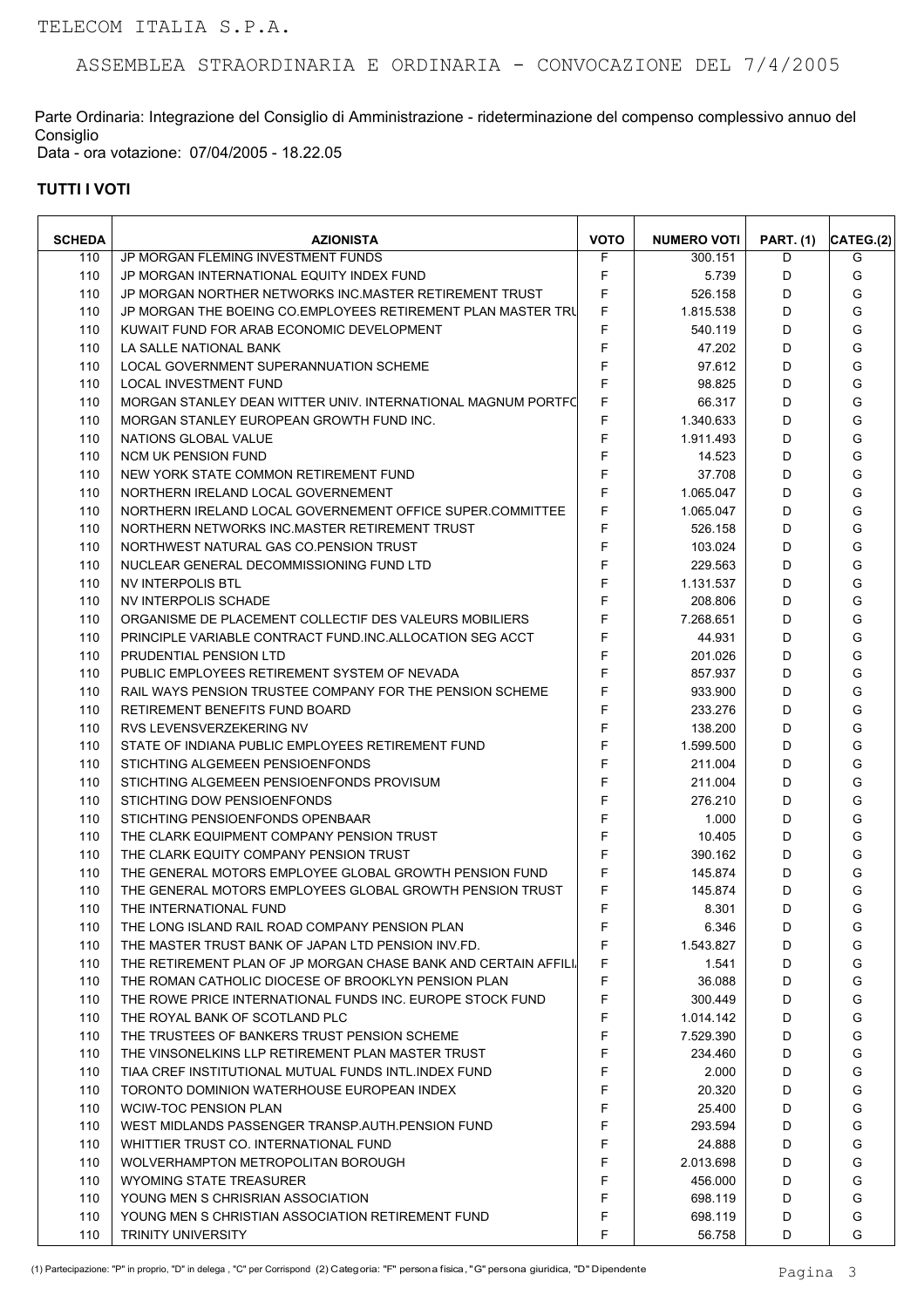Parte Ordinaria: Integrazione del Consiglio di Amministrazione - rideterminazione del compenso complessivo annuo del Consiglio Data - ora votazione: 07/04/2005 - 18.22.05

| <b>SCHEDA</b> | <b>AZIONISTA</b>                                               | <b>VOTO</b> | <b>NUMERO VOTI</b> | <b>PART. (1)</b> | CATEG.(2) |
|---------------|----------------------------------------------------------------|-------------|--------------------|------------------|-----------|
| 110           | JP MORGAN FLEMING INVESTMENT FUNDS                             | F           | 300.151            | D                | G         |
| 110           | JP MORGAN INTERNATIONAL EQUITY INDEX FUND                      | F           | 5.739              | D                | G         |
| 110           | JP MORGAN NORTHER NETWORKS INC.MASTER RETIREMENT TRUST         | F           | 526.158            | D                | G         |
| 110           | JP MORGAN THE BOEING CO.EMPLOYEES RETIREMENT PLAN MASTER TRU   | F           | 1.815.538          | D                | G         |
| 110           | KUWAIT FUND FOR ARAB ECONOMIC DEVELOPMENT                      | F           | 540.119            | D                | G         |
| 110           | LA SALLE NATIONAL BANK                                         | F           | 47.202             | D                | G         |
| 110           | LOCAL GOVERNMENT SUPERANNUATION SCHEME                         | F           | 97.612             | D                | G         |
| 110           | <b>LOCAL INVESTMENT FUND</b>                                   | F           | 98.825             | D                | G         |
| 110           | MORGAN STANLEY DEAN WITTER UNIV. INTERNATIONAL MAGNUM PORTFO   | F           | 66.317             | D                | G         |
| 110           | MORGAN STANLEY EUROPEAN GROWTH FUND INC.                       | F           | 1.340.633          | D                | G         |
| 110           | NATIONS GLOBAL VALUE                                           | F           | 1.911.493          | D                | G         |
| 110           | <b>NCM UK PENSION FUND</b>                                     | F           | 14.523             | D                | G         |
| 110           | NEW YORK STATE COMMON RETIREMENT FUND                          | F           | 37.708             | D                | G         |
| 110           | NORTHERN IRELAND LOCAL GOVERNEMENT                             | F           | 1.065.047          | D                | G         |
| 110           | NORTHERN IRELAND LOCAL GOVERNEMENT OFFICE SUPER.COMMITTEE      | F           | 1.065.047          | D                | G         |
| 110           | NORTHERN NETWORKS INC.MASTER RETIREMENT TRUST                  | F           | 526.158            | D                | G         |
| 110           | NORTHWEST NATURAL GAS CO. PENSION TRUST                        | F           | 103.024            | D                | G         |
|               | NUCLEAR GENERAL DECOMMISSIONING FUND LTD                       | F           |                    | D                | G         |
| 110           | NV INTERPOLIS BTL                                              | F           | 229.563            |                  | G         |
| 110           |                                                                |             | 1.131.537          | D                |           |
| 110           | NV INTERPOLIS SCHADE                                           | F           | 208.806            | D                | G         |
| 110           | ORGANISME DE PLACEMENT COLLECTIF DES VALEURS MOBILIERS         | F           | 7.268.651          | D                | G         |
| 110           | PRINCIPLE VARIABLE CONTRACT FUND.INC.ALLOCATION SEG ACCT       | F           | 44.931             | D                | G         |
| 110           | PRUDENTIAL PENSION LTD                                         | F           | 201.026            | D                | G         |
| 110           | PUBLIC EMPLOYEES RETIREMENT SYSTEM OF NEVADA                   | F           | 857.937            | D                | G         |
| 110           | RAIL WAYS PENSION TRUSTEE COMPANY FOR THE PENSION SCHEME       | F           | 933.900            | D                | G         |
| 110           | RETIREMENT BENEFITS FUND BOARD                                 | F           | 233.276            | D                | G         |
| 110           | RVS LEVENSVERZEKERING NV                                       | F           | 138.200            | D                | G         |
| 110           | STATE OF INDIANA PUBLIC EMPLOYEES RETIREMENT FUND              | F           | 1.599.500          | D                | G         |
| 110           | STICHTING ALGEMEEN PENSIOENFONDS                               | F           | 211.004            | D                | G         |
| 110           | STICHTING ALGEMEEN PENSIOENFONDS PROVISUM                      | F           | 211.004            | D                | G         |
| 110           | STICHTING DOW PENSIOENFONDS                                    | F           | 276.210            | D                | G         |
| 110           | STICHTING PENSIOENFONDS OPENBAAR                               | F           | 1.000              | D                | G         |
| 110           | THE CLARK EQUIPMENT COMPANY PENSION TRUST                      | F           | 10.405             | D                | G         |
| 110           | THE CLARK EQUITY COMPANY PENSION TRUST                         | F           | 390.162            | D                | G         |
| 110           | THE GENERAL MOTORS EMPLOYEE GLOBAL GROWTH PENSION FUND         | F           | 145.874            | D                | G         |
| 110           | THE GENERAL MOTORS EMPLOYEES GLOBAL GROWTH PENSION TRUST       | F           | 145.874            | D                | G         |
| 110           | THE INTERNATIONAL FUND                                         | F           | 8.301              | D                | G         |
| 110           | THE LONG ISLAND RAIL ROAD COMPANY PENSION PLAN                 | F           | 6.346              | D                | G         |
| 110           | THE MASTER TRUST BANK OF JAPAN LTD PENSION INV FD.             | F           | 1.543.827          | D                | G         |
| 110           | THE RETIREMENT PLAN OF JP MORGAN CHASE BANK AND CERTAIN AFFILI | F           | 1.541              | D                | G         |
| 110           | THE ROMAN CATHOLIC DIOCESE OF BROOKLYN PENSION PLAN            | F           | 36.088             | D                | G         |
| 110           | THE ROWE PRICE INTERNATIONAL FUNDS INC. EUROPE STOCK FUND      | F           | 300.449            | D                | G         |
| 110           | THE ROYAL BANK OF SCOTLAND PLC                                 | F           | 1.014.142          | D                | G         |
| 110           | THE TRUSTEES OF BANKERS TRUST PENSION SCHEME                   | F           | 7.529.390          | D                | G         |
| 110           | THE VINSONELKINS LLP RETIREMENT PLAN MASTER TRUST              | F           | 234.460            | D                | G         |
| 110           | TIAA CREF INSTITUTIONAL MUTUAL FUNDS INTL.INDEX FUND           | F           | 2.000              | D                | G         |
| 110           | TORONTO DOMINION WATERHOUSE EUROPEAN INDEX                     | F           | 20.320             | D                | G         |
| 110           | <b>WCIW-TOC PENSION PLAN</b>                                   | F           | 25.400             | D                | G         |
| 110           | WEST MIDLANDS PASSENGER TRANSP AUTH PENSION FUND               | F           | 293.594            | D                | G         |
| 110           | WHITTIER TRUST CO. INTERNATIONAL FUND                          | F           | 24.888             | D                | G         |
|               | WOLVERHAMPTON METROPOLITAN BOROUGH                             | F           |                    |                  | G         |
| 110           |                                                                | F           | 2.013.698          | D                | G         |
| 110           | WYOMING STATE TREASURER                                        |             | 456.000            | D                |           |
| 110           | YOUNG MEN S CHRISRIAN ASSOCIATION                              | F           | 698.119            | D                | G         |
| 110           | YOUNG MEN S CHRISTIAN ASSOCIATION RETIREMENT FUND              | F           | 698.119            | D                | G         |
| 110           | <b>TRINITY UNIVERSITY</b>                                      | F           | 56.758             | D                | G         |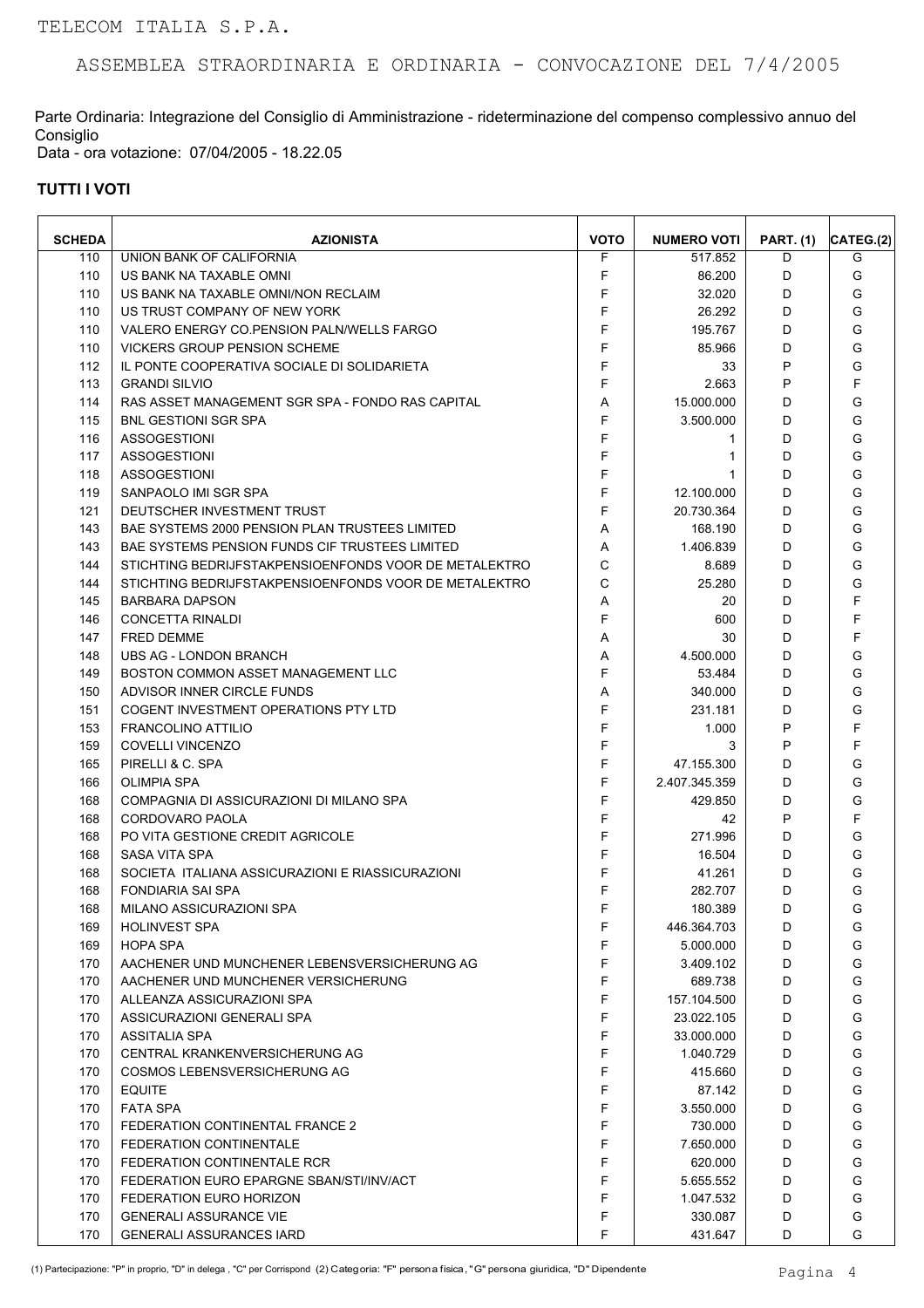Parte Ordinaria: Integrazione del Consiglio di Amministrazione - rideterminazione del compenso complessivo annuo del Consiglio Data - ora votazione: 07/04/2005 - 18.22.05

| <b>SCHEDA</b> | <b>AZIONISTA</b>                                      | <b>VOTO</b> | <b>NUMERO VOTI</b> | <b>PART. (1)</b> | CATEG.(2) |
|---------------|-------------------------------------------------------|-------------|--------------------|------------------|-----------|
| 110           | UNION BANK OF CALIFORNIA                              | F           | 517.852            | D                | G         |
| 110           | US BANK NA TAXABLE OMNI                               | F           | 86.200             | D                | G         |
| 110           | US BANK NA TAXABLE OMNI/NON RECLAIM                   | F           | 32.020             | D                | G         |
| 110           | US TRUST COMPANY OF NEW YORK                          | F           | 26.292             | D                | G         |
| 110           | VALERO ENERGY CO.PENSION PALN/WELLS FARGO             | F           | 195.767            | D                | G         |
| 110           | VICKERS GROUP PENSION SCHEME                          | F           | 85.966             | D                | G         |
| 112           | IL PONTE COOPERATIVA SOCIALE DI SOLIDARIETA           | F           | 33                 | P                | G         |
| 113           | <b>GRANDI SILVIO</b>                                  | F           | 2.663              | P                | F         |
| 114           | RAS ASSET MANAGEMENT SGR SPA - FONDO RAS CAPITAL      | A           | 15.000.000         | D                | G         |
| 115           | <b>BNL GESTIONI SGR SPA</b>                           | F           | 3.500.000          | D                | G         |
| 116           | <b>ASSOGESTIONI</b>                                   | F           | 1                  | D                | G         |
| 117           | <b>ASSOGESTIONI</b>                                   | F           | 1                  | D                | G         |
| 118           | <b>ASSOGESTIONI</b>                                   | F           | 1                  | D                | G         |
| 119           | SANPAOLO IMI SGR SPA                                  | F           | 12.100.000         | D                | G         |
| 121           | DEUTSCHER INVESTMENT TRUST                            | F           | 20.730.364         | D                | G         |
| 143           | BAE SYSTEMS 2000 PENSION PLAN TRUSTEES LIMITED        | A           | 168.190            | D                | G         |
| 143           | BAE SYSTEMS PENSION FUNDS CIF TRUSTEES LIMITED        | A           | 1.406.839          | D                | G         |
| 144           | STICHTING BEDRIJFSTAKPENSIOENFONDS VOOR DE METALEKTRO | C           | 8.689              | D                | G         |
| 144           | STICHTING BEDRIJFSTAKPENSIOENFONDS VOOR DE METALEKTRO | C           | 25.280             | D                | G         |
| 145           | <b>BARBARA DAPSON</b>                                 | Α           | 20                 | D                | F         |
| 146           | <b>CONCETTA RINALDI</b>                               | F           | 600                | D                | F         |
| 147           | <b>FRED DEMME</b>                                     | Α           | 30                 | D                | F         |
| 148           | UBS AG - LONDON BRANCH                                | Α           | 4.500.000          | D                | G         |
| 149           | BOSTON COMMON ASSET MANAGEMENT LLC                    | F           | 53.484             | D                | G         |
| 150           | ADVISOR INNER CIRCLE FUNDS                            | A           | 340.000            | D                | G         |
| 151           | COGENT INVESTMENT OPERATIONS PTY LTD                  | F           | 231.181            | D                | G         |
| 153           | <b>FRANCOLINO ATTILIO</b>                             | F           | 1.000              | P                | F         |
| 159           | <b>COVELLI VINCENZO</b>                               | F           | 3                  | P                | F         |
| 165           | PIRELLI & C. SPA                                      | F           | 47.155.300         | D                | G         |
| 166           | <b>OLIMPIA SPA</b>                                    | F           | 2.407.345.359      | D                | G         |
| 168           | COMPAGNIA DI ASSICURAZIONI DI MILANO SPA              | F           | 429.850            | D                | G         |
| 168           | CORDOVARO PAOLA                                       | F           |                    | P                | F         |
| 168           | PO VITA GESTIONE CREDIT AGRICOLE                      | F           | 42                 | D                | G         |
| 168           | SASA VITA SPA                                         | F           | 271.996            | D                | G         |
| 168           | SOCIETA ITALIANA ASSICURAZIONI E RIASSICURAZIONI      | F           | 16.504             | D                | G         |
|               |                                                       | F           | 41.261             |                  | G         |
| 168           | FONDIARIA SAI SPA                                     | F           | 282.707            | D<br>D           | G         |
| 168           | MILANO ASSICURAZIONI SPA                              |             | 180.389            |                  |           |
| 169           | <b>HOLINVEST SPA</b>                                  | F           | 446.364.703        | D                | G         |
| 169           | <b>HOPA SPA</b>                                       | F           | 5.000.000          | D                | G         |
| 170           | AACHENER UND MUNCHENER LEBENSVERSICHERUNG AG          | F           | 3.409.102          | D                | G         |
| 170           | AACHENER UND MUNCHENER VERSICHERUNG                   | F           | 689.738            | D                | G         |
| 170           | ALLEANZA ASSICURAZIONI SPA                            | F           | 157.104.500        | D                | G         |
| 170           | ASSICURAZIONI GENERALI SPA                            | F           | 23.022.105         | D                | G         |
| 170           | ASSITALIA SPA                                         | F           | 33.000.000         | D                | G         |
| 170           | CENTRAL KRANKENVERSICHERUNG AG                        | F           | 1.040.729          | D                | G         |
| 170           | COSMOS LEBENSVERSICHERUNG AG                          | F           | 415.660            | D                | G         |
| 170           | <b>EQUITE</b>                                         | F           | 87.142             | D                | G         |
| 170           | <b>FATA SPA</b>                                       | F           | 3.550.000          | D                | G         |
| 170           | FEDERATION CONTINENTAL FRANCE 2                       | F           | 730.000            | D                | G         |
| 170           | FEDERATION CONTINENTALE                               | F           | 7.650.000          | D                | G         |
| 170           | FEDERATION CONTINENTALE RCR                           | F           | 620.000            | D                | G         |
| 170           | FEDERATION EURO EPARGNE SBAN/STI/INV/ACT              | F           | 5.655.552          | D                | G         |
| 170           | FEDERATION EURO HORIZON                               | F           | 1.047.532          | D                | G         |
| 170           | <b>GENERALI ASSURANCE VIE</b>                         | F           | 330.087            | D                | G         |
| 170           | <b>GENERALI ASSURANCES IARD</b>                       | F           | 431.647            | D                | G         |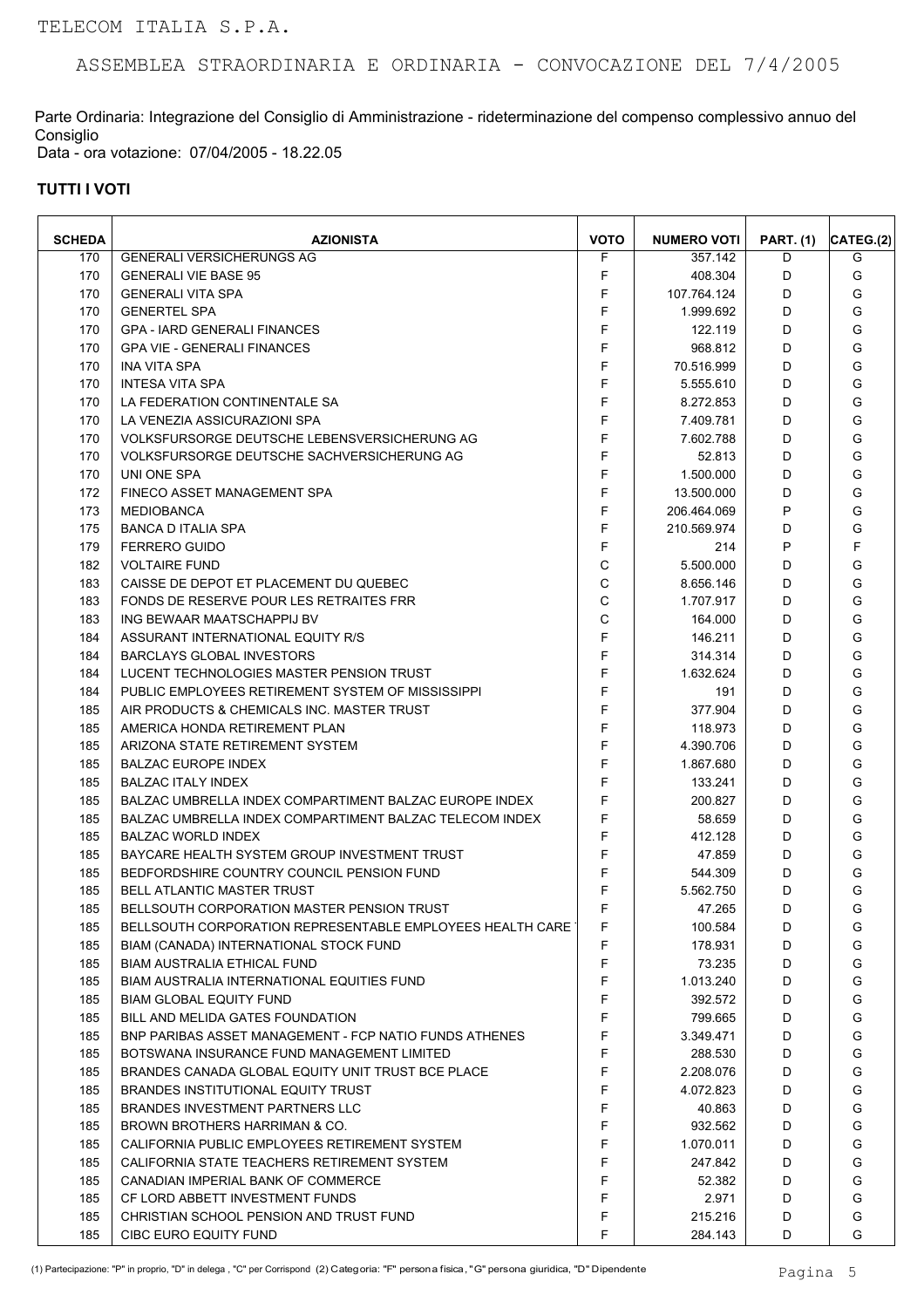Parte Ordinaria: Integrazione del Consiglio di Amministrazione - rideterminazione del compenso complessivo annuo del Consiglio Data - ora votazione: 07/04/2005 - 18.22.05

| <b>SCHEDA</b> | <b>AZIONISTA</b>                                                      | <b>VOTO</b>  | <b>NUMERO VOTI</b> | <b>PART. (1)</b> | CATEG.(2)   |
|---------------|-----------------------------------------------------------------------|--------------|--------------------|------------------|-------------|
| 170           | <b>GENERALI VERSICHERUNGS AG</b>                                      | F            | 357.142            | D                | G           |
| 170           | <b>GENERALI VIE BASE 95</b>                                           | F            | 408.304            | D                | G           |
| 170           | <b>GENERALI VITA SPA</b>                                              | F            | 107.764.124        | D                | G           |
| 170           | <b>GENERTEL SPA</b>                                                   | F            | 1.999.692          | D                | G           |
| 170           | <b>GPA - IARD GENERALI FINANCES</b>                                   | F            | 122.119            | D                | G           |
| 170           | <b>GPA VIE - GENERALI FINANCES</b>                                    | F            | 968.812            | D                | G           |
| 170           | <b>INA VITA SPA</b>                                                   | F            | 70.516.999         | D                | G           |
| 170           | <b>INTESA VITA SPA</b>                                                | F            | 5.555.610          | D                | G           |
| 170           | LA FEDERATION CONTINENTALE SA                                         | F            | 8.272.853          | D                | G           |
| 170           | LA VENEZIA ASSICURAZIONI SPA                                          | F            | 7.409.781          | D                | G           |
| 170           | VOLKSFURSORGE DEUTSCHE LEBENSVERSICHERUNG AG                          | F            | 7.602.788          | D                | G           |
| 170           | VOLKSFURSORGE DEUTSCHE SACHVERSICHERUNG AG                            | F            | 52.813             | D                | G           |
| 170           | UNI ONE SPA                                                           | F            | 1.500.000          | D                | G           |
| 172           | FINECO ASSET MANAGEMENT SPA                                           | F            | 13.500.000         | D                | G           |
| 173           | <b>MEDIOBANCA</b>                                                     | F            | 206.464.069        | P                | G           |
| 175           | <b>BANCA D ITALIA SPA</b>                                             | F            | 210.569.974        | D                | G           |
| 179           | <b>FERRERO GUIDO</b>                                                  | F            | 214                | P                | $\mathsf F$ |
| 182           | <b>VOLTAIRE FUND</b>                                                  | $\mathsf{C}$ | 5.500.000          | D                | G           |
| 183           | CAISSE DE DEPOT ET PLACEMENT DU QUEBEC                                | $\mathsf{C}$ | 8.656.146          | D                | G           |
| 183           |                                                                       | $\mathsf{C}$ |                    | D                | G           |
|               | FONDS DE RESERVE POUR LES RETRAITES FRR<br>ING BEWAAR MAATSCHAPPIJ BV | $\mathbf C$  | 1.707.917          |                  | G           |
| 183           |                                                                       |              | 164.000            | D                |             |
| 184           | ASSURANT INTERNATIONAL EQUITY R/S                                     | F            | 146.211            | D                | G           |
| 184           | <b>BARCLAYS GLOBAL INVESTORS</b>                                      | F            | 314.314            | D                | G           |
| 184           | LUCENT TECHNOLOGIES MASTER PENSION TRUST                              | F            | 1.632.624          | D                | G           |
| 184           | PUBLIC EMPLOYEES RETIREMENT SYSTEM OF MISSISSIPPI                     | F            | 191                | D                | G           |
| 185           | AIR PRODUCTS & CHEMICALS INC. MASTER TRUST                            | F            | 377.904            | D                | G           |
| 185           | AMERICA HONDA RETIREMENT PLAN                                         | F            | 118.973            | D                | G           |
| 185           | ARIZONA STATE RETIREMENT SYSTEM                                       | F            | 4.390.706          | D                | G           |
| 185           | <b>BALZAC EUROPE INDEX</b>                                            | F            | 1.867.680          | D                | G           |
| 185           | <b>BALZAC ITALY INDEX</b>                                             | F            | 133.241            | D                | G           |
| 185           | BALZAC UMBRELLA INDEX COMPARTIMENT BALZAC EUROPE INDEX                | F            | 200.827            | D                | G           |
| 185           | BALZAC UMBRELLA INDEX COMPARTIMENT BALZAC TELECOM INDEX               | F            | 58.659             | D                | G           |
| 185           | <b>BALZAC WORLD INDEX</b>                                             | F            | 412.128            | D                | G           |
| 185           | BAYCARE HEALTH SYSTEM GROUP INVESTMENT TRUST                          | F            | 47.859             | D                | G           |
| 185           | BEDFORDSHIRE COUNTRY COUNCIL PENSION FUND                             | F            | 544.309            | D                | G           |
| 185           | <b>BELL ATLANTIC MASTER TRUST</b>                                     | F            | 5.562.750          | D                | G           |
| 185           | BELLSOUTH CORPORATION MASTER PENSION TRUST                            | F            | 47.265             | D                | G           |
| 185           | BELLSOUTH CORPORATION REPRESENTABLE EMPLOYEES HEALTH CARE             | F            | 100.584            | D                | G           |
| 185           | BIAM (CANADA) INTERNATIONAL STOCK FUND                                | F            | 178.931            | D                | G           |
| 185           | <b>BIAM AUSTRALIA ETHICAL FUND</b>                                    | F            | 73.235             | D                | G           |
| 185           | BIAM AUSTRALIA INTERNATIONAL EQUITIES FUND                            | F            | 1.013.240          | D                | G           |
| 185           | <b>BIAM GLOBAL EQUITY FUND</b>                                        | F            | 392.572            | D                | G           |
| 185           | BILL AND MELIDA GATES FOUNDATION                                      | F            | 799.665            | D                | G           |
| 185           | <b>BNP PARIBAS ASSET MANAGEMENT - FCP NATIO FUNDS ATHENES</b>         | F            | 3.349.471          | D                | G           |
| 185           | BOTSWANA INSURANCE FUND MANAGEMENT LIMITED                            | F            | 288.530            | D                | G           |
| 185           | BRANDES CANADA GLOBAL EQUITY UNIT TRUST BCE PLACE                     | F            | 2.208.076          | D                | G           |
| 185           | BRANDES INSTITUTIONAL EQUITY TRUST                                    | F            | 4.072.823          | D                | G           |
| 185           | BRANDES INVESTMENT PARTNERS LLC                                       | F            | 40.863             | D                | G           |
| 185           | BROWN BROTHERS HARRIMAN & CO.                                         | F            | 932.562            | D                | G           |
| 185           | CALIFORNIA PUBLIC EMPLOYEES RETIREMENT SYSTEM                         | F            | 1.070.011          | D                | G           |
| 185           | CALIFORNIA STATE TEACHERS RETIREMENT SYSTEM                           | F            | 247.842            | D                | G           |
| 185           | CANADIAN IMPERIAL BANK OF COMMERCE                                    | F            | 52.382             | D                | G           |
| 185           | CF LORD ABBETT INVESTMENT FUNDS                                       | F            | 2.971              | D                | G           |
| 185           | CHRISTIAN SCHOOL PENSION AND TRUST FUND                               | F            | 215.216            | D                | G           |
| 185           | CIBC EURO EQUITY FUND                                                 | F            | 284.143            | D                | G           |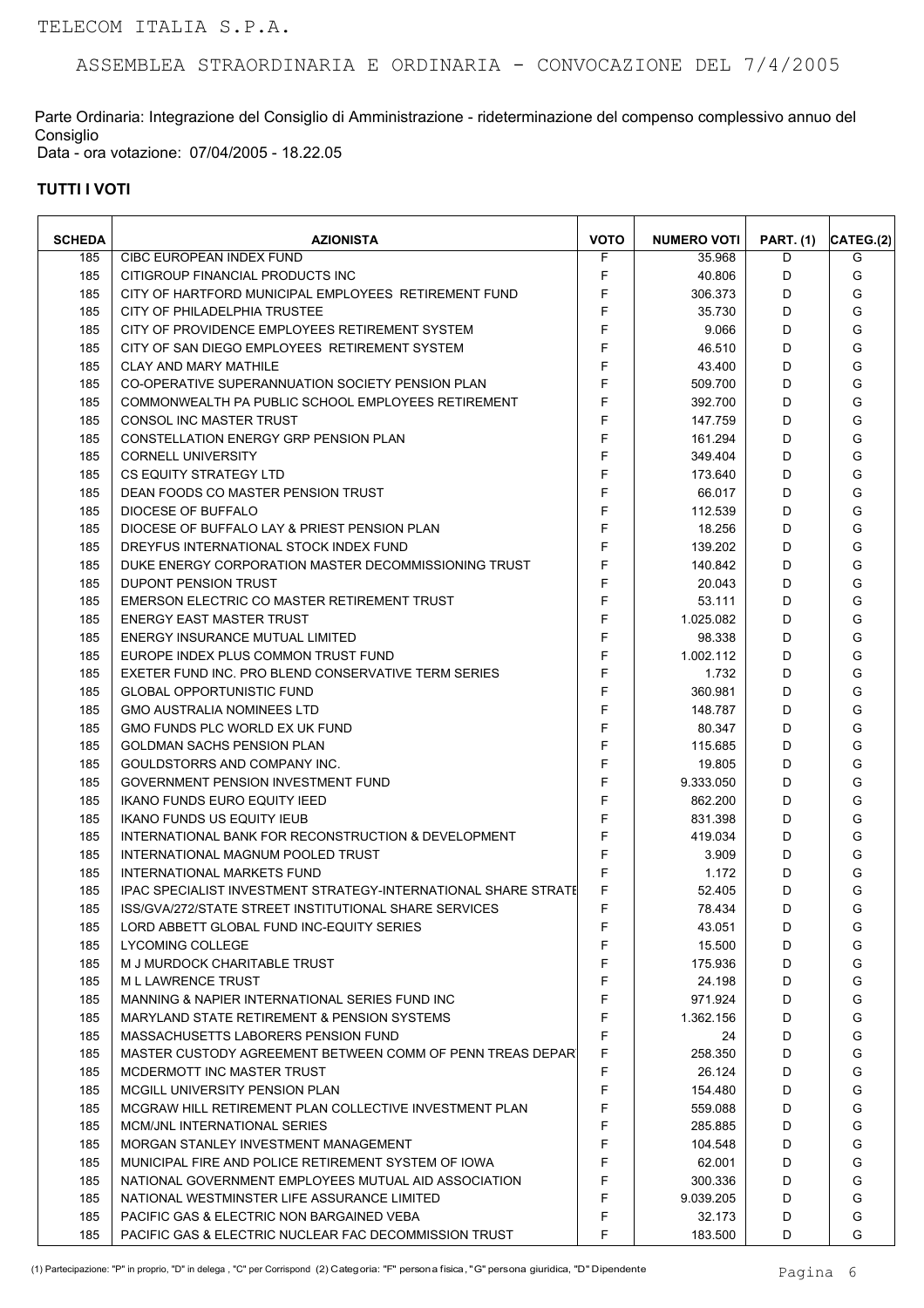Parte Ordinaria: Integrazione del Consiglio di Amministrazione - rideterminazione del compenso complessivo annuo del Consiglio Data - ora votazione: 07/04/2005 - 18.22.05

| <b>SCHEDA</b> | <b>AZIONISTA</b>                                                      | <b>VOTO</b> | <b>NUMERO VOTI</b> | <b>PART.</b> (1) | CATEG.(2) |
|---------------|-----------------------------------------------------------------------|-------------|--------------------|------------------|-----------|
| 185           | CIBC EUROPEAN INDEX FUND                                              | F           | 35.968             | D                | G         |
| 185           | CITIGROUP FINANCIAL PRODUCTS INC                                      | F           | 40.806             | D                | G         |
| 185           | CITY OF HARTFORD MUNICIPAL EMPLOYEES RETIREMENT FUND                  | F           | 306.373            | D                | G         |
| 185           | CITY OF PHILADELPHIA TRUSTEE                                          | F           | 35.730             | D                | G         |
| 185           | CITY OF PROVIDENCE EMPLOYEES RETIREMENT SYSTEM                        | F           | 9.066              | D                | G         |
| 185           | CITY OF SAN DIEGO EMPLOYEES RETIREMENT SYSTEM                         | F           | 46.510             | D                | G         |
| 185           | <b>CLAY AND MARY MATHILE</b>                                          | F           | 43.400             | D                | G         |
| 185           | CO-OPERATIVE SUPERANNUATION SOCIETY PENSION PLAN                      | F           | 509.700            | D                | G         |
| 185           | COMMONWEALTH PA PUBLIC SCHOOL EMPLOYEES RETIREMENT                    | F           | 392.700            | D                | G         |
| 185           | <b>CONSOL INC MASTER TRUST</b>                                        | F           | 147.759            | D                | G         |
| 185           | <b>CONSTELLATION ENERGY GRP PENSION PLAN</b>                          | F           | 161.294            | D                | G         |
| 185           | <b>CORNELL UNIVERSITY</b>                                             | $\mathsf F$ | 349.404            | D                | G         |
| 185           | CS EQUITY STRATEGY LTD                                                | F           | 173.640            | D                | G         |
| 185           | DEAN FOODS CO MASTER PENSION TRUST                                    | F           | 66.017             | D                | G         |
| 185           | DIOCESE OF BUFFALO                                                    | F           | 112.539            | D                | G         |
| 185           | DIOCESE OF BUFFALO LAY & PRIEST PENSION PLAN                          | F           | 18.256             | D                | G         |
| 185           | DREYFUS INTERNATIONAL STOCK INDEX FUND                                | F           | 139.202            | D                | G         |
| 185           | DUKE ENERGY CORPORATION MASTER DECOMMISSIONING TRUST                  | F           | 140.842            | D                | G         |
| 185           | DUPONT PENSION TRUST                                                  | F           | 20.043             | D                | G         |
| 185           | EMERSON ELECTRIC CO MASTER RETIREMENT TRUST                           | F           | 53.111             | D                | G         |
| 185           | <b>ENERGY EAST MASTER TRUST</b>                                       | F           | 1.025.082          | D                | G         |
| 185           | ENERGY INSURANCE MUTUAL LIMITED                                       | F           | 98.338             | D                | G         |
| 185           | EUROPE INDEX PLUS COMMON TRUST FUND                                   | F           | 1.002.112          | D                | G         |
| 185           | EXETER FUND INC. PRO BLEND CONSERVATIVE TERM SERIES                   | F           | 1.732              | D                | G         |
| 185           | <b>GLOBAL OPPORTUNISTIC FUND</b>                                      | F           | 360.981            | D                | G         |
| 185           | <b>GMO AUSTRALIA NOMINEES LTD</b>                                     | F           | 148.787            | D                | G         |
|               |                                                                       | $\mathsf F$ |                    | D                | G         |
| 185           | GMO FUNDS PLC WORLD EX UK FUND                                        | $\mathsf F$ | 80.347             |                  |           |
| 185           | <b>GOLDMAN SACHS PENSION PLAN</b>                                     | F           | 115.685            | D                | G<br>G    |
| 185           | GOULDSTORRS AND COMPANY INC.                                          |             | 19.805             | D                |           |
| 185           | GOVERNMENT PENSION INVESTMENT FUND                                    | F           | 9.333.050          | D                | G         |
| 185           | <b>IKANO FUNDS EURO EQUITY IEED</b>                                   | F           | 862.200            | D                | G         |
| 185           | <b>IKANO FUNDS US EQUITY IEUB</b>                                     | F           | 831.398            | D                | G         |
| 185           | INTERNATIONAL BANK FOR RECONSTRUCTION & DEVELOPMENT                   | F           | 419.034            | D                | G         |
| 185           | INTERNATIONAL MAGNUM POOLED TRUST                                     | F           | 3.909              | D                | G         |
| 185           | <b>INTERNATIONAL MARKETS FUND</b>                                     | F           | 1.172              | D                | G         |
| 185           | <b>IPAC SPECIALIST INVESTMENT STRATEGY-INTERNATIONAL SHARE STRATE</b> | F           | 52.405             | D                | G         |
| 185           | ISS/GVA/272/STATE STREET INSTITUTIONAL SHARE SERVICES                 | F           | 78.434             | D                | G         |
| 185           | LORD ABBETT GLOBAL FUND INC-EQUITY SERIES                             | F           | 43.051             | D                | G         |
| 185           | LYCOMING COLLEGE                                                      | F           | 15.500             | D                | G         |
| 185           | M J MURDOCK CHARITABLE TRUST                                          | F           | 175.936            | D                | G         |
| 185           | M L LAWRENCE TRUST                                                    | F           | 24.198             | D                | G         |
| 185           | MANNING & NAPIER INTERNATIONAL SERIES FUND INC                        | F           | 971.924            | D                | G         |
| 185           | MARYLAND STATE RETIREMENT & PENSION SYSTEMS                           | F           | 1.362.156          | D                | G         |
| 185           | MASSACHUSETTS LABORERS PENSION FUND                                   | F           | 24                 | D                | G         |
| 185           | MASTER CUSTODY AGREEMENT BETWEEN COMM OF PENN TREAS DEPAR             | F           | 258.350            | D                | G         |
| 185           | MCDERMOTT INC MASTER TRUST                                            | F           | 26.124             | D                | G         |
| 185           | MCGILL UNIVERSITY PENSION PLAN                                        | F           | 154.480            | D                | G         |
| 185           | MCGRAW HILL RETIREMENT PLAN COLLECTIVE INVESTMENT PLAN                | F           | 559.088            | D                | G         |
| 185           | MCM/JNL INTERNATIONAL SERIES                                          | F           | 285.885            | D                | G         |
| 185           | MORGAN STANLEY INVESTMENT MANAGEMENT                                  | F           | 104.548            | D                | G         |
| 185           | MUNICIPAL FIRE AND POLICE RETIREMENT SYSTEM OF IOWA                   | F           | 62.001             | D                | G         |
| 185           | NATIONAL GOVERNMENT EMPLOYEES MUTUAL AID ASSOCIATION                  | F           | 300.336            | D                | G         |
| 185           | NATIONAL WESTMINSTER LIFE ASSURANCE LIMITED                           | F           | 9.039.205          | D                | G         |
| 185           | PACIFIC GAS & ELECTRIC NON BARGAINED VEBA                             | F           | 32.173             | D                | G         |
| 185           | PACIFIC GAS & ELECTRIC NUCLEAR FAC DECOMMISSION TRUST                 | F           | 183.500            | D                | G         |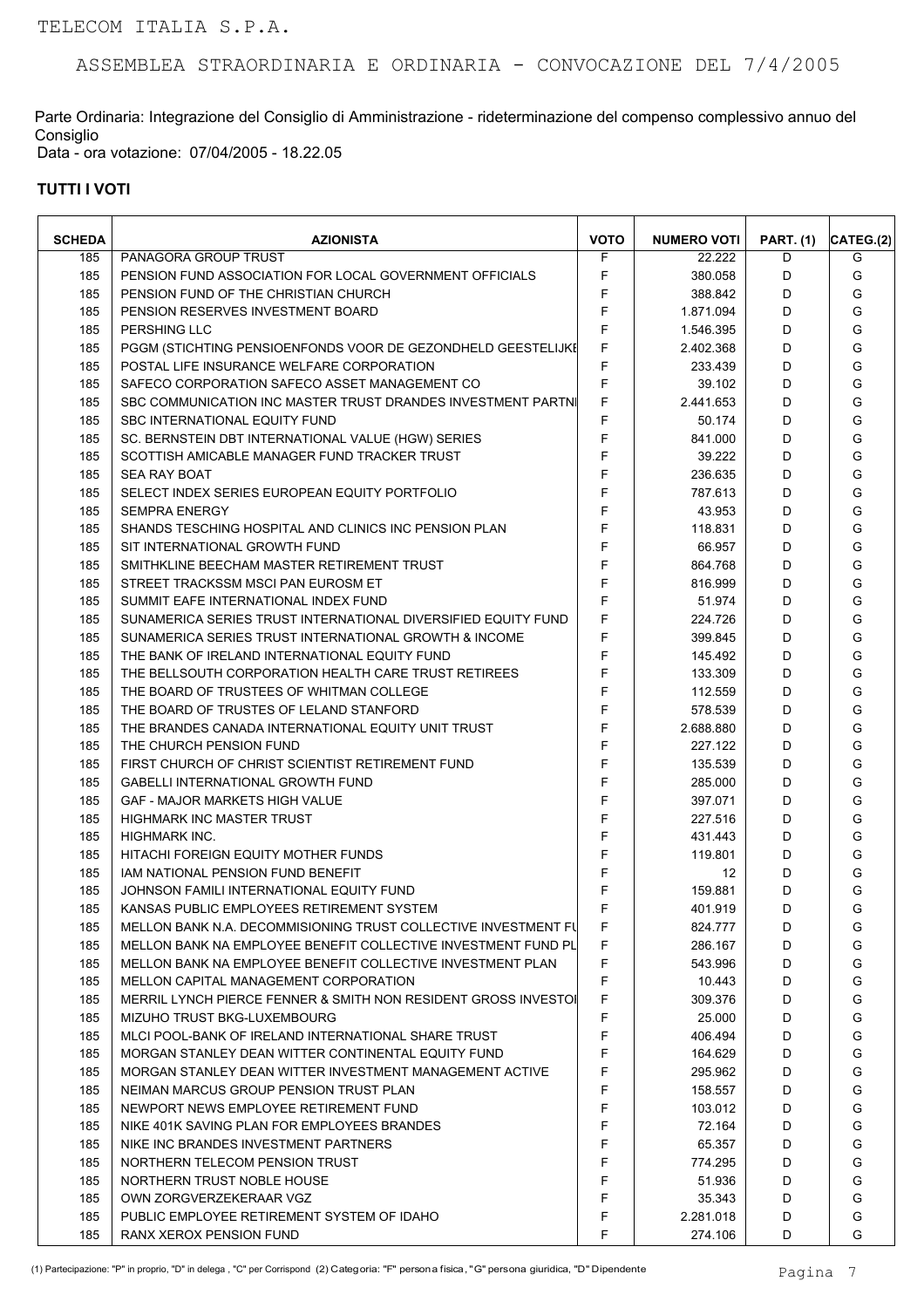Parte Ordinaria: Integrazione del Consiglio di Amministrazione - rideterminazione del compenso complessivo annuo del Consiglio

Data - ora votazione: 07/04/2005 - 18.22.05

| <b>SCHEDA</b> | <b>AZIONISTA</b>                                               | <b>VOTO</b> | <b>NUMERO VOTI</b> | <b>PART. (1)</b> | CATEG.(2) |
|---------------|----------------------------------------------------------------|-------------|--------------------|------------------|-----------|
| 185           | PANAGORA GROUP TRUST                                           | F           | 22.222             | D                | G         |
| 185           | PENSION FUND ASSOCIATION FOR LOCAL GOVERNMENT OFFICIALS        | F           | 380.058            | D                | G         |
| 185           | PENSION FUND OF THE CHRISTIAN CHURCH                           | F           | 388.842            | D                | G         |
| 185           | PENSION RESERVES INVESTMENT BOARD                              | F           | 1.871.094          | D                | G         |
| 185           | <b>PERSHING LLC</b>                                            | F           | 1.546.395          | D                | G         |
| 185           | PGGM (STICHTING PENSIOENFONDS VOOR DE GEZONDHELD GEESTELIJKE   | F           | 2.402.368          | D                | G         |
| 185           | POSTAL LIFE INSURANCE WELFARE CORPORATION                      | F           | 233.439            | D                | G         |
| 185           | SAFECO CORPORATION SAFECO ASSET MANAGEMENT CO                  | F           | 39.102             | D                | G         |
| 185           | SBC COMMUNICATION INC MASTER TRUST DRANDES INVESTMENT PARTNI   | F           | 2.441.653          | D                | G         |
| 185           | SBC INTERNATIONAL EQUITY FUND                                  | F           | 50.174             | D                | G         |
| 185           | SC. BERNSTEIN DBT INTERNATIONAL VALUE (HGW) SERIES             | $\mathsf F$ | 841.000            | D                | G         |
| 185           | SCOTTISH AMICABLE MANAGER FUND TRACKER TRUST                   | F           | 39.222             | D                | G         |
| 185           | <b>SEA RAY BOAT</b>                                            | F           | 236.635            | D                | G         |
| 185           | SELECT INDEX SERIES EUROPEAN EQUITY PORTFOLIO                  | F           | 787.613            | D                | G         |
| 185           | <b>SEMPRA ENERGY</b>                                           | F           | 43.953             | D                | G         |
| 185           | SHANDS TESCHING HOSPITAL AND CLINICS INC PENSION PLAN          | F           | 118.831            | D                | G         |
| 185           | SIT INTERNATIONAL GROWTH FUND                                  | F           | 66.957             | D                | G         |
| 185           | SMITHKLINE BEECHAM MASTER RETIREMENT TRUST                     | F           | 864.768            | D                | G         |
| 185           | STREET TRACKSSM MSCI PAN EUROSM ET                             | F           | 816.999            | D                | G         |
|               |                                                                | F           |                    |                  | G         |
| 185           | SUMMIT EAFE INTERNATIONAL INDEX FUND                           |             | 51.974             | D                |           |
| 185           | SUNAMERICA SERIES TRUST INTERNATIONAL DIVERSIFIED EQUITY FUND  | F           | 224.726            | D                | G         |
| 185           | SUNAMERICA SERIES TRUST INTERNATIONAL GROWTH & INCOME          | F           | 399.845            | D                | G         |
| 185           | THE BANK OF IRELAND INTERNATIONAL EQUITY FUND                  | F           | 145.492            | D                | G         |
| 185           | THE BELLSOUTH CORPORATION HEALTH CARE TRUST RETIREES           | F           | 133.309            | D                | G         |
| 185           | THE BOARD OF TRUSTEES OF WHITMAN COLLEGE                       | F           | 112.559            | D                | G         |
| 185           | THE BOARD OF TRUSTES OF LELAND STANFORD                        | F           | 578.539            | D                | G         |
| 185           | THE BRANDES CANADA INTERNATIONAL EQUITY UNIT TRUST             | F           | 2.688.880          | D                | G         |
| 185           | THE CHURCH PENSION FUND                                        | F           | 227.122            | D                | G         |
| 185           | FIRST CHURCH OF CHRIST SCIENTIST RETIREMENT FUND               | E           | 135.539            | D                | G         |
| 185           | <b>GABELLI INTERNATIONAL GROWTH FUND</b>                       | F           | 285.000            | D                | G         |
| 185           | <b>GAF - MAJOR MARKETS HIGH VALUE</b>                          | F           | 397.071            | D                | G         |
| 185           | <b>HIGHMARK INC MASTER TRUST</b>                               | F           | 227.516            | D                | G         |
| 185           | <b>HIGHMARK INC.</b>                                           | F           | 431.443            | D                | G         |
| 185           | HITACHI FOREIGN EQUITY MOTHER FUNDS                            | F           | 119.801            | D                | G         |
| 185           | <b>IAM NATIONAL PENSION FUND BENEFIT</b>                       | F           | 12                 | D                | G         |
| 185           | JOHNSON FAMILI INTERNATIONAL EQUITY FUND                       | F           | 159.881            | D                | G         |
| 185           | KANSAS PUBLIC EMPLOYEES RETIREMENT SYSTEM                      | F           | 401.919            | D                | G         |
| 185           | MELLON BANK N.A. DECOMMISIONING TRUST COLLECTIVE INVESTMENT FU | F.          | 824.777            | D                | G         |
| 185           | MELLON BANK NA EMPLOYEE BENEFIT COLLECTIVE INVESTMENT FUND PL  | F           | 286.167            | D                | G         |
| 185           | MELLON BANK NA EMPLOYEE BENEFIT COLLECTIVE INVESTMENT PLAN     | F           | 543.996            | D                | G         |
| 185           | MELLON CAPITAL MANAGEMENT CORPORATION                          | F           | 10.443             | D                | G         |
| 185           | MERRIL LYNCH PIERCE FENNER & SMITH NON RESIDENT GROSS INVESTOI | F           | 309.376            | D                | G         |
| 185           | MIZUHO TRUST BKG-LUXEMBOURG                                    | F           | 25.000             | D                | G         |
| 185           | MLCI POOL-BANK OF IRELAND INTERNATIONAL SHARE TRUST            | F           | 406.494            | D                | G         |
|               | MORGAN STANLEY DEAN WITTER CONTINENTAL EQUITY FUND             | F           |                    | D                | G         |
| 185           |                                                                |             | 164.629            |                  |           |
| 185           | MORGAN STANLEY DEAN WITTER INVESTMENT MANAGEMENT ACTIVE        | F           | 295.962            | D                | G         |
| 185           | NEIMAN MARCUS GROUP PENSION TRUST PLAN                         | F           | 158.557            | D                | G         |
| 185           | NEWPORT NEWS EMPLOYEE RETIREMENT FUND                          | F           | 103.012            | D                | G         |
| 185           | NIKE 401K SAVING PLAN FOR EMPLOYEES BRANDES                    | F           | 72.164             | D                | G         |
| 185           | NIKE INC BRANDES INVESTMENT PARTNERS                           | F           | 65.357             | D                | G         |
| 185           | NORTHERN TELECOM PENSION TRUST                                 | F           | 774.295            | D                | G         |
| 185           | NORTHERN TRUST NOBLE HOUSE                                     | F           | 51.936             | D                | G         |
| 185           | OWN ZORGVERZEKERAAR VGZ                                        | F           | 35.343             | D                | G         |
| 185           | PUBLIC EMPLOYEE RETIREMENT SYSTEM OF IDAHO                     | F           | 2.281.018          | D                | G         |
| 185           | RANX XEROX PENSION FUND                                        | F           | 274.106            | D                | G         |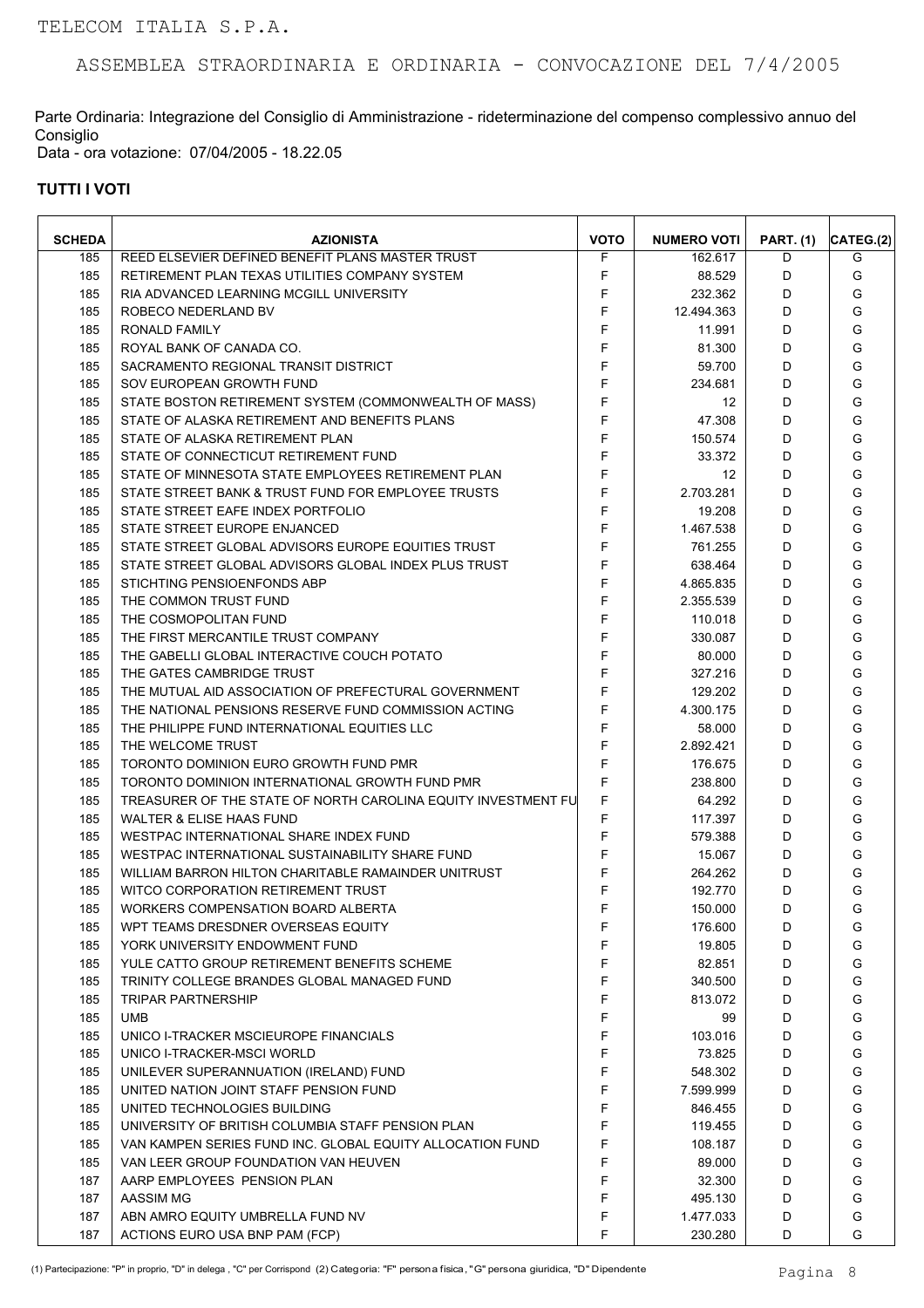Parte Ordinaria: Integrazione del Consiglio di Amministrazione - rideterminazione del compenso complessivo annuo del Consiglio Data - ora votazione: 07/04/2005 - 18.22.05

| <b>SCHEDA</b> | <b>AZIONISTA</b>                                              | <b>VOTO</b> | <b>NUMERO VOTI</b> | <b>PART. (1)</b> | CATEG.(2) |
|---------------|---------------------------------------------------------------|-------------|--------------------|------------------|-----------|
| 185           | REED ELSEVIER DEFINED BENEFIT PLANS MASTER TRUST              | F           | 162.617            | D                | G         |
| 185           | RETIREMENT PLAN TEXAS UTILITIES COMPANY SYSTEM                | F           | 88.529             | D                | G         |
| 185           | RIA ADVANCED LEARNING MCGILL UNIVERSITY                       | F           | 232.362            | D                | G         |
| 185           | ROBECO NEDERLAND BV                                           | F           | 12.494.363         | D                | G         |
| 185           | <b>RONALD FAMILY</b>                                          | F           | 11.991             | D                | G         |
| 185           | ROYAL BANK OF CANADA CO.                                      | F           | 81.300             | D                | G         |
| 185           | SACRAMENTO REGIONAL TRANSIT DISTRICT                          | F           | 59.700             | D                | G         |
| 185           | SOV EUROPEAN GROWTH FUND                                      | F           | 234.681            | D                | G         |
| 185           | STATE BOSTON RETIREMENT SYSTEM (COMMONWEALTH OF MASS)         | F           | 12                 | D                | G         |
| 185           | STATE OF ALASKA RETIREMENT AND BENEFITS PLANS                 | F           | 47.308             | D                | G         |
| 185           | STATE OF ALASKA RETIREMENT PLAN                               | F           | 150.574            | D                | G         |
| 185           | STATE OF CONNECTICUT RETIREMENT FUND                          | F           | 33.372             | D                | G         |
| 185           | STATE OF MINNESOTA STATE EMPLOYEES RETIREMENT PLAN            | F           | 12                 | D                | G         |
| 185           | STATE STREET BANK & TRUST FUND FOR EMPLOYEE TRUSTS            | F           | 2.703.281          | D                | G         |
| 185           | STATE STREET EAFE INDEX PORTFOLIO                             | F           | 19.208             | D                | G         |
| 185           | STATE STREET EUROPE ENJANCED                                  | F           | 1.467.538          | D                | G         |
| 185           | STATE STREET GLOBAL ADVISORS EUROPE EQUITIES TRUST            | F           | 761.255            | D                | G         |
| 185           | STATE STREET GLOBAL ADVISORS GLOBAL INDEX PLUS TRUST          | F           | 638.464            | D                | G         |
| 185           | STICHTING PENSIOENFONDS ABP                                   | F           | 4.865.835          | D                | G         |
| 185           | THE COMMON TRUST FUND                                         | F           |                    | D                | G         |
|               |                                                               | F           | 2.355.539          |                  | G         |
| 185           | THE COSMOPOLITAN FUND                                         |             | 110.018            | D                |           |
| 185           | THE FIRST MERCANTILE TRUST COMPANY                            | F           | 330.087            | D                | G         |
| 185           | THE GABELLI GLOBAL INTERACTIVE COUCH POTATO                   | F           | 80.000             | D                | G         |
| 185           | THE GATES CAMBRIDGE TRUST                                     | F           | 327.216            | D                | G         |
| 185           | THE MUTUAL AID ASSOCIATION OF PREFECTURAL GOVERNMENT          | F           | 129.202            | D                | G         |
| 185           | THE NATIONAL PENSIONS RESERVE FUND COMMISSION ACTING          | F           | 4.300.175          | D                | G         |
| 185           | THE PHILIPPE FUND INTERNATIONAL EQUITIES LLC                  | F           | 58.000             | D                | G         |
| 185           | THE WELCOME TRUST                                             | F           | 2.892.421          | D                | G         |
| 185           | TORONTO DOMINION EURO GROWTH FUND PMR                         | F           | 176.675            | D                | G         |
| 185           | TORONTO DOMINION INTERNATIONAL GROWTH FUND PMR                | F           | 238.800            | D                | G         |
| 185           | TREASURER OF THE STATE OF NORTH CAROLINA EQUITY INVESTMENT FU | F           | 64.292             | D                | G         |
| 185           | WALTER & ELISE HAAS FUND                                      | F           | 117.397            | D                | G         |
| 185           | WESTPAC INTERNATIONAL SHARE INDEX FUND                        | F           | 579.388            | D                | G         |
| 185           | WESTPAC INTERNATIONAL SUSTAINABILITY SHARE FUND               | F           | 15.067             | D                | G         |
| 185           | WILLIAM BARRON HILTON CHARITABLE RAMAINDER UNITRUST           | F           | 264.262            | D                | G         |
| 185           | WITCO CORPORATION RETIREMENT TRUST                            | F           | 192.770            | D                | G         |
| 185           | WORKERS COMPENSATION BOARD ALBERTA                            | F           | 150.000            | D                | G         |
| 185           | WPT TEAMS DRESDNER OVERSEAS EQUITY                            | F           | 176.600            | D                | G         |
| 185           | YORK UNIVERSITY ENDOWMENT FUND                                | F           | 19.805             | D                | G         |
| 185           | YULE CATTO GROUP RETIREMENT BENEFITS SCHEME                   | F           | 82.851             | D                | G         |
| 185           | TRINITY COLLEGE BRANDES GLOBAL MANAGED FUND                   | F           | 340.500            | D                | G         |
| 185           | <b>TRIPAR PARTNERSHIP</b>                                     | F           | 813.072            | D                | G         |
| 185           | <b>UMB</b>                                                    | F           | 99                 | D                | G         |
| 185           | UNICO I-TRACKER MSCIEUROPE FINANCIALS                         | F           | 103.016            | D                | G         |
| 185           | UNICO I-TRACKER-MSCI WORLD                                    | F           | 73.825             | D                | G         |
| 185           | UNILEVER SUPERANNUATION (IRELAND) FUND                        | F           | 548.302            | D                | G         |
| 185           | UNITED NATION JOINT STAFF PENSION FUND                        | F           | 7.599.999          | D                | G         |
| 185           | UNITED TECHNOLOGIES BUILDING                                  | F           | 846.455            | D                | G         |
| 185           | UNIVERSITY OF BRITISH COLUMBIA STAFF PENSION PLAN             | F           | 119.455            | D                | G         |
| 185           | VAN KAMPEN SERIES FUND INC. GLOBAL EQUITY ALLOCATION FUND     | F           | 108.187            | D                | G         |
| 185           | VAN LEER GROUP FOUNDATION VAN HEUVEN                          | F           | 89.000             | D                | G         |
|               |                                                               | F           |                    |                  | G         |
| 187           | AARP EMPLOYEES PENSION PLAN                                   |             | 32.300             | D                |           |
| 187           | AASSIM MG                                                     | F           | 495.130            | D                | G         |
| 187           | ABN AMRO EQUITY UMBRELLA FUND NV                              | F           | 1.477.033          | D                | G         |
| 187           | ACTIONS EURO USA BNP PAM (FCP)                                | F           | 230.280            | D                | G         |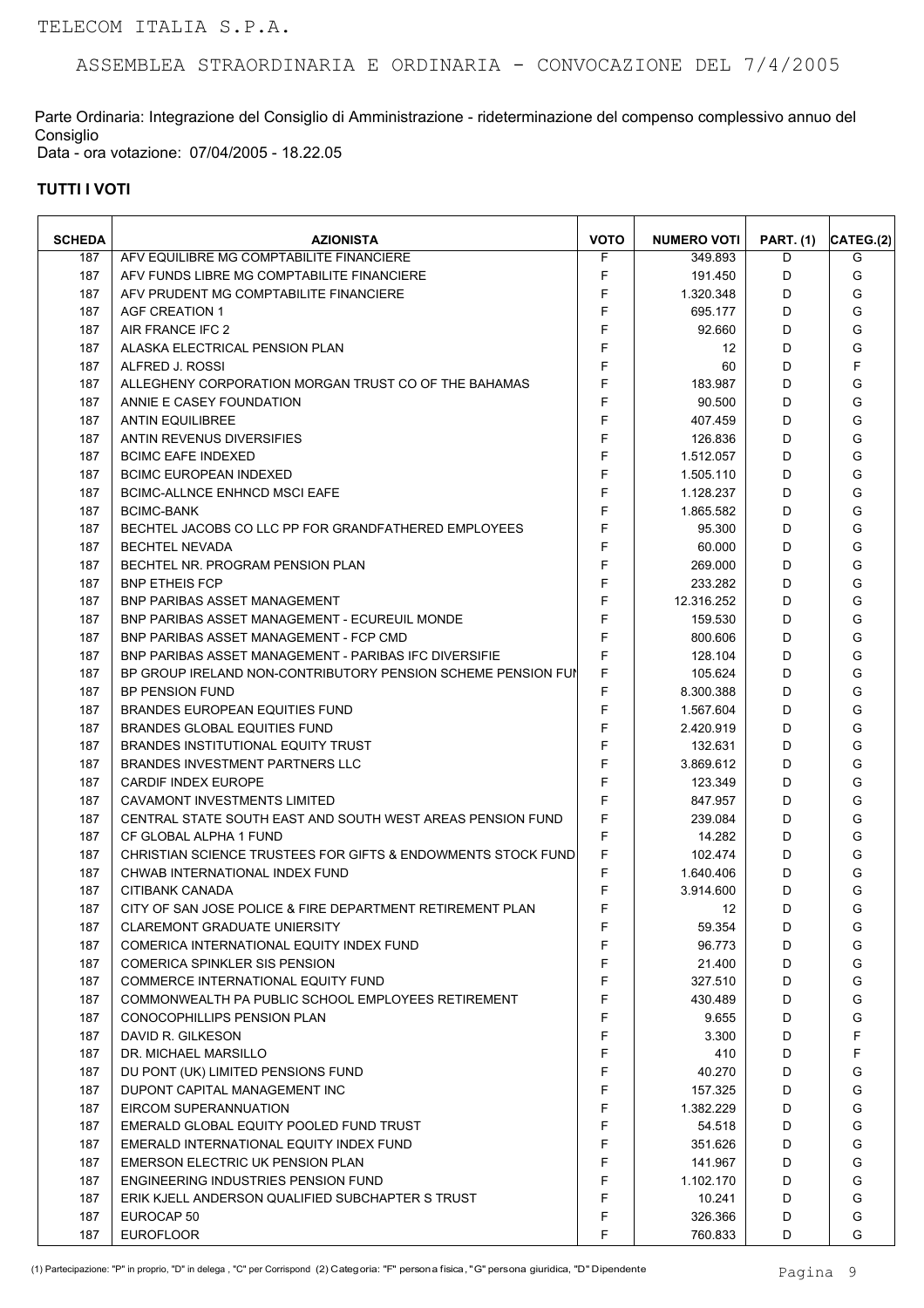Parte Ordinaria: Integrazione del Consiglio di Amministrazione - rideterminazione del compenso complessivo annuo del Consiglio Data - ora votazione: 07/04/2005 - 18.22.05

| <b>SCHEDA</b> | <b>AZIONISTA</b>                                             | <b>VOTO</b> | <b>NUMERO VOTI</b> | <b>PART. (1)</b> | CATEG.(2) |
|---------------|--------------------------------------------------------------|-------------|--------------------|------------------|-----------|
| 187           | AFV EQUILIBRE MG COMPTABILITE FINANCIERE                     | F           | 349.893            | D                | G         |
| 187           | AFV FUNDS LIBRE MG COMPTABILITE FINANCIERE                   | F           | 191.450            | D                | G         |
| 187           | AFV PRUDENT MG COMPTABILITE FINANCIERE                       | F           | 1.320.348          | D                | G         |
| 187           | <b>AGF CREATION 1</b>                                        | F           | 695.177            | D                | G         |
| 187           | AIR FRANCE IFC 2                                             | F           | 92.660             | D                | G         |
| 187           | ALASKA ELECTRICAL PENSION PLAN                               | F           | 12                 | D                | G         |
| 187           | ALFRED J. ROSSI                                              | F           | 60                 | D                | F         |
| 187           | ALLEGHENY CORPORATION MORGAN TRUST CO OF THE BAHAMAS         | F           | 183.987            | D                | G         |
| 187           | ANNIE E CASEY FOUNDATION                                     | F           | 90.500             | D                | G         |
| 187           | <b>ANTIN EQUILIBREE</b>                                      | F           | 407.459            | D                | G         |
| 187           | ANTIN REVENUS DIVERSIFIES                                    | F           | 126.836            | D                | G         |
| 187           | <b>BCIMC EAFE INDEXED</b>                                    | F           | 1.512.057          | D                | G         |
| 187           | <b>BCIMC EUROPEAN INDEXED</b>                                | F           | 1.505.110          | D                | G         |
| 187           | <b>BCIMC-ALLNCE ENHNCD MSCI EAFE</b>                         | F           | 1.128.237          | D                | G         |
| 187           | <b>BCIMC-BANK</b>                                            | F           | 1.865.582          | D                | G         |
| 187           | BECHTEL JACOBS CO LLC PP FOR GRANDFATHERED EMPLOYEES         | F           | 95.300             | D                | G         |
| 187           | <b>BECHTEL NEVADA</b>                                        | F           | 60.000             | D                | G         |
| 187           | BECHTEL NR. PROGRAM PENSION PLAN                             | F           | 269.000            | D                | G         |
| 187           | <b>BNP ETHEIS FCP</b>                                        | F           | 233.282            | D                | G         |
| 187           | <b>BNP PARIBAS ASSET MANAGEMENT</b>                          | F           | 12.316.252         | D                | G         |
| 187           | <b>BNP PARIBAS ASSET MANAGEMENT - ECUREUIL MONDE</b>         | F           | 159.530            | D                | G         |
| 187           | <b>BNP PARIBAS ASSET MANAGEMENT - FCP CMD</b>                | F           | 800.606            | D                | G         |
| 187           | BNP PARIBAS ASSET MANAGEMENT - PARIBAS IFC DIVERSIFIE        | F           | 128.104            | D                | G         |
| 187           | BP GROUP IRELAND NON-CONTRIBUTORY PENSION SCHEME PENSION FUN | F           | 105.624            | D                | G         |
| 187           | <b>BP PENSION FUND</b>                                       | F           | 8.300.388          | D                | G         |
| 187           | <b>BRANDES EUROPEAN EQUITIES FUND</b>                        | F           | 1.567.604          | D                | G         |
| 187           | <b>BRANDES GLOBAL EQUITIES FUND</b>                          | F           | 2.420.919          | D                | G         |
| 187           | BRANDES INSTITUTIONAL EQUITY TRUST                           | E           | 132.631            | D                | G         |
| 187           | <b>BRANDES INVESTMENT PARTNERS LLC</b>                       | F           | 3.869.612          | D                | G         |
| 187           | CARDIF INDEX EUROPE                                          | $\mathsf F$ | 123.349            | D                | G         |
| 187           | <b>CAVAMONT INVESTMENTS LIMITED</b>                          | F           | 847.957            | D                | G         |
| 187           | CENTRAL STATE SOUTH EAST AND SOUTH WEST AREAS PENSION FUND   | F           | 239.084            | D                | G         |
| 187           | CF GLOBAL ALPHA 1 FUND                                       | F           | 14.282             | D                | G         |
| 187           | CHRISTIAN SCIENCE TRUSTEES FOR GIFTS & ENDOWMENTS STOCK FUND | F           | 102.474            | D                | G         |
| 187           | CHWAB INTERNATIONAL INDEX FUND                               | F           | 1.640.406          | D                | G         |
| 187           | CITIBANK CANADA                                              | F           | 3.914.600          | D                | G         |
| 187           | CITY OF SAN JOSE POLICE & FIRE DEPARTMENT RETIREMENT PLAN    | F           | 12                 | D                | G         |
| 187           | <b>CLAREMONT GRADUATE UNIERSITY</b>                          | F           | 59.354             | D                | G         |
| 187           | COMERICA INTERNATIONAL EQUITY INDEX FUND                     | F           | 96.773             | D                | G         |
| 187           | <b>COMERICA SPINKLER SIS PENSION</b>                         | F           | 21.400             | D                | G         |
| 187           | COMMERCE INTERNATIONAL EQUITY FUND                           | F           | 327.510            | D                | G         |
| 187           | COMMONWEALTH PA PUBLIC SCHOOL EMPLOYEES RETIREMENT           | F           | 430.489            | D                | G         |
| 187           | CONOCOPHILLIPS PENSION PLAN                                  | F           | 9.655              | D                | G         |
| 187           | DAVID R. GILKESON                                            | F           | 3.300              | D                | F         |
| 187           | DR. MICHAEL MARSILLO                                         | F           | 410                | D                | F         |
| 187           | DU PONT (UK) LIMITED PENSIONS FUND                           | F           | 40.270             | D                | G         |
| 187           | DUPONT CAPITAL MANAGEMENT INC                                | F           | 157.325            | D                | G         |
| 187           | EIRCOM SUPERANNUATION                                        | F           | 1.382.229          | D                | G         |
| 187           | EMERALD GLOBAL EQUITY POOLED FUND TRUST                      | F           | 54.518             | D                | G         |
| 187           | EMERALD INTERNATIONAL EQUITY INDEX FUND                      | F           | 351.626            | D                | G         |
| 187           | EMERSON ELECTRIC UK PENSION PLAN                             | F           | 141.967            | D                | G         |
| 187           | ENGINEERING INDUSTRIES PENSION FUND                          | F           | 1.102.170          | D                | G         |
| 187           | ERIK KJELL ANDERSON QUALIFIED SUBCHAPTER S TRUST             | F           | 10.241             | D                | G         |
| 187           | EUROCAP 50                                                   | F           | 326.366            | D                | G         |
| 187           | <b>EUROFLOOR</b>                                             | F           | 760.833            | D                | G         |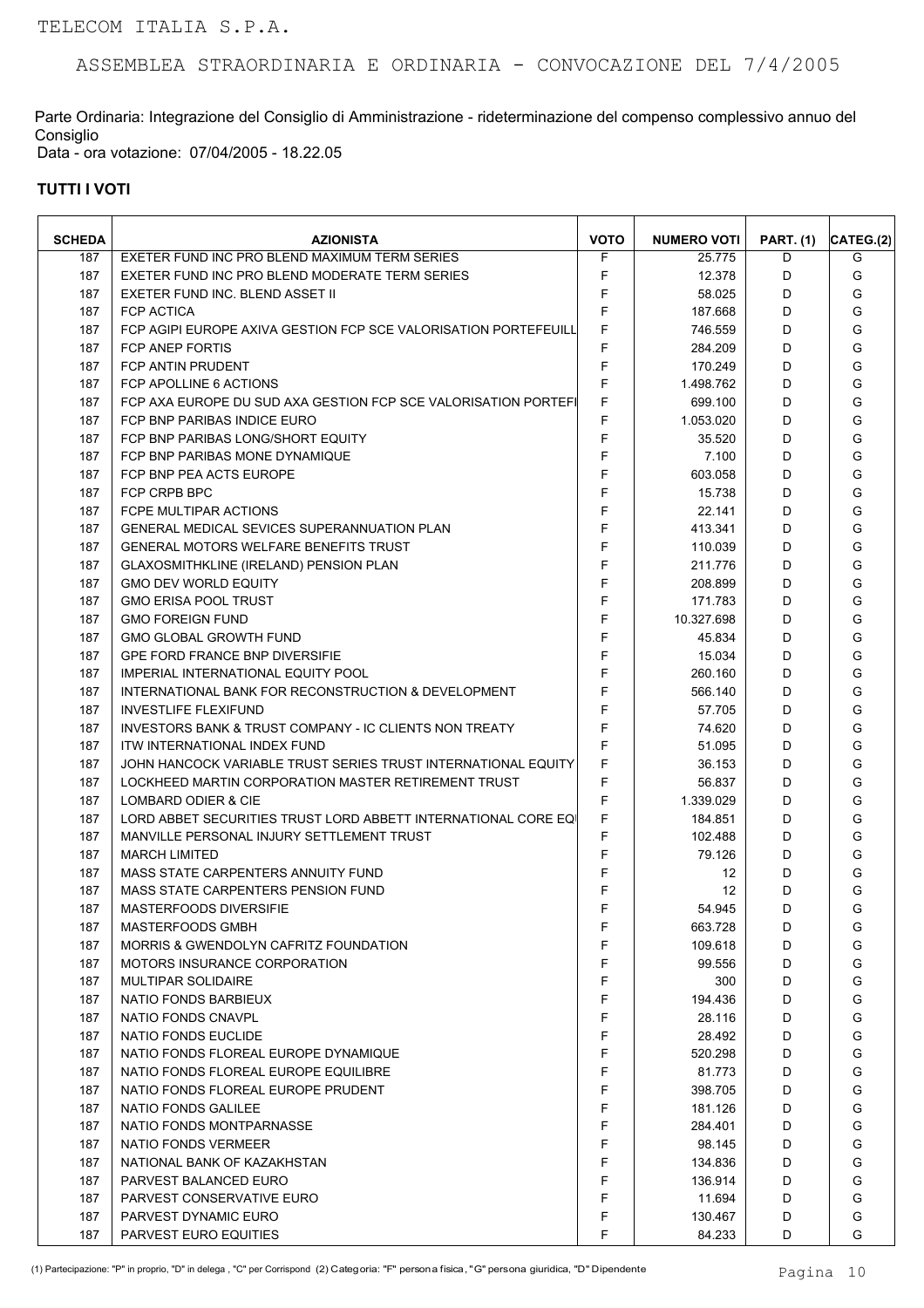Parte Ordinaria: Integrazione del Consiglio di Amministrazione - rideterminazione del compenso complessivo annuo del Consiglio Data - ora votazione: 07/04/2005 - 18.22.05

| <b>SCHEDA</b> | <b>AZIONISTA</b>                                                  | <b>VOTO</b> | <b>NUMERO VOTI</b> | <b>PART. (1)</b> | CATEG.(2) |
|---------------|-------------------------------------------------------------------|-------------|--------------------|------------------|-----------|
| 187           | EXETER FUND INC PRO BLEND MAXIMUM TERM SERIES                     | F           | 25.775             | D                | G         |
| 187           | EXETER FUND INC PRO BLEND MODERATE TERM SERIES                    | F           | 12.378             | D                | G         |
| 187           | EXETER FUND INC. BLEND ASSET II                                   | F           | 58.025             | D                | G         |
| 187           | <b>FCP ACTICA</b>                                                 | F           | 187.668            | D                | G         |
| 187           | FCP AGIPI EUROPE AXIVA GESTION FCP SCE VALORISATION PORTEFEUILL   | F           | 746.559            | D                | G         |
| 187           | <b>FCP ANEP FORTIS</b>                                            | F           | 284.209            | D                | G         |
| 187           | FCP ANTIN PRUDENT                                                 | F           | 170.249            | D                | G         |
| 187           | FCP APOLLINE 6 ACTIONS                                            | F           | 1.498.762          | D                | G         |
| 187           | FCP AXA EUROPE DU SUD AXA GESTION FCP SCE VALORISATION PORTEFI    | F           | 699.100            | D                | G         |
| 187           | FCP BNP PARIBAS INDICE EURO                                       | F           | 1.053.020          | D                | G         |
| 187           | FCP BNP PARIBAS LONG/SHORT EQUITY                                 | F           | 35.520             | D                | G         |
| 187           | FCP BNP PARIBAS MONE DYNAMIQUE                                    | F           | 7.100              | D                | G         |
| 187           | FCP BNP PEA ACTS EUROPE                                           | F           | 603.058            | D                | G         |
| 187           | FCP CRPB BPC                                                      | F           | 15.738             | D                | G         |
| 187           | FCPE MULTIPAR ACTIONS                                             | F           | 22.141             | D                | G         |
| 187           | GENERAL MEDICAL SEVICES SUPERANNUATION PLAN                       | E           | 413.341            | D                | G         |
| 187           | <b>GENERAL MOTORS WELFARE BENEFITS TRUST</b>                      | F           | 110.039            | D                | G         |
| 187           | GLAXOSMITHKLINE (IRELAND) PENSION PLAN                            | F           | 211.776            | D                | G         |
| 187           | <b>GMO DEV WORLD EQUITY</b>                                       | F           | 208.899            | D                | G         |
| 187           | <b>GMO ERISA POOL TRUST</b>                                       | F           | 171.783            | D                | G         |
| 187           | <b>GMO FOREIGN FUND</b>                                           | F           | 10.327.698         | D                | G         |
| 187           | <b>GMO GLOBAL GROWTH FUND</b>                                     | F           | 45.834             | D                | G         |
| 187           | <b>GPE FORD FRANCE BNP DIVERSIFIE</b>                             | F           | 15.034             | D                | G         |
| 187           | IMPERIAL INTERNATIONAL EQUITY POOL                                | F           | 260.160            | D                | G         |
| 187           | INTERNATIONAL BANK FOR RECONSTRUCTION & DEVELOPMENT               | F           | 566.140            | D                | G         |
| 187           | <b>INVESTLIFE FLEXIFUND</b>                                       | F           | 57.705             | D                | G         |
| 187           | <b>INVESTORS BANK &amp; TRUST COMPANY - IC CLIENTS NON TREATY</b> | F           | 74.620             | D                | G         |
| 187           | <b>ITW INTERNATIONAL INDEX FUND</b>                               | F           | 51.095             | D                | G         |
| 187           | JOHN HANCOCK VARIABLE TRUST SERIES TRUST INTERNATIONAL EQUITY     | F           | 36.153             | D                | G         |
| 187           | LOCKHEED MARTIN CORPORATION MASTER RETIREMENT TRUST               | F           | 56.837             | D                | G         |
| 187           | LOMBARD ODIER & CIE                                               | F           | 1.339.029          | D                | G         |
| 187           | LORD ABBET SECURITIES TRUST LORD ABBETT INTERNATIONAL CORE EQI    | F           | 184.851            | D                | G         |
| 187           | MANVILLE PERSONAL INJURY SETTLEMENT TRUST                         | F           | 102.488            | D                | G         |
| 187           | <b>MARCH LIMITED</b>                                              | F           | 79.126             | D                | G         |
| 187           | MASS STATE CARPENTERS ANNUITY FUND                                | F           | 12                 | D                | G         |
| 187           | MASS STATE CARPENTERS PENSION FUND                                | F           | 12                 | D                | G         |
| 187           | <b>MASTERFOODS DIVERSIFIE</b>                                     | F           | 54.945             | D                | G         |
| 187           | MASTERFOODS GMBH                                                  | F           | 663.728            | D                | G         |
| 187           | <b>MORRIS &amp; GWENDOLYN CAFRITZ FOUNDATION</b>                  | F           | 109.618            | D                | G         |
| 187           | <b>MOTORS INSURANCE CORPORATION</b>                               | F           | 99.556             | D                | G         |
| 187           | <b>MULTIPAR SOLIDAIRE</b>                                         | F           | 300                | D                | G         |
| 187           | NATIO FONDS BARBIEUX                                              | F           | 194.436            | D                | G         |
| 187           | NATIO FONDS CNAVPL                                                | F           | 28.116             | D                | G         |
| 187           | NATIO FONDS EUCLIDE                                               | F           | 28.492             | D                | G         |
| 187           | NATIO FONDS FLOREAL EUROPE DYNAMIQUE                              | F           | 520.298            | D                | G         |
| 187           | NATIO FONDS FLOREAL EUROPE EQUILIBRE                              | F           | 81.773             | D                | G         |
| 187           | NATIO FONDS FLOREAL EUROPE PRUDENT                                | F           | 398.705            | D                | G         |
| 187           | NATIO FONDS GALILEE                                               | F           | 181.126            | D                | G         |
| 187           | NATIO FONDS MONTPARNASSE                                          | F           | 284.401            | D                | G         |
| 187           | NATIO FONDS VERMEER                                               | F           | 98.145             | D                | G         |
| 187           | NATIONAL BANK OF KAZAKHSTAN                                       | F           | 134.836            | D                | G         |
| 187           | PARVEST BALANCED EURO                                             | F           | 136.914            | D                | G         |
| 187           | PARVEST CONSERVATIVE EURO                                         | F           | 11.694             | D                | G         |
| 187           | PARVEST DYNAMIC EURO                                              | F           | 130.467            | D                | G         |
| 187           | PARVEST EURO EQUITIES                                             | F           | 84.233             | D                | G         |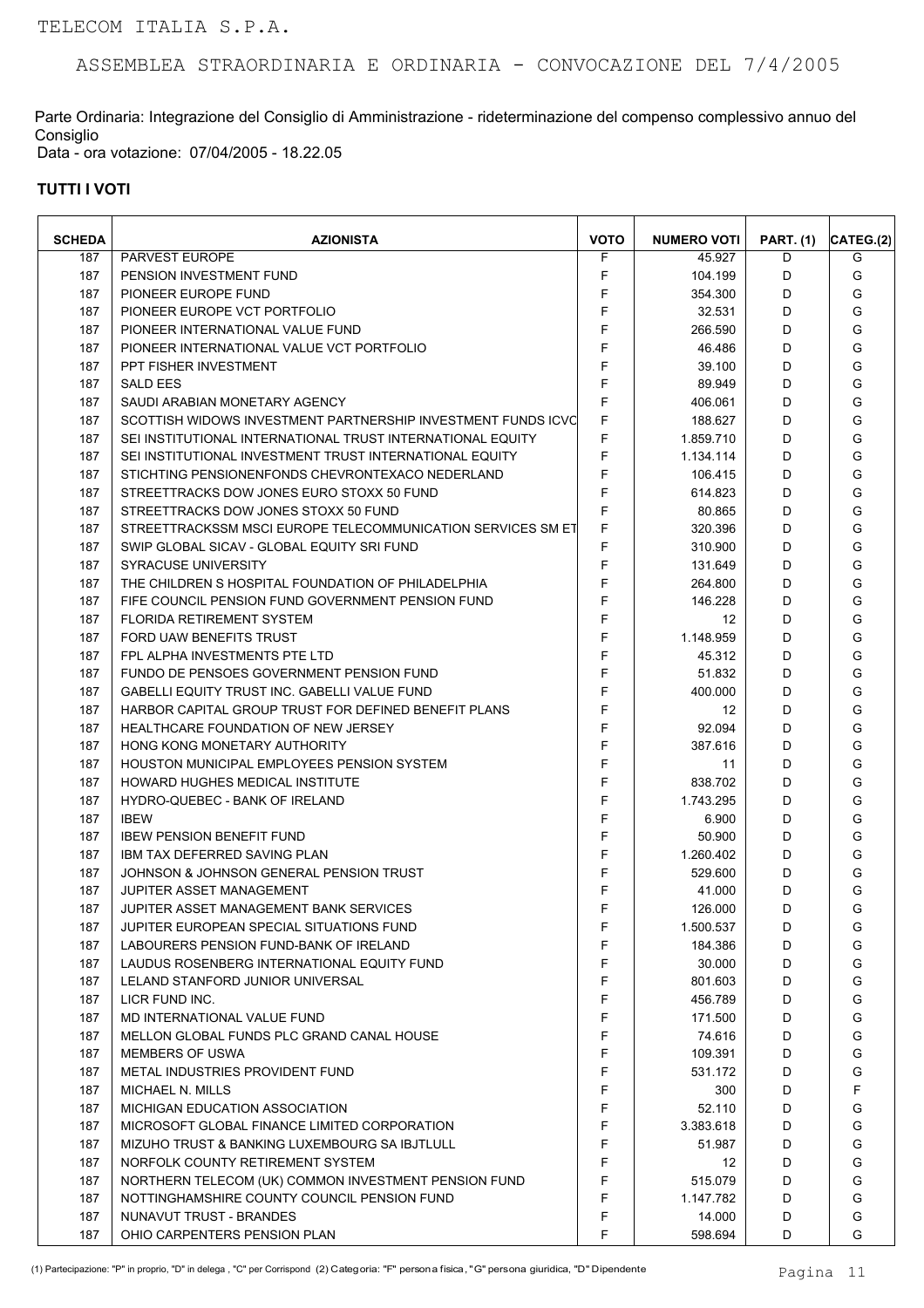Parte Ordinaria: Integrazione del Consiglio di Amministrazione - rideterminazione del compenso complessivo annuo del Consiglio Data - ora votazione: 07/04/2005 - 18.22.05

| <b>SCHEDA</b> | <b>AZIONISTA</b>                                             | <b>VOTO</b> | <b>NUMERO VOTI</b> | <b>PART. (1)</b> | CATEG.(2) |
|---------------|--------------------------------------------------------------|-------------|--------------------|------------------|-----------|
| 187           | <b>PARVEST EUROPE</b>                                        | F           | 45.927             | D                | G         |
| 187           | PENSION INVESTMENT FUND                                      | F           | 104.199            | D                | G         |
| 187           | PIONEER EUROPE FUND                                          | F           | 354.300            | D                | G         |
| 187           | PIONEER EUROPE VCT PORTFOLIO                                 | F           | 32.531             | D                | G         |
| 187           | PIONEER INTERNATIONAL VALUE FUND                             | F           | 266.590            | D                | G         |
| 187           | PIONEER INTERNATIONAL VALUE VCT PORTFOLIO                    | F           | 46.486             | D                | G         |
| 187           | PPT FISHER INVESTMENT                                        | F           | 39.100             | D                | G         |
| 187           | <b>SALD EES</b>                                              | F           | 89.949             | D                | G         |
| 187           | SAUDI ARABIAN MONETARY AGENCY                                | F           | 406.061            | D                | G         |
| 187           | SCOTTISH WIDOWS INVESTMENT PARTNERSHIP INVESTMENT FUNDS ICVC | F           | 188.627            | D                | G         |
| 187           | SEI INSTITUTIONAL INTERNATIONAL TRUST INTERNATIONAL EQUITY   | F           | 1.859.710          | D                | G         |
| 187           | SEI INSTITUTIONAL INVESTMENT TRUST INTERNATIONAL EQUITY      | F           | 1.134.114          | D                | G         |
| 187           | STICHTING PENSIONENFONDS CHEVRONTEXACO NEDERLAND             | F           | 106.415            | D                | G         |
| 187           | STREETTRACKS DOW JONES EURO STOXX 50 FUND                    | F           | 614.823            | D                | G         |
| 187           | STREETTRACKS DOW JONES STOXX 50 FUND                         | F           | 80.865             | D                | G         |
| 187           | STREETTRACKSSM MSCI EUROPE TELECOMMUNICATION SERVICES SM ET  | F           | 320.396            | D                | G         |
| 187           | SWIP GLOBAL SICAV - GLOBAL EQUITY SRI FUND                   | F           | 310.900            | D                | G         |
| 187           | <b>SYRACUSE UNIVERSITY</b>                                   | F           | 131.649            | D                | G         |
| 187           | THE CHILDREN S HOSPITAL FOUNDATION OF PHILADELPHIA           | F           | 264.800            | D                | G         |
| 187           | FIFE COUNCIL PENSION FUND GOVERNMENT PENSION FUND            | F           | 146.228            | D                | G         |
| 187           | <b>FLORIDA RETIREMENT SYSTEM</b>                             | F           | 12                 | D                | G         |
| 187           | FORD UAW BENEFITS TRUST                                      | F           | 1.148.959          | D                | G         |
| 187           | FPL ALPHA INVESTMENTS PTE LTD                                | F           | 45.312             | D                | G         |
| 187           | FUNDO DE PENSOES GOVERNMENT PENSION FUND                     | F           | 51.832             | D                | G         |
| 187           | <b>GABELLI EQUITY TRUST INC. GABELLI VALUE FUND</b>          | F           | 400.000            | D                | G         |
| 187           | HARBOR CAPITAL GROUP TRUST FOR DEFINED BENEFIT PLANS         | F           | $12 \overline{ }$  | D                | G         |
| 187           | <b>HEALTHCARE FOUNDATION OF NEW JERSEY</b>                   | F           | 92.094             | D                | G         |
| 187           | HONG KONG MONETARY AUTHORITY                                 | F           | 387.616            | D                | G         |
| 187           | HOUSTON MUNICIPAL EMPLOYEES PENSION SYSTEM                   | F           | 11                 | D                | G         |
| 187           | HOWARD HUGHES MEDICAL INSTITUTE                              | $\mathsf F$ | 838.702            | D                | G         |
| 187           | HYDRO-QUEBEC - BANK OF IRELAND                               | F           | 1.743.295          | D                | G         |
| 187           | <b>IBEW</b>                                                  | F           | 6.900              | D                | G         |
| 187           | <b>IBEW PENSION BENEFIT FUND</b>                             | F           | 50.900             | D                | G         |
| 187           | <b>IBM TAX DEFERRED SAVING PLAN</b>                          | F           | 1.260.402          | D                | G         |
| 187           | JOHNSON & JOHNSON GENERAL PENSION TRUST                      | F           | 529.600            | D                | G         |
| 187           | <b>JUPITER ASSET MANAGEMENT</b>                              | F           | 41.000             | D                | G         |
| 187           | JUPITER ASSET MANAGEMENT BANK SERVICES                       | F           | 126.000            | D                | G         |
| 187           | JUPITER EUROPEAN SPECIAL SITUATIONS FUND                     | F           | 1.500.537          | D                | G         |
| 187           | LABOURERS PENSION FUND-BANK OF IRELAND                       | F           | 184.386            | D                | G         |
| 187           | LAUDUS ROSENBERG INTERNATIONAL EQUITY FUND                   | F           | 30.000             | D                | G         |
| 187           | LELAND STANFORD JUNIOR UNIVERSAL                             | F           | 801.603            | D                | G         |
| 187           | LICR FUND INC.                                               | F           | 456.789            | D                | G         |
| 187           | MD INTERNATIONAL VALUE FUND                                  | F           | 171.500            | D                | G         |
| 187           | MELLON GLOBAL FUNDS PLC GRAND CANAL HOUSE                    | F           | 74.616             | D                | G         |
| 187           | <b>MEMBERS OF USWA</b>                                       | F           | 109.391            | D                | G         |
| 187           | METAL INDUSTRIES PROVIDENT FUND                              | F           | 531.172            | D                | G         |
| 187           | MICHAEL N. MILLS                                             | F           | 300                | D                | F         |
| 187           | MICHIGAN EDUCATION ASSOCIATION                               | F           | 52.110             | D                | G         |
| 187           | MICROSOFT GLOBAL FINANCE LIMITED CORPORATION                 | F           | 3.383.618          | D                | G         |
| 187           | MIZUHO TRUST & BANKING LUXEMBOURG SA IBJTLULL                | F           | 51.987             | D                | G         |
| 187           | NORFOLK COUNTY RETIREMENT SYSTEM                             | F           | 12                 | D                | G         |
| 187           | NORTHERN TELECOM (UK) COMMON INVESTMENT PENSION FUND         | F           | 515.079            | D                | G         |
| 187           | NOTTINGHAMSHIRE COUNTY COUNCIL PENSION FUND                  | F           | 1.147.782          | D                | G         |
| 187           | NUNAVUT TRUST - BRANDES                                      | F           | 14.000             | D                | G         |
| 187           | OHIO CARPENTERS PENSION PLAN                                 | F           | 598.694            | D                | G         |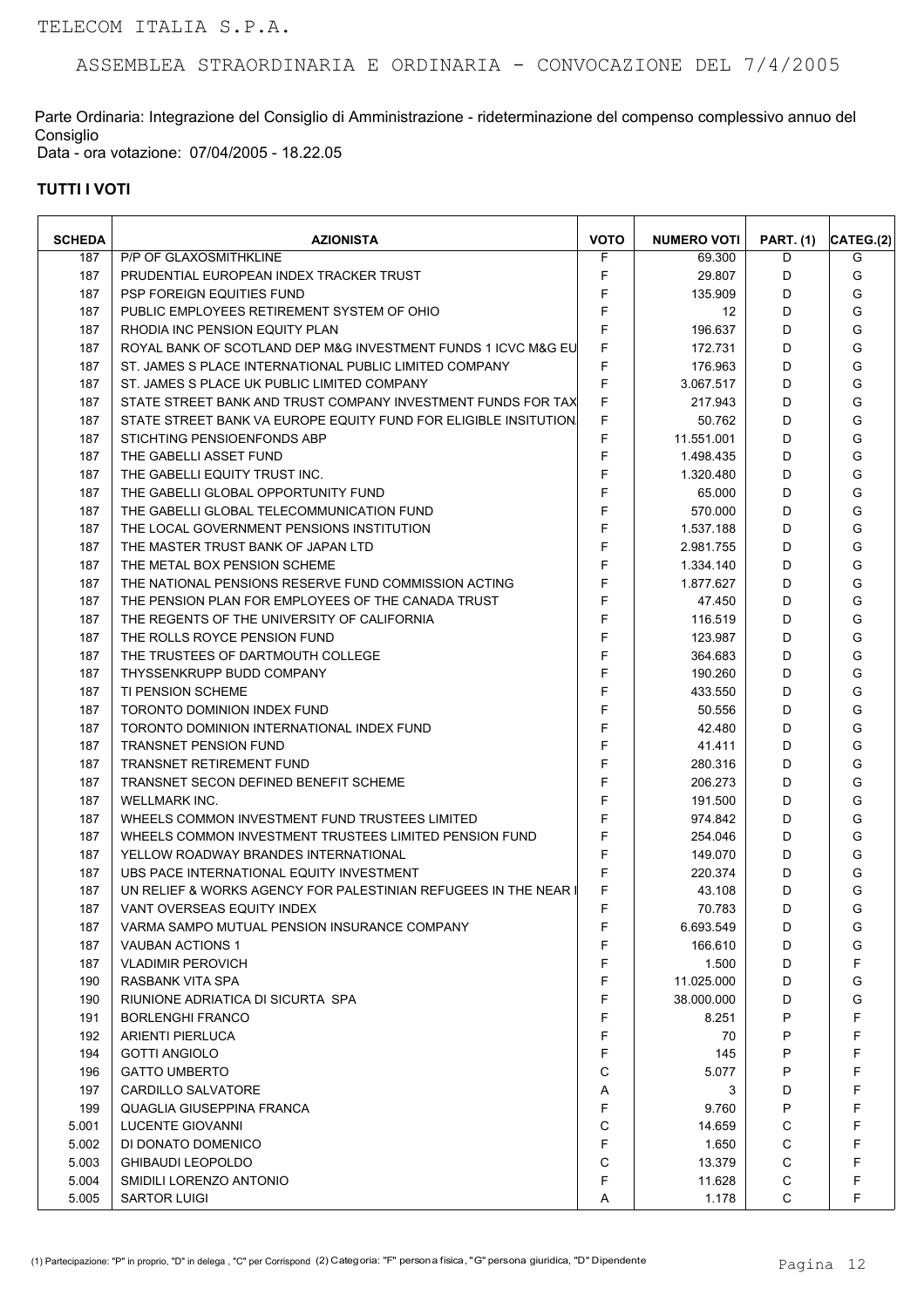Parte Ordinaria: Integrazione del Consiglio di Amministrazione - rideterminazione del compenso complessivo annuo del Consiglio

Data - ora votazione: 07/04/2005 - 18.22.05

| <b>SCHEDA</b> | <b>AZIONISTA</b>                                                 | <b>VOTO</b> | <b>NUMERO VOTI</b> | <b>PART. (1)</b> | CATEG.(2) |
|---------------|------------------------------------------------------------------|-------------|--------------------|------------------|-----------|
| 187           | P/P OF GLAXOSMITHKLINE                                           | F           | 69.300             | D                | G         |
| 187           | PRUDENTIAL EUROPEAN INDEX TRACKER TRUST                          | F           | 29.807             | D                | G         |
| 187           | <b>PSP FOREIGN EQUITIES FUND</b>                                 | F           | 135.909            | D                | G         |
| 187           | PUBLIC EMPLOYEES RETIREMENT SYSTEM OF OHIO                       | F           | 12                 | D                | G         |
| 187           | RHODIA INC PENSION EQUITY PLAN                                   | F           | 196.637            | D                | G         |
| 187           | ROYAL BANK OF SCOTLAND DEP M&G INVESTMENT FUNDS 1 ICVC M&G EU    | F           | 172.731            | D                | G         |
| 187           | ST. JAMES S PLACE INTERNATIONAL PUBLIC LIMITED COMPANY           | F           | 176.963            | D                | G         |
| 187           | ST. JAMES S PLACE UK PUBLIC LIMITED COMPANY                      | F           | 3.067.517          | D                | G         |
| 187           | STATE STREET BANK AND TRUST COMPANY INVESTMENT FUNDS FOR TAX     | F           | 217.943            | D                | G         |
| 187           | STATE STREET BANK VA EUROPE EQUITY FUND FOR ELIGIBLE INSITUTION. | F           | 50.762             | D                | G         |
| 187           | STICHTING PENSIOENFONDS ABP                                      | F           | 11.551.001         | D                | G         |
| 187           | THE GABELLI ASSET FUND                                           | F           | 1.498.435          | D                | G         |
| 187           | THE GABELLI EQUITY TRUST INC.                                    | F           | 1.320.480          | D                | G         |
| 187           | THE GABELLI GLOBAL OPPORTUNITY FUND                              | $\mathsf F$ | 65.000             | D                | G         |
| 187           | THE GABELLI GLOBAL TELECOMMUNICATION FUND                        | E           | 570.000            | D                | G         |
| 187           | THE LOCAL GOVERNMENT PENSIONS INSTITUTION                        | F           | 1.537.188          | D                | G         |
| 187           | THE MASTER TRUST BANK OF JAPAN LTD                               | F           | 2.981.755          | D                | G         |
| 187           | THE METAL BOX PENSION SCHEME                                     | F           | 1.334.140          | D                | G         |
| 187           | THE NATIONAL PENSIONS RESERVE FUND COMMISSION ACTING             | F           | 1.877.627          | D                | G         |
| 187           | THE PENSION PLAN FOR EMPLOYEES OF THE CANADA TRUST               | F           | 47.450             | D                | G         |
| 187           | THE REGENTS OF THE UNIVERSITY OF CALIFORNIA                      | F           | 116.519            | D                | G         |
| 187           | THE ROLLS ROYCE PENSION FUND                                     | F           | 123.987            | D                | G         |
| 187           | THE TRUSTEES OF DARTMOUTH COLLEGE                                | F           | 364.683            | D                | G         |
| 187           | THYSSENKRUPP BUDD COMPANY                                        | F           | 190.260            | D                | G         |
| 187           | TI PENSION SCHEME                                                | F           | 433.550            | D                | G         |
| 187           | TORONTO DOMINION INDEX FUND                                      | F           | 50.556             | D                | G         |
| 187           | TORONTO DOMINION INTERNATIONAL INDEX FUND                        | F           | 42.480             | D                | G         |
| 187           | <b>TRANSNET PENSION FUND</b>                                     | F           | 41.411             | D                | G         |
| 187           | <b>TRANSNET RETIREMENT FUND</b>                                  | F           | 280.316            | D                | G         |
| 187           | TRANSNET SECON DEFINED BENEFIT SCHEME                            | F           | 206.273            | D                | G         |
| 187           | <b>WELLMARK INC.</b>                                             | F           | 191.500            | D                | G         |
|               | WHEELS COMMON INVESTMENT FUND TRUSTEES LIMITED                   | F           |                    | D                | G         |
| 187<br>187    | WHEELS COMMON INVESTMENT TRUSTEES LIMITED PENSION FUND           | F           | 974.842            | D                | G         |
|               |                                                                  | F           | 254.046            | D                | G         |
| 187           | YELLOW ROADWAY BRANDES INTERNATIONAL                             | F           | 149.070            | D                | G         |
| 187           | UBS PACE INTERNATIONAL EQUITY INVESTMENT                         | F           | 220.374            |                  |           |
| 187           | UN RELIEF & WORKS AGENCY FOR PALESTINIAN REFUGEES IN THE NEAR I  | F           | 43.108             | D<br>D           | G<br>G    |
| 187           | VANT OVERSEAS EQUITY INDEX                                       |             | 70.783             |                  |           |
| 187           | VARMA SAMPO MUTUAL PENSION INSURANCE COMPANY                     | F           | 6.693.549          | D                | G         |
| 187           | <b>VAUBAN ACTIONS 1</b>                                          | F           | 166.610            | D                | G         |
| 187           | <b>VLADIMIR PEROVICH</b>                                         | F           | 1.500              | D                | F         |
| 190           | RASBANK VITA SPA                                                 | F           | 11.025.000         | D                | G         |
| 190           | RIUNIONE ADRIATICA DI SICURTA SPA                                | F           | 38.000.000         | D                | G         |
| 191           | <b>BORLENGHI FRANCO</b>                                          | F           | 8.251              | P                | F         |
| 192           | <b>ARIENTI PIERLUCA</b>                                          | F           | 70                 | P                | F         |
| 194           | <b>GOTTI ANGIOLO</b>                                             | F           | 145                | P                | F         |
| 196           | <b>GATTO UMBERTO</b>                                             | C           | 5.077              | P                | F         |
| 197           | <b>CARDILLO SALVATORE</b>                                        | Α           | 3                  | D                | F         |
| 199           | QUAGLIA GIUSEPPINA FRANCA                                        | F           | 9.760              | P                | F         |
| 5.001         | LUCENTE GIOVANNI                                                 | C           | 14.659             | С                | F         |
| 5.002         | DI DONATO DOMENICO                                               | F           | 1.650              | С                | F         |
| 5.003         | <b>GHIBAUDI LEOPOLDO</b>                                         | $\mathbf C$ | 13.379             | C                | F         |
| 5.004         | SMIDILI LORENZO ANTONIO                                          | F           | 11.628             | С                | F         |
| 5.005         | <b>SARTOR LUIGI</b>                                              | Α           | 1.178              | C                | F         |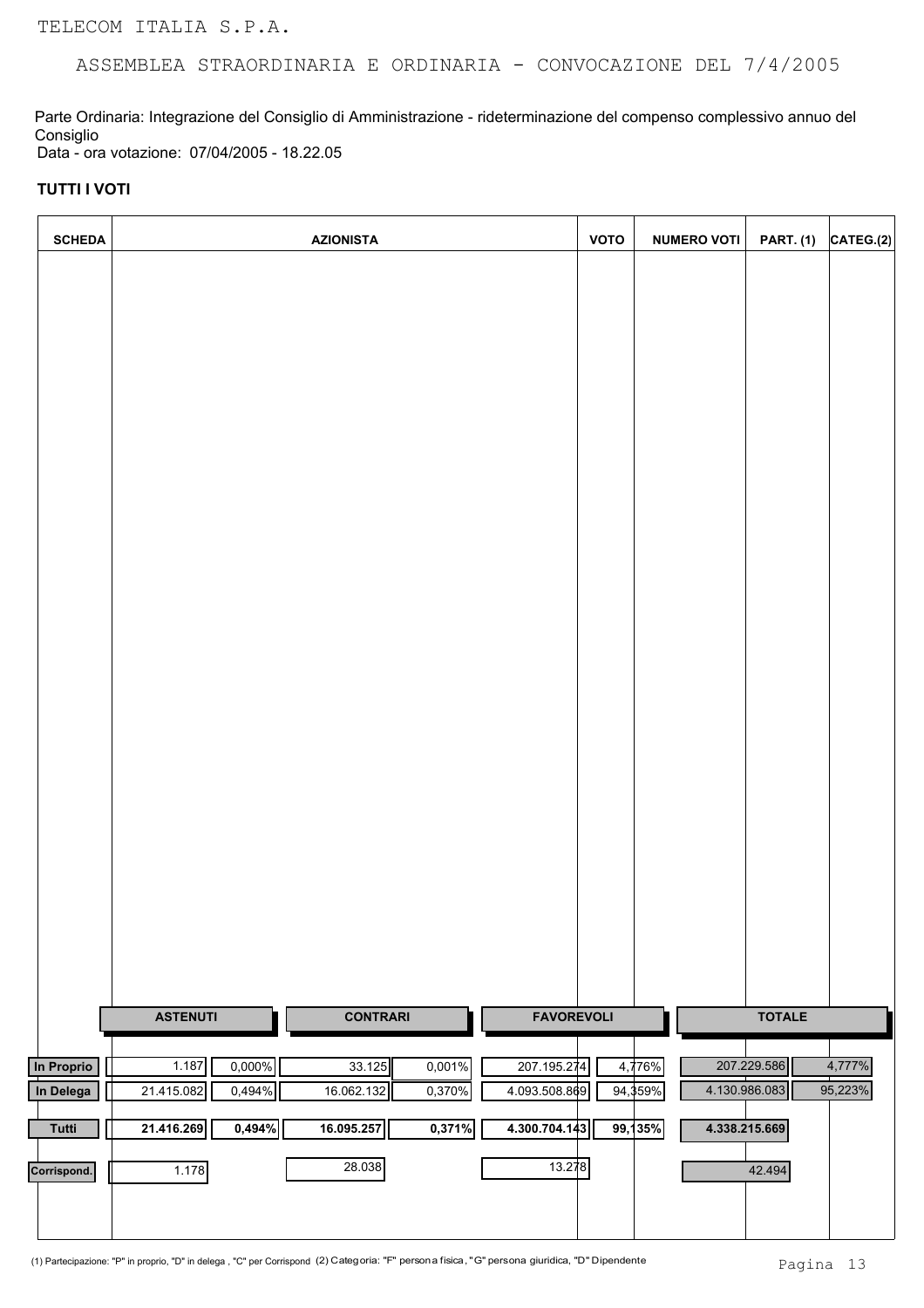Parte Ordinaria: Integrazione del Consiglio di Amministrazione - rideterminazione del compenso complessivo annuo del Consiglio Data - ora votazione: 07/04/2005 - 18.22.05

#### **TUTTI I VOTI**

| <b>SCHEDA</b>           |                                         | <b>AZIONISTA</b>                         |                              | <b>VOTO</b>       | <b>NUMERO VOTI</b>           | <b>PART. (1)</b> | CATEG.(2)         |
|-------------------------|-----------------------------------------|------------------------------------------|------------------------------|-------------------|------------------------------|------------------|-------------------|
|                         |                                         |                                          |                              |                   |                              |                  |                   |
|                         |                                         |                                          |                              |                   |                              |                  |                   |
|                         |                                         |                                          |                              |                   |                              |                  |                   |
|                         |                                         |                                          |                              |                   |                              |                  |                   |
|                         |                                         |                                          |                              |                   |                              |                  |                   |
|                         |                                         |                                          |                              |                   |                              |                  |                   |
|                         |                                         |                                          |                              |                   |                              |                  |                   |
|                         |                                         |                                          |                              |                   |                              |                  |                   |
|                         |                                         |                                          |                              |                   |                              |                  |                   |
|                         |                                         |                                          |                              |                   |                              |                  |                   |
|                         |                                         |                                          |                              |                   |                              |                  |                   |
|                         |                                         |                                          |                              |                   |                              |                  |                   |
|                         |                                         |                                          |                              |                   |                              |                  |                   |
|                         |                                         |                                          |                              |                   |                              |                  |                   |
|                         |                                         |                                          |                              |                   |                              |                  |                   |
|                         |                                         |                                          |                              |                   |                              |                  |                   |
|                         |                                         |                                          |                              |                   |                              |                  |                   |
|                         |                                         |                                          |                              |                   |                              |                  |                   |
|                         |                                         |                                          |                              |                   |                              |                  |                   |
|                         |                                         |                                          |                              |                   |                              |                  |                   |
|                         | <b>ASTENUTI</b>                         | <b>CONTRARI</b>                          | <b>FAVOREVOLI</b>            |                   |                              | <b>TOTALE</b>    |                   |
| In Proprio<br>In Delega | 1.187<br>0,000%<br>21.415.082<br>0,494% | 33.125<br>0,001%<br>16.062.132<br>0,370% | 207.195.274<br>4.093.508.869 | 4,776%<br>94,359% | 207.229.586<br>4.130.986.083 |                  | 4,777%<br>95,223% |
| Tutti                   | 21.416.269<br>0,494%                    | 16.095.257<br>0,371%                     | 4.300.704.143                | 99,135%           |                              |                  |                   |
|                         |                                         |                                          |                              |                   | 4.338.215.669                |                  |                   |
| Corrispond.             | 1.178                                   | 28.038                                   | 13.278                       |                   | 42.494                       |                  |                   |
|                         |                                         |                                          |                              |                   |                              |                  |                   |

(1) Partecipazione: "P" in proprio, "D" in delega, "C" per Corrispond (2) Categoria: "F" persona fisica, "G" persona giuridica, "D" Dipendente<br>Pagina 13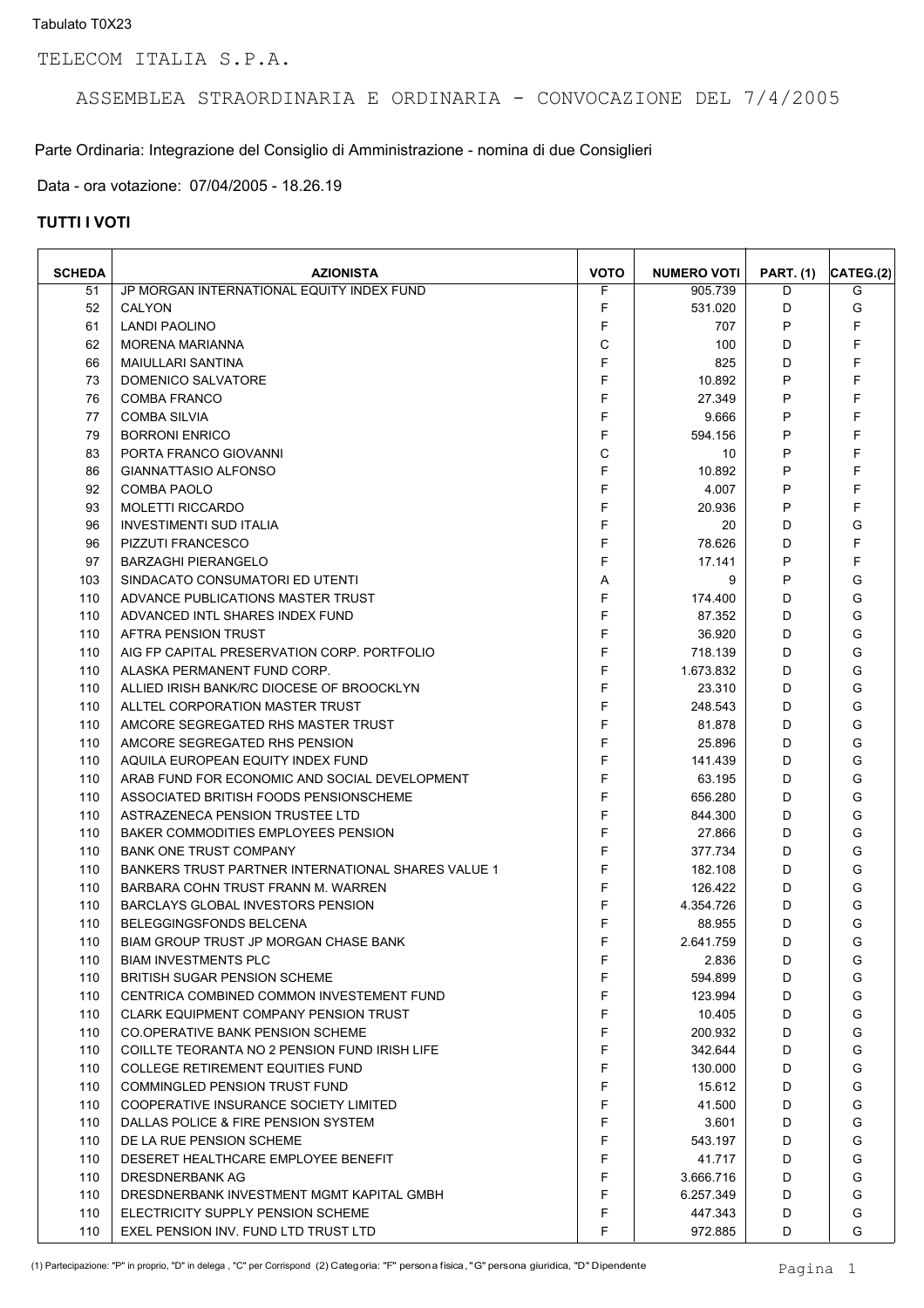Parte Ordinaria: Integrazione del Consiglio di Amministrazione - nomina di due Consiglieri

Data - ora votazione: 07/04/2005 - 18.26.19

| <b>SCHEDA</b> | <b>AZIONISTA</b>                                                                 | <b>VOTO</b> | <b>NUMERO VOTI</b>  | <b>PART. (1)</b> | CATEG.(2) |
|---------------|----------------------------------------------------------------------------------|-------------|---------------------|------------------|-----------|
| 51            | JP MORGAN INTERNATIONAL EQUITY INDEX FUND                                        | F           | 905.739             | D                | G         |
| 52            | CALYON                                                                           | F           | 531.020             | D                | G         |
| 61            | <b>LANDI PAOLINO</b>                                                             | F           | 707                 | P                | F         |
| 62            | <b>MORENA MARIANNA</b>                                                           | C           | 100                 | D                | F         |
| 66            | <b>MAIULLARI SANTINA</b>                                                         | F           | 825                 | D                | F         |
| 73            | <b>DOMENICO SALVATORE</b>                                                        | F           | 10.892              | P                | F         |
| 76            | <b>COMBA FRANCO</b>                                                              | F           | 27.349              | P                | F         |
| 77            | <b>COMBA SILVIA</b>                                                              | F           | 9.666               | P                | F         |
| 79            | <b>BORRONI ENRICO</b>                                                            | F           | 594.156             | P                | F         |
| 83            | PORTA FRANCO GIOVANNI                                                            | С           | 10                  | P                | F         |
| 86            | <b>GIANNATTASIO ALFONSO</b>                                                      | F           | 10.892              | P                | F         |
| 92            | <b>COMBA PAOLO</b>                                                               | F           | 4.007               | P                | F         |
| 93            | <b>MOLETTI RICCARDO</b>                                                          | F           | 20.936              | P                | F         |
| 96            | <b>INVESTIMENTI SUD ITALIA</b>                                                   | F           | 20                  | D                | G         |
| 96            | <b>PIZZUTI FRANCESCO</b>                                                         | F           | 78.626              | D                | F         |
| 97            | <b>BARZAGHI PIERANGELO</b>                                                       | F           | 17.141              | P                | F         |
| 103           | SINDACATO CONSUMATORI ED UTENTI                                                  | Α           | 9                   | P                | G         |
| 110           | ADVANCE PUBLICATIONS MASTER TRUST                                                | F           | 174.400             | D                | G         |
| 110           | ADVANCED INTL SHARES INDEX FUND                                                  | F           | 87.352              | D                | G         |
| 110           | AFTRA PENSION TRUST                                                              | F           | 36.920              | D                | G         |
| 110           | AIG FP CAPITAL PRESERVATION CORP. PORTFOLIO                                      | F           | 718.139             | D                | G         |
| 110           | ALASKA PERMANENT FUND CORP.                                                      | F           | 1.673.832           | D                | G         |
| 110           | ALLIED IRISH BANK/RC DIOCESE OF BROOCKLYN                                        | F           | 23.310              | D                | G         |
| 110           | ALLTEL CORPORATION MASTER TRUST                                                  | F           | 248.543             | D                | G         |
| 110           | AMCORE SEGREGATED RHS MASTER TRUST                                               | F           | 81.878              | D                | G         |
| 110           | AMCORE SEGREGATED RHS PENSION                                                    | F           | 25.896              | D                | G         |
| 110           | AQUILA EUROPEAN EQUITY INDEX FUND                                                | F           | 141.439             | D                | G         |
|               | ARAB FUND FOR ECONOMIC AND SOCIAL DEVELOPMENT                                    | F           |                     | D                | G         |
| 110           |                                                                                  | F           | 63.195              |                  | G         |
| 110           | ASSOCIATED BRITISH FOODS PENSIONSCHEME                                           | F           | 656.280             | D                |           |
| 110           | ASTRAZENECA PENSION TRUSTEE LTD                                                  | F           | 844.300             | D                | G<br>G    |
| 110           | <b>BAKER COMMODITIES EMPLOYEES PENSION</b>                                       | F           | 27.866              | D<br>D           | G         |
| 110           | <b>BANK ONE TRUST COMPANY</b>                                                    | F           | 377.734             |                  | G         |
| 110           | <b>BANKERS TRUST PARTNER INTERNATIONAL SHARES VALUE 1</b>                        | F           | 182.108             | D                | G         |
| 110           | BARBARA COHN TRUST FRANN M. WARREN                                               | F           | 126.422             | D                | G         |
| 110<br>110    | BARCLAYS GLOBAL INVESTORS PENSION<br>BELEGGINGSFONDS BELCENA                     | F           | 4.354.726           | D<br>D           | G         |
| 110           | <b>BIAM GROUP TRUST JP MORGAN CHASE BANK</b>                                     | F           | 88.955<br>2.641.759 | D                | G         |
|               |                                                                                  |             |                     |                  |           |
| 110           | <b>BIAM INVESTMENTS PLC</b>                                                      | F<br>F      | 2.836               | D<br>D           | G<br>G    |
| 110           | <b>BRITISH SUGAR PENSION SCHEME</b><br>CENTRICA COMBINED COMMON INVESTEMENT FUND | F           | 594.899             |                  | G         |
| 110           |                                                                                  | F           | 123.994             | D                | G         |
| 110           | <b>CLARK EQUIPMENT COMPANY PENSION TRUST</b>                                     |             | 10.405              | D                | G         |
| 110           | CO.OPERATIVE BANK PENSION SCHEME                                                 | F           | 200.932             | D                |           |
| 110           | COILLTE TEORANTA NO 2 PENSION FUND IRISH LIFE                                    | F           | 342.644             | D                | G         |
| 110           | <b>COLLEGE RETIREMENT EQUITIES FUND</b>                                          | F           | 130.000             | D                | G         |
| 110           | <b>COMMINGLED PENSION TRUST FUND</b>                                             | F           | 15.612              | D                | G         |
| 110           | COOPERATIVE INSURANCE SOCIETY LIMITED                                            | F           | 41.500              | D                | G         |
| 110           | DALLAS POLICE & FIRE PENSION SYSTEM                                              | F           | 3.601               | D                | G         |
| 110           | DE LA RUE PENSION SCHEME                                                         | F           | 543.197             | D                | G         |
| 110           | DESERET HEALTHCARE EMPLOYEE BENEFIT                                              | F           | 41.717              | D                | G         |
| 110           | DRESDNERBANK AG                                                                  | F           | 3.666.716           | D                | G         |
| 110           | DRESDNERBANK INVESTMENT MGMT KAPITAL GMBH                                        | F           | 6.257.349           | D                | G         |
| 110           | ELECTRICITY SUPPLY PENSION SCHEME                                                | F           | 447.343             | D                | G         |
| 110           | EXEL PENSION INV. FUND LTD TRUST LTD                                             | F           | 972.885             | D                | G         |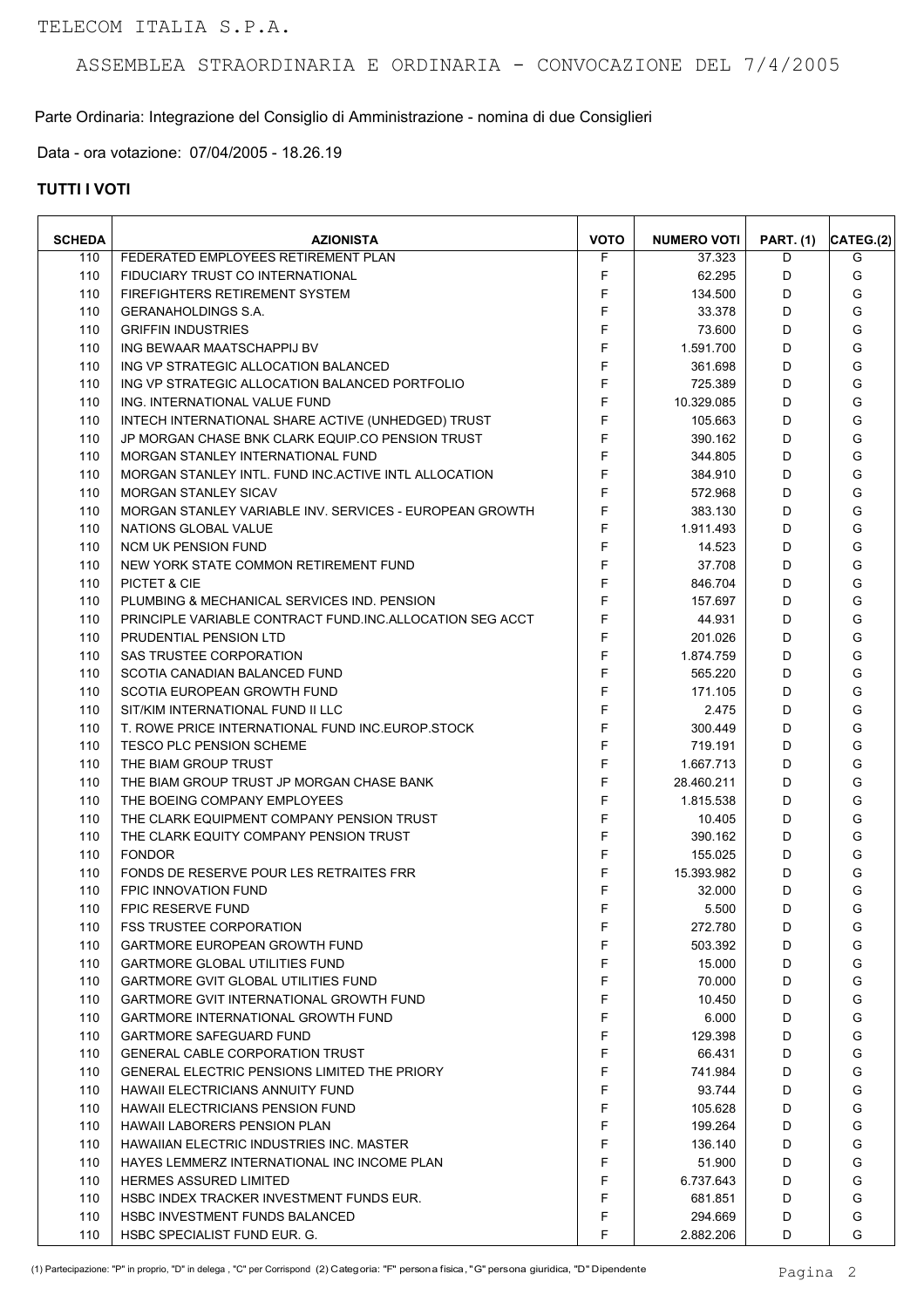Parte Ordinaria: Integrazione del Consiglio di Amministrazione - nomina di due Consiglieri

Data - ora votazione: 07/04/2005 - 18.26.19

| <b>SCHEDA</b> | <b>AZIONISTA</b>                                         | <b>VOTO</b> | <b>NUMERO VOTI</b> | <b>PART.</b> (1) | CATEG.(2) |
|---------------|----------------------------------------------------------|-------------|--------------------|------------------|-----------|
| 110           | FEDERATED EMPLOYEES RETIREMENT PLAN                      | F           | 37.323             | D                | G         |
| 110           | FIDUCIARY TRUST CO INTERNATIONAL                         | F           | 62.295             | D                | G         |
| 110           | FIREFIGHTERS RETIREMENT SYSTEM                           | F           | 134.500            | D                | G         |
| 110           | <b>GERANAHOLDINGS S.A.</b>                               | F           | 33.378             | D                | G         |
| 110           | <b>GRIFFIN INDUSTRIES</b>                                | F           | 73.600             | D                | G         |
| 110           | ING BEWAAR MAATSCHAPPIJ BV                               | F           | 1.591.700          | D                | G         |
| 110           | ING VP STRATEGIC ALLOCATION BALANCED                     | F           | 361.698            | D                | G         |
| 110           | ING VP STRATEGIC ALLOCATION BALANCED PORTFOLIO           | F           | 725.389            | D                | G         |
| 110           | ING. INTERNATIONAL VALUE FUND                            | F           | 10.329.085         | D                | G         |
| 110           | INTECH INTERNATIONAL SHARE ACTIVE (UNHEDGED) TRUST       | F           | 105.663            | D                | G         |
| 110           | JP MORGAN CHASE BNK CLARK EQUIP.CO PENSION TRUST         | F           | 390.162            | D                | G         |
| 110           | MORGAN STANLEY INTERNATIONAL FUND                        | F           | 344.805            | D                | G         |
| 110           | MORGAN STANLEY INTL. FUND INC. ACTIVE INTL ALLOCATION    | F           | 384.910            | D                | G         |
| 110           | <b>MORGAN STANLEY SICAV</b>                              | F           | 572.968            | D                | G         |
| 110           | MORGAN STANLEY VARIABLE INV. SERVICES - EUROPEAN GROWTH  | F           | 383.130            | D                | G         |
| 110           | NATIONS GLOBAL VALUE                                     | F           | 1.911.493          | D                | G         |
| 110           | <b>NCM UK PENSION FUND</b>                               | F           | 14.523             | D                | G         |
| 110           | NEW YORK STATE COMMON RETIREMENT FUND                    | F           | 37.708             | D                | G         |
| 110           | PICTET & CIE                                             | F           | 846.704            | D                | G         |
| 110           | PLUMBING & MECHANICAL SERVICES IND. PENSION              | F           | 157.697            | D                | G         |
| 110           | PRINCIPLE VARIABLE CONTRACT FUND INC ALLOCATION SEG ACCT | F           | 44.931             | D                | G         |
| 110           | PRUDENTIAL PENSION LTD                                   | F           | 201.026            | D                | G         |
| 110           | SAS TRUSTEE CORPORATION                                  | F           | 1.874.759          | D                | G         |
| 110           | SCOTIA CANADIAN BALANCED FUND                            | F           | 565.220            | D                | G         |
| 110           | SCOTIA EUROPEAN GROWTH FUND                              | F           | 171.105            | D                | G         |
| 110           | SIT/KIM INTERNATIONAL FUND II LLC                        | F           | 2.475              | D                | G         |
| 110           | T. ROWE PRICE INTERNATIONAL FUND INC. EUROP. STOCK       | F           | 300.449            | D                | G         |
| 110           | <b>TESCO PLC PENSION SCHEME</b>                          | F           | 719.191            | D                | G         |
| 110           | THE BIAM GROUP TRUST                                     | F           | 1.667.713          | D                | G         |
| 110           | THE BIAM GROUP TRUST JP MORGAN CHASE BANK                | F           | 28.460.211         | D                | G         |
| 110           | THE BOEING COMPANY EMPLOYEES                             | F           | 1.815.538          | D                | G         |
| 110           | THE CLARK EQUIPMENT COMPANY PENSION TRUST                | F           | 10.405             | D                | G         |
| 110           | THE CLARK EQUITY COMPANY PENSION TRUST                   | F           | 390.162            | D                | G         |
| 110           | <b>FONDOR</b>                                            | F           | 155.025            | D                | G         |
| 110           | FONDS DE RESERVE POUR LES RETRAITES FRR                  | F           | 15.393.982         | D                | G         |
| 110           | <b>FPIC INNOVATION FUND</b>                              | F           | 32.000             | D                | G         |
| 110           | <b>FPIC RESERVE FUND</b>                                 | F           | 5.500              | D                | G         |
| 110           | <b>FSS TRUSTEE CORPORATION</b>                           | F           | 272.780            | D                | G         |
| 110           | <b>GARTMORE EUROPEAN GROWTH FUND</b>                     | F           | 503.392            | D                | G         |
| 110           | <b>GARTMORE GLOBAL UTILITIES FUND</b>                    | F           | 15.000             | D                | G         |
| 110           | <b>GARTMORE GVIT GLOBAL UTILITIES FUND</b>               | F           | 70.000             | D                | G         |
| 110           | <b>GARTMORE GVIT INTERNATIONAL GROWTH FUND</b>           | F           | 10.450             | D                | G         |
| 110           | <b>GARTMORE INTERNATIONAL GROWTH FUND</b>                | F           | 6.000              | D                | G         |
| 110           | <b>GARTMORE SAFEGUARD FUND</b>                           | F           | 129.398            | D                | G         |
| 110           | <b>GENERAL CABLE CORPORATION TRUST</b>                   | F           | 66.431             | D                | G         |
| 110           | <b>GENERAL ELECTRIC PENSIONS LIMITED THE PRIORY</b>      | F           | 741.984            | D                | G         |
| 110           | HAWAII ELECTRICIANS ANNUITY FUND                         | F           | 93.744             | D                | G         |
| 110           | HAWAII ELECTRICIANS PENSION FUND                         | F           | 105.628            | D                | G         |
| 110           | <b>HAWAII LABORERS PENSION PLAN</b>                      | F           | 199.264            | D                | G         |
| 110           | <b>HAWAIIAN ELECTRIC INDUSTRIES INC. MASTER</b>          | F           | 136.140            | D                | G         |
| 110           | HAYES LEMMERZ INTERNATIONAL INC INCOME PLAN              | F           | 51.900             | D                | G         |
| 110           | <b>HERMES ASSURED LIMITED</b>                            | F           | 6.737.643          | D                | G         |
| 110           | HSBC INDEX TRACKER INVESTMENT FUNDS EUR.                 | F           | 681.851            | D                | G         |
| 110           | <b>HSBC INVESTMENT FUNDS BALANCED</b>                    | F           | 294.669            | D                | G         |
| 110           | HSBC SPECIALIST FUND EUR. G.                             | F           | 2.882.206          | D                | G         |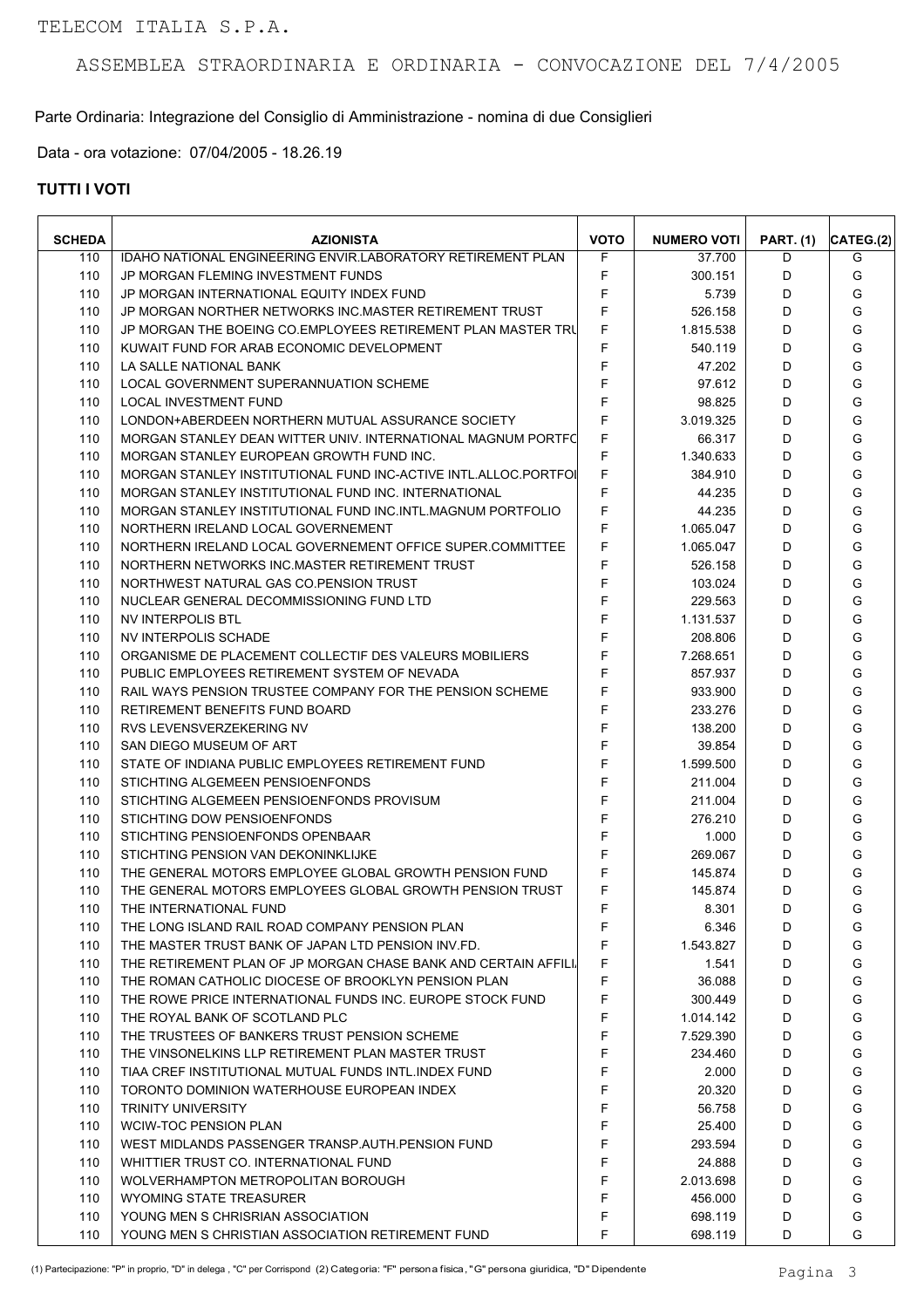Parte Ordinaria: Integrazione del Consiglio di Amministrazione - nomina di due Consiglieri

Data - ora votazione: 07/04/2005 - 18.26.19

| <b>SCHEDA</b> | <b>AZIONISTA</b>                                                               | <b>VOTO</b> | <b>NUMERO VOTI</b> | <b>PART. (1)</b> | CATEG.(2) |
|---------------|--------------------------------------------------------------------------------|-------------|--------------------|------------------|-----------|
| 110           | <b>IDAHO NATIONAL ENGINEERING ENVIR LABORATORY RETIREMENT PLAN</b>             | F           | 37.700             | D                | G         |
| 110           | JP MORGAN FLEMING INVESTMENT FUNDS                                             | F           | 300.151            | D                | G         |
| 110           | JP MORGAN INTERNATIONAL EQUITY INDEX FUND                                      | F           | 5.739              | D                | G         |
| 110           | JP MORGAN NORTHER NETWORKS INC.MASTER RETIREMENT TRUST                         | F           | 526.158            | D                | G         |
| 110           | JP MORGAN THE BOEING CO.EMPLOYEES RETIREMENT PLAN MASTER TRU                   | F           | 1.815.538          | D                | G         |
| 110           | KUWAIT FUND FOR ARAB ECONOMIC DEVELOPMENT                                      | F           | 540.119            | D                | G         |
| 110           | LA SALLE NATIONAL BANK                                                         | F           | 47.202             | D                | G         |
| 110           | LOCAL GOVERNMENT SUPERANNUATION SCHEME                                         | F           | 97.612             | D                | G         |
| 110           | <b>LOCAL INVESTMENT FUND</b>                                                   | F           | 98.825             | D                | G         |
| 110           | LONDON+ABERDEEN NORTHERN MUTUAL ASSURANCE SOCIETY                              | F           | 3.019.325          | D                | G         |
| 110           | MORGAN STANLEY DEAN WITTER UNIV. INTERNATIONAL MAGNUM PORTFO                   | F           | 66.317             | D                | G         |
| 110           | MORGAN STANLEY EUROPEAN GROWTH FUND INC.                                       | F           | 1.340.633          | D                | G         |
| 110           | MORGAN STANLEY INSTITUTIONAL FUND INC-ACTIVE INTL.ALLOC.PORTFOI                | F           | 384.910            | D                | G         |
| 110           | MORGAN STANLEY INSTITUTIONAL FUND INC. INTERNATIONAL                           | F           | 44.235             | D                | G         |
| 110           | MORGAN STANLEY INSTITUTIONAL FUND INC. INTL. MAGNUM PORTFOLIO                  | F           | 44.235             | D                | G         |
| 110           | NORTHERN IRELAND LOCAL GOVERNEMENT                                             | F           | 1.065.047          | D                | G         |
| 110           | NORTHERN IRELAND LOCAL GOVERNEMENT OFFICE SUPER COMMITTEE                      | F           | 1.065.047          | D                | G         |
| 110           | NORTHERN NETWORKS INC.MASTER RETIREMENT TRUST                                  | F           | 526.158            | D                | G         |
| 110           | NORTHWEST NATURAL GAS CO. PENSION TRUST                                        | F           | 103.024            | D                | G         |
| 110           | NUCLEAR GENERAL DECOMMISSIONING FUND LTD                                       | F           | 229.563            | D                | G         |
| 110           | NV INTERPOLIS BTL                                                              | F           | 1.131.537          | D                | G         |
|               |                                                                                | F           |                    | D                | G         |
| 110           | NV INTERPOLIS SCHADE<br>ORGANISME DE PLACEMENT COLLECTIF DES VALEURS MOBILIERS | F           | 208.806            |                  |           |
| 110           |                                                                                | F           | 7.268.651          | D                | G         |
| 110           | PUBLIC EMPLOYEES RETIREMENT SYSTEM OF NEVADA                                   |             | 857.937            | D                | G         |
| 110           | RAIL WAYS PENSION TRUSTEE COMPANY FOR THE PENSION SCHEME                       | F           | 933.900            | D                | G         |
| 110           | RETIREMENT BENEFITS FUND BOARD                                                 | F           | 233.276            | D                | G         |
| 110           | RVS LEVENSVERZEKERING NV                                                       | F           | 138.200            | D                | G         |
| 110           | SAN DIEGO MUSEUM OF ART                                                        | F           | 39.854             | D                | G         |
| 110           | STATE OF INDIANA PUBLIC EMPLOYEES RETIREMENT FUND                              | F           | 1.599.500          | D                | G         |
| 110           | STICHTING ALGEMEEN PENSIOENFONDS                                               | F           | 211.004            | D                | G         |
| 110           | STICHTING ALGEMEEN PENSIOENFONDS PROVISUM                                      | F           | 211.004            | D                | G         |
| 110           | STICHTING DOW PENSIOENFONDS                                                    | F           | 276.210            | D                | G         |
| 110           | STICHTING PENSIOENFONDS OPENBAAR                                               | F           | 1.000              | D                | G         |
| 110           | STICHTING PENSION VAN DEKONINKLIJKE                                            | F           | 269.067            | D                | G         |
| 110           | THE GENERAL MOTORS EMPLOYEE GLOBAL GROWTH PENSION FUND                         | F           | 145.874            | D                | G         |
| 110           | THE GENERAL MOTORS EMPLOYEES GLOBAL GROWTH PENSION TRUST                       | F           | 145.874            | D                | G         |
| 110           | THE INTERNATIONAL FUND                                                         | F           | 8.301              | D                | G         |
| 110           | THE LONG ISLAND RAIL ROAD COMPANY PENSION PLAN                                 | F           | 6.346              | D                | G         |
| 110           | THE MASTER TRUST BANK OF JAPAN LTD PENSION INV.FD.                             | F           | 1.543.827          | D                | G         |
| 110           | THE RETIREMENT PLAN OF JP MORGAN CHASE BANK AND CERTAIN AFFILI                 | F           | 1.541              | D                | G         |
| 110           | THE ROMAN CATHOLIC DIOCESE OF BROOKLYN PENSION PLAN                            | F           | 36.088             | D                | G         |
| 110           | THE ROWE PRICE INTERNATIONAL FUNDS INC. EUROPE STOCK FUND                      | F           | 300.449            | D                | G         |
| 110           | THE ROYAL BANK OF SCOTLAND PLC                                                 | F           | 1.014.142          | D                | G         |
| 110           | THE TRUSTEES OF BANKERS TRUST PENSION SCHEME                                   | F           | 7.529.390          | D                | G         |
| 110           | THE VINSONELKINS LLP RETIREMENT PLAN MASTER TRUST                              | F           | 234.460            | D                | G         |
| 110           | TIAA CREF INSTITUTIONAL MUTUAL FUNDS INTL.INDEX FUND                           | F           | 2.000              | D                | G         |
| 110           | TORONTO DOMINION WATERHOUSE EUROPEAN INDEX                                     | F           | 20.320             | D                | G         |
| 110           | <b>TRINITY UNIVERSITY</b>                                                      | F           | 56.758             | D                | G         |
| 110           | <b>WCIW-TOC PENSION PLAN</b>                                                   | F           | 25.400             | D                | G         |
| 110           | WEST MIDLANDS PASSENGER TRANSP AUTH PENSION FUND                               | F           | 293.594            | D                | G         |
| 110           | WHITTIER TRUST CO. INTERNATIONAL FUND                                          | F           | 24.888             | D                | G         |
| 110           | WOLVERHAMPTON METROPOLITAN BOROUGH                                             | F           | 2.013.698          | D                | G         |
| 110           | WYOMING STATE TREASURER                                                        | F           | 456.000            | D                | G         |
| 110           | YOUNG MEN S CHRISRIAN ASSOCIATION                                              | F           | 698.119            | D                | G         |
| 110           | YOUNG MEN S CHRISTIAN ASSOCIATION RETIREMENT FUND                              | F           | 698.119            | D                | G         |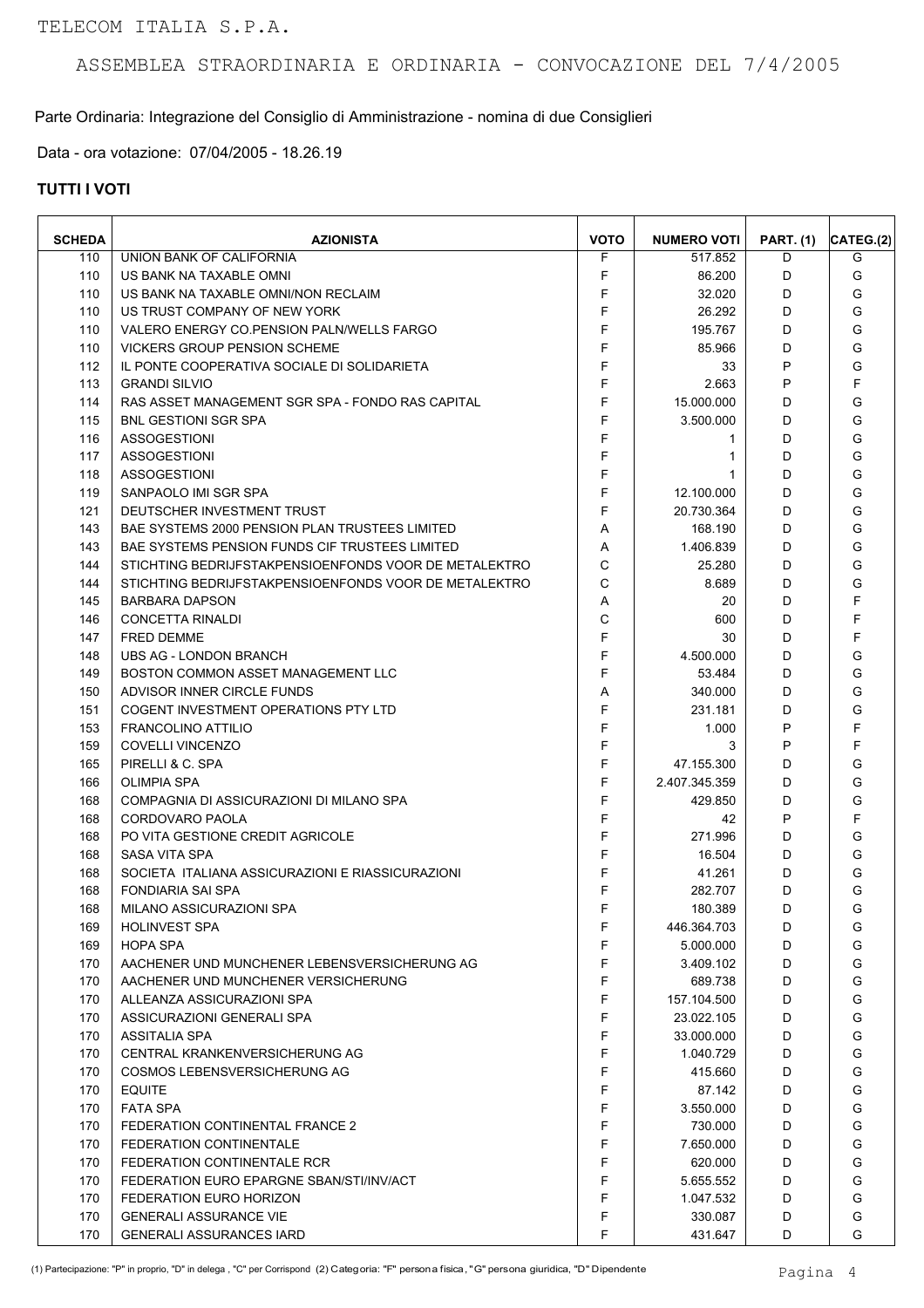Parte Ordinaria: Integrazione del Consiglio di Amministrazione - nomina di due Consiglieri

Data - ora votazione: 07/04/2005 - 18.26.19

| <b>SCHEDA</b> | <b>AZIONISTA</b>                                         | <b>VOTO</b> | <b>NUMERO VOTI</b>   | <b>PART. (1)</b> | CATEG.(2) |
|---------------|----------------------------------------------------------|-------------|----------------------|------------------|-----------|
| 110           | UNION BANK OF CALIFORNIA                                 | F           | 517.852              | D                | G         |
| 110           | US BANK NA TAXABLE OMNI                                  | F           | 86.200               | D                | G         |
| 110           | US BANK NA TAXABLE OMNI/NON RECLAIM                      | F           | 32.020               | D                | G         |
| 110           | US TRUST COMPANY OF NEW YORK                             | F           | 26.292               | D                | G         |
| 110           | VALERO ENERGY CO.PENSION PALN/WELLS FARGO                | F           | 195.767              | D                | G         |
| 110           | <b>VICKERS GROUP PENSION SCHEME</b>                      | F           | 85.966               | D                | G         |
| 112           | IL PONTE COOPERATIVA SOCIALE DI SOLIDARIETA              | F           | 33                   | P                | G         |
| 113           | <b>GRANDI SILVIO</b>                                     | F           | 2.663                | P                | F         |
| 114           | RAS ASSET MANAGEMENT SGR SPA - FONDO RAS CAPITAL         | F           | 15.000.000           | D                | G         |
| 115           | <b>BNL GESTIONI SGR SPA</b>                              | F           | 3.500.000            | D                | G         |
| 116           | <b>ASSOGESTIONI</b>                                      | F           | 1                    | D                | G         |
| 117           | <b>ASSOGESTIONI</b>                                      | F           | 1                    | D                | G         |
| 118           | <b>ASSOGESTIONI</b>                                      | F           | 1                    | D                | G         |
| 119           | SANPAOLO IMI SGR SPA                                     | F           | 12.100.000           | D                | G         |
| 121           | DEUTSCHER INVESTMENT TRUST                               | F           | 20.730.364           | D                | G         |
| 143           | BAE SYSTEMS 2000 PENSION PLAN TRUSTEES LIMITED           | A           | 168.190              | D                | G         |
| 143           | BAE SYSTEMS PENSION FUNDS CIF TRUSTEES LIMITED           | A           | 1.406.839            | D                | G         |
| 144           | STICHTING BEDRIJFSTAKPENSIOENFONDS VOOR DE METALEKTRO    | C           | 25.280               | D                | G         |
| 144           | STICHTING BEDRIJFSTAKPENSIOENFONDS VOOR DE METALEKTRO    | C           | 8.689                | D                | G         |
| 145           | <b>BARBARA DAPSON</b>                                    | Α           | 20                   | D                | F         |
| 146           | <b>CONCETTA RINALDI</b>                                  | C           | 600                  | D                | F         |
| 147           | <b>FRED DEMME</b>                                        | F           | 30                   | D                | F         |
| 148           | UBS AG - LONDON BRANCH                                   | F           | 4.500.000            | D                | G         |
| 149           | BOSTON COMMON ASSET MANAGEMENT LLC                       | F           | 53.484               | D                | G         |
| 150           | ADVISOR INNER CIRCLE FUNDS                               | A           | 340.000              | D                | G         |
| 151           | COGENT INVESTMENT OPERATIONS PTY LTD                     | F           | 231.181              | D                | G         |
| 153           | <b>FRANCOLINO ATTILIO</b>                                | F           | 1.000                | P                | F         |
| 159           | <b>COVELLI VINCENZO</b>                                  | F           | 3                    | P                | F         |
| 165           | PIRELLI & C. SPA                                         | F           | 47.155.300           | D                | G         |
| 166           | <b>OLIMPIA SPA</b>                                       | F           | 2.407.345.359        | D                | G         |
| 168           | COMPAGNIA DI ASSICURAZIONI DI MILANO SPA                 | F           | 429.850              | D                | G         |
| 168           | CORDOVARO PAOLA                                          | F           | 42                   | P                | F         |
| 168           | PO VITA GESTIONE CREDIT AGRICOLE                         | F           | 271.996              | D                | G         |
| 168           | SASA VITA SPA                                            | F           | 16.504               | D                | G         |
| 168           | SOCIETA ITALIANA ASSICURAZIONI E RIASSICURAZIONI         | F           | 41.261               | D                | G         |
| 168           | FONDIARIA SAI SPA                                        | F           | 282.707              | D                | G         |
| 168           | MILANO ASSICURAZIONI SPA                                 | F           | 180.389              | D                | G         |
| 169           | <b>HOLINVEST SPA</b>                                     | F           | 446.364.703          | D                | G         |
| 169           | <b>HOPA SPA</b>                                          | F           | 5.000.000            | D                | G         |
| 170           | AACHENER UND MUNCHENER LEBENSVERSICHERUNG AG             | F           | 3.409.102            | D                | G         |
| 170           | AACHENER UND MUNCHENER VERSICHERUNG                      | F           | 689.738              | D                | G         |
| 170           | ALLEANZA ASSICURAZIONI SPA                               | F           | 157.104.500          | D                | G         |
| 170           | ASSICURAZIONI GENERALI SPA                               | F           | 23.022.105           | D                | G         |
| 170           | ASSITALIA SPA                                            | F           | 33.000.000           | D                | G         |
| 170           | CENTRAL KRANKENVERSICHERUNG AG                           | F           | 1.040.729            | D                | G         |
| 170           | COSMOS LEBENSVERSICHERUNG AG                             | F           | 415.660              | D                | G         |
| 170           | <b>EQUITE</b>                                            | F           | 87.142               | D                | G         |
| 170           | <b>FATA SPA</b>                                          | F           | 3.550.000            | D                | G         |
| 170           | FEDERATION CONTINENTAL FRANCE 2                          | F           | 730.000              | D                | G         |
| 170           | FEDERATION CONTINENTALE                                  | F           | 7.650.000            | D                | G         |
| 170           | FEDERATION CONTINENTALE RCR                              | F           | 620.000              | D                | G         |
| 170           | FEDERATION EURO EPARGNE SBAN/STI/INV/ACT                 | F           | 5.655.552            | D                | G         |
|               |                                                          | F           |                      | D                | G         |
| 170<br>170    | FEDERATION EURO HORIZON<br><b>GENERALI ASSURANCE VIE</b> | F           | 1.047.532<br>330.087 | D                | G         |
| 170           | <b>GENERALI ASSURANCES IARD</b>                          | F           |                      | D                | G         |
|               |                                                          |             | 431.647              |                  |           |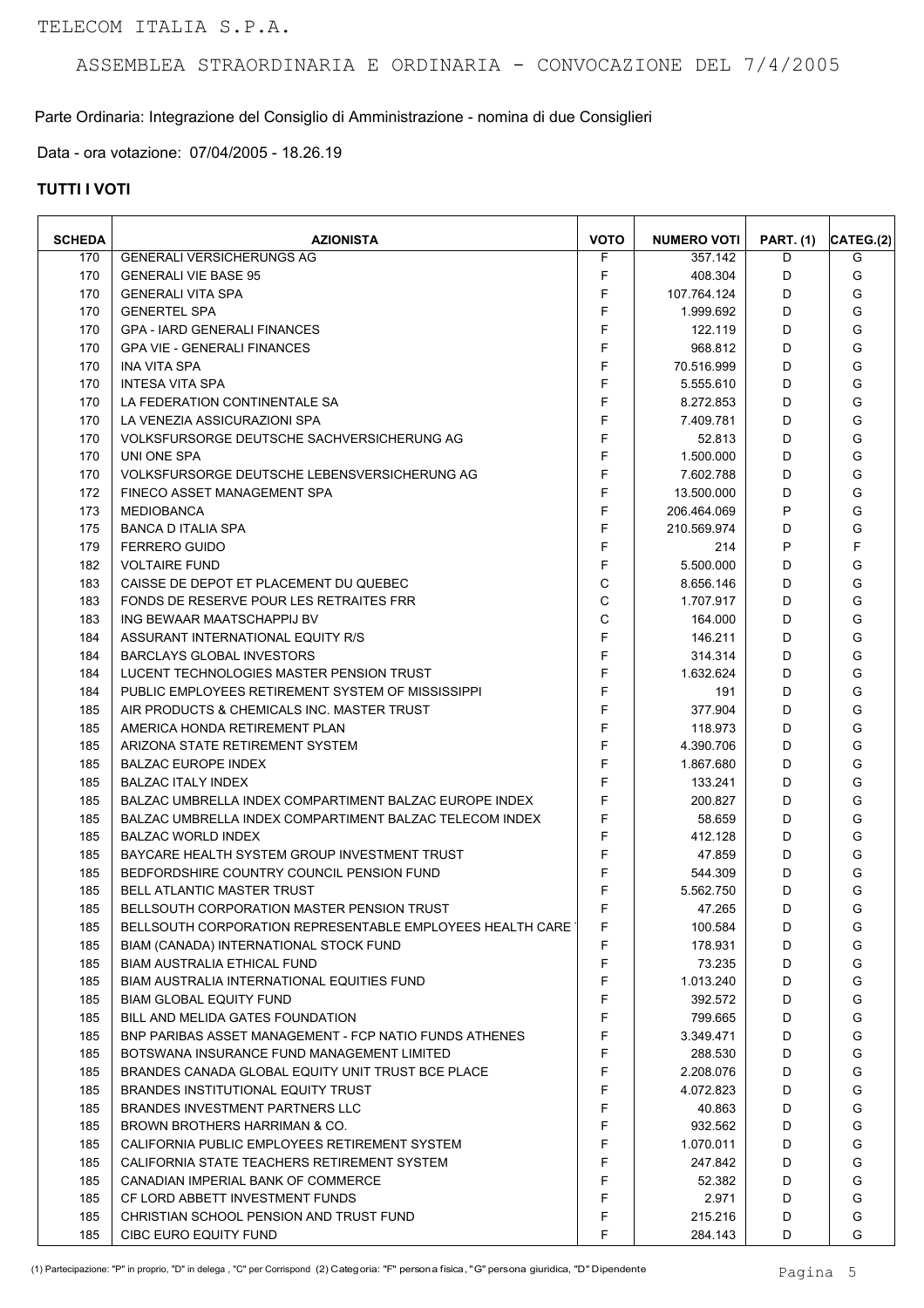Parte Ordinaria: Integrazione del Consiglio di Amministrazione - nomina di due Consiglieri

Data - ora votazione: 07/04/2005 - 18.26.19

| <b>SCHEDA</b> | <b>AZIONISTA</b>                                              | <b>VOTO</b>  | <b>NUMERO VOTI</b> | <b>PART. (1)</b> | CATEG.(2) |
|---------------|---------------------------------------------------------------|--------------|--------------------|------------------|-----------|
| 170           | <b>GENERALI VERSICHERUNGS AG</b>                              | F            | 357.142            | D                | G         |
| 170           | <b>GENERALI VIE BASE 95</b>                                   | F            | 408.304            | D                | G         |
| 170           | <b>GENERALI VITA SPA</b>                                      | F            | 107.764.124        | D                | G         |
| 170           | <b>GENERTEL SPA</b>                                           | F            | 1.999.692          | D                | G         |
| 170           | <b>GPA - IARD GENERALI FINANCES</b>                           | F            | 122.119            | D                | G         |
| 170           | <b>GPA VIE - GENERALI FINANCES</b>                            | F            | 968.812            | D                | G         |
| 170           | <b>INA VITA SPA</b>                                           | F            | 70.516.999         | D                | G         |
| 170           | <b>INTESA VITA SPA</b>                                        | F            | 5.555.610          | D                | G         |
| 170           | LA FEDERATION CONTINENTALE SA                                 | F            | 8.272.853          | D                | G         |
| 170           | LA VENEZIA ASSICURAZIONI SPA                                  | F            | 7.409.781          | D                | G         |
| 170           | VOLKSFURSORGE DEUTSCHE SACHVERSICHERUNG AG                    | F            | 52.813             | D                | G         |
| 170           | UNI ONE SPA                                                   | F            | 1.500.000          | D                | G         |
| 170           | VOLKSFURSORGE DEUTSCHE LEBENSVERSICHERUNG AG                  | F            | 7.602.788          | D                | G         |
| 172           | FINECO ASSET MANAGEMENT SPA                                   | F            | 13.500.000         | D                | G         |
| 173           | <b>MEDIOBANCA</b>                                             | F            | 206.464.069        | P                | G         |
| 175           | <b>BANCA D ITALIA SPA</b>                                     | F            | 210.569.974        | D                | G         |
| 179           | <b>FERRERO GUIDO</b>                                          | F            | 214                | P                | F         |
| 182           | <b>VOLTAIRE FUND</b>                                          | F            | 5.500.000          | D                | G         |
| 183           | CAISSE DE DEPOT ET PLACEMENT DU QUEBEC                        | $\mathsf C$  | 8.656.146          | D                | G         |
|               |                                                               |              |                    |                  |           |
| 183           | FONDS DE RESERVE POUR LES RETRAITES FRR                       | $\mathsf{C}$ | 1.707.917          | D                | G         |
| 183           | ING BEWAAR MAATSCHAPPIJ BV                                    | $\mathbf C$  | 164.000            | D                | G         |
| 184           | ASSURANT INTERNATIONAL EQUITY R/S                             | F            | 146.211            | D                | G         |
| 184           | <b>BARCLAYS GLOBAL INVESTORS</b>                              | F            | 314.314            | D                | G         |
| 184           | LUCENT TECHNOLOGIES MASTER PENSION TRUST                      | F            | 1.632.624          | D                | G         |
| 184           | PUBLIC EMPLOYEES RETIREMENT SYSTEM OF MISSISSIPPI             | F            | 191                | D                | G         |
| 185           | AIR PRODUCTS & CHEMICALS INC. MASTER TRUST                    | F            | 377.904            | D                | G         |
| 185           | AMERICA HONDA RETIREMENT PLAN                                 | F            | 118.973            | D                | G         |
| 185           | ARIZONA STATE RETIREMENT SYSTEM                               | F            | 4.390.706          | D                | G         |
| 185           | <b>BALZAC EUROPE INDEX</b>                                    | F            | 1.867.680          | D                | G         |
| 185           | <b>BALZAC ITALY INDEX</b>                                     | F            | 133.241            | D                | G         |
| 185           | BALZAC UMBRELLA INDEX COMPARTIMENT BALZAC EUROPE INDEX        | F            | 200.827            | D                | G         |
| 185           | BALZAC UMBRELLA INDEX COMPARTIMENT BALZAC TELECOM INDEX       | F            | 58.659             | D                | G         |
| 185           | <b>BALZAC WORLD INDEX</b>                                     | F            | 412.128            | D                | G         |
| 185           | BAYCARE HEALTH SYSTEM GROUP INVESTMENT TRUST                  | F            | 47.859             | D                | G         |
| 185           | BEDFORDSHIRE COUNTRY COUNCIL PENSION FUND                     | F            | 544.309            | D                | G         |
| 185           | <b>BELL ATLANTIC MASTER TRUST</b>                             | F            | 5.562.750          | D                | G         |
| 185           | BELLSOUTH CORPORATION MASTER PENSION TRUST                    | F            | 47.265             | D                | G         |
| 185           | BELLSOUTH CORPORATION REPRESENTABLE EMPLOYEES HEALTH CARE     | F            | 100.584            | D                | G         |
| 185           | BIAM (CANADA) INTERNATIONAL STOCK FUND                        | F            | 178.931            | D                | G         |
| 185           | <b>BIAM AUSTRALIA ETHICAL FUND</b>                            | F            | 73.235             | D                | G         |
| 185           | BIAM AUSTRALIA INTERNATIONAL EQUITIES FUND                    | F            | 1.013.240          | D                | G         |
| 185           | <b>BIAM GLOBAL EQUITY FUND</b>                                | F            | 392.572            | D                | G         |
| 185           | BILL AND MELIDA GATES FOUNDATION                              | F            | 799.665            | D                | G         |
| 185           | <b>BNP PARIBAS ASSET MANAGEMENT - FCP NATIO FUNDS ATHENES</b> | F            | 3.349.471          | D                | G         |
| 185           | BOTSWANA INSURANCE FUND MANAGEMENT LIMITED                    | F            | 288.530            | D                | G         |
|               |                                                               |              | 2.208.076          |                  |           |
| 185           | BRANDES CANADA GLOBAL EQUITY UNIT TRUST BCE PLACE             | F            |                    | D                | G         |
| 185           | BRANDES INSTITUTIONAL EQUITY TRUST                            | F            | 4.072.823          | D                | G         |
| 185           | <b>BRANDES INVESTMENT PARTNERS LLC</b>                        | F            | 40.863             | D                | G         |
| 185           | BROWN BROTHERS HARRIMAN & CO.                                 | F            | 932.562            | D                | G         |
| 185           | CALIFORNIA PUBLIC EMPLOYEES RETIREMENT SYSTEM                 | F            | 1.070.011          | D                | G         |
| 185           | CALIFORNIA STATE TEACHERS RETIREMENT SYSTEM                   | F            | 247.842            | D                | G         |
| 185           | CANADIAN IMPERIAL BANK OF COMMERCE                            | F            | 52.382             | D                | G         |
| 185           | CF LORD ABBETT INVESTMENT FUNDS                               | F            | 2.971              | D                | G         |
| 185           | CHRISTIAN SCHOOL PENSION AND TRUST FUND                       | F            | 215.216            | D                | G         |
| 185           | CIBC EURO EQUITY FUND                                         | F            | 284.143            | D                | G         |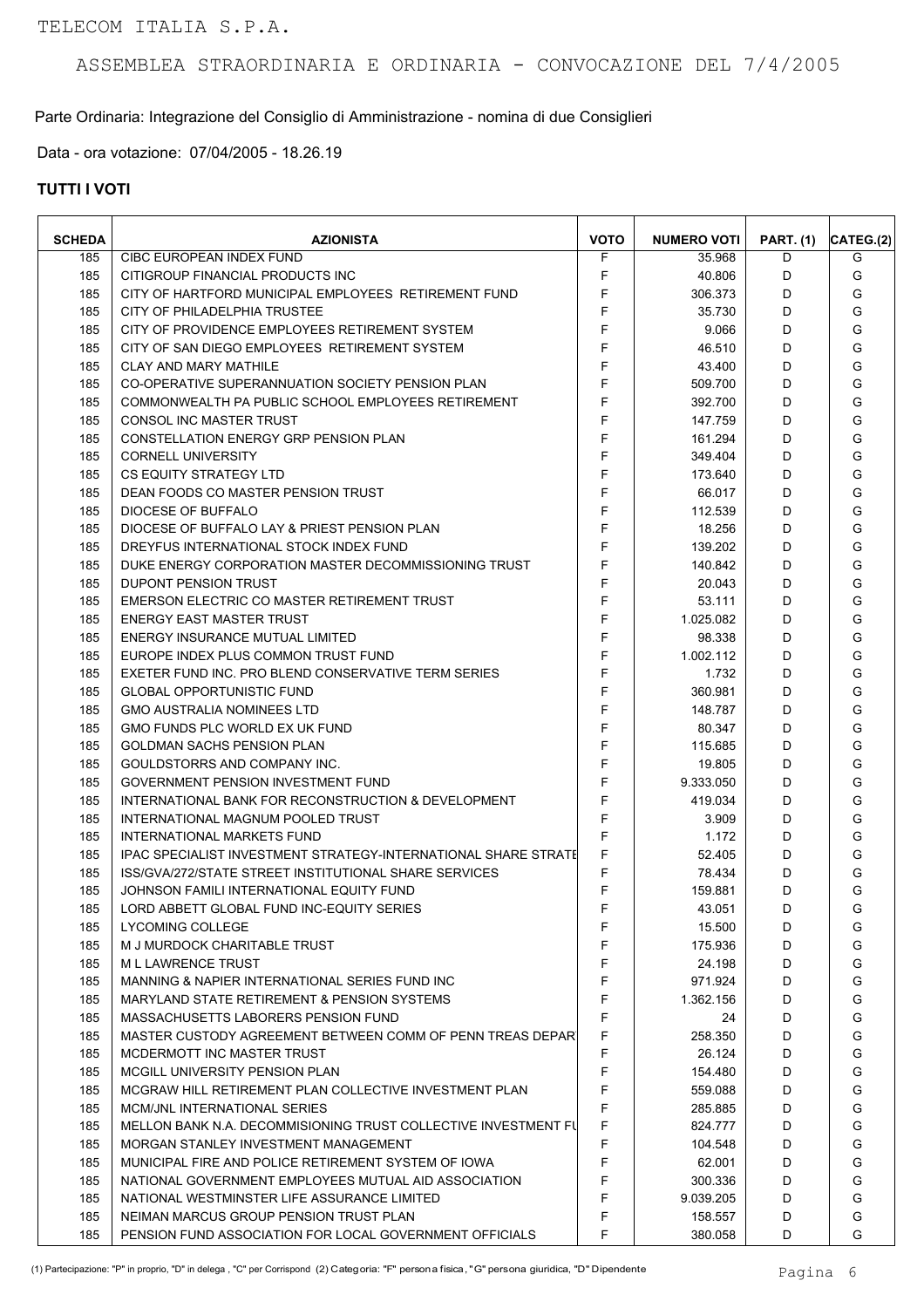Parte Ordinaria: Integrazione del Consiglio di Amministrazione - nomina di due Consiglieri

Data - ora votazione: 07/04/2005 - 18.26.19

| F<br>185<br>CIBC EUROPEAN INDEX FUND<br>35.968<br>D<br>G<br>F<br>G<br>185<br>CITIGROUP FINANCIAL PRODUCTS INC<br>40.806<br>D<br>F<br>G<br>185<br>CITY OF HARTFORD MUNICIPAL EMPLOYEES RETIREMENT FUND<br>306.373<br>D<br>F<br>G<br>D<br>185<br>CITY OF PHILADELPHIA TRUSTEE<br>35.730<br>F<br>G<br>CITY OF PROVIDENCE EMPLOYEES RETIREMENT SYSTEM<br>D<br>185<br>9.066<br>F<br>G<br>CITY OF SAN DIEGO EMPLOYEES RETIREMENT SYSTEM<br>185<br>46.510<br>D<br>F<br>G<br>D<br>185<br><b>CLAY AND MARY MATHILE</b><br>43.400<br>F<br>G<br>CO-OPERATIVE SUPERANNUATION SOCIETY PENSION PLAN<br>D<br>185<br>509.700<br>G<br>185<br>COMMONWEALTH PA PUBLIC SCHOOL EMPLOYEES RETIREMENT<br>F<br>D<br>392.700<br>G<br><b>CONSOL INC MASTER TRUST</b><br>F<br>D<br>185<br>147.759<br>F<br>G<br>D<br>185<br>CONSTELLATION ENERGY GRP PENSION PLAN<br>161.294<br>F<br>G<br>D<br>185<br><b>CORNELL UNIVERSITY</b><br>349.404<br>F<br>G<br>185<br><b>CS EQUITY STRATEGY LTD</b><br>D<br>173.640<br>F<br>G<br>185<br>D<br>DEAN FOODS CO MASTER PENSION TRUST<br>66.017<br>F<br>G<br>D<br>185<br>DIOCESE OF BUFFALO<br>112.539<br>F<br>G<br>D<br>185<br>DIOCESE OF BUFFALO LAY & PRIEST PENSION PLAN<br>18.256<br>G<br>F<br>185<br>DREYFUS INTERNATIONAL STOCK INDEX FUND<br>D<br>139.202<br>G<br>F<br>DUKE ENERGY CORPORATION MASTER DECOMMISSIONING TRUST<br>D<br>185<br>140.842<br>F<br>G<br>185<br><b>DUPONT PENSION TRUST</b><br>20.043<br>D<br>F<br>G<br>D<br>185<br>EMERSON ELECTRIC CO MASTER RETIREMENT TRUST<br>53.111<br>F<br>G<br>1.025.082<br>185<br><b>ENERGY EAST MASTER TRUST</b><br>D<br>F<br>G<br>185<br>ENERGY INSURANCE MUTUAL LIMITED<br>D<br>98.338<br>G<br>F<br>EUROPE INDEX PLUS COMMON TRUST FUND<br>D<br>185<br>1.002.112<br>F<br>G<br>D<br>185<br>EXETER FUND INC. PRO BLEND CONSERVATIVE TERM SERIES<br>1.732<br>G<br><b>GLOBAL OPPORTUNISTIC FUND</b><br>F<br>D<br>185<br>360.981<br>F<br>G<br>185<br>D<br><b>GMO AUSTRALIA NOMINEES LTD</b><br>148.787<br>F<br>G<br>D<br>185<br>GMO FUNDS PLC WORLD EX UK FUND<br>80.347<br>F<br>G<br><b>GOLDMAN SACHS PENSION PLAN</b><br>D<br>185<br>115.685<br>F<br>G<br>GOULDSTORRS AND COMPANY INC.<br>D<br>185<br>19.805<br>F<br>G<br>D<br>185<br>GOVERNMENT PENSION INVESTMENT FUND<br>9.333.050<br>F<br>G<br>D<br>185<br>INTERNATIONAL BANK FOR RECONSTRUCTION & DEVELOPMENT<br>419.034<br>F<br>G<br>185<br>D<br>INTERNATIONAL MAGNUM POOLED TRUST<br>3.909<br>G<br>F<br>D<br>185<br><b>INTERNATIONAL MARKETS FUND</b><br>1.172<br>F<br>G<br>185<br><b>IPAC SPECIALIST INVESTMENT STRATEGY-INTERNATIONAL SHARE STRATE</b><br>52.405<br>D<br>F<br>G<br>185<br>ISS/GVA/272/STATE STREET INSTITUTIONAL SHARE SERVICES<br>78.434<br>D<br>F<br>G<br>D<br>185<br>JOHNSON FAMILI INTERNATIONAL EQUITY FUND<br>159.881<br>F<br>G<br>D<br>185<br>LORD ABBETT GLOBAL FUND INC-EQUITY SERIES<br>43.051<br><b>LYCOMING COLLEGE</b><br>F<br>D<br>185<br>15.500<br>G<br>F<br>185<br>M J MURDOCK CHARITABLE TRUST<br>175.936<br>D<br>G<br>F<br>185<br><b>ML LAWRENCE TRUST</b><br>24.198<br>D<br>G<br>185<br>MANNING & NAPIER INTERNATIONAL SERIES FUND INC<br>F<br>971.924<br>D<br>G<br>MARYLAND STATE RETIREMENT & PENSION SYSTEMS<br>F<br>D<br>G<br>185<br>1.362.156<br>185<br>MASSACHUSETTS LABORERS PENSION FUND<br>F<br>D<br>G<br>24<br>185<br>MASTER CUSTODY AGREEMENT BETWEEN COMM OF PENN TREAS DEPART<br>F<br>258.350<br>D<br>G<br>F<br>MCDERMOTT INC MASTER TRUST<br>26.124<br>D<br>G<br>185<br>F<br>MCGILL UNIVERSITY PENSION PLAN<br>154.480<br>D<br>G<br>185<br>F<br>G<br>MCGRAW HILL RETIREMENT PLAN COLLECTIVE INVESTMENT PLAN<br>D<br>185<br>559.088<br>F<br>G<br>185<br>MCM/JNL INTERNATIONAL SERIES<br>D<br>285.885<br>F<br>G<br>185<br>MELLON BANK N.A. DECOMMISIONING TRUST COLLECTIVE INVESTMENT FU<br>D<br>824.777<br>F<br>G<br>185<br>MORGAN STANLEY INVESTMENT MANAGEMENT<br>D<br>104.548<br>F<br>G<br>MUNICIPAL FIRE AND POLICE RETIREMENT SYSTEM OF IOWA<br>185<br>62.001<br>D<br>F<br>G<br>185<br>NATIONAL GOVERNMENT EMPLOYEES MUTUAL AID ASSOCIATION<br>300.336<br>D<br>F<br>G<br>185<br>NATIONAL WESTMINSTER LIFE ASSURANCE LIMITED<br>9.039.205<br>D<br>F<br>G<br>NEIMAN MARCUS GROUP PENSION TRUST PLAN<br>D<br>185<br>158.557<br>F.<br>G<br>185<br>PENSION FUND ASSOCIATION FOR LOCAL GOVERNMENT OFFICIALS<br>D<br>380.058 | <b>SCHEDA</b> | <b>AZIONISTA</b> | <b>VOTO</b> | <b>NUMERO VOTI</b> | <b>PART.</b> (1) | CATEG.(2) |
|----------------------------------------------------------------------------------------------------------------------------------------------------------------------------------------------------------------------------------------------------------------------------------------------------------------------------------------------------------------------------------------------------------------------------------------------------------------------------------------------------------------------------------------------------------------------------------------------------------------------------------------------------------------------------------------------------------------------------------------------------------------------------------------------------------------------------------------------------------------------------------------------------------------------------------------------------------------------------------------------------------------------------------------------------------------------------------------------------------------------------------------------------------------------------------------------------------------------------------------------------------------------------------------------------------------------------------------------------------------------------------------------------------------------------------------------------------------------------------------------------------------------------------------------------------------------------------------------------------------------------------------------------------------------------------------------------------------------------------------------------------------------------------------------------------------------------------------------------------------------------------------------------------------------------------------------------------------------------------------------------------------------------------------------------------------------------------------------------------------------------------------------------------------------------------------------------------------------------------------------------------------------------------------------------------------------------------------------------------------------------------------------------------------------------------------------------------------------------------------------------------------------------------------------------------------------------------------------------------------------------------------------------------------------------------------------------------------------------------------------------------------------------------------------------------------------------------------------------------------------------------------------------------------------------------------------------------------------------------------------------------------------------------------------------------------------------------------------------------------------------------------------------------------------------------------------------------------------------------------------------------------------------------------------------------------------------------------------------------------------------------------------------------------------------------------------------------------------------------------------------------------------------------------------------------------------------------------------------------------------------------------------------------------------------------------------------------------------------------------------------------------------------------------------------------------------------------------------------------------------------------------------------------------------------------------------------------------------------------------------------------------------------------------------------------------------------------------------------------------------------------------------------------------------------------------------------------------------------------------------------------------------------------------------------|---------------|------------------|-------------|--------------------|------------------|-----------|
|                                                                                                                                                                                                                                                                                                                                                                                                                                                                                                                                                                                                                                                                                                                                                                                                                                                                                                                                                                                                                                                                                                                                                                                                                                                                                                                                                                                                                                                                                                                                                                                                                                                                                                                                                                                                                                                                                                                                                                                                                                                                                                                                                                                                                                                                                                                                                                                                                                                                                                                                                                                                                                                                                                                                                                                                                                                                                                                                                                                                                                                                                                                                                                                                                                                                                                                                                                                                                                                                                                                                                                                                                                                                                                                                                                                                                                                                                                                                                                                                                                                                                                                                                                                                                                                                                                    |               |                  |             |                    |                  |           |
|                                                                                                                                                                                                                                                                                                                                                                                                                                                                                                                                                                                                                                                                                                                                                                                                                                                                                                                                                                                                                                                                                                                                                                                                                                                                                                                                                                                                                                                                                                                                                                                                                                                                                                                                                                                                                                                                                                                                                                                                                                                                                                                                                                                                                                                                                                                                                                                                                                                                                                                                                                                                                                                                                                                                                                                                                                                                                                                                                                                                                                                                                                                                                                                                                                                                                                                                                                                                                                                                                                                                                                                                                                                                                                                                                                                                                                                                                                                                                                                                                                                                                                                                                                                                                                                                                                    |               |                  |             |                    |                  |           |
|                                                                                                                                                                                                                                                                                                                                                                                                                                                                                                                                                                                                                                                                                                                                                                                                                                                                                                                                                                                                                                                                                                                                                                                                                                                                                                                                                                                                                                                                                                                                                                                                                                                                                                                                                                                                                                                                                                                                                                                                                                                                                                                                                                                                                                                                                                                                                                                                                                                                                                                                                                                                                                                                                                                                                                                                                                                                                                                                                                                                                                                                                                                                                                                                                                                                                                                                                                                                                                                                                                                                                                                                                                                                                                                                                                                                                                                                                                                                                                                                                                                                                                                                                                                                                                                                                                    |               |                  |             |                    |                  |           |
|                                                                                                                                                                                                                                                                                                                                                                                                                                                                                                                                                                                                                                                                                                                                                                                                                                                                                                                                                                                                                                                                                                                                                                                                                                                                                                                                                                                                                                                                                                                                                                                                                                                                                                                                                                                                                                                                                                                                                                                                                                                                                                                                                                                                                                                                                                                                                                                                                                                                                                                                                                                                                                                                                                                                                                                                                                                                                                                                                                                                                                                                                                                                                                                                                                                                                                                                                                                                                                                                                                                                                                                                                                                                                                                                                                                                                                                                                                                                                                                                                                                                                                                                                                                                                                                                                                    |               |                  |             |                    |                  |           |
|                                                                                                                                                                                                                                                                                                                                                                                                                                                                                                                                                                                                                                                                                                                                                                                                                                                                                                                                                                                                                                                                                                                                                                                                                                                                                                                                                                                                                                                                                                                                                                                                                                                                                                                                                                                                                                                                                                                                                                                                                                                                                                                                                                                                                                                                                                                                                                                                                                                                                                                                                                                                                                                                                                                                                                                                                                                                                                                                                                                                                                                                                                                                                                                                                                                                                                                                                                                                                                                                                                                                                                                                                                                                                                                                                                                                                                                                                                                                                                                                                                                                                                                                                                                                                                                                                                    |               |                  |             |                    |                  |           |
|                                                                                                                                                                                                                                                                                                                                                                                                                                                                                                                                                                                                                                                                                                                                                                                                                                                                                                                                                                                                                                                                                                                                                                                                                                                                                                                                                                                                                                                                                                                                                                                                                                                                                                                                                                                                                                                                                                                                                                                                                                                                                                                                                                                                                                                                                                                                                                                                                                                                                                                                                                                                                                                                                                                                                                                                                                                                                                                                                                                                                                                                                                                                                                                                                                                                                                                                                                                                                                                                                                                                                                                                                                                                                                                                                                                                                                                                                                                                                                                                                                                                                                                                                                                                                                                                                                    |               |                  |             |                    |                  |           |
|                                                                                                                                                                                                                                                                                                                                                                                                                                                                                                                                                                                                                                                                                                                                                                                                                                                                                                                                                                                                                                                                                                                                                                                                                                                                                                                                                                                                                                                                                                                                                                                                                                                                                                                                                                                                                                                                                                                                                                                                                                                                                                                                                                                                                                                                                                                                                                                                                                                                                                                                                                                                                                                                                                                                                                                                                                                                                                                                                                                                                                                                                                                                                                                                                                                                                                                                                                                                                                                                                                                                                                                                                                                                                                                                                                                                                                                                                                                                                                                                                                                                                                                                                                                                                                                                                                    |               |                  |             |                    |                  |           |
|                                                                                                                                                                                                                                                                                                                                                                                                                                                                                                                                                                                                                                                                                                                                                                                                                                                                                                                                                                                                                                                                                                                                                                                                                                                                                                                                                                                                                                                                                                                                                                                                                                                                                                                                                                                                                                                                                                                                                                                                                                                                                                                                                                                                                                                                                                                                                                                                                                                                                                                                                                                                                                                                                                                                                                                                                                                                                                                                                                                                                                                                                                                                                                                                                                                                                                                                                                                                                                                                                                                                                                                                                                                                                                                                                                                                                                                                                                                                                                                                                                                                                                                                                                                                                                                                                                    |               |                  |             |                    |                  |           |
|                                                                                                                                                                                                                                                                                                                                                                                                                                                                                                                                                                                                                                                                                                                                                                                                                                                                                                                                                                                                                                                                                                                                                                                                                                                                                                                                                                                                                                                                                                                                                                                                                                                                                                                                                                                                                                                                                                                                                                                                                                                                                                                                                                                                                                                                                                                                                                                                                                                                                                                                                                                                                                                                                                                                                                                                                                                                                                                                                                                                                                                                                                                                                                                                                                                                                                                                                                                                                                                                                                                                                                                                                                                                                                                                                                                                                                                                                                                                                                                                                                                                                                                                                                                                                                                                                                    |               |                  |             |                    |                  |           |
|                                                                                                                                                                                                                                                                                                                                                                                                                                                                                                                                                                                                                                                                                                                                                                                                                                                                                                                                                                                                                                                                                                                                                                                                                                                                                                                                                                                                                                                                                                                                                                                                                                                                                                                                                                                                                                                                                                                                                                                                                                                                                                                                                                                                                                                                                                                                                                                                                                                                                                                                                                                                                                                                                                                                                                                                                                                                                                                                                                                                                                                                                                                                                                                                                                                                                                                                                                                                                                                                                                                                                                                                                                                                                                                                                                                                                                                                                                                                                                                                                                                                                                                                                                                                                                                                                                    |               |                  |             |                    |                  |           |
|                                                                                                                                                                                                                                                                                                                                                                                                                                                                                                                                                                                                                                                                                                                                                                                                                                                                                                                                                                                                                                                                                                                                                                                                                                                                                                                                                                                                                                                                                                                                                                                                                                                                                                                                                                                                                                                                                                                                                                                                                                                                                                                                                                                                                                                                                                                                                                                                                                                                                                                                                                                                                                                                                                                                                                                                                                                                                                                                                                                                                                                                                                                                                                                                                                                                                                                                                                                                                                                                                                                                                                                                                                                                                                                                                                                                                                                                                                                                                                                                                                                                                                                                                                                                                                                                                                    |               |                  |             |                    |                  |           |
|                                                                                                                                                                                                                                                                                                                                                                                                                                                                                                                                                                                                                                                                                                                                                                                                                                                                                                                                                                                                                                                                                                                                                                                                                                                                                                                                                                                                                                                                                                                                                                                                                                                                                                                                                                                                                                                                                                                                                                                                                                                                                                                                                                                                                                                                                                                                                                                                                                                                                                                                                                                                                                                                                                                                                                                                                                                                                                                                                                                                                                                                                                                                                                                                                                                                                                                                                                                                                                                                                                                                                                                                                                                                                                                                                                                                                                                                                                                                                                                                                                                                                                                                                                                                                                                                                                    |               |                  |             |                    |                  |           |
|                                                                                                                                                                                                                                                                                                                                                                                                                                                                                                                                                                                                                                                                                                                                                                                                                                                                                                                                                                                                                                                                                                                                                                                                                                                                                                                                                                                                                                                                                                                                                                                                                                                                                                                                                                                                                                                                                                                                                                                                                                                                                                                                                                                                                                                                                                                                                                                                                                                                                                                                                                                                                                                                                                                                                                                                                                                                                                                                                                                                                                                                                                                                                                                                                                                                                                                                                                                                                                                                                                                                                                                                                                                                                                                                                                                                                                                                                                                                                                                                                                                                                                                                                                                                                                                                                                    |               |                  |             |                    |                  |           |
|                                                                                                                                                                                                                                                                                                                                                                                                                                                                                                                                                                                                                                                                                                                                                                                                                                                                                                                                                                                                                                                                                                                                                                                                                                                                                                                                                                                                                                                                                                                                                                                                                                                                                                                                                                                                                                                                                                                                                                                                                                                                                                                                                                                                                                                                                                                                                                                                                                                                                                                                                                                                                                                                                                                                                                                                                                                                                                                                                                                                                                                                                                                                                                                                                                                                                                                                                                                                                                                                                                                                                                                                                                                                                                                                                                                                                                                                                                                                                                                                                                                                                                                                                                                                                                                                                                    |               |                  |             |                    |                  |           |
|                                                                                                                                                                                                                                                                                                                                                                                                                                                                                                                                                                                                                                                                                                                                                                                                                                                                                                                                                                                                                                                                                                                                                                                                                                                                                                                                                                                                                                                                                                                                                                                                                                                                                                                                                                                                                                                                                                                                                                                                                                                                                                                                                                                                                                                                                                                                                                                                                                                                                                                                                                                                                                                                                                                                                                                                                                                                                                                                                                                                                                                                                                                                                                                                                                                                                                                                                                                                                                                                                                                                                                                                                                                                                                                                                                                                                                                                                                                                                                                                                                                                                                                                                                                                                                                                                                    |               |                  |             |                    |                  |           |
|                                                                                                                                                                                                                                                                                                                                                                                                                                                                                                                                                                                                                                                                                                                                                                                                                                                                                                                                                                                                                                                                                                                                                                                                                                                                                                                                                                                                                                                                                                                                                                                                                                                                                                                                                                                                                                                                                                                                                                                                                                                                                                                                                                                                                                                                                                                                                                                                                                                                                                                                                                                                                                                                                                                                                                                                                                                                                                                                                                                                                                                                                                                                                                                                                                                                                                                                                                                                                                                                                                                                                                                                                                                                                                                                                                                                                                                                                                                                                                                                                                                                                                                                                                                                                                                                                                    |               |                  |             |                    |                  |           |
|                                                                                                                                                                                                                                                                                                                                                                                                                                                                                                                                                                                                                                                                                                                                                                                                                                                                                                                                                                                                                                                                                                                                                                                                                                                                                                                                                                                                                                                                                                                                                                                                                                                                                                                                                                                                                                                                                                                                                                                                                                                                                                                                                                                                                                                                                                                                                                                                                                                                                                                                                                                                                                                                                                                                                                                                                                                                                                                                                                                                                                                                                                                                                                                                                                                                                                                                                                                                                                                                                                                                                                                                                                                                                                                                                                                                                                                                                                                                                                                                                                                                                                                                                                                                                                                                                                    |               |                  |             |                    |                  |           |
|                                                                                                                                                                                                                                                                                                                                                                                                                                                                                                                                                                                                                                                                                                                                                                                                                                                                                                                                                                                                                                                                                                                                                                                                                                                                                                                                                                                                                                                                                                                                                                                                                                                                                                                                                                                                                                                                                                                                                                                                                                                                                                                                                                                                                                                                                                                                                                                                                                                                                                                                                                                                                                                                                                                                                                                                                                                                                                                                                                                                                                                                                                                                                                                                                                                                                                                                                                                                                                                                                                                                                                                                                                                                                                                                                                                                                                                                                                                                                                                                                                                                                                                                                                                                                                                                                                    |               |                  |             |                    |                  |           |
|                                                                                                                                                                                                                                                                                                                                                                                                                                                                                                                                                                                                                                                                                                                                                                                                                                                                                                                                                                                                                                                                                                                                                                                                                                                                                                                                                                                                                                                                                                                                                                                                                                                                                                                                                                                                                                                                                                                                                                                                                                                                                                                                                                                                                                                                                                                                                                                                                                                                                                                                                                                                                                                                                                                                                                                                                                                                                                                                                                                                                                                                                                                                                                                                                                                                                                                                                                                                                                                                                                                                                                                                                                                                                                                                                                                                                                                                                                                                                                                                                                                                                                                                                                                                                                                                                                    |               |                  |             |                    |                  |           |
|                                                                                                                                                                                                                                                                                                                                                                                                                                                                                                                                                                                                                                                                                                                                                                                                                                                                                                                                                                                                                                                                                                                                                                                                                                                                                                                                                                                                                                                                                                                                                                                                                                                                                                                                                                                                                                                                                                                                                                                                                                                                                                                                                                                                                                                                                                                                                                                                                                                                                                                                                                                                                                                                                                                                                                                                                                                                                                                                                                                                                                                                                                                                                                                                                                                                                                                                                                                                                                                                                                                                                                                                                                                                                                                                                                                                                                                                                                                                                                                                                                                                                                                                                                                                                                                                                                    |               |                  |             |                    |                  |           |
|                                                                                                                                                                                                                                                                                                                                                                                                                                                                                                                                                                                                                                                                                                                                                                                                                                                                                                                                                                                                                                                                                                                                                                                                                                                                                                                                                                                                                                                                                                                                                                                                                                                                                                                                                                                                                                                                                                                                                                                                                                                                                                                                                                                                                                                                                                                                                                                                                                                                                                                                                                                                                                                                                                                                                                                                                                                                                                                                                                                                                                                                                                                                                                                                                                                                                                                                                                                                                                                                                                                                                                                                                                                                                                                                                                                                                                                                                                                                                                                                                                                                                                                                                                                                                                                                                                    |               |                  |             |                    |                  |           |
|                                                                                                                                                                                                                                                                                                                                                                                                                                                                                                                                                                                                                                                                                                                                                                                                                                                                                                                                                                                                                                                                                                                                                                                                                                                                                                                                                                                                                                                                                                                                                                                                                                                                                                                                                                                                                                                                                                                                                                                                                                                                                                                                                                                                                                                                                                                                                                                                                                                                                                                                                                                                                                                                                                                                                                                                                                                                                                                                                                                                                                                                                                                                                                                                                                                                                                                                                                                                                                                                                                                                                                                                                                                                                                                                                                                                                                                                                                                                                                                                                                                                                                                                                                                                                                                                                                    |               |                  |             |                    |                  |           |
|                                                                                                                                                                                                                                                                                                                                                                                                                                                                                                                                                                                                                                                                                                                                                                                                                                                                                                                                                                                                                                                                                                                                                                                                                                                                                                                                                                                                                                                                                                                                                                                                                                                                                                                                                                                                                                                                                                                                                                                                                                                                                                                                                                                                                                                                                                                                                                                                                                                                                                                                                                                                                                                                                                                                                                                                                                                                                                                                                                                                                                                                                                                                                                                                                                                                                                                                                                                                                                                                                                                                                                                                                                                                                                                                                                                                                                                                                                                                                                                                                                                                                                                                                                                                                                                                                                    |               |                  |             |                    |                  |           |
|                                                                                                                                                                                                                                                                                                                                                                                                                                                                                                                                                                                                                                                                                                                                                                                                                                                                                                                                                                                                                                                                                                                                                                                                                                                                                                                                                                                                                                                                                                                                                                                                                                                                                                                                                                                                                                                                                                                                                                                                                                                                                                                                                                                                                                                                                                                                                                                                                                                                                                                                                                                                                                                                                                                                                                                                                                                                                                                                                                                                                                                                                                                                                                                                                                                                                                                                                                                                                                                                                                                                                                                                                                                                                                                                                                                                                                                                                                                                                                                                                                                                                                                                                                                                                                                                                                    |               |                  |             |                    |                  |           |
|                                                                                                                                                                                                                                                                                                                                                                                                                                                                                                                                                                                                                                                                                                                                                                                                                                                                                                                                                                                                                                                                                                                                                                                                                                                                                                                                                                                                                                                                                                                                                                                                                                                                                                                                                                                                                                                                                                                                                                                                                                                                                                                                                                                                                                                                                                                                                                                                                                                                                                                                                                                                                                                                                                                                                                                                                                                                                                                                                                                                                                                                                                                                                                                                                                                                                                                                                                                                                                                                                                                                                                                                                                                                                                                                                                                                                                                                                                                                                                                                                                                                                                                                                                                                                                                                                                    |               |                  |             |                    |                  |           |
|                                                                                                                                                                                                                                                                                                                                                                                                                                                                                                                                                                                                                                                                                                                                                                                                                                                                                                                                                                                                                                                                                                                                                                                                                                                                                                                                                                                                                                                                                                                                                                                                                                                                                                                                                                                                                                                                                                                                                                                                                                                                                                                                                                                                                                                                                                                                                                                                                                                                                                                                                                                                                                                                                                                                                                                                                                                                                                                                                                                                                                                                                                                                                                                                                                                                                                                                                                                                                                                                                                                                                                                                                                                                                                                                                                                                                                                                                                                                                                                                                                                                                                                                                                                                                                                                                                    |               |                  |             |                    |                  |           |
|                                                                                                                                                                                                                                                                                                                                                                                                                                                                                                                                                                                                                                                                                                                                                                                                                                                                                                                                                                                                                                                                                                                                                                                                                                                                                                                                                                                                                                                                                                                                                                                                                                                                                                                                                                                                                                                                                                                                                                                                                                                                                                                                                                                                                                                                                                                                                                                                                                                                                                                                                                                                                                                                                                                                                                                                                                                                                                                                                                                                                                                                                                                                                                                                                                                                                                                                                                                                                                                                                                                                                                                                                                                                                                                                                                                                                                                                                                                                                                                                                                                                                                                                                                                                                                                                                                    |               |                  |             |                    |                  |           |
|                                                                                                                                                                                                                                                                                                                                                                                                                                                                                                                                                                                                                                                                                                                                                                                                                                                                                                                                                                                                                                                                                                                                                                                                                                                                                                                                                                                                                                                                                                                                                                                                                                                                                                                                                                                                                                                                                                                                                                                                                                                                                                                                                                                                                                                                                                                                                                                                                                                                                                                                                                                                                                                                                                                                                                                                                                                                                                                                                                                                                                                                                                                                                                                                                                                                                                                                                                                                                                                                                                                                                                                                                                                                                                                                                                                                                                                                                                                                                                                                                                                                                                                                                                                                                                                                                                    |               |                  |             |                    |                  |           |
|                                                                                                                                                                                                                                                                                                                                                                                                                                                                                                                                                                                                                                                                                                                                                                                                                                                                                                                                                                                                                                                                                                                                                                                                                                                                                                                                                                                                                                                                                                                                                                                                                                                                                                                                                                                                                                                                                                                                                                                                                                                                                                                                                                                                                                                                                                                                                                                                                                                                                                                                                                                                                                                                                                                                                                                                                                                                                                                                                                                                                                                                                                                                                                                                                                                                                                                                                                                                                                                                                                                                                                                                                                                                                                                                                                                                                                                                                                                                                                                                                                                                                                                                                                                                                                                                                                    |               |                  |             |                    |                  |           |
|                                                                                                                                                                                                                                                                                                                                                                                                                                                                                                                                                                                                                                                                                                                                                                                                                                                                                                                                                                                                                                                                                                                                                                                                                                                                                                                                                                                                                                                                                                                                                                                                                                                                                                                                                                                                                                                                                                                                                                                                                                                                                                                                                                                                                                                                                                                                                                                                                                                                                                                                                                                                                                                                                                                                                                                                                                                                                                                                                                                                                                                                                                                                                                                                                                                                                                                                                                                                                                                                                                                                                                                                                                                                                                                                                                                                                                                                                                                                                                                                                                                                                                                                                                                                                                                                                                    |               |                  |             |                    |                  |           |
|                                                                                                                                                                                                                                                                                                                                                                                                                                                                                                                                                                                                                                                                                                                                                                                                                                                                                                                                                                                                                                                                                                                                                                                                                                                                                                                                                                                                                                                                                                                                                                                                                                                                                                                                                                                                                                                                                                                                                                                                                                                                                                                                                                                                                                                                                                                                                                                                                                                                                                                                                                                                                                                                                                                                                                                                                                                                                                                                                                                                                                                                                                                                                                                                                                                                                                                                                                                                                                                                                                                                                                                                                                                                                                                                                                                                                                                                                                                                                                                                                                                                                                                                                                                                                                                                                                    |               |                  |             |                    |                  |           |
|                                                                                                                                                                                                                                                                                                                                                                                                                                                                                                                                                                                                                                                                                                                                                                                                                                                                                                                                                                                                                                                                                                                                                                                                                                                                                                                                                                                                                                                                                                                                                                                                                                                                                                                                                                                                                                                                                                                                                                                                                                                                                                                                                                                                                                                                                                                                                                                                                                                                                                                                                                                                                                                                                                                                                                                                                                                                                                                                                                                                                                                                                                                                                                                                                                                                                                                                                                                                                                                                                                                                                                                                                                                                                                                                                                                                                                                                                                                                                                                                                                                                                                                                                                                                                                                                                                    |               |                  |             |                    |                  |           |
|                                                                                                                                                                                                                                                                                                                                                                                                                                                                                                                                                                                                                                                                                                                                                                                                                                                                                                                                                                                                                                                                                                                                                                                                                                                                                                                                                                                                                                                                                                                                                                                                                                                                                                                                                                                                                                                                                                                                                                                                                                                                                                                                                                                                                                                                                                                                                                                                                                                                                                                                                                                                                                                                                                                                                                                                                                                                                                                                                                                                                                                                                                                                                                                                                                                                                                                                                                                                                                                                                                                                                                                                                                                                                                                                                                                                                                                                                                                                                                                                                                                                                                                                                                                                                                                                                                    |               |                  |             |                    |                  |           |
|                                                                                                                                                                                                                                                                                                                                                                                                                                                                                                                                                                                                                                                                                                                                                                                                                                                                                                                                                                                                                                                                                                                                                                                                                                                                                                                                                                                                                                                                                                                                                                                                                                                                                                                                                                                                                                                                                                                                                                                                                                                                                                                                                                                                                                                                                                                                                                                                                                                                                                                                                                                                                                                                                                                                                                                                                                                                                                                                                                                                                                                                                                                                                                                                                                                                                                                                                                                                                                                                                                                                                                                                                                                                                                                                                                                                                                                                                                                                                                                                                                                                                                                                                                                                                                                                                                    |               |                  |             |                    |                  |           |
|                                                                                                                                                                                                                                                                                                                                                                                                                                                                                                                                                                                                                                                                                                                                                                                                                                                                                                                                                                                                                                                                                                                                                                                                                                                                                                                                                                                                                                                                                                                                                                                                                                                                                                                                                                                                                                                                                                                                                                                                                                                                                                                                                                                                                                                                                                                                                                                                                                                                                                                                                                                                                                                                                                                                                                                                                                                                                                                                                                                                                                                                                                                                                                                                                                                                                                                                                                                                                                                                                                                                                                                                                                                                                                                                                                                                                                                                                                                                                                                                                                                                                                                                                                                                                                                                                                    |               |                  |             |                    |                  |           |
|                                                                                                                                                                                                                                                                                                                                                                                                                                                                                                                                                                                                                                                                                                                                                                                                                                                                                                                                                                                                                                                                                                                                                                                                                                                                                                                                                                                                                                                                                                                                                                                                                                                                                                                                                                                                                                                                                                                                                                                                                                                                                                                                                                                                                                                                                                                                                                                                                                                                                                                                                                                                                                                                                                                                                                                                                                                                                                                                                                                                                                                                                                                                                                                                                                                                                                                                                                                                                                                                                                                                                                                                                                                                                                                                                                                                                                                                                                                                                                                                                                                                                                                                                                                                                                                                                                    |               |                  |             |                    |                  |           |
|                                                                                                                                                                                                                                                                                                                                                                                                                                                                                                                                                                                                                                                                                                                                                                                                                                                                                                                                                                                                                                                                                                                                                                                                                                                                                                                                                                                                                                                                                                                                                                                                                                                                                                                                                                                                                                                                                                                                                                                                                                                                                                                                                                                                                                                                                                                                                                                                                                                                                                                                                                                                                                                                                                                                                                                                                                                                                                                                                                                                                                                                                                                                                                                                                                                                                                                                                                                                                                                                                                                                                                                                                                                                                                                                                                                                                                                                                                                                                                                                                                                                                                                                                                                                                                                                                                    |               |                  |             |                    |                  |           |
|                                                                                                                                                                                                                                                                                                                                                                                                                                                                                                                                                                                                                                                                                                                                                                                                                                                                                                                                                                                                                                                                                                                                                                                                                                                                                                                                                                                                                                                                                                                                                                                                                                                                                                                                                                                                                                                                                                                                                                                                                                                                                                                                                                                                                                                                                                                                                                                                                                                                                                                                                                                                                                                                                                                                                                                                                                                                                                                                                                                                                                                                                                                                                                                                                                                                                                                                                                                                                                                                                                                                                                                                                                                                                                                                                                                                                                                                                                                                                                                                                                                                                                                                                                                                                                                                                                    |               |                  |             |                    |                  |           |
|                                                                                                                                                                                                                                                                                                                                                                                                                                                                                                                                                                                                                                                                                                                                                                                                                                                                                                                                                                                                                                                                                                                                                                                                                                                                                                                                                                                                                                                                                                                                                                                                                                                                                                                                                                                                                                                                                                                                                                                                                                                                                                                                                                                                                                                                                                                                                                                                                                                                                                                                                                                                                                                                                                                                                                                                                                                                                                                                                                                                                                                                                                                                                                                                                                                                                                                                                                                                                                                                                                                                                                                                                                                                                                                                                                                                                                                                                                                                                                                                                                                                                                                                                                                                                                                                                                    |               |                  |             |                    |                  |           |
|                                                                                                                                                                                                                                                                                                                                                                                                                                                                                                                                                                                                                                                                                                                                                                                                                                                                                                                                                                                                                                                                                                                                                                                                                                                                                                                                                                                                                                                                                                                                                                                                                                                                                                                                                                                                                                                                                                                                                                                                                                                                                                                                                                                                                                                                                                                                                                                                                                                                                                                                                                                                                                                                                                                                                                                                                                                                                                                                                                                                                                                                                                                                                                                                                                                                                                                                                                                                                                                                                                                                                                                                                                                                                                                                                                                                                                                                                                                                                                                                                                                                                                                                                                                                                                                                                                    |               |                  |             |                    |                  |           |
|                                                                                                                                                                                                                                                                                                                                                                                                                                                                                                                                                                                                                                                                                                                                                                                                                                                                                                                                                                                                                                                                                                                                                                                                                                                                                                                                                                                                                                                                                                                                                                                                                                                                                                                                                                                                                                                                                                                                                                                                                                                                                                                                                                                                                                                                                                                                                                                                                                                                                                                                                                                                                                                                                                                                                                                                                                                                                                                                                                                                                                                                                                                                                                                                                                                                                                                                                                                                                                                                                                                                                                                                                                                                                                                                                                                                                                                                                                                                                                                                                                                                                                                                                                                                                                                                                                    |               |                  |             |                    |                  |           |
|                                                                                                                                                                                                                                                                                                                                                                                                                                                                                                                                                                                                                                                                                                                                                                                                                                                                                                                                                                                                                                                                                                                                                                                                                                                                                                                                                                                                                                                                                                                                                                                                                                                                                                                                                                                                                                                                                                                                                                                                                                                                                                                                                                                                                                                                                                                                                                                                                                                                                                                                                                                                                                                                                                                                                                                                                                                                                                                                                                                                                                                                                                                                                                                                                                                                                                                                                                                                                                                                                                                                                                                                                                                                                                                                                                                                                                                                                                                                                                                                                                                                                                                                                                                                                                                                                                    |               |                  |             |                    |                  |           |
|                                                                                                                                                                                                                                                                                                                                                                                                                                                                                                                                                                                                                                                                                                                                                                                                                                                                                                                                                                                                                                                                                                                                                                                                                                                                                                                                                                                                                                                                                                                                                                                                                                                                                                                                                                                                                                                                                                                                                                                                                                                                                                                                                                                                                                                                                                                                                                                                                                                                                                                                                                                                                                                                                                                                                                                                                                                                                                                                                                                                                                                                                                                                                                                                                                                                                                                                                                                                                                                                                                                                                                                                                                                                                                                                                                                                                                                                                                                                                                                                                                                                                                                                                                                                                                                                                                    |               |                  |             |                    |                  |           |
|                                                                                                                                                                                                                                                                                                                                                                                                                                                                                                                                                                                                                                                                                                                                                                                                                                                                                                                                                                                                                                                                                                                                                                                                                                                                                                                                                                                                                                                                                                                                                                                                                                                                                                                                                                                                                                                                                                                                                                                                                                                                                                                                                                                                                                                                                                                                                                                                                                                                                                                                                                                                                                                                                                                                                                                                                                                                                                                                                                                                                                                                                                                                                                                                                                                                                                                                                                                                                                                                                                                                                                                                                                                                                                                                                                                                                                                                                                                                                                                                                                                                                                                                                                                                                                                                                                    |               |                  |             |                    |                  |           |
|                                                                                                                                                                                                                                                                                                                                                                                                                                                                                                                                                                                                                                                                                                                                                                                                                                                                                                                                                                                                                                                                                                                                                                                                                                                                                                                                                                                                                                                                                                                                                                                                                                                                                                                                                                                                                                                                                                                                                                                                                                                                                                                                                                                                                                                                                                                                                                                                                                                                                                                                                                                                                                                                                                                                                                                                                                                                                                                                                                                                                                                                                                                                                                                                                                                                                                                                                                                                                                                                                                                                                                                                                                                                                                                                                                                                                                                                                                                                                                                                                                                                                                                                                                                                                                                                                                    |               |                  |             |                    |                  |           |
|                                                                                                                                                                                                                                                                                                                                                                                                                                                                                                                                                                                                                                                                                                                                                                                                                                                                                                                                                                                                                                                                                                                                                                                                                                                                                                                                                                                                                                                                                                                                                                                                                                                                                                                                                                                                                                                                                                                                                                                                                                                                                                                                                                                                                                                                                                                                                                                                                                                                                                                                                                                                                                                                                                                                                                                                                                                                                                                                                                                                                                                                                                                                                                                                                                                                                                                                                                                                                                                                                                                                                                                                                                                                                                                                                                                                                                                                                                                                                                                                                                                                                                                                                                                                                                                                                                    |               |                  |             |                    |                  |           |
|                                                                                                                                                                                                                                                                                                                                                                                                                                                                                                                                                                                                                                                                                                                                                                                                                                                                                                                                                                                                                                                                                                                                                                                                                                                                                                                                                                                                                                                                                                                                                                                                                                                                                                                                                                                                                                                                                                                                                                                                                                                                                                                                                                                                                                                                                                                                                                                                                                                                                                                                                                                                                                                                                                                                                                                                                                                                                                                                                                                                                                                                                                                                                                                                                                                                                                                                                                                                                                                                                                                                                                                                                                                                                                                                                                                                                                                                                                                                                                                                                                                                                                                                                                                                                                                                                                    |               |                  |             |                    |                  |           |
|                                                                                                                                                                                                                                                                                                                                                                                                                                                                                                                                                                                                                                                                                                                                                                                                                                                                                                                                                                                                                                                                                                                                                                                                                                                                                                                                                                                                                                                                                                                                                                                                                                                                                                                                                                                                                                                                                                                                                                                                                                                                                                                                                                                                                                                                                                                                                                                                                                                                                                                                                                                                                                                                                                                                                                                                                                                                                                                                                                                                                                                                                                                                                                                                                                                                                                                                                                                                                                                                                                                                                                                                                                                                                                                                                                                                                                                                                                                                                                                                                                                                                                                                                                                                                                                                                                    |               |                  |             |                    |                  |           |
|                                                                                                                                                                                                                                                                                                                                                                                                                                                                                                                                                                                                                                                                                                                                                                                                                                                                                                                                                                                                                                                                                                                                                                                                                                                                                                                                                                                                                                                                                                                                                                                                                                                                                                                                                                                                                                                                                                                                                                                                                                                                                                                                                                                                                                                                                                                                                                                                                                                                                                                                                                                                                                                                                                                                                                                                                                                                                                                                                                                                                                                                                                                                                                                                                                                                                                                                                                                                                                                                                                                                                                                                                                                                                                                                                                                                                                                                                                                                                                                                                                                                                                                                                                                                                                                                                                    |               |                  |             |                    |                  |           |
|                                                                                                                                                                                                                                                                                                                                                                                                                                                                                                                                                                                                                                                                                                                                                                                                                                                                                                                                                                                                                                                                                                                                                                                                                                                                                                                                                                                                                                                                                                                                                                                                                                                                                                                                                                                                                                                                                                                                                                                                                                                                                                                                                                                                                                                                                                                                                                                                                                                                                                                                                                                                                                                                                                                                                                                                                                                                                                                                                                                                                                                                                                                                                                                                                                                                                                                                                                                                                                                                                                                                                                                                                                                                                                                                                                                                                                                                                                                                                                                                                                                                                                                                                                                                                                                                                                    |               |                  |             |                    |                  |           |
|                                                                                                                                                                                                                                                                                                                                                                                                                                                                                                                                                                                                                                                                                                                                                                                                                                                                                                                                                                                                                                                                                                                                                                                                                                                                                                                                                                                                                                                                                                                                                                                                                                                                                                                                                                                                                                                                                                                                                                                                                                                                                                                                                                                                                                                                                                                                                                                                                                                                                                                                                                                                                                                                                                                                                                                                                                                                                                                                                                                                                                                                                                                                                                                                                                                                                                                                                                                                                                                                                                                                                                                                                                                                                                                                                                                                                                                                                                                                                                                                                                                                                                                                                                                                                                                                                                    |               |                  |             |                    |                  |           |
|                                                                                                                                                                                                                                                                                                                                                                                                                                                                                                                                                                                                                                                                                                                                                                                                                                                                                                                                                                                                                                                                                                                                                                                                                                                                                                                                                                                                                                                                                                                                                                                                                                                                                                                                                                                                                                                                                                                                                                                                                                                                                                                                                                                                                                                                                                                                                                                                                                                                                                                                                                                                                                                                                                                                                                                                                                                                                                                                                                                                                                                                                                                                                                                                                                                                                                                                                                                                                                                                                                                                                                                                                                                                                                                                                                                                                                                                                                                                                                                                                                                                                                                                                                                                                                                                                                    |               |                  |             |                    |                  |           |
|                                                                                                                                                                                                                                                                                                                                                                                                                                                                                                                                                                                                                                                                                                                                                                                                                                                                                                                                                                                                                                                                                                                                                                                                                                                                                                                                                                                                                                                                                                                                                                                                                                                                                                                                                                                                                                                                                                                                                                                                                                                                                                                                                                                                                                                                                                                                                                                                                                                                                                                                                                                                                                                                                                                                                                                                                                                                                                                                                                                                                                                                                                                                                                                                                                                                                                                                                                                                                                                                                                                                                                                                                                                                                                                                                                                                                                                                                                                                                                                                                                                                                                                                                                                                                                                                                                    |               |                  |             |                    |                  |           |
|                                                                                                                                                                                                                                                                                                                                                                                                                                                                                                                                                                                                                                                                                                                                                                                                                                                                                                                                                                                                                                                                                                                                                                                                                                                                                                                                                                                                                                                                                                                                                                                                                                                                                                                                                                                                                                                                                                                                                                                                                                                                                                                                                                                                                                                                                                                                                                                                                                                                                                                                                                                                                                                                                                                                                                                                                                                                                                                                                                                                                                                                                                                                                                                                                                                                                                                                                                                                                                                                                                                                                                                                                                                                                                                                                                                                                                                                                                                                                                                                                                                                                                                                                                                                                                                                                                    |               |                  |             |                    |                  |           |
|                                                                                                                                                                                                                                                                                                                                                                                                                                                                                                                                                                                                                                                                                                                                                                                                                                                                                                                                                                                                                                                                                                                                                                                                                                                                                                                                                                                                                                                                                                                                                                                                                                                                                                                                                                                                                                                                                                                                                                                                                                                                                                                                                                                                                                                                                                                                                                                                                                                                                                                                                                                                                                                                                                                                                                                                                                                                                                                                                                                                                                                                                                                                                                                                                                                                                                                                                                                                                                                                                                                                                                                                                                                                                                                                                                                                                                                                                                                                                                                                                                                                                                                                                                                                                                                                                                    |               |                  |             |                    |                  |           |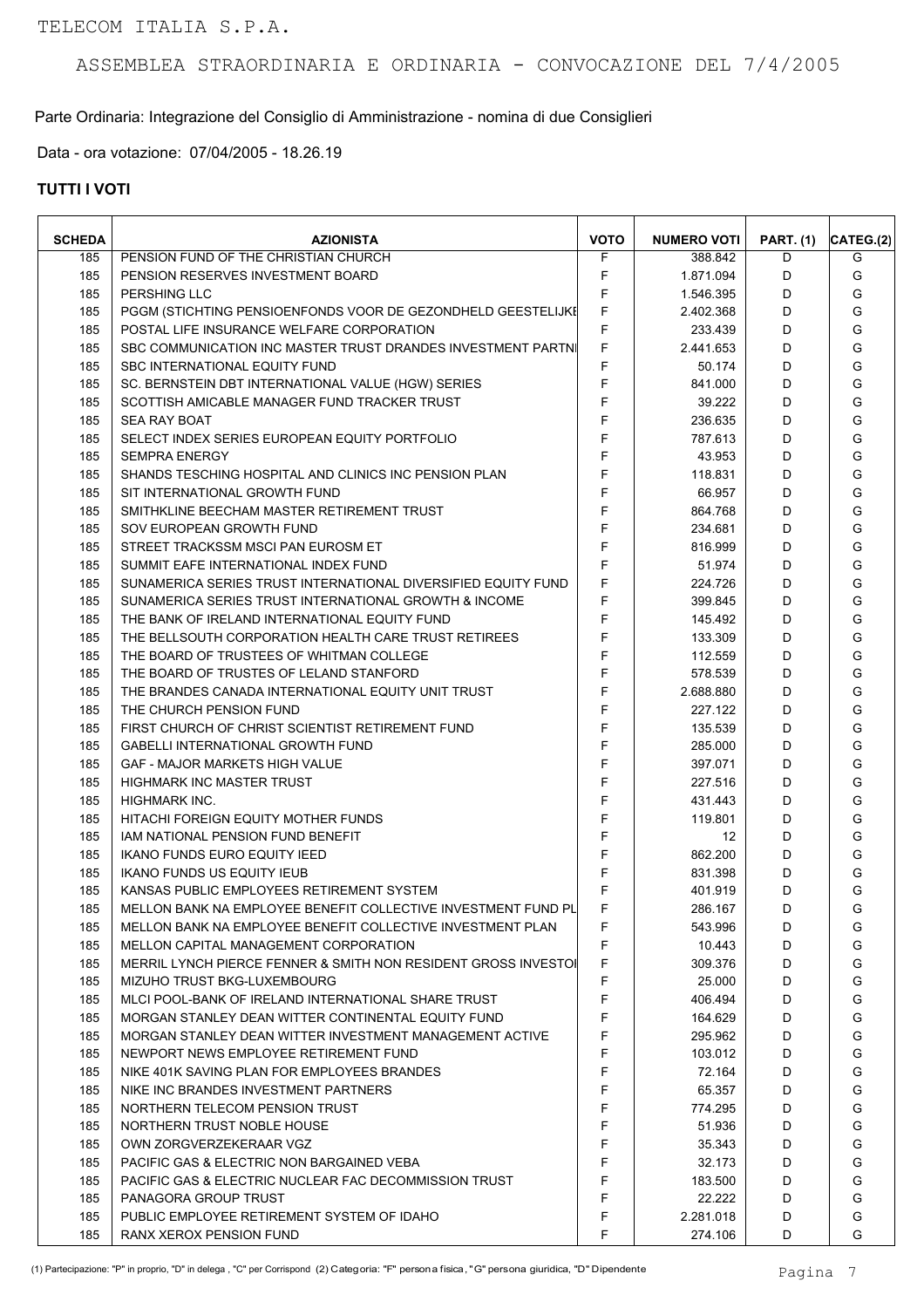Parte Ordinaria: Integrazione del Consiglio di Amministrazione - nomina di due Consiglieri

Data - ora votazione: 07/04/2005 - 18.26.19

| <b>SCHEDA</b> | <b>AZIONISTA</b>                                               | <b>VOTO</b> | <b>NUMERO VOTI</b> | <b>PART. (1)</b> | CATEG.(2) |
|---------------|----------------------------------------------------------------|-------------|--------------------|------------------|-----------|
| 185           | PENSION FUND OF THE CHRISTIAN CHURCH                           | F           | 388.842            | D                | G         |
| 185           | PENSION RESERVES INVESTMENT BOARD                              | F           | 1.871.094          | D                | G         |
| 185           | <b>PERSHING LLC</b>                                            | F           | 1.546.395          | D                | G         |
| 185           | PGGM (STICHTING PENSIOENFONDS VOOR DE GEZONDHELD GEESTELIJKE   | F           | 2.402.368          | D                | G         |
| 185           | POSTAL LIFE INSURANCE WELFARE CORPORATION                      | F           | 233.439            | D                | G         |
| 185           | SBC COMMUNICATION INC MASTER TRUST DRANDES INVESTMENT PARTNI   | F           | 2.441.653          | D                | G         |
| 185           | SBC INTERNATIONAL EQUITY FUND                                  | F           | 50.174             | D                | G         |
| 185           | SC. BERNSTEIN DBT INTERNATIONAL VALUE (HGW) SERIES             | F           | 841.000            | D                | G         |
| 185           | SCOTTISH AMICABLE MANAGER FUND TRACKER TRUST                   | F           | 39.222             | D                | G         |
| 185           | <b>SEA RAY BOAT</b>                                            | F           | 236.635            | D                | G         |
| 185           | SELECT INDEX SERIES EUROPEAN EQUITY PORTFOLIO                  | F           | 787.613            | D                | G         |
| 185           | <b>SEMPRA ENERGY</b>                                           | F           | 43.953             | D                | G         |
| 185           | SHANDS TESCHING HOSPITAL AND CLINICS INC PENSION PLAN          | F           | 118.831            | D                | G         |
| 185           | SIT INTERNATIONAL GROWTH FUND                                  | F           | 66.957             | D                | G         |
| 185           | SMITHKLINE BEECHAM MASTER RETIREMENT TRUST                     | F           | 864.768            | D                | G         |
| 185           | SOV EUROPEAN GROWTH FUND                                       | F           | 234.681            | D                | G         |
| 185           | STREET TRACKSSM MSCI PAN EUROSM ET                             | F           | 816.999            | D                | G         |
| 185           | SUMMIT EAFE INTERNATIONAL INDEX FUND                           | F           | 51.974             | D                | G         |
|               |                                                                | F           |                    |                  | G         |
| 185           | SUNAMERICA SERIES TRUST INTERNATIONAL DIVERSIFIED EQUITY FUND  |             | 224.726            | D                |           |
| 185           | SUNAMERICA SERIES TRUST INTERNATIONAL GROWTH & INCOME          | F           | 399.845            | D                | G         |
| 185           | THE BANK OF IRELAND INTERNATIONAL EQUITY FUND                  | F           | 145.492            | D                | G         |
| 185           | THE BELLSOUTH CORPORATION HEALTH CARE TRUST RETIREES           | F           | 133.309            | D                | G         |
| 185           | THE BOARD OF TRUSTEES OF WHITMAN COLLEGE                       | F           | 112.559            | D                | G         |
| 185           | THE BOARD OF TRUSTES OF LELAND STANFORD                        | F           | 578.539            | D                | G         |
| 185           | THE BRANDES CANADA INTERNATIONAL EQUITY UNIT TRUST             | F           | 2.688.880          | D                | G         |
| 185           | THE CHURCH PENSION FUND                                        | F           | 227.122            | D                | G         |
| 185           | FIRST CHURCH OF CHRIST SCIENTIST RETIREMENT FUND               | F           | 135.539            | D                | G         |
| 185           | <b>GABELLI INTERNATIONAL GROWTH FUND</b>                       | F           | 285.000            | D                | G         |
| 185           | <b>GAF - MAJOR MARKETS HIGH VALUE</b>                          | E           | 397.071            | D                | G         |
| 185           | HIGHMARK INC MASTER TRUST                                      | F           | 227.516            | D                | G         |
| 185           | <b>HIGHMARK INC.</b>                                           | $\mathsf F$ | 431.443            | D                | G         |
| 185           | HITACHI FOREIGN EQUITY MOTHER FUNDS                            | $\mathsf F$ | 119.801            | D                | G         |
| 185           | IAM NATIONAL PENSION FUND BENEFIT                              | F           | $12 \overline{ }$  | D                | G         |
| 185           | IKANO FUNDS EURO EQUITY IEED                                   | F           | 862.200            | D                | G         |
| 185           | <b>IKANO FUNDS US EQUITY IEUB</b>                              | F           | 831.398            | D                | G         |
| 185           | KANSAS PUBLIC EMPLOYEES RETIREMENT SYSTEM                      | F           | 401.919            | D                | G         |
| 185           | MELLON BANK NA EMPLOYEE BENEFIT COLLECTIVE INVESTMENT FUND PL  | F           | 286.167            | D                | G         |
| 185           | MELLON BANK NA EMPLOYEE BENEFIT COLLECTIVE INVESTMENT PLAN     | F           | 543.996            | D                | G         |
| 185           | MELLON CAPITAL MANAGEMENT CORPORATION                          | F           | 10.443             | D                | G         |
| 185           | MERRIL LYNCH PIERCE FENNER & SMITH NON RESIDENT GROSS INVESTOI | F           | 309.376            | D                | G         |
| 185           | MIZUHO TRUST BKG-LUXEMBOURG                                    | F           | 25.000             | D                | G         |
| 185           | MLCI POOL-BANK OF IRELAND INTERNATIONAL SHARE TRUST            | F           | 406.494            | D                | G         |
|               | MORGAN STANLEY DEAN WITTER CONTINENTAL EQUITY FUND             | F           |                    | D                | G         |
| 185           | MORGAN STANLEY DEAN WITTER INVESTMENT MANAGEMENT ACTIVE        | F           | 164.629            |                  |           |
| 185           |                                                                |             | 295.962            | D                | G         |
| 185           | NEWPORT NEWS EMPLOYEE RETIREMENT FUND                          | F           | 103.012            | D                | G         |
| 185           | NIKE 401K SAVING PLAN FOR EMPLOYEES BRANDES                    | F           | 72.164             | D                | G         |
| 185           | NIKE INC BRANDES INVESTMENT PARTNERS                           | F           | 65.357             | D                | G         |
| 185           | NORTHERN TELECOM PENSION TRUST                                 | F           | 774.295            | D                | G         |
| 185           | NORTHERN TRUST NOBLE HOUSE                                     | F           | 51.936             | D                | G         |
| 185           | OWN ZORGVERZEKERAAR VGZ                                        | F           | 35.343             | D                | G         |
| 185           | PACIFIC GAS & ELECTRIC NON BARGAINED VEBA                      | F           | 32.173             | D                | G         |
| 185           | PACIFIC GAS & ELECTRIC NUCLEAR FAC DECOMMISSION TRUST          | F           | 183.500            | D                | G         |
| 185           | PANAGORA GROUP TRUST                                           | F           | 22.222             | D                | G         |
| 185           | PUBLIC EMPLOYEE RETIREMENT SYSTEM OF IDAHO                     | F           | 2.281.018          | D                | G         |
| 185           | RANX XEROX PENSION FUND                                        | F           | 274.106            | D                | G         |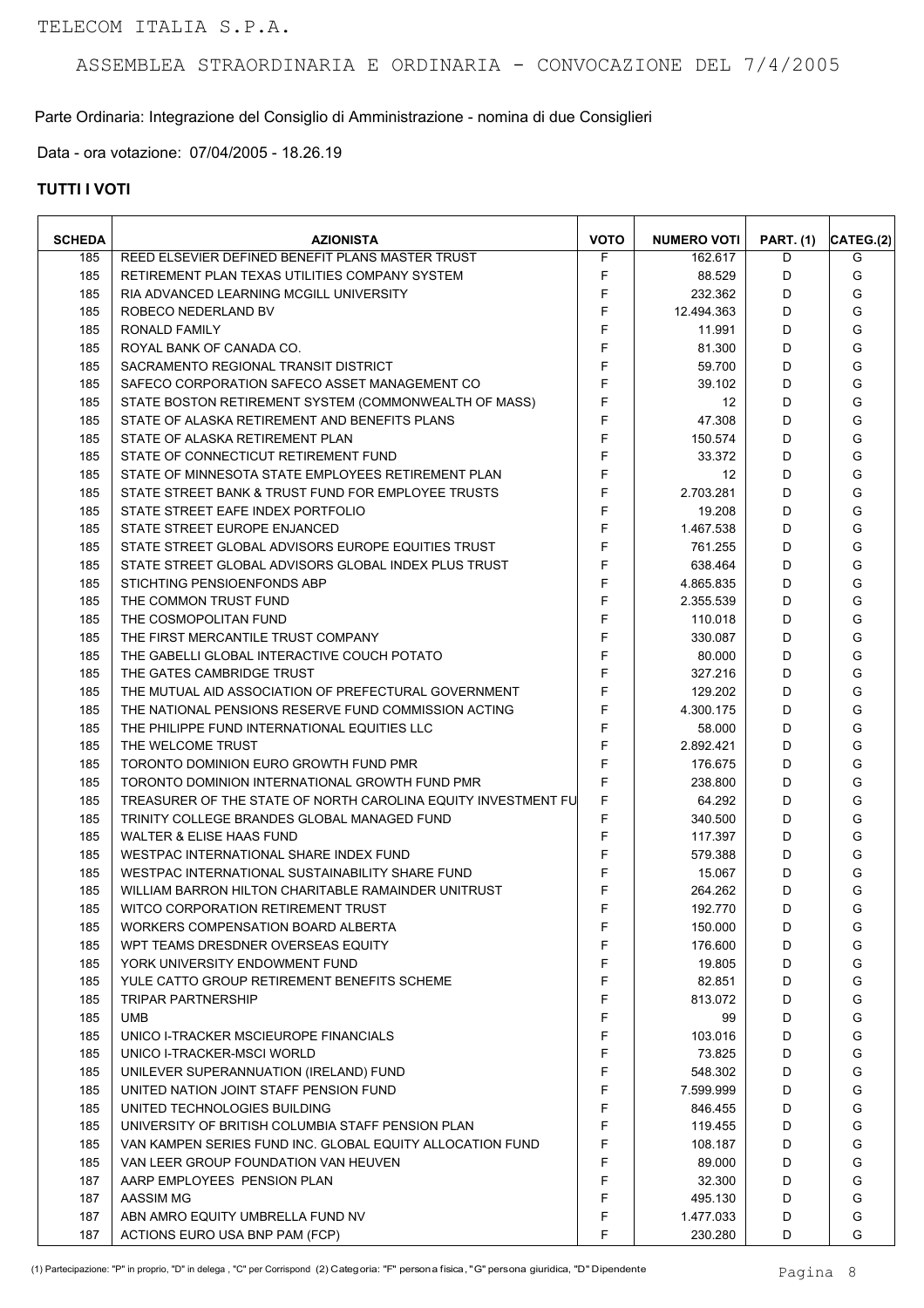Parte Ordinaria: Integrazione del Consiglio di Amministrazione - nomina di due Consiglieri

Data - ora votazione: 07/04/2005 - 18.26.19

| <b>SCHEDA</b> | <b>AZIONISTA</b>                                              | <b>VOTO</b> | <b>NUMERO VOTI</b> | <b>PART. (1)</b> | CATEG.(2) |
|---------------|---------------------------------------------------------------|-------------|--------------------|------------------|-----------|
| 185           | REED ELSEVIER DEFINED BENEFIT PLANS MASTER TRUST              | F           | 162.617            | D                | G         |
| 185           | RETIREMENT PLAN TEXAS UTILITIES COMPANY SYSTEM                | F           | 88.529             | D                | G         |
| 185           | RIA ADVANCED LEARNING MCGILL UNIVERSITY                       | F           | 232.362            | D                | G         |
| 185           | ROBECO NEDERLAND BV                                           | F           | 12.494.363         | D                | G         |
| 185           | RONALD FAMILY                                                 | F           | 11.991             | D                | G         |
| 185           | ROYAL BANK OF CANADA CO.                                      | F           | 81.300             | D                | G         |
| 185           | SACRAMENTO REGIONAL TRANSIT DISTRICT                          | F           | 59.700             | D                | G         |
| 185           | SAFECO CORPORATION SAFECO ASSET MANAGEMENT CO                 | F           | 39.102             | D                | G         |
| 185           | STATE BOSTON RETIREMENT SYSTEM (COMMONWEALTH OF MASS)         | F           | 12                 | D                | G         |
| 185           | STATE OF ALASKA RETIREMENT AND BENEFITS PLANS                 | F           | 47.308             | D                | G         |
| 185           | STATE OF ALASKA RETIREMENT PLAN                               | F           | 150.574            | D                | G         |
| 185           | STATE OF CONNECTICUT RETIREMENT FUND                          | F           | 33.372             | D                | G         |
| 185           | STATE OF MINNESOTA STATE EMPLOYEES RETIREMENT PLAN            | F           | 12                 | D                | G         |
| 185           | STATE STREET BANK & TRUST FUND FOR EMPLOYEE TRUSTS            | F           | 2.703.281          | D                | G         |
| 185           | STATE STREET EAFE INDEX PORTFOLIO                             | F           | 19.208             | D                | G         |
| 185           | STATE STREET EUROPE ENJANCED                                  | F           | 1.467.538          | D                | G         |
| 185           | STATE STREET GLOBAL ADVISORS EUROPE EQUITIES TRUST            | F           | 761.255            | D                | G         |
| 185           | STATE STREET GLOBAL ADVISORS GLOBAL INDEX PLUS TRUST          | F           | 638.464            | D                | G         |
| 185           | STICHTING PENSIOENFONDS ABP                                   | F           | 4.865.835          | D                | G         |
| 185           | THE COMMON TRUST FUND                                         | F           | 2.355.539          | D                | G         |
| 185           | THE COSMOPOLITAN FUND                                         | F           |                    | D                | G         |
|               |                                                               | F           | 110.018            |                  | G         |
| 185           | THE FIRST MERCANTILE TRUST COMPANY                            |             | 330.087            | D                |           |
| 185           | THE GABELLI GLOBAL INTERACTIVE COUCH POTATO                   | F           | 80.000             | D                | G         |
| 185           | THE GATES CAMBRIDGE TRUST                                     | F           | 327.216            | D                | G         |
| 185           | THE MUTUAL AID ASSOCIATION OF PREFECTURAL GOVERNMENT          | F           | 129.202            | D                | G         |
| 185           | THE NATIONAL PENSIONS RESERVE FUND COMMISSION ACTING          | F           | 4.300.175          | D                | G         |
| 185           | THE PHILIPPE FUND INTERNATIONAL EQUITIES LLC                  | F           | 58.000             | D                | G         |
| 185           | THE WELCOME TRUST                                             | F           | 2.892.421          | D                | G         |
| 185           | TORONTO DOMINION EURO GROWTH FUND PMR                         | F           | 176.675            | D                | G         |
| 185           | TORONTO DOMINION INTERNATIONAL GROWTH FUND PMR                | F           | 238.800            | D                | G         |
| 185           | TREASURER OF THE STATE OF NORTH CAROLINA EQUITY INVESTMENT FU | F           | 64.292             | D                | G         |
| 185           | TRINITY COLLEGE BRANDES GLOBAL MANAGED FUND                   | F           | 340.500            | D                | G         |
| 185           | WALTER & ELISE HAAS FUND                                      | F           | 117.397            | D                | G         |
| 185           | WESTPAC INTERNATIONAL SHARE INDEX FUND                        | F           | 579.388            | D                | G         |
| 185           | WESTPAC INTERNATIONAL SUSTAINABILITY SHARE FUND               | F           | 15.067             | D                | G         |
| 185           | WILLIAM BARRON HILTON CHARITABLE RAMAINDER UNITRUST           | F           | 264.262            | D                | G         |
| 185           | WITCO CORPORATION RETIREMENT TRUST                            | F           | 192.770            | D                | G         |
| 185           | WORKERS COMPENSATION BOARD ALBERTA                            | F           | 150.000            | D                | G         |
| 185           | WPT TEAMS DRESDNER OVERSEAS EQUITY                            | F           | 176.600            | D                | G         |
| 185           | YORK UNIVERSITY ENDOWMENT FUND                                | F           | 19.805             | D                | G         |
| 185           | YULE CATTO GROUP RETIREMENT BENEFITS SCHEME                   | F           | 82.851             | D                | G         |
| 185           | <b>TRIPAR PARTNERSHIP</b>                                     | F           | 813.072            | D                | G         |
| 185           | <b>UMB</b>                                                    | F           | 99                 | D                | G         |
| 185           | UNICO I-TRACKER MSCIEUROPE FINANCIALS                         | F           | 103.016            | D                | G         |
| 185           | UNICO I-TRACKER-MSCI WORLD                                    | F           | 73.825             | D                | G         |
| 185           | UNILEVER SUPERANNUATION (IRELAND) FUND                        | F           | 548.302            | D                | G         |
| 185           | UNITED NATION JOINT STAFF PENSION FUND                        | F           | 7.599.999          | D                | G         |
| 185           | UNITED TECHNOLOGIES BUILDING                                  | F           | 846.455            | D                | G         |
| 185           | UNIVERSITY OF BRITISH COLUMBIA STAFF PENSION PLAN             | F           | 119.455            | D                | G         |
| 185           | VAN KAMPEN SERIES FUND INC. GLOBAL EQUITY ALLOCATION FUND     | F           | 108.187            | D                | G         |
| 185           | VAN LEER GROUP FOUNDATION VAN HEUVEN                          | F           | 89.000             | D                | G         |
| 187           | AARP EMPLOYEES PENSION PLAN                                   | F           | 32.300             | D                | G         |
| 187           | AASSIM MG                                                     | F           | 495.130            | D                | G         |
| 187           | ABN AMRO EQUITY UMBRELLA FUND NV                              | F           | 1.477.033          | D                | G         |
| 187           | ACTIONS EURO USA BNP PAM (FCP)                                | F           | 230.280            | D                | G         |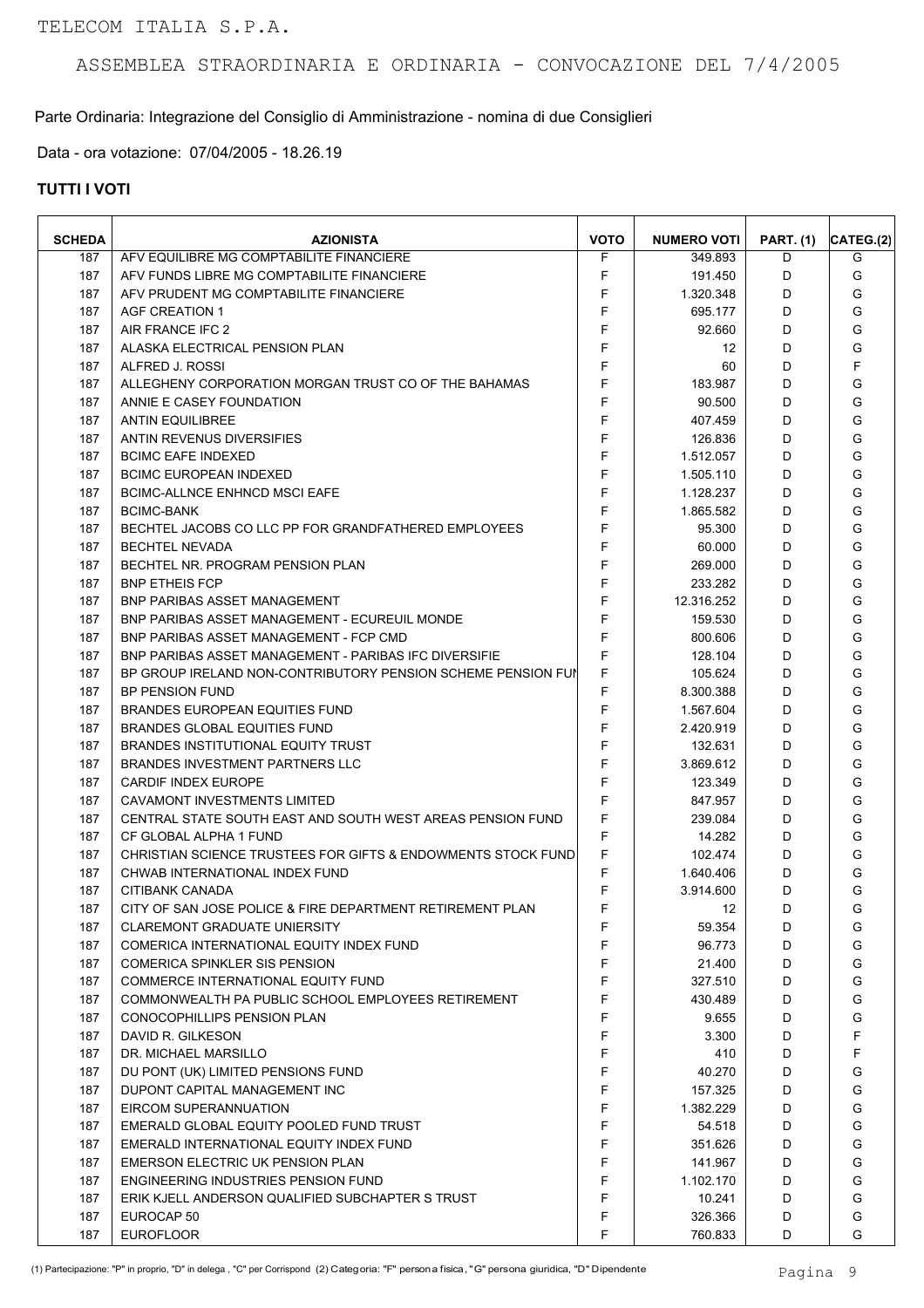Parte Ordinaria: Integrazione del Consiglio di Amministrazione - nomina di due Consiglieri

Data - ora votazione: 07/04/2005 - 18.26.19

| <b>SCHEDA</b> | <b>AZIONISTA</b>                                                                         | <b>VOTO</b> | <b>NUMERO VOTI</b> | <b>PART. (1)</b> | CATEG.(2) |
|---------------|------------------------------------------------------------------------------------------|-------------|--------------------|------------------|-----------|
| 187           | AFV EQUILIBRE MG COMPTABILITE FINANCIERE                                                 | F           | 349.893            | D                | G         |
| 187           | AFV FUNDS LIBRE MG COMPTABILITE FINANCIERE                                               | F           | 191.450            | D                | G         |
| 187           | AFV PRUDENT MG COMPTABILITE FINANCIERE                                                   | F           | 1.320.348          | D                | G         |
| 187           | <b>AGF CREATION 1</b>                                                                    | F           | 695.177            | D                | G         |
| 187           | AIR FRANCE IFC 2                                                                         | F           | 92.660             | D                | G         |
| 187           | ALASKA ELECTRICAL PENSION PLAN                                                           | F           | 12                 | D                | G         |
| 187           | ALFRED J. ROSSI                                                                          | F           | 60                 | D                | F         |
| 187           | ALLEGHENY CORPORATION MORGAN TRUST CO OF THE BAHAMAS                                     | F           | 183.987            | D                | G         |
| 187           | ANNIE E CASEY FOUNDATION                                                                 | F           | 90.500             | D                | G         |
| 187           | <b>ANTIN EQUILIBREE</b>                                                                  | F           | 407.459            | D                | G         |
| 187           | ANTIN REVENUS DIVERSIFIES                                                                | F           | 126.836            | D                | G         |
| 187           | <b>BCIMC EAFE INDEXED</b>                                                                | F           | 1.512.057          | D                | G         |
| 187           | <b>BCIMC EUROPEAN INDEXED</b>                                                            | F           | 1.505.110          | D                | G         |
| 187           | <b>BCIMC-ALLNCE ENHNCD MSCI EAFE</b>                                                     | $\mathsf F$ | 1.128.237          | D                | G         |
| 187           | <b>BCIMC-BANK</b>                                                                        | F           | 1.865.582          | D                | G         |
| 187           | BECHTEL JACOBS CO LLC PP FOR GRANDFATHERED EMPLOYEES                                     | F           | 95.300             | D                | G         |
| 187           | <b>BECHTEL NEVADA</b>                                                                    | F           | 60.000             | D                | G         |
| 187           | BECHTEL NR. PROGRAM PENSION PLAN                                                         | F           | 269.000            | D                | G         |
| 187           | <b>BNP ETHEIS FCP</b>                                                                    | F           | 233.282            | D                | G         |
| 187           | <b>BNP PARIBAS ASSET MANAGEMENT</b>                                                      | F           | 12.316.252         | D                | G         |
| 187           | <b>BNP PARIBAS ASSET MANAGEMENT - ECUREUIL MONDE</b>                                     | F           | 159.530            | D                | G         |
| 187           | <b>BNP PARIBAS ASSET MANAGEMENT - FCP CMD</b>                                            | F           | 800.606            | D                | G         |
| 187           | BNP PARIBAS ASSET MANAGEMENT - PARIBAS IFC DIVERSIFIE                                    | F           | 128.104            | D                | G         |
| 187           | BP GROUP IRELAND NON-CONTRIBUTORY PENSION SCHEME PENSION FUN                             | F           | 105.624            | D                | G         |
| 187           | <b>BP PENSION FUND</b>                                                                   | F           | 8.300.388          | D                | G         |
| 187           | <b>BRANDES EUROPEAN EQUITIES FUND</b>                                                    | F           | 1.567.604          | D                | G         |
| 187           | <b>BRANDES GLOBAL EQUITIES FUND</b>                                                      | F           | 2.420.919          | D                | G         |
| 187           | <b>BRANDES INSTITUTIONAL EQUITY TRUST</b>                                                | F           | 132.631            | D                | G         |
| 187           | BRANDES INVESTMENT PARTNERS LLC                                                          | F           | 3.869.612          | D                | G         |
| 187           | <b>CARDIF INDEX EUROPE</b>                                                               | F           | 123.349            | D                | G         |
| 187           | <b>CAVAMONT INVESTMENTS LIMITED</b>                                                      | F           | 847.957            | D                | G         |
| 187           | CENTRAL STATE SOUTH EAST AND SOUTH WEST AREAS PENSION FUND                               | F           | 239.084            | D                | G         |
| 187           | CF GLOBAL ALPHA 1 FUND                                                                   | F           | 14.282             | D                | G         |
| 187           | CHRISTIAN SCIENCE TRUSTEES FOR GIFTS & ENDOWMENTS STOCK FUND                             | F           | 102.474            | D                | G         |
|               |                                                                                          | F           |                    |                  | G         |
| 187           | CHWAB INTERNATIONAL INDEX FUND                                                           | F           | 1.640.406          | D<br>D           | G         |
| 187<br>187    | CITIBANK CANADA<br>CITY OF SAN JOSE POLICE & FIRE DEPARTMENT RETIREMENT PLAN             | F           | 3.914.600          | D                | G         |
|               |                                                                                          |             | 12                 |                  |           |
| 187           | <b>CLAREMONT GRADUATE UNIERSITY</b>                                                      | F<br>F      | 59.354             | D                | G<br>G    |
| 187           | COMERICA INTERNATIONAL EQUITY INDEX FUND<br><b>COMERICA SPINKLER SIS PENSION</b>         |             | 96.773             | D                | G         |
| 187           |                                                                                          | F<br>F      | 21.400             | D                |           |
| 187           | COMMERCE INTERNATIONAL EQUITY FUND<br>COMMONWEALTH PA PUBLIC SCHOOL EMPLOYEES RETIREMENT | F           | 327.510            | D                | G<br>G    |
| 187           |                                                                                          | F           | 430.489            | D                |           |
| 187           | CONOCOPHILLIPS PENSION PLAN                                                              |             | 9.655              | D                | G<br>F    |
| 187           | DAVID R. GILKESON<br>DR. MICHAEL MARSILLO                                                | F<br>F      | 3.300              | D                | F         |
| 187           |                                                                                          |             | 410                | D                |           |
| 187           | DU PONT (UK) LIMITED PENSIONS FUND                                                       | F           | 40.270             | D                | G         |
| 187           | DUPONT CAPITAL MANAGEMENT INC                                                            | F           | 157.325            | D                | G         |
| 187           | EIRCOM SUPERANNUATION                                                                    | F           | 1.382.229          | D                | G         |
| 187           | EMERALD GLOBAL EQUITY POOLED FUND TRUST                                                  | F           | 54.518             | D                | G         |
| 187           | EMERALD INTERNATIONAL EQUITY INDEX FUND                                                  | F           | 351.626            | D                | G         |
| 187           | EMERSON ELECTRIC UK PENSION PLAN                                                         | F           | 141.967            | D                | G         |
| 187           | ENGINEERING INDUSTRIES PENSION FUND                                                      | F           | 1.102.170          | D                | G         |
| 187           | ERIK KJELL ANDERSON QUALIFIED SUBCHAPTER S TRUST                                         | F           | 10.241             | D                | G         |
| 187           | EUROCAP 50                                                                               | F           | 326.366            | D                | G         |
| 187           | <b>EUROFLOOR</b>                                                                         | F           | 760.833            | D                | G         |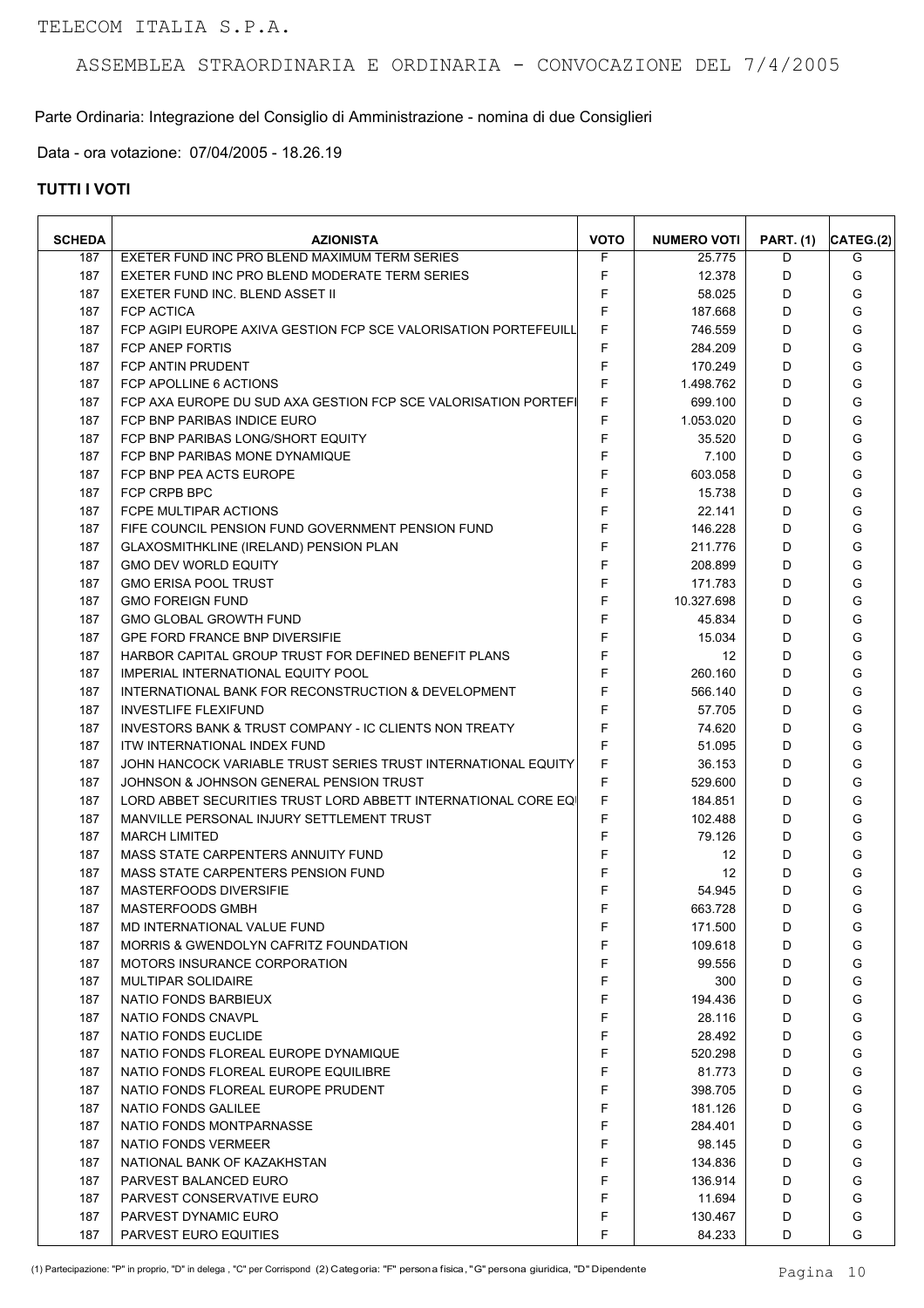Parte Ordinaria: Integrazione del Consiglio di Amministrazione - nomina di due Consiglieri

Data - ora votazione: 07/04/2005 - 18.26.19

| <b>SCHEDA</b> | <b>AZIONISTA</b>                                                | <b>VOTO</b> | <b>NUMERO VOTI</b> | <b>PART. (1)</b> | CATEG.(2) |
|---------------|-----------------------------------------------------------------|-------------|--------------------|------------------|-----------|
| 187           | EXETER FUND INC PRO BLEND MAXIMUM TERM SERIES                   | F           | 25.775             | D                | G         |
| 187           | EXETER FUND INC PRO BLEND MODERATE TERM SERIES                  | F           | 12.378             | D                | G         |
| 187           | EXETER FUND INC. BLEND ASSET II                                 | F           | 58.025             | D                | G         |
| 187           | <b>FCP ACTICA</b>                                               | F           | 187.668            | D                | G         |
| 187           | FCP AGIPI EUROPE AXIVA GESTION FCP SCE VALORISATION PORTEFEUILL | F           | 746.559            | D                | G         |
| 187           | <b>FCP ANEP FORTIS</b>                                          | F           | 284.209            | D                | G         |
| 187           | FCP ANTIN PRUDENT                                               | F           | 170.249            | D                | G         |
| 187           | FCP APOLLINE 6 ACTIONS                                          | F           | 1.498.762          | D                | G         |
| 187           | FCP AXA EUROPE DU SUD AXA GESTION FCP SCE VALORISATION PORTEFI  | F           | 699.100            | D                | G         |
| 187           | FCP BNP PARIBAS INDICE EURO                                     | F           | 1.053.020          | D                | G         |
| 187           | FCP BNP PARIBAS LONG/SHORT EQUITY                               | F           | 35.520             | D                | G         |
| 187           | FCP BNP PARIBAS MONE DYNAMIQUE                                  | F           | 7.100              | D                | G         |
| 187           | FCP BNP PEA ACTS EUROPE                                         | F           | 603.058            | D                | G         |
| 187           | FCP CRPB BPC                                                    | F           | 15.738             | D                | G         |
| 187           | FCPE MULTIPAR ACTIONS                                           | F           | 22.141             | D                | G         |
| 187           | FIFE COUNCIL PENSION FUND GOVERNMENT PENSION FUND               | F           | 146.228            | D                | G         |
| 187           | GLAXOSMITHKLINE (IRELAND) PENSION PLAN                          | F           | 211.776            | D                | G         |
| 187           | <b>GMO DEV WORLD EQUITY</b>                                     | F           | 208.899            | D                | G         |
| 187           | <b>GMO ERISA POOL TRUST</b>                                     | F           | 171.783            | D                | G         |
| 187           | <b>GMO FOREIGN FUND</b>                                         | F           |                    | D                | G         |
| 187           | <b>GMO GLOBAL GROWTH FUND</b>                                   | F           | 10.327.698         | D                | G         |
|               |                                                                 | F           | 45.834             |                  |           |
| 187           | <b>GPE FORD FRANCE BNP DIVERSIFIE</b>                           |             | 15.034             | D                | G         |
| 187           | HARBOR CAPITAL GROUP TRUST FOR DEFINED BENEFIT PLANS            | F           | 12                 | D                | G         |
| 187           | IMPERIAL INTERNATIONAL EQUITY POOL                              | F           | 260.160            | D                | G         |
| 187           | INTERNATIONAL BANK FOR RECONSTRUCTION & DEVELOPMENT             | F           | 566.140            | D                | G         |
| 187           | <b>INVESTLIFE FLEXIFUND</b>                                     | F           | 57.705             | D                | G         |
| 187           | INVESTORS BANK & TRUST COMPANY - IC CLIENTS NON TREATY          | F           | 74.620             | D                | G         |
| 187           | <b>ITW INTERNATIONAL INDEX FUND</b>                             | F           | 51.095             | D                | G         |
| 187           | JOHN HANCOCK VARIABLE TRUST SERIES TRUST INTERNATIONAL EQUITY   | F           | 36.153             | D                | G         |
| 187           | JOHNSON & JOHNSON GENERAL PENSION TRUST                         | F           | 529.600            | D                | G         |
| 187           | LORD ABBET SECURITIES TRUST LORD ABBETT INTERNATIONAL CORE EQ   | F           | 184.851            | D                | G         |
| 187           | MANVILLE PERSONAL INJURY SETTLEMENT TRUST                       | F           | 102.488            | D                | G         |
| 187           | <b>MARCH LIMITED</b>                                            | F           | 79.126             | D                | G         |
| 187           | MASS STATE CARPENTERS ANNUITY FUND                              | F           | $12 \,$            | D                | G         |
| 187           | <b>MASS STATE CARPENTERS PENSION FUND</b>                       | F           | 12                 | D                | G         |
| 187           | MASTERFOODS DIVERSIFIE                                          | F           | 54.945             | D                | G         |
| 187           | MASTERFOODS GMBH                                                | F           | 663.728            | D                | G         |
| 187           | MD INTERNATIONAL VALUE FUND                                     | F           | 171.500            | D                | G         |
| 187           | MORRIS & GWENDOLYN CAFRITZ FOUNDATION                           | F           | 109.618            | D                | G         |
| 187           | MOTORS INSURANCE CORPORATION                                    | F           | 99.556             | D                | G         |
| 187           | MULTIPAR SOLIDAIRE                                              | F           | 300                | D                | G         |
| 187           | NATIO FONDS BARBIEUX                                            | F           | 194.436            | D                | G         |
| 187           | NATIO FONDS CNAVPL                                              | F           | 28.116             | D                | G         |
| 187           | NATIO FONDS EUCLIDE                                             | F           | 28.492             | D                | G         |
| 187           | NATIO FONDS FLOREAL EUROPE DYNAMIQUE                            | F           | 520.298            | D                | G         |
| 187           | NATIO FONDS FLOREAL EUROPE EQUILIBRE                            | F           | 81.773             | D                | G         |
| 187           | NATIO FONDS FLOREAL EUROPE PRUDENT                              | F           | 398.705            | D                | G         |
| 187           | NATIO FONDS GALILEE                                             | F           | 181.126            | D                | G         |
| 187           | NATIO FONDS MONTPARNASSE                                        | F           | 284.401            | D                | G         |
| 187           | NATIO FONDS VERMEER                                             | F           | 98.145             | D                | G         |
| 187           | NATIONAL BANK OF KAZAKHSTAN                                     | F           | 134.836            | D                | G         |
| 187           | PARVEST BALANCED EURO                                           | F           | 136.914            | D                | G         |
| 187           | PARVEST CONSERVATIVE EURO                                       | F           | 11.694             | D                | G         |
| 187           | PARVEST DYNAMIC EURO                                            | F           | 130.467            | D                | G         |
| 187           | PARVEST EURO EQUITIES                                           | F           | 84.233             | D                | G         |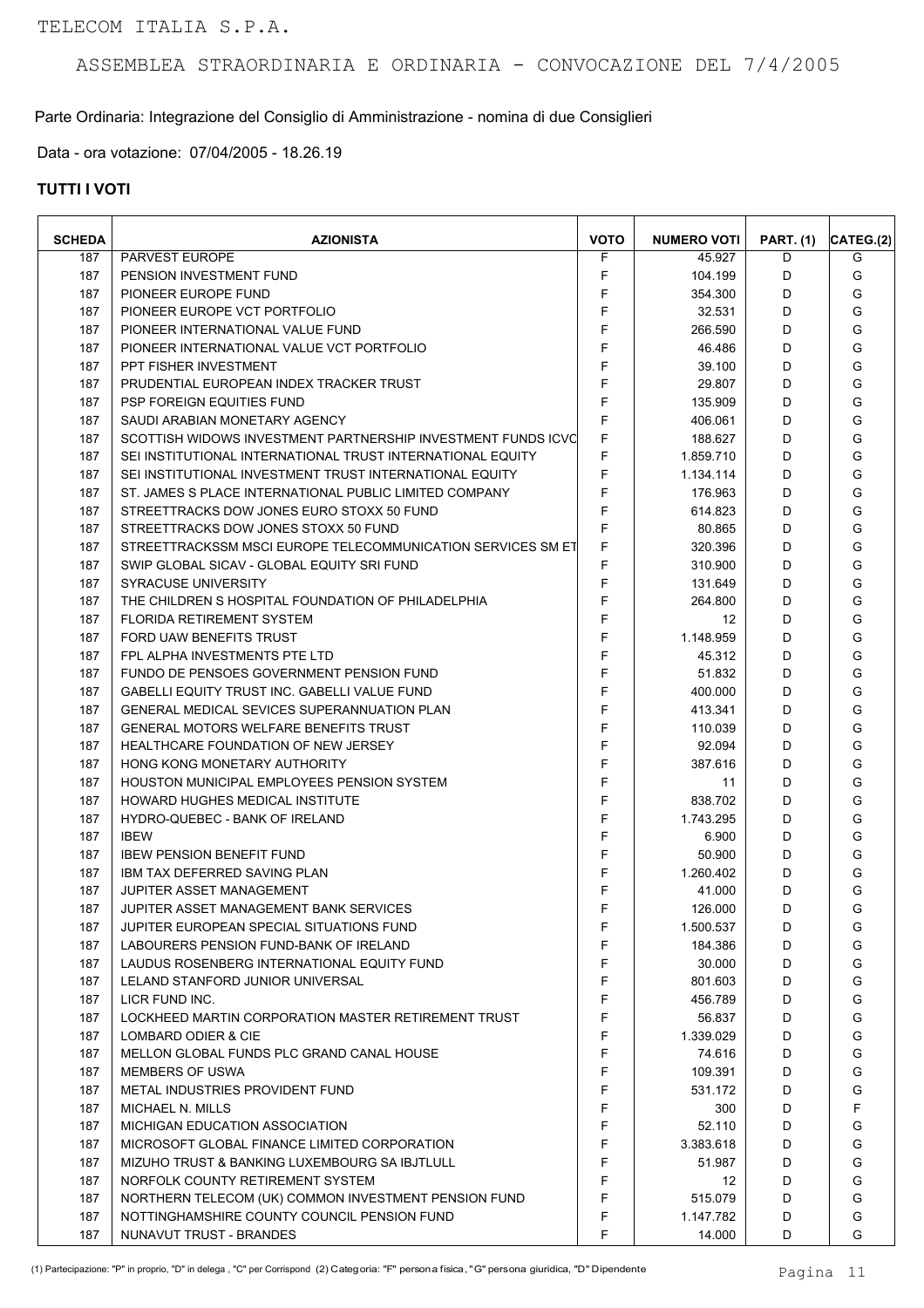Parte Ordinaria: Integrazione del Consiglio di Amministrazione - nomina di due Consiglieri

Data - ora votazione: 07/04/2005 - 18.26.19

| <b>SCHEDA</b> | <b>AZIONISTA</b>                                             | <b>VOTO</b> | <b>NUMERO VOTI</b> | <b>PART. (1)</b> | CATEG.(2) |
|---------------|--------------------------------------------------------------|-------------|--------------------|------------------|-----------|
| 187           | <b>PARVEST EUROPE</b>                                        | F           | 45.927             | D                | G         |
| 187           | PENSION INVESTMENT FUND                                      | F           | 104.199            | D                | G         |
| 187           | PIONEER EUROPE FUND                                          | F           | 354.300            | D                | G         |
| 187           | PIONEER EUROPE VCT PORTFOLIO                                 | F           | 32.531             | D                | G         |
| 187           | PIONEER INTERNATIONAL VALUE FUND                             | F           | 266.590            | D                | G         |
| 187           | PIONEER INTERNATIONAL VALUE VCT PORTFOLIO                    | F           | 46.486             | D                | G         |
| 187           | PPT FISHER INVESTMENT                                        | F           | 39.100             | D                | G         |
| 187           | PRUDENTIAL EUROPEAN INDEX TRACKER TRUST                      | F           | 29.807             | D                | G         |
| 187           | <b>PSP FOREIGN EQUITIES FUND</b>                             | F           | 135.909            | D                | G         |
| 187           | SAUDI ARABIAN MONETARY AGENCY                                | F           | 406.061            | D                | G         |
| 187           | SCOTTISH WIDOWS INVESTMENT PARTNERSHIP INVESTMENT FUNDS ICVC | F           | 188.627            | D                | G         |
| 187           | SEI INSTITUTIONAL INTERNATIONAL TRUST INTERNATIONAL EQUITY   | F           | 1.859.710          | D                | G         |
| 187           | SEI INSTITUTIONAL INVESTMENT TRUST INTERNATIONAL EQUITY      | F           | 1.134.114          | D                | G         |
| 187           | ST. JAMES S PLACE INTERNATIONAL PUBLIC LIMITED COMPANY       | F           | 176.963            | D                | G         |
| 187           | STREETTRACKS DOW JONES EURO STOXX 50 FUND                    | F           | 614.823            | D                | G         |
| 187           | STREETTRACKS DOW JONES STOXX 50 FUND                         | F           | 80.865             | D                | G         |
| 187           | STREETTRACKSSM MSCI EUROPE TELECOMMUNICATION SERVICES SM ET  | F           | 320.396            | D                | G         |
| 187           | SWIP GLOBAL SICAV - GLOBAL EQUITY SRI FUND                   | F           | 310.900            | D                | G         |
| 187           | <b>SYRACUSE UNIVERSITY</b>                                   | F           | 131.649            | D                | G         |
| 187           | THE CHILDREN S HOSPITAL FOUNDATION OF PHILADELPHIA           | F           | 264.800            | D                | G         |
| 187           | <b>FLORIDA RETIREMENT SYSTEM</b>                             | F           | 12                 | D                | G         |
| 187           | FORD UAW BENEFITS TRUST                                      | F           | 1.148.959          | D                | G         |
| 187           | FPL ALPHA INVESTMENTS PTE LTD                                | F           | 45.312             | D                | G         |
| 187           | FUNDO DE PENSOES GOVERNMENT PENSION FUND                     | F           | 51.832             | D                | G         |
| 187           | GABELLI EQUITY TRUST INC. GABELLI VALUE FUND                 | F           | 400.000            | D                | G         |
| 187           | <b>GENERAL MEDICAL SEVICES SUPERANNUATION PLAN</b>           | F           | 413.341            | D                | G         |
| 187           | <b>GENERAL MOTORS WELFARE BENEFITS TRUST</b>                 | F           | 110.039            | D                | G         |
| 187           | HEALTHCARE FOUNDATION OF NEW JERSEY                          | F           | 92.094             | D                | G         |
| 187           | HONG KONG MONETARY AUTHORITY                                 | $\mathsf F$ | 387.616            | D                | G         |
| 187           | HOUSTON MUNICIPAL EMPLOYEES PENSION SYSTEM                   | F           | 11                 | D                | G         |
| 187           | <b>HOWARD HUGHES MEDICAL INSTITUTE</b>                       | F           | 838.702            | D                | G         |
| 187           | <b>HYDRO-QUEBEC - BANK OF IRELAND</b>                        | F           | 1.743.295          | D                | G         |
| 187           | <b>IBEW</b>                                                  | F           | 6.900              | D                | G         |
| 187           | <b>IBEW PENSION BENEFIT FUND</b>                             | F           | 50.900             | D                | G         |
| 187           | IBM TAX DEFERRED SAVING PLAN                                 | F           | 1.260.402          | D                | G         |
| 187           | <b>JUPITER ASSET MANAGEMENT</b>                              | F           | 41.000             | D                | G         |
| 187           | JUPITER ASSET MANAGEMENT BANK SERVICES                       | F           | 126.000            | D                | G         |
| 187           | JUPITER EUROPEAN SPECIAL SITUATIONS FUND                     | F           | 1.500.537          | D                | G         |
| 187           | LABOURERS PENSION FUND-BANK OF IRELAND                       | F           | 184.386            | D                | G         |
| 187           | LAUDUS ROSENBERG INTERNATIONAL EQUITY FUND                   | F           | 30.000             | D                | G         |
| 187           | LELAND STANFORD JUNIOR UNIVERSAL                             | F           | 801.603            | D                | G         |
| 187           | LICR FUND INC.                                               | F           | 456.789            | D                | G         |
| 187           | LOCKHEED MARTIN CORPORATION MASTER RETIREMENT TRUST          | F           | 56.837             | D                | G         |
| 187           | LOMBARD ODIER & CIE                                          | F           | 1.339.029          | D                | G         |
| 187           | MELLON GLOBAL FUNDS PLC GRAND CANAL HOUSE                    | F           | 74.616             | D                | G         |
| 187           | <b>MEMBERS OF USWA</b>                                       | F           | 109.391            | D                | G         |
|               | METAL INDUSTRIES PROVIDENT FUND                              | F           | 531.172            | D                | G         |
| 187<br>187    | MICHAEL N. MILLS                                             | F           | 300                | D                | F         |
|               |                                                              | F           |                    | D                | G         |
| 187           | MICHIGAN EDUCATION ASSOCIATION                               | F           | 52.110             |                  | G         |
| 187           | MICROSOFT GLOBAL FINANCE LIMITED CORPORATION                 |             | 3.383.618          | D                |           |
| 187           | MIZUHO TRUST & BANKING LUXEMBOURG SA IBJTLULL                | F<br>F      | 51.987             | D                | G         |
| 187           | NORFOLK COUNTY RETIREMENT SYSTEM                             | F           | 12                 | D                | G<br>G    |
| 187           | NORTHERN TELECOM (UK) COMMON INVESTMENT PENSION FUND         | F           | 515.079            | D                |           |
| 187           | NOTTINGHAMSHIRE COUNTY COUNCIL PENSION FUND                  | F           | 1.147.782          | D                | G         |
| 187           | NUNAVUT TRUST - BRANDES                                      |             | 14.000             | D                | G         |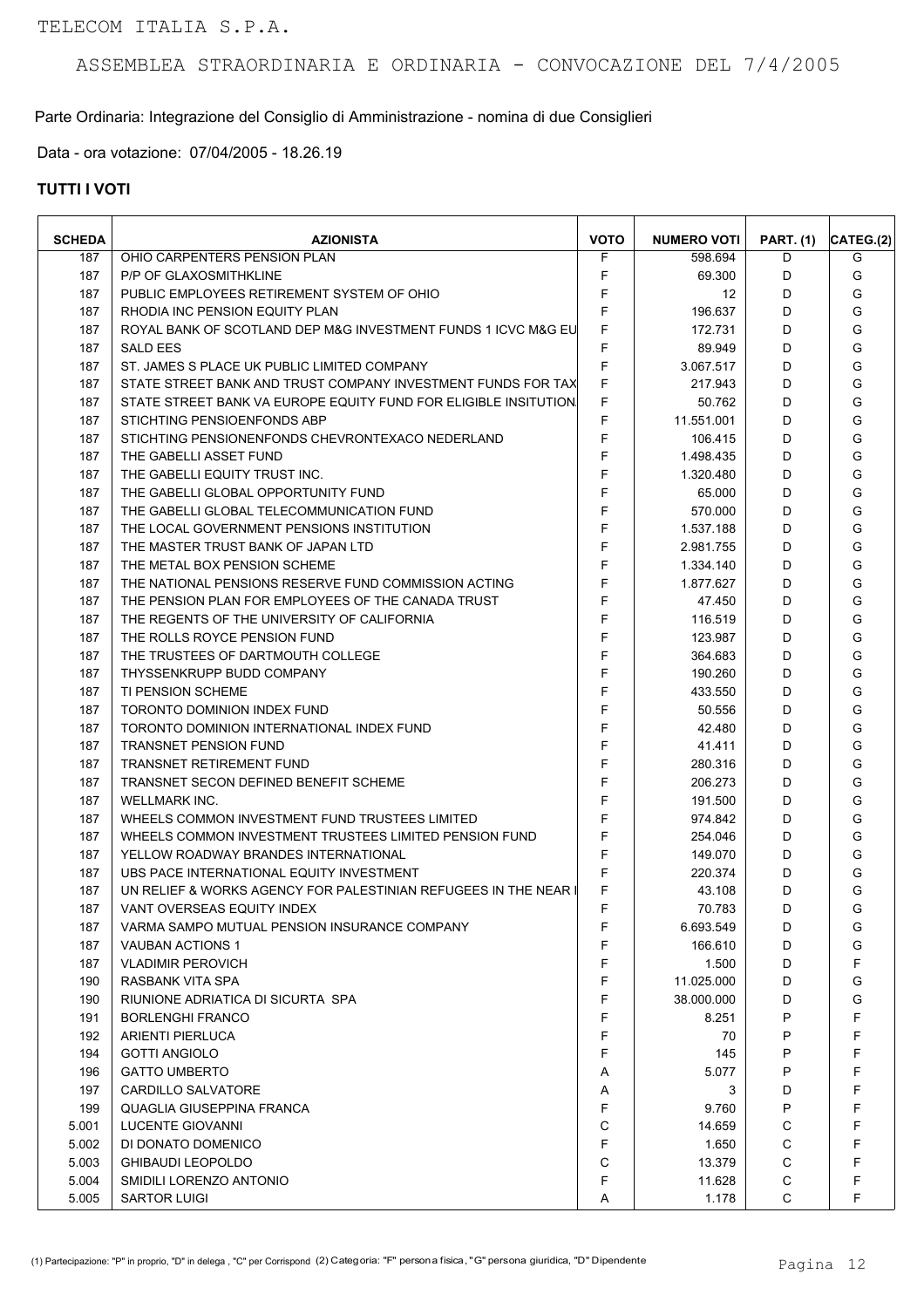Parte Ordinaria: Integrazione del Consiglio di Amministrazione - nomina di due Consiglieri

Data - ora votazione: 07/04/2005 - 18.26.19

| <b>SCHEDA</b> | <b>AZIONISTA</b>                                                 | <b>VOTO</b> | <b>NUMERO VOTI</b> | <b>PART.</b> (1) | CATEG.(2) |
|---------------|------------------------------------------------------------------|-------------|--------------------|------------------|-----------|
| 187           | OHIO CARPENTERS PENSION PLAN                                     | F           | 598.694            | D                | G         |
| 187           | P/P OF GLAXOSMITHKLINE                                           | F           | 69.300             | D                | G         |
| 187           | PUBLIC EMPLOYEES RETIREMENT SYSTEM OF OHIO                       | F           | $12 \overline{ }$  | D                | G         |
| 187           | RHODIA INC PENSION EQUITY PLAN                                   | F           | 196.637            | D                | G         |
| 187           | ROYAL BANK OF SCOTLAND DEP M&G INVESTMENT FUNDS 1 ICVC M&G EU    | F           | 172.731            | D                | G         |
| 187           | <b>SALD EES</b>                                                  | F           | 89.949             | D                | G         |
| 187           | ST. JAMES S PLACE UK PUBLIC LIMITED COMPANY                      | F           | 3.067.517          | D                | G         |
| 187           | STATE STREET BANK AND TRUST COMPANY INVESTMENT FUNDS FOR TAX     | F           | 217.943            | D                | G         |
| 187           | STATE STREET BANK VA EUROPE EQUITY FUND FOR ELIGIBLE INSITUTION. | F           | 50.762             | D                | G         |
| 187           | STICHTING PENSIOENFONDS ABP                                      | F           | 11.551.001         | D                | G         |
| 187           | STICHTING PENSIONENFONDS CHEVRONTEXACO NEDERLAND                 | F           | 106.415            | D                | G         |
| 187           | THE GABELLI ASSET FUND                                           | F           | 1.498.435          | D                | G         |
| 187           | THE GABELLI EQUITY TRUST INC.                                    | F           | 1.320.480          | D                | G         |
| 187           | THE GABELLI GLOBAL OPPORTUNITY FUND                              | F           | 65.000             | D                | G         |
| 187           | THE GABELLI GLOBAL TELECOMMUNICATION FUND                        | F           | 570.000            | D                | G         |
| 187           | THE LOCAL GOVERNMENT PENSIONS INSTITUTION                        | F           | 1.537.188          | D                | G         |
| 187           | THE MASTER TRUST BANK OF JAPAN LTD                               | F           | 2.981.755          | D                | G         |
| 187           | THE METAL BOX PENSION SCHEME                                     | F           | 1.334.140          | D                | G         |
| 187           | THE NATIONAL PENSIONS RESERVE FUND COMMISSION ACTING             | F           | 1.877.627          | D                | G         |
| 187           | THE PENSION PLAN FOR EMPLOYEES OF THE CANADA TRUST               | F           | 47.450             | D                | G         |
| 187           | THE REGENTS OF THE UNIVERSITY OF CALIFORNIA                      | F           | 116.519            | D                | G         |
| 187           | THE ROLLS ROYCE PENSION FUND                                     | F           | 123.987            | D                | G         |
| 187           | THE TRUSTEES OF DARTMOUTH COLLEGE                                | F           | 364.683            | D                | G         |
| 187           | THYSSENKRUPP BUDD COMPANY                                        | F           | 190.260            | D                | G         |
| 187           | <b>TI PENSION SCHEME</b>                                         | F           | 433.550            | D                | G         |
| 187           | TORONTO DOMINION INDEX FUND                                      | F           | 50.556             | D                | G         |
| 187           | TORONTO DOMINION INTERNATIONAL INDEX FUND                        | F           | 42.480             | D                | G         |
| 187           | <b>TRANSNET PENSION FUND</b>                                     | F           | 41.411             | D                | G         |
| 187           | <b>TRANSNET RETIREMENT FUND</b>                                  | F           | 280.316            | D                | G         |
| 187           | TRANSNET SECON DEFINED BENEFIT SCHEME                            | F           | 206.273            | D                | G         |
| 187           | <b>WELLMARK INC.</b>                                             | E           | 191.500            | D                | G         |
| 187           | WHEELS COMMON INVESTMENT FUND TRUSTEES LIMITED                   | F           | 974.842            | D                | G         |
| 187           | WHEELS COMMON INVESTMENT TRUSTEES LIMITED PENSION FUND           | F           | 254.046            | D                | G         |
| 187           | YELLOW ROADWAY BRANDES INTERNATIONAL                             | F           | 149.070            | D                | G         |
| 187           | UBS PACE INTERNATIONAL EQUITY INVESTMENT                         | F           | 220.374            | D                | G         |
| 187           | UN RELIEF & WORKS AGENCY FOR PALESTINIAN REFUGEES IN THE NEAR I  | F           | 43.108             | D                | G         |
| 187           | VANT OVERSEAS EQUITY INDEX                                       | F           | 70.783             | D                | G         |
| 187           | VARMA SAMPO MUTUAL PENSION INSURANCE COMPANY                     | F           | 6.693.549          | D                | G         |
| 187           | <b>VAUBAN ACTIONS 1</b>                                          | F           | 166.610            | D                | G         |
| 187           | <b>VLADIMIR PEROVICH</b>                                         | F           | 1.500              | D                | F         |
| 190           | RASBANK VITA SPA                                                 | F           | 11.025.000         | D                | G         |
| 190           | RIUNIONE ADRIATICA DI SICURTA SPA                                | F           | 38.000.000         | D                | G         |
| 191           | <b>BORLENGHI FRANCO</b>                                          | F           | 8.251              | P                | F         |
| 192           | <b>ARIENTI PIERLUCA</b>                                          | F           | 70                 | P                | F         |
| 194           | <b>GOTTI ANGIOLO</b>                                             | F           | 145                | P                | F         |
| 196           | <b>GATTO UMBERTO</b>                                             | A           | 5.077              | P                | F         |
| 197           | CARDILLO SALVATORE                                               | A           | 3                  | D                | F         |
| 199           | QUAGLIA GIUSEPPINA FRANCA                                        | F           | 9.760              | P                | F         |
| 5.001         | LUCENTE GIOVANNI                                                 | C           | 14.659             | С                | F         |
| 5.002         | DI DONATO DOMENICO                                               | F           | 1.650              | C                | F         |
| 5.003         | <b>GHIBAUDI LEOPOLDO</b>                                         | C           | 13.379             | C                | F         |
| 5.004         | SMIDILI LORENZO ANTONIO                                          | F           | 11.628             | C                | F         |
| 5.005         | <b>SARTOR LUIGI</b>                                              | Α           | 1.178              | $\mathsf C$      | F         |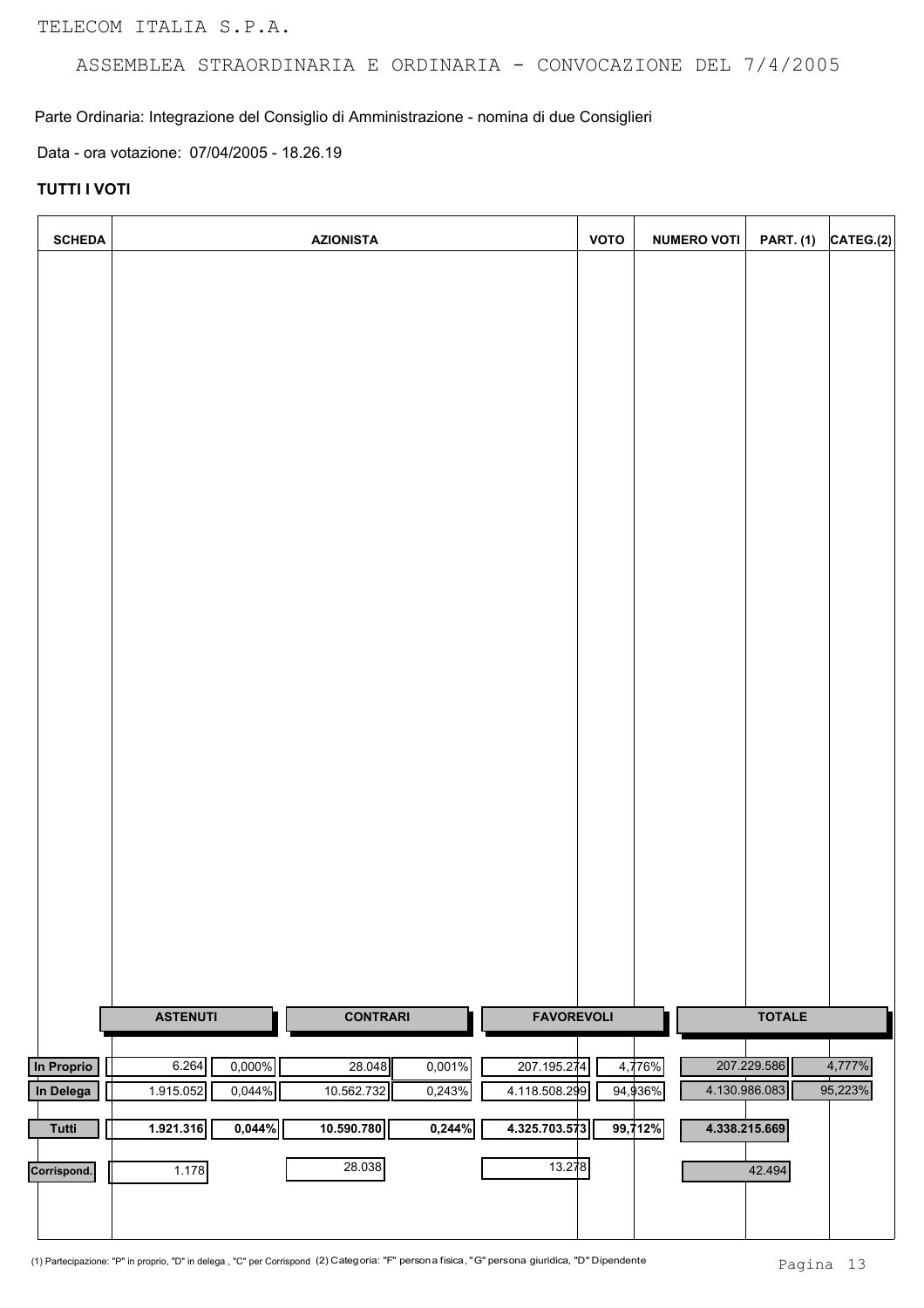TELECOM ITALIA S.P.A.

# ASSEMBLEA STRAORDINARIA E ORDINARIA - CONVOCAZIONE DEL 7/4/2005

Parte Ordinaria: Integrazione del Consiglio di Amministrazione - nomina di due Consiglieri

Data - ora votazione: 07/04/2005 - 18.26.19

## **TUTTI I VOTI**

| <b>SCHEDA</b>           |                     | <b>AZIONISTA</b>     |                   | <b>VOTO</b> | <b>NUMERO VOTI</b><br><b>PART. (1)</b> | CATEG.(2) |
|-------------------------|---------------------|----------------------|-------------------|-------------|----------------------------------------|-----------|
|                         |                     |                      |                   |             |                                        |           |
|                         |                     |                      |                   |             |                                        |           |
|                         |                     |                      |                   |             |                                        |           |
|                         |                     |                      |                   |             |                                        |           |
|                         |                     |                      |                   |             |                                        |           |
|                         |                     |                      |                   |             |                                        |           |
|                         |                     |                      |                   |             |                                        |           |
|                         |                     |                      |                   |             |                                        |           |
|                         |                     |                      |                   |             |                                        |           |
|                         |                     |                      |                   |             |                                        |           |
|                         |                     |                      |                   |             |                                        |           |
|                         |                     |                      |                   |             |                                        |           |
|                         |                     |                      |                   |             |                                        |           |
|                         |                     |                      |                   |             |                                        |           |
|                         |                     |                      |                   |             |                                        |           |
|                         |                     |                      |                   |             |                                        |           |
|                         |                     |                      |                   |             |                                        |           |
|                         |                     |                      |                   |             |                                        |           |
|                         |                     |                      |                   |             |                                        |           |
|                         | <b>ASTENUTI</b>     | <b>CONTRARI</b>      | <b>FAVOREVOLI</b> |             | <b>TOTALE</b>                          |           |
| In Proprio<br>In Delega | 6.264<br>0,000%     | 28.048<br>0,001%     | 207.195.274       | 4,776%      | 207.229.586                            | 4,777%    |
|                         | 1.915.052<br>0,044% | 0,243%<br>10.562.732 | 4.118.508.299     | 94,936%     | 4.130.986.083                          | 95,223%   |
| Tutti                   | 1.921.316<br>0,044% | 10.590.780<br>0,244% | 4.325.703.573     | 99,712%     | 4.338.215.669                          |           |
| Corrispond.             | 1.178               | 28.038               | 13.278            |             | 42.494                                 |           |
|                         |                     |                      |                   |             |                                        |           |

(1) Partecipazione: "P" in proprio, "D" in delega , "C" per Corrispond (2) Categoria: "F" persona fisica, "G" persona giuridica, "D" Dipendente<br>Pagina 13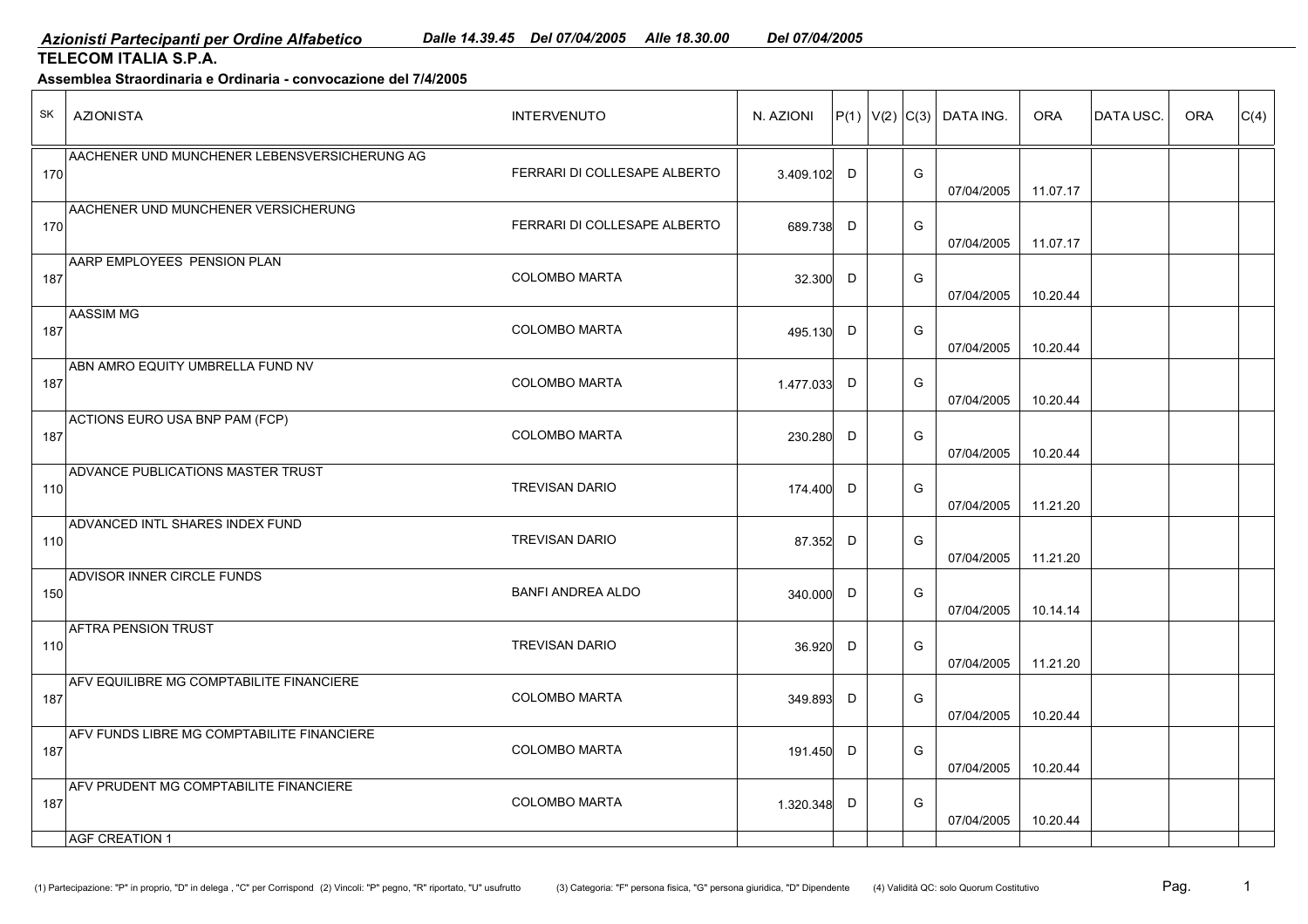# **TELECOM ITALIA S.P.A.** *Azionisti Partecipanti per Ordine Alfabetico*

**Assemblea Straordinaria e Ordinaria - convocazione del 7/4/2005**

| SK  | <b>AZIONISTA</b>                             | <b>INTERVENUTO</b>           | N. AZIONI   |   |   | $ P(1) V(2) C(3) $ DATA ING. | <b>ORA</b> | DATA USC. | <b>ORA</b> | C(4) |
|-----|----------------------------------------------|------------------------------|-------------|---|---|------------------------------|------------|-----------|------------|------|
| 170 | AACHENER UND MUNCHENER LEBENSVERSICHERUNG AG | FERRARI DI COLLESAPE ALBERTO | 3.409.102 D |   | G | 07/04/2005                   | 11.07.17   |           |            |      |
| 170 | AACHENER UND MUNCHENER VERSICHERUNG          | FERRARI DI COLLESAPE ALBERTO | 689.738 D   |   | G | 07/04/2005                   | 11.07.17   |           |            |      |
| 187 | AARP EMPLOYEES PENSION PLAN                  | <b>COLOMBO MARTA</b>         | 32.300 D    |   | G | 07/04/2005                   | 10.20.44   |           |            |      |
| 187 | <b>AASSIM MG</b>                             | <b>COLOMBO MARTA</b>         | 495.130 D   |   | G | 07/04/2005                   | 10.20.44   |           |            |      |
| 187 | ABN AMRO EQUITY UMBRELLA FUND NV             | <b>COLOMBO MARTA</b>         | 1.477.033 D |   | G | 07/04/2005                   | 10.20.44   |           |            |      |
| 187 | ACTIONS EURO USA BNP PAM (FCP)               | <b>COLOMBO MARTA</b>         | 230.280     | D | G | 07/04/2005                   | 10.20.44   |           |            |      |
| 110 | ADVANCE PUBLICATIONS MASTER TRUST            | <b>TREVISAN DARIO</b>        | 174.400 D   |   | G | 07/04/2005                   | 11.21.20   |           |            |      |
| 110 | ADVANCED INTL SHARES INDEX FUND              | <b>TREVISAN DARIO</b>        | 87.352 D    |   | G | 07/04/2005                   | 11.21.20   |           |            |      |
| 150 | <b>ADVISOR INNER CIRCLE FUNDS</b>            | <b>BANFI ANDREA ALDO</b>     | 340.000 D   |   | G | 07/04/2005                   | 10.14.14   |           |            |      |
| 110 | <b>AFTRA PENSION TRUST</b>                   | <b>TREVISAN DARIO</b>        | 36.920 D    |   | G | 07/04/2005                   | 11.21.20   |           |            |      |
| 187 | AFV EQUILIBRE MG COMPTABILITE FINANCIERE     | <b>COLOMBO MARTA</b>         | 349.893     | D | G | 07/04/2005                   | 10.20.44   |           |            |      |
| 187 | AFV FUNDS LIBRE MG COMPTABILITE FINANCIERE   | <b>COLOMBO MARTA</b>         | 191.450 D   |   | G | 07/04/2005                   | 10.20.44   |           |            |      |
| 187 | AFV PRUDENT MG COMPTABILITE FINANCIERE       | <b>COLOMBO MARTA</b>         | 1.320.348 D |   | G | 07/04/2005                   | 10.20.44   |           |            |      |
|     | <b>AGF CREATION 1</b>                        |                              |             |   |   |                              |            |           |            |      |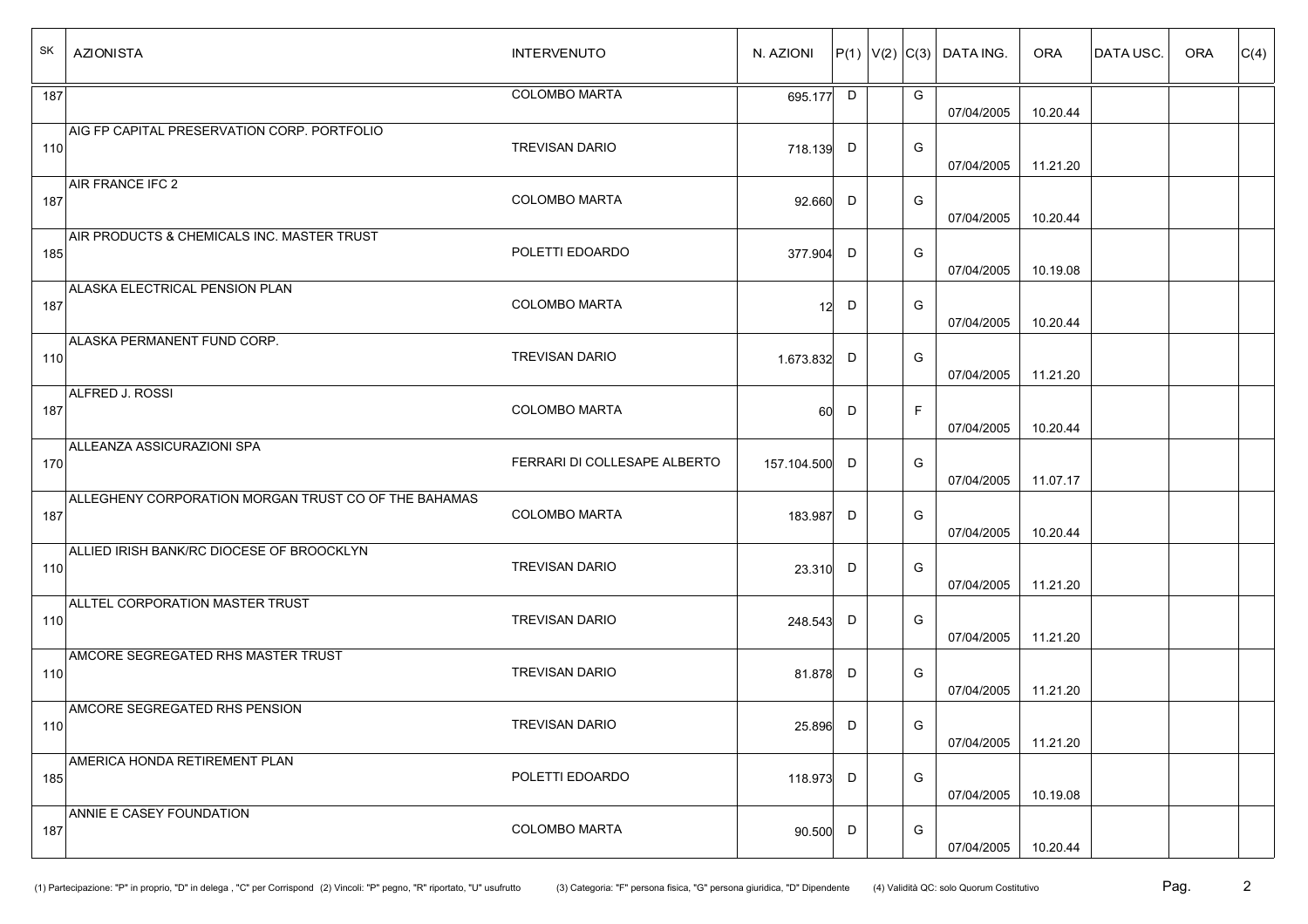| SK  | <b>AZIONISTA</b>                                     | <b>INTERVENUTO</b>           | N. AZIONI       |        |   | $ P(1) V(2) C(3) $ DATA ING. | <b>ORA</b> | <b>DATAUSC.</b> | ORA | C(4) |
|-----|------------------------------------------------------|------------------------------|-----------------|--------|---|------------------------------|------------|-----------------|-----|------|
| 187 |                                                      | COLOMBO MARTA                | 695.177 D       |        | G | 07/04/2005                   | 10.20.44   |                 |     |      |
| 110 | AIG FP CAPITAL PRESERVATION CORP. PORTFOLIO          | <b>TREVISAN DARIO</b>        | 718.139 D       |        | G | 07/04/2005                   | 11.21.20   |                 |     |      |
| 187 | AIR FRANCE IFC 2                                     | <b>COLOMBO MARTA</b>         | 92.660          | D      | G | 07/04/2005                   | 10.20.44   |                 |     |      |
| 185 | AIR PRODUCTS & CHEMICALS INC. MASTER TRUST           | POLETTI EDOARDO              | 377.904 D       |        | G | 07/04/2005                   | 10.19.08   |                 |     |      |
| 187 | <b>ALASKA ELECTRICAL PENSION PLAN</b>                | <b>COLOMBO MARTA</b>         | 12 <sup>1</sup> | $\Box$ | G | 07/04/2005                   | 10.20.44   |                 |     |      |
| 110 | ALASKA PERMANENT FUND CORP.                          | <b>TREVISAN DARIO</b>        | 1.673.832 D     |        | G | 07/04/2005                   | 11.21.20   |                 |     |      |
| 187 | ALFRED J. ROSSI                                      | <b>COLOMBO MARTA</b>         | 60              | D      | F | 07/04/2005                   | 10.20.44   |                 |     |      |
| 170 | <b>ALLEANZA ASSICURAZIONI SPA</b>                    | FERRARI DI COLLESAPE ALBERTO | 157.104.500     | D      | G | 07/04/2005                   | 11.07.17   |                 |     |      |
| 187 | ALLEGHENY CORPORATION MORGAN TRUST CO OF THE BAHAMAS | COLOMBO MARTA                | 183.987         | D      | G | 07/04/2005                   | 10.20.44   |                 |     |      |
| 110 | ALLIED IRISH BANK/RC DIOCESE OF BROOCKLYN            | <b>TREVISAN DARIO</b>        | 23.310 D        |        | G | 07/04/2005                   | 11.21.20   |                 |     |      |
| 110 | ALLTEL CORPORATION MASTER TRUST                      | <b>TREVISAN DARIO</b>        | 248.543 D       |        | G | 07/04/2005                   | 11.21.20   |                 |     |      |
| 110 | AMCORE SEGREGATED RHS MASTER TRUST                   | <b>TREVISAN DARIO</b>        | 81.878 D        |        | G | 07/04/2005                   | 11.21.20   |                 |     |      |
| 110 | AMCORE SEGREGATED RHS PENSION                        | TREVISAN DARIO               | 25.896 D        |        | G | 07/04/2005                   | 11.21.20   |                 |     |      |
| 185 | AMERICA HONDA RETIREMENT PLAN                        | POLETTI EDOARDO              | 118.973 D       |        | G | 07/04/2005                   | 10.19.08   |                 |     |      |
| 187 | ANNIE E CASEY FOUNDATION                             | COLOMBO MARTA                | 90.500 D        |        | G | 07/04/2005                   | 10.20.44   |                 |     |      |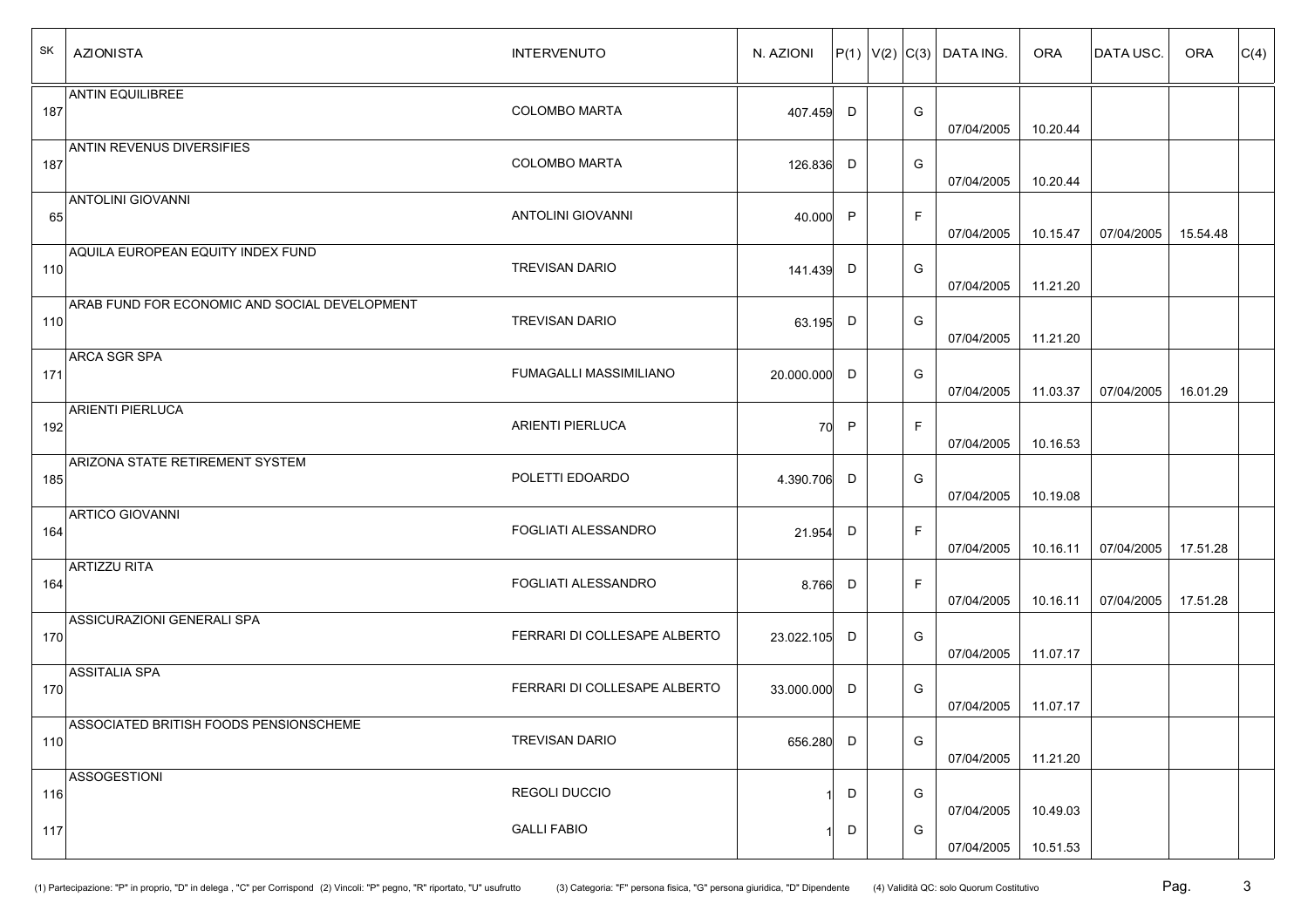| SK  | <b>AZIONISTA</b>                              | <b>INTERVENUTO</b>            | N. AZIONI    |              |   | $ P(1) V(2) C(3) $ DATA ING. | <b>ORA</b> | DATA USC.  | <b>ORA</b> | C(4) |
|-----|-----------------------------------------------|-------------------------------|--------------|--------------|---|------------------------------|------------|------------|------------|------|
| 187 | <b>ANTIN EQUILIBREE</b>                       | <b>COLOMBO MARTA</b>          | 407.459 D    |              | G | 07/04/2005                   | 10.20.44   |            |            |      |
| 187 | <b>ANTIN REVENUS DIVERSIFIES</b>              | <b>COLOMBO MARTA</b>          | 126.836      | D            | G | 07/04/2005                   | 10.20.44   |            |            |      |
| 65  | <b>ANTOLINI GIOVANNI</b>                      | <b>ANTOLINI GIOVANNI</b>      | 40.000       | $\mathsf{P}$ | F | 07/04/2005                   | 10.15.47   | 07/04/2005 | 15.54.48   |      |
| 110 | AQUILA EUROPEAN EQUITY INDEX FUND             | <b>TREVISAN DARIO</b>         | 141.439 D    |              | G | 07/04/2005                   | 11.21.20   |            |            |      |
| 110 | ARAB FUND FOR ECONOMIC AND SOCIAL DEVELOPMENT | <b>TREVISAN DARIO</b>         | 63.195 D     |              | G | 07/04/2005                   | 11.21.20   |            |            |      |
| 171 | <b>ARCA SGR SPA</b>                           | <b>FUMAGALLI MASSIMILIANO</b> | 20.000.000 D |              | G | 07/04/2005                   | 11.03.37   | 07/04/2005 | 16.01.29   |      |
| 192 | <b>ARIENTI PIERLUCA</b>                       | <b>ARIENTI PIERLUCA</b>       | 70           | P            | F | 07/04/2005                   | 10.16.53   |            |            |      |
| 185 | ARIZONA STATE RETIREMENT SYSTEM               | POLETTI EDOARDO               | 4.390.706 D  |              | G | 07/04/2005                   | 10.19.08   |            |            |      |
| 164 | <b>ARTICO GIOVANNI</b>                        | FOGLIATI ALESSANDRO           | 21.954 D     |              | F | 07/04/2005                   | 10.16.11   | 07/04/2005 | 17.51.28   |      |
| 164 | <b>ARTIZZU RITA</b>                           | <b>FOGLIATI ALESSANDRO</b>    | 8.766 D      |              | F | 07/04/2005                   | 10.16.11   | 07/04/2005 | 17.51.28   |      |
| 170 | ASSICURAZIONI GENERALI SPA                    | FERRARI DI COLLESAPE ALBERTO  | 23.022.105 D |              | G | 07/04/2005                   | 11.07.17   |            |            |      |
| 170 | <b>ASSITALIA SPA</b>                          | FERRARI DI COLLESAPE ALBERTO  | 33.000.000 D |              | G | 07/04/2005                   | 11.07.17   |            |            |      |
| 110 | ASSOCIATED BRITISH FOODS PENSIONSCHEME        | <b>TREVISAN DARIO</b>         | 656.280      | D            | G | 07/04/2005                   | 11.21.20   |            |            |      |
| 116 | ASSOGESTIONI                                  | REGOLI DUCCIO                 |              | D            | G | 07/04/2005                   | 10.49.03   |            |            |      |
| 117 |                                               | <b>GALLI FABIO</b>            |              | D            | G | 07/04/2005                   | 10.51.53   |            |            |      |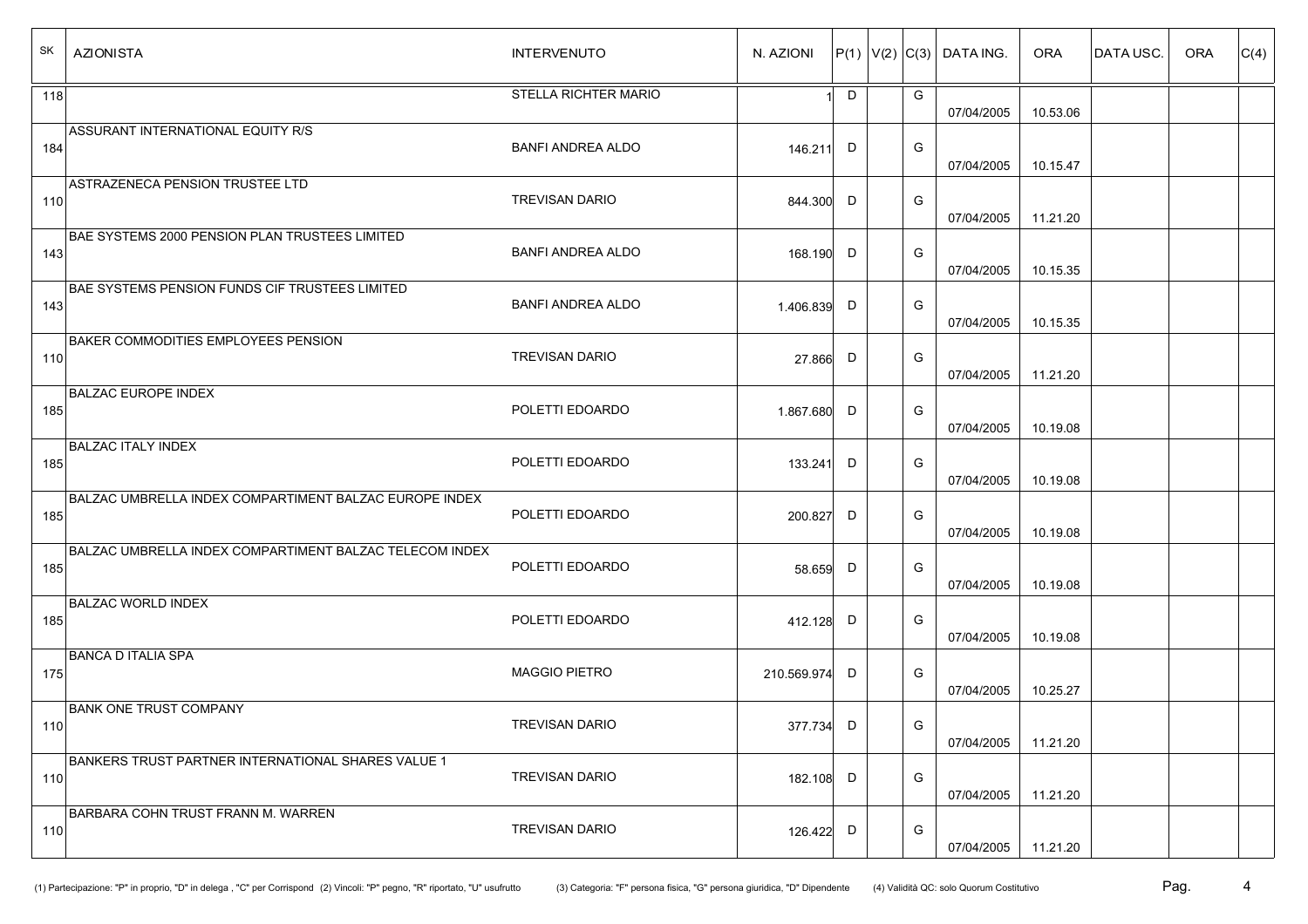| SK  | <b>AZIONISTA</b>                                        | <b>INTERVENUTO</b>       | N. AZIONI   |   |   | $P(1)  V(2)  C(3)  $ DATA ING. | <b>ORA</b> | <b>DATAUSC.</b> | <b>ORA</b> | C(4) |
|-----|---------------------------------------------------------|--------------------------|-------------|---|---|--------------------------------|------------|-----------------|------------|------|
| 118 |                                                         | STELLA RICHTER MARIO     |             | D | G | 07/04/2005                     | 10.53.06   |                 |            |      |
| 184 | ASSURANT INTERNATIONAL EQUITY R/S                       | <b>BANFI ANDREA ALDO</b> | 146.211     | D | G | 07/04/2005                     | 10.15.47   |                 |            |      |
| 110 | ASTRAZENECA PENSION TRUSTEE LTD                         | <b>TREVISAN DARIO</b>    | 844.300     | D | G | 07/04/2005                     | 11.21.20   |                 |            |      |
| 143 | BAE SYSTEMS 2000 PENSION PLAN TRUSTEES LIMITED          | <b>BANFI ANDREA ALDO</b> | 168.190     | D | G | 07/04/2005                     | 10.15.35   |                 |            |      |
| 143 | BAE SYSTEMS PENSION FUNDS CIF TRUSTEES LIMITED          | <b>BANFI ANDREA ALDO</b> | 1.406.839   | D | G | 07/04/2005                     | 10.15.35   |                 |            |      |
| 110 | BAKER COMMODITIES EMPLOYEES PENSION                     | <b>TREVISAN DARIO</b>    | 27.866 D    |   | G | 07/04/2005                     | 11.21.20   |                 |            |      |
| 185 | <b>BALZAC EUROPE INDEX</b>                              | POLETTI EDOARDO          | 1.867.680   | D | G | 07/04/2005                     | 10.19.08   |                 |            |      |
| 185 | <b>BALZAC ITALY INDEX</b>                               | POLETTI EDOARDO          | 133.241     | D | G | 07/04/2005                     | 10.19.08   |                 |            |      |
| 185 | BALZAC UMBRELLA INDEX COMPARTIMENT BALZAC EUROPE INDEX  | POLETTI EDOARDO          | 200.827     | D | G | 07/04/2005                     | 10.19.08   |                 |            |      |
| 185 | BALZAC UMBRELLA INDEX COMPARTIMENT BALZAC TELECOM INDEX | POLETTI EDOARDO          | 58.659 D    |   | G | 07/04/2005                     | 10.19.08   |                 |            |      |
| 185 | <b>BALZAC WORLD INDEX</b>                               | POLETTI EDOARDO          | 412.128 D   |   | G | 07/04/2005                     | 10.19.08   |                 |            |      |
| 175 | <b>BANCA D ITALIA SPA</b>                               | <b>MAGGIO PIETRO</b>     | 210.569.974 | D | G | 07/04/2005                     | 10.25.27   |                 |            |      |
| 110 | <b>BANK ONE TRUST COMPANY</b>                           | TREVISAN DARIO           | 377.734 D   |   | G | 07/04/2005                     | 11.21.20   |                 |            |      |
| 110 | BANKERS TRUST PARTNER INTERNATIONAL SHARES VALUE 1      | TREVISAN DARIO           | 182.108 D   |   | G | 07/04/2005                     | 11.21.20   |                 |            |      |
| 110 | BARBARA COHN TRUST FRANN M. WARREN                      | <b>TREVISAN DARIO</b>    | 126.422 D   |   | G | 07/04/2005                     | 11.21.20   |                 |            |      |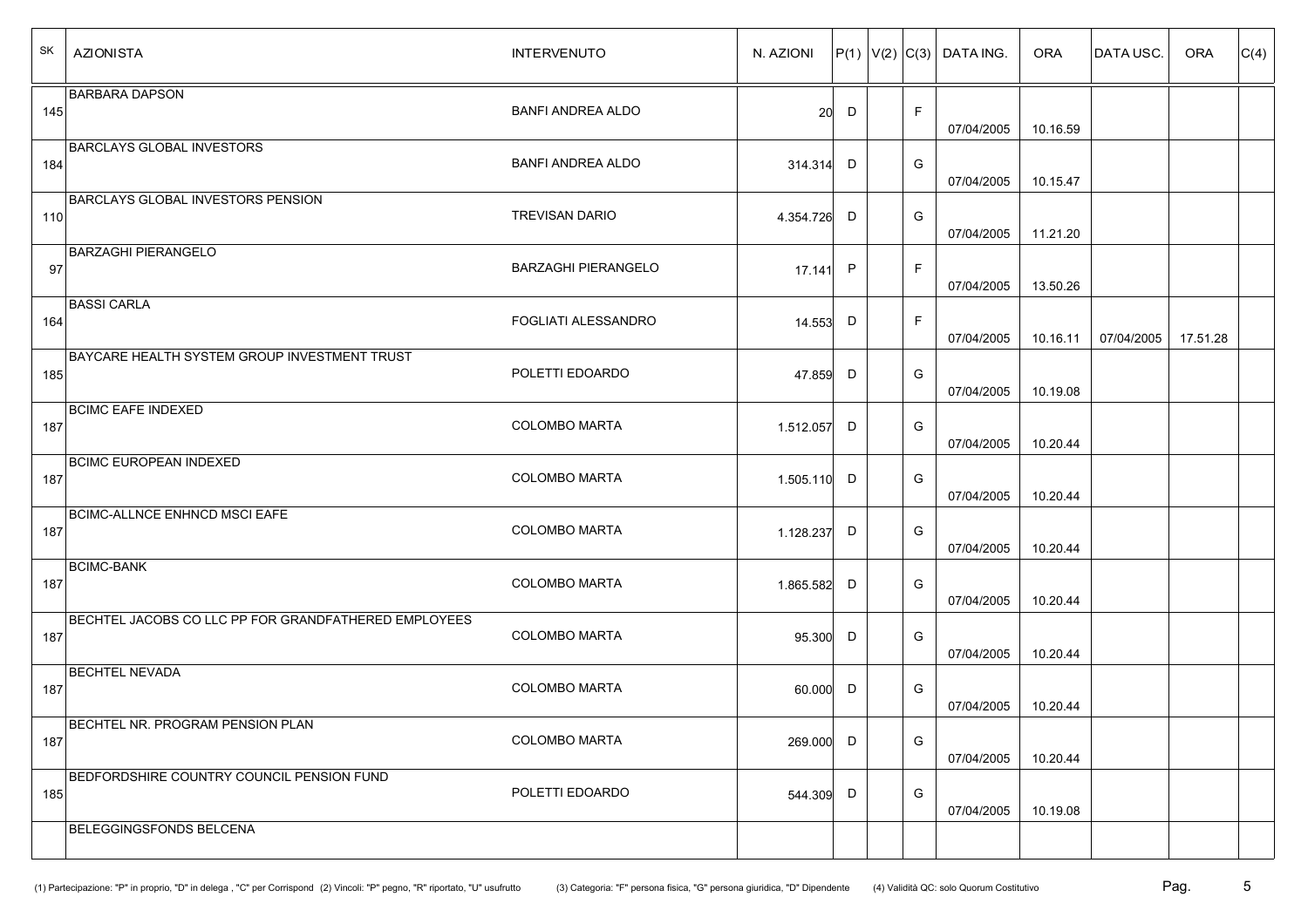| SK  | <b>AZIONISTA</b>                                     | <b>INTERVENUTO</b>         | N. AZIONI   |              |              | $ P(1) V(2) C(3) $ DATA ING. | <b>ORA</b> | <b>DATAUSC.</b> | <b>ORA</b> | C(4) |
|-----|------------------------------------------------------|----------------------------|-------------|--------------|--------------|------------------------------|------------|-----------------|------------|------|
| 145 | <b>BARBARA DAPSON</b>                                | <b>BANFI ANDREA ALDO</b>   | 20          | D            | $\mathsf F$  | 07/04/2005                   | 10.16.59   |                 |            |      |
| 184 | <b>BARCLAYS GLOBAL INVESTORS</b>                     | <b>BANFI ANDREA ALDO</b>   | 314.314     | D            | G            | 07/04/2005                   | 10.15.47   |                 |            |      |
| 110 | <b>BARCLAYS GLOBAL INVESTORS PENSION</b>             | <b>TREVISAN DARIO</b>      | 4.354.726   | D            | G            | 07/04/2005                   | 11.21.20   |                 |            |      |
| 97  | <b>BARZAGHI PIERANGELO</b>                           | <b>BARZAGHI PIERANGELO</b> | 17.141      | $\mathsf{P}$ | $\mathsf{F}$ | 07/04/2005                   | 13.50.26   |                 |            |      |
| 164 | <b>BASSI CARLA</b>                                   | FOGLIATI ALESSANDRO        | 14.553      | D            | F            | 07/04/2005                   | 10.16.11   | 07/04/2005      | 17.51.28   |      |
| 185 | BAYCARE HEALTH SYSTEM GROUP INVESTMENT TRUST         | POLETTI EDOARDO            | 47.859      | D            | G            | 07/04/2005                   | 10.19.08   |                 |            |      |
| 187 | <b>BCIMC EAFE INDEXED</b>                            | <b>COLOMBO MARTA</b>       | 1.512.057   | D            | G            | 07/04/2005                   | 10.20.44   |                 |            |      |
| 187 | <b>BCIMC EUROPEAN INDEXED</b>                        | <b>COLOMBO MARTA</b>       | 1.505.110 D |              | G            | 07/04/2005                   | 10.20.44   |                 |            |      |
| 187 | BCIMC-ALLNCE ENHNCD MSCI EAFE                        | <b>COLOMBO MARTA</b>       | 1.128.237   | D            | G            | 07/04/2005                   | 10.20.44   |                 |            |      |
| 187 | <b>BCIMC-BANK</b>                                    | <b>COLOMBO MARTA</b>       | 1.865.582   | D            | G            | 07/04/2005                   | 10.20.44   |                 |            |      |
| 187 | BECHTEL JACOBS CO LLC PP FOR GRANDFATHERED EMPLOYEES | <b>COLOMBO MARTA</b>       | 95.300      | D            | G            | 07/04/2005                   | 10.20.44   |                 |            |      |
| 187 | <b>BECHTEL NEVADA</b>                                | <b>COLOMBO MARTA</b>       | 60.000      | D            | G            | 07/04/2005                   | 10.20.44   |                 |            |      |
| 187 | BECHTEL NR. PROGRAM PENSION PLAN                     | <b>COLOMBO MARTA</b>       | 269.000     | D            | G            | 07/04/2005                   | 10.20.44   |                 |            |      |
| 185 | BEDFORDSHIRE COUNTRY COUNCIL PENSION FUND            | POLETTI EDOARDO            | 544.309     | D            | G            | 07/04/2005                   | 10.19.08   |                 |            |      |
|     | <b>BELEGGINGSFONDS BELCENA</b>                       |                            |             |              |              |                              |            |                 |            |      |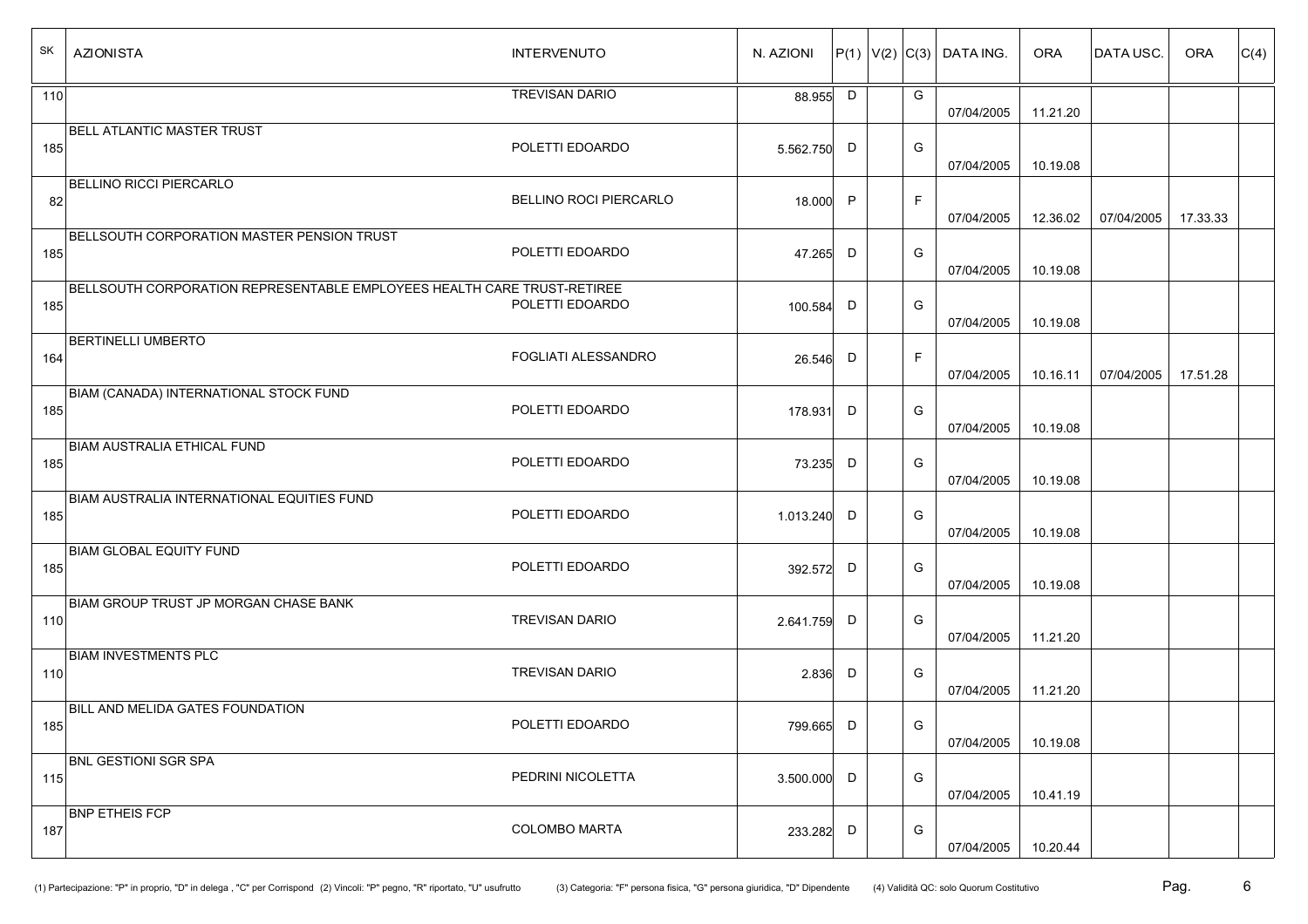| SK  | <b>AZIONISTA</b>                                                        | <b>INTERVENUTO</b>            | N. AZIONI   |              |              | $ P(1) V(2) C(3) $ DATA ING. | <b>ORA</b> | DATA USC.  | <b>ORA</b> | C(4) |
|-----|-------------------------------------------------------------------------|-------------------------------|-------------|--------------|--------------|------------------------------|------------|------------|------------|------|
| 110 |                                                                         | <b>TREVISAN DARIO</b>         | 88.955 D    |              | G            | 07/04/2005                   | 11.21.20   |            |            |      |
| 185 | <b>BELL ATLANTIC MASTER TRUST</b>                                       | POLETTI EDOARDO               | 5.562.750 D |              | G            | 07/04/2005                   | 10.19.08   |            |            |      |
| 82  | <b>BELLINO RICCI PIERCARLO</b>                                          | <b>BELLINO ROCI PIERCARLO</b> | 18.000      | $\mathsf{P}$ | F            | 07/04/2005                   | 12.36.02   | 07/04/2005 | 17.33.33   |      |
| 185 | BELLSOUTH CORPORATION MASTER PENSION TRUST                              | POLETTI EDOARDO               | 47.265      | D            | G            | 07/04/2005                   | 10.19.08   |            |            |      |
| 185 | BELLSOUTH CORPORATION REPRESENTABLE EMPLOYEES HEALTH CARE TRUST-RETIREE | POLETTI EDOARDO               | 100.584     | D            | G            | 07/04/2005                   | 10.19.08   |            |            |      |
| 164 | <b>BERTINELLI UMBERTO</b>                                               | <b>FOGLIATI ALESSANDRO</b>    | 26.546      | D            | $\mathsf{F}$ | 07/04/2005                   | 10.16.11   | 07/04/2005 | 17.51.28   |      |
| 185 | BIAM (CANADA) INTERNATIONAL STOCK FUND                                  | POLETTI EDOARDO               | 178.931     | D            | G            | 07/04/2005                   | 10.19.08   |            |            |      |
| 185 | <b>BIAM AUSTRALIA ETHICAL FUND</b>                                      | POLETTI EDOARDO               | 73.235      | D            | G            | 07/04/2005                   | 10.19.08   |            |            |      |
| 185 | BIAM AUSTRALIA INTERNATIONAL EQUITIES FUND                              | POLETTI EDOARDO               | 1.013.240   | D            | G            | 07/04/2005                   | 10.19.08   |            |            |      |
| 185 | <b>BIAM GLOBAL EQUITY FUND</b>                                          | POLETTI EDOARDO               | 392.572 D   |              | G            | 07/04/2005                   | 10.19.08   |            |            |      |
| 110 | BIAM GROUP TRUST JP MORGAN CHASE BANK                                   | <b>TREVISAN DARIO</b>         | 2.641.759   | D            | G            | 07/04/2005                   | 11.21.20   |            |            |      |
| 110 | <b>BIAM INVESTMENTS PLC</b>                                             | <b>TREVISAN DARIO</b>         | 2.836       | D            | G            | 07/04/2005                   | 11.21.20   |            |            |      |
| 185 | <b>BILL AND MELIDA GATES FOUNDATION</b>                                 | POLETTI EDOARDO               | 799.665 D   |              | G            | 07/04/2005                   | 10.19.08   |            |            |      |
| 115 | <b>BNL GESTIONI SGR SPA</b>                                             | PEDRINI NICOLETTA             | 3.500.000 D |              | G            | 07/04/2005                   | 10.41.19   |            |            |      |
| 187 | <b>BNP ETHEIS FCP</b>                                                   | COLOMBO MARTA                 | 233.282 D   |              | G            | 07/04/2005                   | 10.20.44   |            |            |      |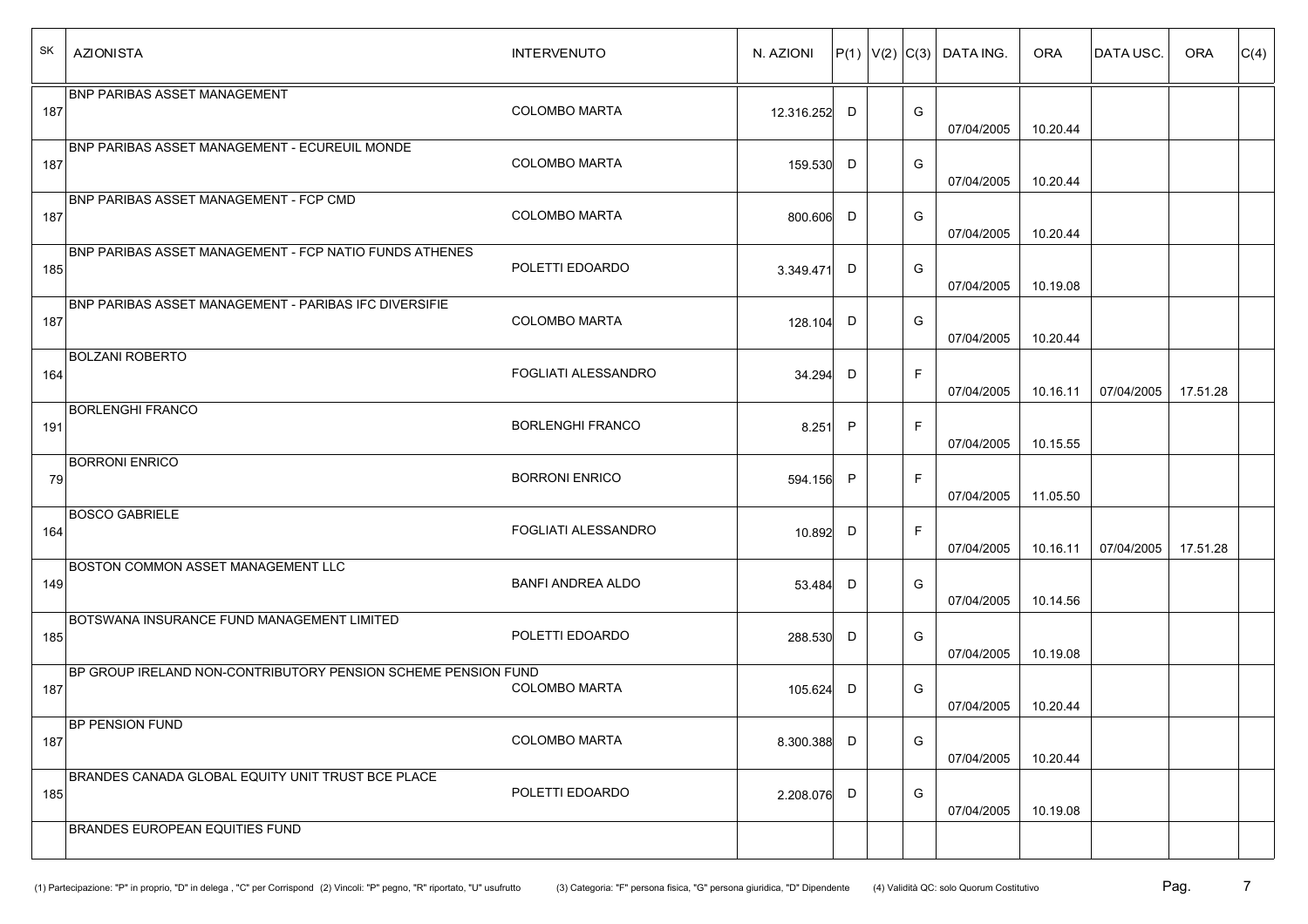| SK  | <b>AZIONISTA</b>                                              | <b>INTERVENUTO</b>       | N. AZIONI   |              |              | $ P(1) V(2) C(3) $ DATA ING. | <b>ORA</b> | <b>DATAUSC.</b> | <b>ORA</b> | C(4) |
|-----|---------------------------------------------------------------|--------------------------|-------------|--------------|--------------|------------------------------|------------|-----------------|------------|------|
| 187 | <b>BNP PARIBAS ASSET MANAGEMENT</b>                           | <b>COLOMBO MARTA</b>     | 12.316.252  | D            | G            | 07/04/2005                   | 10.20.44   |                 |            |      |
| 187 | <b>BNP PARIBAS ASSET MANAGEMENT - ECUREUIL MONDE</b>          | <b>COLOMBO MARTA</b>     | 159.530     | D            | G            | 07/04/2005                   | 10.20.44   |                 |            |      |
| 187 | BNP PARIBAS ASSET MANAGEMENT - FCP CMD                        | <b>COLOMBO MARTA</b>     | 800.606     | D            | G            | 07/04/2005                   | 10.20.44   |                 |            |      |
| 185 | BNP PARIBAS ASSET MANAGEMENT - FCP NATIO FUNDS ATHENES        | POLETTI EDOARDO          | 3.349.471   | D            | G            | 07/04/2005                   | 10.19.08   |                 |            |      |
| 187 | BNP PARIBAS ASSET MANAGEMENT - PARIBAS IFC DIVERSIFIE         | <b>COLOMBO MARTA</b>     | 128.104     | D            | G            | 07/04/2005                   | 10.20.44   |                 |            |      |
| 164 | <b>BOLZANI ROBERTO</b>                                        | FOGLIATI ALESSANDRO      | 34.294      | D            | $\mathsf{F}$ | 07/04/2005                   | 10.16.11   | 07/04/2005      | 17.51.28   |      |
| 191 | <b>BORLENGHI FRANCO</b>                                       | <b>BORLENGHI FRANCO</b>  | 8.251       | $\mathsf{P}$ | F            | 07/04/2005                   | 10.15.55   |                 |            |      |
| 79  | <b>BORRONI ENRICO</b>                                         | <b>BORRONI ENRICO</b>    | 594.156     | P            | F            | 07/04/2005                   | 11.05.50   |                 |            |      |
| 164 | <b>BOSCO GABRIELE</b>                                         | FOGLIATI ALESSANDRO      | 10.892      | D            | F            | 07/04/2005                   | 10.16.11   | 07/04/2005      | 17.51.28   |      |
| 149 | <b>BOSTON COMMON ASSET MANAGEMENT LLC</b>                     | <b>BANFI ANDREA ALDO</b> | 53.484      | D            | G            | 07/04/2005                   | 10.14.56   |                 |            |      |
| 185 | <b>BOTSWANA INSURANCE FUND MANAGEMENT LIMITED</b>             | POLETTI EDOARDO          | 288.530     | D            | G            | 07/04/2005                   | 10.19.08   |                 |            |      |
| 187 | BP GROUP IRELAND NON-CONTRIBUTORY PENSION SCHEME PENSION FUND | <b>COLOMBO MARTA</b>     | 105.624     | D            | G            | 07/04/2005                   | 10.20.44   |                 |            |      |
| 187 | <b>BP PENSION FUND</b>                                        | <b>COLOMBO MARTA</b>     | 8.300.388   | D            | G            | 07/04/2005                   | 10.20.44   |                 |            |      |
| 185 | BRANDES CANADA GLOBAL EQUITY UNIT TRUST BCE PLACE             | POLETTI EDOARDO          | 2.208.076 D |              | G            | 07/04/2005                   | 10.19.08   |                 |            |      |
|     | BRANDES EUROPEAN EQUITIES FUND                                |                          |             |              |              |                              |            |                 |            |      |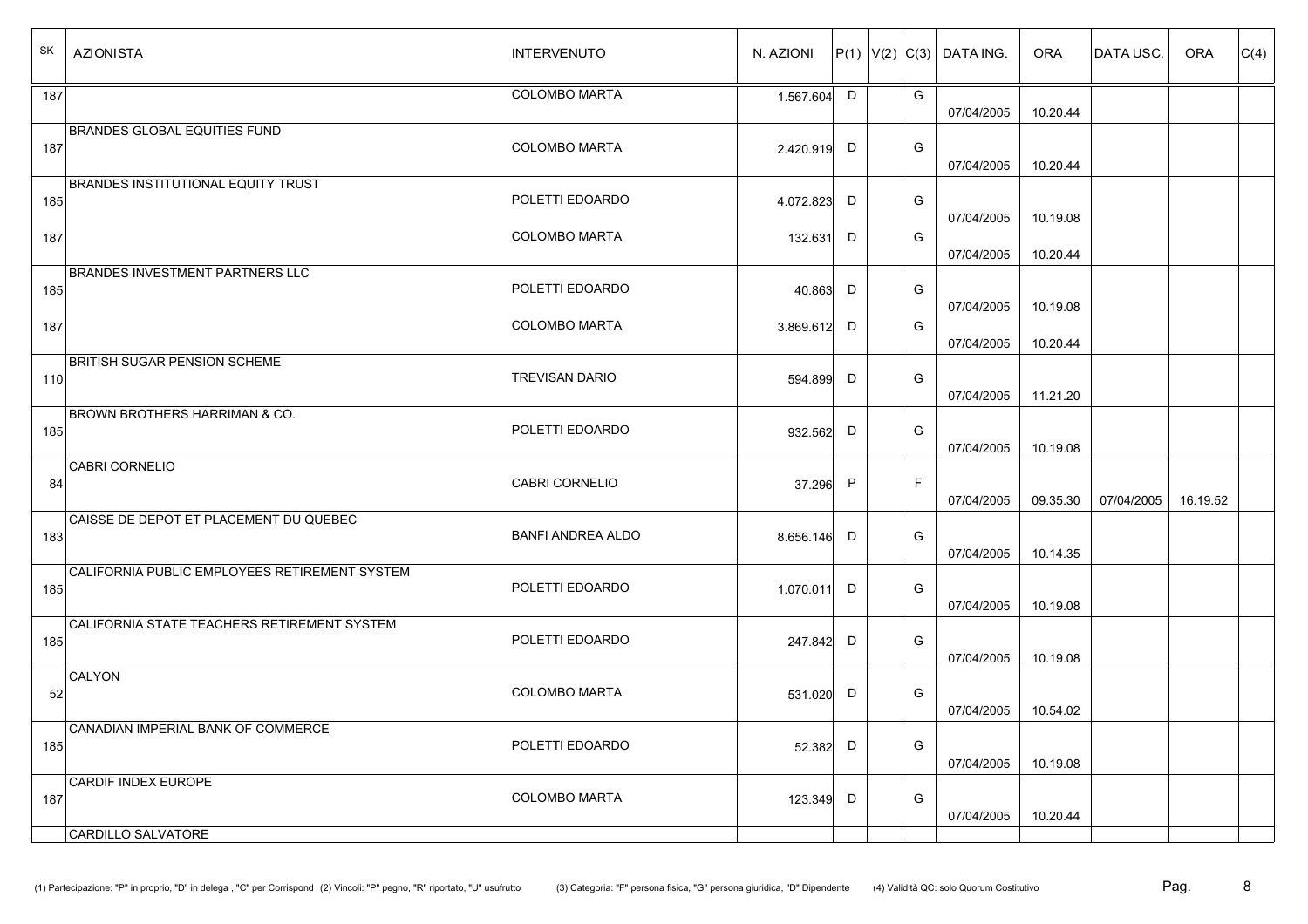| SK  | <b>AZIONISTA</b>                              | <b>INTERVENUTO</b>       | N. AZIONI |              |              | $ P(1) V(2) C(3) $ DATA ING. | <b>ORA</b> | <b>DATAUSC.</b> | <b>ORA</b> | C(4) |
|-----|-----------------------------------------------|--------------------------|-----------|--------------|--------------|------------------------------|------------|-----------------|------------|------|
| 187 |                                               | <b>COLOMBO MARTA</b>     | 1.567.604 | D            | G            | 07/04/2005                   | 10.20.44   |                 |            |      |
| 187 | <b>BRANDES GLOBAL EQUITIES FUND</b>           | <b>COLOMBO MARTA</b>     | 2.420.919 | D            | G            | 07/04/2005                   | 10.20.44   |                 |            |      |
| 185 | <b>BRANDES INSTITUTIONAL EQUITY TRUST</b>     | POLETTI EDOARDO          | 4.072.823 | D            | G            | 07/04/2005                   | 10.19.08   |                 |            |      |
| 187 |                                               | <b>COLOMBO MARTA</b>     | 132.631   | D            | G            | 07/04/2005                   | 10.20.44   |                 |            |      |
| 185 | <b>BRANDES INVESTMENT PARTNERS LLC</b>        | POLETTI EDOARDO          | 40.863    | D            | G            | 07/04/2005                   | 10.19.08   |                 |            |      |
| 187 |                                               | <b>COLOMBO MARTA</b>     | 3.869.612 | D            | G            | 07/04/2005                   | 10.20.44   |                 |            |      |
| 110 | <b>BRITISH SUGAR PENSION SCHEME</b>           | <b>TREVISAN DARIO</b>    | 594.899   | D            | G            | 07/04/2005                   | 11.21.20   |                 |            |      |
| 185 | BROWN BROTHERS HARRIMAN & CO.                 | POLETTI EDOARDO          | 932.562   | D            | G            | 07/04/2005                   | 10.19.08   |                 |            |      |
| 84  | <b>CABRI CORNELIO</b>                         | CABRI CORNELIO           | 37.296    | $\mathsf{P}$ | $\mathsf{F}$ | 07/04/2005                   | 09.35.30   | 07/04/2005      | 16.19.52   |      |
| 183 | CAISSE DE DEPOT ET PLACEMENT DU QUEBEC        | <b>BANFI ANDREA ALDO</b> | 8.656.146 | D            | G            | 07/04/2005                   | 10.14.35   |                 |            |      |
| 185 | CALIFORNIA PUBLIC EMPLOYEES RETIREMENT SYSTEM | POLETTI EDOARDO          | 1.070.011 | D            | G            | 07/04/2005                   | 10.19.08   |                 |            |      |
| 185 | CALIFORNIA STATE TEACHERS RETIREMENT SYSTEM   | POLETTI EDOARDO          | 247.842   | D            | G            | 07/04/2005                   | 10.19.08   |                 |            |      |
| 52  | CALYON                                        | <b>COLOMBO MARTA</b>     | 531.020   | D            | G            | 07/04/2005                   | 10.54.02   |                 |            |      |
| 185 | CANADIAN IMPERIAL BANK OF COMMERCE            | POLETTI EDOARDO          | 52.382 D  |              | G            | 07/04/2005                   | 10.19.08   |                 |            |      |
| 187 | CARDIF INDEX EUROPE                           | COLOMBO MARTA            | 123.349   | D            | G            | 07/04/2005                   | 10.20.44   |                 |            |      |
|     | CARDILLO SALVATORE                            |                          |           |              |              |                              |            |                 |            |      |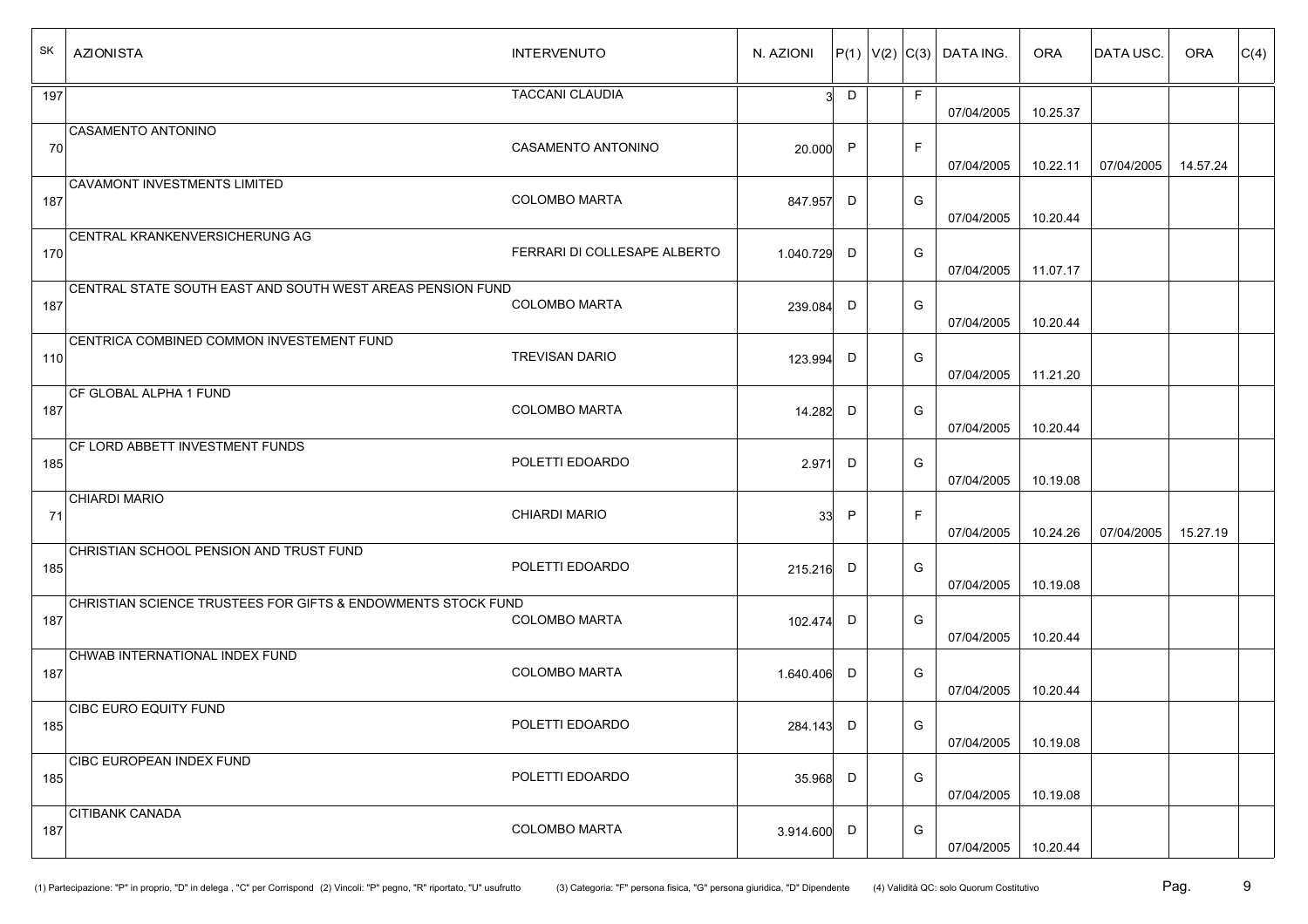| SK<br><b>AZIONISTA</b>                                              | <b>INTERVENUTO</b>           | N. AZIONI   |              |             | $P(1)  V(2)  C(3)  $ DATA ING. | <b>ORA</b> | <b>DATAUSC.</b> | <b>ORA</b> | C(4) |
|---------------------------------------------------------------------|------------------------------|-------------|--------------|-------------|--------------------------------|------------|-----------------|------------|------|
| 197                                                                 | <b>TACCANI CLAUDIA</b>       | 31          | D            | F           | 07/04/2005                     | 10.25.37   |                 |            |      |
| <b>CASAMENTO ANTONINO</b><br>70                                     | CASAMENTO ANTONINO           | 20.000      | $\mathsf{P}$ | $\mathsf F$ | 07/04/2005                     | 10.22.11   | 07/04/2005      | 14.57.24   |      |
| <b>CAVAMONT INVESTMENTS LIMITED</b><br>187                          | <b>COLOMBO MARTA</b>         | 847.957     | D            | G           | 07/04/2005                     | 10.20.44   |                 |            |      |
| CENTRAL KRANKENVERSICHERUNG AG<br>170                               | FERRARI DI COLLESAPE ALBERTO | 1.040.729   | D            | G           | 07/04/2005                     | 11.07.17   |                 |            |      |
| CENTRAL STATE SOUTH EAST AND SOUTH WEST AREAS PENSION FUND<br>187   | <b>COLOMBO MARTA</b>         | 239.084     | D            | G           | 07/04/2005                     | 10.20.44   |                 |            |      |
| CENTRICA COMBINED COMMON INVESTEMENT FUND<br>110                    | <b>TREVISAN DARIO</b>        | 123.994     | D            | G           | 07/04/2005                     | 11.21.20   |                 |            |      |
| CF GLOBAL ALPHA 1 FUND<br>187                                       | <b>COLOMBO MARTA</b>         | 14.282      | D            | G           | 07/04/2005                     | 10.20.44   |                 |            |      |
| <b>CF LORD ABBETT INVESTMENT FUNDS</b><br>185                       | POLETTI EDOARDO              | 2.971       | D            | G           | 07/04/2005                     | 10.19.08   |                 |            |      |
| <b>CHIARDI MARIO</b><br>71                                          | <b>CHIARDI MARIO</b>         | 33          | P.           | F           | 07/04/2005                     | 10.24.26   | 07/04/2005      | 15.27.19   |      |
| CHRISTIAN SCHOOL PENSION AND TRUST FUND<br>185                      | POLETTI EDOARDO              | 215.216     | D            | G           | 07/04/2005                     | 10.19.08   |                 |            |      |
| CHRISTIAN SCIENCE TRUSTEES FOR GIFTS & ENDOWMENTS STOCK FUND<br>187 | <b>COLOMBO MARTA</b>         | 102.474     | D            | G           | 07/04/2005                     | 10.20.44   |                 |            |      |
| CHWAB INTERNATIONAL INDEX FUND<br>187                               | <b>COLOMBO MARTA</b>         | 1.640.406   | D            | G           | 07/04/2005                     | 10.20.44   |                 |            |      |
| <b>CIBC EURO EQUITY FUND</b><br>185                                 | POLETTI EDOARDO              | 284.143 D   |              | G           | 07/04/2005                     | 10.19.08   |                 |            |      |
| <b>CIBC EUROPEAN INDEX FUND</b><br>185                              | POLETTI EDOARDO              | 35.968      | $\mathsf{D}$ | G           | 07/04/2005                     | 10.19.08   |                 |            |      |
| <b>CITIBANK CANADA</b><br>187                                       | <b>COLOMBO MARTA</b>         | 3.914.600 D |              | G           | 07/04/2005                     | 10.20.44   |                 |            |      |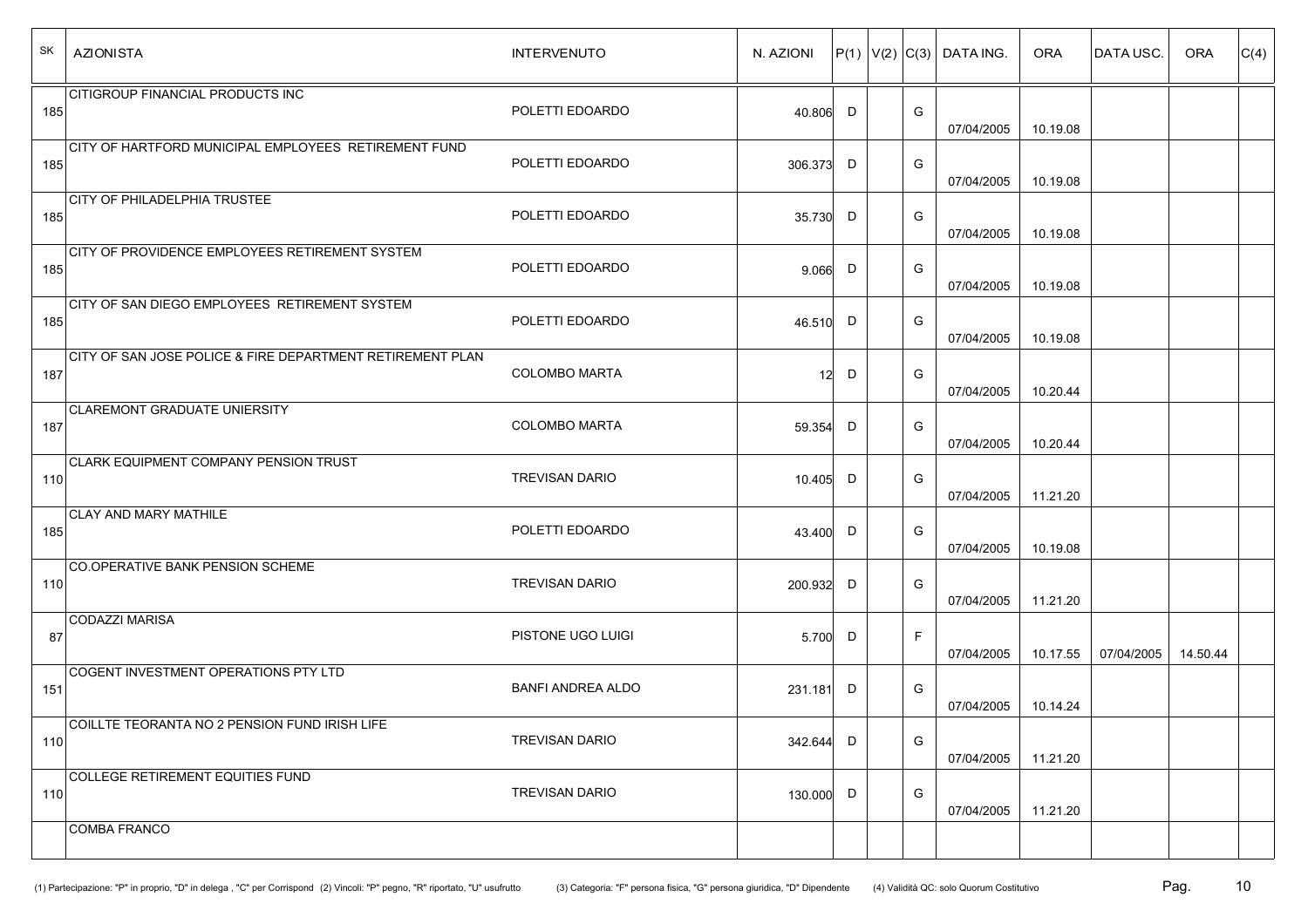| SK  | <b>AZIONISTA</b>                                          | <b>INTERVENUTO</b>       | N. AZIONI  |   |   | $ P(1) V(2) C(3) $ DATA ING. | <b>ORA</b> | <b>DATAUSC.</b> | ORA      | C(4) |
|-----|-----------------------------------------------------------|--------------------------|------------|---|---|------------------------------|------------|-----------------|----------|------|
| 185 | <b>CITIGROUP FINANCIAL PRODUCTS INC</b>                   | POLETTI EDOARDO          | 40.806 D   |   | G | 07/04/2005                   | 10.19.08   |                 |          |      |
| 185 | CITY OF HARTFORD MUNICIPAL EMPLOYEES RETIREMENT FUND      | POLETTI EDOARDO          | 306.373    | D | G | 07/04/2005                   | 10.19.08   |                 |          |      |
| 185 | <b>CITY OF PHILADELPHIA TRUSTEE</b>                       | POLETTI EDOARDO          | 35.730     | D | G | 07/04/2005                   | 10.19.08   |                 |          |      |
| 185 | <b>CITY OF PROVIDENCE EMPLOYEES RETIREMENT SYSTEM</b>     | POLETTI EDOARDO          | $9.066$ D  |   | G | 07/04/2005                   | 10.19.08   |                 |          |      |
| 185 | CITY OF SAN DIEGO EMPLOYEES RETIREMENT SYSTEM             | POLETTI EDOARDO          | 46.510 D   |   | G | 07/04/2005                   | 10.19.08   |                 |          |      |
| 187 | CITY OF SAN JOSE POLICE & FIRE DEPARTMENT RETIREMENT PLAN | <b>COLOMBO MARTA</b>     | 12         | D | G | 07/04/2005                   | 10.20.44   |                 |          |      |
| 187 | <b>CLAREMONT GRADUATE UNIERSITY</b>                       | <b>COLOMBO MARTA</b>     | 59.354     | D | G | 07/04/2005                   | 10.20.44   |                 |          |      |
| 110 | <b>CLARK EQUIPMENT COMPANY PENSION TRUST</b>              | <b>TREVISAN DARIO</b>    | $10.405$ D |   | G | 07/04/2005                   | 11.21.20   |                 |          |      |
| 185 | <b>CLAY AND MARY MATHILE</b>                              | POLETTI EDOARDO          | 43.400 D   |   | G | 07/04/2005                   | 10.19.08   |                 |          |      |
| 110 | CO.OPERATIVE BANK PENSION SCHEME                          | <b>TREVISAN DARIO</b>    | 200.932    | D | G | 07/04/2005                   | 11.21.20   |                 |          |      |
| 87  | <b>CODAZZI MARISA</b>                                     | PISTONE UGO LUIGI        | 5.700 D    |   | F | 07/04/2005                   | 10.17.55   | 07/04/2005      | 14.50.44 |      |
| 151 | COGENT INVESTMENT OPERATIONS PTY LTD                      | <b>BANFI ANDREA ALDO</b> | 231.181 D  |   | G | 07/04/2005                   | 10.14.24   |                 |          |      |
| 110 | COILLTE TEORANTA NO 2 PENSION FUND IRISH LIFE             | <b>TREVISAN DARIO</b>    | 342.644    | D | G | 07/04/2005                   | 11.21.20   |                 |          |      |
| 110 | COLLEGE RETIREMENT EQUITIES FUND                          | <b>TREVISAN DARIO</b>    | 130.000 D  |   | G | 07/04/2005                   | 11.21.20   |                 |          |      |
|     | <b>COMBA FRANCO</b>                                       |                          |            |   |   |                              |            |                 |          |      |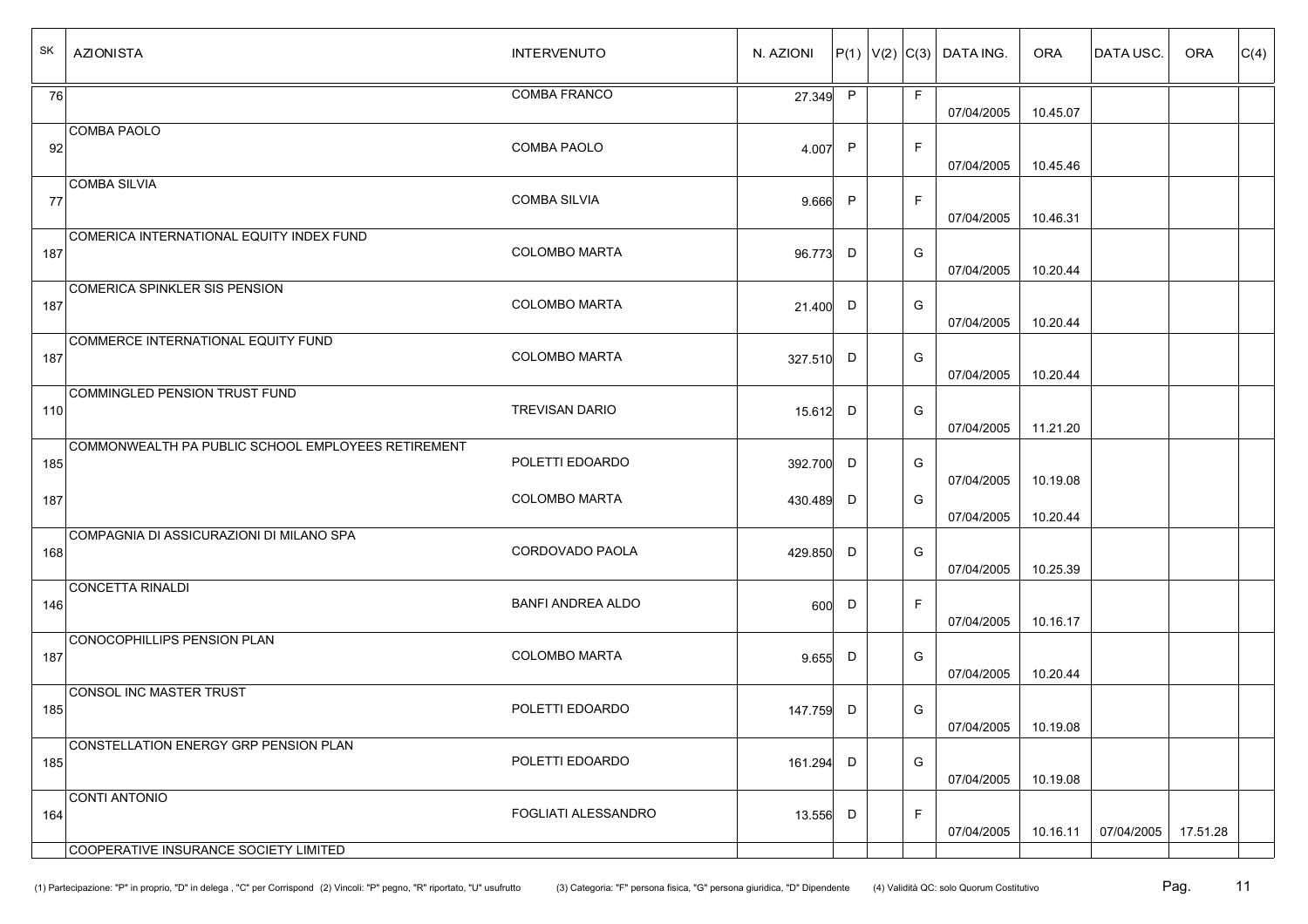| SK  | <b>AZIONISTA</b>                                   | <b>INTERVENUTO</b>       | N. AZIONI |              |              | $ P(1) V(2) C(3) $ DATA ING. | <b>ORA</b> | <b>DATAUSC.</b> | <b>ORA</b> | C(4) |
|-----|----------------------------------------------------|--------------------------|-----------|--------------|--------------|------------------------------|------------|-----------------|------------|------|
| 76  |                                                    | COMBA FRANCO             | 27.349 P  |              | F            | 07/04/2005                   | 10.45.07   |                 |            |      |
| 92  | COMBA PAOLO                                        | <b>COMBA PAOLO</b>       | 4.007     | P            | $\mathsf F$  | 07/04/2005                   | 10.45.46   |                 |            |      |
| 77  | <b>COMBA SILVIA</b>                                | <b>COMBA SILVIA</b>      | 9.666     | $\mathsf{P}$ | F            | 07/04/2005                   | 10.46.31   |                 |            |      |
| 187 | COMERICA INTERNATIONAL EQUITY INDEX FUND           | <b>COLOMBO MARTA</b>     | 96.773    | D            | G            | 07/04/2005                   | 10.20.44   |                 |            |      |
| 187 | COMERICA SPINKLER SIS PENSION                      | <b>COLOMBO MARTA</b>     | 21.400    | D            | G            | 07/04/2005                   | 10.20.44   |                 |            |      |
| 187 | COMMERCE INTERNATIONAL EQUITY FUND                 | <b>COLOMBO MARTA</b>     | 327.510   | D            | G            | 07/04/2005                   | 10.20.44   |                 |            |      |
| 110 | COMMINGLED PENSION TRUST FUND                      | <b>TREVISAN DARIO</b>    | 15.612    | D            | G            | 07/04/2005                   | 11.21.20   |                 |            |      |
| 185 | COMMONWEALTH PA PUBLIC SCHOOL EMPLOYEES RETIREMENT | POLETTI EDOARDO          | 392.700 D |              | G            | 07/04/2005                   | 10.19.08   |                 |            |      |
| 187 |                                                    | COLOMBO MARTA            | 430.489   | D            | G            | 07/04/2005                   | 10.20.44   |                 |            |      |
| 168 | COMPAGNIA DI ASSICURAZIONI DI MILANO SPA           | CORDOVADO PAOLA          | 429.850   | D            | G            | 07/04/2005                   | 10.25.39   |                 |            |      |
| 146 | <b>CONCETTA RINALDI</b>                            | <b>BANFI ANDREA ALDO</b> | 600       | D            | $\mathsf{F}$ | 07/04/2005                   | 10.16.17   |                 |            |      |
| 187 | CONOCOPHILLIPS PENSION PLAN                        | COLOMBO MARTA            | 9.655     | D            | G            | 07/04/2005                   | 10.20.44   |                 |            |      |
| 185 | CONSOL INC MASTER TRUST                            | POLETTI EDOARDO          | 147.759   | D            | G            | 07/04/2005 10.19.08          |            |                 |            |      |
| 185 | CONSTELLATION ENERGY GRP PENSION PLAN              | POLETTI EDOARDO          | 161.294   | D            | G            | 07/04/2005                   | 10.19.08   |                 |            |      |
| 164 | CONTI ANTONIO                                      | FOGLIATI ALESSANDRO      | 13.556    | D            | F            | 07/04/2005                   | 10.16.11   | 07/04/2005      | 17.51.28   |      |
|     | COOPERATIVE INSURANCE SOCIETY LIMITED              |                          |           |              |              |                              |            |                 |            |      |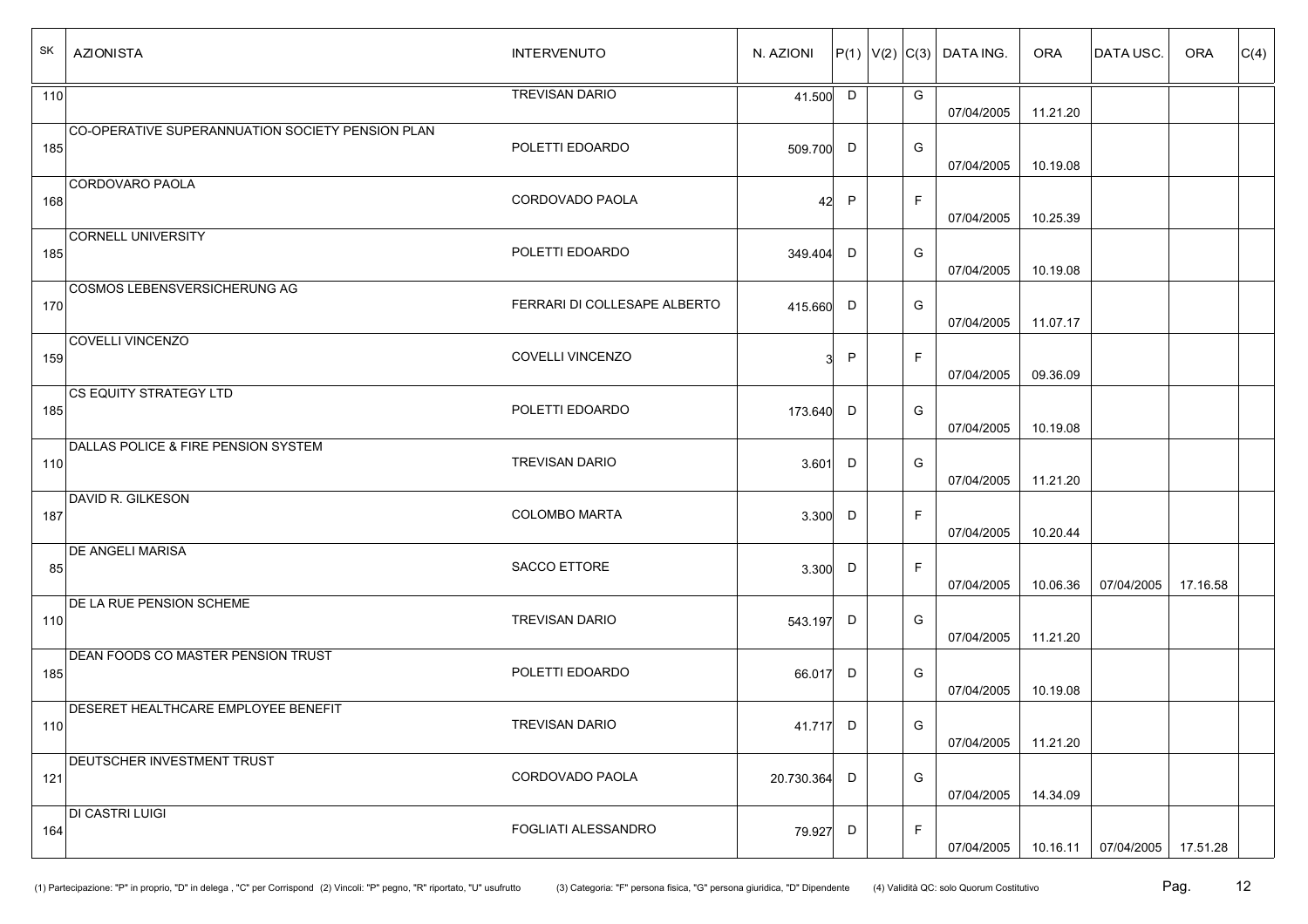| SK  | <b>AZIONISTA</b>                                 | <b>INTERVENUTO</b>           | N. AZIONI  |              |             | $ P(1) V(2) C(3) $ DATA ING. | <b>ORA</b> | <b>DATAUSC.</b> | ORA      | C(4) |
|-----|--------------------------------------------------|------------------------------|------------|--------------|-------------|------------------------------|------------|-----------------|----------|------|
| 110 |                                                  | <b>TREVISAN DARIO</b>        | 41.500 D   |              | G           | 07/04/2005                   | 11.21.20   |                 |          |      |
| 185 | CO-OPERATIVE SUPERANNUATION SOCIETY PENSION PLAN | POLETTI EDOARDO              | 509.700 D  |              | G           | 07/04/2005                   | 10.19.08   |                 |          |      |
| 168 | CORDOVARO PAOLA                                  | CORDOVADO PAOLA              | 42         | $\mathsf{P}$ | F           | 07/04/2005                   | 10.25.39   |                 |          |      |
| 185 | <b>CORNELL UNIVERSITY</b>                        | POLETTI EDOARDO              | 349.404    | D            | G           | 07/04/2005                   | 10.19.08   |                 |          |      |
| 170 | COSMOS LEBENSVERSICHERUNG AG                     | FERRARI DI COLLESAPE ALBERTO | 415.660    | D            | G           | 07/04/2005                   | 11.07.17   |                 |          |      |
| 159 | <b>COVELLI VINCENZO</b>                          | COVELLI VINCENZO             | 31         | P            | $\mathsf F$ | 07/04/2005                   | 09.36.09   |                 |          |      |
| 185 | CS EQUITY STRATEGY LTD                           | POLETTI EDOARDO              | 173.640    | D            | G           | 07/04/2005                   | 10.19.08   |                 |          |      |
| 110 | DALLAS POLICE & FIRE PENSION SYSTEM              | <b>TREVISAN DARIO</b>        | 3.601      | D            | G           | 07/04/2005                   | 11.21.20   |                 |          |      |
| 187 | DAVID R. GILKESON                                | <b>COLOMBO MARTA</b>         | 3.300      | D            | $\mathsf F$ | 07/04/2005                   | 10.20.44   |                 |          |      |
| 85  | <b>DE ANGELI MARISA</b>                          | SACCO ETTORE                 | 3.300      | D            | F           | 07/04/2005                   | 10.06.36   | 07/04/2005      | 17.16.58 |      |
| 110 | <b>DE LA RUE PENSION SCHEME</b>                  | <b>TREVISAN DARIO</b>        | 543.197    | D            | G           | 07/04/2005                   | 11.21.20   |                 |          |      |
| 185 | <b>DEAN FOODS CO MASTER PENSION TRUST</b>        | POLETTI EDOARDO              | 66.017     | D            | G           | 07/04/2005                   | 10.19.08   |                 |          |      |
| 110 | <b>DESERET HEALTHCARE EMPLOYEE BENEFIT</b>       | TREVISAN DARIO               | 41.717 D   |              | G           | 07/04/2005                   | 11.21.20   |                 |          |      |
| 121 | <b>DEUTSCHER INVESTMENT TRUST</b>                | CORDOVADO PAOLA              | 20.730.364 | D            | G           | 07/04/2005                   | 14.34.09   |                 |          |      |
| 164 | DI CASTRI LUIGI                                  | FOGLIATI ALESSANDRO          | 79.927     | D            | $\mathsf F$ | 07/04/2005                   | 10.16.11   | 07/04/2005      | 17.51.28 |      |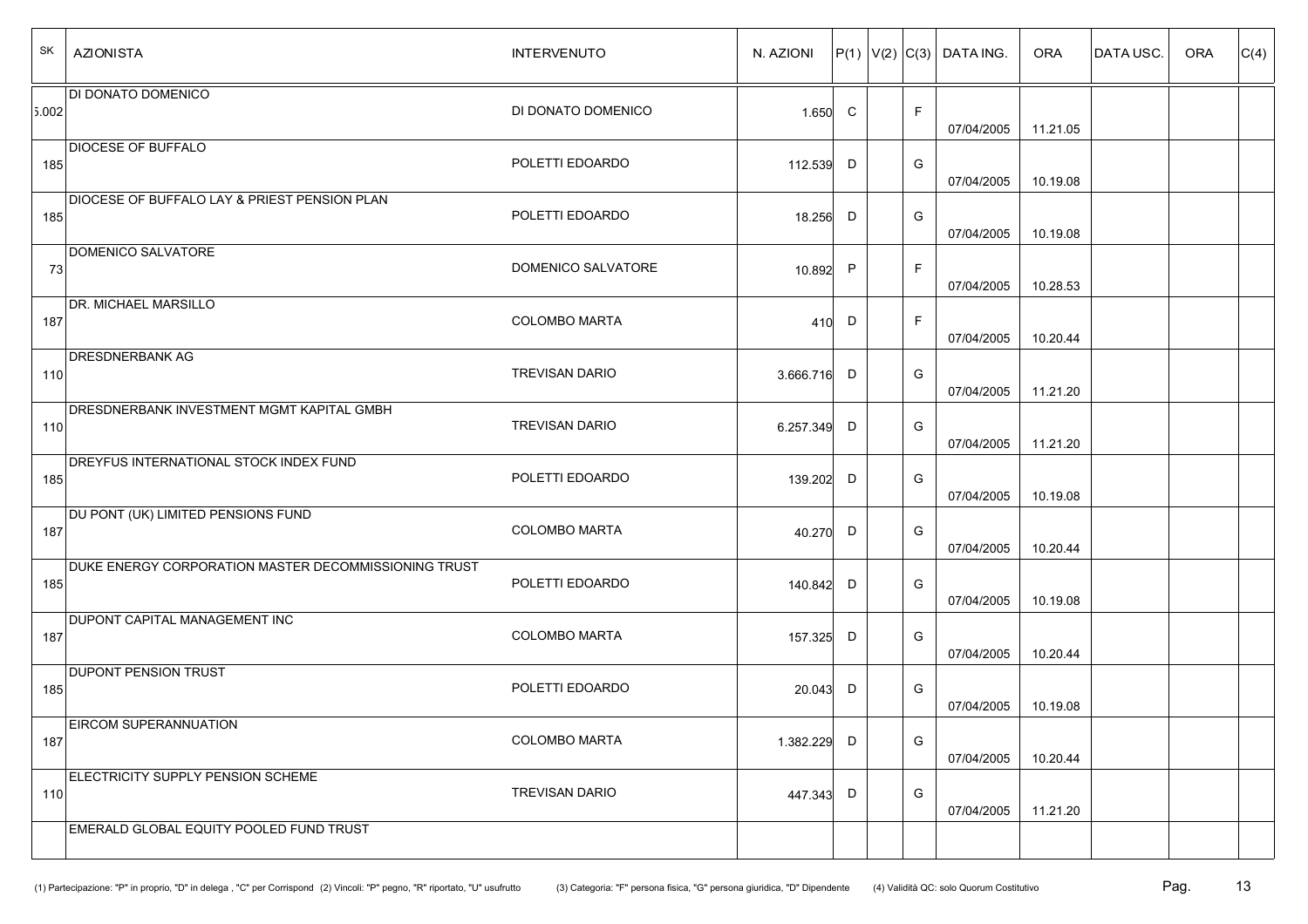| SK    | <b>AZIONISTA</b>                                        | <b>INTERVENUTO</b>    | N. AZIONI   |              |              | $ P(1) V(2) C(3) $ DATA ING. | <b>ORA</b> | <b>DATAUSC.</b> | <b>ORA</b> | C(4) |
|-------|---------------------------------------------------------|-----------------------|-------------|--------------|--------------|------------------------------|------------|-----------------|------------|------|
| 5.002 | <b>DI DONATO DOMENICO</b>                               | DI DONATO DOMENICO    | 1.650       | C            | $\mathsf F$  | 07/04/2005                   | 11.21.05   |                 |            |      |
| 185   | <b>DIOCESE OF BUFFALO</b>                               | POLETTI EDOARDO       | 112.539     | D            | G            | 07/04/2005                   | 10.19.08   |                 |            |      |
| 185   | <b>DIOCESE OF BUFFALO LAY &amp; PRIEST PENSION PLAN</b> | POLETTI EDOARDO       | 18.256      | D            | G            | 07/04/2005                   | 10.19.08   |                 |            |      |
| 73    | DOMENICO SALVATORE                                      | DOMENICO SALVATORE    | 10.892      | $\mathsf{P}$ | $\mathsf{F}$ | 07/04/2005                   | 10.28.53   |                 |            |      |
| 187   | DR. MICHAEL MARSILLO                                    | <b>COLOMBO MARTA</b>  | 410         | D            | F            | 07/04/2005                   | 10.20.44   |                 |            |      |
| 110   | <b>DRESDNERBANK AG</b>                                  | <b>TREVISAN DARIO</b> | 3.666.716   | D            | G            | 07/04/2005                   | 11.21.20   |                 |            |      |
| 110   | <b>DRESDNERBANK INVESTMENT MGMT KAPITAL GMBH</b>        | <b>TREVISAN DARIO</b> | 6.257.349 D |              | G            | 07/04/2005                   | 11.21.20   |                 |            |      |
| 185   | <b>DREYFUS INTERNATIONAL STOCK INDEX FUND</b>           | POLETTI EDOARDO       | 139.202     | D            | G            | 07/04/2005                   | 10.19.08   |                 |            |      |
| 187   | DU PONT (UK) LIMITED PENSIONS FUND                      | <b>COLOMBO MARTA</b>  | 40.270      | D            | G            | 07/04/2005                   | 10.20.44   |                 |            |      |
| 185   | DUKE ENERGY CORPORATION MASTER DECOMMISSIONING TRUST    | POLETTI EDOARDO       | 140.842     | D            | G            | 07/04/2005                   | 10.19.08   |                 |            |      |
| 187   | <b>DUPONT CAPITAL MANAGEMENT INC</b>                    | <b>COLOMBO MARTA</b>  | 157.325     | D            | G            | 07/04/2005                   | 10.20.44   |                 |            |      |
| 185   | <b>DUPONT PENSION TRUST</b>                             | POLETTI EDOARDO       | 20.043      | D            | G            | 07/04/2005                   | 10.19.08   |                 |            |      |
| 187   | <b>EIRCOM SUPERANNUATION</b>                            | <b>COLOMBO MARTA</b>  | 1.382.229   | D            | G            | 07/04/2005                   | 10.20.44   |                 |            |      |
| 110   | <b>ELECTRICITY SUPPLY PENSION SCHEME</b>                | TREVISAN DARIO        | 447.343 D   |              | G            | 07/04/2005                   | 11.21.20   |                 |            |      |
|       | EMERALD GLOBAL EQUITY POOLED FUND TRUST                 |                       |             |              |              |                              |            |                 |            |      |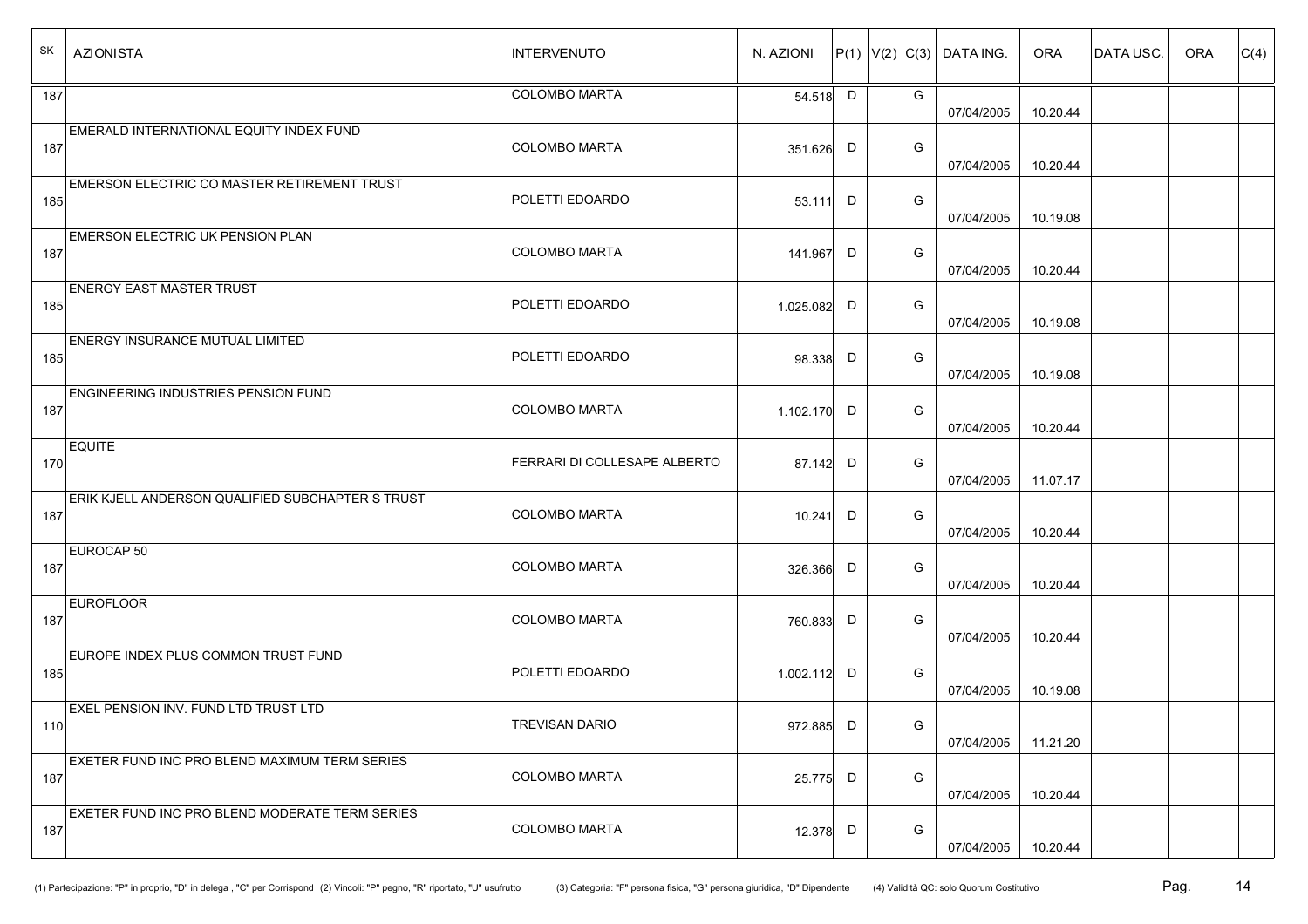| SK<br><b>AZIONISTA</b>                                      | <b>INTERVENUTO</b>           | N. AZIONI |   |   | $ P(1) V(2) C(3) $ DATA ING. | <b>ORA</b> | <b>DATAUSC.</b> | ORA | C(4) |
|-------------------------------------------------------------|------------------------------|-----------|---|---|------------------------------|------------|-----------------|-----|------|
| 187                                                         | <b>COLOMBO MARTA</b>         | 54.518 D  |   | G | 07/04/2005                   | 10.20.44   |                 |     |      |
| EMERALD INTERNATIONAL EQUITY INDEX FUND<br>187              | <b>COLOMBO MARTA</b>         | 351.626 D |   | G | 07/04/2005                   | 10.20.44   |                 |     |      |
| <b>EMERSON ELECTRIC CO MASTER RETIREMENT TRUST</b><br>185   | POLETTI EDOARDO              | 53.111    | D | G | 07/04/2005                   | 10.19.08   |                 |     |      |
| <b>EMERSON ELECTRIC UK PENSION PLAN</b><br>187              | <b>COLOMBO MARTA</b>         | 141.967   | D | G | 07/04/2005                   | 10.20.44   |                 |     |      |
| <b>ENERGY EAST MASTER TRUST</b><br>185                      | POLETTI EDOARDO              | 1.025.082 | D | G | 07/04/2005                   | 10.19.08   |                 |     |      |
| <b>ENERGY INSURANCE MUTUAL LIMITED</b><br>185               | POLETTI EDOARDO              | 98.338    | D | G | 07/04/2005                   | 10.19.08   |                 |     |      |
| <b>ENGINEERING INDUSTRIES PENSION FUND</b><br>187           | <b>COLOMBO MARTA</b>         | 1.102.170 | D | G | 07/04/2005                   | 10.20.44   |                 |     |      |
| <b>EQUITE</b><br>170                                        | FERRARI DI COLLESAPE ALBERTO | 87.142    | D | G | 07/04/2005                   | 11.07.17   |                 |     |      |
| ERIK KJELL ANDERSON QUALIFIED SUBCHAPTER S TRUST<br>187     | <b>COLOMBO MARTA</b>         | 10.241    | D | G | 07/04/2005                   | 10.20.44   |                 |     |      |
| EUROCAP <sub>50</sub><br>187                                | <b>COLOMBO MARTA</b>         | 326.366   | D | G | 07/04/2005                   | 10.20.44   |                 |     |      |
| <b>EUROFLOOR</b><br>187                                     | <b>COLOMBO MARTA</b>         | 760.833   | D | G | 07/04/2005                   | 10.20.44   |                 |     |      |
| EUROPE INDEX PLUS COMMON TRUST FUND<br>185                  | POLETTI EDOARDO              | 1.002.112 | D | G | 07/04/2005                   | 10.19.08   |                 |     |      |
| <b>EXEL PENSION INV. FUND LTD TRUST LTD</b><br>110          | TREVISAN DARIO               | 972.885 D |   | G | 07/04/2005                   | 11.21.20   |                 |     |      |
| <b>EXETER FUND INC PRO BLEND MAXIMUM TERM SERIES</b><br>187 | <b>COLOMBO MARTA</b>         | 25.775 D  |   | G | 07/04/2005                   | 10.20.44   |                 |     |      |
| EXETER FUND INC PRO BLEND MODERATE TERM SERIES<br>187       | <b>COLOMBO MARTA</b>         | 12.378 D  |   | G | 07/04/2005                   | 10.20.44   |                 |     |      |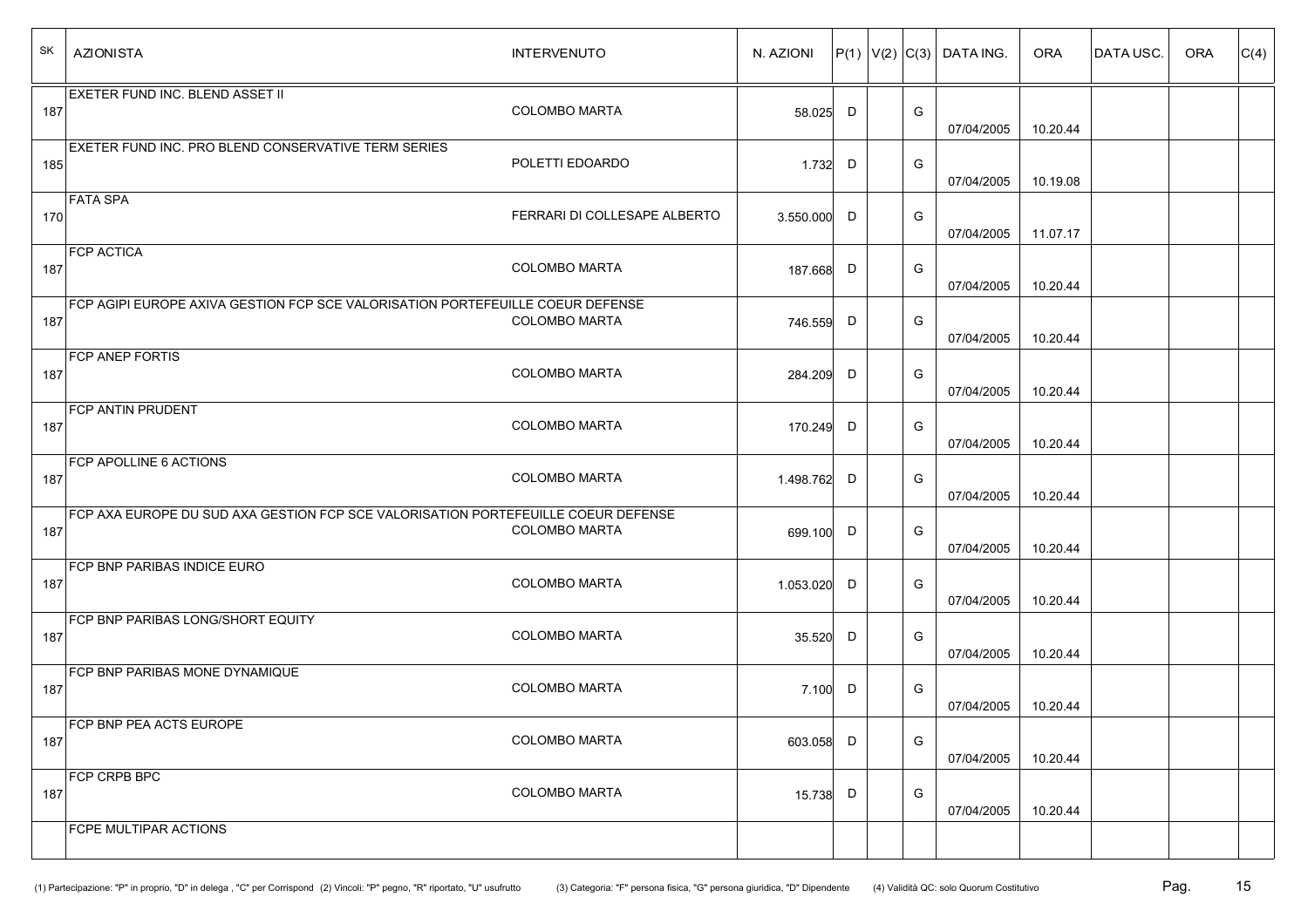| SK  | <b>AZIONISTA</b>                                                                  | <b>INTERVENUTO</b>           | N. AZIONI   |   |   | $ P(1) V(2) C(3) $ DATA ING. | <b>ORA</b> | <b>DATA USC.</b> | ORA | C(4) |
|-----|-----------------------------------------------------------------------------------|------------------------------|-------------|---|---|------------------------------|------------|------------------|-----|------|
| 187 | <b>EXETER FUND INC. BLEND ASSET II</b>                                            | <b>COLOMBO MARTA</b>         | 58.025      | D | G | 07/04/2005                   | 10.20.44   |                  |     |      |
| 185 | <b>EXETER FUND INC. PRO BLEND CONSERVATIVE TERM SERIES</b>                        | POLETTI EDOARDO              | 1.732       | D | G | 07/04/2005                   | 10.19.08   |                  |     |      |
| 170 | <b>FATA SPA</b>                                                                   | FERRARI DI COLLESAPE ALBERTO | 3.550.000   | D | G | 07/04/2005                   | 11.07.17   |                  |     |      |
| 187 | <b>FCP ACTICA</b>                                                                 | <b>COLOMBO MARTA</b>         | 187.668 D   |   | G | 07/04/2005                   | 10.20.44   |                  |     |      |
| 187 | FCP AGIPI EUROPE AXIVA GESTION FCP SCE VALORISATION PORTEFEUILLE COEUR DEFENSE    | <b>COLOMBO MARTA</b>         | 746.559     | D | G | 07/04/2005                   | 10.20.44   |                  |     |      |
| 187 | <b>FCP ANEP FORTIS</b>                                                            | <b>COLOMBO MARTA</b>         | 284.209     | D | G | 07/04/2005                   | 10.20.44   |                  |     |      |
| 187 | <b>FCP ANTIN PRUDENT</b>                                                          | <b>COLOMBO MARTA</b>         | 170.249 D   |   | G | 07/04/2005                   | 10.20.44   |                  |     |      |
| 187 | <b>FCP APOLLINE 6 ACTIONS</b>                                                     | <b>COLOMBO MARTA</b>         | 1.498.762 D |   | G | 07/04/2005                   | 10.20.44   |                  |     |      |
| 187 | FCP AXA EUROPE DU SUD AXA GESTION FCP SCE VALORISATION PORTEFEUILLE COEUR DEFENSE | <b>COLOMBO MARTA</b>         | 699.100     | D | G | 07/04/2005                   | 10.20.44   |                  |     |      |
| 187 | <b>FCP BNP PARIBAS INDICE EURO</b>                                                | <b>COLOMBO MARTA</b>         | 1.053.020   | D | G | 07/04/2005                   | 10.20.44   |                  |     |      |
| 187 | <b>FCP BNP PARIBAS LONG/SHORT EQUITY</b>                                          | <b>COLOMBO MARTA</b>         | 35.520      | D | G | 07/04/2005                   | 10.20.44   |                  |     |      |
| 187 | <b>FCP BNP PARIBAS MONE DYNAMIQUE</b>                                             | <b>COLOMBO MARTA</b>         | 7.100       | D | G | 07/04/2005                   | 10.20.44   |                  |     |      |
| 187 | FCP BNP PEA ACTS EUROPE                                                           | COLOMBO MARTA                | 603.058     | D | G | 07/04/2005                   | 10.20.44   |                  |     |      |
| 187 | FCP CRPB BPC                                                                      | <b>COLOMBO MARTA</b>         | 15.738 D    |   | G | 07/04/2005                   | 10.20.44   |                  |     |      |
|     | <b>FCPE MULTIPAR ACTIONS</b>                                                      |                              |             |   |   |                              |            |                  |     |      |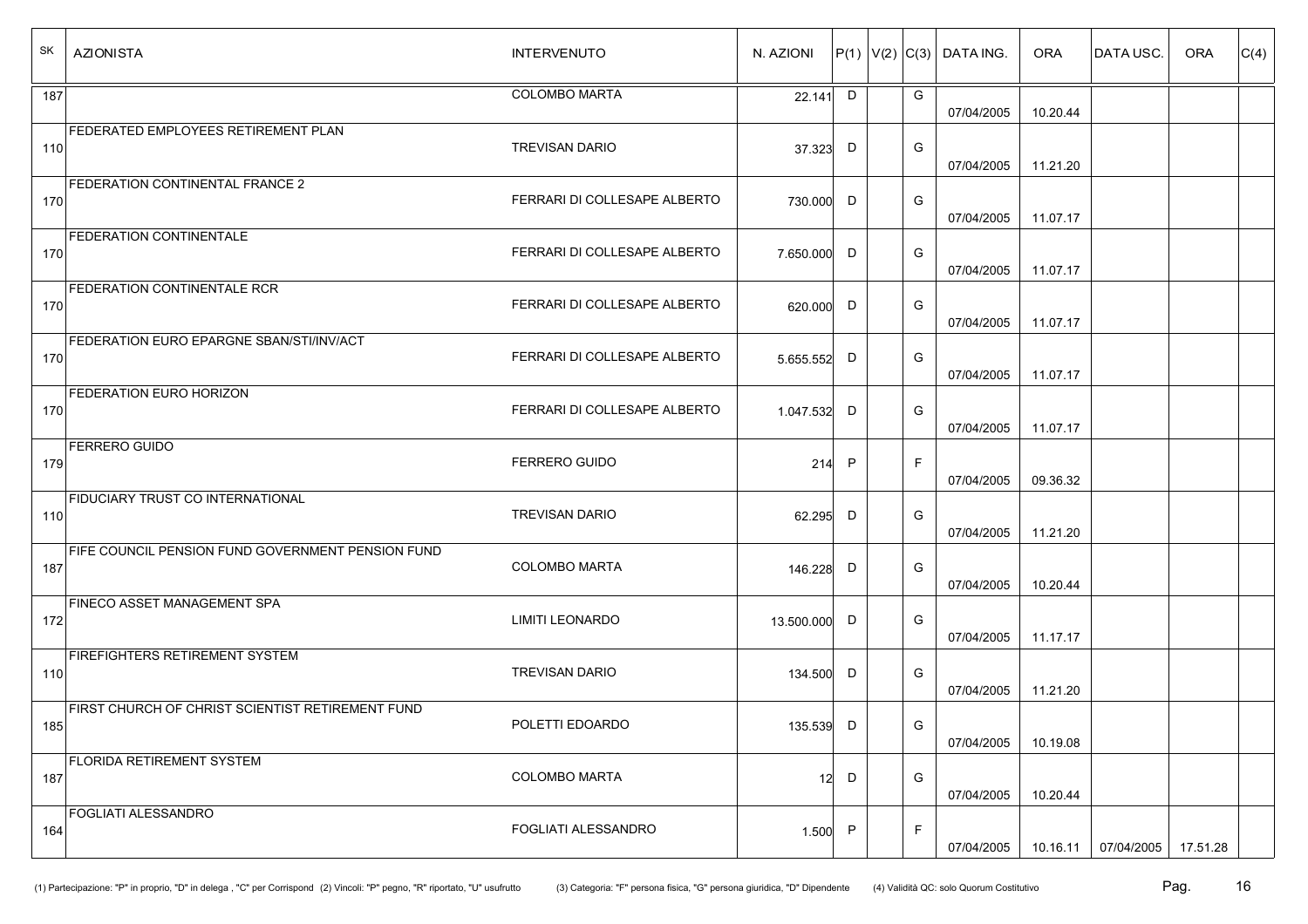| SK  | <b>AZIONISTA</b>                                  | <b>INTERVENUTO</b>           | N. AZIONI    |    |             | $ P(1) V(2) C(3) $ DATA ING. | <b>ORA</b> | DATA USC.  | <b>ORA</b> | C(4) |
|-----|---------------------------------------------------|------------------------------|--------------|----|-------------|------------------------------|------------|------------|------------|------|
| 187 |                                                   | <b>COLOMBO MARTA</b>         | 22.141       | D  | G           | 07/04/2005                   | 10.20.44   |            |            |      |
| 110 | FEDERATED EMPLOYEES RETIREMENT PLAN               | <b>TREVISAN DARIO</b>        | 37.323       | D  | G           | 07/04/2005                   | 11.21.20   |            |            |      |
| 170 | <b>FEDERATION CONTINENTAL FRANCE 2</b>            | FERRARI DI COLLESAPE ALBERTO | 730.000 D    |    | G           | 07/04/2005                   | 11.07.17   |            |            |      |
| 170 | <b>FEDERATION CONTINENTALE</b>                    | FERRARI DI COLLESAPE ALBERTO | 7.650.000    | D  | G           | 07/04/2005                   | 11.07.17   |            |            |      |
| 170 | <b>FEDERATION CONTINENTALE RCR</b>                | FERRARI DI COLLESAPE ALBERTO | 620.000 D    |    | G           | 07/04/2005                   | 11.07.17   |            |            |      |
| 170 | FEDERATION EURO EPARGNE SBAN/STI/INV/ACT          | FERRARI DI COLLESAPE ALBERTO | 5.655.552 D  |    | G           | 07/04/2005                   | 11.07.17   |            |            |      |
| 170 | <b>FEDERATION EURO HORIZON</b>                    | FERRARI DI COLLESAPE ALBERTO | 1.047.532 D  |    | G           | 07/04/2005                   | 11.07.17   |            |            |      |
| 179 | <b>FERRERO GUIDO</b>                              | <b>FERRERO GUIDO</b>         | 214          | P  | F           | 07/04/2005                   | 09.36.32   |            |            |      |
| 110 | <b>FIDUCIARY TRUST CO INTERNATIONAL</b>           | <b>TREVISAN DARIO</b>        | 62.295       | D  | G           | 07/04/2005                   | 11.21.20   |            |            |      |
| 187 | FIFE COUNCIL PENSION FUND GOVERNMENT PENSION FUND | <b>COLOMBO MARTA</b>         | 146.228 D    |    | G           | 07/04/2005                   | 10.20.44   |            |            |      |
| 172 | <b>FINECO ASSET MANAGEMENT SPA</b>                | LIMITI LEONARDO              | 13.500.000 D |    | G           | 07/04/2005                   | 11.17.17   |            |            |      |
| 110 | <b>FIREFIGHTERS RETIREMENT SYSTEM</b>             | <b>TREVISAN DARIO</b>        | 134.500 D    |    | G           | 07/04/2005                   | 11.21.20   |            |            |      |
| 185 | FIRST CHURCH OF CHRIST SCIENTIST RETIREMENT FUND  | POLETTI EDOARDO              | 135.539 D    |    | G           | 07/04/2005                   | 10.19.08   |            |            |      |
| 187 | <b>FLORIDA RETIREMENT SYSTEM</b>                  | COLOMBO MARTA                | 12           | D  | G           | 07/04/2005                   | 10.20.44   |            |            |      |
| 164 | <b>FOGLIATI ALESSANDRO</b>                        | FOGLIATI ALESSANDRO          | 1.500        | P. | $\mathsf F$ | 07/04/2005                   | 10.16.11   | 07/04/2005 | 17.51.28   |      |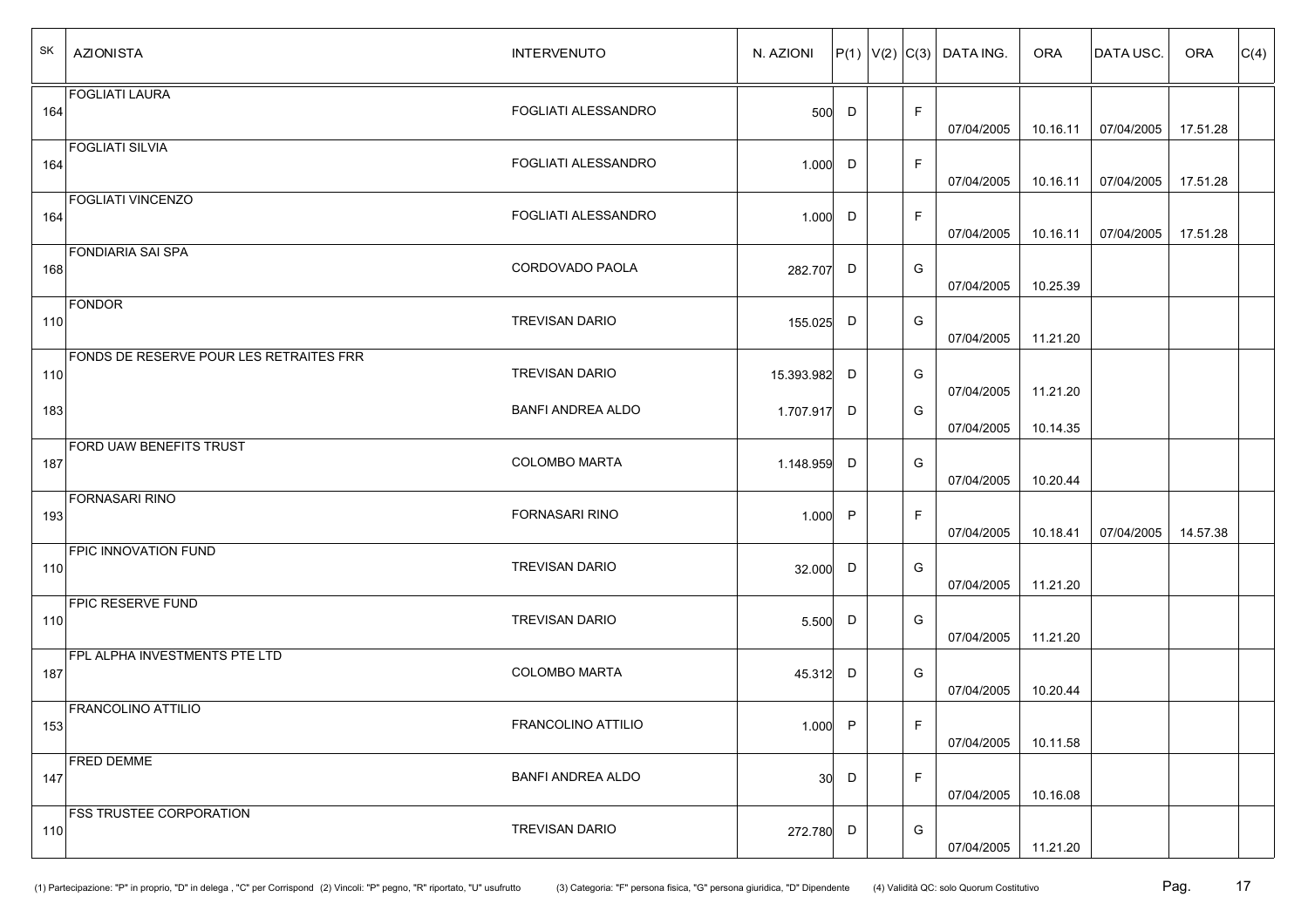| SK  | <b>AZIONISTA</b>                        | <b>INTERVENUTO</b>         | N. AZIONI       |              |    | $ P(1) V(2) C(3) $ DATA ING. | <b>ORA</b> | DATA USC.  | ORA      | C(4) |
|-----|-----------------------------------------|----------------------------|-----------------|--------------|----|------------------------------|------------|------------|----------|------|
| 164 | <b>FOGLIATI LAURA</b>                   | <b>FOGLIATI ALESSANDRO</b> | 500             | D            | F  | 07/04/2005                   | 10.16.11   | 07/04/2005 | 17.51.28 |      |
| 164 | <b>FOGLIATI SILVIA</b>                  | FOGLIATI ALESSANDRO        | $1.000$ D       |              | F  | 07/04/2005                   | 10.16.11   | 07/04/2005 | 17.51.28 |      |
| 164 | <b>FOGLIATI VINCENZO</b>                | <b>FOGLIATI ALESSANDRO</b> | 1.000           | D            | F  | 07/04/2005                   | 10.16.11   | 07/04/2005 | 17.51.28 |      |
| 168 | <b>FONDIARIA SAI SPA</b>                | CORDOVADO PAOLA            | 282.707 D       |              | G  | 07/04/2005                   | 10.25.39   |            |          |      |
| 110 | <b>FONDOR</b>                           | <b>TREVISAN DARIO</b>      | 155.025 D       |              | G  | 07/04/2005                   | 11.21.20   |            |          |      |
| 110 | FONDS DE RESERVE POUR LES RETRAITES FRR | <b>TREVISAN DARIO</b>      | 15.393.982 D    |              | G  | 07/04/2005                   | 11.21.20   |            |          |      |
| 183 |                                         | BANFI ANDREA ALDO          | 1.707.917       | D            | G  | 07/04/2005                   | 10.14.35   |            |          |      |
| 187 | FORD UAW BENEFITS TRUST                 | <b>COLOMBO MARTA</b>       | 1.148.959       | D            | G  | 07/04/2005                   | 10.20.44   |            |          |      |
| 193 | <b>FORNASARI RINO</b>                   | FORNASARI RINO             | 1.000           | $\mathsf{P}$ | F  | 07/04/2005                   | 10.18.41   | 07/04/2005 | 14.57.38 |      |
| 110 | <b>FPIC INNOVATION FUND</b>             | <b>TREVISAN DARIO</b>      | 32.000 D        |              | G  | 07/04/2005                   | 11.21.20   |            |          |      |
| 110 | <b>FPIC RESERVE FUND</b>                | <b>TREVISAN DARIO</b>      | 5.500 D         |              | G  | 07/04/2005                   | 11.21.20   |            |          |      |
| 187 | FPL ALPHA INVESTMENTS PTE LTD           | <b>COLOMBO MARTA</b>       | 45.312 D        |              | G  | 07/04/2005                   | 10.20.44   |            |          |      |
| 153 | <b>FRANCOLINO ATTILIO</b>               | FRANCOLINO ATTILIO         | $1.000$ P       |              | F. | 07/04/2005                   | 10.11.58   |            |          |      |
| 147 | <b>FRED DEMME</b>                       | BANFI ANDREA ALDO          | 30 <sup>°</sup> | D            | F  | 07/04/2005                   | 10.16.08   |            |          |      |
| 110 | <b>FSS TRUSTEE CORPORATION</b>          | <b>TREVISAN DARIO</b>      | 272.780 D       |              | G  | 07/04/2005                   | 11.21.20   |            |          |      |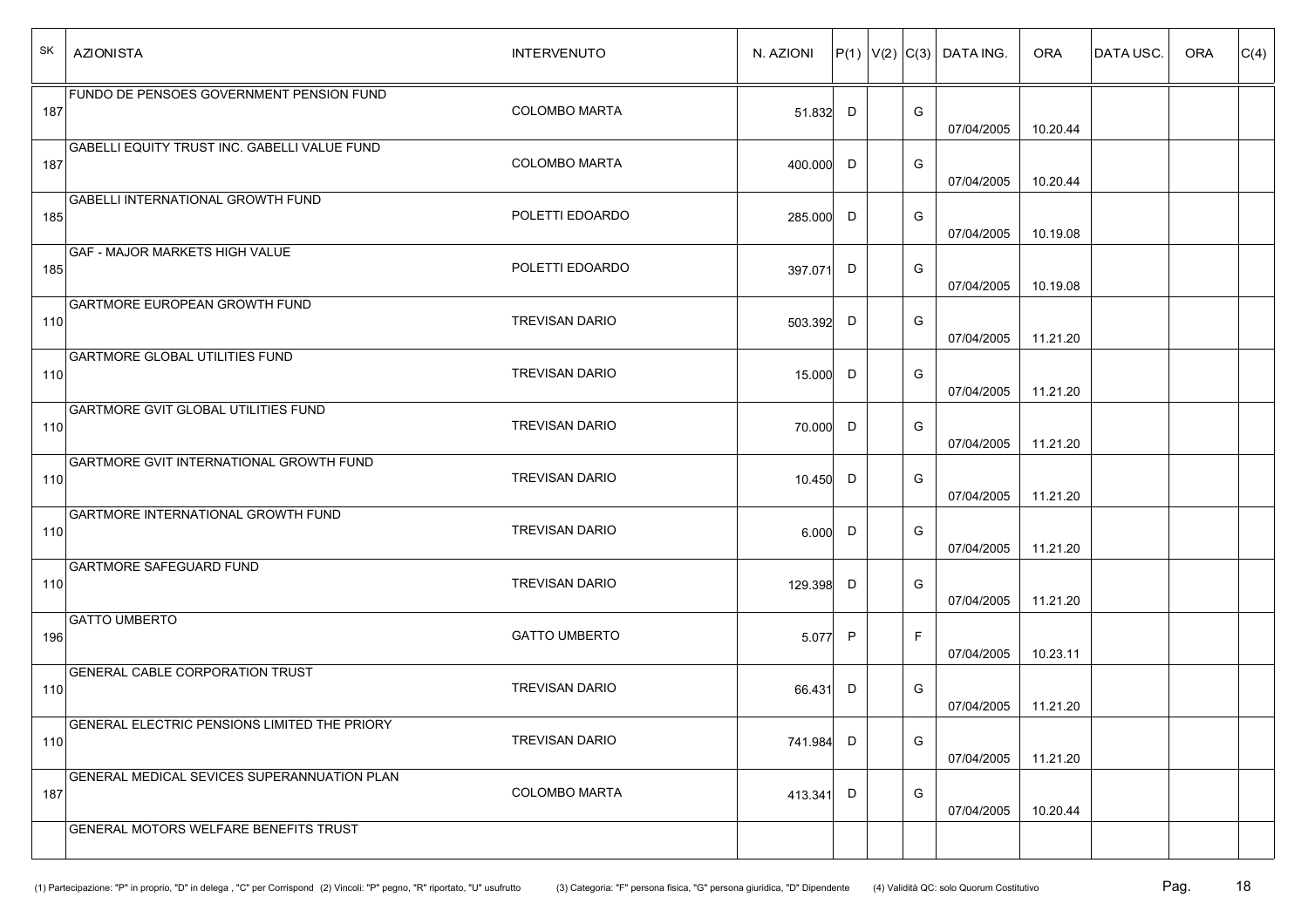| SK  | <b>AZIONISTA</b>                               | <b>INTERVENUTO</b>    | N. AZIONI  |              |   | $ P(1) V(2) C(3) $ DATA ING. | <b>ORA</b> | <b>DATAUSC.</b> | ORA | C(4) |
|-----|------------------------------------------------|-----------------------|------------|--------------|---|------------------------------|------------|-----------------|-----|------|
| 187 | FUNDO DE PENSOES GOVERNMENT PENSION FUND       | <b>COLOMBO MARTA</b>  | 51.832 D   |              | G | 07/04/2005                   | 10.20.44   |                 |     |      |
| 187 | GABELLI EQUITY TRUST INC. GABELLI VALUE FUND   | <b>COLOMBO MARTA</b>  | 400.000 D  |              | G | 07/04/2005                   | 10.20.44   |                 |     |      |
| 185 | <b>GABELLI INTERNATIONAL GROWTH FUND</b>       | POLETTI EDOARDO       | 285.000    | D            | G | 07/04/2005                   | 10.19.08   |                 |     |      |
| 185 | <b>GAF - MAJOR MARKETS HIGH VALUE</b>          | POLETTI EDOARDO       | 397.071    | D            | G | 07/04/2005                   | 10.19.08   |                 |     |      |
| 110 | <b>GARTMORE EUROPEAN GROWTH FUND</b>           | <b>TREVISAN DARIO</b> | 503.392 D  |              | G | 07/04/2005                   | 11.21.20   |                 |     |      |
| 110 | <b>GARTMORE GLOBAL UTILITIES FUND</b>          | <b>TREVISAN DARIO</b> | 15.000     | D            | G | 07/04/2005                   | 11.21.20   |                 |     |      |
| 110 | <b>GARTMORE GVIT GLOBAL UTILITIES FUND</b>     | <b>TREVISAN DARIO</b> | 70.000 D   |              | G | 07/04/2005                   | 11.21.20   |                 |     |      |
| 110 | <b>GARTMORE GVIT INTERNATIONAL GROWTH FUND</b> | <b>TREVISAN DARIO</b> | $10.450$ D |              | G | 07/04/2005                   | 11.21.20   |                 |     |      |
| 110 | <b>GARTMORE INTERNATIONAL GROWTH FUND</b>      | <b>TREVISAN DARIO</b> | 6.000 D    |              | G | 07/04/2005                   | 11.21.20   |                 |     |      |
| 110 | <b>GARTMORE SAFEGUARD FUND</b>                 | <b>TREVISAN DARIO</b> | 129.398    | D            | G | 07/04/2005                   | 11.21.20   |                 |     |      |
| 196 | <b>GATTO UMBERTO</b>                           | <b>GATTO UMBERTO</b>  | 5.077      | $\mathsf{P}$ | F | 07/04/2005                   | 10.23.11   |                 |     |      |
| 110 | <b>GENERAL CABLE CORPORATION TRUST</b>         | <b>TREVISAN DARIO</b> | 66.431 D   |              | G | 07/04/2005                   | 11.21.20   |                 |     |      |
| 110 | GENERAL ELECTRIC PENSIONS LIMITED THE PRIORY   | TREVISAN DARIO        | 741.984    | D            | G | 07/04/2005                   | 11.21.20   |                 |     |      |
| 187 | GENERAL MEDICAL SEVICES SUPERANNUATION PLAN    | <b>COLOMBO MARTA</b>  | 413.341 D  |              | G | 07/04/2005                   | 10.20.44   |                 |     |      |
|     | GENERAL MOTORS WELFARE BENEFITS TRUST          |                       |            |              |   |                              |            |                 |     |      |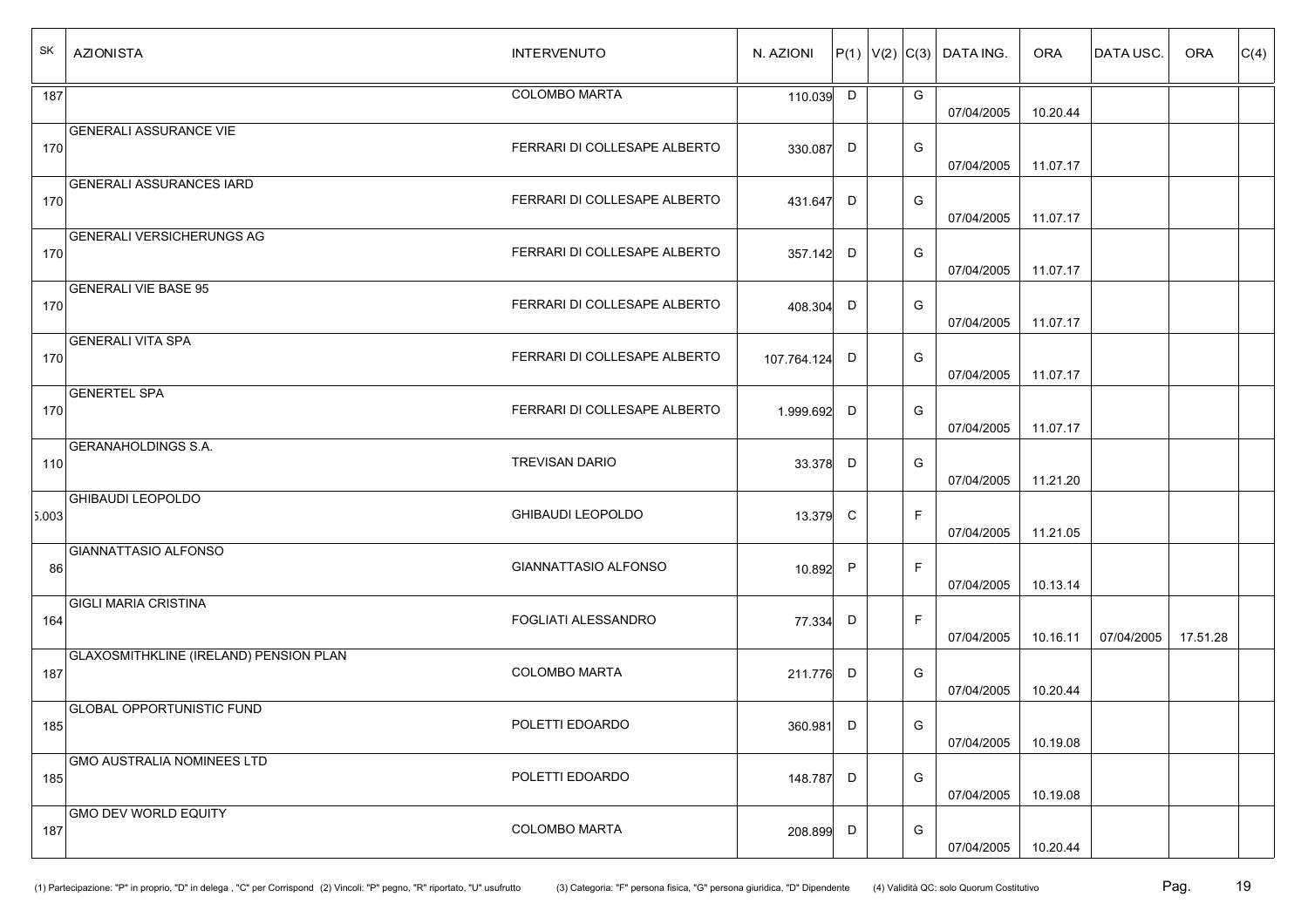| SK    | <b>AZIONISTA</b>                       | <b>INTERVENUTO</b>           | N. AZIONI   |              |              | $ P(1) V(2) C(3) $ DATA ING. | <b>ORA</b> | DATA USC.  | ORA      | C(4) |
|-------|----------------------------------------|------------------------------|-------------|--------------|--------------|------------------------------|------------|------------|----------|------|
| 187   |                                        | COLOMBO MARTA                | 110.039 D   |              | G            | 07/04/2005                   | 10.20.44   |            |          |      |
| 170   | <b>GENERALI ASSURANCE VIE</b>          | FERRARI DI COLLESAPE ALBERTO | 330.087     | D            | G            | 07/04/2005                   | 11.07.17   |            |          |      |
| 170   | <b>GENERALI ASSURANCES IARD</b>        | FERRARI DI COLLESAPE ALBERTO | 431.647     | D            | G            | 07/04/2005                   | 11.07.17   |            |          |      |
| 170   | <b>GENERALI VERSICHERUNGS AG</b>       | FERRARI DI COLLESAPE ALBERTO | 357.142     | D            | G            | 07/04/2005                   | 11.07.17   |            |          |      |
| 170   | <b>GENERALI VIE BASE 95</b>            | FERRARI DI COLLESAPE ALBERTO | 408.304 D   |              | G            | 07/04/2005                   | 11.07.17   |            |          |      |
| 170   | <b>GENERALI VITA SPA</b>               | FERRARI DI COLLESAPE ALBERTO | 107.764.124 | D            | G            | 07/04/2005                   | 11.07.17   |            |          |      |
| 170   | <b>GENERTEL SPA</b>                    | FERRARI DI COLLESAPE ALBERTO | 1.999.692   | D            | G            | 07/04/2005                   | 11.07.17   |            |          |      |
| 110   | <b>GERANAHOLDINGS S.A.</b>             | <b>TREVISAN DARIO</b>        | 33.378 D    |              | G            | 07/04/2005                   | 11.21.20   |            |          |      |
| 5.003 | <b>GHIBAUDI LEOPOLDO</b>               | <b>GHIBAUDI LEOPOLDO</b>     | 13.379 C    |              | $\mathsf{F}$ | 07/04/2005                   | 11.21.05   |            |          |      |
| 86    | <b>GIANNATTASIO ALFONSO</b>            | <b>GIANNATTASIO ALFONSO</b>  | 10.892      | $\mathsf{P}$ | F            | 07/04/2005                   | 10.13.14   |            |          |      |
| 164   | <b>GIGLI MARIA CRISTINA</b>            | FOGLIATI ALESSANDRO          | 77.334      | D            | E            | 07/04/2005                   | 10.16.11   | 07/04/2005 | 17.51.28 |      |
| 187   | GLAXOSMITHKLINE (IRELAND) PENSION PLAN | <b>COLOMBO MARTA</b>         | 211.776 D   |              | G            | 07/04/2005                   | 10.20.44   |            |          |      |
| 185   | <b>GLOBAL OPPORTUNISTIC FUND</b>       | POLETTI EDOARDO              | 360.981 D   |              | G            | 07/04/2005                   | 10.19.08   |            |          |      |
| 185   | <b>GMO AUSTRALIA NOMINEES LTD</b>      | POLETTI EDOARDO              | 148.787     | $\Box$       | G            | 07/04/2005                   | 10.19.08   |            |          |      |
| 187   | <b>GMO DEV WORLD EQUITY</b>            | COLOMBO MARTA                | 208.899 D   |              | G            | 07/04/2005                   | 10.20.44   |            |          |      |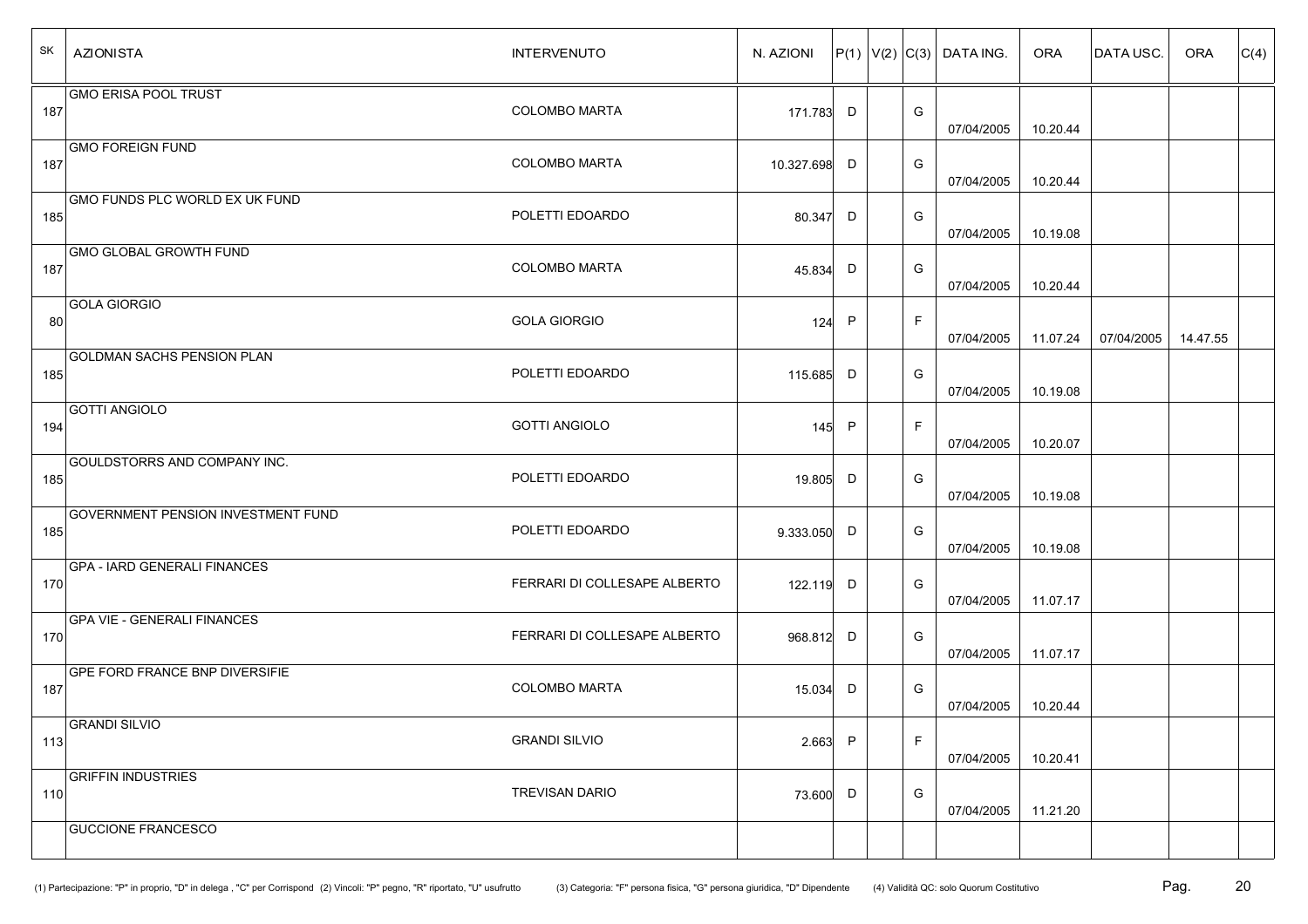| SK  | <b>AZIONISTA</b>                          | <b>INTERVENUTO</b>           | N. AZIONI    |              |   | $ P(1) V(2) C(3) $ DATA ING. | <b>ORA</b> | <b>DATA USC.</b> | <b>ORA</b> | C(4) |
|-----|-------------------------------------------|------------------------------|--------------|--------------|---|------------------------------|------------|------------------|------------|------|
| 187 | <b>GMO ERISA POOL TRUST</b>               | <b>COLOMBO MARTA</b>         | 171.783 D    |              | G | 07/04/2005                   | 10.20.44   |                  |            |      |
| 187 | <b>GMO FOREIGN FUND</b>                   | <b>COLOMBO MARTA</b>         | 10.327.698 D |              | G | 07/04/2005                   | 10.20.44   |                  |            |      |
| 185 | GMO FUNDS PLC WORLD EX UK FUND            | POLETTI EDOARDO              | 80.347       | D            | G | 07/04/2005                   | 10.19.08   |                  |            |      |
| 187 | <b>GMO GLOBAL GROWTH FUND</b>             | <b>COLOMBO MARTA</b>         | 45.834 D     |              | G | 07/04/2005                   | 10.20.44   |                  |            |      |
| 80  | <b>GOLA GIORGIO</b>                       | <b>GOLA GIORGIO</b>          | 124          | $\mathsf{P}$ | F | 07/04/2005                   | 11.07.24   | 07/04/2005       | 14.47.55   |      |
| 185 | <b>GOLDMAN SACHS PENSION PLAN</b>         | POLETTI EDOARDO              | 115.685 D    |              | G | 07/04/2005                   | 10.19.08   |                  |            |      |
| 194 | <b>GOTTI ANGIOLO</b>                      | <b>GOTTI ANGIOLO</b>         | 145          | $\mathsf{P}$ | F | 07/04/2005                   | 10.20.07   |                  |            |      |
| 185 | GOULDSTORRS AND COMPANY INC.              | POLETTI EDOARDO              | 19.805 D     |              | G | 07/04/2005                   | 10.19.08   |                  |            |      |
| 185 | <b>GOVERNMENT PENSION INVESTMENT FUND</b> | POLETTI EDOARDO              | 9.333.050 D  |              | G | 07/04/2005                   | 10.19.08   |                  |            |      |
| 170 | <b>GPA - IARD GENERALI FINANCES</b>       | FERRARI DI COLLESAPE ALBERTO | 122.119 D    |              | G | 07/04/2005                   | 11.07.17   |                  |            |      |
| 170 | <b>GPA VIE - GENERALI FINANCES</b>        | FERRARI DI COLLESAPE ALBERTO | 968.812 D    |              | G | 07/04/2005                   | 11.07.17   |                  |            |      |
| 187 | <b>GPE FORD FRANCE BNP DIVERSIFIE</b>     | <b>COLOMBO MARTA</b>         | 15.034 D     |              | G | 07/04/2005                   | 10.20.44   |                  |            |      |
| 113 | <b>GRANDI SILVIO</b>                      | <b>GRANDI SILVIO</b>         | $2.663$ P    |              | F | 07/04/2005                   | 10.20.41   |                  |            |      |
| 110 | <b>GRIFFIN INDUSTRIES</b>                 | <b>TREVISAN DARIO</b>        | 73.600 D     |              | G | 07/04/2005                   | 11.21.20   |                  |            |      |
|     | <b>GUCCIONE FRANCESCO</b>                 |                              |              |              |   |                              |            |                  |            |      |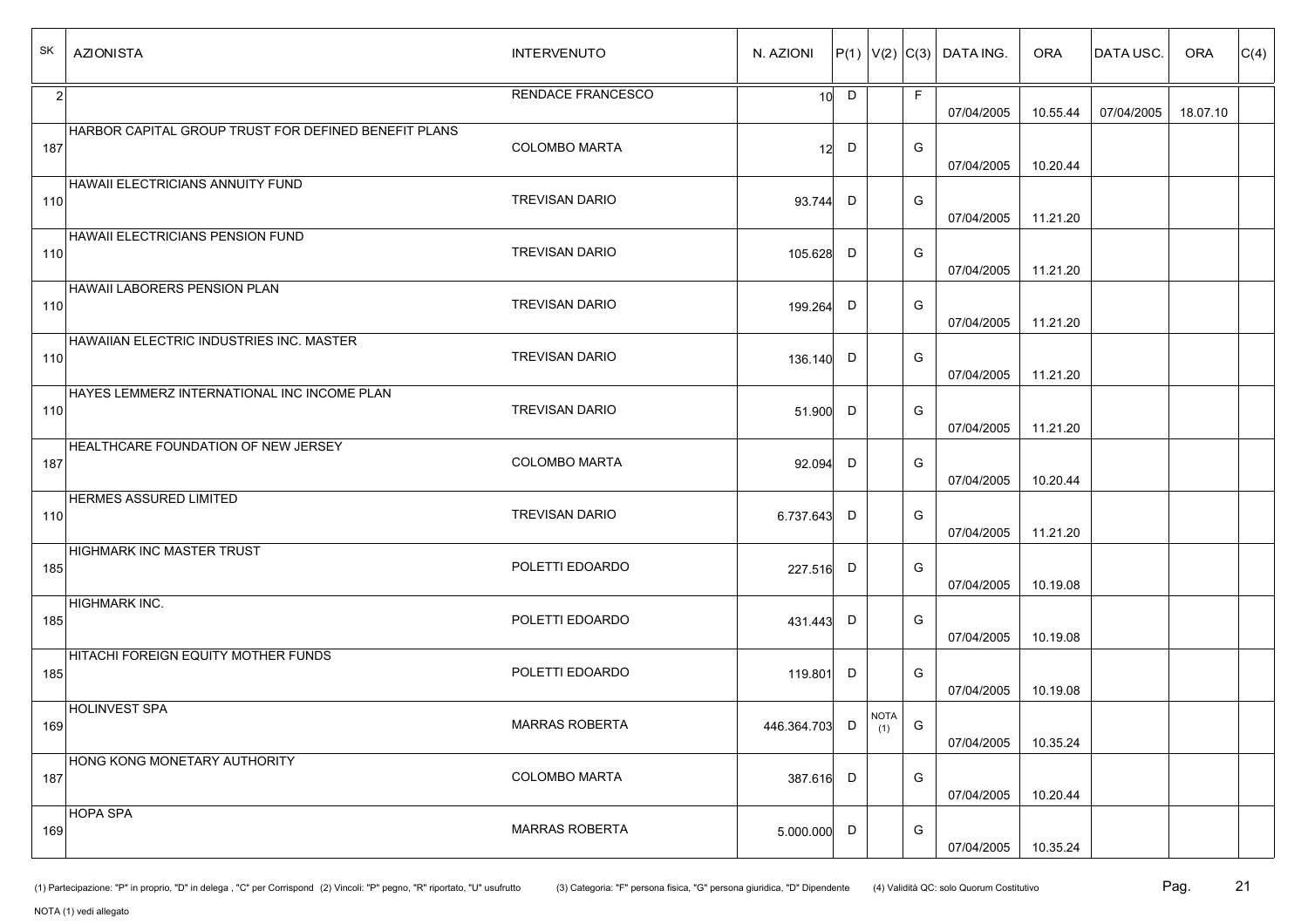| SK             | <b>AZIONISTA</b>                                     | <b>INTERVENUTO</b>    | N. AZIONI           |   |                       | $ P(1) V(2) C(3) $ DATA ING. | <b>ORA</b> | <b>DATAUSC.</b> | ORA      | C(4) |
|----------------|------------------------------------------------------|-----------------------|---------------------|---|-----------------------|------------------------------|------------|-----------------|----------|------|
| $\overline{2}$ |                                                      | RENDACE FRANCESCO     | 10 <sup>1</sup>     | D | $\mathsf F$           | 07/04/2005                   | 10.55.44   | 07/04/2005      | 18.07.10 |      |
| 187            | HARBOR CAPITAL GROUP TRUST FOR DEFINED BENEFIT PLANS | <b>COLOMBO MARTA</b>  | 12                  | D | G                     | 07/04/2005                   | 10.20.44   |                 |          |      |
| 110            | HAWAII ELECTRICIANS ANNUITY FUND                     | <b>TREVISAN DARIO</b> | 93.744              | D | G                     | 07/04/2005                   | 11.21.20   |                 |          |      |
| 110            | <b>HAWAII ELECTRICIANS PENSION FUND</b>              | <b>TREVISAN DARIO</b> | 105.628             | D | G                     | 07/04/2005                   | 11.21.20   |                 |          |      |
| 110            | HAWAII LABORERS PENSION PLAN                         | <b>TREVISAN DARIO</b> | 199.264             | D | G                     | 07/04/2005                   | 11.21.20   |                 |          |      |
| 110            | HAWAIIAN ELECTRIC INDUSTRIES INC. MASTER             | <b>TREVISAN DARIO</b> | 136.140             | D | G                     | 07/04/2005                   | 11.21.20   |                 |          |      |
| 110            | HAYES LEMMERZ INTERNATIONAL INC INCOME PLAN          | <b>TREVISAN DARIO</b> | 51.900              | D | G                     | 07/04/2005                   | 11.21.20   |                 |          |      |
| 187            | <b>HEALTHCARE FOUNDATION OF NEW JERSEY</b>           | <b>COLOMBO MARTA</b>  | 92.094              | D | G                     | 07/04/2005                   | 10.20.44   |                 |          |      |
| 110            | <b>HERMES ASSURED LIMITED</b>                        | <b>TREVISAN DARIO</b> | 6.737.643           | D | G                     | 07/04/2005                   | 11.21.20   |                 |          |      |
| 185            | <b>HIGHMARK INC MASTER TRUST</b>                     | POLETTI EDOARDO       | 227.516             | D | G                     | 07/04/2005                   | 10.19.08   |                 |          |      |
| 185            | <b>HIGHMARK INC.</b>                                 | POLETTI EDOARDO       | 431.443             | D | G                     | 07/04/2005                   | 10.19.08   |                 |          |      |
| 185            | HITACHI FOREIGN EQUITY MOTHER FUNDS                  | POLETTI EDOARDO       | 119.801             | D | G                     | 07/04/2005                   | 10.19.08   |                 |          |      |
| 169            | <b>HOLINVEST SPA</b>                                 | <b>MARRAS ROBERTA</b> | 446.364.703 D $(1)$ |   | NOTA<br>${\mathsf G}$ | 07/04/2005                   | 10.35.24   |                 |          |      |
| 187            | HONG KONG MONETARY AUTHORITY                         | COLOMBO MARTA         | 387.616 D           |   | G                     | 07/04/2005                   | 10.20.44   |                 |          |      |
| 169            | <b>HOPA SPA</b>                                      | <b>MARRAS ROBERTA</b> | 5.000.000 D         |   | G                     | 07/04/2005                   | 10.35.24   |                 |          |      |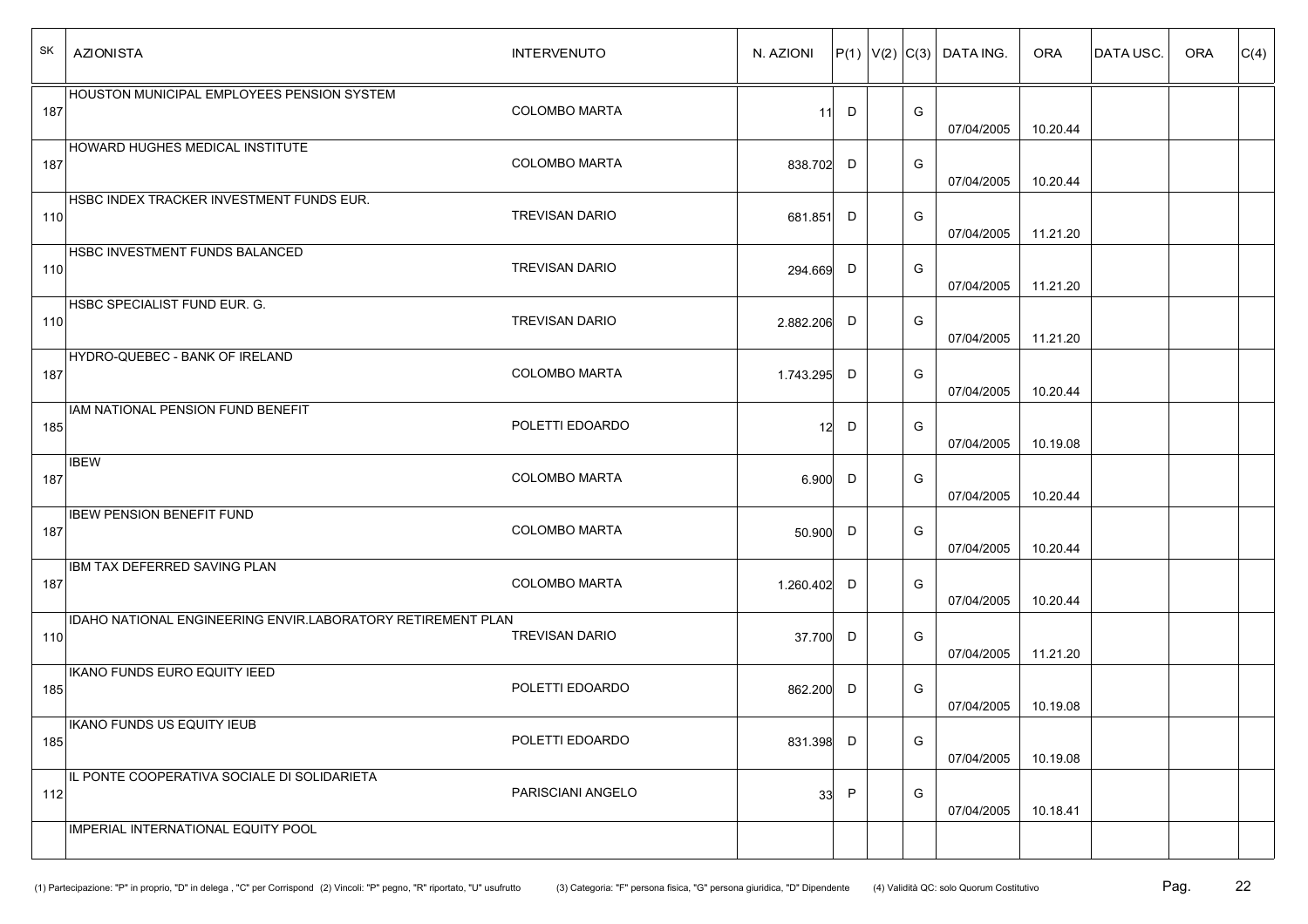| SK. | <b>AZIONISTA</b>                                            | <b>INTERVENUTO</b>    | N. AZIONI       |              |   | $ P(1) V(2) C(3) $ DATA ING. | <b>ORA</b> | <b>DATAUSC.</b> | <b>ORA</b> | C(4) |
|-----|-------------------------------------------------------------|-----------------------|-----------------|--------------|---|------------------------------|------------|-----------------|------------|------|
| 187 | <b>HOUSTON MUNICIPAL EMPLOYEES PENSION SYSTEM</b>           | <b>COLOMBO MARTA</b>  | 11              | D            | G | 07/04/2005                   | 10.20.44   |                 |            |      |
| 187 | HOWARD HUGHES MEDICAL INSTITUTE                             | <b>COLOMBO MARTA</b>  | 838.702         | D            | G | 07/04/2005                   | 10.20.44   |                 |            |      |
| 110 | HSBC INDEX TRACKER INVESTMENT FUNDS EUR.                    | <b>TREVISAN DARIO</b> | 681.851         | D            | G | 07/04/2005                   | 11.21.20   |                 |            |      |
| 110 | <b>HSBC INVESTMENT FUNDS BALANCED</b>                       | <b>TREVISAN DARIO</b> | 294.669         | D            | G | 07/04/2005                   | 11.21.20   |                 |            |      |
| 110 | HSBC SPECIALIST FUND EUR. G.                                | <b>TREVISAN DARIO</b> | 2.882.206       | D            | G | 07/04/2005                   | 11.21.20   |                 |            |      |
| 187 | HYDRO-QUEBEC - BANK OF IRELAND                              | <b>COLOMBO MARTA</b>  | 1.743.295       | D            | G | 07/04/2005                   | 10.20.44   |                 |            |      |
| 185 | IAM NATIONAL PENSION FUND BENEFIT                           | POLETTI EDOARDO       | 12 <sup>°</sup> | D            | G | 07/04/2005                   | 10.19.08   |                 |            |      |
| 187 | <b>IBEW</b>                                                 | <b>COLOMBO MARTA</b>  | 6.900           | D            | G | 07/04/2005                   | 10.20.44   |                 |            |      |
| 187 | <b>IBEW PENSION BENEFIT FUND</b>                            | <b>COLOMBO MARTA</b>  | 50.900          | D            | G | 07/04/2005                   | 10.20.44   |                 |            |      |
| 187 | IBM TAX DEFERRED SAVING PLAN                                | COLOMBO MARTA         | 1.260.402       | D            | G | 07/04/2005                   | 10.20.44   |                 |            |      |
| 110 | IDAHO NATIONAL ENGINEERING ENVIR.LABORATORY RETIREMENT PLAN | <b>TREVISAN DARIO</b> | 37.700 D        |              | G | 07/04/2005                   | 11.21.20   |                 |            |      |
| 185 | IKANO FUNDS EURO EQUITY IEED                                | POLETTI EDOARDO       | 862.200 D       |              | G | 07/04/2005                   | 10.19.08   |                 |            |      |
| 185 | IKANO FUNDS US EQUITY IEUB                                  | POLETTI EDOARDO       | 831.398         | D            | G | 07/04/2005                   | 10.19.08   |                 |            |      |
| 112 | IL PONTE COOPERATIVA SOCIALE DI SOLIDARIETA                 | PARISCIANI ANGELO     | 33              | $\mathsf{P}$ | G | 07/04/2005                   | 10.18.41   |                 |            |      |
|     | IMPERIAL INTERNATIONAL EQUITY POOL                          |                       |                 |              |   |                              |            |                 |            |      |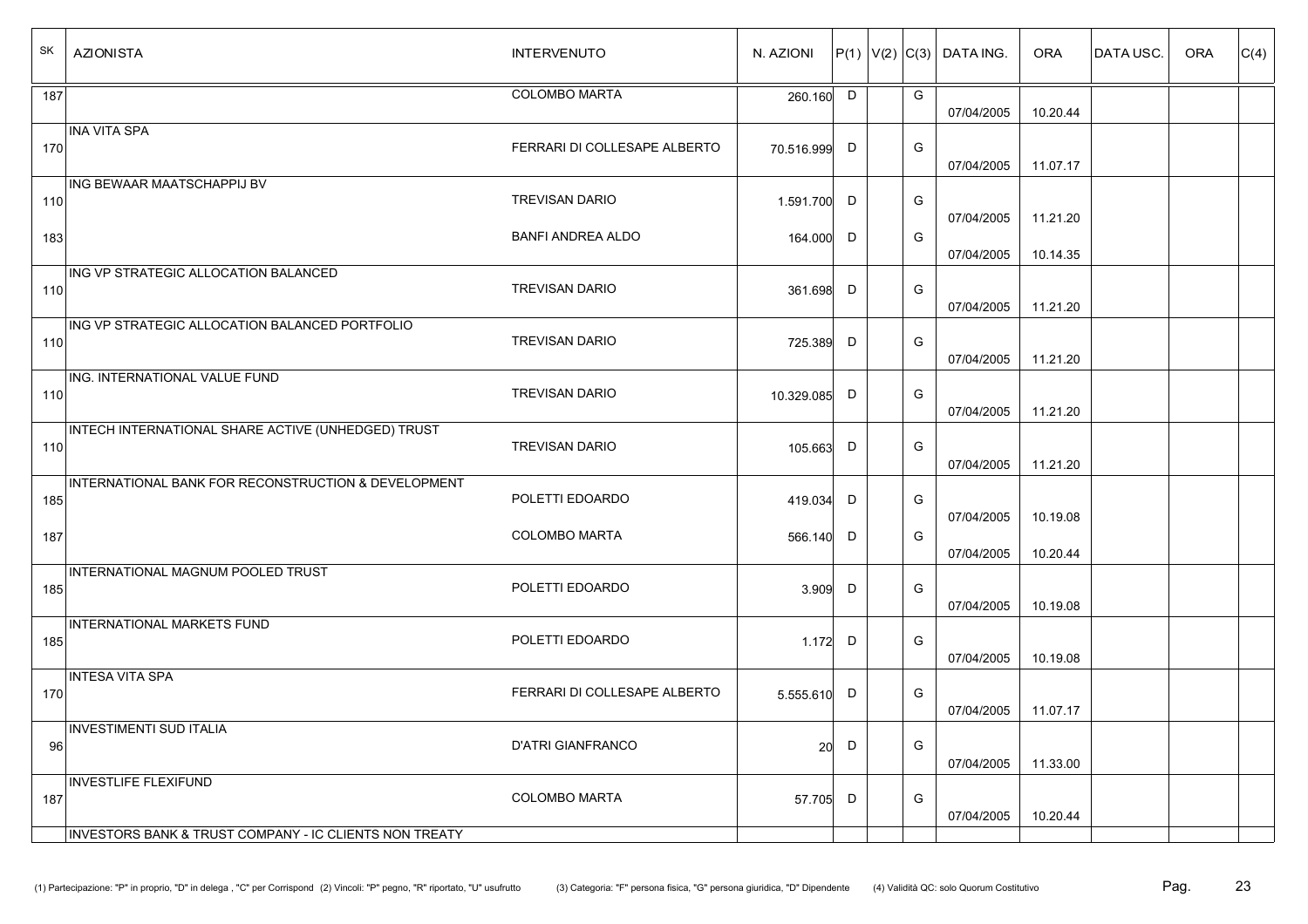| SK  | <b>AZIONISTA</b>                                       | <b>INTERVENUTO</b>           | N. AZIONI     |   |   | $ P(1) V(2) C(3) $ DATA ING. | <b>ORA</b> | <b>DATAUSC.</b> | ORA | C(4) |
|-----|--------------------------------------------------------|------------------------------|---------------|---|---|------------------------------|------------|-----------------|-----|------|
| 187 |                                                        | COLOMBO MARTA                | 260.160 D     |   | G | 07/04/2005                   | 10.20.44   |                 |     |      |
| 170 | <b>INA VITA SPA</b>                                    | FERRARI DI COLLESAPE ALBERTO | 70.516.999 D  |   | G | 07/04/2005                   | 11.07.17   |                 |     |      |
| 110 | ING BEWAAR MAATSCHAPPIJ BV                             | <b>TREVISAN DARIO</b>        | 1.591.700 D   |   | G | 07/04/2005                   | 11.21.20   |                 |     |      |
| 183 |                                                        | BANFI ANDREA ALDO            | 164.000 D     |   | G | 07/04/2005                   | 10.14.35   |                 |     |      |
| 110 | ING VP STRATEGIC ALLOCATION BALANCED                   | <b>TREVISAN DARIO</b>        | 361.698       | D | G | 07/04/2005                   | 11.21.20   |                 |     |      |
| 110 | ING VP STRATEGIC ALLOCATION BALANCED PORTFOLIO         | <b>TREVISAN DARIO</b>        | 725.389       | D | G | 07/04/2005                   | 11.21.20   |                 |     |      |
| 110 | ING. INTERNATIONAL VALUE FUND                          | <b>TREVISAN DARIO</b>        | 10.329.085 D  |   | G | 07/04/2005                   | 11.21.20   |                 |     |      |
| 110 | INTECH INTERNATIONAL SHARE ACTIVE (UNHEDGED) TRUST     | <b>TREVISAN DARIO</b>        | 105.663 D     |   | G | 07/04/2005                   | 11.21.20   |                 |     |      |
| 185 | INTERNATIONAL BANK FOR RECONSTRUCTION & DEVELOPMENT    | POLETTI EDOARDO              | 419.034       | D | G | 07/04/2005                   | 10.19.08   |                 |     |      |
| 187 |                                                        | COLOMBO MARTA                | 566.140       | D | G | 07/04/2005                   | 10.20.44   |                 |     |      |
| 185 | INTERNATIONAL MAGNUM POOLED TRUST                      | POLETTI EDOARDO              | 3.909         | D | G | 07/04/2005                   | 10.19.08   |                 |     |      |
| 185 | <b>INTERNATIONAL MARKETS FUND</b>                      | POLETTI EDOARDO              | 1.172 D       |   | G | 07/04/2005                   | 10.19.08   |                 |     |      |
| 170 | <b>INTESA VITA SPA</b>                                 | FERRARI DI COLLESAPE ALBERTO | $5.555.610$ D |   | G | 07/04/2005                   | 11.07.17   |                 |     |      |
| 96  | <b>INVESTIMENTI SUD ITALIA</b>                         | <b>D'ATRI GIANFRANCO</b>     | 20            | D | G | 07/04/2005                   | 11.33.00   |                 |     |      |
| 187 | <b>INVESTLIFE FLEXIFUND</b>                            | <b>COLOMBO MARTA</b>         | 57.705 D      |   | G | 07/04/2005                   | 10.20.44   |                 |     |      |
|     | INVESTORS BANK & TRUST COMPANY - IC CLIENTS NON TREATY |                              |               |   |   |                              |            |                 |     |      |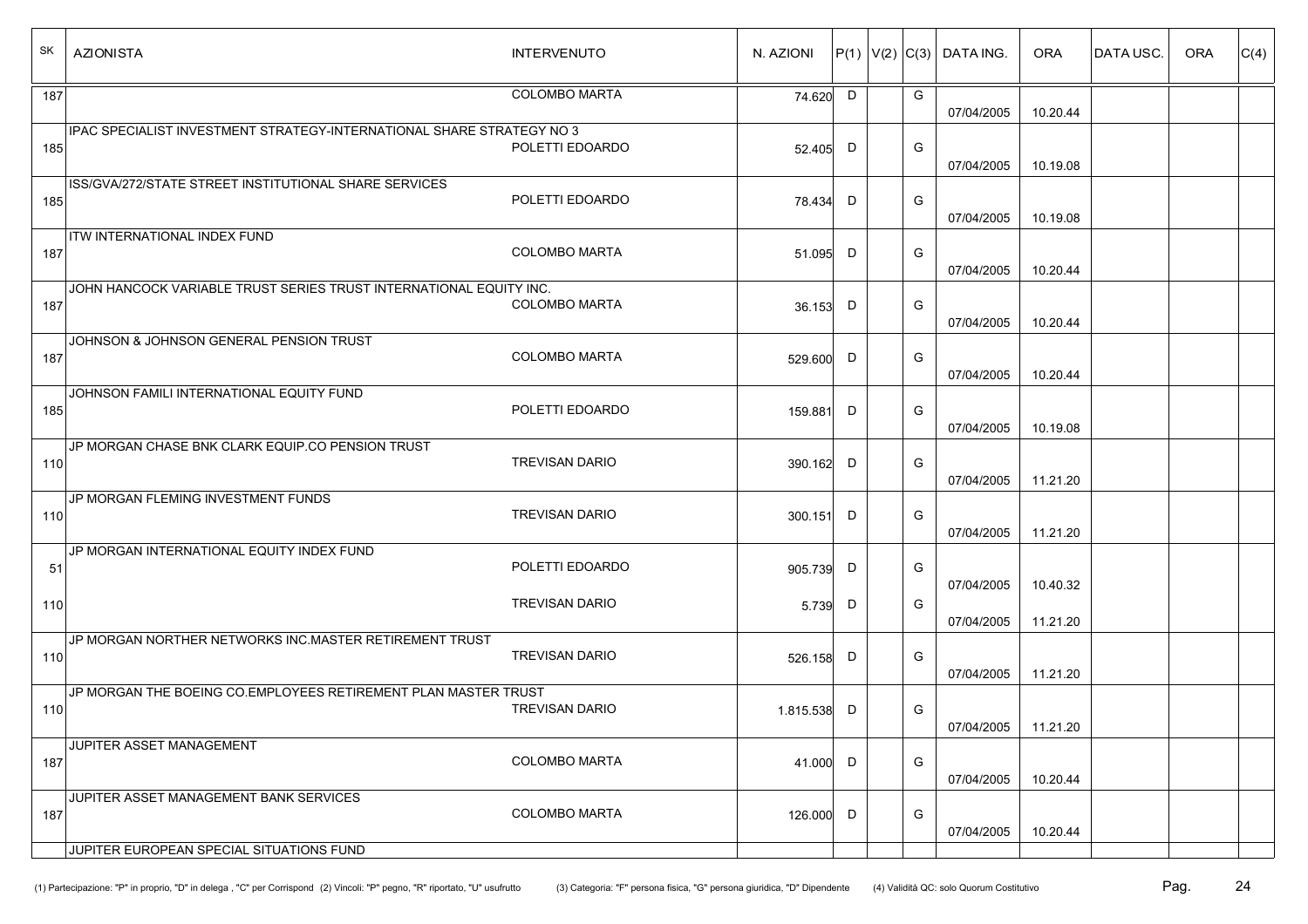| SK  | <b>AZIONISTA</b>                                                      | <b>INTERVENUTO</b>    | N. AZIONI |   | P(1) V(2) C(3) |   | DATA ING.  | <b>ORA</b> | <b>DATAUSC.</b> | <b>ORA</b> | C(4) |
|-----|-----------------------------------------------------------------------|-----------------------|-----------|---|----------------|---|------------|------------|-----------------|------------|------|
| 187 |                                                                       | <b>COLOMBO MARTA</b>  | 74.620 D  |   |                | G | 07/04/2005 | 10.20.44   |                 |            |      |
| 185 | IPAC SPECIALIST INVESTMENT STRATEGY-INTERNATIONAL SHARE STRATEGY NO 3 | POLETTI EDOARDO       | 52.405 D  |   |                | G | 07/04/2005 | 10.19.08   |                 |            |      |
| 185 | ISS/GVA/272/STATE STREET INSTITUTIONAL SHARE SERVICES                 | POLETTI EDOARDO       | 78.434    | D |                | G | 07/04/2005 | 10.19.08   |                 |            |      |
| 187 | ITW INTERNATIONAL INDEX FUND                                          | <b>COLOMBO MARTA</b>  | 51.095    | D |                | G | 07/04/2005 | 10.20.44   |                 |            |      |
| 187 | JOHN HANCOCK VARIABLE TRUST SERIES TRUST INTERNATIONAL EQUITY INC.    | <b>COLOMBO MARTA</b>  | 36.153 D  |   |                | G | 07/04/2005 | 10.20.44   |                 |            |      |
| 187 | JOHNSON & JOHNSON GENERAL PENSION TRUST                               | <b>COLOMBO MARTA</b>  | 529.600   | D |                | G | 07/04/2005 | 10.20.44   |                 |            |      |
| 185 | JOHNSON FAMILI INTERNATIONAL EQUITY FUND                              | POLETTI EDOARDO       | 159.881   | D |                | G | 07/04/2005 | 10.19.08   |                 |            |      |
| 110 | JP MORGAN CHASE BNK CLARK EQUIP.CO PENSION TRUST                      | <b>TREVISAN DARIO</b> | 390.162   | D |                | G | 07/04/2005 | 11.21.20   |                 |            |      |
| 110 | JP MORGAN FLEMING INVESTMENT FUNDS                                    | <b>TREVISAN DARIO</b> | 300.151   | D |                | G | 07/04/2005 | 11.21.20   |                 |            |      |
| 51  | JP MORGAN INTERNATIONAL EQUITY INDEX FUND                             | POLETTI EDOARDO       | 905.739   | D |                | G | 07/04/2005 | 10.40.32   |                 |            |      |
| 110 |                                                                       | <b>TREVISAN DARIO</b> | 5.739     | D |                | G | 07/04/2005 | 11.21.20   |                 |            |      |
| 110 | JP MORGAN NORTHER NETWORKS INC MASTER RETIREMENT TRUST                | <b>TREVISAN DARIO</b> | 526.158   | D |                | G | 07/04/2005 | 11.21.20   |                 |            |      |
| 110 | JP MORGAN THE BOEING CO.EMPLOYEES RETIREMENT PLAN MASTER TRUST        | <b>TREVISAN DARIO</b> | 1.815.538 | D |                | G | 07/04/2005 | 11.21.20   |                 |            |      |
| 187 | JUPITER ASSET MANAGEMENT                                              | <b>COLOMBO MARTA</b>  | 41.000 D  |   |                | G | 07/04/2005 | 10.20.44   |                 |            |      |
| 187 | JUPITER ASSET MANAGEMENT BANK SERVICES                                | <b>COLOMBO MARTA</b>  | 126.000 D |   |                | G | 07/04/2005 | 10.20.44   |                 |            |      |
|     | JUPITER EUROPEAN SPECIAL SITUATIONS FUND                              |                       |           |   |                |   |            |            |                 |            |      |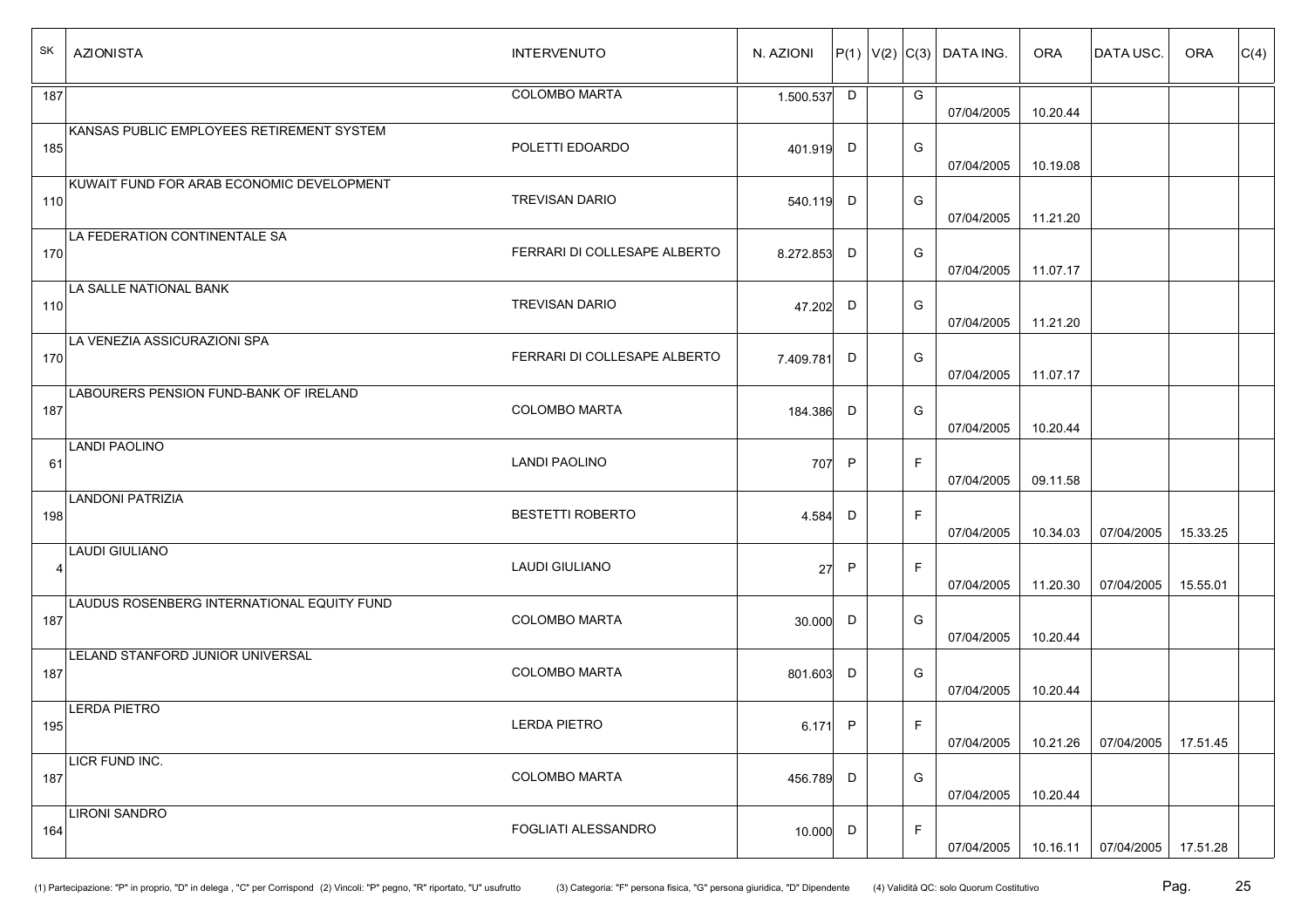| SK  | <b>AZIONISTA</b>                           | <b>INTERVENUTO</b>           | N. AZIONI   |   |    | $ P(1) V(2) C(3) $ DATA ING. | <b>ORA</b> | <b>DATAUSC.</b>     | <b>ORA</b> | C(4) |
|-----|--------------------------------------------|------------------------------|-------------|---|----|------------------------------|------------|---------------------|------------|------|
| 187 |                                            | <b>COLOMBO MARTA</b>         | 1.500.537   | D | G  | 07/04/2005                   | 10.20.44   |                     |            |      |
| 185 | KANSAS PUBLIC EMPLOYEES RETIREMENT SYSTEM  | POLETTI EDOARDO              | 401.919 D   |   | G  | 07/04/2005                   | 10.19.08   |                     |            |      |
| 110 | KUWAIT FUND FOR ARAB ECONOMIC DEVELOPMENT  | <b>TREVISAN DARIO</b>        | 540.119 D   |   | G  | 07/04/2005                   | 11.21.20   |                     |            |      |
| 170 | LA FEDERATION CONTINENTALE SA              | FERRARI DI COLLESAPE ALBERTO | 8.272.853 D |   | G  | 07/04/2005                   | 11.07.17   |                     |            |      |
| 110 | LA SALLE NATIONAL BANK                     | <b>TREVISAN DARIO</b>        | 47.202 D    |   | G  | 07/04/2005                   | 11.21.20   |                     |            |      |
| 170 | LA VENEZIA ASSICURAZIONI SPA               | FERRARI DI COLLESAPE ALBERTO | 7.409.781   | D | G  | 07/04/2005                   | 11.07.17   |                     |            |      |
| 187 | LABOURERS PENSION FUND-BANK OF IRELAND     | <b>COLOMBO MARTA</b>         | 184.386 D   |   | G  | 07/04/2005                   | 10.20.44   |                     |            |      |
| 61  | <b>LANDI PAOLINO</b>                       | LANDI PAOLINO                | 707         | P | F  | 07/04/2005                   | 09.11.58   |                     |            |      |
| 198 | <b>LANDONI PATRIZIA</b>                    | <b>BESTETTI ROBERTO</b>      | 4.584       | D | F  | 07/04/2005                   | 10.34.03   | 07/04/2005          | 15.33.25   |      |
| 4   | <b>LAUDI GIULIANO</b>                      | <b>LAUDI GIULIANO</b>        | 27          | P | F  | 07/04/2005                   | 11.20.30   | 07/04/2005          | 15.55.01   |      |
| 187 | LAUDUS ROSENBERG INTERNATIONAL EQUITY FUND | <b>COLOMBO MARTA</b>         | 30.000 D    |   | G  | 07/04/2005                   | 10.20.44   |                     |            |      |
| 187 | LELAND STANFORD JUNIOR UNIVERSAL           | <b>COLOMBO MARTA</b>         | 801.603     | D | G  | 07/04/2005                   | 10.20.44   |                     |            |      |
| 195 | <b>LERDA PIETRO</b>                        | <b>LERDA PIETRO</b>          | 6.171 P     |   | F. | 07/04/2005                   | 10.21.26   | 07/04/2005          | 17.51.45   |      |
| 187 | LICR FUND INC.                             | <b>COLOMBO MARTA</b>         | 456.789 D   |   | G  | 07/04/2005                   | 10.20.44   |                     |            |      |
| 164 | <b>LIRONI SANDRO</b>                       | FOGLIATI ALESSANDRO          | 10.000 D    |   | F  | 07/04/2005                   | 10.16.11   | 07/04/2005 17.51.28 |            |      |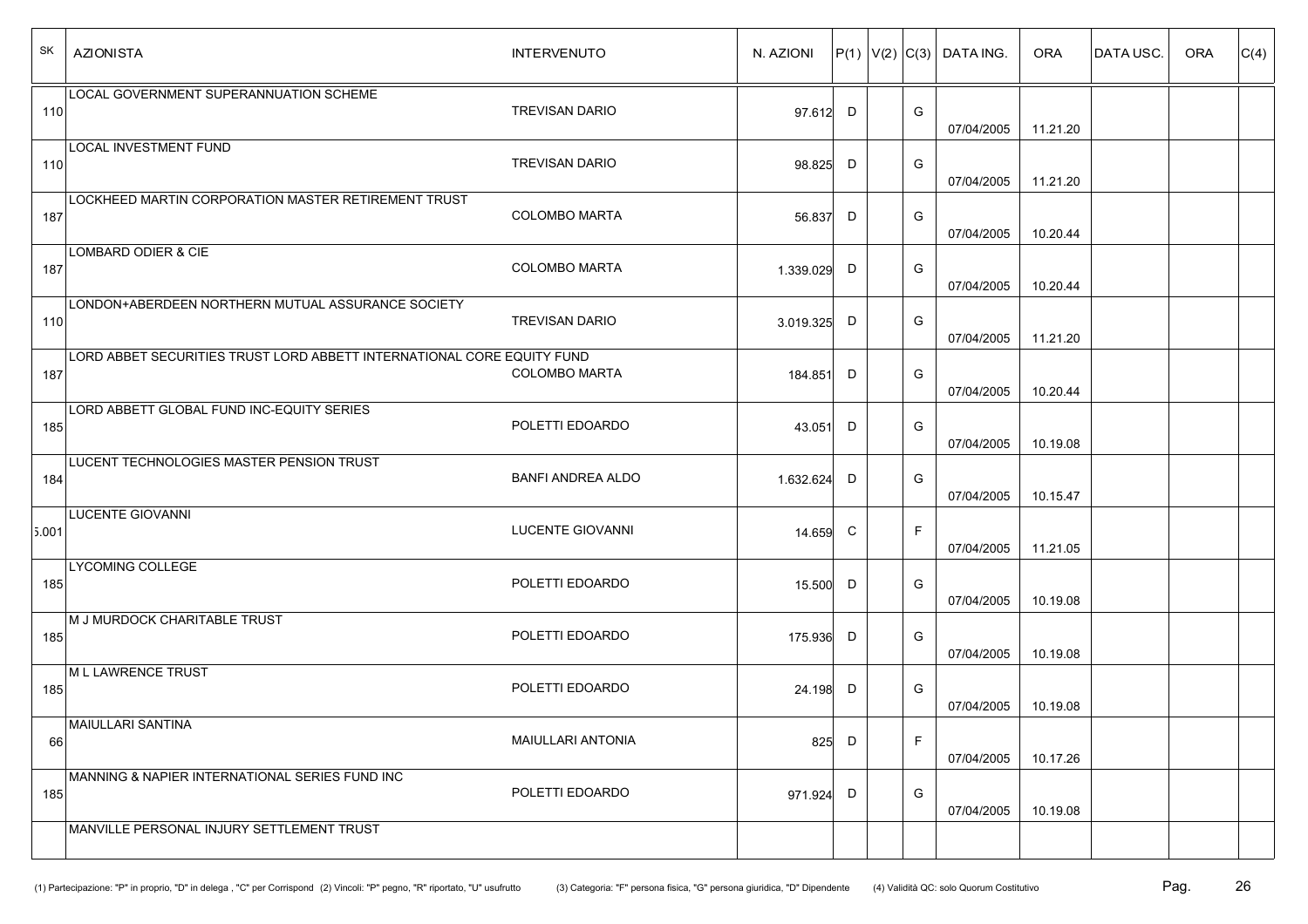| SK    | <b>AZIONISTA</b>                                                       | <b>INTERVENUTO</b>       | N. AZIONI   |     |   | $ P(1) V(2) C(3) $ DATA ING. | <b>ORA</b> | <b>DATAUSC.</b> | ORA | C(4) |
|-------|------------------------------------------------------------------------|--------------------------|-------------|-----|---|------------------------------|------------|-----------------|-----|------|
| 110   | <b>LOCAL GOVERNMENT SUPERANNUATION SCHEME</b>                          | <b>TREVISAN DARIO</b>    | 97.612 D    |     | G | 07/04/2005                   | 11.21.20   |                 |     |      |
| 110   | LOCAL INVESTMENT FUND                                                  | <b>TREVISAN DARIO</b>    | 98.825      | D   | G | 07/04/2005                   | 11.21.20   |                 |     |      |
| 187   | LOCKHEED MARTIN CORPORATION MASTER RETIREMENT TRUST                    | <b>COLOMBO MARTA</b>     | 56.837      | D   | G | 07/04/2005                   | 10.20.44   |                 |     |      |
| 187   | <b>LOMBARD ODIER &amp; CIE</b>                                         | <b>COLOMBO MARTA</b>     | 1.339.029 D |     | G | 07/04/2005                   | 10.20.44   |                 |     |      |
| 110   | LONDON+ABERDEEN NORTHERN MUTUAL ASSURANCE SOCIETY                      | <b>TREVISAN DARIO</b>    | 3.019.325 D |     | G | 07/04/2005                   | 11.21.20   |                 |     |      |
| 187   | LORD ABBET SECURITIES TRUST LORD ABBETT INTERNATIONAL CORE EQUITY FUND | <b>COLOMBO MARTA</b>     | 184.851     | D   | G | 07/04/2005                   | 10.20.44   |                 |     |      |
| 185   | LORD ABBETT GLOBAL FUND INC-EQUITY SERIES                              | POLETTI EDOARDO          | 43.051      | D   | G | 07/04/2005                   | 10.19.08   |                 |     |      |
| 184   | LUCENT TECHNOLOGIES MASTER PENSION TRUST                               | <b>BANFI ANDREA ALDO</b> | 1.632.624   | D   | G | 07/04/2005                   | 10.15.47   |                 |     |      |
| 5.001 | <b>LUCENTE GIOVANNI</b>                                                | <b>LUCENTE GIOVANNI</b>  | 14.659      | - C | F | 07/04/2005                   | 11.21.05   |                 |     |      |
| 185   | <b>LYCOMING COLLEGE</b>                                                | POLETTI EDOARDO          | 15.500      | D   | G | 07/04/2005                   | 10.19.08   |                 |     |      |
| 185   | M J MURDOCK CHARITABLE TRUST                                           | POLETTI EDOARDO          | 175.936 D   |     | G | 07/04/2005                   | 10.19.08   |                 |     |      |
| 185   | M L LAWRENCE TRUST                                                     | POLETTI EDOARDO          | 24.198 D    |     | G | 07/04/2005                   | 10.19.08   |                 |     |      |
| 66    | MAIULLARI SANTINA                                                      | MAIULLARI ANTONIA        | 825         | D   | F | 07/04/2005                   | 10.17.26   |                 |     |      |
| 185   | MANNING & NAPIER INTERNATIONAL SERIES FUND INC                         | POLETTI EDOARDO          | 971.924 D   |     | G | 07/04/2005                   | 10.19.08   |                 |     |      |
|       | MANVILLE PERSONAL INJURY SETTLEMENT TRUST                              |                          |             |     |   |                              |            |                 |     |      |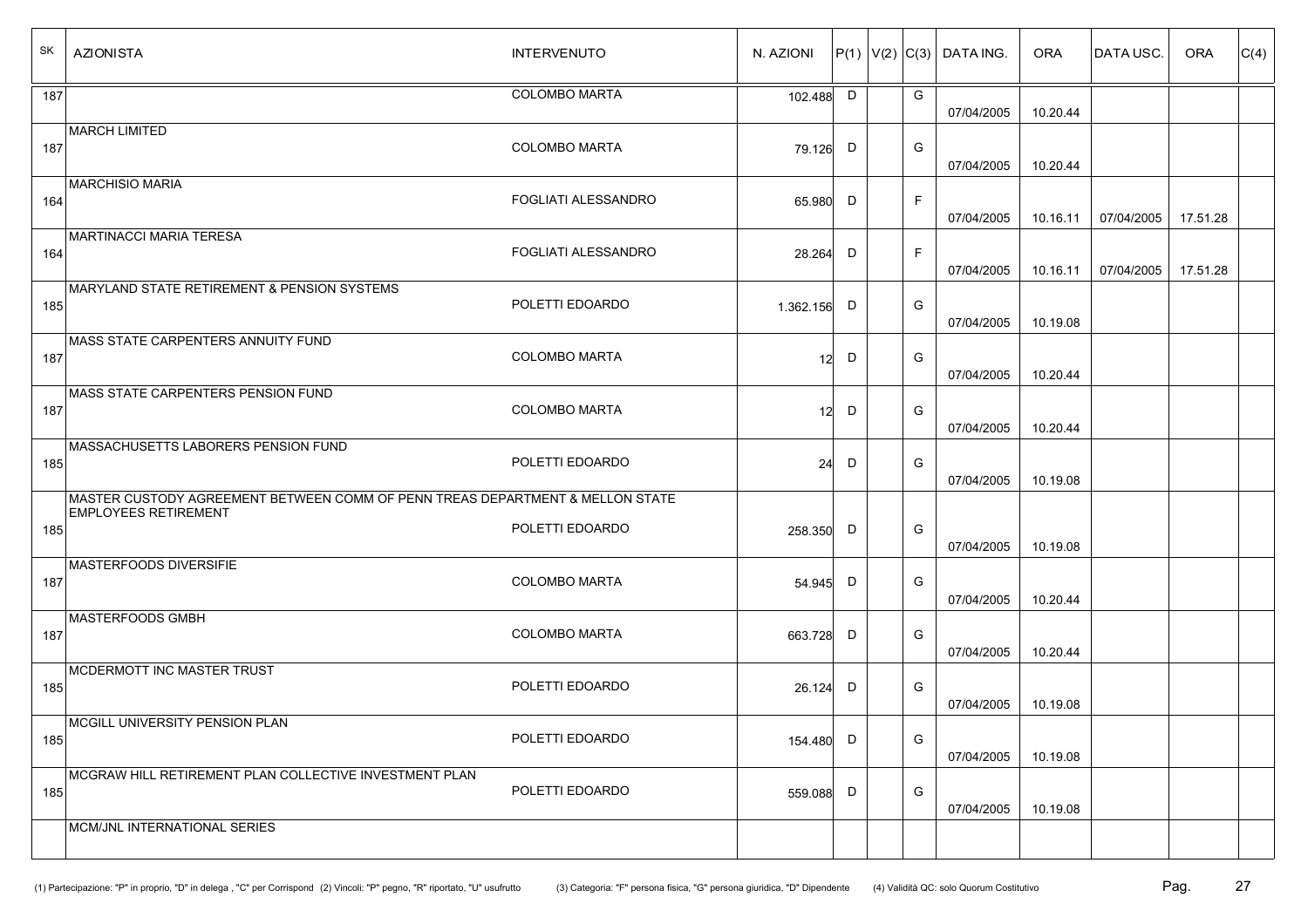| SK  | <b>AZIONISTA</b>                                                                                             | <b>INTERVENUTO</b>         | N. AZIONI       |   |   | $ P(1) V(2) C(3) $ DATA ING. | <b>ORA</b> | DATA USC.  | <b>ORA</b> | C(4) |
|-----|--------------------------------------------------------------------------------------------------------------|----------------------------|-----------------|---|---|------------------------------|------------|------------|------------|------|
| 187 |                                                                                                              | <b>COLOMBO MARTA</b>       | 102.488 D       |   | G | 07/04/2005                   | 10.20.44   |            |            |      |
| 187 | <b>MARCH LIMITED</b>                                                                                         | <b>COLOMBO MARTA</b>       | 79.126 D        |   | G | 07/04/2005                   | 10.20.44   |            |            |      |
| 164 | <b>MARCHISIO MARIA</b>                                                                                       | FOGLIATI ALESSANDRO        | 65.980          | D | F | 07/04/2005                   | 10.16.11   | 07/04/2005 | 17.51.28   |      |
| 164 | <b>MARTINACCI MARIA TERESA</b>                                                                               | <b>FOGLIATI ALESSANDRO</b> | 28.264          | D | F | 07/04/2005                   | 10.16.11   | 07/04/2005 | 17.51.28   |      |
| 185 | MARYLAND STATE RETIREMENT & PENSION SYSTEMS                                                                  | POLETTI EDOARDO            | 1.362.156 D     |   | G | 07/04/2005                   | 10.19.08   |            |            |      |
| 187 | MASS STATE CARPENTERS ANNUITY FUND                                                                           | <b>COLOMBO MARTA</b>       | 12              | D | G | 07/04/2005                   | 10.20.44   |            |            |      |
| 187 | <b>MASS STATE CARPENTERS PENSION FUND</b>                                                                    | <b>COLOMBO MARTA</b>       | 12 <sup>1</sup> | D | G | 07/04/2005                   | 10.20.44   |            |            |      |
| 185 | MASSACHUSETTS LABORERS PENSION FUND                                                                          | POLETTI EDOARDO            | 24              | D | G | 07/04/2005                   | 10.19.08   |            |            |      |
| 185 | MASTER CUSTODY AGREEMENT BETWEEN COMM OF PENN TREAS DEPARTMENT & MELLON STATE<br><b>EMPLOYEES RETIREMENT</b> | POLETTI EDOARDO            | 258.350 D       |   | G | 07/04/2005                   | 10.19.08   |            |            |      |
| 187 | <b>MASTERFOODS DIVERSIFIE</b>                                                                                | <b>COLOMBO MARTA</b>       | 54.945          | D | G | 07/04/2005                   | 10.20.44   |            |            |      |
| 187 | <b>MASTERFOODS GMBH</b>                                                                                      | <b>COLOMBO MARTA</b>       | 663.728         | D | G | 07/04/2005                   | 10.20.44   |            |            |      |
| 185 | MCDERMOTT INC MASTER TRUST                                                                                   | POLETTI EDOARDO            | 26.124 D        |   | G | 07/04/2005                   | 10.19.08   |            |            |      |
| 185 | MCGILL UNIVERSITY PENSION PLAN                                                                               | POLETTI EDOARDO            | 154.480 D       |   | G | 07/04/2005                   | 10.19.08   |            |            |      |
| 185 | MCGRAW HILL RETIREMENT PLAN COLLECTIVE INVESTMENT PLAN                                                       | POLETTI EDOARDO            | 559.088 D       |   | G | 07/04/2005                   | 10.19.08   |            |            |      |
|     | MCM/JNL INTERNATIONAL SERIES                                                                                 |                            |                 |   |   |                              |            |            |            |      |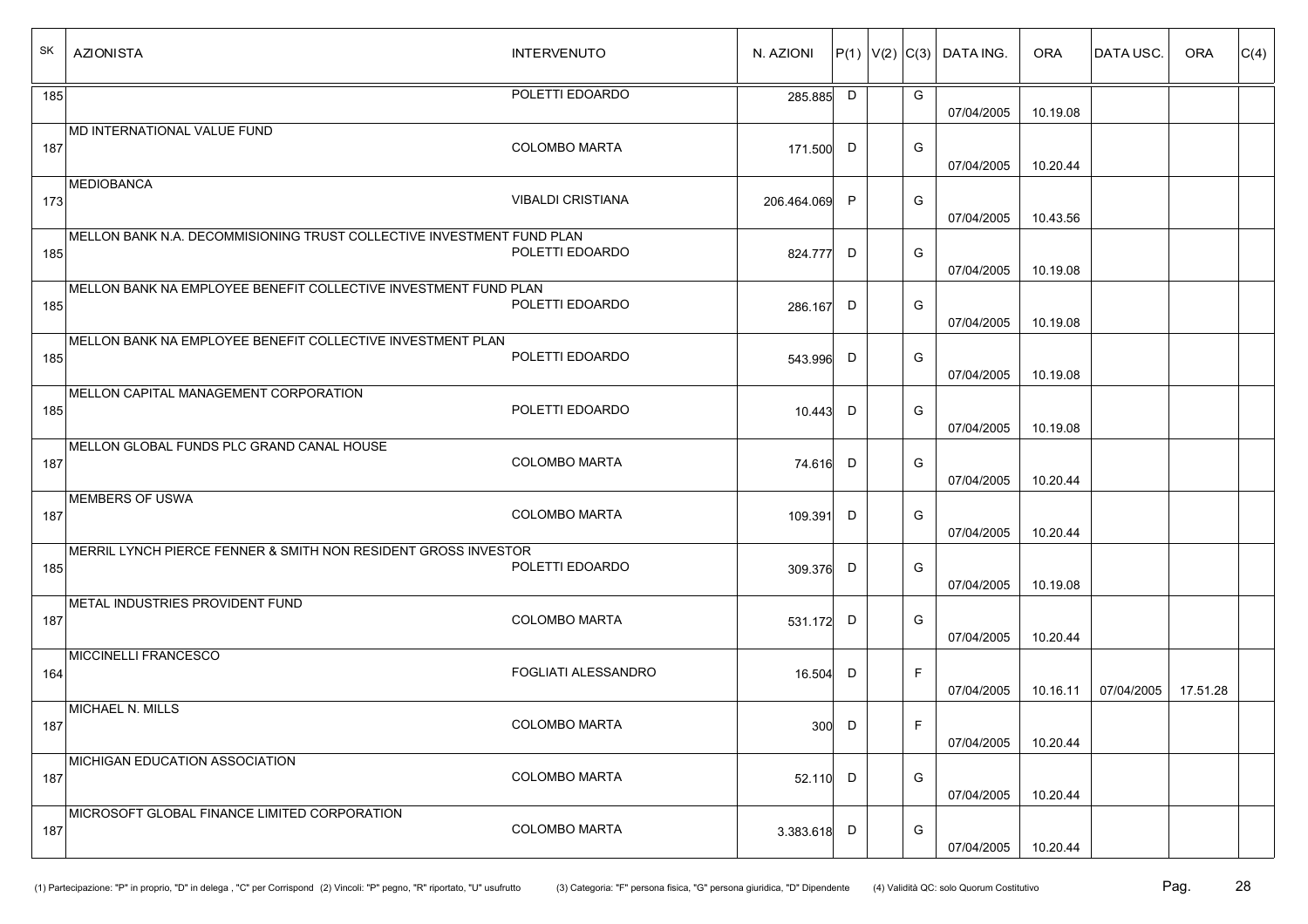| SK  | <b>AZIONISTA</b>                                                      | <b>INTERVENUTO</b>       | N. AZIONI   |       |    | $ P(1) V(2) C(3) $ DATA ING. | <b>ORA</b> | <b>DATAUSC.</b> | <b>ORA</b> | C(4) |
|-----|-----------------------------------------------------------------------|--------------------------|-------------|-------|----|------------------------------|------------|-----------------|------------|------|
| 185 |                                                                       | POLETTI EDOARDO          | 285.885 D   |       | G  | 07/04/2005                   | 10.19.08   |                 |            |      |
| 187 | MD INTERNATIONAL VALUE FUND                                           | <b>COLOMBO MARTA</b>     | 171.500 D   |       | G  | 07/04/2005                   | 10.20.44   |                 |            |      |
| 173 | <b>MEDIOBANCA</b>                                                     | <b>VIBALDI CRISTIANA</b> | 206.464.069 | P     | G  | 07/04/2005                   | 10.43.56   |                 |            |      |
| 185 | MELLON BANK N.A. DECOMMISIONING TRUST COLLECTIVE INVESTMENT FUND PLAN | POLETTI EDOARDO          | 824.777     | D     | G  | 07/04/2005                   | 10.19.08   |                 |            |      |
| 185 | MELLON BANK NA EMPLOYEE BENEFIT COLLECTIVE INVESTMENT FUND PLAN       | POLETTI EDOARDO          | 286.167     | D     | G  | 07/04/2005                   | 10.19.08   |                 |            |      |
| 185 | MELLON BANK NA EMPLOYEE BENEFIT COLLECTIVE INVESTMENT PLAN            | POLETTI EDOARDO          | 543.996     | D     | G  | 07/04/2005                   | 10.19.08   |                 |            |      |
| 185 | MELLON CAPITAL MANAGEMENT CORPORATION                                 | POLETTI EDOARDO          | $10.443$ D  |       | G  | 07/04/2005                   | 10.19.08   |                 |            |      |
| 187 | MELLON GLOBAL FUNDS PLC GRAND CANAL HOUSE                             | <b>COLOMBO MARTA</b>     | 74.616      | D     | G  | 07/04/2005                   | 10.20.44   |                 |            |      |
| 187 | <b>MEMBERS OF USWA</b>                                                | <b>COLOMBO MARTA</b>     | 109.391     | D     | G  | 07/04/2005                   | 10.20.44   |                 |            |      |
| 185 | MERRIL LYNCH PIERCE FENNER & SMITH NON RESIDENT GROSS INVESTOR        | POLETTI EDOARDO          | 309.376 D   |       | G  | 07/04/2005                   | 10.19.08   |                 |            |      |
| 187 | METAL INDUSTRIES PROVIDENT FUND                                       | <b>COLOMBO MARTA</b>     | 531.172 D   |       | G  | 07/04/2005                   | 10.20.44   |                 |            |      |
| 164 | <b>MICCINELLI FRANCESCO</b>                                           | FOGLIATI ALESSANDRO      | 16.504      | D     | F  | 07/04/2005                   | 10.16.11   | 07/04/2005      | 17.51.28   |      |
| 187 | <b>MICHAEL N. MILLS</b>                                               | COLOMBO MARTA            |             | 300 D | F. | 07/04/2005                   | 10.20.44   |                 |            |      |
| 187 | MICHIGAN EDUCATION ASSOCIATION                                        | COLOMBO MARTA            | 52.110 D    |       | G  | 07/04/2005                   | 10.20.44   |                 |            |      |
| 187 | MICROSOFT GLOBAL FINANCE LIMITED CORPORATION                          | <b>COLOMBO MARTA</b>     | 3.383.618 D |       | G  | 07/04/2005                   | 10.20.44   |                 |            |      |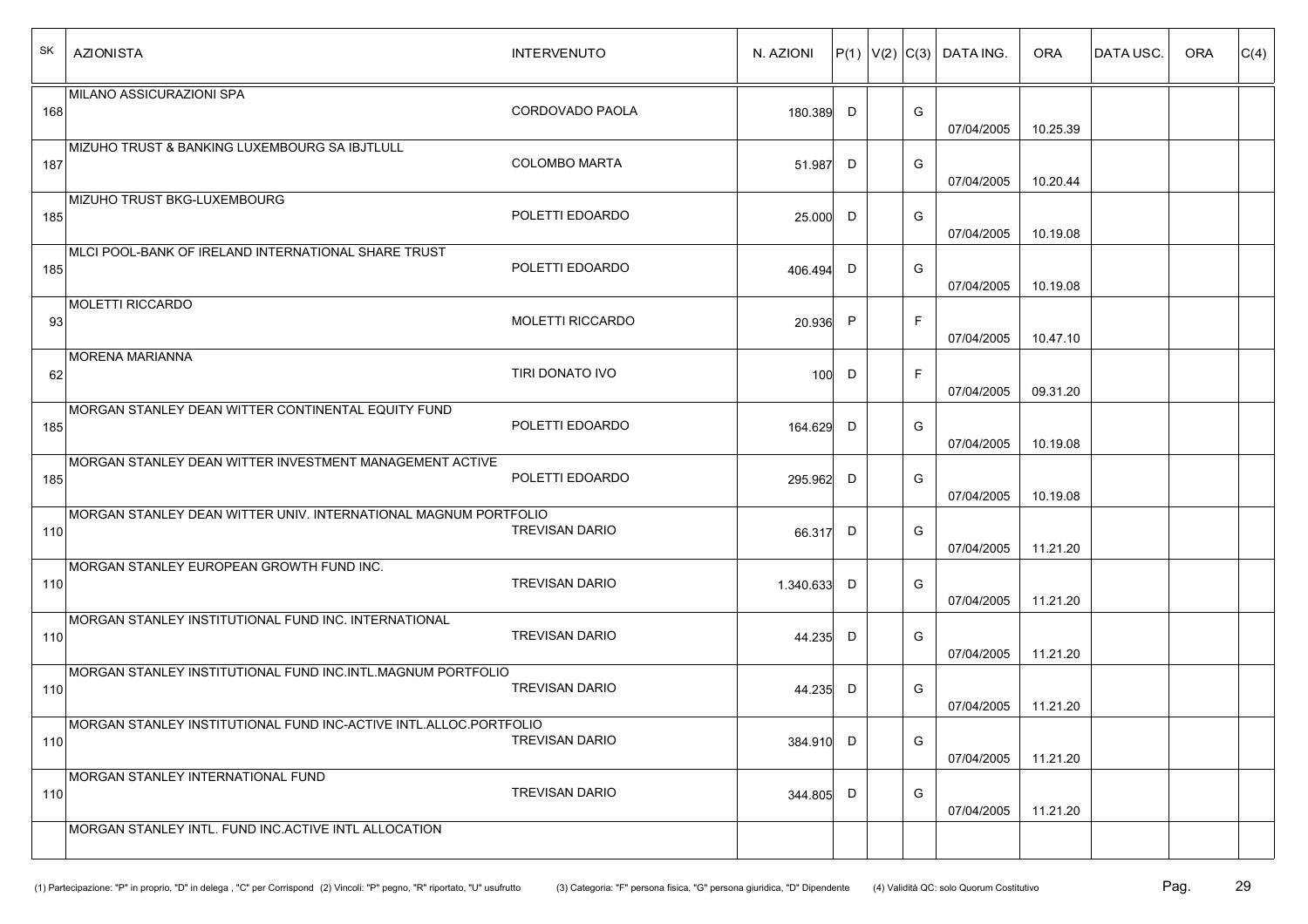| SK  | <b>AZIONISTA</b>                                                  | <b>INTERVENUTO</b>      | N. AZIONI |   |              | $P(1)  V(2)  C(3)  $ DATA ING. | <b>ORA</b> | <b>DATAUSC.</b> | <b>ORA</b> | C(4) |
|-----|-------------------------------------------------------------------|-------------------------|-----------|---|--------------|--------------------------------|------------|-----------------|------------|------|
| 168 | MILANO ASSICURAZIONI SPA                                          | CORDOVADO PAOLA         | 180.389 D |   | G            | 07/04/2005                     | 10.25.39   |                 |            |      |
| 187 | MIZUHO TRUST & BANKING LUXEMBOURG SA IBJTLULL                     | <b>COLOMBO MARTA</b>    | 51.987    | D | G            | 07/04/2005                     | 10.20.44   |                 |            |      |
| 185 | MIZUHO TRUST BKG-LUXEMBOURG                                       | POLETTI EDOARDO         | 25.000    | D | G            | 07/04/2005                     | 10.19.08   |                 |            |      |
| 185 | MLCI POOL-BANK OF IRELAND INTERNATIONAL SHARE TRUST               | POLETTI EDOARDO         | 406.494 D |   | G            | 07/04/2005                     | 10.19.08   |                 |            |      |
| 93  | <b>MOLETTI RICCARDO</b>                                           | <b>MOLETTI RICCARDO</b> | 20.936    | P | F            | 07/04/2005                     | 10.47.10   |                 |            |      |
| 62  | <b>MORENA MARIANNA</b>                                            | TIRI DONATO IVO         | 100       | D | $\mathsf{F}$ | 07/04/2005                     | 09.31.20   |                 |            |      |
| 185 | MORGAN STANLEY DEAN WITTER CONTINENTAL EQUITY FUND                | POLETTI EDOARDO         | 164.629 D |   | G            | 07/04/2005                     | 10.19.08   |                 |            |      |
| 185 | MORGAN STANLEY DEAN WITTER INVESTMENT MANAGEMENT ACTIVE           | POLETTI EDOARDO         | 295.962 D |   | G            | 07/04/2005                     | 10.19.08   |                 |            |      |
| 110 | MORGAN STANLEY DEAN WITTER UNIV. INTERNATIONAL MAGNUM PORTFOLIO   | <b>TREVISAN DARIO</b>   | 66.317    | D | G            | 07/04/2005                     | 11.21.20   |                 |            |      |
| 110 | MORGAN STANLEY EUROPEAN GROWTH FUND INC.                          | <b>TREVISAN DARIO</b>   | 1.340.633 | D | G            | 07/04/2005                     | 11.21.20   |                 |            |      |
| 110 | MORGAN STANLEY INSTITUTIONAL FUND INC. INTERNATIONAL              | <b>TREVISAN DARIO</b>   | 44.235 D  |   | G            | 07/04/2005                     | 11.21.20   |                 |            |      |
| 110 | MORGAN STANLEY INSTITUTIONAL FUND INC.INTL.MAGNUM PORTFOLIO       | <b>TREVISAN DARIO</b>   | 44.235 D  |   | G            | 07/04/2005                     | 11.21.20   |                 |            |      |
| 110 | MORGAN STANLEY INSTITUTIONAL FUND INC-ACTIVE INTL.ALLOC.PORTFOLIO | TREVISAN DARIO          | 384.910 D |   | G            | 07/04/2005                     | 11.21.20   |                 |            |      |
| 110 | MORGAN STANLEY INTERNATIONAL FUND                                 | TREVISAN DARIO          | 344.805 D |   | G            | 07/04/2005                     | 11.21.20   |                 |            |      |
|     | MORGAN STANLEY INTL. FUND INC.ACTIVE INTL ALLOCATION              |                         |           |   |              |                                |            |                 |            |      |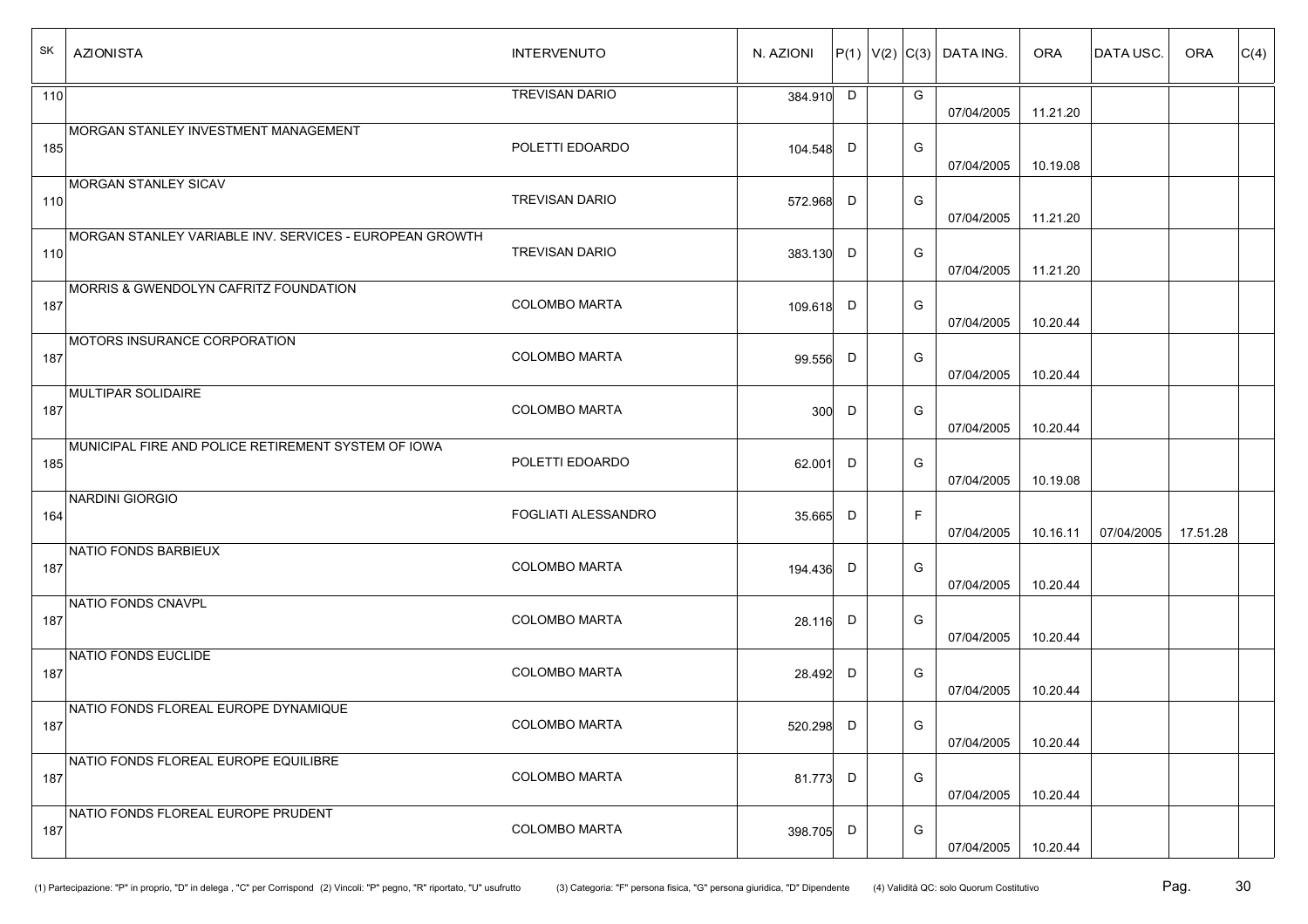| SK  | <b>AZIONISTA</b>                                        | <b>INTERVENUTO</b>    | N. AZIONI |              |             | $ P(1) V(2) C(3) $ DATA ING. | <b>ORA</b> | <b>DATAUSC.</b> | ORA      | C(4) |
|-----|---------------------------------------------------------|-----------------------|-----------|--------------|-------------|------------------------------|------------|-----------------|----------|------|
| 110 |                                                         | <b>TREVISAN DARIO</b> | 384.910   | $\mathsf{D}$ | G           | 07/04/2005                   | 11.21.20   |                 |          |      |
| 185 | MORGAN STANLEY INVESTMENT MANAGEMENT                    | POLETTI EDOARDO       | 104.548 D |              | G           | 07/04/2005                   | 10.19.08   |                 |          |      |
| 110 | <b>MORGAN STANLEY SICAV</b>                             | <b>TREVISAN DARIO</b> | 572.968   | D            | G           | 07/04/2005                   | 11.21.20   |                 |          |      |
| 110 | MORGAN STANLEY VARIABLE INV. SERVICES - EUROPEAN GROWTH | <b>TREVISAN DARIO</b> | 383.130   | D            | G           | 07/04/2005                   | 11.21.20   |                 |          |      |
| 187 | MORRIS & GWENDOLYN CAFRITZ FOUNDATION                   | <b>COLOMBO MARTA</b>  | 109.618   | D            | G           | 07/04/2005                   | 10.20.44   |                 |          |      |
| 187 | MOTORS INSURANCE CORPORATION                            | <b>COLOMBO MARTA</b>  | 99.556    | D            | G           | 07/04/2005                   | 10.20.44   |                 |          |      |
| 187 | MULTIPAR SOLIDAIRE                                      | <b>COLOMBO MARTA</b>  | 300       | D            | G           | 07/04/2005                   | 10.20.44   |                 |          |      |
| 185 | MUNICIPAL FIRE AND POLICE RETIREMENT SYSTEM OF IOWA     | POLETTI EDOARDO       | 62.001    | D            | G           | 07/04/2005                   | 10.19.08   |                 |          |      |
| 164 | NARDINI GIORGIO                                         | FOGLIATI ALESSANDRO   | 35.665    | D            | $\mathsf F$ | 07/04/2005                   | 10.16.11   | 07/04/2005      | 17.51.28 |      |
| 187 | NATIO FONDS BARBIEUX                                    | <b>COLOMBO MARTA</b>  | 194.436   | D            | G           | 07/04/2005                   | 10.20.44   |                 |          |      |
| 187 | NATIO FONDS CNAVPL                                      | <b>COLOMBO MARTA</b>  | 28.116    | D            | G           | 07/04/2005                   | 10.20.44   |                 |          |      |
| 187 | NATIO FONDS EUCLIDE                                     | <b>COLOMBO MARTA</b>  | 28.492    | D            | G           | 07/04/2005                   | 10.20.44   |                 |          |      |
| 187 | NATIO FONDS FLOREAL EUROPE DYNAMIQUE                    | COLOMBO MARTA         | 520.298 D |              | G           | 07/04/2005                   | 10.20.44   |                 |          |      |
| 187 | NATIO FONDS FLOREAL EUROPE EQUILIBRE                    | <b>COLOMBO MARTA</b>  | 81.773 D  |              | G           | 07/04/2005                   | 10.20.44   |                 |          |      |
| 187 | NATIO FONDS FLOREAL EUROPE PRUDENT                      | COLOMBO MARTA         | 398.705 D |              | G           | 07/04/2005                   | 10.20.44   |                 |          |      |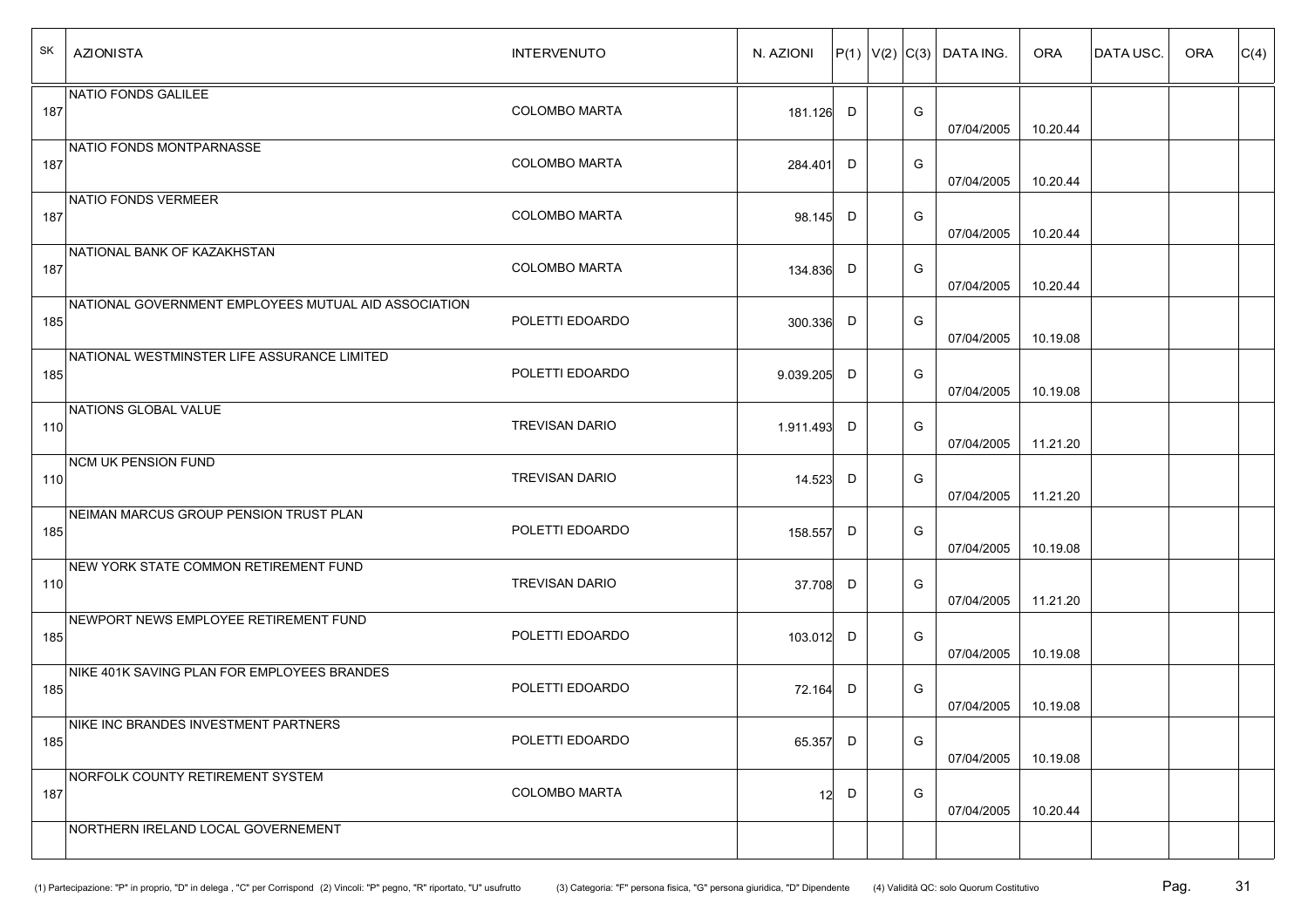| SK  | <b>AZIONISTA</b>                                     | <b>INTERVENUTO</b>    | N. AZIONI     |              |   | $ P(1) V(2) C(3) $ DATA ING. | <b>ORA</b> | <b>DATAUSC.</b> | <b>ORA</b> | C(4) |
|-----|------------------------------------------------------|-----------------------|---------------|--------------|---|------------------------------|------------|-----------------|------------|------|
| 187 | NATIO FONDS GALILEE                                  | <b>COLOMBO MARTA</b>  | 181.126 D     |              | G | 07/04/2005                   | 10.20.44   |                 |            |      |
| 187 | NATIO FONDS MONTPARNASSE                             | <b>COLOMBO MARTA</b>  | 284.401       | D            | G | 07/04/2005                   | 10.20.44   |                 |            |      |
| 187 | NATIO FONDS VERMEER                                  | <b>COLOMBO MARTA</b>  | 98.145 D      |              | G | 07/04/2005                   | 10.20.44   |                 |            |      |
| 187 | NATIONAL BANK OF KAZAKHSTAN                          | <b>COLOMBO MARTA</b>  | 134.836 D     |              | G | 07/04/2005                   | 10.20.44   |                 |            |      |
| 185 | NATIONAL GOVERNMENT EMPLOYEES MUTUAL AID ASSOCIATION | POLETTI EDOARDO       | 300.336 D     |              | G | 07/04/2005                   | 10.19.08   |                 |            |      |
| 185 | NATIONAL WESTMINSTER LIFE ASSURANCE LIMITED          | POLETTI EDOARDO       | $9.039.205$ D |              | G | 07/04/2005                   | 10.19.08   |                 |            |      |
| 110 | NATIONS GLOBAL VALUE                                 | <b>TREVISAN DARIO</b> | 1.911.493 D   |              | G | 07/04/2005                   | 11.21.20   |                 |            |      |
| 110 | <b>NCM UK PENSION FUND</b>                           | <b>TREVISAN DARIO</b> | 14.523 D      |              | G | 07/04/2005                   | 11.21.20   |                 |            |      |
| 185 | NEIMAN MARCUS GROUP PENSION TRUST PLAN               | POLETTI EDOARDO       | 158.557       | D            | G | 07/04/2005                   | 10.19.08   |                 |            |      |
| 110 | NEW YORK STATE COMMON RETIREMENT FUND                | <b>TREVISAN DARIO</b> | 37.708 D      |              | G | 07/04/2005                   | 11.21.20   |                 |            |      |
| 185 | NEWPORT NEWS EMPLOYEE RETIREMENT FUND                | POLETTI EDOARDO       | 103.012 D     |              | G | 07/04/2005                   | 10.19.08   |                 |            |      |
| 185 | NIKE 401K SAVING PLAN FOR EMPLOYEES BRANDES          | POLETTI EDOARDO       | 72.164 D      |              | G | 07/04/2005                   | 10.19.08   |                 |            |      |
| 185 | NIKE INC BRANDES INVESTMENT PARTNERS                 | POLETTI EDOARDO       | 65.357        | D            | G | 07/04/2005                   | 10.19.08   |                 |            |      |
| 187 | NORFOLK COUNTY RETIREMENT SYSTEM                     | <b>COLOMBO MARTA</b>  | 12            | $\mathsf{D}$ | G | 07/04/2005                   | 10.20.44   |                 |            |      |
|     | NORTHERN IRELAND LOCAL GOVERNEMENT                   |                       |               |              |   |                              |            |                 |            |      |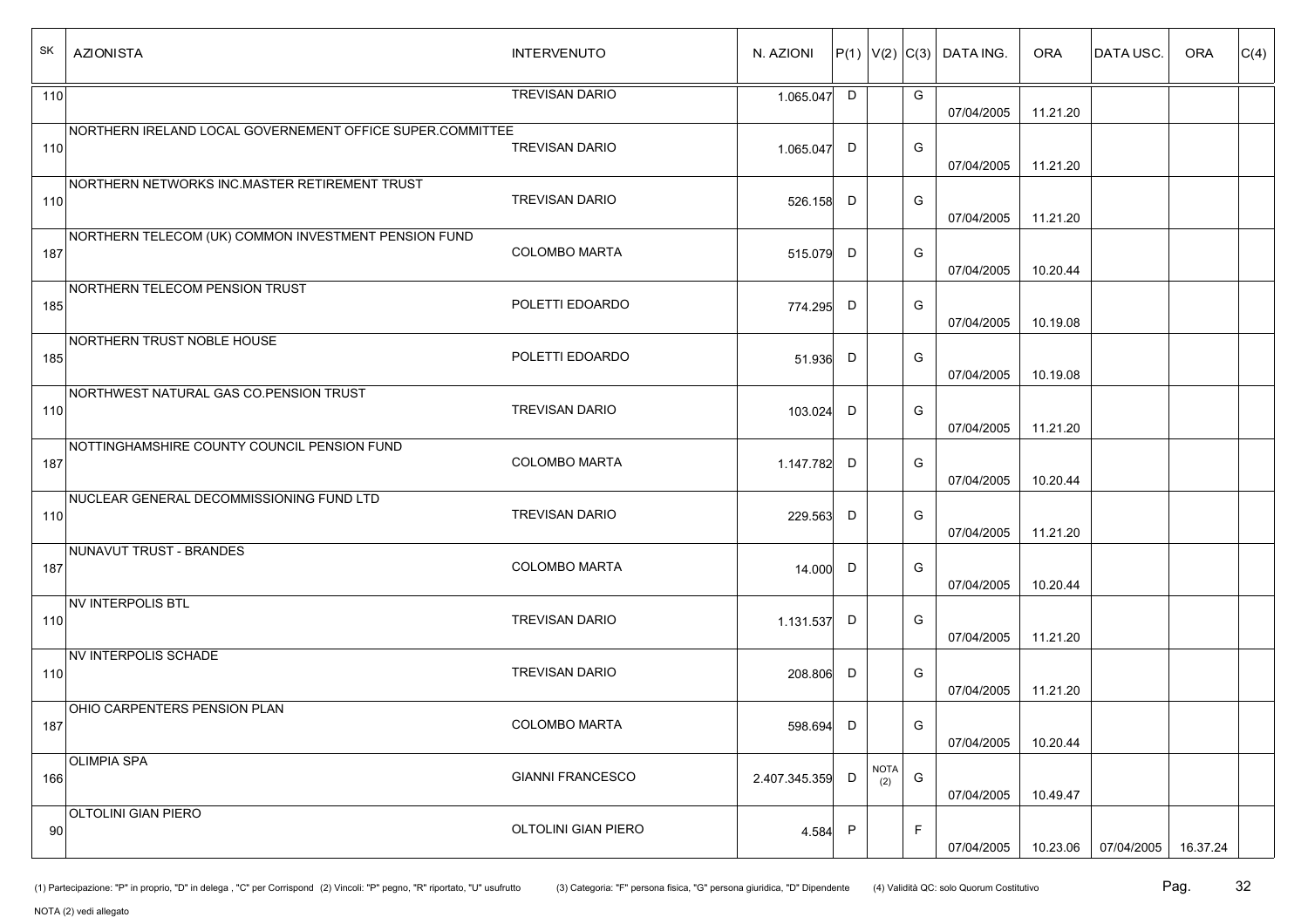| SK  | <b>AZIONISTA</b>                                          | <b>INTERVENUTO</b>      | N. AZIONI     |              |                         | $ P(1) V(2) C(3) $ DATA ING. | <b>ORA</b> | <b>DATAUSC.</b> | <b>ORA</b> | C(4) |
|-----|-----------------------------------------------------------|-------------------------|---------------|--------------|-------------------------|------------------------------|------------|-----------------|------------|------|
| 110 |                                                           | <b>TREVISAN DARIO</b>   | 1.065.047     | D            | G                       | 07/04/2005                   | 11.21.20   |                 |            |      |
| 110 | NORTHERN IRELAND LOCAL GOVERNEMENT OFFICE SUPER.COMMITTEE | <b>TREVISAN DARIO</b>   | 1.065.047     | D            | G                       | 07/04/2005                   | 11.21.20   |                 |            |      |
| 110 | NORTHERN NETWORKS INC.MASTER RETIREMENT TRUST             | <b>TREVISAN DARIO</b>   | 526.158       | D            | G                       | 07/04/2005                   | 11.21.20   |                 |            |      |
| 187 | NORTHERN TELECOM (UK) COMMON INVESTMENT PENSION FUND      | <b>COLOMBO MARTA</b>    | 515.079       | D            | G                       | 07/04/2005                   | 10.20.44   |                 |            |      |
| 185 | NORTHERN TELECOM PENSION TRUST                            | POLETTI EDOARDO         | 774.295       | D            | G                       | 07/04/2005                   | 10.19.08   |                 |            |      |
| 185 | NORTHERN TRUST NOBLE HOUSE                                | POLETTI EDOARDO         | 51.936        | D            | G                       | 07/04/2005                   | 10.19.08   |                 |            |      |
| 110 | NORTHWEST NATURAL GAS CO.PENSION TRUST                    | <b>TREVISAN DARIO</b>   | 103.024       | D            | G                       | 07/04/2005                   | 11.21.20   |                 |            |      |
| 187 | NOTTINGHAMSHIRE COUNTY COUNCIL PENSION FUND               | <b>COLOMBO MARTA</b>    | 1.147.782     | D            | G                       | 07/04/2005                   | 10.20.44   |                 |            |      |
| 110 | NUCLEAR GENERAL DECOMMISSIONING FUND LTD                  | <b>TREVISAN DARIO</b>   | 229.563       | D            | G                       | 07/04/2005                   | 11.21.20   |                 |            |      |
| 187 | NUNAVUT TRUST - BRANDES                                   | <b>COLOMBO MARTA</b>    | 14.000        | D            | G                       | 07/04/2005                   | 10.20.44   |                 |            |      |
| 110 | <b>NV INTERPOLIS BTL</b>                                  | <b>TREVISAN DARIO</b>   | 1.131.537     | D            | G                       | 07/04/2005                   | 11.21.20   |                 |            |      |
| 110 | <b>NV INTERPOLIS SCHADE</b>                               | <b>TREVISAN DARIO</b>   | 208.806       | D            | G                       | 07/04/2005                   | 11.21.20   |                 |            |      |
| 187 | <b>OHIO CARPENTERS PENSION PLAN</b>                       | <b>COLOMBO MARTA</b>    | 598.694       | $\mathsf{D}$ | G                       | 07/04/2005                   | 10.20.44   |                 |            |      |
| 166 | <b>OLIMPIA SPA</b>                                        | <b>GIANNI FRANCESCO</b> | 2.407.345.359 | D            | <b>NOTA</b><br>G<br>(2) | 07/04/2005                   | 10.49.47   |                 |            |      |
| -90 | <b>OLTOLINI GIAN PIERO</b>                                | OLTOLINI GIAN PIERO     | 4.584         | $\mathsf{P}$ | $\mathsf F$             | 07/04/2005                   | 10.23.06   | 07/04/2005      | 16.37.24   |      |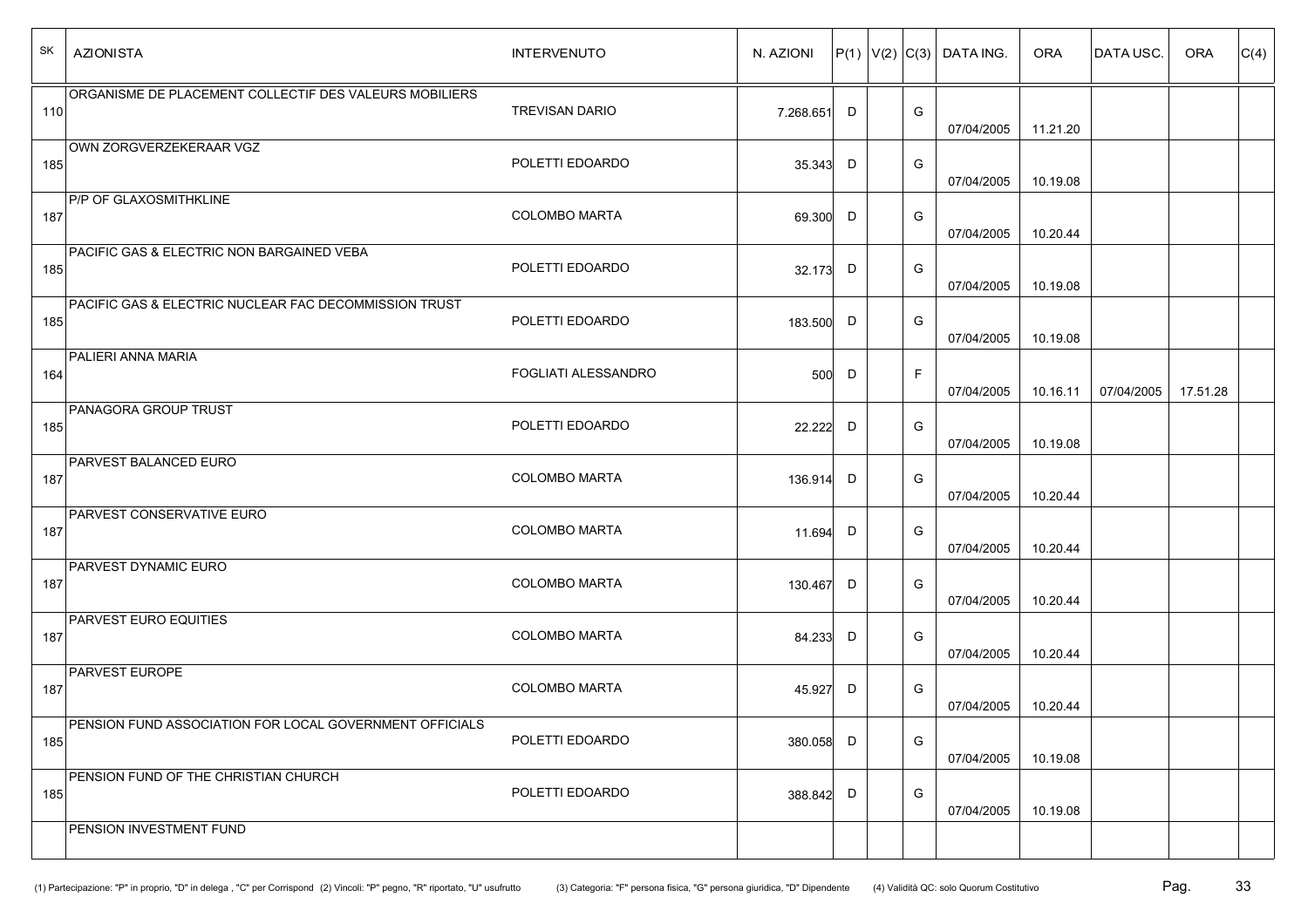| SK  | <b>AZIONISTA</b>                                        | <b>INTERVENUTO</b>    | N. AZIONI |   |             | $ P(1) V(2) C(3) $ DATA ING. | <b>ORA</b> | <b>DATAUSC.</b> | <b>ORA</b> | C(4) |
|-----|---------------------------------------------------------|-----------------------|-----------|---|-------------|------------------------------|------------|-----------------|------------|------|
| 110 | ORGANISME DE PLACEMENT COLLECTIF DES VALEURS MOBILIERS  | <b>TREVISAN DARIO</b> | 7.268.651 | D | G           | 07/04/2005                   | 11.21.20   |                 |            |      |
| 185 | OWN ZORGVERZEKERAAR VGZ                                 | POLETTI EDOARDO       | 35.343    | D | G           | 07/04/2005                   | 10.19.08   |                 |            |      |
| 187 | <b>P/P OF GLAXOSMITHKLINE</b>                           | <b>COLOMBO MARTA</b>  | 69.300 D  |   | G           | 07/04/2005                   | 10.20.44   |                 |            |      |
| 185 | PACIFIC GAS & ELECTRIC NON BARGAINED VEBA               | POLETTI EDOARDO       | 32.173 D  |   | G           | 07/04/2005                   | 10.19.08   |                 |            |      |
| 185 | PACIFIC GAS & ELECTRIC NUCLEAR FAC DECOMMISSION TRUST   | POLETTI EDOARDO       | 183.500   | D | G           | 07/04/2005                   | 10.19.08   |                 |            |      |
| 164 | PALIERI ANNA MARIA                                      | FOGLIATI ALESSANDRO   | 500       | D | $\mathsf F$ | 07/04/2005                   | 10.16.11   | 07/04/2005      | 17.51.28   |      |
| 185 | <b>PANAGORA GROUP TRUST</b>                             | POLETTI EDOARDO       | 22.222 D  |   | G           | 07/04/2005                   | 10.19.08   |                 |            |      |
| 187 | PARVEST BALANCED EURO                                   | <b>COLOMBO MARTA</b>  | 136.914   | D | G           | 07/04/2005                   | 10.20.44   |                 |            |      |
| 187 | <b>PARVEST CONSERVATIVE EURO</b>                        | <b>COLOMBO MARTA</b>  | 11.694 D  |   | G           | 07/04/2005                   | 10.20.44   |                 |            |      |
| 187 | <b>PARVEST DYNAMIC EURO</b>                             | <b>COLOMBO MARTA</b>  | 130.467   | D | G           | 07/04/2005                   | 10.20.44   |                 |            |      |
| 187 | <b>PARVEST EURO EQUITIES</b>                            | <b>COLOMBO MARTA</b>  | 84.233    | D | G           | 07/04/2005                   | 10.20.44   |                 |            |      |
| 187 | <b>PARVEST EUROPE</b>                                   | <b>COLOMBO MARTA</b>  | 45.927    | D | G           | 07/04/2005                   | 10.20.44   |                 |            |      |
| 185 | PENSION FUND ASSOCIATION FOR LOCAL GOVERNMENT OFFICIALS | POLETTI EDOARDO       | 380.058 D |   | G           | 07/04/2005                   | 10.19.08   |                 |            |      |
| 185 | PENSION FUND OF THE CHRISTIAN CHURCH                    | POLETTI EDOARDO       | 388.842 D |   | G           | 07/04/2005                   | 10.19.08   |                 |            |      |
|     | PENSION INVESTMENT FUND                                 |                       |           |   |             |                              |            |                 |            |      |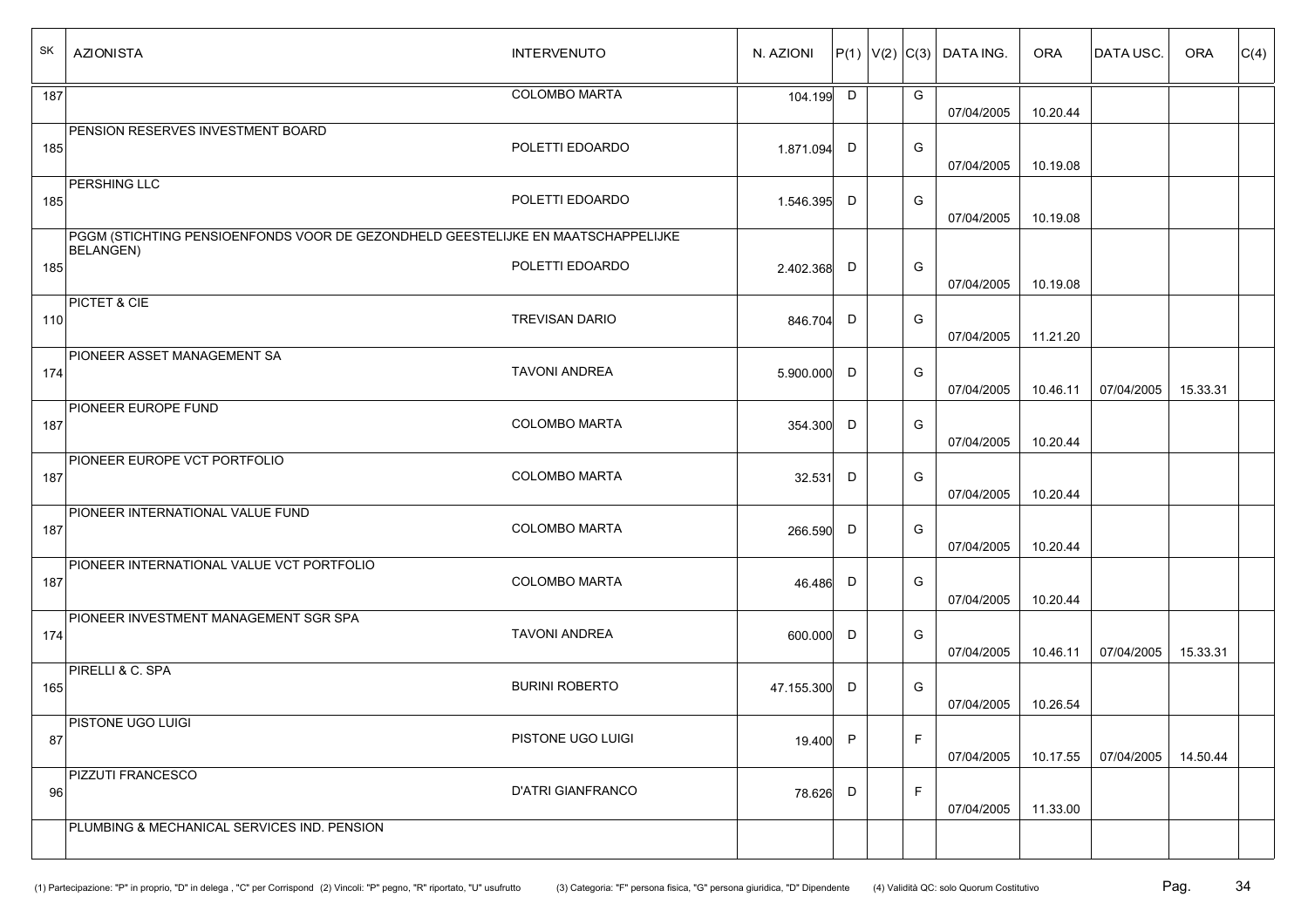| SK  | <b>AZIONISTA</b>                                                                                     | <b>INTERVENUTO</b>       | N. AZIONI  |              |             | $ P(1) V(2) C(3) $ DATA ING. | <b>ORA</b> | <b>DATAUSC.</b> | <b>ORA</b> | C(4) |
|-----|------------------------------------------------------------------------------------------------------|--------------------------|------------|--------------|-------------|------------------------------|------------|-----------------|------------|------|
| 187 |                                                                                                      | COLOMBO MARTA            | 104.199    | D            | G           | 07/04/2005                   | 10.20.44   |                 |            |      |
| 185 | PENSION RESERVES INVESTMENT BOARD                                                                    | POLETTI EDOARDO          | 1.871.094  | D            | G           | 07/04/2005                   | 10.19.08   |                 |            |      |
| 185 | <b>PERSHING LLC</b>                                                                                  | POLETTI EDOARDO          | 1.546.395  | D            | G           | 07/04/2005                   | 10.19.08   |                 |            |      |
|     | PGGM (STICHTING PENSIOENFONDS VOOR DE GEZONDHELD GEESTELIJKE EN MAATSCHAPPELIJKE<br><b>BELANGEN)</b> |                          |            |              |             |                              |            |                 |            |      |
| 185 |                                                                                                      | POLETTI EDOARDO          | 2.402.368  | D            | G           | 07/04/2005                   | 10.19.08   |                 |            |      |
| 110 | <b>PICTET &amp; CIE</b>                                                                              | <b>TREVISAN DARIO</b>    | 846.704    | D            | G           | 07/04/2005                   | 11.21.20   |                 |            |      |
| 174 | <b>PIONEER ASSET MANAGEMENT SA</b>                                                                   | <b>TAVONI ANDREA</b>     | 5.900.000  | D            | G           | 07/04/2005                   | 10.46.11   | 07/04/2005      | 15.33.31   |      |
| 187 | PIONEER EUROPE FUND                                                                                  | <b>COLOMBO MARTA</b>     | 354.300    | D            | G           | 07/04/2005                   | 10.20.44   |                 |            |      |
| 187 | PIONEER EUROPE VCT PORTFOLIO                                                                         | <b>COLOMBO MARTA</b>     | 32.531     | D            | G           | 07/04/2005                   | 10.20.44   |                 |            |      |
| 187 | PIONEER INTERNATIONAL VALUE FUND                                                                     | <b>COLOMBO MARTA</b>     | 266.590    | D            | G           | 07/04/2005                   | 10.20.44   |                 |            |      |
| 187 | PIONEER INTERNATIONAL VALUE VCT PORTFOLIO                                                            | <b>COLOMBO MARTA</b>     | 46.486     | D            | G           | 07/04/2005                   | 10.20.44   |                 |            |      |
| 174 | PIONEER INVESTMENT MANAGEMENT SGR SPA                                                                | <b>TAVONI ANDREA</b>     | 600.000    | D            | G           | 07/04/2005                   | 10.46.11   | 07/04/2005      | 15.33.31   |      |
| 165 | PIRELLI & C. SPA                                                                                     | <b>BURINI ROBERTO</b>    | 47.155.300 | D            | G           | 07/04/2005                   | 10.26.54   |                 |            |      |
| 87  | <b>PISTONE UGO LUIGI</b>                                                                             | PISTONE UGO LUIGI        | 19.400     | $\mathsf{P}$ | $\mathsf F$ | 07/04/2005                   | 10.17.55   | 07/04/2005      | 14.50.44   |      |
| 96  | <b>PIZZUTI FRANCESCO</b>                                                                             | <b>D'ATRI GIANFRANCO</b> | 78.626     | D            | $\mathsf F$ | 07/04/2005                   | 11.33.00   |                 |            |      |
|     | PLUMBING & MECHANICAL SERVICES IND. PENSION                                                          |                          |            |              |             |                              |            |                 |            |      |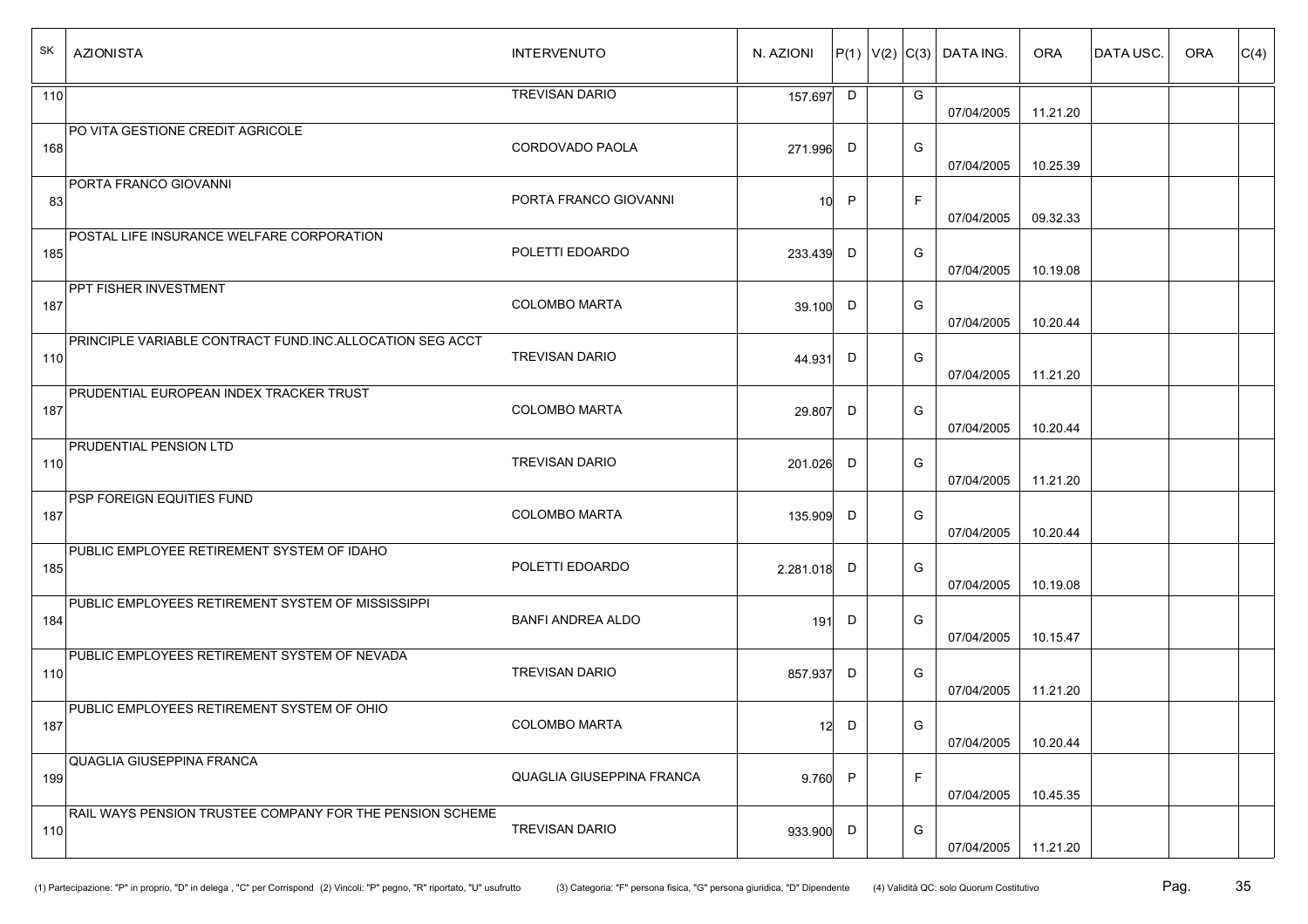| SK  | <b>AZIONISTA</b>                                         | <b>INTERVENUTO</b>        | N. AZIONI   |        |   | $ P(1) V(2) C(3) $ DATA ING. | <b>ORA</b> | <b>DATAUSC.</b> | <b>ORA</b> | C(4) |
|-----|----------------------------------------------------------|---------------------------|-------------|--------|---|------------------------------|------------|-----------------|------------|------|
| 110 |                                                          | <b>TREVISAN DARIO</b>     | 157.697     | $\Box$ | G | 07/04/2005                   | 11.21.20   |                 |            |      |
| 168 | PO VITA GESTIONE CREDIT AGRICOLE                         | CORDOVADO PAOLA           | 271.996 D   |        | G | 07/04/2005                   | 10.25.39   |                 |            |      |
| 83  | PORTA FRANCO GIOVANNI                                    | PORTA FRANCO GIOVANNI     | 10          | P      | F | 07/04/2005                   | 09.32.33   |                 |            |      |
| 185 | POSTAL LIFE INSURANCE WELFARE CORPORATION                | POLETTI EDOARDO           | 233.439     | D      | G | 07/04/2005                   | 10.19.08   |                 |            |      |
| 187 | <b>PPT FISHER INVESTMENT</b>                             | <b>COLOMBO MARTA</b>      | 39.100 D    |        | G | 07/04/2005                   | 10.20.44   |                 |            |      |
| 110 | PRINCIPLE VARIABLE CONTRACT FUND.INC.ALLOCATION SEG ACCT | <b>TREVISAN DARIO</b>     | 44.931      | D      | G | 07/04/2005                   | 11.21.20   |                 |            |      |
| 187 | PRUDENTIAL EUROPEAN INDEX TRACKER TRUST                  | <b>COLOMBO MARTA</b>      | 29.807      | D      | G | 07/04/2005                   | 10.20.44   |                 |            |      |
| 110 | <b>PRUDENTIAL PENSION LTD</b>                            | <b>TREVISAN DARIO</b>     | 201.026 D   |        | G | 07/04/2005                   | 11.21.20   |                 |            |      |
| 187 | <b>PSP FOREIGN EQUITIES FUND</b>                         | <b>COLOMBO MARTA</b>      | 135.909     | D      | G | 07/04/2005                   | 10.20.44   |                 |            |      |
| 185 | PUBLIC EMPLOYEE RETIREMENT SYSTEM OF IDAHO               | POLETTI EDOARDO           | 2.281.018 D |        | G | 07/04/2005                   | 10.19.08   |                 |            |      |
| 184 | PUBLIC EMPLOYEES RETIREMENT SYSTEM OF MISSISSIPPI        | <b>BANFI ANDREA ALDO</b>  | 191         | D      | G | 07/04/2005                   | 10.15.47   |                 |            |      |
| 110 | PUBLIC EMPLOYEES RETIREMENT SYSTEM OF NEVADA             | <b>TREVISAN DARIO</b>     | 857.937     | D      | G | 07/04/2005                   | 11.21.20   |                 |            |      |
| 187 | PUBLIC EMPLOYEES RETIREMENT SYSTEM OF OHIO               | <b>COLOMBO MARTA</b>      |             | $12$ D | G | 07/04/2005                   | 10.20.44   |                 |            |      |
| 199 | QUAGLIA GIUSEPPINA FRANCA                                | QUAGLIA GIUSEPPINA FRANCA | $9.760$ P   |        | F | 07/04/2005                   | 10.45.35   |                 |            |      |
| 110 | RAIL WAYS PENSION TRUSTEE COMPANY FOR THE PENSION SCHEME | <b>TREVISAN DARIO</b>     | 933.900 D   |        | G | 07/04/2005                   | 11.21.20   |                 |            |      |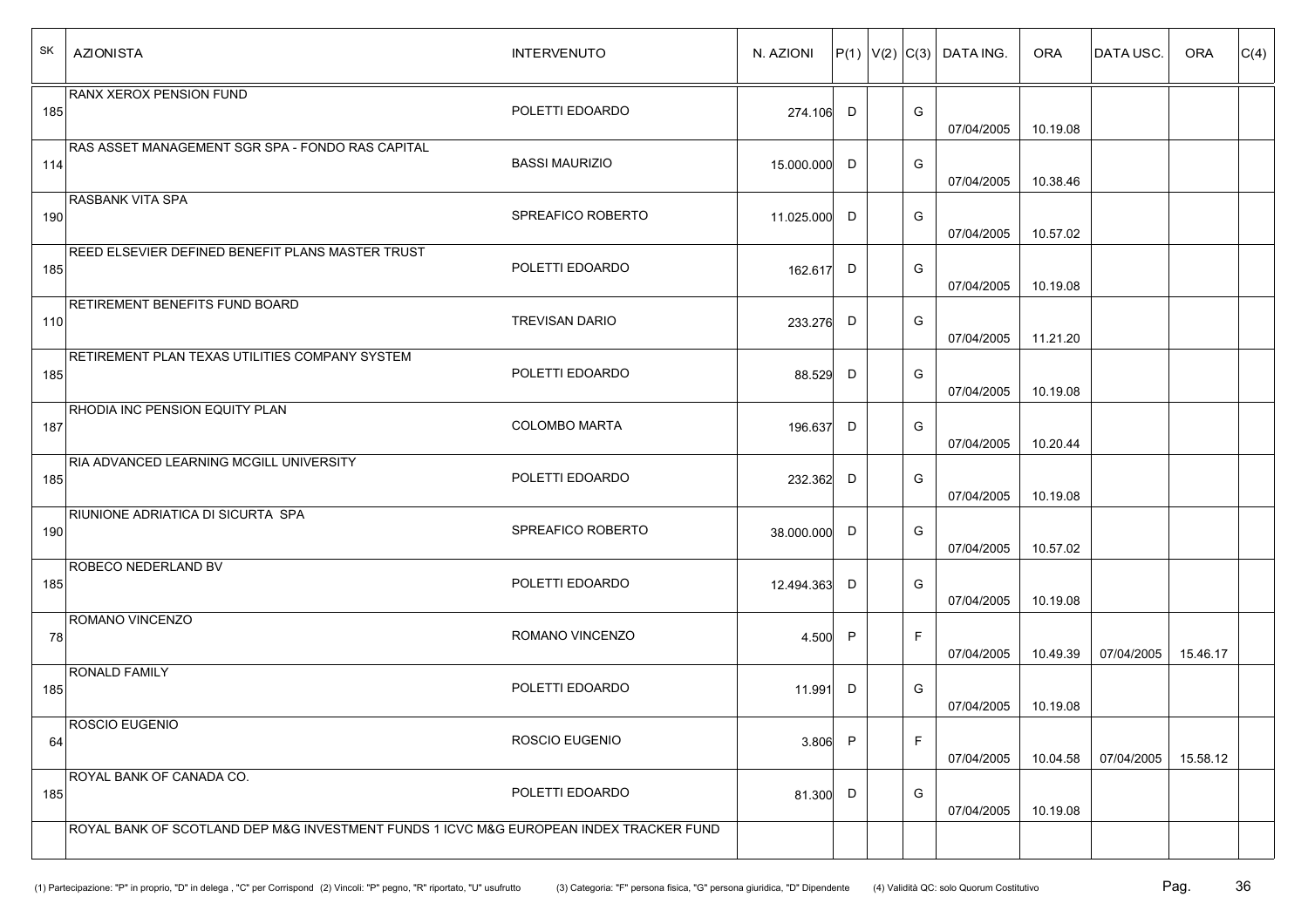| SK  | <b>AZIONISTA</b>                                                                       | <b>INTERVENUTO</b>    | N. AZIONI  |              |              | $ P(1) V(2) C(3) $ DATA ING. | <b>ORA</b> | <b>DATAUSC.</b> | <b>ORA</b> | C(4) |
|-----|----------------------------------------------------------------------------------------|-----------------------|------------|--------------|--------------|------------------------------|------------|-----------------|------------|------|
| 185 | <b>RANX XEROX PENSION FUND</b>                                                         | POLETTI EDOARDO       | 274.106    | D            | G            | 07/04/2005                   | 10.19.08   |                 |            |      |
| 114 | RAS ASSET MANAGEMENT SGR SPA - FONDO RAS CAPITAL                                       | <b>BASSI MAURIZIO</b> | 15.000.000 | D            | G            | 07/04/2005                   | 10.38.46   |                 |            |      |
| 190 | <b>RASBANK VITA SPA</b>                                                                | SPREAFICO ROBERTO     | 11.025.000 | D            | G            | 07/04/2005                   | 10.57.02   |                 |            |      |
| 185 | REED ELSEVIER DEFINED BENEFIT PLANS MASTER TRUST                                       | POLETTI EDOARDO       | 162.617    | D            | G            | 07/04/2005                   | 10.19.08   |                 |            |      |
| 110 | RETIREMENT BENEFITS FUND BOARD                                                         | <b>TREVISAN DARIO</b> | 233.276    | D            | G            | 07/04/2005                   | 11.21.20   |                 |            |      |
| 185 | RETIREMENT PLAN TEXAS UTILITIES COMPANY SYSTEM                                         | POLETTI EDOARDO       | 88.529     | D            | G            | 07/04/2005                   | 10.19.08   |                 |            |      |
| 187 | RHODIA INC PENSION EQUITY PLAN                                                         | <b>COLOMBO MARTA</b>  | 196.637    | D            | G            | 07/04/2005                   | 10.20.44   |                 |            |      |
| 185 | RIA ADVANCED LEARNING MCGILL UNIVERSITY                                                | POLETTI EDOARDO       | 232.362    | D            | G            | 07/04/2005                   | 10.19.08   |                 |            |      |
| 190 | RIUNIONE ADRIATICA DI SICURTA SPA                                                      | SPREAFICO ROBERTO     | 38.000.000 | D            | G            | 07/04/2005                   | 10.57.02   |                 |            |      |
| 185 | <b>ROBECO NEDERLAND BV</b>                                                             | POLETTI EDOARDO       | 12.494.363 | D            | G            | 07/04/2005                   | 10.19.08   |                 |            |      |
| 78  | <b>ROMANO VINCENZO</b>                                                                 | ROMANO VINCENZO       | 4.500      | $\mathsf{P}$ | $\mathsf{F}$ | 07/04/2005                   | 10.49.39   | 07/04/2005      | 15.46.17   |      |
| 185 | <b>RONALD FAMILY</b>                                                                   | POLETTI EDOARDO       | 11.991     | D            | G            | 07/04/2005                   | 10.19.08   |                 |            |      |
| 64  | ROSCIO EUGENIO                                                                         | ROSCIO EUGENIO        | 3.806      | P            | F            | 07/04/2005                   | 10.04.58   | 07/04/2005      | 15.58.12   |      |
| 185 | ROYAL BANK OF CANADA CO.                                                               | POLETTI EDOARDO       | 81.300 D   |              | G            | 07/04/2005                   | 10.19.08   |                 |            |      |
|     | ROYAL BANK OF SCOTLAND DEP M&G INVESTMENT FUNDS 1 ICVC M&G EUROPEAN INDEX TRACKER FUND |                       |            |              |              |                              |            |                 |            |      |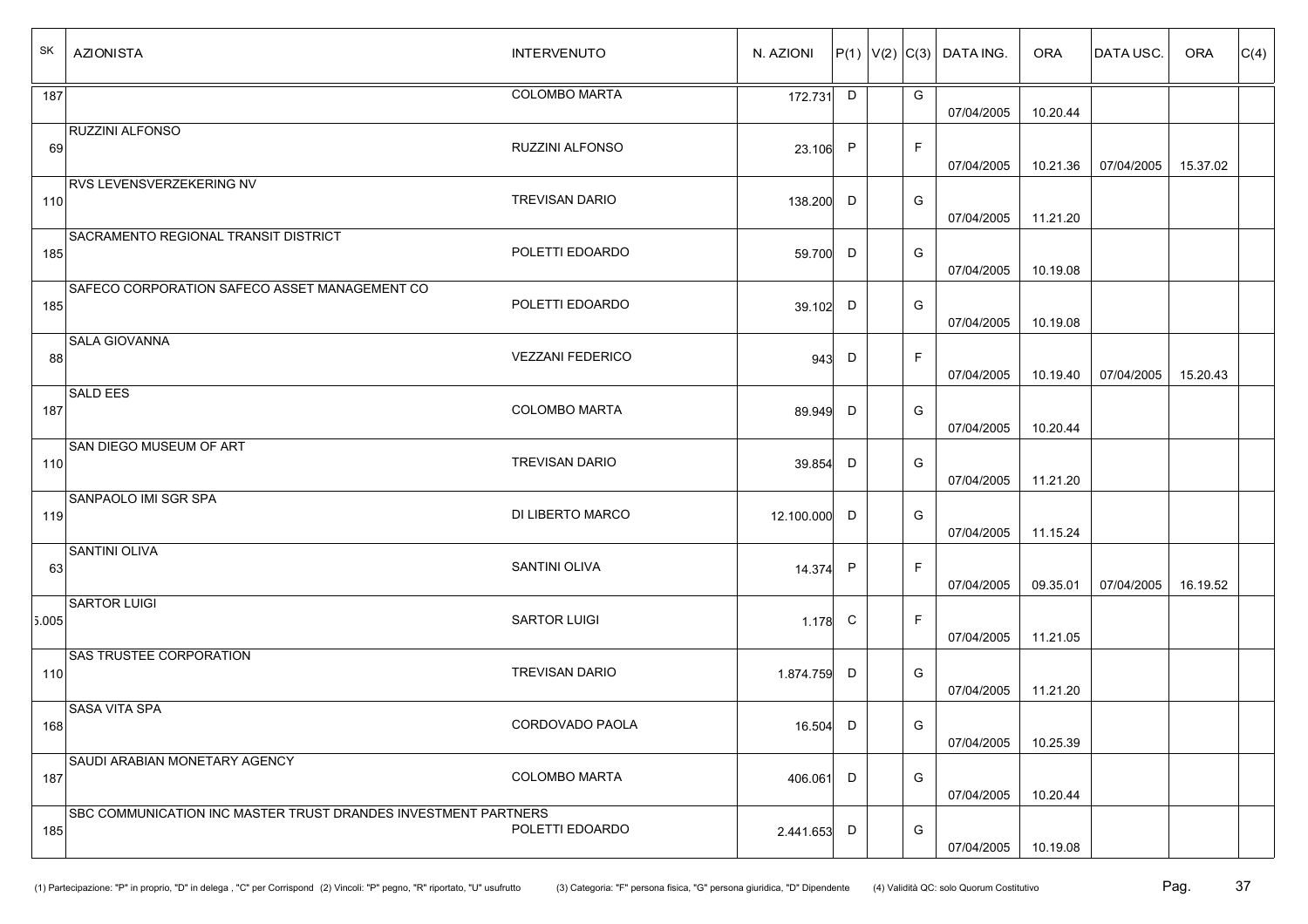| SK    | <b>AZIONISTA</b>                                               | <b>INTERVENUTO</b>      | N. AZIONI    |        |              | $ P(1) V(2) C(3) $ DATA ING. | <b>ORA</b> | DATA USC.  | ORA      | C(4) |
|-------|----------------------------------------------------------------|-------------------------|--------------|--------|--------------|------------------------------|------------|------------|----------|------|
| 187   |                                                                | <b>COLOMBO MARTA</b>    | 172.731      | $\Box$ | G            | 07/04/2005                   | 10.20.44   |            |          |      |
| 69    | <b>RUZZINI ALFONSO</b>                                         | <b>RUZZINI ALFONSO</b>  | 23.106 P     |        | $\mathsf{F}$ | 07/04/2005                   | 10.21.36   | 07/04/2005 | 15.37.02 |      |
| 110   | <b>RVS LEVENSVERZEKERING NV</b>                                | <b>TREVISAN DARIO</b>   | 138.200      | D      | G            | 07/04/2005                   | 11.21.20   |            |          |      |
| 185   | <b>SACRAMENTO REGIONAL TRANSIT DISTRICT</b>                    | POLETTI EDOARDO         | 59.700 D     |        | G            | 07/04/2005                   | 10.19.08   |            |          |      |
| 185   | SAFECO CORPORATION SAFECO ASSET MANAGEMENT CO                  | POLETTI EDOARDO         | 39.102 D     |        | G            | 07/04/2005                   | 10.19.08   |            |          |      |
| 88    | <b>SALA GIOVANNA</b>                                           | <b>VEZZANI FEDERICO</b> | 943          | D      | E            | 07/04/2005                   | 10.19.40   | 07/04/2005 | 15.20.43 |      |
| 187   | <b>SALD EES</b>                                                | <b>COLOMBO MARTA</b>    | 89.949       | D      | G            | 07/04/2005                   | 10.20.44   |            |          |      |
| 110   | SAN DIEGO MUSEUM OF ART                                        | <b>TREVISAN DARIO</b>   | 39.854       | D      | G            | 07/04/2005                   | 11.21.20   |            |          |      |
| 119   | SANPAOLO IMI SGR SPA                                           | DI LIBERTO MARCO        | 12.100.000 D |        | G            | 07/04/2005                   | 11.15.24   |            |          |      |
| 63    | <b>SANTINI OLIVA</b>                                           | <b>SANTINI OLIVA</b>    | 14.374 P     |        | E            | 07/04/2005                   | 09.35.01   | 07/04/2005 | 16.19.52 |      |
| 5.005 | <b>SARTOR LUIGI</b>                                            | SARTOR LUIGI            | 1.178 C      |        | $\mathsf{F}$ | 07/04/2005                   | 11.21.05   |            |          |      |
| 110   | <b>SAS TRUSTEE CORPORATION</b>                                 | <b>TREVISAN DARIO</b>   | 1.874.759    | D      | G            | 07/04/2005                   | 11.21.20   |            |          |      |
| 168   | <b>SASA VITA SPA</b>                                           | CORDOVADO PAOLA         | 16.504 D     |        | G            | 07/04/2005                   | 10.25.39   |            |          |      |
| 187   | SAUDI ARABIAN MONETARY AGENCY                                  | COLOMBO MARTA           | 406.061      | $\Box$ | G            | 07/04/2005                   | 10.20.44   |            |          |      |
| 185   | SBC COMMUNICATION INC MASTER TRUST DRANDES INVESTMENT PARTNERS | POLETTI EDOARDO         | 2.441.653    | D      | G            | 07/04/2005                   | 10.19.08   |            |          |      |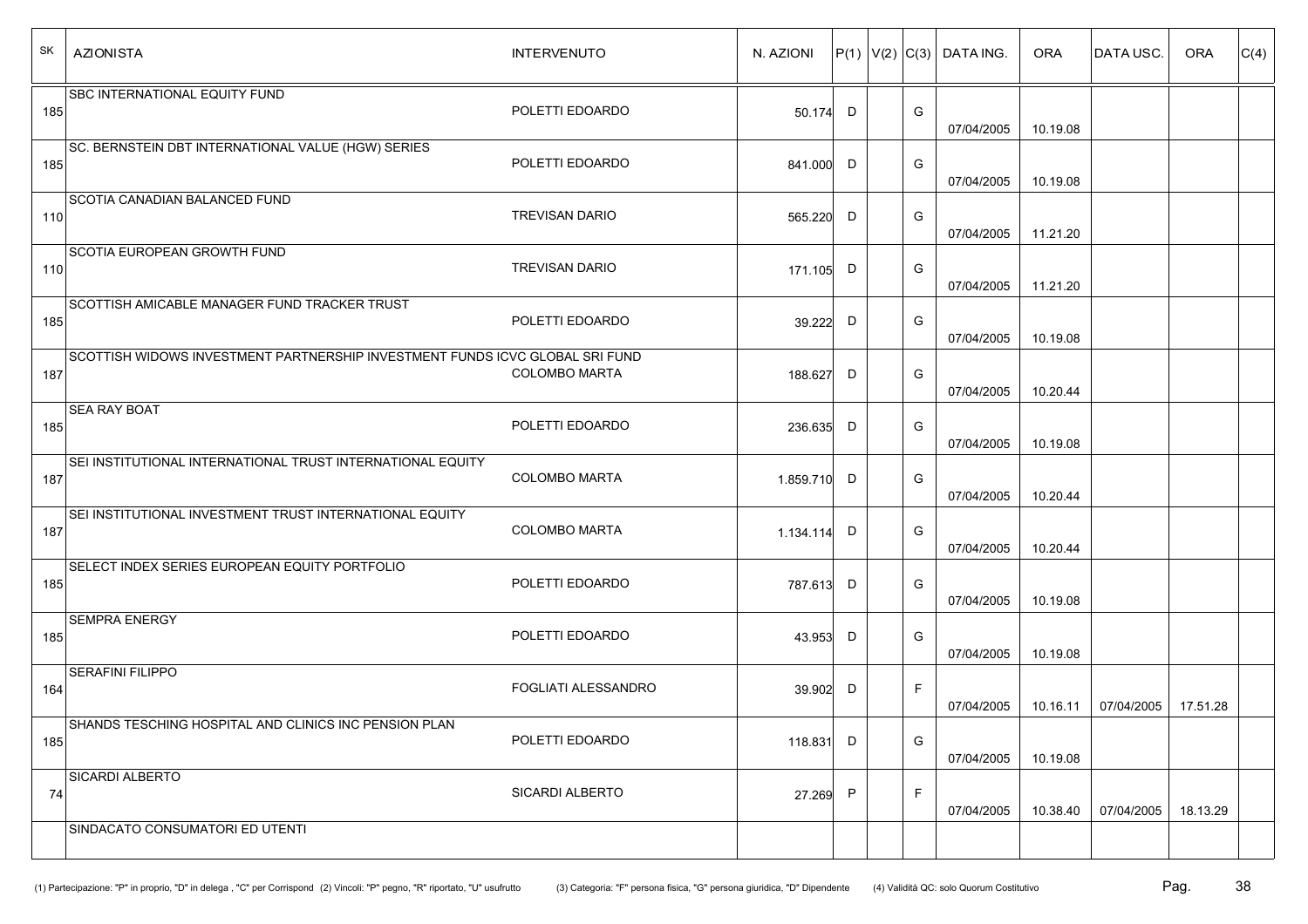| SK  | <b>AZIONISTA</b>                                                             | <b>INTERVENUTO</b>         | N. AZIONI   |   |             | $P(1)  V(2)  C(3)  $ DATA ING. | <b>ORA</b> | <b>DATAUSC.</b> | <b>ORA</b> | C(4) |
|-----|------------------------------------------------------------------------------|----------------------------|-------------|---|-------------|--------------------------------|------------|-----------------|------------|------|
| 185 | <b>SBC INTERNATIONAL EQUITY FUND</b>                                         | POLETTI EDOARDO            | 50.174 D    |   | G           | 07/04/2005                     | 10.19.08   |                 |            |      |
| 185 | SC. BERNSTEIN DBT INTERNATIONAL VALUE (HGW) SERIES                           | POLETTI EDOARDO            | 841.000 D   |   | G           | 07/04/2005                     | 10.19.08   |                 |            |      |
| 110 | <b>SCOTIA CANADIAN BALANCED FUND</b>                                         | <b>TREVISAN DARIO</b>      | 565.220     | D | G           | 07/04/2005                     | 11.21.20   |                 |            |      |
| 110 | SCOTIA EUROPEAN GROWTH FUND                                                  | <b>TREVISAN DARIO</b>      | 171.105 D   |   | G           | 07/04/2005                     | 11.21.20   |                 |            |      |
| 185 | SCOTTISH AMICABLE MANAGER FUND TRACKER TRUST                                 | POLETTI EDOARDO            | 39.222 D    |   | G           | 07/04/2005                     | 10.19.08   |                 |            |      |
| 187 | SCOTTISH WIDOWS INVESTMENT PARTNERSHIP INVESTMENT FUNDS ICVC GLOBAL SRI FUND | <b>COLOMBO MARTA</b>       | 188.627     | D | G           | 07/04/2005                     | 10.20.44   |                 |            |      |
| 185 | <b>SEA RAY BOAT</b>                                                          | POLETTI EDOARDO            | 236.635 D   |   | G           | 07/04/2005                     | 10.19.08   |                 |            |      |
| 187 | SEI INSTITUTIONAL INTERNATIONAL TRUST INTERNATIONAL EQUITY                   | <b>COLOMBO MARTA</b>       | 1.859.710 D |   | G           | 07/04/2005                     | 10.20.44   |                 |            |      |
| 187 | SEI INSTITUTIONAL INVESTMENT TRUST INTERNATIONAL EQUITY                      | <b>COLOMBO MARTA</b>       | 1.134.114 D |   | G           | 07/04/2005                     | 10.20.44   |                 |            |      |
| 185 | SELECT INDEX SERIES EUROPEAN EQUITY PORTFOLIO                                | POLETTI EDOARDO            | 787.613 D   |   | G           | 07/04/2005                     | 10.19.08   |                 |            |      |
| 185 | <b>SEMPRA ENERGY</b>                                                         | POLETTI EDOARDO            | 43.953 D    |   | G           | 07/04/2005                     | 10.19.08   |                 |            |      |
| 164 | <b>SERAFINI FILIPPO</b>                                                      | <b>FOGLIATI ALESSANDRO</b> | 39.902 D    |   | F           | 07/04/2005                     | 10.16.11   | 07/04/2005      | 17.51.28   |      |
| 185 | SHANDS TESCHING HOSPITAL AND CLINICS INC PENSION PLAN                        | POLETTI EDOARDO            | 118.831 D   |   | G           | 07/04/2005                     | 10.19.08   |                 |            |      |
| 74  | SICARDI ALBERTO                                                              | <b>SICARDI ALBERTO</b>     | 27.269      | P | $\mathsf F$ | 07/04/2005                     | 10.38.40   | 07/04/2005      | 18.13.29   |      |
|     | SINDACATO CONSUMATORI ED UTENTI                                              |                            |             |   |             |                                |            |                 |            |      |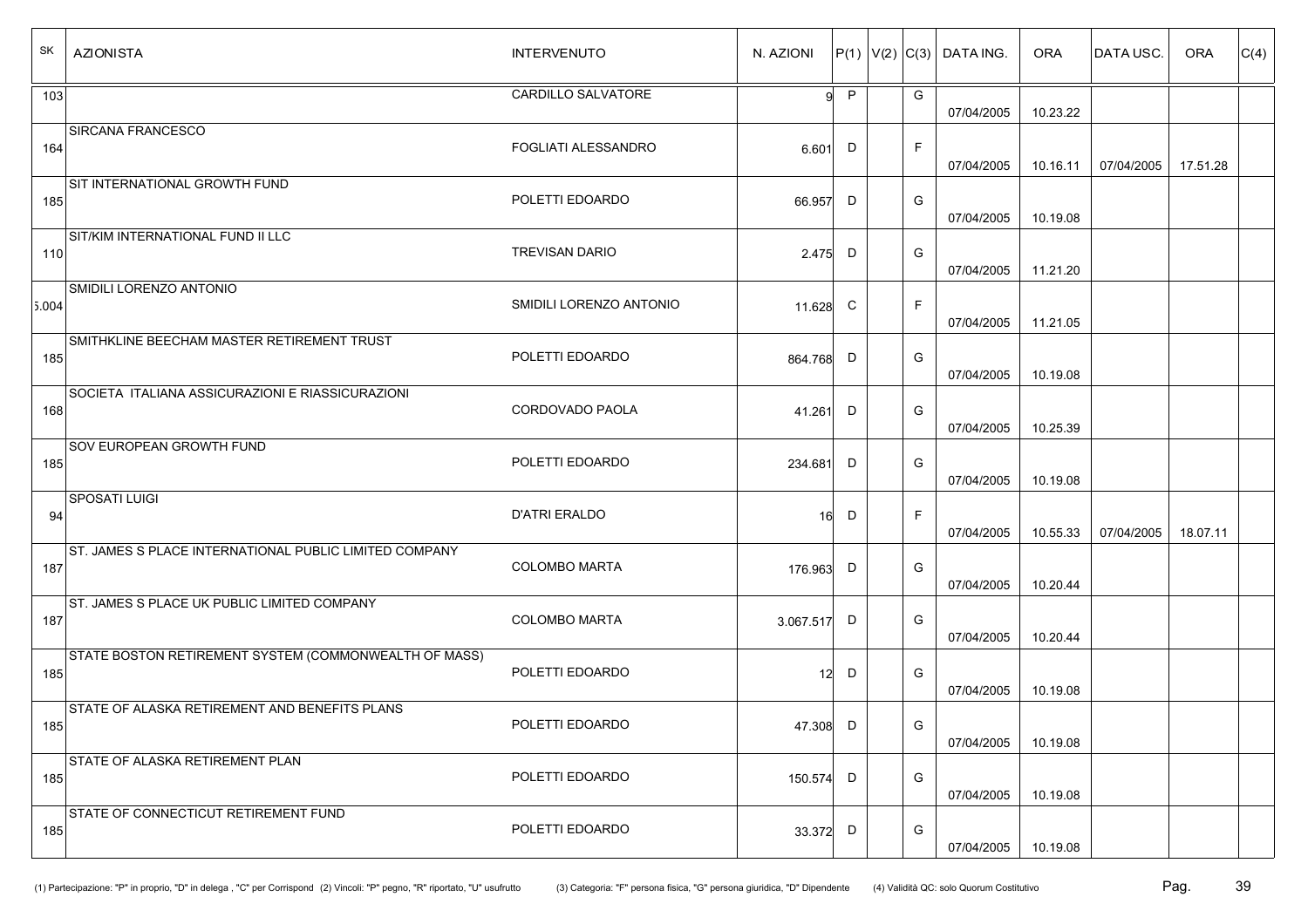| SK<br><b>AZIONISTA</b>                                        | <b>INTERVENUTO</b>         | N. AZIONI       |              |             | $P(1)  V(2)  C(3)  $ DATA ING. | <b>ORA</b> | DATA USC.  | <b>ORA</b> | C(4) |
|---------------------------------------------------------------|----------------------------|-----------------|--------------|-------------|--------------------------------|------------|------------|------------|------|
| 103                                                           | CARDILLO SALVATORE         | 9l              | $\mathsf{P}$ | G           | 07/04/2005                     | 10.23.22   |            |            |      |
| SIRCANA FRANCESCO<br>164                                      | <b>FOGLIATI ALESSANDRO</b> | 6.601           | D            | $\mathsf F$ | 07/04/2005                     | 10.16.11   | 07/04/2005 | 17.51.28   |      |
| SIT INTERNATIONAL GROWTH FUND<br>185                          | POLETTI EDOARDO            | 66.957          | D            | G           | 07/04/2005                     | 10.19.08   |            |            |      |
| SIT/KIM INTERNATIONAL FUND II LLC<br>110                      | <b>TREVISAN DARIO</b>      | 2.475           | D            | G           | 07/04/2005                     | 11.21.20   |            |            |      |
| SMIDILI LORENZO ANTONIO<br>5.004                              | SMIDILI LORENZO ANTONIO    | 11.628          | C            | F           | 07/04/2005                     | 11.21.05   |            |            |      |
| SMITHKLINE BEECHAM MASTER RETIREMENT TRUST<br>185             | POLETTI EDOARDO            | 864.768         | D            | G           | 07/04/2005                     | 10.19.08   |            |            |      |
| SOCIETA ITALIANA ASSICURAZIONI E RIASSICURAZIONI<br>168       | CORDOVADO PAOLA            | 41.261          | D            | G           | 07/04/2005                     | 10.25.39   |            |            |      |
| <b>SOV EUROPEAN GROWTH FUND</b><br>185                        | POLETTI EDOARDO            | 234.681         | D            | G           | 07/04/2005                     | 10.19.08   |            |            |      |
| <b>SPOSATI LUIGI</b><br>94                                    | <b>D'ATRI ERALDO</b>       | 16              | D            | F           | 07/04/2005                     | 10.55.33   | 07/04/2005 | 18.07.11   |      |
| ST. JAMES S PLACE INTERNATIONAL PUBLIC LIMITED COMPANY<br>187 | <b>COLOMBO MARTA</b>       | 176.963         | D            | G           | 07/04/2005                     | 10.20.44   |            |            |      |
| ST. JAMES S PLACE UK PUBLIC LIMITED COMPANY<br>187            | <b>COLOMBO MARTA</b>       | 3.067.517       | D            | G           | 07/04/2005                     | 10.20.44   |            |            |      |
| STATE BOSTON RETIREMENT SYSTEM (COMMONWEALTH OF MASS)<br>185  | POLETTI EDOARDO            | 12 <sup>1</sup> | D            | G           | 07/04/2005                     | 10.19.08   |            |            |      |
| STATE OF ALASKA RETIREMENT AND BENEFITS PLANS<br>185          | POLETTI EDOARDO            | 47.308 D        |              | G           | 07/04/2005                     | 10.19.08   |            |            |      |
| <b>STATE OF ALASKA RETIREMENT PLAN</b><br>185                 | POLETTI EDOARDO            | 150.574         | D            | G           | 07/04/2005                     | 10.19.08   |            |            |      |
| STATE OF CONNECTICUT RETIREMENT FUND<br>185                   | POLETTI EDOARDO            | 33.372 D        |              | G           | 07/04/2005                     | 10.19.08   |            |            |      |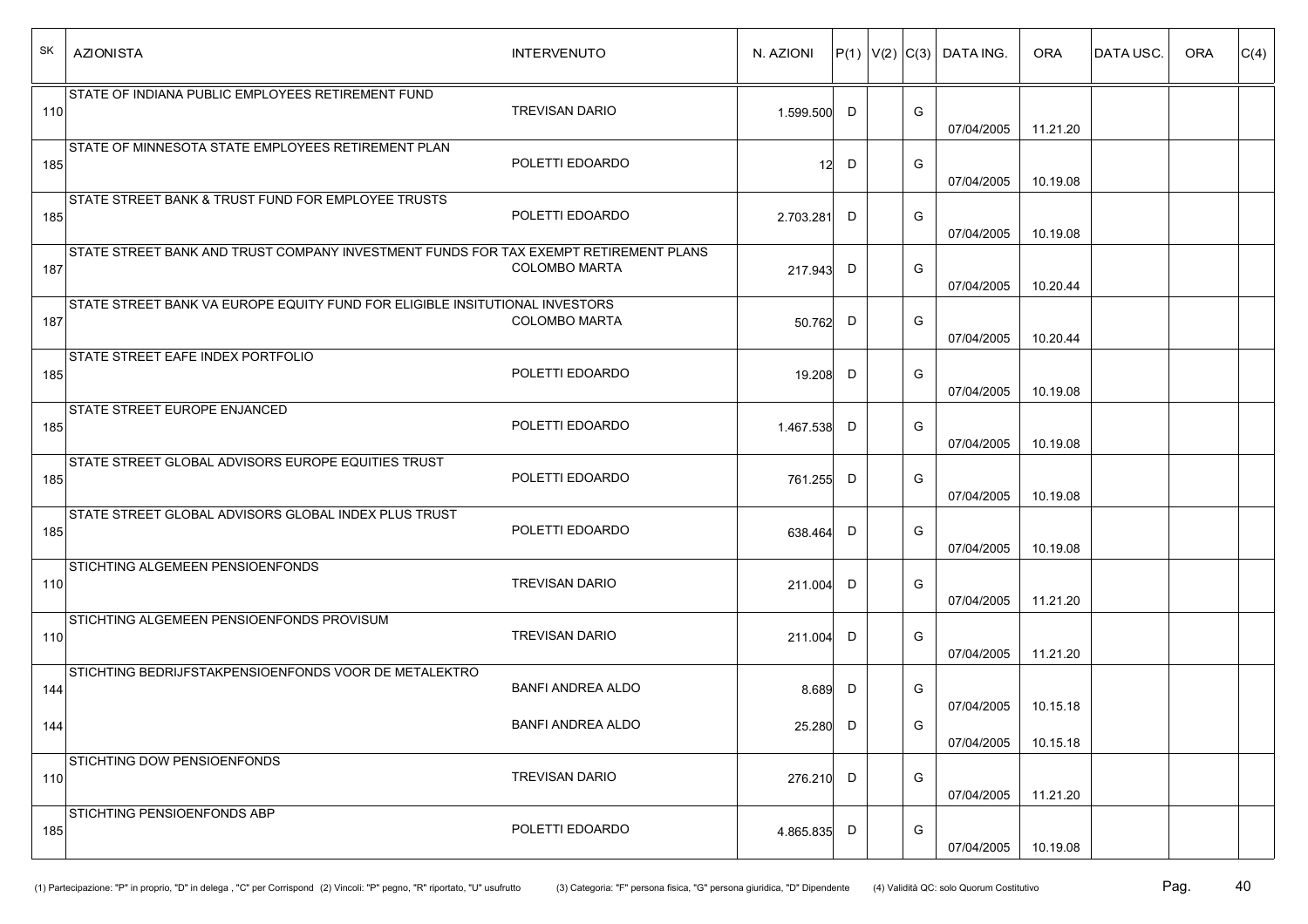| SK<br><b>AZIONISTA</b>                                                                      | <b>INTERVENUTO</b>       | N. AZIONI       |   |   | $P(1)  V(2)  C(3)  $ DATA ING. | <b>ORA</b> | <b>DATAUSC.</b> | <b>ORA</b> | C(4) |
|---------------------------------------------------------------------------------------------|--------------------------|-----------------|---|---|--------------------------------|------------|-----------------|------------|------|
| STATE OF INDIANA PUBLIC EMPLOYEES RETIREMENT FUND<br>110                                    | <b>TREVISAN DARIO</b>    | 1.599.500       | D | G | 07/04/2005                     | 11.21.20   |                 |            |      |
| STATE OF MINNESOTA STATE EMPLOYEES RETIREMENT PLAN<br>185                                   | POLETTI EDOARDO          | 12 <sup>1</sup> | D | G | 07/04/2005                     | 10.19.08   |                 |            |      |
| STATE STREET BANK & TRUST FUND FOR EMPLOYEE TRUSTS<br>185                                   | POLETTI EDOARDO          | 2.703.281       | D | G | 07/04/2005                     | 10.19.08   |                 |            |      |
| STATE STREET BANK AND TRUST COMPANY INVESTMENT FUNDS FOR TAX EXEMPT RETIREMENT PLANS<br>187 | <b>COLOMBO MARTA</b>     | 217.943         | D | G | 07/04/2005                     | 10.20.44   |                 |            |      |
| STATE STREET BANK VA EUROPE EQUITY FUND FOR ELIGIBLE INSITUTIONAL INVESTORS<br>187          | <b>COLOMBO MARTA</b>     | 50.762          | D | G | 07/04/2005                     | 10.20.44   |                 |            |      |
| <b>STATE STREET EAFE INDEX PORTFOLIO</b><br>185                                             | POLETTI EDOARDO          | 19.208          | D | G | 07/04/2005                     | 10.19.08   |                 |            |      |
| <b>STATE STREET EUROPE ENJANCED</b><br>185                                                  | POLETTI EDOARDO          | 1.467.538       | D | G | 07/04/2005                     | 10.19.08   |                 |            |      |
| STATE STREET GLOBAL ADVISORS EUROPE EQUITIES TRUST<br>185                                   | POLETTI EDOARDO          | 761.255         | D | G | 07/04/2005                     | 10.19.08   |                 |            |      |
| STATE STREET GLOBAL ADVISORS GLOBAL INDEX PLUS TRUST<br>185                                 | POLETTI EDOARDO          | 638.464         | D | G | 07/04/2005                     | 10.19.08   |                 |            |      |
| STICHTING ALGEMEEN PENSIOENFONDS<br>110                                                     | <b>TREVISAN DARIO</b>    | 211.004         | D | G | 07/04/2005                     | 11.21.20   |                 |            |      |
| STICHTING ALGEMEEN PENSIOENFONDS PROVISUM<br>110                                            | <b>TREVISAN DARIO</b>    | 211.004         | D | G | 07/04/2005                     | 11.21.20   |                 |            |      |
| STICHTING BEDRIJFSTAKPENSIOENFONDS VOOR DE METALEKTRO<br>144                                | <b>BANFI ANDREA ALDO</b> | 8.689 D         |   | G | 07/04/2005                     | 10.15.18   |                 |            |      |
| 144                                                                                         | <b>BANFI ANDREA ALDO</b> | 25.280 D        |   | G | 07/04/2005                     | 10.15.18   |                 |            |      |
| STICHTING DOW PENSIOENFONDS<br>110                                                          | <b>TREVISAN DARIO</b>    | 276.210 D       |   | G | 07/04/2005                     | 11.21.20   |                 |            |      |
| STICHTING PENSIOENFONDS ABP<br>185                                                          | POLETTI EDOARDO          | 4.865.835 D     |   | G | 07/04/2005                     | 10.19.08   |                 |            |      |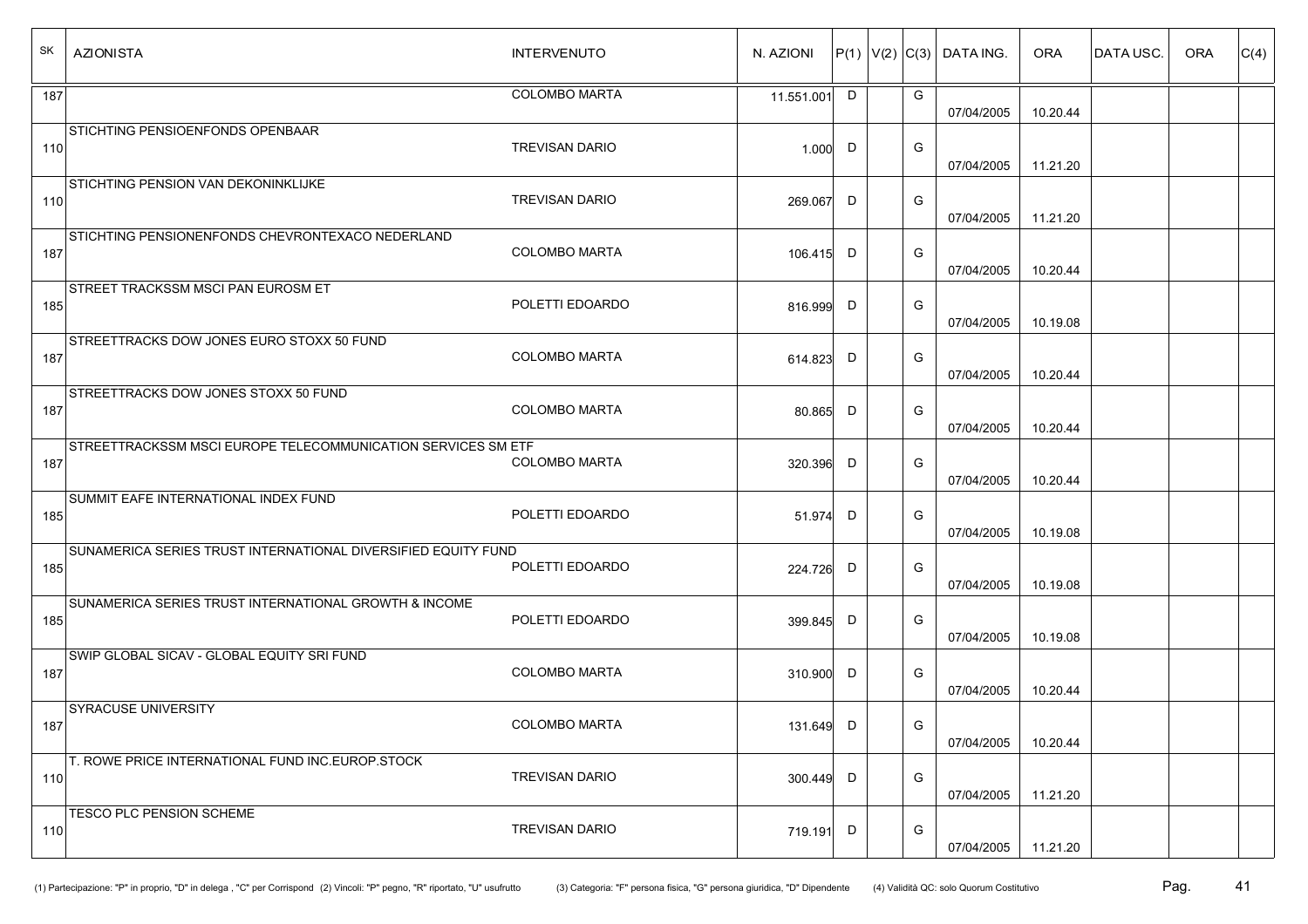| SK  | <b>AZIONISTA</b>                                                 | <b>INTERVENUTO</b>    | N. AZIONI  |   | $ P(1) V(2) C(3) $ DATA ING. |            | <b>ORA</b> | <b>DATAUSC.</b> | <b>ORA</b> | C(4) |
|-----|------------------------------------------------------------------|-----------------------|------------|---|------------------------------|------------|------------|-----------------|------------|------|
| 187 |                                                                  | <b>COLOMBO MARTA</b>  | 11.551.001 | D | G                            | 07/04/2005 | 10.20.44   |                 |            |      |
| 110 | STICHTING PENSIOENFONDS OPENBAAR                                 | <b>TREVISAN DARIO</b> | 1.000      | D | G                            | 07/04/2005 | 11.21.20   |                 |            |      |
| 110 | <b>STICHTING PENSION VAN DEKONINKLIJKE</b>                       | <b>TREVISAN DARIO</b> | 269.067    | D | G                            | 07/04/2005 | 11.21.20   |                 |            |      |
| 187 | STICHTING PENSIONENFONDS CHEVRONTEXACO NEDERLAND                 | <b>COLOMBO MARTA</b>  | 106.415    | D | G                            | 07/04/2005 | 10.20.44   |                 |            |      |
| 185 | <b>STREET TRACKSSM MSCI PAN EUROSM ET</b>                        | POLETTI EDOARDO       | 816.999    | D | G                            | 07/04/2005 | 10.19.08   |                 |            |      |
| 187 | STREETTRACKS DOW JONES EURO STOXX 50 FUND                        | <b>COLOMBO MARTA</b>  | 614.823    | D | G                            | 07/04/2005 | 10.20.44   |                 |            |      |
| 187 | STREETTRACKS DOW JONES STOXX 50 FUND                             | <b>COLOMBO MARTA</b>  | 80.865     | D | G                            | 07/04/2005 | 10.20.44   |                 |            |      |
| 187 | STREETTRACKSSM MSCI EUROPE TELECOMMUNICATION SERVICES SM ETF     | <b>COLOMBO MARTA</b>  | 320.396    | D | G                            | 07/04/2005 | 10.20.44   |                 |            |      |
| 185 | SUMMIT EAFE INTERNATIONAL INDEX FUND                             | POLETTI EDOARDO       | 51.974     | D | G                            | 07/04/2005 | 10.19.08   |                 |            |      |
| 185 | SUNAMERICA SERIES TRUST INTERNATIONAL DIVERSIFIED EQUITY FUND    | POLETTI EDOARDO       | 224.726    | D | G                            | 07/04/2005 | 10.19.08   |                 |            |      |
| 185 | <b>SUNAMERICA SERIES TRUST INTERNATIONAL GROWTH &amp; INCOME</b> | POLETTI EDOARDO       | 399.845    | D | G                            | 07/04/2005 | 10.19.08   |                 |            |      |
| 187 | SWIP GLOBAL SICAV - GLOBAL EQUITY SRI FUND                       | <b>COLOMBO MARTA</b>  | 310.900    | D | G                            | 07/04/2005 | 10.20.44   |                 |            |      |
| 187 | <b>SYRACUSE UNIVERSITY</b>                                       | COLOMBO MARTA         | 131.649 D  |   | G                            | 07/04/2005 | 10.20.44   |                 |            |      |
| 110 | T. ROWE PRICE INTERNATIONAL FUND INC.EUROP.STOCK                 | <b>TREVISAN DARIO</b> | 300.449    | D | G                            | 07/04/2005 | 11.21.20   |                 |            |      |
| 110 | TESCO PLC PENSION SCHEME                                         | <b>TREVISAN DARIO</b> | 719.191    | D | G                            | 07/04/2005 | 11.21.20   |                 |            |      |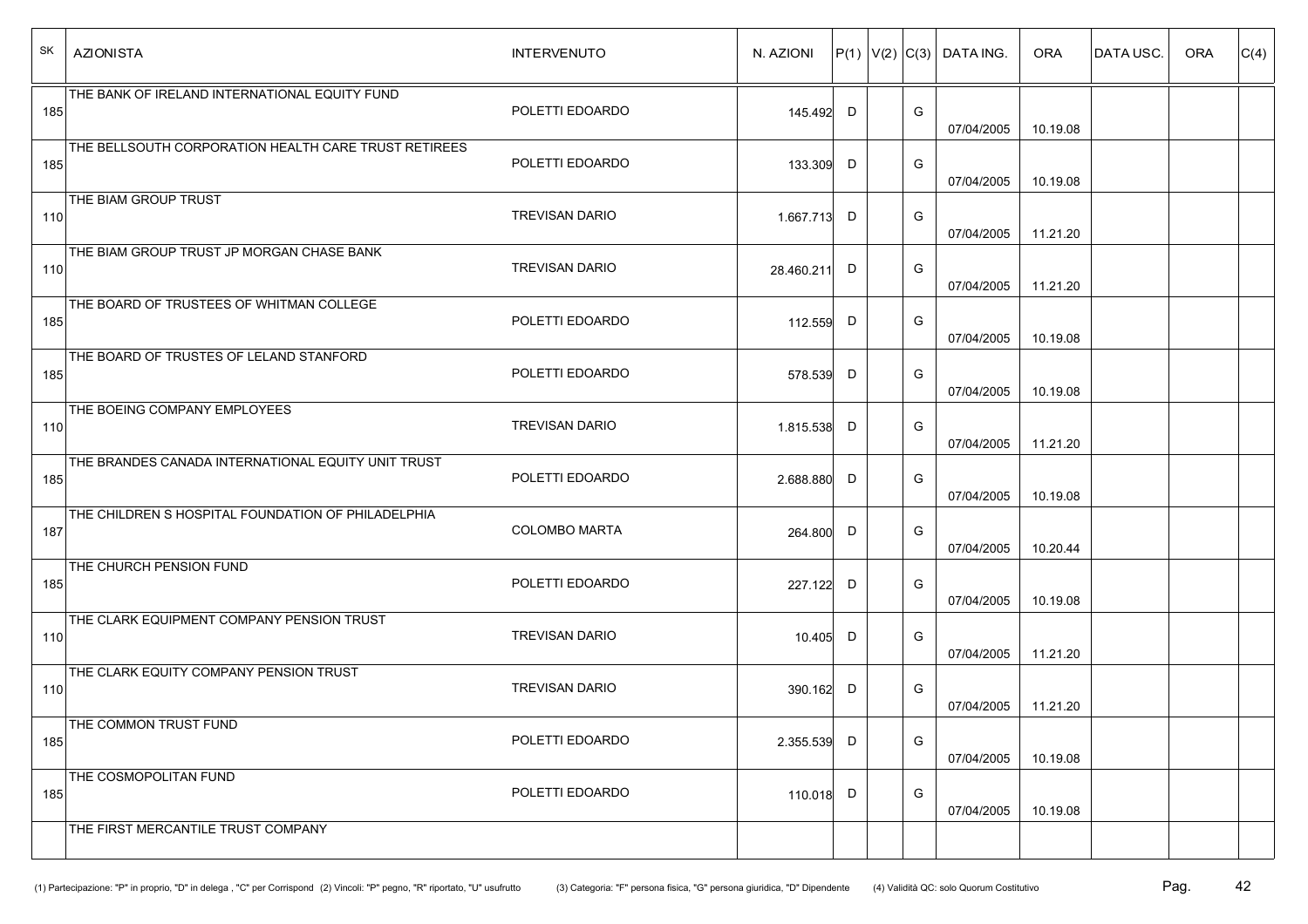| SK  | <b>AZIONISTA</b>                                     | <b>INTERVENUTO</b>    | N. AZIONI   |   |   | $ P(1) V(2) C(3) $ DATA ING. | <b>ORA</b> | <b>DATAUSC.</b> | ORA | C(4) |
|-----|------------------------------------------------------|-----------------------|-------------|---|---|------------------------------|------------|-----------------|-----|------|
| 185 | THE BANK OF IRELAND INTERNATIONAL EQUITY FUND        | POLETTI EDOARDO       | 145.492 D   |   | G | 07/04/2005                   | 10.19.08   |                 |     |      |
| 185 | THE BELLSOUTH CORPORATION HEALTH CARE TRUST RETIREES | POLETTI EDOARDO       | 133.309 D   |   | G | 07/04/2005                   | 10.19.08   |                 |     |      |
| 110 | THE BIAM GROUP TRUST                                 | <b>TREVISAN DARIO</b> | 1.667.713 D |   | G | 07/04/2005                   | 11.21.20   |                 |     |      |
| 110 | THE BIAM GROUP TRUST JP MORGAN CHASE BANK            | <b>TREVISAN DARIO</b> | 28.460.211  | D | G | 07/04/2005                   | 11.21.20   |                 |     |      |
| 185 | THE BOARD OF TRUSTEES OF WHITMAN COLLEGE             | POLETTI EDOARDO       | 112.559 D   |   | G | 07/04/2005                   | 10.19.08   |                 |     |      |
| 185 | THE BOARD OF TRUSTES OF LELAND STANFORD              | POLETTI EDOARDO       | 578.539 D   |   | G | 07/04/2005                   | 10.19.08   |                 |     |      |
| 110 | THE BOEING COMPANY EMPLOYEES                         | <b>TREVISAN DARIO</b> | 1.815.538 D |   | G | 07/04/2005                   | 11.21.20   |                 |     |      |
| 185 | THE BRANDES CANADA INTERNATIONAL EQUITY UNIT TRUST   | POLETTI EDOARDO       | 2.688.880   | D | G | 07/04/2005                   | 10.19.08   |                 |     |      |
| 187 | THE CHILDREN S HOSPITAL FOUNDATION OF PHILADELPHIA   | <b>COLOMBO MARTA</b>  | 264.800     | D | G | 07/04/2005                   | 10.20.44   |                 |     |      |
| 185 | THE CHURCH PENSION FUND                              | POLETTI EDOARDO       | 227.122 D   |   | G | 07/04/2005                   | 10.19.08   |                 |     |      |
| 110 | THE CLARK EQUIPMENT COMPANY PENSION TRUST            | <b>TREVISAN DARIO</b> | 10.405 D    |   | G | 07/04/2005                   | 11.21.20   |                 |     |      |
| 110 | THE CLARK EQUITY COMPANY PENSION TRUST               | <b>TREVISAN DARIO</b> | 390.162 D   |   | G | 07/04/2005                   | 11.21.20   |                 |     |      |
| 185 | THE COMMON TRUST FUND                                | POLETTI EDOARDO       | 2.355.539   | D | G | 07/04/2005                   | 10.19.08   |                 |     |      |
| 185 | THE COSMOPOLITAN FUND                                | POLETTI EDOARDO       | 110.018 D   |   | G | 07/04/2005                   | 10.19.08   |                 |     |      |
|     | THE FIRST MERCANTILE TRUST COMPANY                   |                       |             |   |   |                              |            |                 |     |      |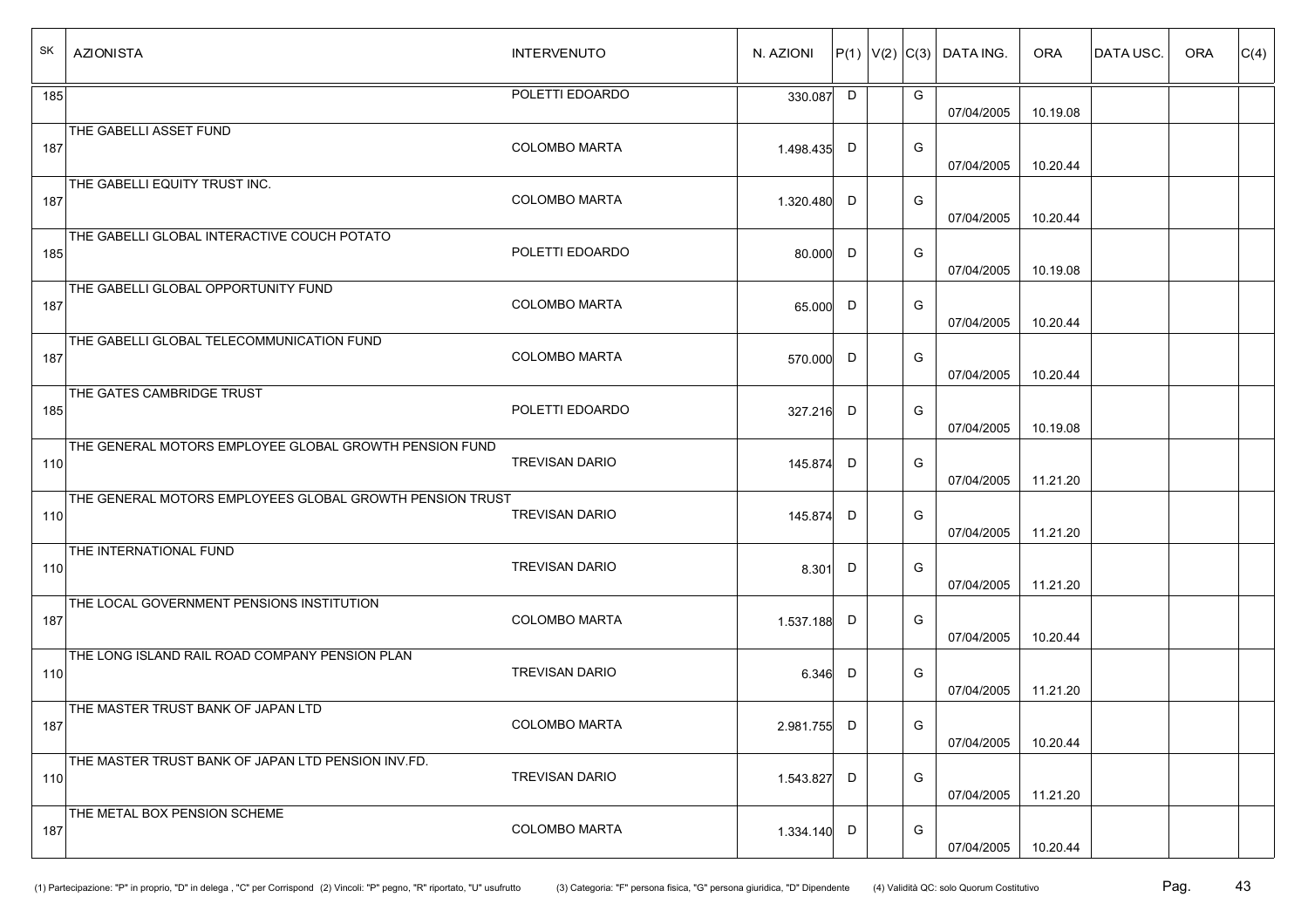| SK  | <b>AZIONISTA</b>                                         | <b>INTERVENUTO</b>    | N. AZIONI   |   |   | $ P(1) V(2) C(3) $ DATA ING. | <b>ORA</b> | <b>DATAUSC.</b> | <b>ORA</b> | C(4) |
|-----|----------------------------------------------------------|-----------------------|-------------|---|---|------------------------------|------------|-----------------|------------|------|
| 185 |                                                          | POLETTI EDOARDO       | 330.087     | D | G | 07/04/2005                   | 10.19.08   |                 |            |      |
| 187 | THE GABELLI ASSET FUND                                   | <b>COLOMBO MARTA</b>  | 1.498.435 D |   | G | 07/04/2005                   | 10.20.44   |                 |            |      |
| 187 | THE GABELLI EQUITY TRUST INC.                            | <b>COLOMBO MARTA</b>  | 1.320.480   | D | G | 07/04/2005                   | 10.20.44   |                 |            |      |
| 185 | THE GABELLI GLOBAL INTERACTIVE COUCH POTATO              | POLETTI EDOARDO       | 80.000 D    |   | G | 07/04/2005                   | 10.19.08   |                 |            |      |
| 187 | THE GABELLI GLOBAL OPPORTUNITY FUND                      | <b>COLOMBO MARTA</b>  | 65.000 D    |   | G | 07/04/2005                   | 10.20.44   |                 |            |      |
| 187 | THE GABELLI GLOBAL TELECOMMUNICATION FUND                | <b>COLOMBO MARTA</b>  | 570.000 D   |   | G | 07/04/2005                   | 10.20.44   |                 |            |      |
| 185 | THE GATES CAMBRIDGE TRUST                                | POLETTI EDOARDO       | 327.216 D   |   | G | 07/04/2005                   | 10.19.08   |                 |            |      |
| 110 | THE GENERAL MOTORS EMPLOYEE GLOBAL GROWTH PENSION FUND   | <b>TREVISAN DARIO</b> | 145.874     | D | G | 07/04/2005                   | 11.21.20   |                 |            |      |
| 110 | THE GENERAL MOTORS EMPLOYEES GLOBAL GROWTH PENSION TRUST | TREVISAN DARIO        | 145.874     | D | G | 07/04/2005                   | 11.21.20   |                 |            |      |
| 110 | THE INTERNATIONAL FUND                                   | <b>TREVISAN DARIO</b> | 8.301 D     |   | G | 07/04/2005                   | 11.21.20   |                 |            |      |
| 187 | THE LOCAL GOVERNMENT PENSIONS INSTITUTION                | <b>COLOMBO MARTA</b>  | 1.537.188 D |   | G | 07/04/2005                   | 10.20.44   |                 |            |      |
| 110 | THE LONG ISLAND RAIL ROAD COMPANY PENSION PLAN           | <b>TREVISAN DARIO</b> | 6.346 D     |   | G | 07/04/2005                   | 11.21.20   |                 |            |      |
| 187 | THE MASTER TRUST BANK OF JAPAN LTD                       | <b>COLOMBO MARTA</b>  | 2.981.755 D |   | G | 07/04/2005                   | 10.20.44   |                 |            |      |
| 110 | THE MASTER TRUST BANK OF JAPAN LTD PENSION INV.FD.       | <b>TREVISAN DARIO</b> | 1.543.827 D |   | G | 07/04/2005                   | 11.21.20   |                 |            |      |
| 187 | THE METAL BOX PENSION SCHEME                             | COLOMBO MARTA         | 1.334.140 D |   | G | 07/04/2005                   | 10.20.44   |                 |            |      |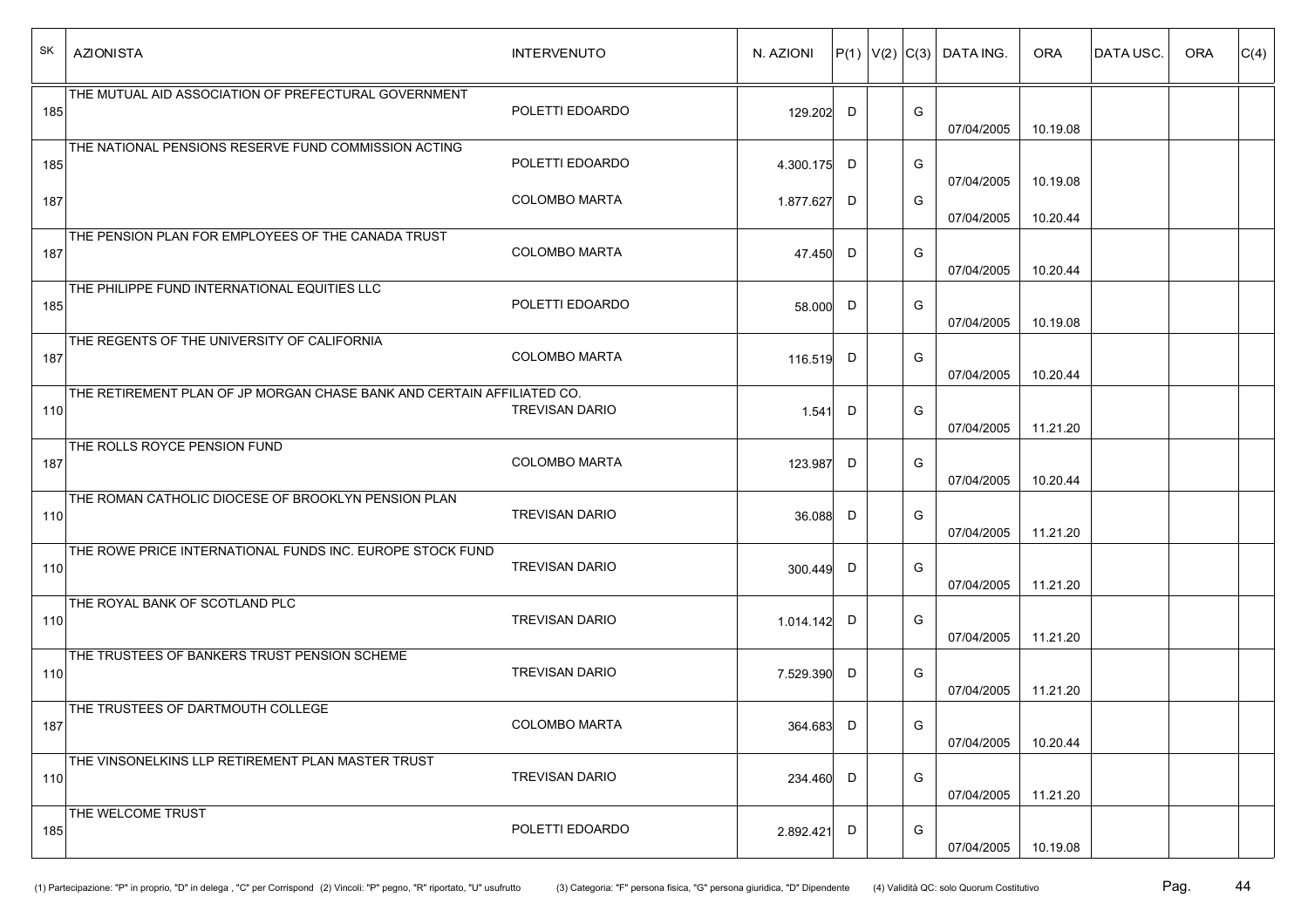| SK  | <b>AZIONISTA</b>                                                       | <b>INTERVENUTO</b>    | N. AZIONI   |   |   | $ P(1) V(2) C(3) $ DATA ING. | <b>ORA</b> | <b>DATAUSC.</b> | <b>ORA</b> | C(4) |
|-----|------------------------------------------------------------------------|-----------------------|-------------|---|---|------------------------------|------------|-----------------|------------|------|
| 185 | THE MUTUAL AID ASSOCIATION OF PREFECTURAL GOVERNMENT                   | POLETTI EDOARDO       | 129.202 D   |   | G | 07/04/2005                   | 10.19.08   |                 |            |      |
| 185 | THE NATIONAL PENSIONS RESERVE FUND COMMISSION ACTING                   | POLETTI EDOARDO       | 4.300.175   | D | G | 07/04/2005                   | 10.19.08   |                 |            |      |
| 187 |                                                                        | <b>COLOMBO MARTA</b>  | 1.877.627   | D | G | 07/04/2005                   | 10.20.44   |                 |            |      |
| 187 | THE PENSION PLAN FOR EMPLOYEES OF THE CANADA TRUST                     | <b>COLOMBO MARTA</b>  | 47.450      | D | G | 07/04/2005                   | 10.20.44   |                 |            |      |
| 185 | THE PHILIPPE FUND INTERNATIONAL EQUITIES LLC                           | POLETTI EDOARDO       | 58.000 D    |   | G | 07/04/2005                   | 10.19.08   |                 |            |      |
| 187 | THE REGENTS OF THE UNIVERSITY OF CALIFORNIA                            | <b>COLOMBO MARTA</b>  | 116.519 D   |   | G | 07/04/2005                   | 10.20.44   |                 |            |      |
| 110 | THE RETIREMENT PLAN OF JP MORGAN CHASE BANK AND CERTAIN AFFILIATED CO. | <b>TREVISAN DARIO</b> | 1.541       | D | G | 07/04/2005                   | 11.21.20   |                 |            |      |
| 187 | THE ROLLS ROYCE PENSION FUND                                           | <b>COLOMBO MARTA</b>  | 123.987     | D | G | 07/04/2005                   | 10.20.44   |                 |            |      |
| 110 | THE ROMAN CATHOLIC DIOCESE OF BROOKLYN PENSION PLAN                    | <b>TREVISAN DARIO</b> | 36.088      | D | G | 07/04/2005                   | 11.21.20   |                 |            |      |
| 110 | THE ROWE PRICE INTERNATIONAL FUNDS INC. EUROPE STOCK FUND              | <b>TREVISAN DARIO</b> | 300.449 D   |   | G | 07/04/2005                   | 11.21.20   |                 |            |      |
| 110 | THE ROYAL BANK OF SCOTLAND PLC                                         | <b>TREVISAN DARIO</b> | 1.014.142 D |   | G | 07/04/2005                   | 11.21.20   |                 |            |      |
| 110 | THE TRUSTEES OF BANKERS TRUST PENSION SCHEME                           | <b>TREVISAN DARIO</b> | 7.529.390   | D | G | 07/04/2005                   | 11.21.20   |                 |            |      |
| 187 | THE TRUSTEES OF DARTMOUTH COLLEGE                                      | COLOMBO MARTA         | 364.683 D   |   | G | 07/04/2005                   | 10.20.44   |                 |            |      |
| 110 | THE VINSONELKINS LLP RETIREMENT PLAN MASTER TRUST                      | <b>TREVISAN DARIO</b> | 234.460 D   |   | G | 07/04/2005                   | 11.21.20   |                 |            |      |
| 185 | THE WELCOME TRUST                                                      | POLETTI EDOARDO       | 2.892.421   | D | G | 07/04/2005                   | 10.19.08   |                 |            |      |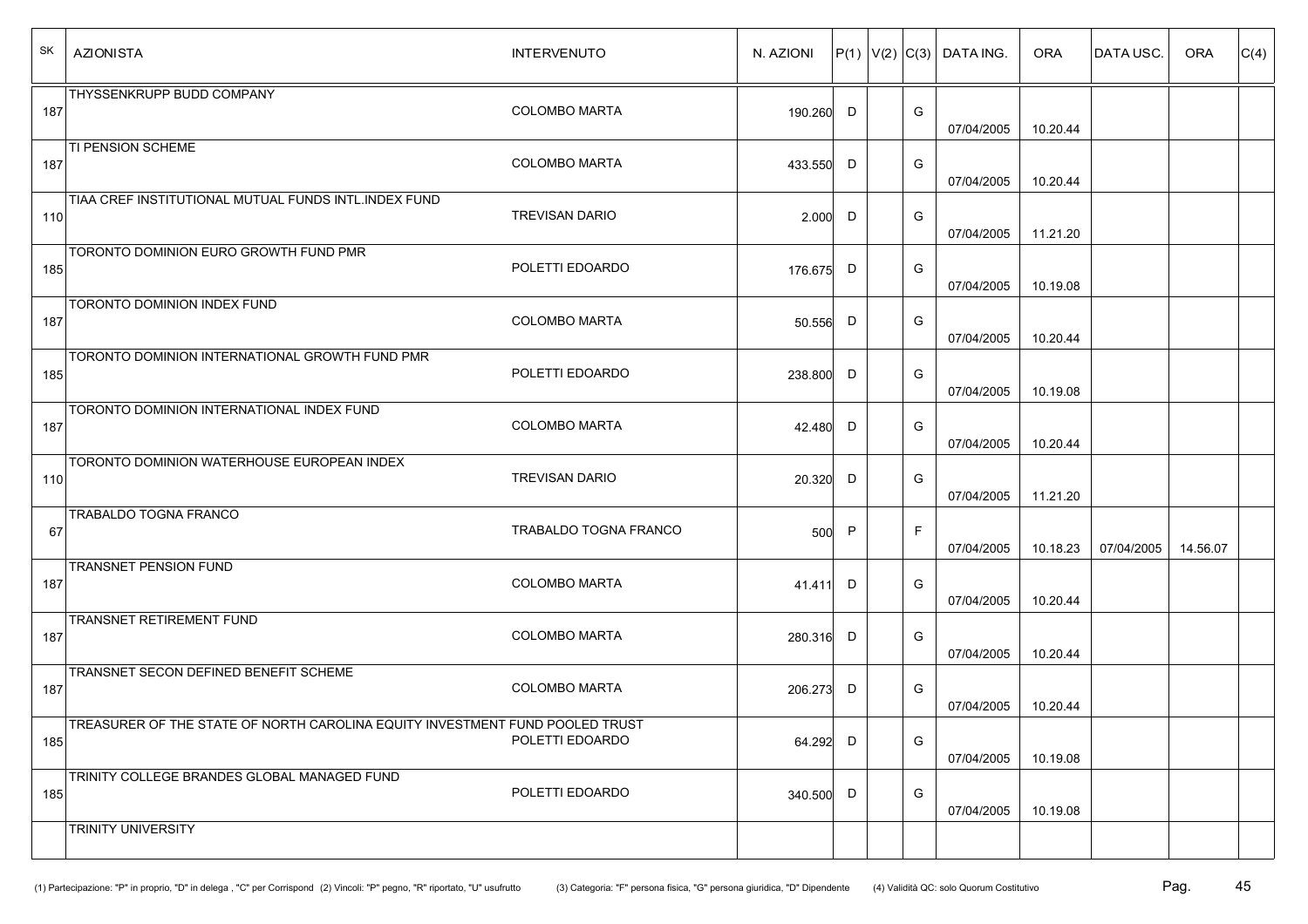| SK  | <b>AZIONISTA</b>                                                             | <b>INTERVENUTO</b>    | N. AZIONI |              |   | $ P(1) V(2) C(3) $ DATA ING. | <b>ORA</b> | <b>DATAUSC.</b> | <b>ORA</b> | C(4) |
|-----|------------------------------------------------------------------------------|-----------------------|-----------|--------------|---|------------------------------|------------|-----------------|------------|------|
| 187 | THYSSENKRUPP BUDD COMPANY                                                    | <b>COLOMBO MARTA</b>  | 190.260 D |              | G | 07/04/2005                   | 10.20.44   |                 |            |      |
| 187 | <b>TI PENSION SCHEME</b>                                                     | <b>COLOMBO MARTA</b>  | 433.550   | D            | G | 07/04/2005                   | 10.20.44   |                 |            |      |
| 110 | TIAA CREF INSTITUTIONAL MUTUAL FUNDS INTL.INDEX FUND                         | <b>TREVISAN DARIO</b> | $2.000$ D |              | G | 07/04/2005                   | 11.21.20   |                 |            |      |
| 185 | TORONTO DOMINION EURO GROWTH FUND PMR                                        | POLETTI EDOARDO       | 176.675 D |              | G | 07/04/2005                   | 10.19.08   |                 |            |      |
| 187 | TORONTO DOMINION INDEX FUND                                                  | <b>COLOMBO MARTA</b>  | 50.556 D  |              | G | 07/04/2005                   | 10.20.44   |                 |            |      |
| 185 | TORONTO DOMINION INTERNATIONAL GROWTH FUND PMR                               | POLETTI EDOARDO       | 238.800 D |              | G | 07/04/2005                   | 10.19.08   |                 |            |      |
| 187 | TORONTO DOMINION INTERNATIONAL INDEX FUND                                    | <b>COLOMBO MARTA</b>  | 42.480 D  |              | G | 07/04/2005                   | 10.20.44   |                 |            |      |
| 110 | TORONTO DOMINION WATERHOUSE EUROPEAN INDEX                                   | <b>TREVISAN DARIO</b> | 20.320    | D            | G | 07/04/2005                   | 11.21.20   |                 |            |      |
| 67  | TRABALDO TOGNA FRANCO                                                        | TRABALDO TOGNA FRANCO | 500       | $\mathsf{P}$ | F | 07/04/2005                   | 10.18.23   | 07/04/2005      | 14.56.07   |      |
| 187 | <b>TRANSNET PENSION FUND</b>                                                 | <b>COLOMBO MARTA</b>  | 41.411    | D            | G | 07/04/2005                   | 10.20.44   |                 |            |      |
| 187 | TRANSNET RETIREMENT FUND                                                     | <b>COLOMBO MARTA</b>  | 280.316 D |              | G | 07/04/2005                   | 10.20.44   |                 |            |      |
| 187 | TRANSNET SECON DEFINED BENEFIT SCHEME                                        | <b>COLOMBO MARTA</b>  | 206.273 D |              | G | 07/04/2005                   | 10.20.44   |                 |            |      |
| 185 | TREASURER OF THE STATE OF NORTH CAROLINA EQUITY INVESTMENT FUND POOLED TRUST | POLETTI EDOARDO       | 64.292 D  |              | G | 07/04/2005                   | 10.19.08   |                 |            |      |
| 185 | TRINITY COLLEGE BRANDES GLOBAL MANAGED FUND                                  | POLETTI EDOARDO       | 340.500 D |              | G | 07/04/2005                   | 10.19.08   |                 |            |      |
|     | TRINITY UNIVERSITY                                                           |                       |           |              |   |                              |            |                 |            |      |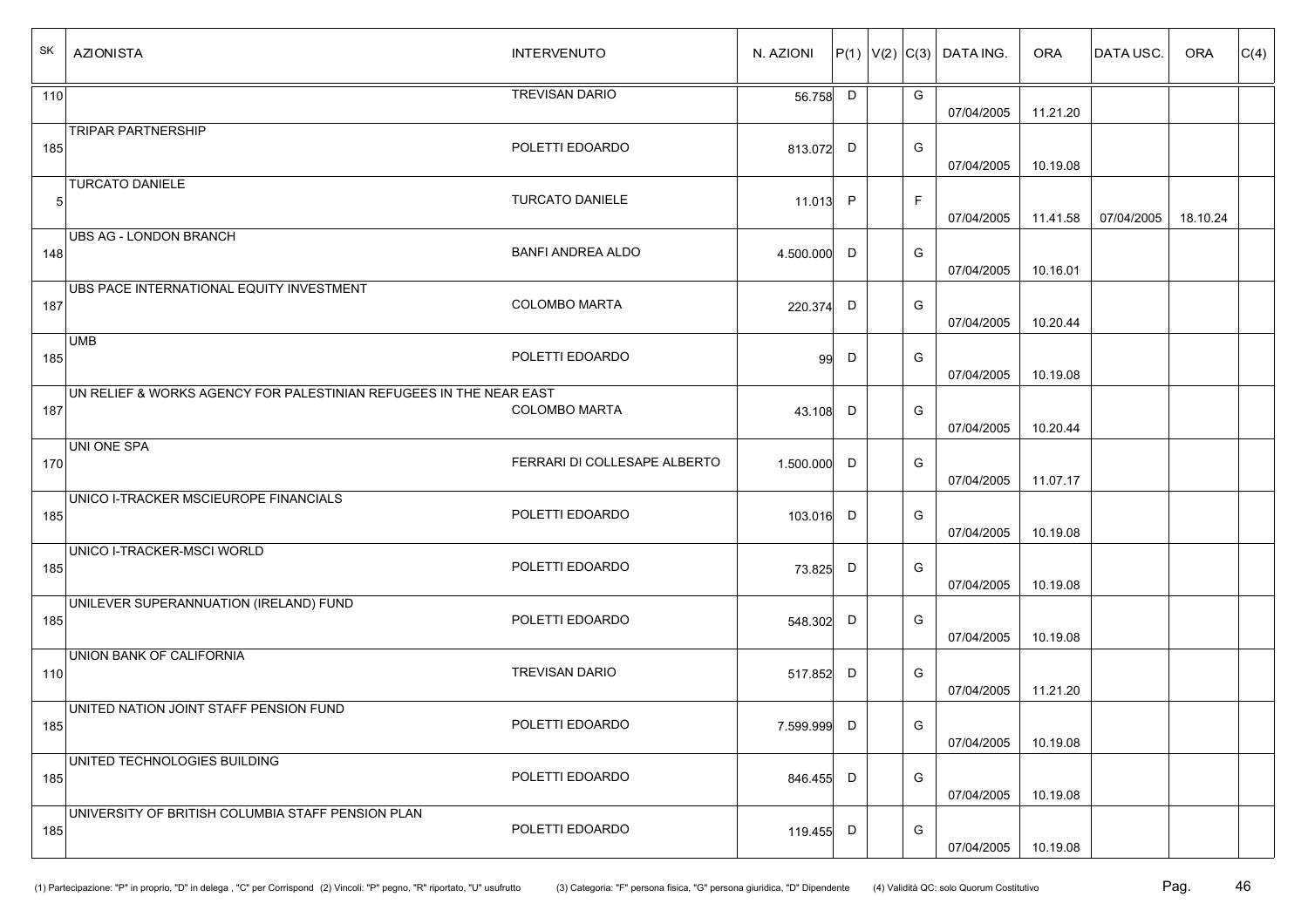| SK  | <b>AZIONISTA</b>                                                   | <b>INTERVENUTO</b>           | N. AZIONI   |              |   | $ P(1) V(2) C(3) $ DATA ING. | <b>ORA</b> | DATA USC.  | <b>ORA</b> | C(4) |
|-----|--------------------------------------------------------------------|------------------------------|-------------|--------------|---|------------------------------|------------|------------|------------|------|
| 110 |                                                                    | <b>TREVISAN DARIO</b>        | 56.758 D    |              | G | 07/04/2005                   | 11.21.20   |            |            |      |
| 185 | TRIPAR PARTNERSHIP                                                 | POLETTI EDOARDO              | 813.072 D   |              | G | 07/04/2005                   | 10.19.08   |            |            |      |
| 5   | <b>TURCATO DANIELE</b>                                             | <b>TURCATO DANIELE</b>       | 11.013      | $\mathsf{P}$ | F | 07/04/2005                   | 11.41.58   | 07/04/2005 | 18.10.24   |      |
| 148 | <b>UBS AG - LONDON BRANCH</b>                                      | <b>BANFI ANDREA ALDO</b>     | 4.500.000   | D            | G | 07/04/2005                   | 10.16.01   |            |            |      |
| 187 | UBS PACE INTERNATIONAL EQUITY INVESTMENT                           | <b>COLOMBO MARTA</b>         | 220.374 D   |              | G | 07/04/2005                   | 10.20.44   |            |            |      |
| 185 | <b>UMB</b>                                                         | POLETTI EDOARDO              | 99          | D            | G | 07/04/2005                   | 10.19.08   |            |            |      |
| 187 | UN RELIEF & WORKS AGENCY FOR PALESTINIAN REFUGEES IN THE NEAR EAST | <b>COLOMBO MARTA</b>         | 43.108 D    |              | G | 07/04/2005                   | 10.20.44   |            |            |      |
| 170 | UNI ONE SPA                                                        | FERRARI DI COLLESAPE ALBERTO | 1.500.000 D |              | G | 07/04/2005                   | 11.07.17   |            |            |      |
| 185 | UNICO I-TRACKER MSCIEUROPE FINANCIALS                              | POLETTI EDOARDO              | 103.016 D   |              | G | 07/04/2005                   | 10.19.08   |            |            |      |
| 185 | UNICO I-TRACKER-MSCI WORLD                                         | POLETTI EDOARDO              | 73.825 D    |              | G | 07/04/2005                   | 10.19.08   |            |            |      |
| 185 | UNILEVER SUPERANNUATION (IRELAND) FUND                             | POLETTI EDOARDO              | 548.302     | D            | G | 07/04/2005                   | 10.19.08   |            |            |      |
| 110 | <b>UNION BANK OF CALIFORNIA</b>                                    | <b>TREVISAN DARIO</b>        | 517.852 D   |              | G | 07/04/2005                   | 11.21.20   |            |            |      |
| 185 | UNITED NATION JOINT STAFF PENSION FUND                             | POLETTI EDOARDO              | 7.599.999 D |              | G | 07/04/2005                   | 10.19.08   |            |            |      |
| 185 | UNITED TECHNOLOGIES BUILDING                                       | POLETTI EDOARDO              | 846.455 D   |              | G | 07/04/2005                   | 10.19.08   |            |            |      |
| 185 | UNIVERSITY OF BRITISH COLUMBIA STAFF PENSION PLAN                  | POLETTI EDOARDO              | 119.455 D   |              | G | 07/04/2005                   | 10.19.08   |            |            |      |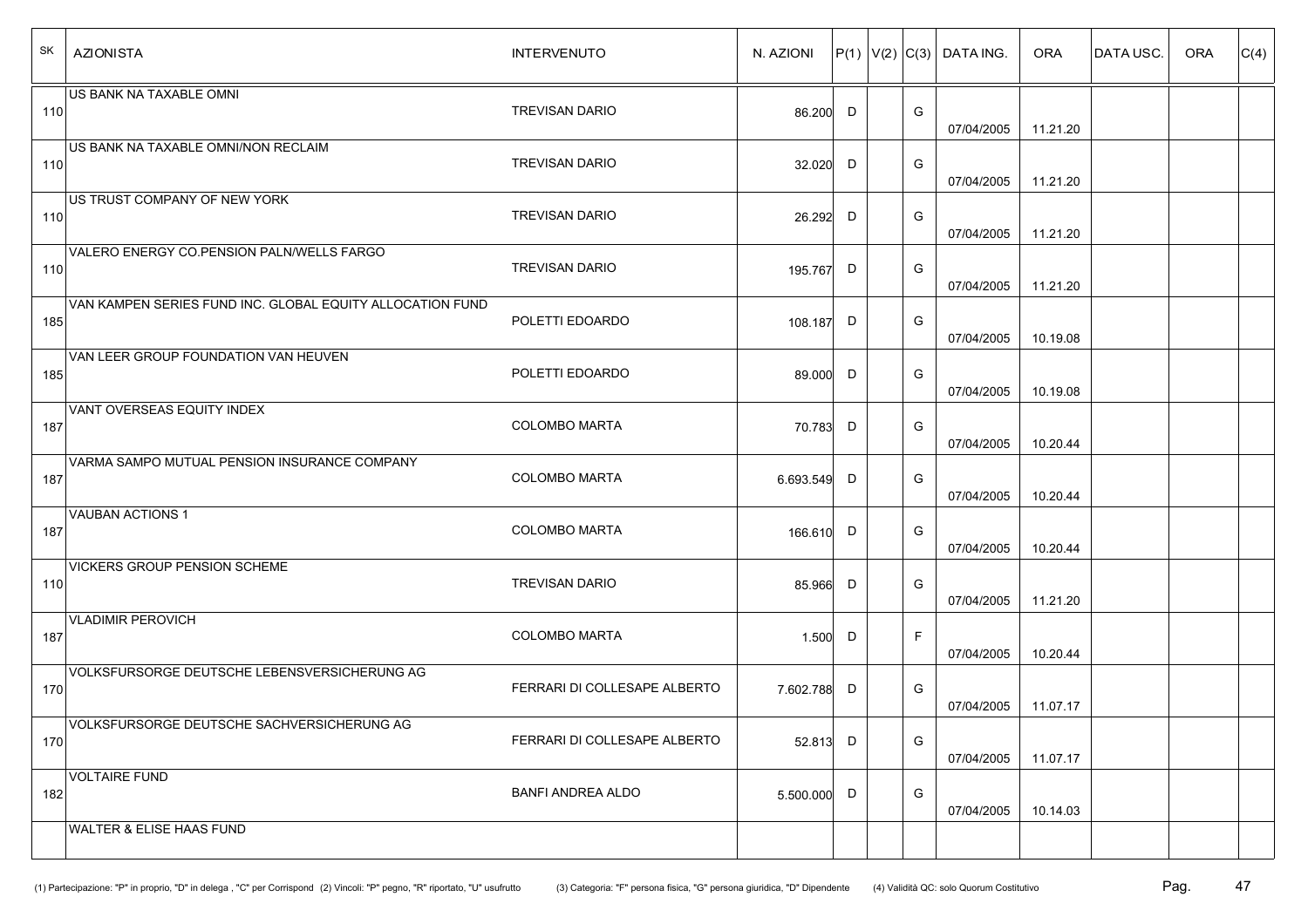| SK  | <b>AZIONISTA</b>                                          | <b>INTERVENUTO</b>           | N. AZIONI   |   |   | $ P(1) V(2) C(3) $ DATA ING. | <b>ORA</b> | <b>DATAUSC.</b> | <b>ORA</b> | C(4) |
|-----|-----------------------------------------------------------|------------------------------|-------------|---|---|------------------------------|------------|-----------------|------------|------|
| 110 | US BANK NA TAXABLE OMNI                                   | <b>TREVISAN DARIO</b>        | 86.200      | D | G | 07/04/2005                   | 11.21.20   |                 |            |      |
| 110 | US BANK NA TAXABLE OMNI/NON RECLAIM                       | <b>TREVISAN DARIO</b>        | 32.020      | D | G | 07/04/2005                   | 11.21.20   |                 |            |      |
| 110 | US TRUST COMPANY OF NEW YORK                              | <b>TREVISAN DARIO</b>        | 26.292      | D | G | 07/04/2005                   | 11.21.20   |                 |            |      |
| 110 | VALERO ENERGY CO.PENSION PALN/WELLS FARGO                 | <b>TREVISAN DARIO</b>        | 195.767     | D | G | 07/04/2005                   | 11.21.20   |                 |            |      |
| 185 | VAN KAMPEN SERIES FUND INC. GLOBAL EQUITY ALLOCATION FUND | POLETTI EDOARDO              | 108.187     | D | G | 07/04/2005                   | 10.19.08   |                 |            |      |
| 185 | VAN LEER GROUP FOUNDATION VAN HEUVEN                      | POLETTI EDOARDO              | 89.000      | D | G | 07/04/2005                   | 10.19.08   |                 |            |      |
| 187 | VANT OVERSEAS EQUITY INDEX                                | <b>COLOMBO MARTA</b>         | 70.783 D    |   | G | 07/04/2005                   | 10.20.44   |                 |            |      |
| 187 | VARMA SAMPO MUTUAL PENSION INSURANCE COMPANY              | <b>COLOMBO MARTA</b>         | 6.693.549 D |   | G | 07/04/2005                   | 10.20.44   |                 |            |      |
| 187 | <b>VAUBAN ACTIONS 1</b>                                   | <b>COLOMBO MARTA</b>         | 166.610     | D | G | 07/04/2005                   | 10.20.44   |                 |            |      |
| 110 | <b>VICKERS GROUP PENSION SCHEME</b>                       | <b>TREVISAN DARIO</b>        | 85.966 D    |   | G | 07/04/2005                   | 11.21.20   |                 |            |      |
| 187 | <b>VLADIMIR PEROVICH</b>                                  | <b>COLOMBO MARTA</b>         | 1.500 $D$   |   | F | 07/04/2005                   | 10.20.44   |                 |            |      |
| 170 | VOLKSFURSORGE DEUTSCHE LEBENSVERSICHERUNG AG              | FERRARI DI COLLESAPE ALBERTO | 7.602.788 D |   | G | 07/04/2005                   | 11.07.17   |                 |            |      |
| 170 | VOLKSFURSORGE DEUTSCHE SACHVERSICHERUNG AG                | FERRARI DI COLLESAPE ALBERTO | 52.813 D    |   | G | 07/04/2005                   | 11.07.17   |                 |            |      |
| 182 | <b>VOLTAIRE FUND</b>                                      | <b>BANFI ANDREA ALDO</b>     | 5.500.000 D |   | G | 07/04/2005                   | 10.14.03   |                 |            |      |
|     | <b>WALTER &amp; ELISE HAAS FUND</b>                       |                              |             |   |   |                              |            |                 |            |      |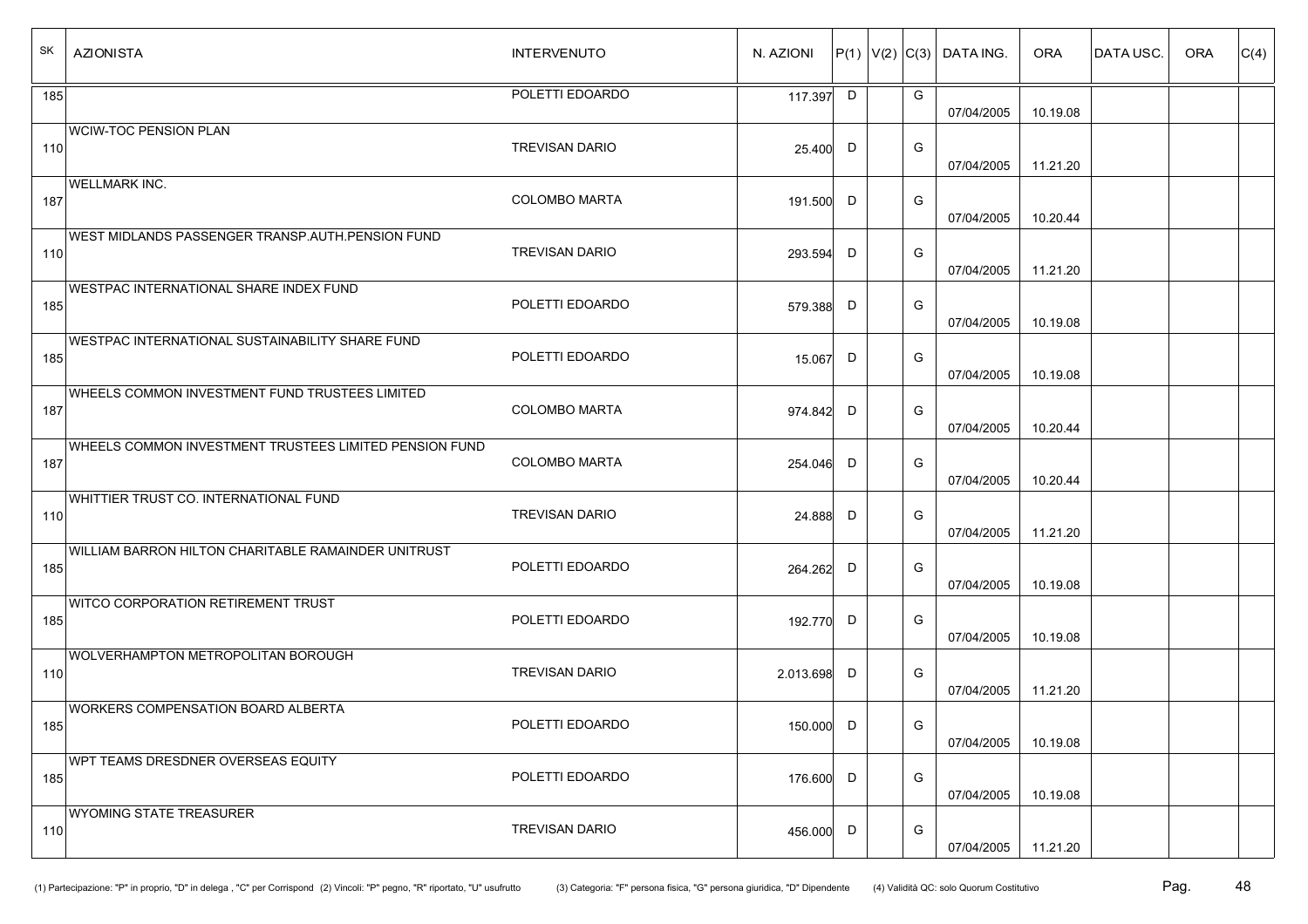| SK  | <b>AZIONISTA</b>                                       | <b>INTERVENUTO</b>    | N. AZIONI |        |   | $ P(1) V(2) C(3) $ DATA ING. | <b>ORA</b> | <b>DATAUSC.</b> | <b>ORA</b> | C(4) |
|-----|--------------------------------------------------------|-----------------------|-----------|--------|---|------------------------------|------------|-----------------|------------|------|
| 185 |                                                        | POLETTI EDOARDO       | 117.397   | $\Box$ | G | 07/04/2005                   | 10.19.08   |                 |            |      |
| 110 | <b>WCIW-TOC PENSION PLAN</b>                           | <b>TREVISAN DARIO</b> | 25.400 D  |        | G | 07/04/2005                   | 11.21.20   |                 |            |      |
| 187 | <b>WELLMARK INC.</b>                                   | <b>COLOMBO MARTA</b>  | 191.500 D |        | G | 07/04/2005                   | 10.20.44   |                 |            |      |
| 110 | WEST MIDLANDS PASSENGER TRANSP AUTH PENSION FUND       | <b>TREVISAN DARIO</b> | 293.594   | D      | G | 07/04/2005                   | 11.21.20   |                 |            |      |
| 185 | <b>WESTPAC INTERNATIONAL SHARE INDEX FUND</b>          | POLETTI EDOARDO       | 579.388   | D      | G | 07/04/2005                   | 10.19.08   |                 |            |      |
| 185 | WESTPAC INTERNATIONAL SUSTAINABILITY SHARE FUND        | POLETTI EDOARDO       | 15.067    | D      | G | 07/04/2005                   | 10.19.08   |                 |            |      |
| 187 | WHEELS COMMON INVESTMENT FUND TRUSTEES LIMITED         | <b>COLOMBO MARTA</b>  | 974.842 D |        | G | 07/04/2005                   | 10.20.44   |                 |            |      |
| 187 | WHEELS COMMON INVESTMENT TRUSTEES LIMITED PENSION FUND | <b>COLOMBO MARTA</b>  | 254.046   | D      | G | 07/04/2005                   | 10.20.44   |                 |            |      |
| 110 | WHITTIER TRUST CO. INTERNATIONAL FUND                  | <b>TREVISAN DARIO</b> | 24.888    | D      | G | 07/04/2005                   | 11.21.20   |                 |            |      |
| 185 | WILLIAM BARRON HILTON CHARITABLE RAMAINDER UNITRUST    | POLETTI EDOARDO       | 264.262 D |        | G | 07/04/2005                   | 10.19.08   |                 |            |      |
| 185 | <b>WITCO CORPORATION RETIREMENT TRUST</b>              | POLETTI EDOARDO       | 192.770 D |        | G | 07/04/2005                   | 10.19.08   |                 |            |      |
| 110 | WOLVERHAMPTON METROPOLITAN BOROUGH                     | <b>TREVISAN DARIO</b> | 2.013.698 | D      | G | 07/04/2005                   | 11.21.20   |                 |            |      |
| 185 | <b>WORKERS COMPENSATION BOARD ALBERTA</b>              | POLETTI EDOARDO       | 150.000 D |        | G | 07/04/2005                   | 10.19.08   |                 |            |      |
| 185 | WPT TEAMS DRESDNER OVERSEAS EQUITY                     | POLETTI EDOARDO       | 176.600 D |        | G | 07/04/2005                   | 10.19.08   |                 |            |      |
| 110 | <b>WYOMING STATE TREASURER</b>                         | <b>TREVISAN DARIO</b> | 456.000 D |        | G | 07/04/2005                   | 11.21.20   |                 |            |      |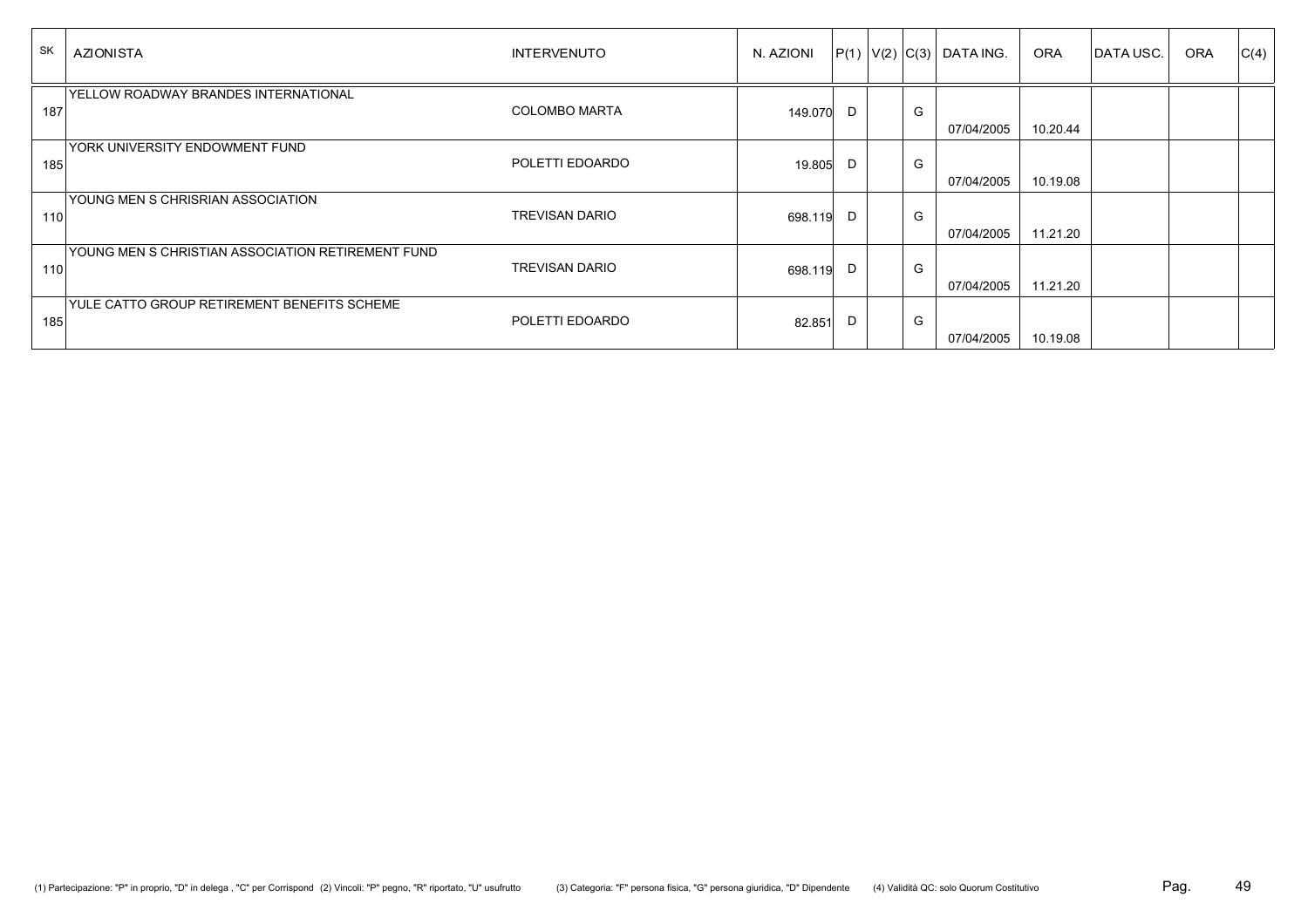| <b>SK</b> | <b>AZIONISTA</b>                                  | <b>INTERVENUTO</b>    | N. AZIONI |     |   | $ P(1) V(2) C(3) $ DATA ING. | ORA      | DATA USC. | ORA | C(4) |
|-----------|---------------------------------------------------|-----------------------|-----------|-----|---|------------------------------|----------|-----------|-----|------|
| 187       | YELLOW ROADWAY BRANDES INTERNATIONAL              | <b>COLOMBO MARTA</b>  | 149.070   | D   | G | 07/04/2005                   | 10.20.44 |           |     |      |
| 185       | YORK UNIVERSITY ENDOWMENT FUND                    | POLETTI EDOARDO       | 19.805    | - D | G | 07/04/2005                   | 10.19.08 |           |     |      |
| 110       | YOUNG MEN S CHRISRIAN ASSOCIATION                 | <b>TREVISAN DARIO</b> | 698.119 D |     | G | 07/04/2005                   | 11.21.20 |           |     |      |
| 110       | YOUNG MEN S CHRISTIAN ASSOCIATION RETIREMENT FUND | <b>TREVISAN DARIO</b> | 698.119   | D   | G | 07/04/2005                   | 11.21.20 |           |     |      |
| 185       | YULE CATTO GROUP RETIREMENT BENEFITS SCHEME       | POLETTI EDOARDO       | 82.851    | - D | G | 07/04/2005                   | 10.19.08 |           |     |      |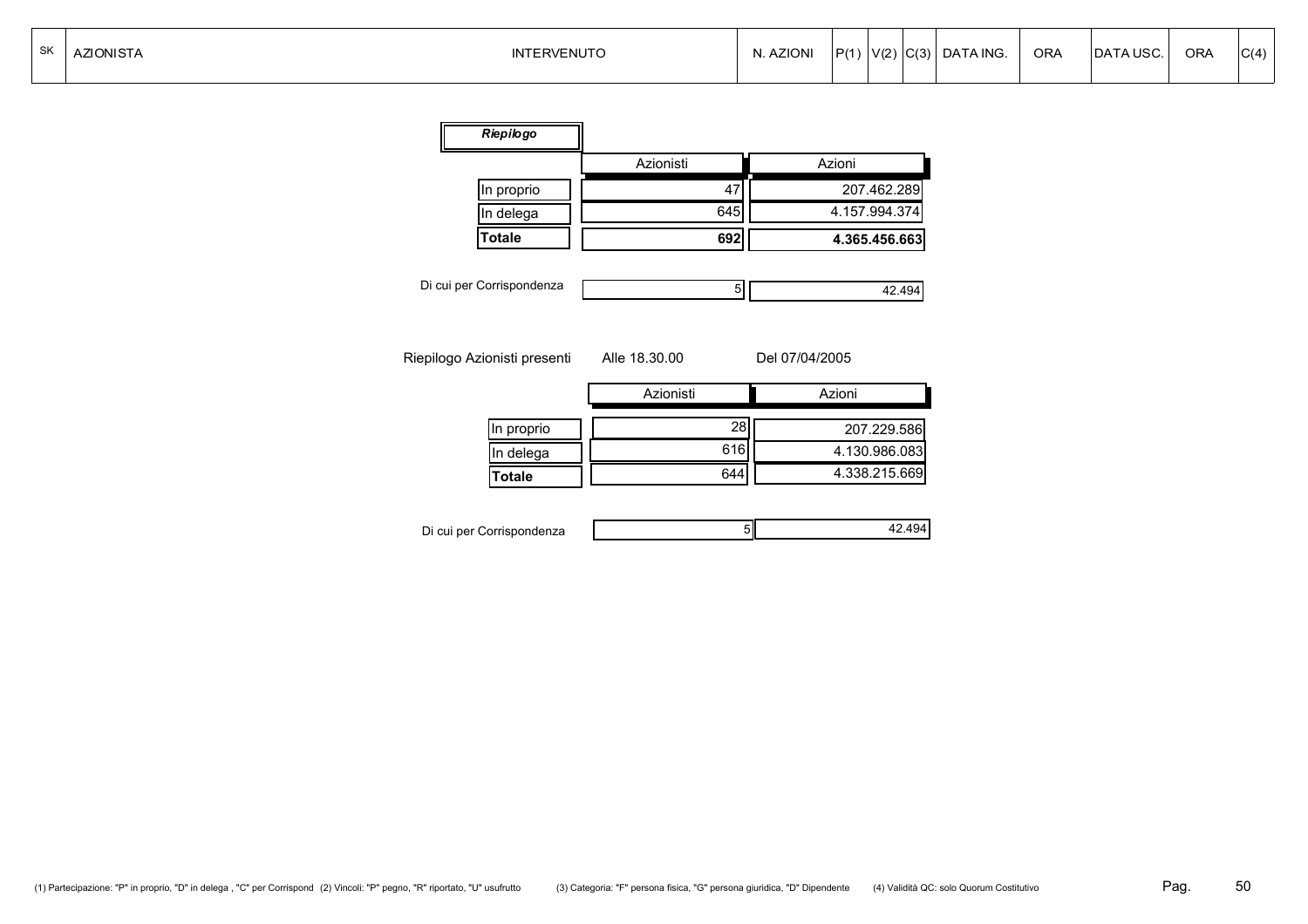SK

| Riepilogo                    |               |                |
|------------------------------|---------------|----------------|
|                              | Azionisti     | Azioni         |
| In proprio                   | 47            | 207.462.289    |
| In delega                    | 645           | 4.157.994.374  |
| <b>Totale</b>                | 692           | 4.365.456.663  |
| Di cui per Corrispondenza    | 5             | 42.494         |
| Riepilogo Azionisti presenti | Alle 18.30.00 | Del 07/04/2005 |

|            | Azionisti | Azioni        |
|------------|-----------|---------------|
| In proprio | 28        | 207.229.586   |
| In delega  | 616       | 4.130.986.083 |
| Totale     | 644       | 4.338.215.669 |

| Di cui per Corrispondenza | $\Lambda$ $\Omega$ |
|---------------------------|--------------------|
|                           |                    |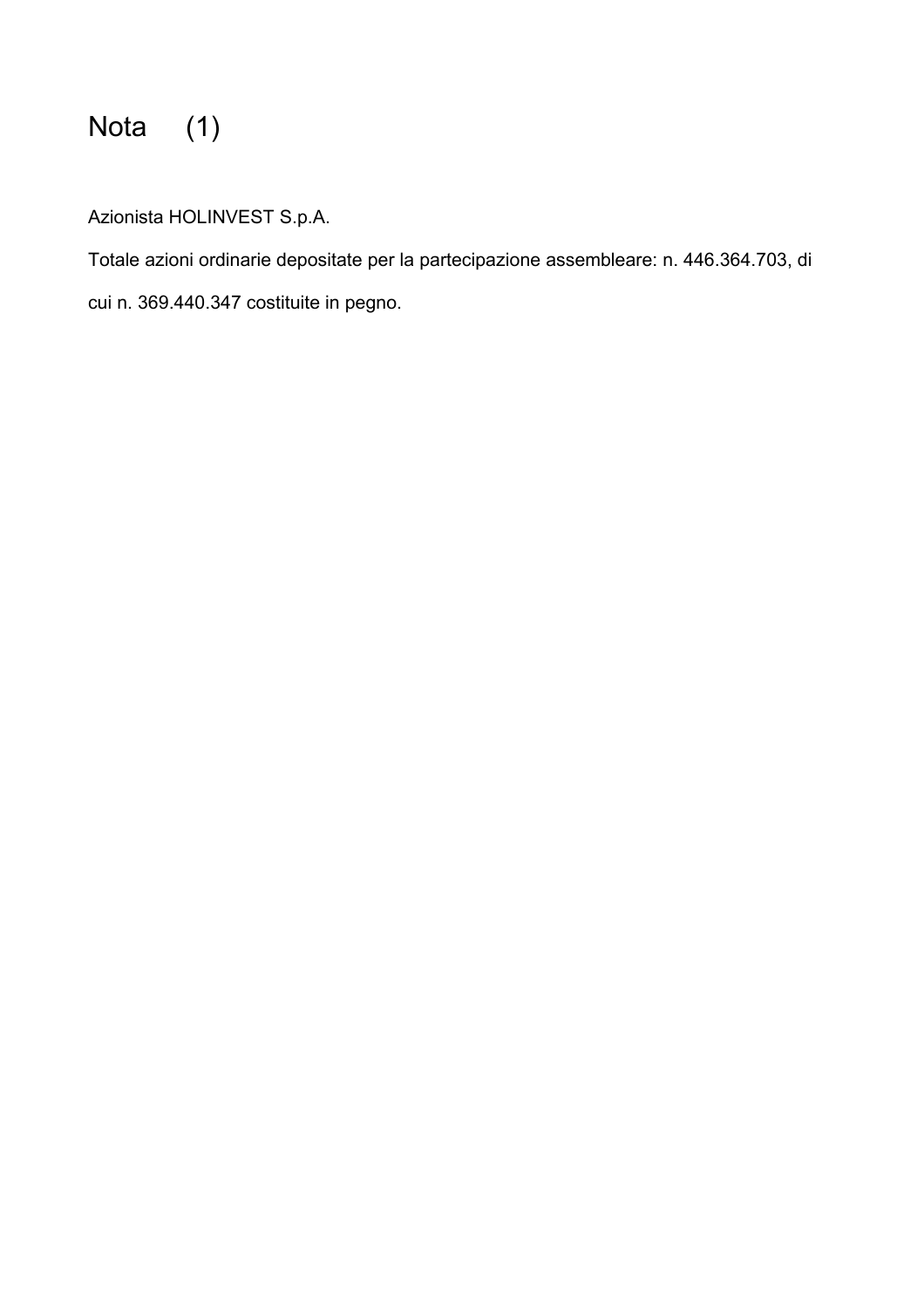## Nota (1)

Azionista HOLINVEST S.p.A.

Totale azioni ordinarie depositate per la partecipazione assembleare: n. 446.364.703, di

cui n. 369.440.347 costituite in pegno.